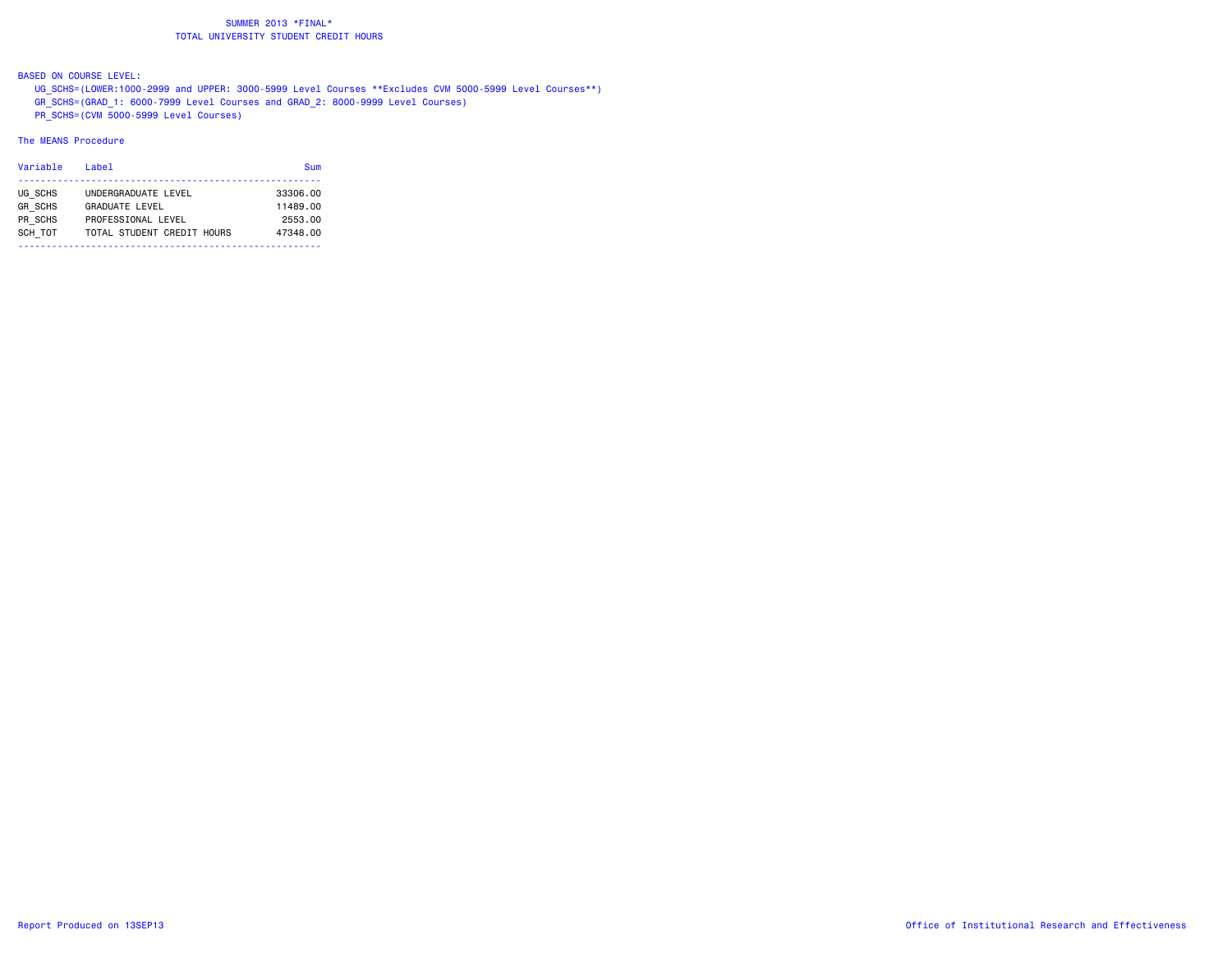BASED ON COURSE LEVEL:

 UG\_SCHS=(LOWER:1000-2999 and UPPER: 3000-5999 Level Courses \*\*Excludes CVM 5000-5999 Level Courses\*\*) GR\_SCHS=(GRAD\_1: 6000-7999 Level Courses and GRAD\_2: 8000-9999 Level Courses) PR\_SCHS=(CVM 5000-5999 Level Courses)

#### The MEANS Procedure

| Variable       | Label                      | Sum      |
|----------------|----------------------------|----------|
| UG SCHS        | UNDERGRADUATE LEVEL        | 33306.00 |
| <b>GR SCHS</b> | <b>GRADUATE LEVEL</b>      | 11489.00 |
| PR SCHS        | PROFESSIONAL LEVEL         | 2553.00  |
| SCH TOT        | TOTAL STUDENT CREDIT HOURS | 47348.00 |
|                |                            |          |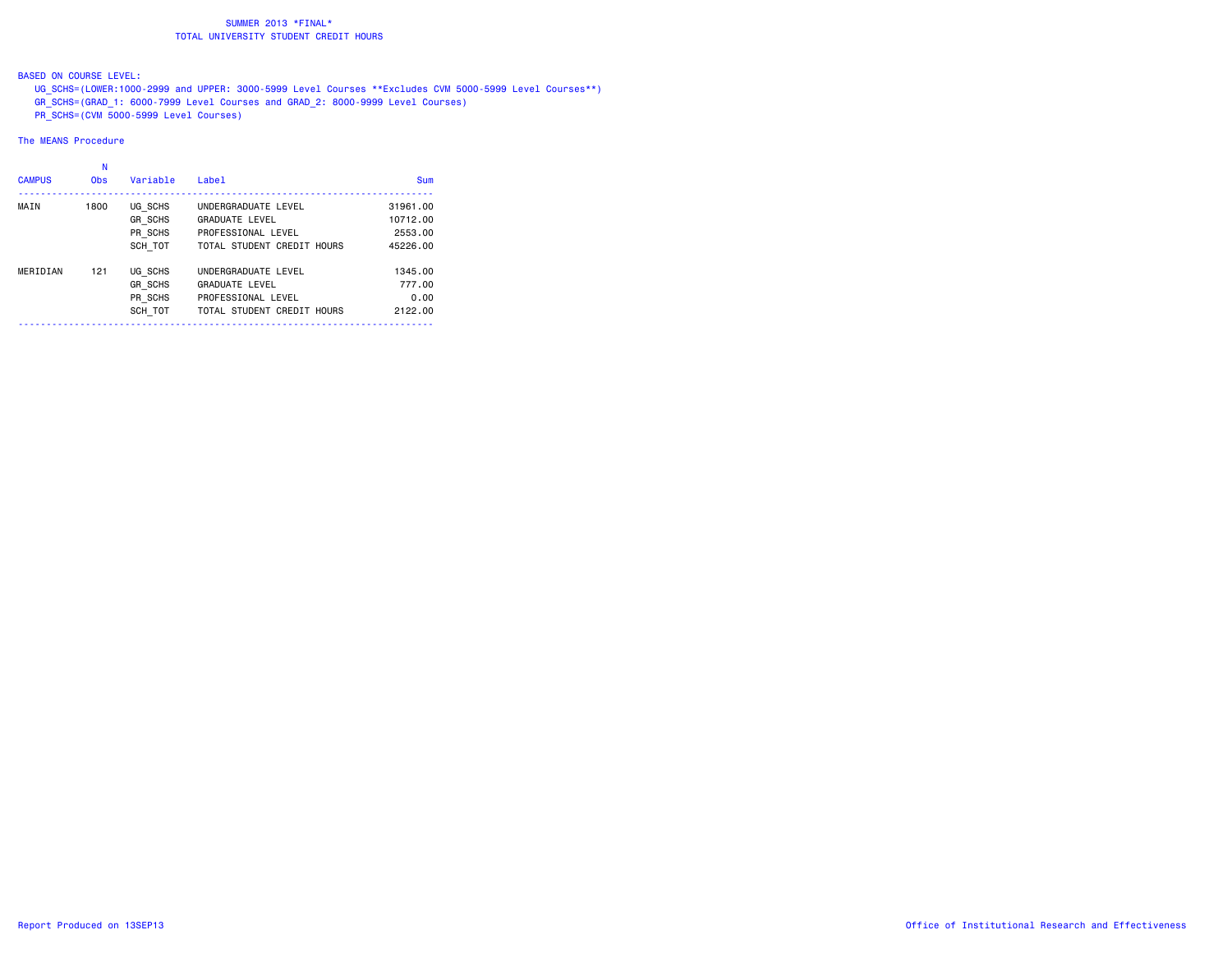# BASED ON COURSE LEVEL:

 UG\_SCHS=(LOWER:1000-2999 and UPPER: 3000-5999 Level Courses \*\*Excludes CVM 5000-5999 Level Courses\*\*) GR\_SCHS=(GRAD\_1: 6000-7999 Level Courses and GRAD\_2: 8000-9999 Level Courses) PR\_SCHS=(CVM 5000-5999 Level Courses)

#### The MEANS Procedure

| <b>CAMPUS</b> | N<br><b>Obs</b> | Variable       | Label                      | Sum      |
|---------------|-----------------|----------------|----------------------------|----------|
| MAIN          | 1800            | UG SCHS        | UNDERGRADUATE LEVEL        | 31961.00 |
|               |                 | <b>GR SCHS</b> | <b>GRADUATE LEVEL</b>      | 10712.00 |
|               |                 | PR SCHS        | PROFESSIONAL LEVEL         | 2553.00  |
|               |                 | SCH TOT        | TOTAL STUDENT CREDIT HOURS | 45226.00 |
| MERIDIAN      | 121             | UG SCHS        | UNDERGRADUATE LEVEL        | 1345.00  |
|               |                 | <b>GR SCHS</b> | <b>GRADUATE LEVEL</b>      | 777.00   |
|               |                 | PR SCHS        | PROFESSIONAL LEVEL         | 0.00     |
|               |                 | SCH TOT        | TOTAL STUDENT CREDIT HOURS | 2122.00  |
|               |                 |                |                            |          |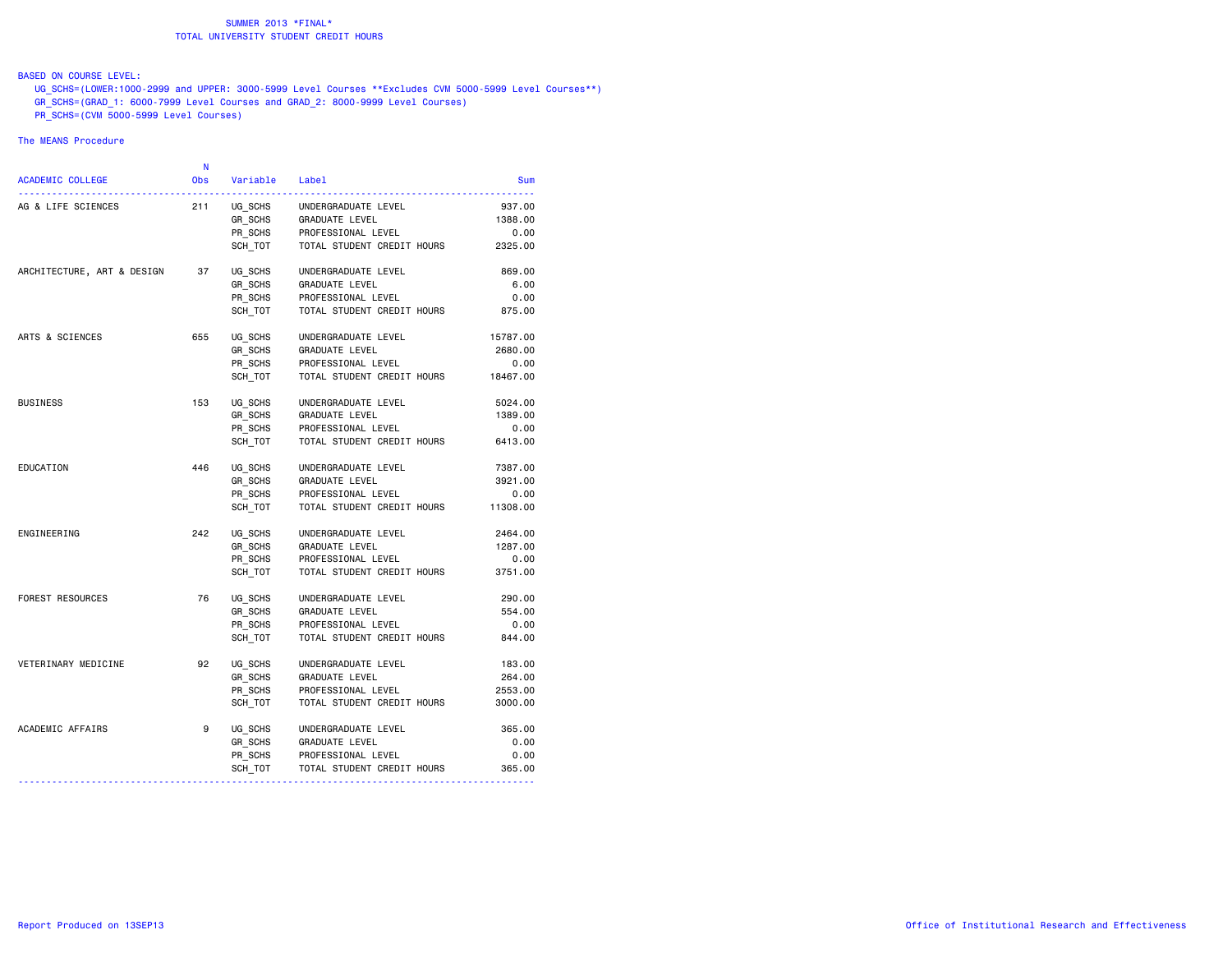# BASED ON COURSE LEVEL:

 UG\_SCHS=(LOWER:1000-2999 and UPPER: 3000-5999 Level Courses \*\*Excludes CVM 5000-5999 Level Courses\*\*) GR\_SCHS=(GRAD\_1: 6000-7999 Level Courses and GRAD\_2: 8000-9999 Level Courses)  $\overline{PR}$  SCHS=(CVM 5000-5999 Level Courses)

#### The MEANS Procedure

|                            | N          |                |                            |            |
|----------------------------|------------|----------------|----------------------------|------------|
| <b>ACADEMIC COLLEGE</b>    | <b>Obs</b> | Variable Label |                            | <b>Sum</b> |
| AG & LIFE SCIENCES         | 211        | UG_SCHS        | UNDERGRADUATE LEVEL        | 937.00     |
|                            |            | GR_SCHS        | GRADUATE LEVEL             | 1388.00    |
|                            |            | PR_SCHS        | PROFESSIONAL LEVEL         | 0.00       |
|                            |            | SCH TOT        | TOTAL STUDENT CREDIT HOURS | 2325.00    |
| ARCHITECTURE, ART & DESIGN | 37         | UG SCHS        | UNDERGRADUATE LEVEL        | 869.00     |
|                            |            | GR SCHS        | GRADUATE LEVEL             | 6.00       |
|                            |            | PR_SCHS        | PROFESSIONAL LEVEL         | 0.00       |
|                            |            | SCH TOT        | TOTAL STUDENT CREDIT HOURS | 875.00     |
| ARTS & SCIENCES            | 655        | UG SCHS        | UNDERGRADUATE LEVEL        | 15787.00   |
|                            |            | GR SCHS        | <b>GRADUATE LEVEL</b>      | 2680.00    |
|                            |            | PR_SCHS        | PROFESSIONAL LEVEL         | 0.00       |
|                            |            | SCH TOT        | TOTAL STUDENT CREDIT HOURS | 18467.00   |
| <b>BUSINESS</b>            | 153        | UG SCHS        | UNDERGRADUATE LEVEL        | 5024.00    |
|                            |            | GR SCHS        | GRADUATE LEVEL             | 1389.00    |
|                            |            | PR SCHS        | PROFESSIONAL LEVEL         | 0.00       |
|                            |            | SCH TOT        | TOTAL STUDENT CREDIT HOURS | 6413.00    |
| EDUCATION                  | 446        | UG SCHS        | UNDERGRADUATE LEVEL        | 7387.00    |
|                            |            | GR SCHS        | GRADUATE LEVEL             | 3921.00    |
|                            |            | PR SCHS        | PROFESSIONAL LEVEL         | 0.00       |
|                            |            | SCH TOT        | TOTAL STUDENT CREDIT HOURS | 11308.00   |
| ENGINEERING                | 242        | UG SCHS        | UNDERGRADUATE LEVEL        | 2464.00    |
|                            |            | GR SCHS        | GRADUATE LEVEL             | 1287.00    |
|                            |            | PR SCHS        | PROFESSIONAL LEVEL         | 0.00       |
|                            |            | SCH TOT        | TOTAL STUDENT CREDIT HOURS | 3751.00    |
| FOREST RESOURCES           | 76         | UG SCHS        | UNDERGRADUATE LEVEL        | 290.00     |
|                            |            | GR SCHS        | GRADUATE LEVEL             | 554.00     |
|                            |            | PR SCHS        | PROFESSIONAL LEVEL         | 0.00       |
|                            |            | SCH TOT        | TOTAL STUDENT CREDIT HOURS | 844.00     |
| VETERINARY MEDICINE        | 92         | UG SCHS        | UNDERGRADUATE LEVEL        | 183.00     |
|                            |            | GR SCHS        | GRADUATE LEVEL             | 264.00     |
|                            |            | PR SCHS        | PROFESSIONAL LEVEL         | 2553.00    |
|                            |            | SCH TOT        | TOTAL STUDENT CREDIT HOURS | 3000.00    |
| ACADEMIC AFFAIRS           | 9          | UG SCHS        | UNDERGRADUATE LEVEL        | 365.00     |
|                            |            | GR SCHS        | GRADUATE LEVEL             | 0.00       |
|                            |            | PR SCHS        | PROFESSIONAL LEVEL         | 0.00       |
|                            |            | SCH_TOT        | TOTAL STUDENT CREDIT HOURS | 365.00     |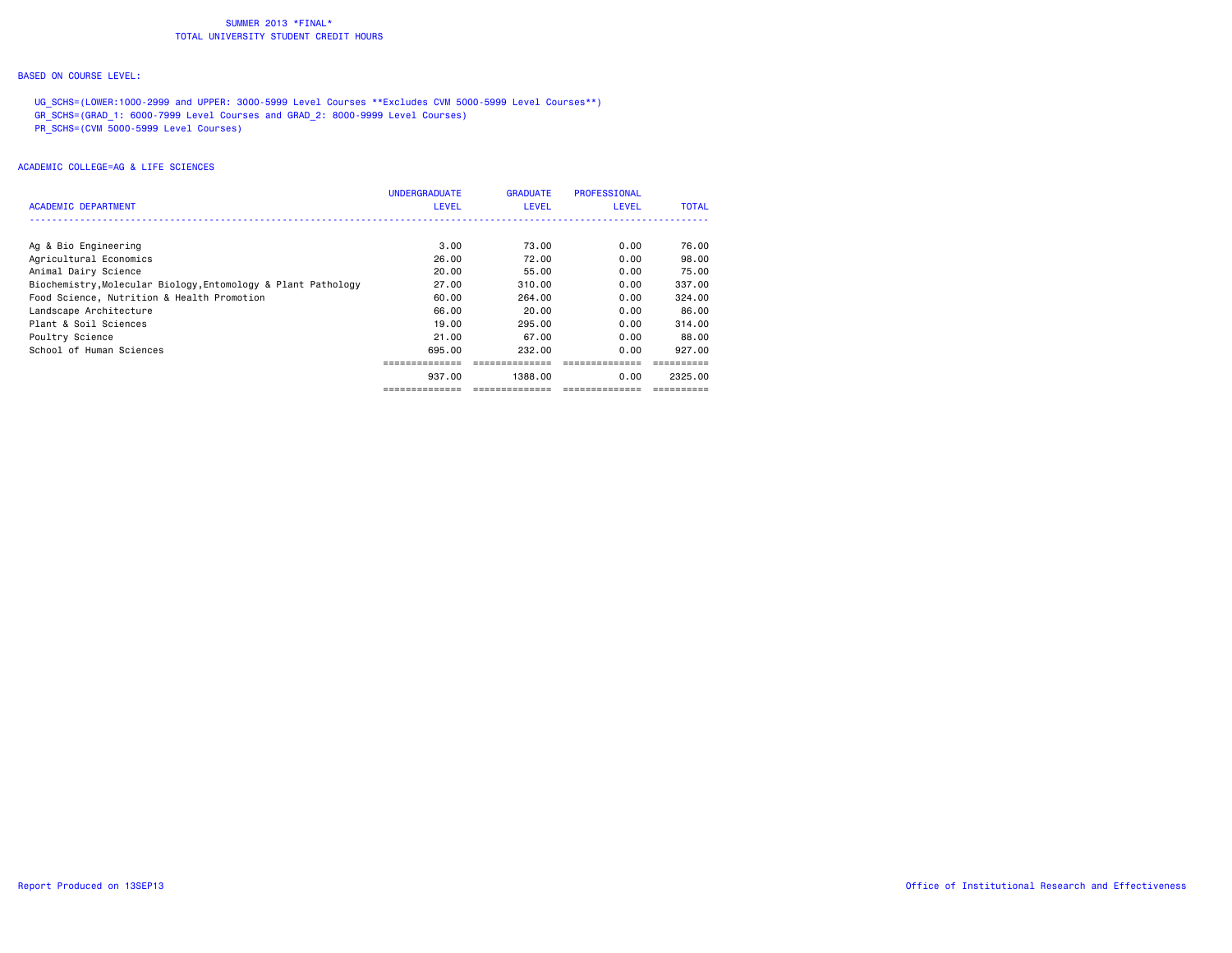#### BASED ON COURSE LEVEL:

UG SCHS=(LOWER:1000-2999 and UPPER: 3000-5999 Level Courses \*\*Excludes CVM 5000-5999 Level Courses\*\*) GR\_SCHS=(GRAD\_1: 6000-7999 Level Courses and GRAD\_2: 8000-9999 Level Courses) PR\_SCHS=(CVM 5000-5999 Level Courses)

|                                                               | <b>UNDERGRADUATE</b> | <b>GRADUATE</b> | PROFESSIONAL |              |
|---------------------------------------------------------------|----------------------|-----------------|--------------|--------------|
| ACADEMIC DEPARTMENT                                           | <b>LEVEL</b>         | LEVEL           | <b>LEVEL</b> | <b>TOTAL</b> |
|                                                               |                      |                 |              |              |
| Ag & Bio Engineering                                          | 3.00                 | 73.00           | 0.00         | 76.00        |
| Agricultural Economics                                        | 26.00                | 72.00           | 0.00         | 98.00        |
| Animal Dairy Science                                          | 20.00                | 55.00           | 0.00         | 75.00        |
| Biochemistry, Molecular Biology, Entomology & Plant Pathology | 27.00                | 310.00          | 0.00         | 337.00       |
| Food Science, Nutrition & Health Promotion                    | 60.00                | 264,00          | 0.00         | 324,00       |
| Landscape Architecture                                        | 66.00                | 20.00           | 0.00         | 86.00        |
| Plant & Soil Sciences                                         | 19,00                | 295.00          | 0.00         | 314.00       |
| Poultry Science                                               | 21.00                | 67.00           | 0.00         | 88.00        |
| School of Human Sciences                                      | 695.00               | 232.00          | 0.00         | 927.00       |
|                                                               |                      |                 |              |              |
|                                                               | 937.00               | 1388.00         | 0.00         | 2325.00      |
|                                                               |                      |                 |              |              |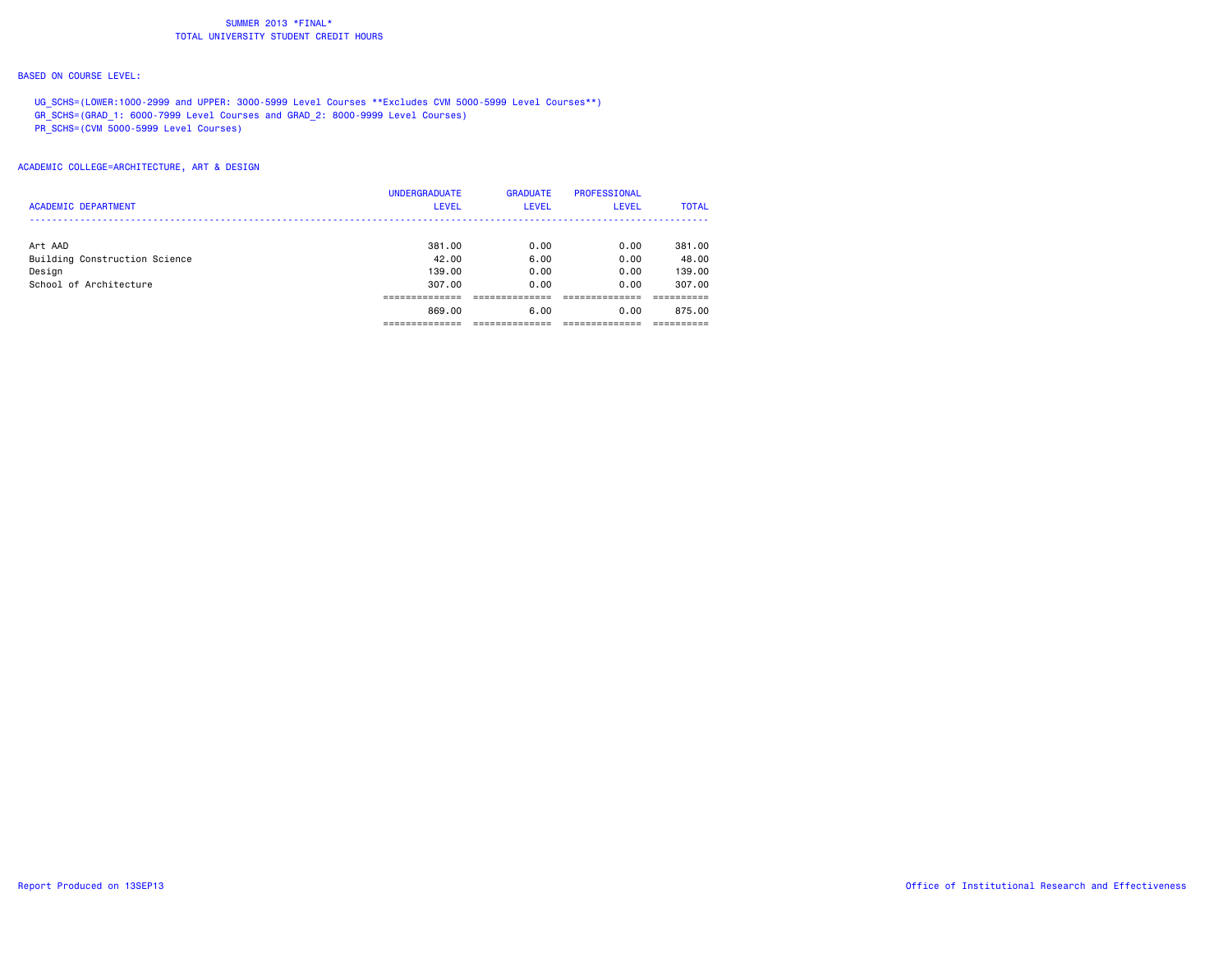#### BASED ON COURSE LEVEL:

UG\_SCHS=(LOWER:1000-2999 and UPPER: 3000-5999 Level Courses \*\*Excludes CVM 5000-5999 Level Courses\*\*) GR\_SCHS=(GRAD\_1: 6000-7999 Level Courses and GRAD\_2: 8000-9999 Level Courses) PR\_SCHS=(CVM 5000-5999 Level Courses)

|                               | <b>UNDERGRADUATE</b> | <b>GRADUATE</b> | <b>PROFESSIONAL</b> |              |
|-------------------------------|----------------------|-----------------|---------------------|--------------|
| <b>ACADEMIC DEPARTMENT</b>    | <b>LEVEL</b>         | <b>LEVEL</b>    | <b>LEVEL</b>        | <b>TOTAL</b> |
|                               |                      |                 |                     |              |
| Art AAD                       | 381,00               | 0.00            | 0.00                | 381.00       |
| Building Construction Science | 42.00                | 6.00            | 0.00                | 48.00        |
| Design                        | 139,00               | 0.00            | 0.00                | 139.00       |
| School of Architecture        | 307.00               | 0.00            | 0.00                | 307.00       |
|                               |                      |                 |                     |              |
|                               | 869.00               | 6.00            | 0.00                | 875.00       |
|                               |                      |                 |                     |              |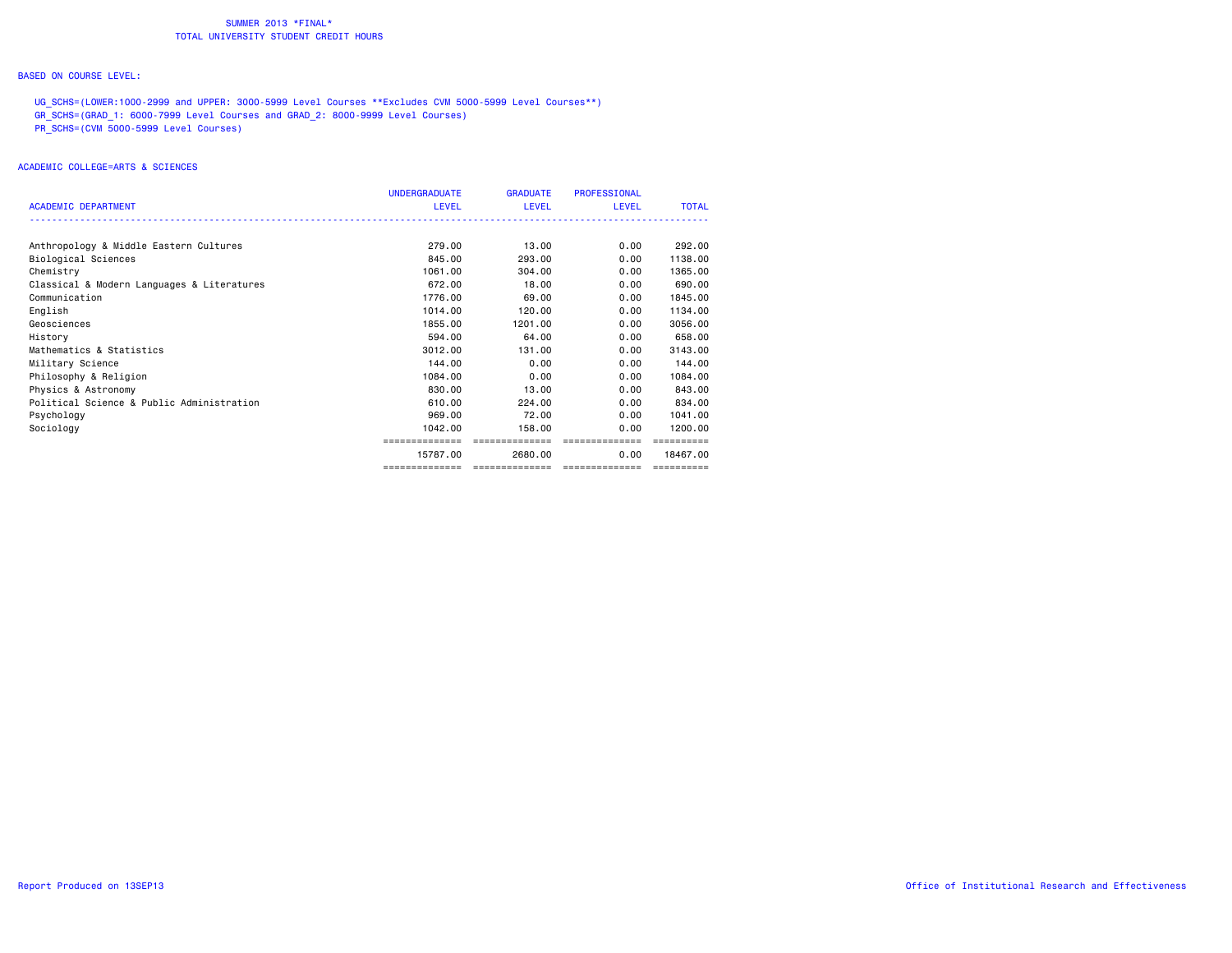#### BASED ON COURSE LEVEL:

UG SCHS=(LOWER:1000-2999 and UPPER: 3000-5999 Level Courses \*\*Excludes CVM 5000-5999 Level Courses\*\*) GR\_SCHS=(GRAD\_1: 6000-7999 Level Courses and GRAD\_2: 8000-9999 Level Courses) PR\_SCHS=(CVM 5000-5999 Level Courses)

|                                            | <b>UNDERGRADUATE</b> | <b>GRADUATE</b> | <b>PROFESSIONAL</b> |              |
|--------------------------------------------|----------------------|-----------------|---------------------|--------------|
| <b>ACADEMIC DEPARTMENT</b>                 | <b>LEVEL</b>         | LEVEL           | <b>LEVEL</b>        | <b>TOTAL</b> |
|                                            |                      |                 |                     |              |
| Anthropology & Middle Eastern Cultures     | 279.00               | 13.00           | 0.00                | 292.00       |
| Biological Sciences                        | 845,00               | 293.00          | 0.00                | 1138,00      |
| Chemistry                                  | 1061.00              | 304.00          | 0.00                | 1365.00      |
| Classical & Modern Languages & Literatures | 672.00               | 18,00           | 0.00                | 690,00       |
| Communication                              | 1776.00              | 69.00           | 0.00                | 1845.00      |
| English                                    | 1014.00              | 120.00          | 0.00                | 1134.00      |
| Geosciences                                | 1855.00              | 1201.00         | 0.00                | 3056.00      |
| History                                    | 594.00               | 64.00           | 0.00                | 658,00       |
| Mathematics & Statistics                   | 3012,00              | 131,00          | 0.00                | 3143.00      |
| Military Science                           | 144.00               | 0.00            | 0.00                | 144.00       |
| Philosophy & Religion                      | 1084.00              | 0.00            | 0.00                | 1084.00      |
| Physics & Astronomy                        | 830,00               | 13.00           | 0.00                | 843,00       |
| Political Science & Public Administration  | 610.00               | 224.00          | 0.00                | 834,00       |
| Psychology                                 | 969.00               | 72.00           | 0.00                | 1041.00      |
| Sociology                                  | 1042.00              | 158,00          | 0.00                | 1200.00      |
|                                            |                      | --------------  |                     |              |
|                                            | 15787.00             | 2680.00         | 0.00                | 18467.00     |
|                                            |                      | --------------- | ==============      |              |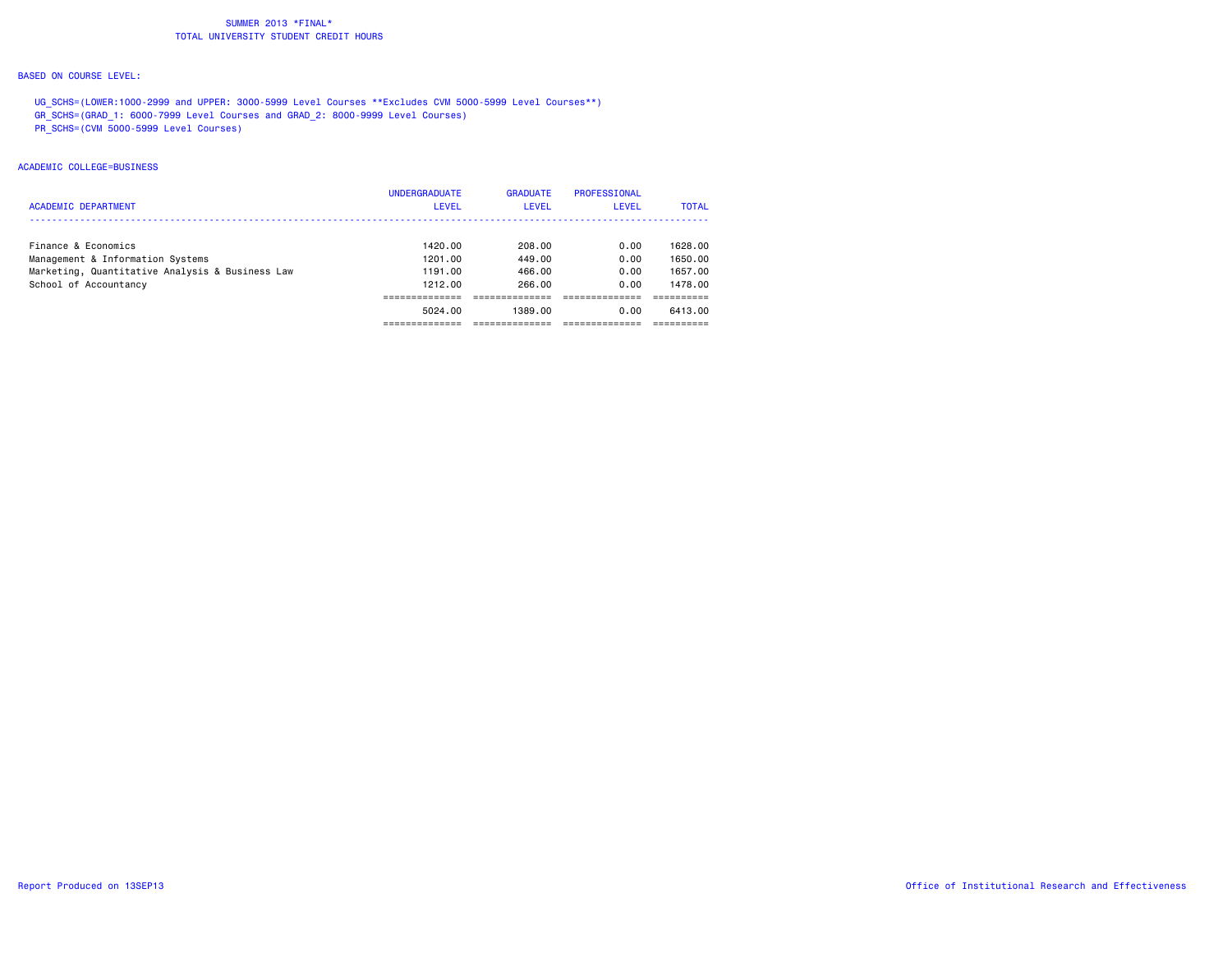#### BASED ON COURSE LEVEL:

UG SCHS=(LOWER:1000-2999 and UPPER: 3000-5999 Level Courses \*\*Excludes CVM 5000-5999 Level Courses\*\*) GR\_SCHS=(GRAD\_1: 6000-7999 Level Courses and GRAD\_2: 8000-9999 Level Courses) PR\_SCHS=(CVM 5000-5999 Level Courses)

# ACADEMIC COLLEGE=BUSINESS

|                                                 | <b>UNDERGRADUATE</b> | <b>GRADUATE</b> | PROFESSIONAL |              |
|-------------------------------------------------|----------------------|-----------------|--------------|--------------|
| <b>ACADEMIC DEPARTMENT</b>                      | <b>LEVEL</b>         | <b>LEVEL</b>    | <b>LEVEL</b> | <b>TOTAL</b> |
|                                                 |                      |                 |              |              |
| Finance & Economics                             | 1420.00              | 208.00          | 0.00         | 1628.00      |
| Management & Information Systems                | 1201.00              | 449.00          | 0.00         | 1650.00      |
| Marketing, Quantitative Analysis & Business Law | 1191.00              | 466.00          | 0.00         | 1657.00      |
| School of Accountancy                           | 1212.00              | 266.00          | 0.00         | 1478.00      |
|                                                 |                      |                 |              |              |
|                                                 | 5024.00              | 1389.00         | 0.00         | 6413.00      |
|                                                 |                      |                 |              |              |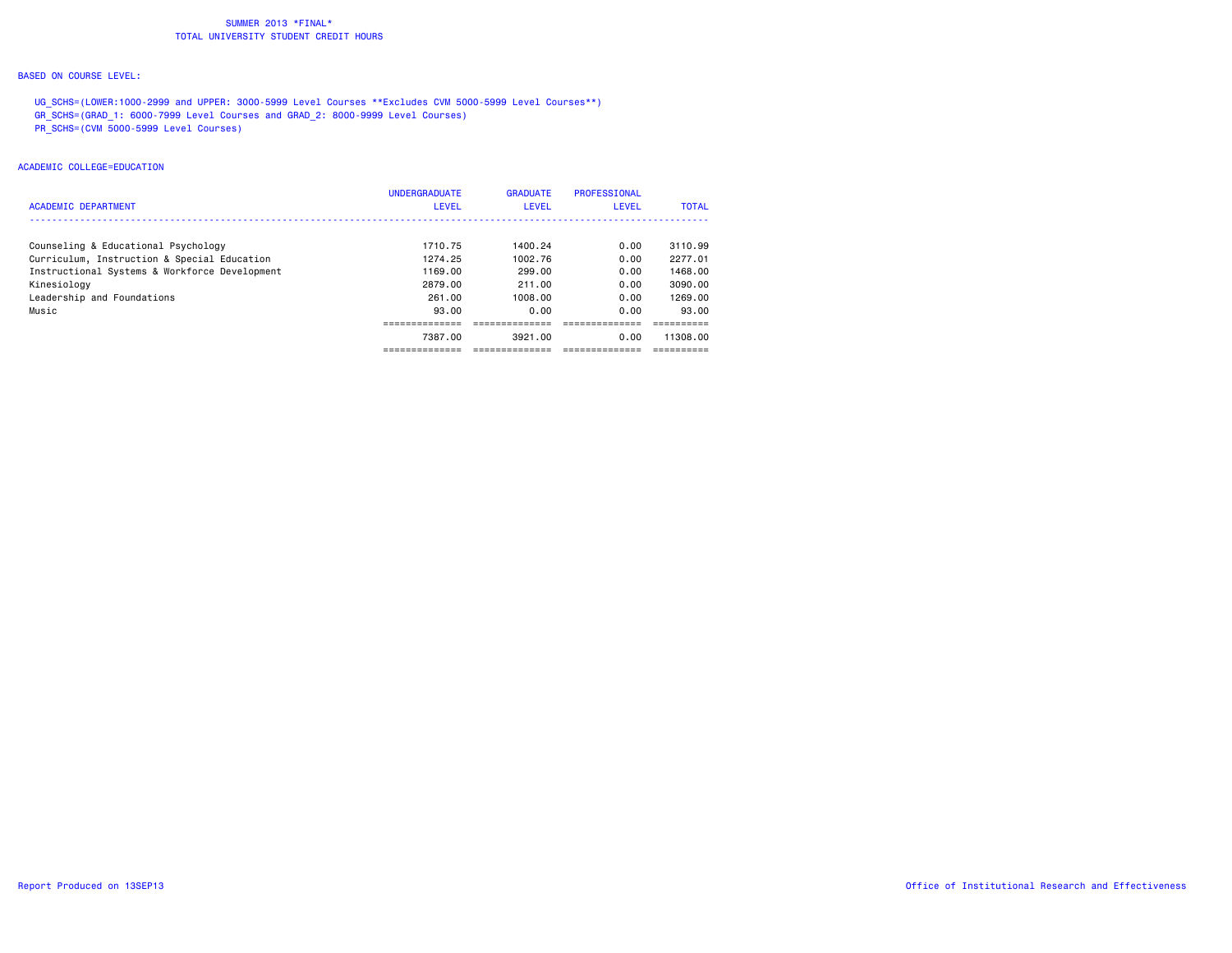#### BASED ON COURSE LEVEL:

UG SCHS=(LOWER:1000-2999 and UPPER: 3000-5999 Level Courses \*\*Excludes CVM 5000-5999 Level Courses\*\*) GR\_SCHS=(GRAD\_1: 6000-7999 Level Courses and GRAD\_2: 8000-9999 Level Courses) PR\_SCHS=(CVM 5000-5999 Level Courses)

#### ACADEMIC COLLEGE=EDUCATION

|                                               | <b>UNDERGRADUATE</b> | <b>GRADUATE</b> | PROFESSIONAL |              |
|-----------------------------------------------|----------------------|-----------------|--------------|--------------|
| <b>ACADEMIC DEPARTMENT</b>                    | <b>LEVEL</b>         | <b>LEVEL</b>    | <b>LEVEL</b> | <b>TOTAL</b> |
|                                               |                      |                 |              |              |
| Counseling & Educational Psychology           | 1710.75              | 1400.24         | 0.00         | 3110.99      |
| Curriculum, Instruction & Special Education   | 1274.25              | 1002.76         | 0.00         | 2277.01      |
| Instructional Systems & Workforce Development | 1169.00              | 299.00          | 0.00         | 1468.00      |
| Kinesiology                                   | 2879.00              | 211.00          | 0.00         | 3090.00      |
| Leadership and Foundations                    | 261.00               | 1008.00         | 0.00         | 1269.00      |
| Music                                         | 93.00                | 0.00            | 0.00         | 93.00        |
|                                               |                      |                 |              |              |
|                                               | 7387.00              | 3921.00         | 0.00         | 11308.00     |
|                                               |                      |                 |              |              |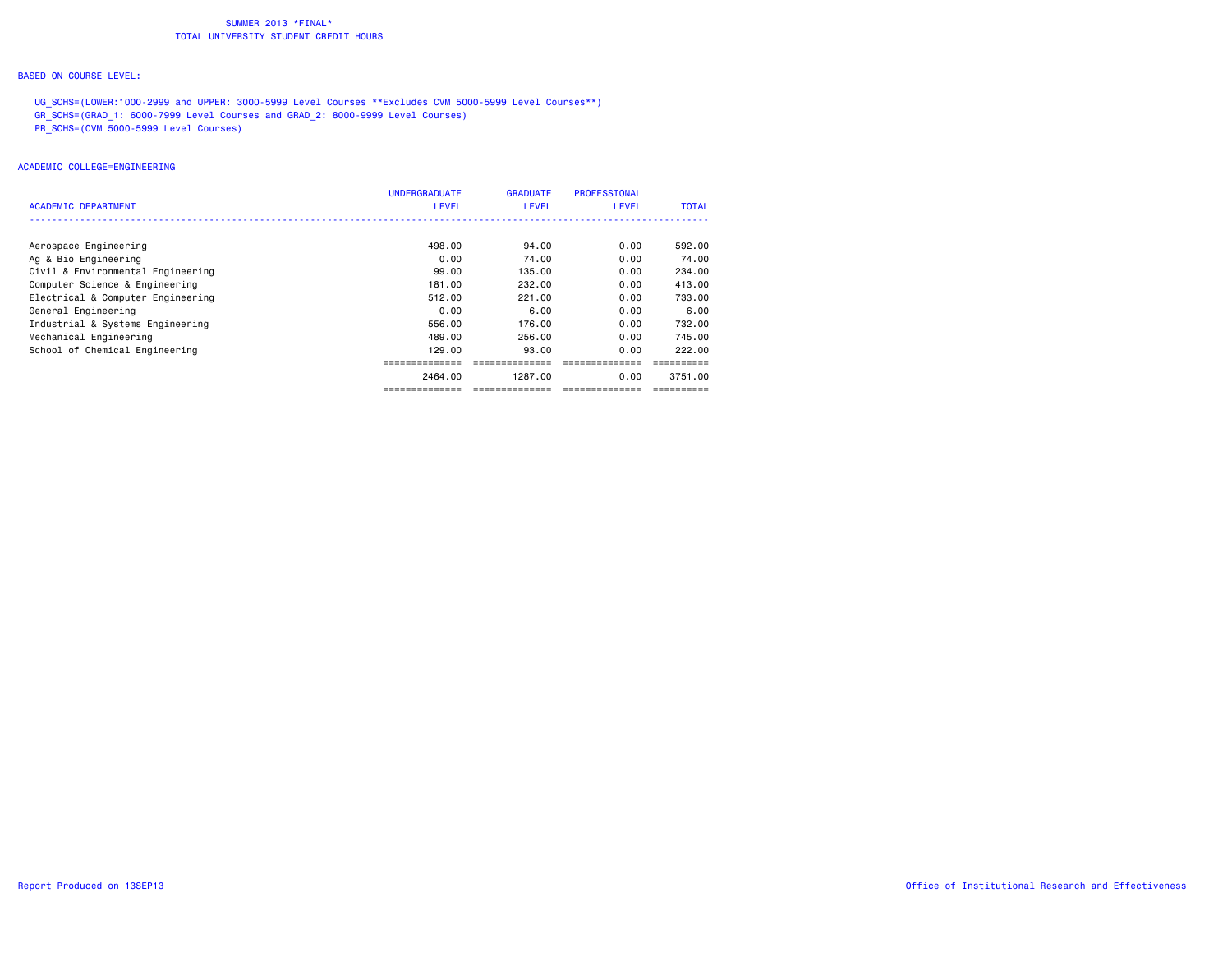#### BASED ON COURSE LEVEL:

UG SCHS=(LOWER:1000-2999 and UPPER: 3000-5999 Level Courses \*\*Excludes CVM 5000-5999 Level Courses\*\*) GR\_SCHS=(GRAD\_1: 6000-7999 Level Courses and GRAD\_2: 8000-9999 Level Courses) PR\_SCHS=(CVM 5000-5999 Level Courses)

# ACADEMIC COLLEGE=ENGINEERING

| ACADEMIC DEPARTMENT               | <b>UNDERGRADUATE</b><br><b>LEVEL</b> | <b>GRADUATE</b><br><b>LEVEL</b> | PROFESSIONAL<br><b>LEVEL</b> | <b>TOTAL</b> |
|-----------------------------------|--------------------------------------|---------------------------------|------------------------------|--------------|
|                                   |                                      |                                 |                              |              |
| Aerospace Engineering             | 498.00                               | 94.00                           | 0.00                         | 592.00       |
| Ag & Bio Engineering              | 0.00                                 | 74.00                           | 0.00                         | 74.00        |
| Civil & Environmental Engineering | 99.00                                | 135.00                          | 0.00                         | 234,00       |
| Computer Science & Engineering    | 181.00                               | 232.00                          | 0.00                         | 413,00       |
| Electrical & Computer Engineering | 512.00                               | 221,00                          | 0.00                         | 733.00       |
| General Engineering               | 0.00                                 | 6.00                            | 0.00                         | 6.00         |
| Industrial & Systems Engineering  | 556.00                               | 176.00                          | 0.00                         | 732.00       |
| Mechanical Engineering            | 489.00                               | 256.00                          | 0.00                         | 745.00       |
| School of Chemical Engineering    | 129.00                               | 93.00                           | 0.00                         | 222.00       |
|                                   |                                      |                                 |                              |              |
|                                   | 2464.00                              | 1287.00                         | 0.00                         | 3751.00      |
|                                   | ------------                         |                                 |                              |              |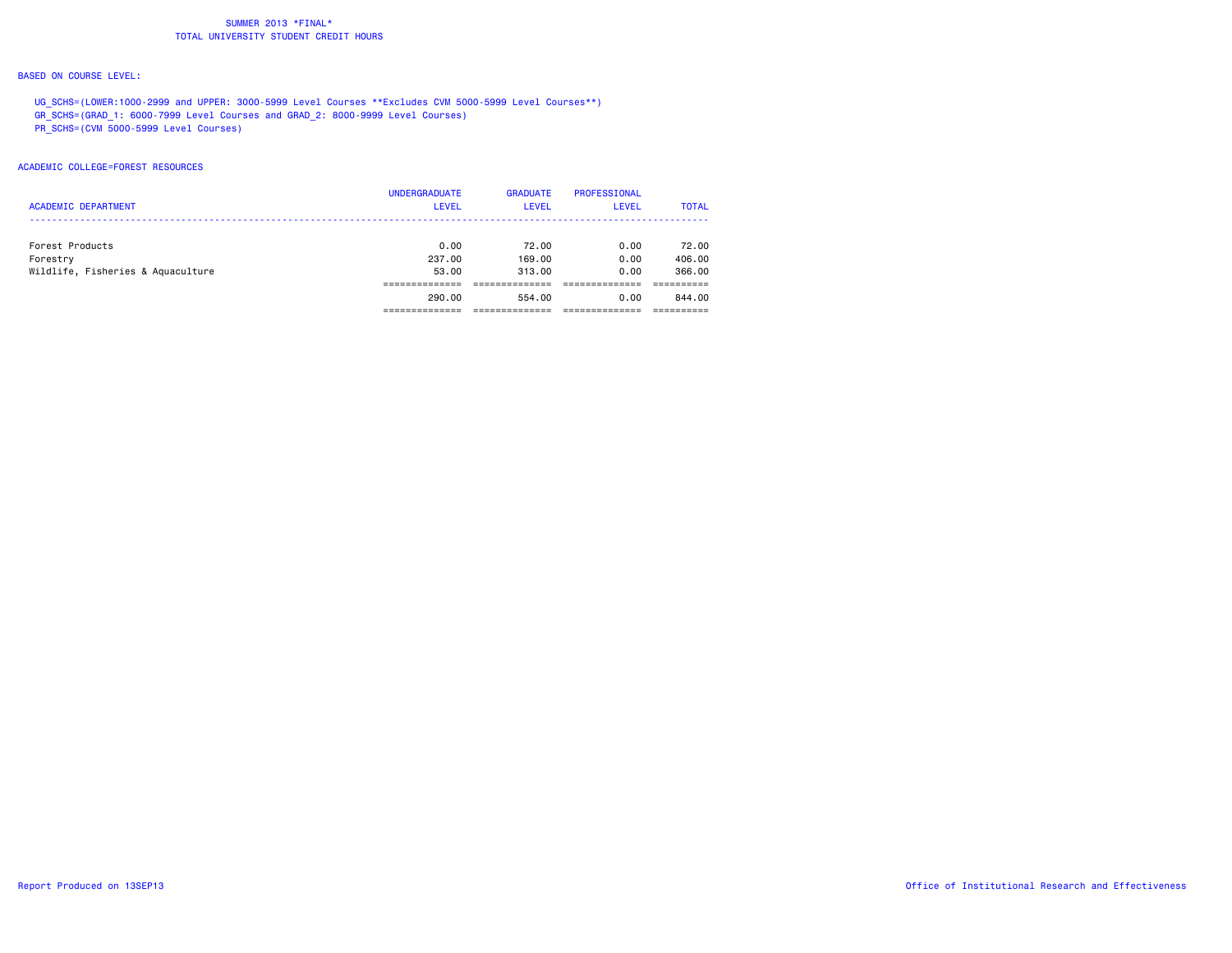#### BASED ON COURSE LEVEL:

UG SCHS=(LOWER:1000-2999 and UPPER: 3000-5999 Level Courses \*\*Excludes CVM 5000-5999 Level Courses\*\*) GR\_SCHS=(GRAD\_1: 6000-7999 Level Courses and GRAD\_2: 8000-9999 Level Courses) PR\_SCHS=(CVM 5000-5999 Level Courses)

ACADEMIC COLLEGE=FOREST RESOURCES

|                                   | <b>UNDERGRADUATE</b> | <b>GRADUATE</b> | <b>PROFESSIONAL</b> |              |
|-----------------------------------|----------------------|-----------------|---------------------|--------------|
| <b>ACADEMIC DEPARTMENT</b>        | <b>LEVEL</b>         | <b>LEVEL</b>    | <b>LEVEL</b>        | <b>TOTAL</b> |
|                                   |                      |                 |                     |              |
| Forest Products                   | 0.00                 | 72.00           | 0.00                | 72.00        |
| Forestry                          | 237.00               | 169,00          | 0.00                | 406,00       |
| Wildlife, Fisheries & Aquaculture | 53.00                | 313.00          | 0.00                | 366.00       |
|                                   |                      |                 |                     |              |
|                                   | 290,00               | 554.00          | 0.00                | 844.00       |
|                                   |                      |                 |                     |              |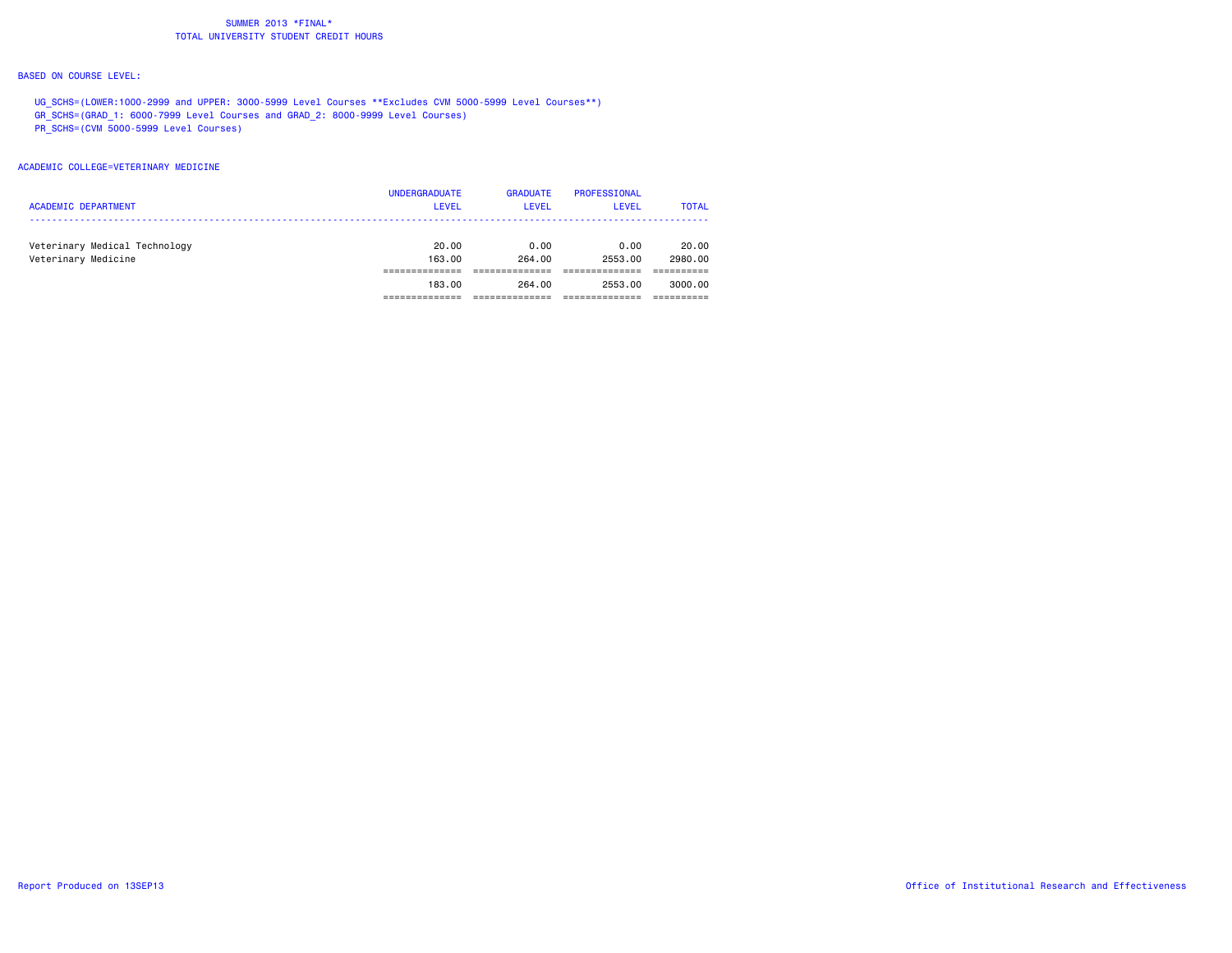#### BASED ON COURSE LEVEL:

UG SCHS=(LOWER:1000-2999 and UPPER: 3000-5999 Level Courses \*\*Excludes CVM 5000-5999 Level Courses\*\*) GR\_SCHS=(GRAD\_1: 6000-7999 Level Courses and GRAD\_2: 8000-9999 Level Courses) PR\_SCHS=(CVM 5000-5999 Level Courses)

#### ACADEMIC COLLEGE=VETERINARY MEDICINE

|                               | <b>UNDERGRADUATE</b> | <b>GRADUATE</b> | PROFESSIONAL |              |
|-------------------------------|----------------------|-----------------|--------------|--------------|
| <b>ACADEMIC DEPARTMENT</b>    | <b>LEVEL</b>         | <b>LEVEL</b>    | LEVEL        | <b>TOTAL</b> |
|                               |                      |                 |              |              |
| Veterinary Medical Technology | 20.00                | 0.00            | 0.00         | 20.00        |
| Veterinary Medicine           | 163,00               | 264.00          | 2553.00      | 2980.00      |
|                               |                      |                 |              |              |
|                               | 183.00               | 264.00          | 2553.00      | 3000.00      |
|                               |                      |                 |              |              |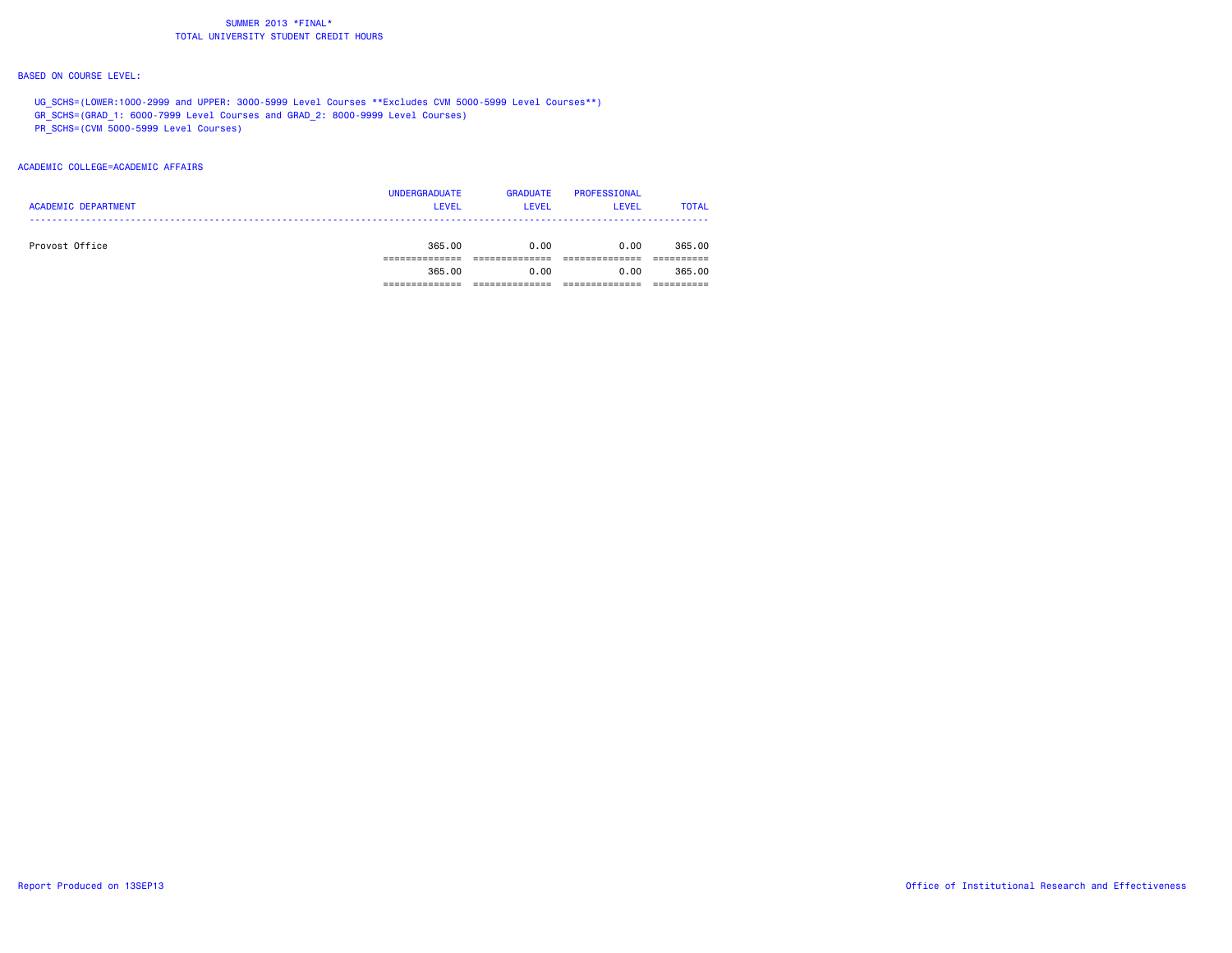#### BASED ON COURSE LEVEL:

UG SCHS=(LOWER:1000-2999 and UPPER: 3000-5999 Level Courses \*\*Excludes CVM 5000-5999 Level Courses\*\*) GR\_SCHS=(GRAD\_1: 6000-7999 Level Courses and GRAD\_2: 8000-9999 Level Courses) PR\_SCHS=(CVM 5000-5999 Level Courses)

#### ACADEMIC COLLEGE=ACADEMIC AFFAIRS

|                            | <b>UNDERGRADUATE</b> | <b>GRADUATE</b> | PROFESSIONAL |              |
|----------------------------|----------------------|-----------------|--------------|--------------|
| <b>ACADEMIC DEPARTMENT</b> | <b>LEVEL</b>         | <b>LEVEL</b>    | <b>LEVEL</b> | <b>TOTAL</b> |
|                            |                      |                 |              |              |
| Provost Office             | 365,00               | 0.00            | 0.00         | 365.00       |
|                            |                      |                 |              |              |
|                            | 365.00               | 0.00            | 0.00         | 365.00       |
|                            |                      |                 |              |              |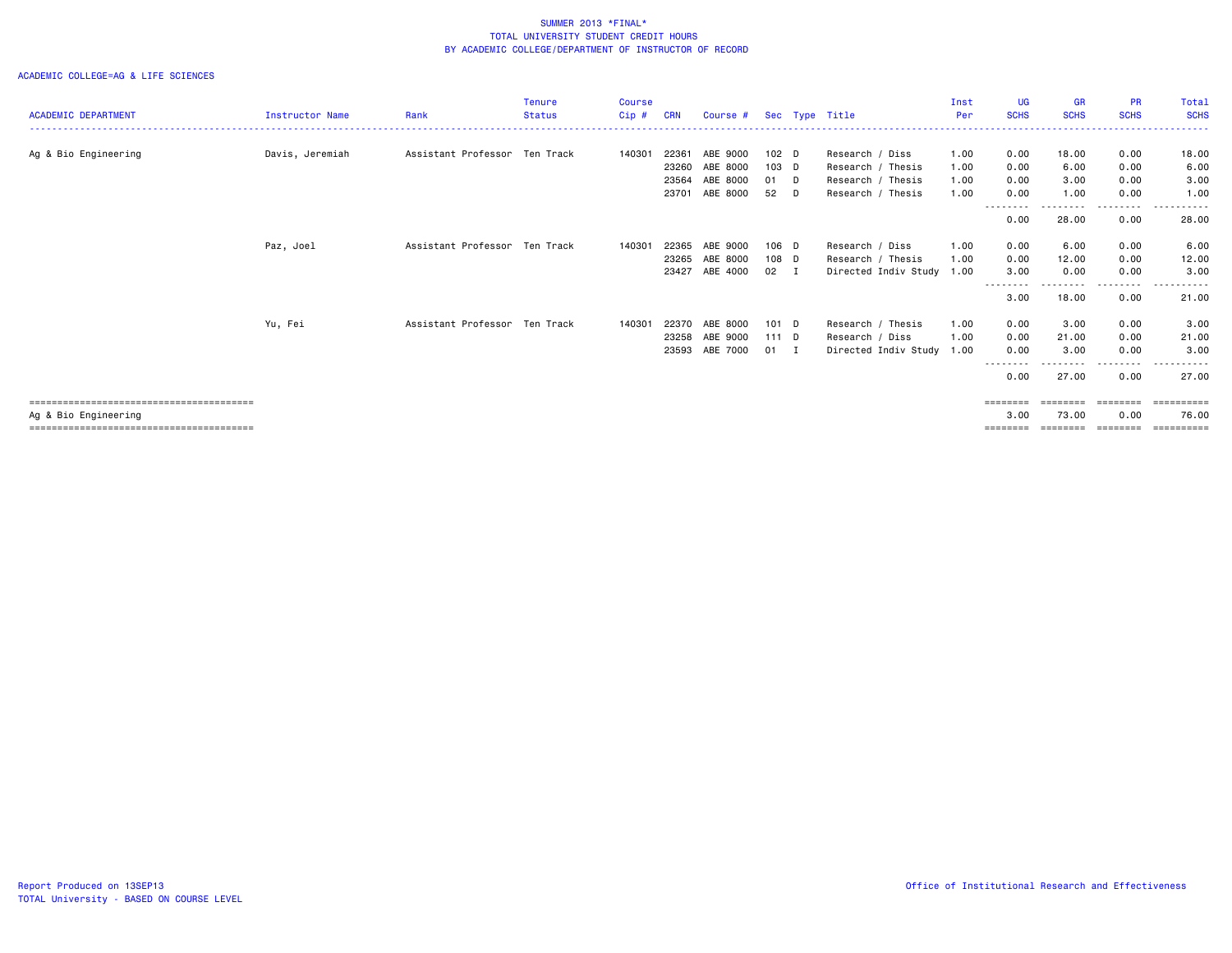|                            |                        |                               | <b>Tenure</b> | <b>Course</b> |            |          |                  |     |                      | Inst | UG                | <b>GR</b>          | <b>PR</b>        | Total               |
|----------------------------|------------------------|-------------------------------|---------------|---------------|------------|----------|------------------|-----|----------------------|------|-------------------|--------------------|------------------|---------------------|
| <b>ACADEMIC DEPARTMENT</b> | <b>Instructor Name</b> | Rank                          | <b>Status</b> | Cip#          | <b>CRN</b> | Course # |                  |     | Sec Type Title       | Per  | <b>SCHS</b>       | <b>SCHS</b>        | <b>SCHS</b>      | <b>SCHS</b><br>.    |
|                            |                        |                               |               |               |            |          |                  |     |                      |      |                   |                    |                  |                     |
| Ag & Bio Engineering       | Davis, Jeremiah        | Assistant Professor Ten Track |               | 140301        | 22361      | ABE 9000 | 102 <sub>D</sub> |     | Research / Diss      | 1.00 | 0.00              | 18.00              | 0.00             | 18.00               |
|                            |                        |                               |               |               | 23260      | ABE 8000 | 103 D            |     | Research / Thesis    | 1.00 | 0.00              | 6.00               | 0.00             | 6.00                |
|                            |                        |                               |               |               | 23564      | ABE 8000 | 01 D             |     | Research / Thesis    | 1.00 | 0.00              | 3.00               | 0.00             | 3.00                |
|                            |                        |                               |               |               | 23701      | ABE 8000 | 52               | D   | Research / Thesis    | 1.00 | 0.00              | 1.00               | 0.00             | 1.00                |
|                            |                        |                               |               |               |            |          |                  |     |                      |      | ---------<br>0.00 | ---------<br>28.00 | --------<br>0.00 | .<br>28.00          |
|                            | Paz, Joel              | Assistant Professor Ten Track |               | 140301        | 22365      | ABE 9000 | 106 D            |     | Research / Diss      | 1.00 | 0.00              | 6.00               | 0.00             | 6.00                |
|                            |                        |                               |               |               | 23265      | ABE 8000 | 108 D            |     | Research / Thesis    | 1.00 | 0.00              | 12.00              | 0.00             | 12.00               |
|                            |                        |                               |               |               | 23427      | ABE 4000 | 02               | - I | Directed Indiv Study | 1.00 | 3.00              | 0.00               | 0.00             | 3,00                |
|                            |                        |                               |               |               |            |          |                  |     |                      |      | ----<br>3.00      | 18.00              | 0.00             | 21.00               |
|                            | Yu, Fei                | Assistant Professor Ten Track |               | 140301        | 22370      | ABE 8000 | $101$ D          |     | Research / Thesis    | 1.00 | 0.00              | 3.00               | 0.00             | 3.00                |
|                            |                        |                               |               |               | 23258      | ABE 9000 | $111$ D          |     | Research / Diss      | 1.00 | 0.00              | 21.00              | 0.00             | 21.00               |
|                            |                        |                               |               |               | 23593      | ABE 7000 | 01               | I.  | Directed Indiv Study | 1.00 | 0.00              | 3.00               | 0.00             | 3.00                |
|                            |                        |                               |               |               |            |          |                  |     |                      |      | .<br>0.00         | 27.00              | -----<br>0.00    | .<br>27.00          |
|                            |                        |                               |               |               |            |          |                  |     |                      |      | $=$ = = = = = = = | ========           | ========<br>0.00 | ==========          |
| Ag & Bio Engineering       |                        |                               |               |               |            |          |                  |     |                      |      | 3.00<br>-------   | 73.00<br>========  | ========         | 76.00<br>========== |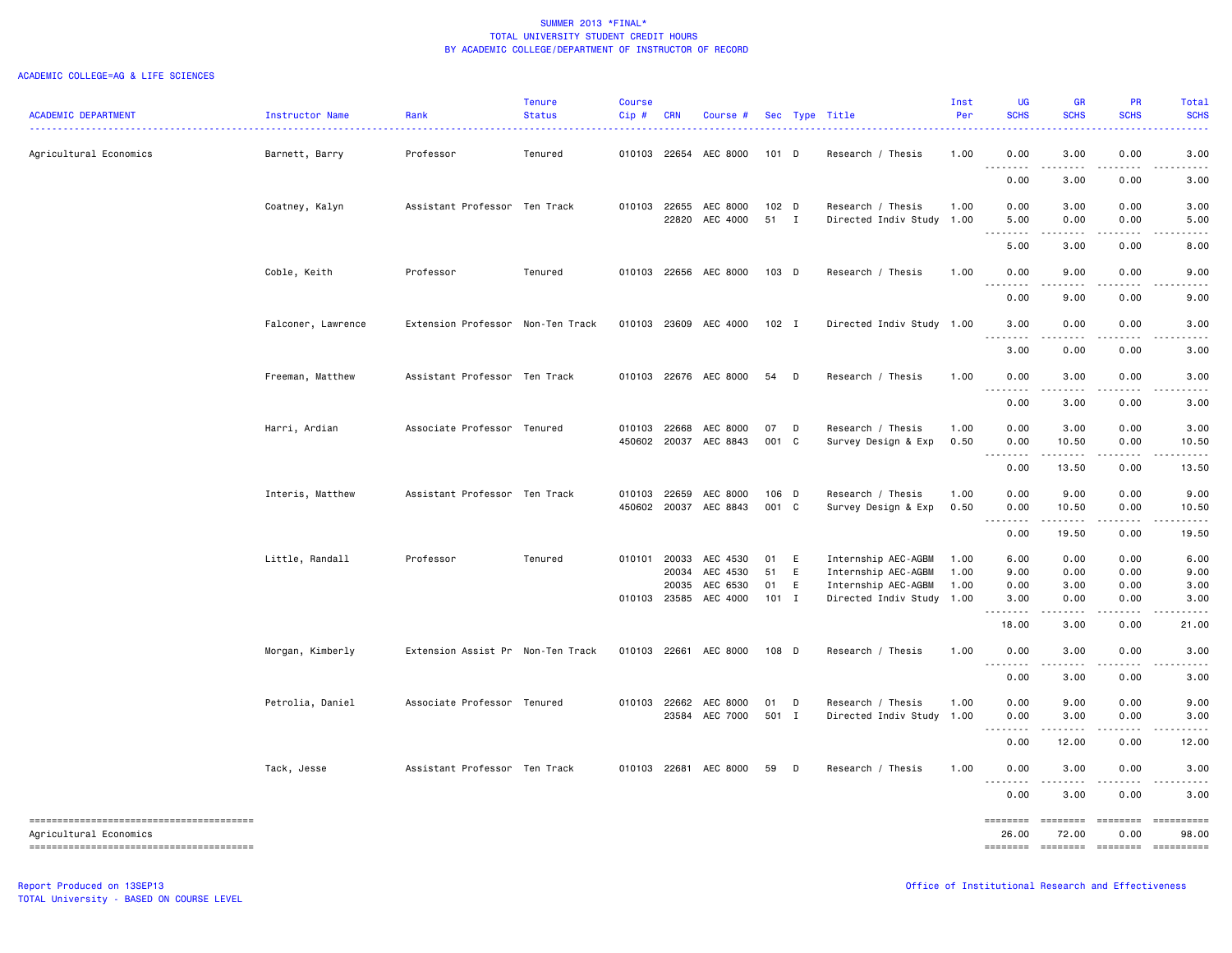| <b>ACADEMIC DEPARTMENT</b> | Instructor Name    | Rank                              | <b>Tenure</b><br><b>Status</b> | <b>Course</b><br>Cip# | <b>CRN</b> | Course #              |         |              | Sec Type Title            | Inst<br>Per | UG<br><b>SCHS</b>                                                                                                                                            | <b>GR</b><br><b>SCHS</b>                                                                                                          | <b>PR</b><br><b>SCHS</b> | Total<br><b>SCHS</b>                                                                                                                                                                                                                                                                                                                                                                                                                         |
|----------------------------|--------------------|-----------------------------------|--------------------------------|-----------------------|------------|-----------------------|---------|--------------|---------------------------|-------------|--------------------------------------------------------------------------------------------------------------------------------------------------------------|-----------------------------------------------------------------------------------------------------------------------------------|--------------------------|----------------------------------------------------------------------------------------------------------------------------------------------------------------------------------------------------------------------------------------------------------------------------------------------------------------------------------------------------------------------------------------------------------------------------------------------|
| Agricultural Economics     | Barnett, Barry     | Professor                         | Tenured                        |                       |            | 010103 22654 AEC 8000 | $101$ D |              | Research / Thesis         | 1.00        | 0.00                                                                                                                                                         | 3.00                                                                                                                              | 0.00                     | 3.00                                                                                                                                                                                                                                                                                                                                                                                                                                         |
|                            |                    |                                   |                                |                       |            |                       |         |              |                           |             | $- - - - -$<br>0.00                                                                                                                                          | 3.00                                                                                                                              | 0.00                     | 3.00                                                                                                                                                                                                                                                                                                                                                                                                                                         |
|                            | Coatney, Kalyn     | Assistant Professor Ten Track     |                                |                       |            | 010103 22655 AEC 8000 | 102 D   |              | Research / Thesis         | 1.00        | 0.00                                                                                                                                                         | 3.00                                                                                                                              | 0.00                     | 3.00                                                                                                                                                                                                                                                                                                                                                                                                                                         |
|                            |                    |                                   |                                |                       |            | 22820 AEC 4000        | 51 I    |              | Directed Indiv Study      | 1.00        | 5.00<br>.                                                                                                                                                    | 0.00<br>$\sim$ $\sim$ $\sim$                                                                                                      | 0.00                     | 5.00                                                                                                                                                                                                                                                                                                                                                                                                                                         |
|                            |                    |                                   |                                |                       |            |                       |         |              |                           |             | 5.00                                                                                                                                                         | 3.00                                                                                                                              | 0.00                     | 8.00                                                                                                                                                                                                                                                                                                                                                                                                                                         |
|                            | Coble, Keith       | Professor                         | Tenured                        |                       |            | 010103 22656 AEC 8000 | 103 D   |              | Research / Thesis         | 1.00        | 0.00<br>.                                                                                                                                                    | 9.00<br>$\frac{1}{2} \left( \frac{1}{2} \right) \left( \frac{1}{2} \right) \left( \frac{1}{2} \right) \left( \frac{1}{2} \right)$ | 0.00                     | 9.00                                                                                                                                                                                                                                                                                                                                                                                                                                         |
|                            |                    |                                   |                                |                       |            |                       |         |              |                           |             | 0.00                                                                                                                                                         | 9.00                                                                                                                              | 0.00                     | 9.00                                                                                                                                                                                                                                                                                                                                                                                                                                         |
|                            | Falconer, Lawrence | Extension Professor Non-Ten Track |                                |                       |            | 010103 23609 AEC 4000 | $102$ I |              | Directed Indiv Study 1.00 |             | 3.00                                                                                                                                                         | 0.00                                                                                                                              | 0.00                     | 3.00                                                                                                                                                                                                                                                                                                                                                                                                                                         |
|                            |                    |                                   |                                |                       |            |                       |         |              |                           |             | $\frac{1}{2} \left( \frac{1}{2} \right) \left( \frac{1}{2} \right) \left( \frac{1}{2} \right) \left( \frac{1}{2} \right) \left( \frac{1}{2} \right)$<br>3.00 | .<br>0.00                                                                                                                         | .<br>0.00                | 3.00                                                                                                                                                                                                                                                                                                                                                                                                                                         |
|                            | Freeman, Matthew   | Assistant Professor Ten Track     |                                |                       |            | 010103 22676 AEC 8000 | 54 D    |              | Research / Thesis         | 1.00        | 0.00                                                                                                                                                         | 3.00                                                                                                                              | 0.00                     | 3.00                                                                                                                                                                                                                                                                                                                                                                                                                                         |
|                            |                    |                                   |                                |                       |            |                       |         |              |                           |             | .<br>0.00                                                                                                                                                    | $\sim$ $\sim$ $\sim$<br>3.00                                                                                                      | .<br>0.00                | 3.00                                                                                                                                                                                                                                                                                                                                                                                                                                         |
|                            | Harri, Ardian      | Associate Professor Tenured       |                                | 010103                |            | 22668 AEC 8000        | 07      | $\Box$       | Research / Thesis         | 1.00        | 0.00                                                                                                                                                         | 3.00                                                                                                                              | 0.00                     | 3.00                                                                                                                                                                                                                                                                                                                                                                                                                                         |
|                            |                    |                                   |                                | 450602                |            | 20037 AEC 8843        | 001 C   |              | Survey Design & Exp       | 0.50        | 0.00                                                                                                                                                         | 10.50                                                                                                                             | 0.00                     | 10.50                                                                                                                                                                                                                                                                                                                                                                                                                                        |
|                            |                    |                                   |                                |                       |            |                       |         |              |                           |             | -----<br>0.00                                                                                                                                                | 13.50                                                                                                                             | 0.00                     | 13.50                                                                                                                                                                                                                                                                                                                                                                                                                                        |
|                            | Interis, Matthew   | Assistant Professor Ten Track     |                                | 010103                |            | 22659 AEC 8000        | 106 D   |              | Research / Thesis         | 1.00        | 0.00                                                                                                                                                         | 9.00                                                                                                                              | 0.00                     | 9.00                                                                                                                                                                                                                                                                                                                                                                                                                                         |
|                            |                    |                                   |                                | 450602                |            | 20037 AEC 8843        | 001 C   |              | Survey Design & Exp       | 0.50        | 0.00<br>.                                                                                                                                                    | 10.50<br>.                                                                                                                        | 0.00<br>.                | 10.50<br>.                                                                                                                                                                                                                                                                                                                                                                                                                                   |
|                            |                    |                                   |                                |                       |            |                       |         |              |                           |             | 0.00                                                                                                                                                         | 19.50                                                                                                                             | 0.00                     | 19.50                                                                                                                                                                                                                                                                                                                                                                                                                                        |
|                            | Little, Randall    | Professor                         | Tenured                        | 010101                |            | 20033 AEC 4530        | 01      | - E          | Internship AEC-AGBM       | 1.00        | 6.00                                                                                                                                                         | 0.00                                                                                                                              | 0.00                     | 6.00                                                                                                                                                                                                                                                                                                                                                                                                                                         |
|                            |                    |                                   |                                |                       | 20034      | AEC 4530              | 51      | E            | Internship AEC-AGBM       | 1.00        | 9.00                                                                                                                                                         | 0.00                                                                                                                              | 0.00                     | 9.00                                                                                                                                                                                                                                                                                                                                                                                                                                         |
|                            |                    |                                   |                                |                       |            | 20035 AEC 6530        | 01      | E            | Internship AEC-AGBM       | 1.00        | 0.00                                                                                                                                                         | 3.00                                                                                                                              | 0.00                     | 3.00                                                                                                                                                                                                                                                                                                                                                                                                                                         |
|                            |                    |                                   |                                |                       |            | 010103 23585 AEC 4000 | $101$ I |              | Directed Indiv Study      | 1.00        | 3.00<br>.                                                                                                                                                    | 0.00<br>.                                                                                                                         | 0.00<br>.                | 3.00                                                                                                                                                                                                                                                                                                                                                                                                                                         |
|                            |                    |                                   |                                |                       |            |                       |         |              |                           |             | 18.00                                                                                                                                                        | 3.00                                                                                                                              | 0.00                     | 21.00                                                                                                                                                                                                                                                                                                                                                                                                                                        |
|                            | Morgan, Kimberly   | Extension Assist Pr Non-Ten Track |                                |                       |            | 010103 22661 AEC 8000 | 108 D   |              | Research / Thesis         | 1.00        | 0.00<br>.                                                                                                                                                    | 3.00<br>$- - - -$                                                                                                                 | 0.00                     | 3.00                                                                                                                                                                                                                                                                                                                                                                                                                                         |
|                            |                    |                                   |                                |                       |            |                       |         |              |                           |             | 0.00                                                                                                                                                         | 3.00                                                                                                                              | 0.00                     | 3.00                                                                                                                                                                                                                                                                                                                                                                                                                                         |
|                            | Petrolia, Daniel   | Associate Professor Tenured       |                                |                       |            | 010103 22662 AEC 8000 | 01      | $\mathsf{D}$ | Research / Thesis         | 1.00        | 0.00                                                                                                                                                         | 9.00                                                                                                                              | 0.00                     | 9.00                                                                                                                                                                                                                                                                                                                                                                                                                                         |
|                            |                    |                                   |                                |                       |            | 23584 AEC 7000        | 501 I   |              | Directed Indiv Study      | 1.00        | 0.00<br>د د د د د<br>$\sim$ $\sim$                                                                                                                           | 3.00<br>.                                                                                                                         | 0.00<br>.                | 3.00<br>.                                                                                                                                                                                                                                                                                                                                                                                                                                    |
|                            |                    |                                   |                                |                       |            |                       |         |              |                           |             | 0.00                                                                                                                                                         | 12.00                                                                                                                             | 0.00                     | 12.00                                                                                                                                                                                                                                                                                                                                                                                                                                        |
|                            | Tack, Jesse        | Assistant Professor Ten Track     |                                |                       |            | 010103 22681 AEC 8000 | 59      | $\Box$       | Research / Thesis         | 1.00        | 0.00<br>.                                                                                                                                                    | 3.00<br>.                                                                                                                         | 0.00<br>.                | 3.00                                                                                                                                                                                                                                                                                                                                                                                                                                         |
|                            |                    |                                   |                                |                       |            |                       |         |              |                           |             | 0.00                                                                                                                                                         | 3.00                                                                                                                              | 0.00                     | 3.00                                                                                                                                                                                                                                                                                                                                                                                                                                         |
| Agricultural Economics     |                    |                                   |                                |                       |            |                       |         |              |                           |             | ========<br>26.00                                                                                                                                            | 72.00                                                                                                                             | <b>EDEDEDER</b><br>0.00  | $\begin{minipage}{0.03\linewidth} \hspace*{-0.2cm} \textbf{1} & \textbf{2} & \textbf{3} & \textbf{5} & \textbf{6} & \textbf{7} \\ \textbf{5} & \textbf{6} & \textbf{7} & \textbf{8} & \textbf{8} & \textbf{9} & \textbf{1} \\ \textbf{6} & \textbf{8} & \textbf{8} & \textbf{8} & \textbf{9} & \textbf{1} & \textbf{1} \\ \textbf{7} & \textbf{9} & \textbf{1} & \textbf{1} & \textbf{1} & \textbf{1} & \textbf{1} \\ \textbf{8} &$<br>98.00 |
|                            |                    |                                   |                                |                       |            |                       |         |              |                           |             |                                                                                                                                                              |                                                                                                                                   |                          | ==========                                                                                                                                                                                                                                                                                                                                                                                                                                   |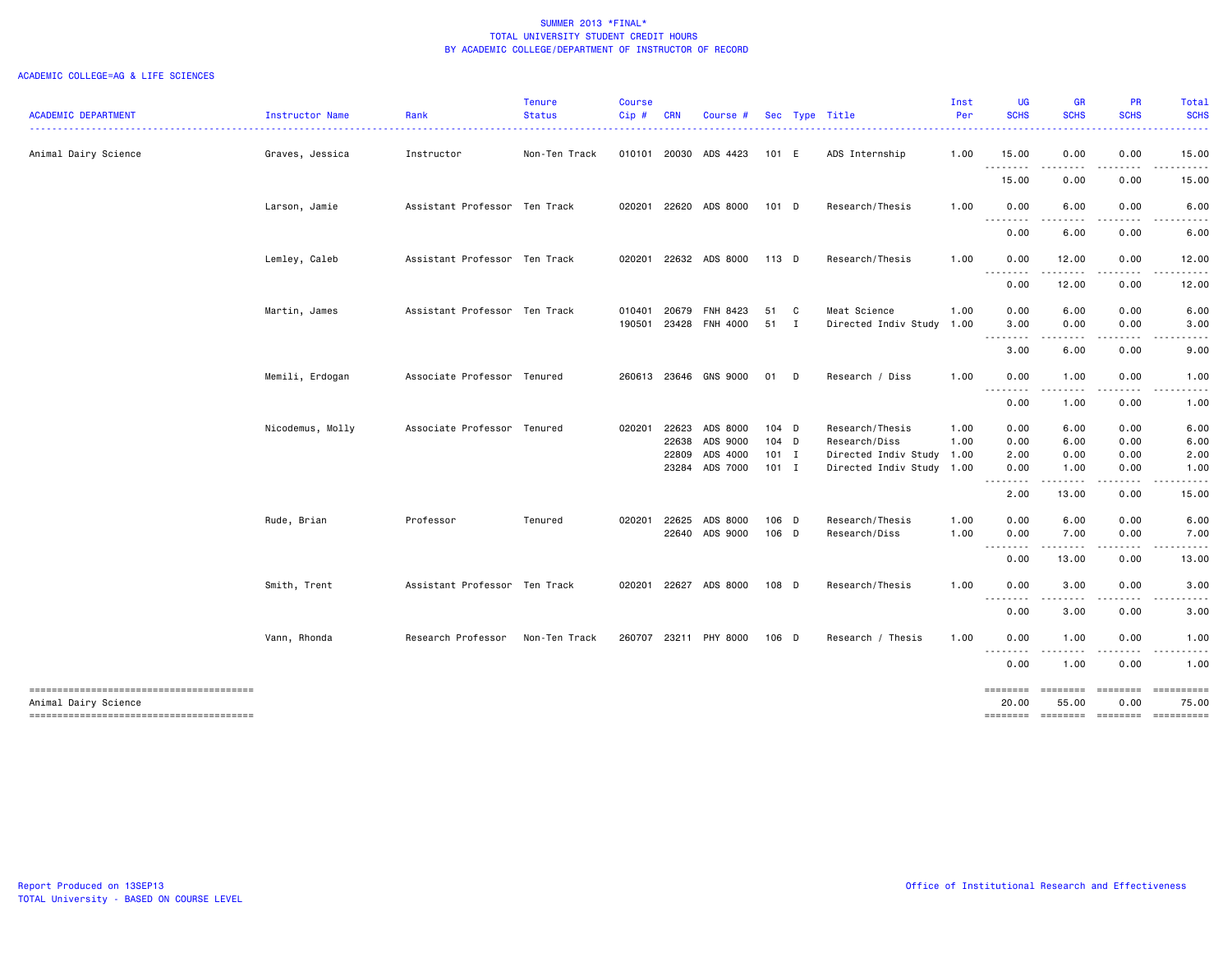| <b>ACADEMIC DEPARTMENT</b> | Instructor Name  | Rank                          | <b>Tenure</b><br><b>Status</b> | <b>Course</b><br>Cip# | <b>CRN</b> | Course #              |         |              | Sec Type Title       | Inst<br>Per | UG<br><b>SCHS</b>               | <b>GR</b><br><b>SCHS</b>                                                                                                                                                                                                                                                                                                                                                                                                                                                                        | PR<br><b>SCHS</b>                                                                                                                                            | Total<br><b>SCHS</b> |
|----------------------------|------------------|-------------------------------|--------------------------------|-----------------------|------------|-----------------------|---------|--------------|----------------------|-------------|---------------------------------|-------------------------------------------------------------------------------------------------------------------------------------------------------------------------------------------------------------------------------------------------------------------------------------------------------------------------------------------------------------------------------------------------------------------------------------------------------------------------------------------------|--------------------------------------------------------------------------------------------------------------------------------------------------------------|----------------------|
| Animal Dairy Science       | Graves, Jessica  | Instructor                    | Non-Ten Track                  |                       |            | 010101 20030 ADS 4423 | 101 E   |              | ADS Internship       | 1.00        | 15.00                           | 0.00                                                                                                                                                                                                                                                                                                                                                                                                                                                                                            | 0.00                                                                                                                                                         | 15.00                |
|                            |                  |                               |                                |                       |            |                       |         |              |                      |             | .<br>15.00                      | -----<br>$\sim$ $\sim$ $\sim$<br>0.00                                                                                                                                                                                                                                                                                                                                                                                                                                                           | $\frac{1}{2} \left( \frac{1}{2} \right) \left( \frac{1}{2} \right) \left( \frac{1}{2} \right) \left( \frac{1}{2} \right) \left( \frac{1}{2} \right)$<br>0.00 | .<br>15.00           |
|                            | Larson, Jamie    | Assistant Professor Ten Track |                                | 020201                |            | 22620 ADS 8000        | 101 D   |              | Research/Thesis      | 1.00        | 0.00                            | 6.00                                                                                                                                                                                                                                                                                                                                                                                                                                                                                            | 0.00                                                                                                                                                         | 6.00                 |
|                            |                  |                               |                                |                       |            |                       |         |              |                      |             | .                               |                                                                                                                                                                                                                                                                                                                                                                                                                                                                                                 |                                                                                                                                                              |                      |
|                            |                  |                               |                                |                       |            |                       |         |              |                      |             | 0.00                            | 6.00                                                                                                                                                                                                                                                                                                                                                                                                                                                                                            | 0.00                                                                                                                                                         | 6.00                 |
|                            | Lemley, Caleb    | Assistant Professor Ten Track |                                | 020201                |            | 22632 ADS 8000        | 113 D   |              | Research/Thesis      | 1.00        | 0.00                            | 12.00                                                                                                                                                                                                                                                                                                                                                                                                                                                                                           | 0.00                                                                                                                                                         | 12.00                |
|                            |                  |                               |                                |                       |            |                       |         |              |                      |             | 0.00                            | 12.00                                                                                                                                                                                                                                                                                                                                                                                                                                                                                           | 0.00                                                                                                                                                         | 12.00                |
|                            | Martin, James    | Assistant Professor Ten Track |                                | 010401                | 20679      | FNH 8423              | 51      | $\mathbf{C}$ | Meat Science         | 1.00        | 0.00                            | 6.00                                                                                                                                                                                                                                                                                                                                                                                                                                                                                            | 0.00                                                                                                                                                         | 6.00                 |
|                            |                  |                               |                                | 190501                |            | 23428 FNH 4000        | 51 I    |              | Directed Indiv Study | 1.00        | 3.00<br>. <sub>.</sub>          | 0.00<br>$\cdots$                                                                                                                                                                                                                                                                                                                                                                                                                                                                                | 0.00<br>.                                                                                                                                                    | 3.00                 |
|                            |                  |                               |                                |                       |            |                       |         |              |                      |             | 3.00                            | 6.00                                                                                                                                                                                                                                                                                                                                                                                                                                                                                            | 0.00                                                                                                                                                         | 9.00                 |
|                            | Memili, Erdogan  | Associate Professor Tenured   |                                |                       |            | 260613 23646 GNS 9000 | 01      | $\Box$       | Research / Diss      | 1.00        | 0.00                            | 1.00                                                                                                                                                                                                                                                                                                                                                                                                                                                                                            | 0.00                                                                                                                                                         | 1.00                 |
|                            |                  |                               |                                |                       |            |                       |         |              |                      |             | .<br>0.00                       | 1.00                                                                                                                                                                                                                                                                                                                                                                                                                                                                                            | 0.00                                                                                                                                                         | 1.00                 |
|                            | Nicodemus, Molly | Associate Professor Tenured   |                                | 020201                | 22623      | ADS 8000              | $104$ D |              | Research/Thesis      | 1.00        | 0.00                            | 6.00                                                                                                                                                                                                                                                                                                                                                                                                                                                                                            | 0.00                                                                                                                                                         | 6.00                 |
|                            |                  |                               |                                |                       | 22638      | ADS 9000              | 104 D   |              | Research/Diss        | 1.00        | 0.00                            | 6.00                                                                                                                                                                                                                                                                                                                                                                                                                                                                                            | 0.00                                                                                                                                                         | 6.00                 |
|                            |                  |                               |                                |                       | 22809      | ADS 4000              | 101 I   |              | Directed Indiv Study | 1.00        | 2.00                            | 0.00                                                                                                                                                                                                                                                                                                                                                                                                                                                                                            | 0.00                                                                                                                                                         | 2.00                 |
|                            |                  |                               |                                |                       |            | 23284 ADS 7000        | $101$ I |              | Directed Indiv Study | 1.00        | 0.00<br>.                       | 1.00<br>-----                                                                                                                                                                                                                                                                                                                                                                                                                                                                                   | 0.00<br>.                                                                                                                                                    | 1.00                 |
|                            |                  |                               |                                |                       |            |                       |         |              |                      |             | 2.00                            | 13.00                                                                                                                                                                                                                                                                                                                                                                                                                                                                                           | 0.00                                                                                                                                                         | 15.00                |
|                            | Rude, Brian      | Professor                     | Tenured                        | 020201                | 22625      | ADS 8000              | 106 D   |              | Research/Thesis      | 1.00        | 0.00                            | 6.00                                                                                                                                                                                                                                                                                                                                                                                                                                                                                            | 0.00                                                                                                                                                         | 6.00                 |
|                            |                  |                               |                                |                       |            | 22640 ADS 9000        | 106 D   |              | Research/Diss        | 1.00        | 0.00<br>--------                | 7.00<br>د د د د                                                                                                                                                                                                                                                                                                                                                                                                                                                                                 | 0.00<br>.                                                                                                                                                    | 7.00                 |
|                            |                  |                               |                                |                       |            |                       |         |              |                      |             | 0.00                            | 13.00                                                                                                                                                                                                                                                                                                                                                                                                                                                                                           | 0.00                                                                                                                                                         | 13.00                |
|                            | Smith, Trent     | Assistant Professor Ten Track |                                | 020201                |            | 22627 ADS 8000        | 108 D   |              | Research/Thesis      | 1.00        | 0.00                            | 3.00                                                                                                                                                                                                                                                                                                                                                                                                                                                                                            | 0.00                                                                                                                                                         | 3.00                 |
|                            |                  |                               |                                |                       |            |                       |         |              |                      |             | <u>.</u><br>0.00                | $ -$<br>3.00                                                                                                                                                                                                                                                                                                                                                                                                                                                                                    | 0.00                                                                                                                                                         | 3.00                 |
|                            | Vann, Rhonda     | Research Professor            | Non-Ten Track                  | 260707                |            | 23211 PHY 8000        | $106$ D |              | Research / Thesis    | 1.00        | 0.00                            | 1.00                                                                                                                                                                                                                                                                                                                                                                                                                                                                                            | 0.00                                                                                                                                                         | 1.00                 |
|                            |                  |                               |                                |                       |            |                       |         |              |                      |             | <u> - - - - - - - -</u><br>0.00 | 1.00                                                                                                                                                                                                                                                                                                                                                                                                                                                                                            | 0.00                                                                                                                                                         | 1.00                 |
| Animal Dairy Science       |                  |                               |                                |                       |            |                       |         |              |                      |             | ========<br>20.00               | $\begin{array}{cccccccccc} \multicolumn{2}{c}{} & \multicolumn{2}{c}{} & \multicolumn{2}{c}{} & \multicolumn{2}{c}{} & \multicolumn{2}{c}{} & \multicolumn{2}{c}{} & \multicolumn{2}{c}{} & \multicolumn{2}{c}{} & \multicolumn{2}{c}{} & \multicolumn{2}{c}{} & \multicolumn{2}{c}{} & \multicolumn{2}{c}{} & \multicolumn{2}{c}{} & \multicolumn{2}{c}{} & \multicolumn{2}{c}{} & \multicolumn{2}{c}{} & \multicolumn{2}{c}{} & \multicolumn{2}{c}{} & \multicolumn{2}{c}{} & \mult$<br>55.00 | <b>EDEDEED</b><br>0.00                                                                                                                                       | 75.00                |
|                            |                  |                               |                                |                       |            |                       |         |              |                      |             | ========                        | ======== ======== ==========                                                                                                                                                                                                                                                                                                                                                                                                                                                                    |                                                                                                                                                              |                      |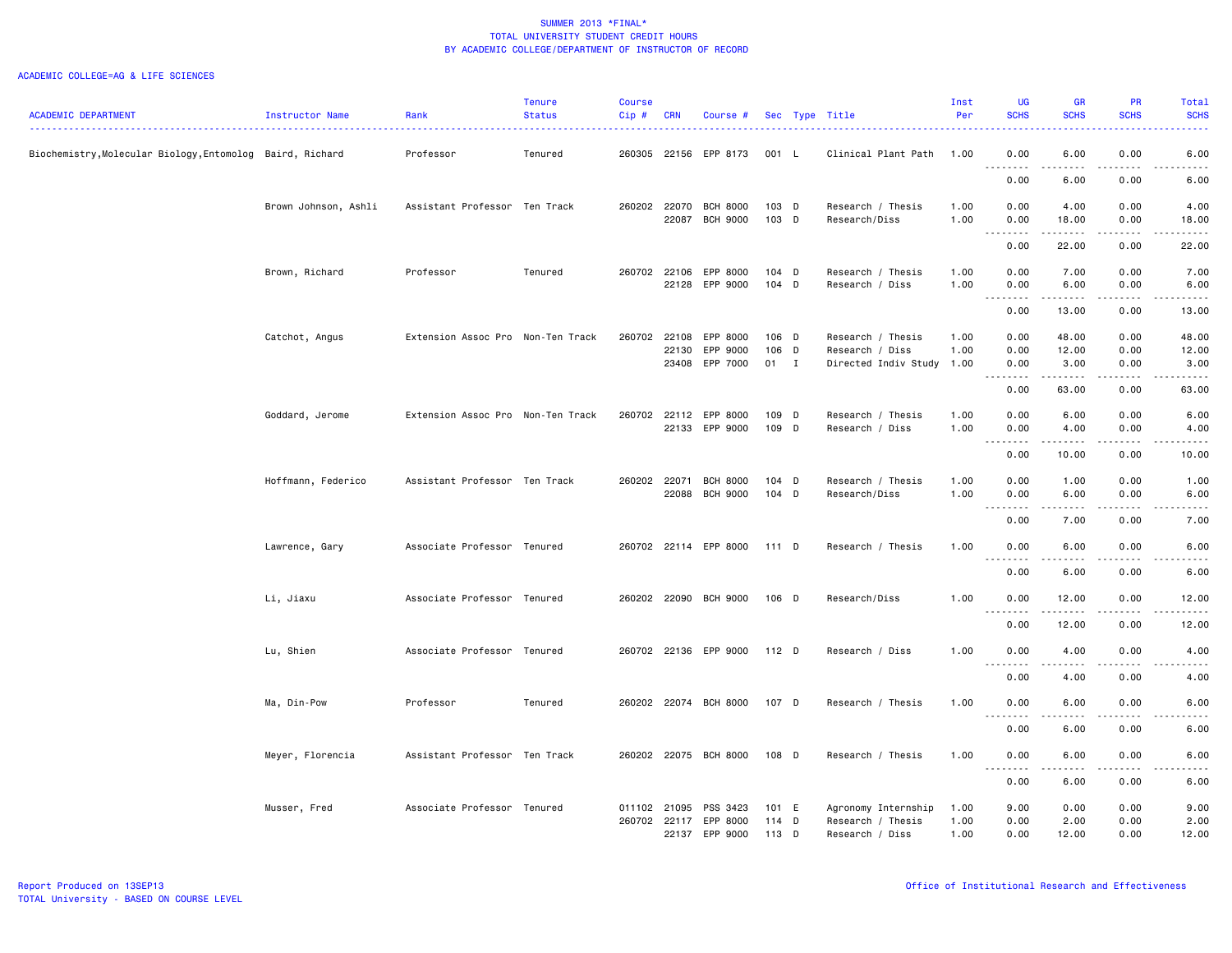|                                                           |                      |                                   | <b>Tenure</b> | <b>Course</b> |                |                       |                  |   |                                      | Inst         | <b>UG</b>                               | <b>GR</b>           | PR                                                                                                                                | Total                                                                                                                                                |
|-----------------------------------------------------------|----------------------|-----------------------------------|---------------|---------------|----------------|-----------------------|------------------|---|--------------------------------------|--------------|-----------------------------------------|---------------------|-----------------------------------------------------------------------------------------------------------------------------------|------------------------------------------------------------------------------------------------------------------------------------------------------|
| <b>ACADEMIC DEPARTMENT</b>                                | Instructor Name      | Rank                              | <b>Status</b> | Cip#          | <b>CRN</b>     | Course #              |                  |   | Sec Type Title                       | Per          | <b>SCHS</b>                             | <b>SCHS</b>         | <b>SCHS</b>                                                                                                                       | <b>SCHS</b>                                                                                                                                          |
| Biochemistry, Molecular Biology, Entomolog Baird, Richard |                      | Professor                         | Tenured       |               |                | 260305 22156 EPP 8173 | 001 L            |   | Clinical Plant Path 1.00             |              | 0.00                                    | 6.00                | 0.00                                                                                                                              | 6.00                                                                                                                                                 |
|                                                           |                      |                                   |               |               |                |                       |                  |   |                                      |              | 0.00                                    | 6.00                | 0.00                                                                                                                              | 6.00                                                                                                                                                 |
|                                                           | Brown Johnson, Ashli | Assistant Professor Ten Track     |               |               | 260202 22070   | <b>BCH 8000</b>       | 103 D            |   | Research / Thesis                    | 1.00         | 0.00                                    | 4.00                | 0.00                                                                                                                              | 4.00                                                                                                                                                 |
|                                                           |                      |                                   |               |               | 22087          | <b>BCH 9000</b>       | 103 D            |   | Research/Diss                        | 1.00         | 0.00<br>.                               | 18.00<br>.          | 0.00<br>.                                                                                                                         | 18.00<br>المتمالين                                                                                                                                   |
|                                                           |                      |                                   |               |               |                |                       |                  |   |                                      |              | 0.00                                    | 22.00               | 0.00                                                                                                                              | 22.00                                                                                                                                                |
|                                                           | Brown, Richard       | Professor                         | Tenured       | 260702        | 22106<br>22128 | EPP 8000<br>EPP 9000  | $104$ D<br>104 D |   | Research / Thesis<br>Research / Diss | 1.00<br>1.00 | 0.00<br>0.00                            | 7.00<br>6.00        | 0.00<br>0.00                                                                                                                      | 7.00<br>6.00                                                                                                                                         |
|                                                           |                      |                                   |               |               |                |                       |                  |   |                                      |              | .                                       | .                   | .                                                                                                                                 | $\frac{1}{2} \left( \frac{1}{2} \right) \left( \frac{1}{2} \right) \left( \frac{1}{2} \right) \left( \frac{1}{2} \right) \left( \frac{1}{2} \right)$ |
|                                                           |                      |                                   |               |               |                |                       |                  |   |                                      |              | 0.00                                    | 13.00               | 0.00                                                                                                                              | 13.00                                                                                                                                                |
|                                                           | Catchot, Angus       | Extension Assoc Pro Non-Ten Track |               | 260702        | 22108          | EPP 8000              | 106 D            |   | Research / Thesis                    | 1.00         | 0.00                                    | 48.00               | 0.00                                                                                                                              | 48.00                                                                                                                                                |
|                                                           |                      |                                   |               |               | 22130          | EPP 9000              | 106 D            |   | Research / Diss                      | 1.00         | 0.00                                    | 12.00               | 0.00                                                                                                                              | 12.00                                                                                                                                                |
|                                                           |                      |                                   |               |               | 23408          | EPP 7000              | 01 I             |   | Directed Indiv Study 1.00            |              | 0.00<br>.                               | 3.00<br>.           | 0.00<br>.                                                                                                                         | 3.00<br>.                                                                                                                                            |
|                                                           |                      |                                   |               |               |                |                       |                  |   |                                      |              | 0.00                                    | 63.00               | 0.00                                                                                                                              | 63.00                                                                                                                                                |
|                                                           | Goddard, Jerome      | Extension Assoc Pro Non-Ten Track |               |               | 260702 22112   | EPP 8000              | 109 D            |   | Research / Thesis                    | 1.00         | 0.00                                    | 6.00                | 0.00                                                                                                                              | 6.00                                                                                                                                                 |
|                                                           |                      |                                   |               |               |                | 22133 EPP 9000        | 109 D            |   | Research / Diss                      | 1.00         | 0.00                                    | 4.00                | 0.00                                                                                                                              | 4.00                                                                                                                                                 |
|                                                           |                      |                                   |               |               |                |                       |                  |   |                                      |              | .<br>$\sim$ $\sim$ $\sim$<br>0.00       | .<br>10.00          | .<br>0.00                                                                                                                         | 22222<br>10.00                                                                                                                                       |
|                                                           | Hoffmann, Federico   | Assistant Professor Ten Track     |               | 260202        | 22071          | <b>BCH 8000</b>       | $104$ D          |   | Research / Thesis                    | 1.00         | 0.00                                    | 1.00                | 0.00                                                                                                                              | 1.00                                                                                                                                                 |
|                                                           |                      |                                   |               |               | 22088          | <b>BCH 9000</b>       | $104$ D          |   | Research/Diss                        | 1.00         | 0.00                                    | 6.00                | 0.00                                                                                                                              | 6.00                                                                                                                                                 |
|                                                           |                      |                                   |               |               |                |                       |                  |   |                                      |              | .                                       | -----               | د د د د                                                                                                                           | .                                                                                                                                                    |
|                                                           |                      |                                   |               |               |                |                       |                  |   |                                      |              | 0.00                                    | 7.00                | 0.00                                                                                                                              | 7.00                                                                                                                                                 |
|                                                           | Lawrence, Gary       | Associate Professor Tenured       |               |               |                | 260702 22114 EPP 8000 | $111$ D          |   | Research / Thesis                    | 1.00         | 0.00                                    | 6.00                | 0.00                                                                                                                              | 6.00<br>-----                                                                                                                                        |
|                                                           |                      |                                   |               |               |                |                       |                  |   |                                      |              | $\sim$ $\sim$ $\sim$<br>-----<br>0.00   | -----<br>6.00       | .<br>0.00                                                                                                                         | 6.00                                                                                                                                                 |
|                                                           | Li, Jiaxu            | Associate Professor Tenured       |               |               |                | 260202 22090 BCH 9000 | 106 D            |   | Research/Diss                        | 1.00         | 0.00                                    | 12.00               | 0.00                                                                                                                              | 12.00                                                                                                                                                |
|                                                           |                      |                                   |               |               |                |                       |                  |   |                                      |              | $\sim$ $\sim$ $\sim$<br>د د د د<br>0.00 | .<br>12.00          | .<br>0.00                                                                                                                         | .<br>12.00                                                                                                                                           |
|                                                           | Lu, Shien            | Associate Professor Tenured       |               |               |                | 260702 22136 EPP 9000 | $112$ D          |   | Research / Diss                      | 1.00         | 0.00                                    | 4.00                | 0.00                                                                                                                              | 4.00                                                                                                                                                 |
|                                                           |                      |                                   |               |               |                |                       |                  |   |                                      |              | <u>.</u><br>0.00                        | 4.00                | 0.00                                                                                                                              | <u>.</u><br>4.00                                                                                                                                     |
|                                                           |                      |                                   |               |               |                |                       |                  |   |                                      |              |                                         |                     |                                                                                                                                   |                                                                                                                                                      |
|                                                           | Ma, Din-Pow          | Professor                         | Tenured       |               |                | 260202 22074 BCH 8000 | 107 D            |   | Research / Thesis                    | 1.00         | 0.00<br>.                               | 6.00<br>.           | 0.00<br>$\frac{1}{2} \left( \frac{1}{2} \right) \left( \frac{1}{2} \right) \left( \frac{1}{2} \right) \left( \frac{1}{2} \right)$ | 6.00<br>.                                                                                                                                            |
|                                                           |                      |                                   |               |               |                |                       |                  |   |                                      |              | 0.00                                    | 6.00                | 0.00                                                                                                                              | 6.00                                                                                                                                                 |
|                                                           | Meyer, Florencia     | Assistant Professor Ten Track     |               |               |                | 260202 22075 BCH 8000 | 108 D            |   | Research / Thesis                    | 1.00         | 0.00<br>$\sim$ $\sim$ .<br>.            | 6.00<br>$- - - - -$ | 0.00<br>.                                                                                                                         | 6.00<br>-----                                                                                                                                        |
|                                                           |                      |                                   |               |               |                |                       |                  |   |                                      |              | 0.00                                    | 6.00                | 0.00                                                                                                                              | 6.00                                                                                                                                                 |
|                                                           | Musser, Fred         | Associate Professor Tenured       |               |               | 011102 21095   | PSS 3423              | 101 E            |   | Agronomy Internship                  | 1.00         | 9.00                                    | 0.00                | 0.00                                                                                                                              | 9.00                                                                                                                                                 |
|                                                           |                      |                                   |               |               |                | 260702 22117 EPP 8000 | $114$ D          |   | Research / Thesis                    | 1.00         | 0.00                                    | 2.00                | 0.00                                                                                                                              | 2.00                                                                                                                                                 |
|                                                           |                      |                                   |               |               | 22137          | EPP 9000              | 113              | D | Research / Diss                      | 1.00         | 0.00                                    | 12.00               | 0.00                                                                                                                              | 12.00                                                                                                                                                |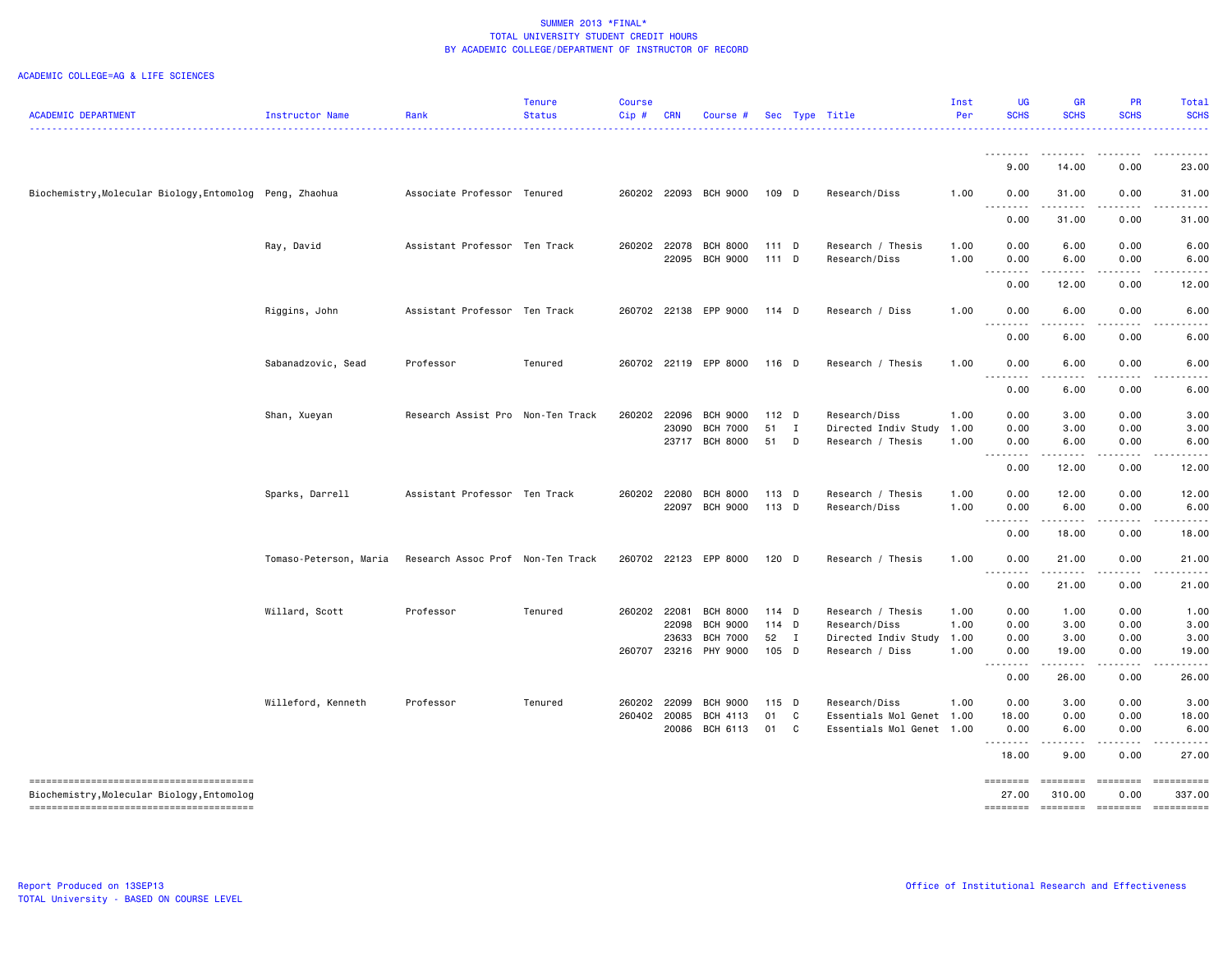|                                                          |                        |                                   | <b>Tenure</b> | <b>Course</b> |            |                       |                    |              |                           | Inst | <b>UG</b>        | <b>GR</b>                                                                                                                         | <b>PR</b>           | <b>Total</b>       |
|----------------------------------------------------------|------------------------|-----------------------------------|---------------|---------------|------------|-----------------------|--------------------|--------------|---------------------------|------|------------------|-----------------------------------------------------------------------------------------------------------------------------------|---------------------|--------------------|
| <b>ACADEMIC DEPARTMENT</b>                               | Instructor Name        | Rank                              | <b>Status</b> | Cip#          | <b>CRN</b> | Course #              |                    |              | Sec Type Title            | Per  | <b>SCHS</b>      | <b>SCHS</b>                                                                                                                       | <b>SCHS</b>         | <b>SCHS</b>        |
|                                                          |                        |                                   |               |               |            |                       |                    |              |                           |      | . <b>.</b>       | .                                                                                                                                 | المتمام والمناور    |                    |
|                                                          |                        |                                   |               |               |            |                       |                    |              |                           |      | 9.00             | 14.00                                                                                                                             | 0.00                | 23.00              |
| Biochemistry, Molecular Biology, Entomolog Peng, Zhaohua |                        | Associate Professor Tenured       |               |               |            | 260202 22093 BCH 9000 | 109 D              |              | Research/Diss             | 1.00 | 0.00             | 31.00                                                                                                                             | 0.00                | 31.00              |
|                                                          |                        |                                   |               |               |            |                       |                    |              |                           |      | .<br>0.00        | ------<br>31.00                                                                                                                   | -----<br>0.00       | 31.00              |
|                                                          | Ray, David             | Assistant Professor Ten Track     |               |               |            | 260202 22078 BCH 8000 | $111$ D            |              | Research / Thesis         | 1.00 | 0.00             | 6.00                                                                                                                              | 0.00                | 6.00               |
|                                                          |                        |                                   |               |               | 22095      | <b>BCH 9000</b>       | $111$ D            |              | Research/Diss             | 1.00 | 0.00<br><u>.</u> | 6.00                                                                                                                              | 0.00                | 6.00               |
|                                                          |                        |                                   |               |               |            |                       |                    |              |                           |      | 0.00             | 12.00                                                                                                                             | 0.00                | 12.00              |
|                                                          | Riggins, John          | Assistant Professor Ten Track     |               |               |            | 260702 22138 EPP 9000 | 114 D              |              | Research / Diss           | 1.00 | 0.00             | 6.00                                                                                                                              | 0.00                | 6.00               |
|                                                          |                        |                                   |               |               |            |                       |                    |              |                           |      | .<br>0.00        | .<br>6.00                                                                                                                         | بالمستحدث<br>0.00   | 6.00               |
|                                                          | Sabanadzovic, Sead     | Professor                         | Tenured       |               |            | 260702 22119 EPP 8000 | 116 D              |              | Research / Thesis         | 1.00 | 0.00             | 6.00                                                                                                                              | 0.00                | 6.00               |
|                                                          |                        |                                   |               |               |            |                       |                    |              |                           |      | .<br>0.00        | $\frac{1}{2} \left( \frac{1}{2} \right) \left( \frac{1}{2} \right) \left( \frac{1}{2} \right) \left( \frac{1}{2} \right)$<br>6.00 | .<br>0.00           | . <b>.</b><br>6.00 |
|                                                          | Shan, Xueyan           | Research Assist Pro Non-Ten Track |               |               |            | 260202 22096 BCH 9000 | 112 D              |              | Research/Diss             | 1.00 | 0.00             | 3.00                                                                                                                              | 0.00                | 3.00               |
|                                                          |                        |                                   |               |               | 23090      | <b>BCH 7000</b>       | 51<br>$\mathbf{I}$ |              | Directed Indiv Study      | 1.00 | 0.00             | 3.00                                                                                                                              | 0.00                | 3.00               |
|                                                          |                        |                                   |               |               | 23717      | <b>BCH 8000</b>       | 51<br>D            |              | Research / Thesis         | 1.00 | 0.00             | 6.00                                                                                                                              | 0.00                | 6.00               |
|                                                          |                        |                                   |               |               |            |                       |                    |              |                           |      | <u>.</u><br>0.00 | .<br>12.00                                                                                                                        | .<br>0.00           | 12.00              |
|                                                          | Sparks, Darrell        | Assistant Professor Ten Track     |               |               |            | 260202 22080 BCH 8000 | 113 D              |              | Research / Thesis         | 1.00 | 0.00             | 12.00                                                                                                                             | 0.00                | 12.00              |
|                                                          |                        |                                   |               |               |            | 22097 BCH 9000        | $113$ D            |              | Research/Diss             | 1.00 | 0.00             | 6.00                                                                                                                              | 0.00                | 6.00<br>.          |
|                                                          |                        |                                   |               |               |            |                       |                    |              |                           |      | <u>.</u><br>0.00 | .<br>18.00                                                                                                                        | .<br>0.00           | 18.00              |
|                                                          | Tomaso-Peterson, Maria | Research Assoc Prof Non-Ten Track |               | 260702        |            | 22123 EPP 8000        | 120 D              |              | Research / Thesis         | 1.00 | 0.00             | 21.00                                                                                                                             | 0.00                | 21.00              |
|                                                          |                        |                                   |               |               |            |                       |                    |              |                           |      | .<br>0.00        | 21.00                                                                                                                             | 0.00                | 21.00              |
|                                                          | Willard, Scott         | Professor                         | Tenured       | 260202 22081  |            | <b>BCH 8000</b>       | 114 D              |              | Research / Thesis         | 1.00 | 0.00             | 1.00                                                                                                                              | 0.00                | 1.00               |
|                                                          |                        |                                   |               |               | 22098      | <b>BCH 9000</b>       | 114 D              |              | Research/Diss             | 1.00 | 0.00             | 3.00                                                                                                                              | 0.00                | 3.00               |
|                                                          |                        |                                   |               |               | 23633      | <b>BCH 7000</b>       | 52 I               |              | Directed Indiv Study      | 1.00 | 0.00             | 3.00                                                                                                                              | 0.00                | 3.00               |
|                                                          |                        |                                   |               | 260707        |            | 23216 PHY 9000        | 105 D              |              | Research / Diss           | 1.00 | 0.00<br>.<br>.   | 19.00<br>.                                                                                                                        | 0.00                | 19.00              |
|                                                          |                        |                                   |               |               |            |                       |                    |              |                           |      | 0.00             | 26.00                                                                                                                             | 0.00                | 26.00              |
|                                                          | Willeford, Kenneth     | Professor                         | Tenured       | 260202        | 22099      | <b>BCH 9000</b>       | 115 D              |              | Research/Diss             | 1.00 | 0.00             | 3.00                                                                                                                              | 0.00                | 3.00               |
|                                                          |                        |                                   |               | 260402        | 20085      | BCH 4113              | 01                 | $\mathbf{C}$ | Essentials Mol Genet      | 1.00 | 18.00            | 0.00                                                                                                                              | 0.00                | 18.00              |
|                                                          |                        |                                   |               |               |            | 20086 BCH 6113        | 01 C               |              | Essentials Mol Genet 1.00 |      | 0.00<br><u>.</u> | 6.00<br>$\frac{1}{2}$                                                                                                             | 0.00                | 6.00               |
|                                                          |                        |                                   |               |               |            |                       |                    |              |                           |      | 18.00            | 9.00                                                                                                                              | 0.00                | 27.00              |
|                                                          |                        |                                   |               |               |            |                       |                    |              |                           |      | ========         | $=$ ========                                                                                                                      | $=$ ========        | ==========         |
| Biochemistry, Molecular Biology, Entomolog               |                        |                                   |               |               |            |                       |                    |              |                           |      | 27.00            | 310.00                                                                                                                            | 0.00                | 337.00             |
|                                                          |                        |                                   |               |               |            |                       |                    |              |                           |      | ========         |                                                                                                                                   | ------------------- | - ==========       |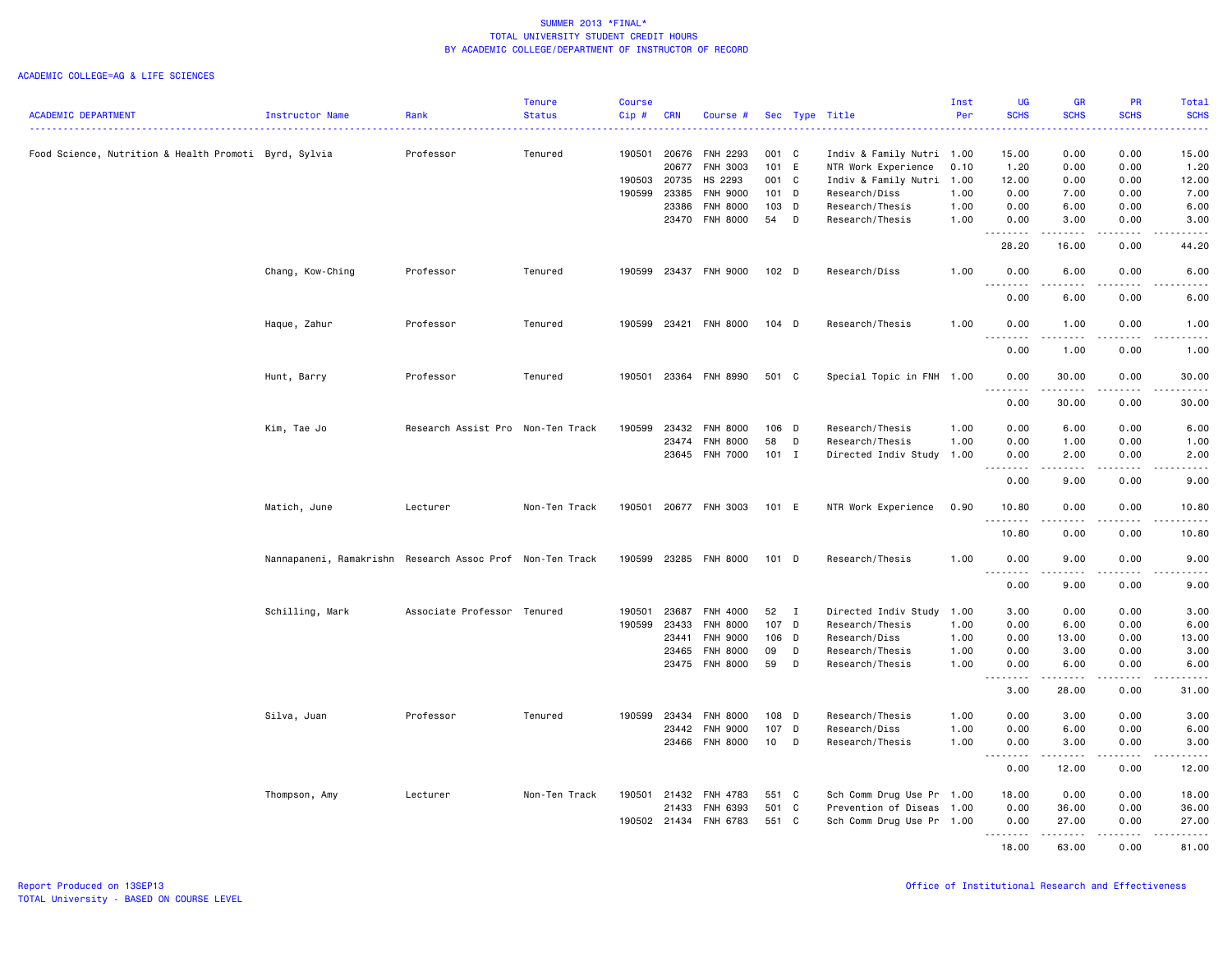|                                                       |                                                           |                                   | <b>Tenure</b> | <b>Course</b> |            |                       |         |   |                           | Inst | <b>UG</b>                               | <b>GR</b>                                                                                                                                                    | PR                           | Total                                                                                                                                                         |
|-------------------------------------------------------|-----------------------------------------------------------|-----------------------------------|---------------|---------------|------------|-----------------------|---------|---|---------------------------|------|-----------------------------------------|--------------------------------------------------------------------------------------------------------------------------------------------------------------|------------------------------|---------------------------------------------------------------------------------------------------------------------------------------------------------------|
| <b>ACADEMIC DEPARTMENT</b>                            | Instructor Name                                           | Rank                              | <b>Status</b> | $Cip$ #       | <b>CRN</b> | Course #              |         |   | Sec Type Title            | Per  | <b>SCHS</b>                             | <b>SCHS</b>                                                                                                                                                  | <b>SCHS</b>                  | <b>SCHS</b><br>وعاماما                                                                                                                                        |
| Food Science, Nutrition & Health Promoti Byrd, Sylvia |                                                           | Professor                         | Tenured       | 190501        | 20676      | <b>FNH 2293</b>       | 001 C   |   | Indiv & Family Nutri 1.00 |      | 15.00                                   | 0.00                                                                                                                                                         | 0.00                         | 15.00                                                                                                                                                         |
|                                                       |                                                           |                                   |               |               | 20677      | FNH 3003              | 101 E   |   | NTR Work Experience       | 0.10 | 1.20                                    | 0.00                                                                                                                                                         | 0.00                         | 1.20                                                                                                                                                          |
|                                                       |                                                           |                                   |               | 190503        | 20735      | HS 2293               | 001 C   |   | Indiv & Family Nutri 1.00 |      | 12.00                                   | 0.00                                                                                                                                                         | 0.00                         | 12.00                                                                                                                                                         |
|                                                       |                                                           |                                   |               | 190599        | 23385      | <b>FNH 9000</b>       | $101$ D |   | Research/Diss             | 1.00 | 0.00                                    | 7.00                                                                                                                                                         | 0.00                         | 7.00                                                                                                                                                          |
|                                                       |                                                           |                                   |               |               | 23386      | FNH 8000              | 103 D   |   | Research/Thesis           | 1.00 | 0.00                                    | 6.00                                                                                                                                                         | 0.00                         | 6.00                                                                                                                                                          |
|                                                       |                                                           |                                   |               |               | 23470      | <b>FNH 8000</b>       | 54      | D | Research/Thesis           | 1.00 | 0.00                                    | 3.00                                                                                                                                                         | 0.00                         | 3.00                                                                                                                                                          |
|                                                       |                                                           |                                   |               |               |            |                       |         |   |                           |      | .<br>28.20                              | .<br>16.00                                                                                                                                                   | $- - - -$<br>0.00            | .<br>44.20                                                                                                                                                    |
|                                                       | Chang, Kow-Ching                                          | Professor                         | Tenured       |               |            | 190599 23437 FNH 9000 | $102$ D |   | Research/Diss             | 1.00 | 0.00<br>.<br>$\sim$ $\sim$ $\sim$       | 6.00<br>$- - - - -$                                                                                                                                          | 0.00<br>.                    | 6.00<br>$\frac{1}{2}$                                                                                                                                         |
|                                                       |                                                           |                                   |               |               |            |                       |         |   |                           |      | 0.00                                    | 6.00                                                                                                                                                         | 0.00                         | 6.00                                                                                                                                                          |
|                                                       | Haque, Zahur                                              | Professor                         | Tenured       | 190599        | 23421      | <b>FNH 8000</b>       | $104$ D |   | Research/Thesis           | 1.00 | 0.00<br>.                               | 1.00<br>$\frac{1}{2} \left( \frac{1}{2} \right) \left( \frac{1}{2} \right) \left( \frac{1}{2} \right) \left( \frac{1}{2} \right) \left( \frac{1}{2} \right)$ | 0.00<br>د د د د              | 1.00<br>-----                                                                                                                                                 |
|                                                       |                                                           |                                   |               |               |            |                       |         |   |                           |      | 0.00                                    | 1.00                                                                                                                                                         | 0.00                         | 1.00                                                                                                                                                          |
|                                                       | Hunt, Barry                                               | Professor                         | Tenured       | 190501        |            | 23364 FNH 8990        | 501 C   |   | Special Topic in FNH 1.00 |      | 0.00                                    | 30.00                                                                                                                                                        | 0.00                         | 30.00                                                                                                                                                         |
|                                                       |                                                           |                                   |               |               |            |                       |         |   |                           |      | 0.00                                    | 30.00                                                                                                                                                        | 0.00                         | 30.00                                                                                                                                                         |
|                                                       | Kim, Tae Jo                                               | Research Assist Pro Non-Ten Track |               | 190599        | 23432      | <b>FNH 8000</b>       | 106 D   |   | Research/Thesis           | 1.00 | 0.00                                    | 6.00                                                                                                                                                         | 0.00                         | 6.00                                                                                                                                                          |
|                                                       |                                                           |                                   |               |               | 23474      | <b>FNH 8000</b>       | 58      | D | Research/Thesis           | 1.00 | 0.00                                    | 1.00                                                                                                                                                         | 0.00                         | 1.00                                                                                                                                                          |
|                                                       |                                                           |                                   |               |               | 23645      | FNH 7000              | 101 I   |   | Directed Indiv Study 1.00 |      | 0.00                                    | 2.00                                                                                                                                                         | 0.00                         | 2.00                                                                                                                                                          |
|                                                       |                                                           |                                   |               |               |            |                       |         |   |                           |      | .<br>0.00                               | $\begin{array}{cccccccccc} \bullet & \bullet & \bullet & \bullet & \bullet & \bullet & \bullet \end{array}$<br>9.00                                          | .<br>0.00                    | .<br>9.00                                                                                                                                                     |
|                                                       | Matich, June                                              | Lecturer                          | Non-Ten Track | 190501        |            | 20677 FNH 3003        | 101 E   |   | NTR Work Experience       | 0.90 | 10.80<br>.                              | 0.00                                                                                                                                                         | 0.00                         | 10.80<br>$\frac{1}{2} \left( \frac{1}{2} \right) \left( \frac{1}{2} \right) \left( \frac{1}{2} \right) \left( \frac{1}{2} \right) \left( \frac{1}{2} \right)$ |
|                                                       |                                                           |                                   |               |               |            |                       |         |   |                           |      | 10.80                                   | 0.00                                                                                                                                                         | 0.00                         | 10.80                                                                                                                                                         |
|                                                       | Nannapaneni, Ramakrishn Research Assoc Prof Non-Ten Track |                                   |               | 190599 23285  |            | <b>FNH 8000</b>       | $101$ D |   | Research/Thesis           | 1.00 | 0.00<br>$\sim$ $\sim$ $\sim$            | 9.00                                                                                                                                                         | 0.00                         | 9.00<br>.                                                                                                                                                     |
|                                                       |                                                           |                                   |               |               |            |                       |         |   |                           |      | 0.00                                    | 9.00                                                                                                                                                         | 0.00                         | 9.00                                                                                                                                                          |
|                                                       | Schilling, Mark                                           | Associate Professor Tenured       |               | 190501        | 23687      | FNH 4000              | 52 I    |   | Directed Indiv Study 1.00 |      | 3.00                                    | 0.00                                                                                                                                                         | 0.00                         | 3.00                                                                                                                                                          |
|                                                       |                                                           |                                   |               | 190599        | 23433      | FNH 8000              | 107 D   |   | Research/Thesis           | 1.00 | 0.00                                    | 6.00                                                                                                                                                         | 0.00                         | 6.00                                                                                                                                                          |
|                                                       |                                                           |                                   |               |               | 23441      | FNH 9000              | 106 D   |   | Research/Diss             | 1.00 | 0.00                                    | 13.00                                                                                                                                                        | 0.00                         | 13.00                                                                                                                                                         |
|                                                       |                                                           |                                   |               |               | 23465      | <b>FNH 8000</b>       | 09      | D | Research/Thesis           | 1.00 | 0.00                                    | 3.00                                                                                                                                                         | 0.00                         | 3.00                                                                                                                                                          |
|                                                       |                                                           |                                   |               |               | 23475      | <b>FNH 8000</b>       | 59      | D | Research/Thesis           | 1.00 | 0.00<br>$\sim$ $\sim$ $\sim$<br>د د د د | 6.00<br>.                                                                                                                                                    | 0.00<br>.                    | 6.00<br>$\frac{1}{2} \left( \frac{1}{2} \right) \left( \frac{1}{2} \right) \left( \frac{1}{2} \right) \left( \frac{1}{2} \right) \left( \frac{1}{2} \right)$  |
|                                                       |                                                           |                                   |               |               |            |                       |         |   |                           |      | 3.00                                    | 28.00                                                                                                                                                        | 0.00                         | 31.00                                                                                                                                                         |
|                                                       | Silva, Juan                                               | Professor                         | Tenured       | 190599 23434  |            | <b>FNH 8000</b>       | 108 D   |   | Research/Thesis           | 1.00 | 0.00                                    | 3.00                                                                                                                                                         | 0.00                         | 3.00                                                                                                                                                          |
|                                                       |                                                           |                                   |               |               | 23442      | <b>FNH 9000</b>       | 107 D   |   | Research/Diss             | 1.00 | 0.00                                    | 6.00                                                                                                                                                         | 0.00                         | 6.00                                                                                                                                                          |
|                                                       |                                                           |                                   |               |               | 23466      | <b>FNH 8000</b>       | 10      | D | Research/Thesis           | 1.00 | 0.00<br>.                               | 3.00<br>.                                                                                                                                                    | 0.00<br>$\sim$ $\sim$ $\sim$ | 3.00<br>.                                                                                                                                                     |
|                                                       |                                                           |                                   |               |               |            |                       |         |   |                           |      | 0.00                                    | 12.00                                                                                                                                                        | 0.00                         | 12.00                                                                                                                                                         |
|                                                       | Thompson, Amy                                             | Lecturer                          | Non-Ten Track | 190501        | 21432      | FNH 4783              | 551 C   |   | Sch Comm Drug Use Pr 1.00 |      | 18.00                                   | 0.00                                                                                                                                                         | 0.00                         | 18.00                                                                                                                                                         |
|                                                       |                                                           |                                   |               |               | 21433      | FNH 6393              | 501 C   |   | Prevention of Diseas 1.00 |      | 0.00                                    | 36.00                                                                                                                                                        | 0.00                         | 36.00                                                                                                                                                         |
|                                                       |                                                           |                                   |               | 190502 21434  |            | FNH 6783              | 551 C   |   | Sch Comm Drug Use Pr 1.00 |      | 0.00                                    | 27.00                                                                                                                                                        | 0.00                         | 27.00                                                                                                                                                         |
|                                                       |                                                           |                                   |               |               |            |                       |         |   |                           |      | .<br>18.00                              | .<br>63.00                                                                                                                                                   | ------<br>0.00               | 81.00                                                                                                                                                         |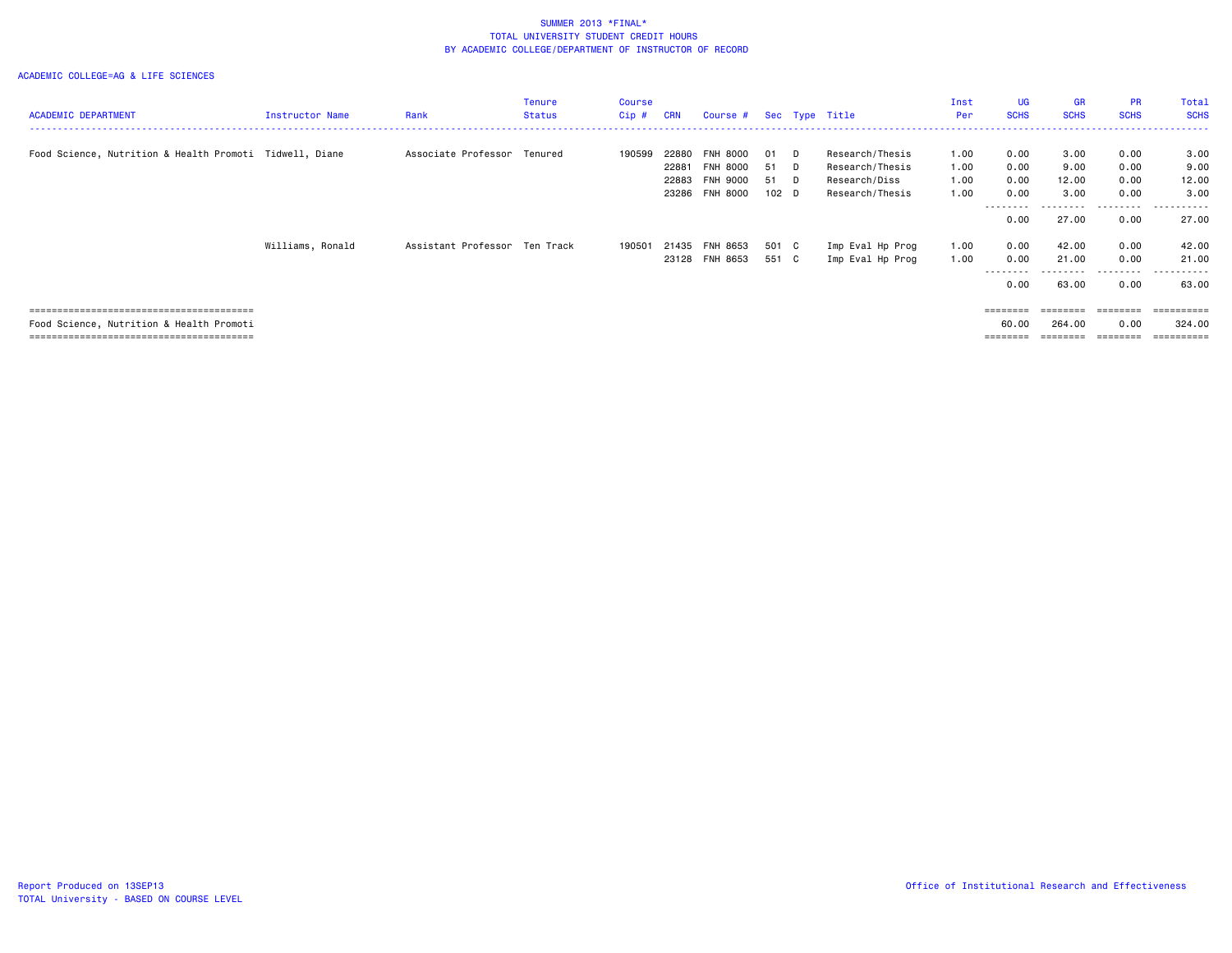| <b>ACADEMIC DEPARTMENT</b>                              | Instructor Name  | Rank                          | Tenure<br><b>Status</b> | <b>Course</b><br>$Cip$ # | <b>CRN</b>                       | Course # Sec Type Title                                           |                                        |          |                                                                        | Inst<br>Per                  | <b>UG</b><br><b>SCHS</b>                 | <b>GR</b><br><b>SCHS</b>         | <b>PR</b><br><b>SCHS</b>                  | Total<br><b>SCHS</b>                       |
|---------------------------------------------------------|------------------|-------------------------------|-------------------------|--------------------------|----------------------------------|-------------------------------------------------------------------|----------------------------------------|----------|------------------------------------------------------------------------|------------------------------|------------------------------------------|----------------------------------|-------------------------------------------|--------------------------------------------|
| Food Science, Nutrition & Health Promoti Tidwell, Diane |                  | Associate Professor Tenured   |                         | 190599                   | 22880<br>22881<br>22883<br>23286 | <b>FNH 8000</b><br><b>FNH 8000</b><br>FNH 9000<br><b>FNH 8000</b> | 01 D<br>51<br>51 D<br>102 <sub>D</sub> | <b>D</b> | Research/Thesis<br>Research/Thesis<br>Research/Diss<br>Research/Thesis | 1.00<br>1.00<br>1.00<br>1.00 | 0.00<br>0.00<br>0.00<br>0.00<br>-------- | 3.00<br>9.00<br>12.00<br>3.00    | 0.00<br>0.00<br>0.00<br>0.00<br>--------- | 3.00<br>9.00<br>12.00<br>3,00<br>.         |
|                                                         | Williams, Ronald | Assistant Professor Ten Track |                         | 190501                   | 21435                            | FNH 8653<br>23128 FNH 8653                                        | 501 C<br>551 C                         |          | Imp Eval Hp Prog<br>Imp Eval Hp Prog                                   | 1.00<br>1.00                 | 0.00<br>0.00<br>0.00<br>0.00             | 27.00<br>42.00<br>21.00<br>63.00 | 0.00<br>0.00<br>0.00<br>0.00              | 27.00<br>42.00<br>21.00<br>------<br>63.00 |
| Food Science, Nutrition & Health Promoti                |                  |                               |                         |                          |                                  |                                                                   |                                        |          |                                                                        |                              | ========<br>60.00<br>========            | ========<br>264.00               | ========<br>0.00<br>========              | ==========<br>324,00<br>==========         |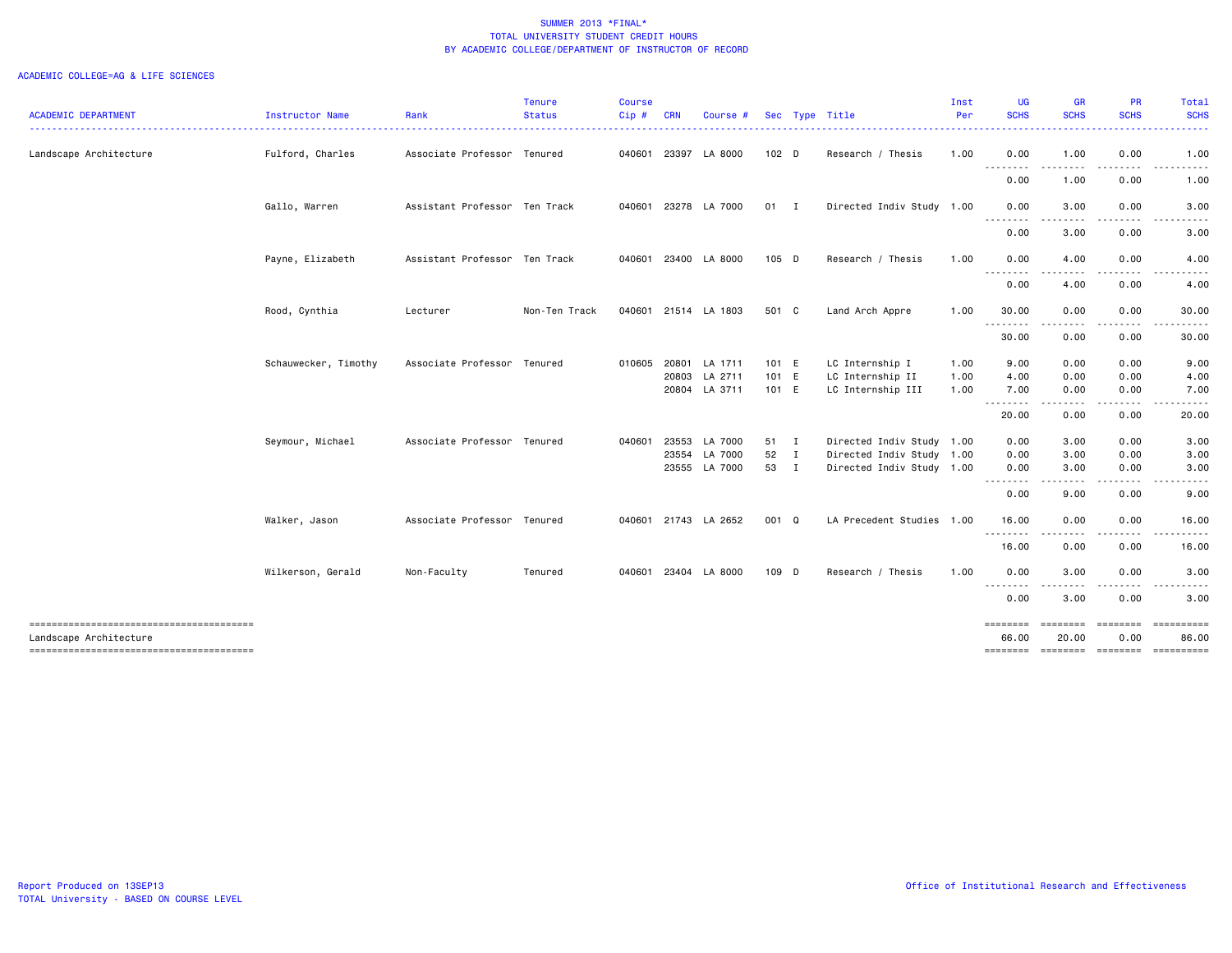| <b>ACADEMIC DEPARTMENT</b>                                       | Instructor Name      | Rank                          | <b>Tenure</b><br><b>Status</b> | Course<br>Cip# | <b>CRN</b> | Course #      |                  | Sec Type Title            | Inst<br>Per | <b>UG</b><br><b>SCHS</b>                                                                                                           | <b>GR</b><br><b>SCHS</b>                                                                                                          | PR<br><b>SCHS</b>  | Total<br><b>SCHS</b>                  |
|------------------------------------------------------------------|----------------------|-------------------------------|--------------------------------|----------------|------------|---------------|------------------|---------------------------|-------------|------------------------------------------------------------------------------------------------------------------------------------|-----------------------------------------------------------------------------------------------------------------------------------|--------------------|---------------------------------------|
| Landscape Architecture                                           | Fulford, Charles     | Associate Professor Tenured   |                                | 040601         | 23397      | LA 8000       | 102 <sub>D</sub> | Research / Thesis         | 1.00        | 0.00                                                                                                                               | 1.00                                                                                                                              | 0.00               | 1.00                                  |
|                                                                  |                      |                               |                                |                |            |               |                  |                           |             | <u>.</u>                                                                                                                           | $- - -$                                                                                                                           | $\cdots$           | -----                                 |
|                                                                  |                      |                               |                                |                |            |               |                  |                           |             | 0.00                                                                                                                               | 1.00                                                                                                                              | 0.00               | 1.00                                  |
|                                                                  | Gallo, Warren        | Assistant Professor Ten Track |                                | 040601         |            | 23278 LA 7000 | $01$ I           | Directed Indiv Study 1.00 |             | 0.00<br>.                                                                                                                          | 3.00<br>.                                                                                                                         | 0.00               | 3.00                                  |
|                                                                  |                      |                               |                                |                |            |               |                  |                           |             | 0.00                                                                                                                               | 3.00                                                                                                                              | 0.00               | 3.00                                  |
|                                                                  | Payne, Elizabeth     | Assistant Professor Ten Track |                                | 040601         |            | 23400 LA 8000 | $105$ D          | Research / Thesis         | 1.00        | 0.00<br>.                                                                                                                          | 4.00<br>$- - -$                                                                                                                   | 0.00               | 4.00                                  |
|                                                                  |                      |                               |                                |                |            |               |                  |                           |             | 0.00                                                                                                                               | 4.00                                                                                                                              | 0.00               | 4.00                                  |
|                                                                  | Rood, Cynthia        | Lecturer                      | Non-Ten Track                  | 040601         |            | 21514 LA 1803 | 501 C            | Land Arch Appre           | 1.00        | 30.00<br>--------                                                                                                                  | 0.00<br>----                                                                                                                      | 0.00<br>. <b>.</b> | 30.00<br>.                            |
|                                                                  |                      |                               |                                |                |            |               |                  |                           |             | 30.00                                                                                                                              | 0.00                                                                                                                              | 0.00               | 30.00                                 |
|                                                                  | Schauwecker, Timothy | Associate Professor Tenured   |                                | 010605         |            | 20801 LA 1711 | 101 E            | LC Internship I           | 1.00        | 9.00                                                                                                                               | 0.00                                                                                                                              | 0.00               | 9.00                                  |
|                                                                  |                      |                               |                                |                | 20803      | LA 2711       | 101 E            | LC Internship II          | 1.00        | 4.00                                                                                                                               | 0.00                                                                                                                              | 0.00               | 4.00                                  |
|                                                                  |                      |                               |                                |                |            | 20804 LA 3711 | 101 E            | LC Internship III         | 1.00        | 7.00                                                                                                                               | 0.00                                                                                                                              | 0.00               | 7.00                                  |
|                                                                  |                      |                               |                                |                |            |               |                  |                           |             | $\frac{1}{2} \left( \frac{1}{2} \right) \left( \frac{1}{2} \right) \left( \frac{1}{2} \right) \left( \frac{1}{2} \right)$<br>20.00 | $\frac{1}{2} \left( \frac{1}{2} \right) \left( \frac{1}{2} \right) \left( \frac{1}{2} \right) \left( \frac{1}{2} \right)$<br>0.00 | .<br>0.00          | 20.00                                 |
|                                                                  | Seymour, Michael     | Associate Professor Tenured   |                                | 040601         | 23553      | LA 7000       | 51 I             | Directed Indiv Study 1.00 |             | 0.00                                                                                                                               | 3.00                                                                                                                              | 0.00               | 3.00                                  |
|                                                                  |                      |                               |                                |                | 23554      | LA 7000       | 52 I             | Directed Indiv Study 1.00 |             | 0.00                                                                                                                               | 3.00                                                                                                                              | 0.00               | 3.00                                  |
|                                                                  |                      |                               |                                |                |            | 23555 LA 7000 | 53 I             | Directed Indiv Study 1.00 |             | 0.00<br><u>.</u>                                                                                                                   | 3.00                                                                                                                              | 0.00               | 3.00                                  |
|                                                                  |                      |                               |                                |                |            |               |                  |                           |             | 0.00                                                                                                                               | .<br>9.00                                                                                                                         | 0.00               | 9.00                                  |
|                                                                  | Walker, Jason        | Associate Professor Tenured   |                                | 040601         |            | 21743 LA 2652 | 001 Q            | LA Precedent Studies 1.00 |             | 16.00                                                                                                                              | 0.00                                                                                                                              | 0.00               | 16.00                                 |
|                                                                  |                      |                               |                                |                |            |               |                  |                           |             | .<br>16.00                                                                                                                         | .<br>0.00                                                                                                                         | .<br>0.00          | 16.00                                 |
|                                                                  | Wilkerson, Gerald    | Non-Faculty                   | Tenured                        | 040601         |            | 23404 LA 8000 | 109 D            | Research / Thesis         | 1.00        | 0.00                                                                                                                               | 3.00                                                                                                                              | 0.00               | 3.00                                  |
|                                                                  |                      |                               |                                |                |            |               |                  |                           |             | <u>.</u><br>0.00                                                                                                                   | .<br>3.00                                                                                                                         | 0.00               | 3.00                                  |
| --------------------------------------<br>Landscape Architecture |                      |                               |                                |                |            |               |                  |                           |             | ========<br>66.00                                                                                                                  | ========<br>20.00                                                                                                                 | ========<br>0.00   | ==========<br>86.00                   |
| --------------------------------------                           |                      |                               |                                |                |            |               |                  |                           |             |                                                                                                                                    |                                                                                                                                   |                    | ======== ======== ======== ========== |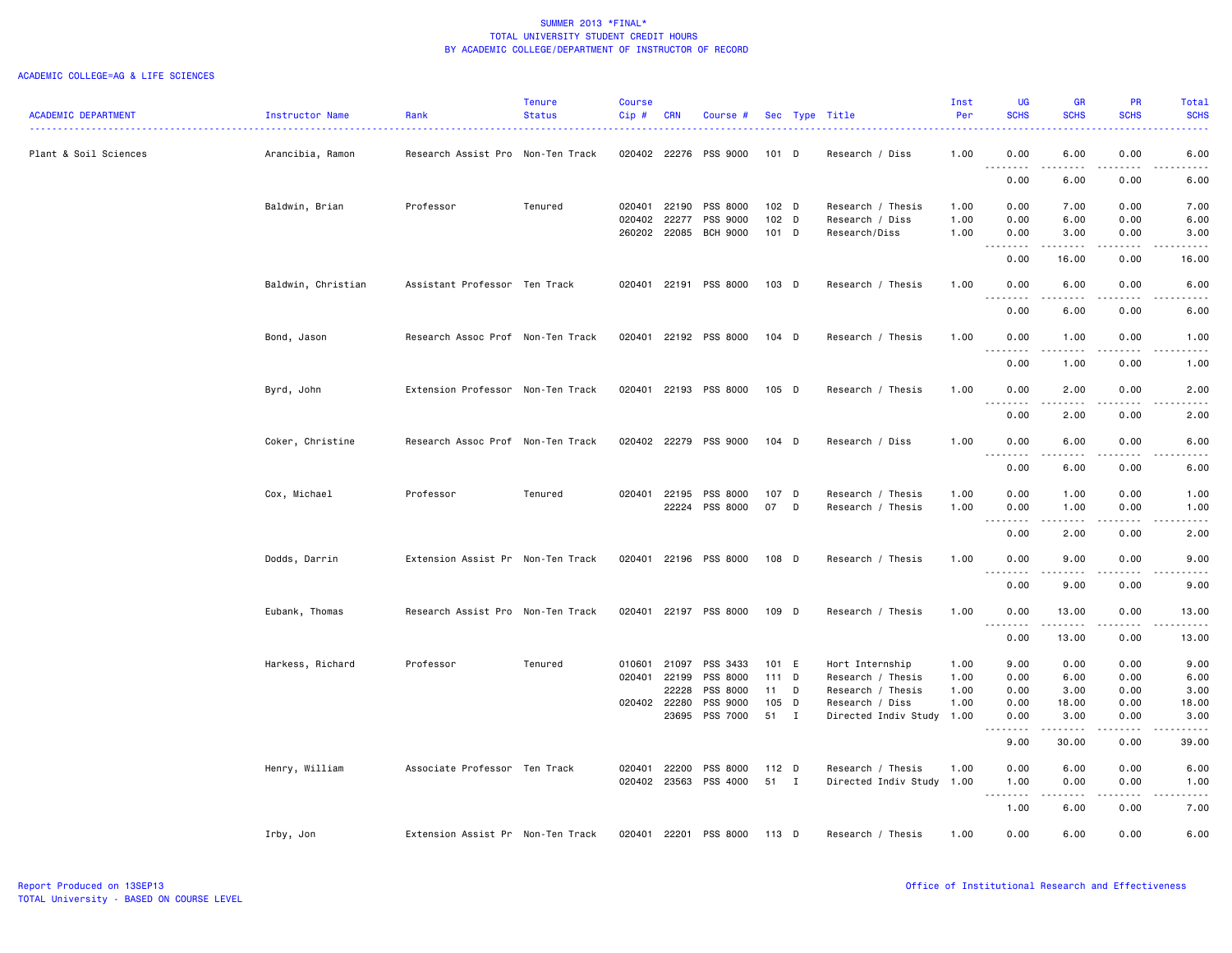| <b>ACADEMIC DEPARTMENT</b> | Instructor Name    | Rank                              | <b>Tenure</b><br><b>Status</b> | <b>Course</b><br>Cip# | <b>CRN</b>            | Course #                    |                  |              | Sec Type Title                            | Inst<br>Per  | <b>UG</b><br><b>SCHS</b>                                                                                                                           | <b>GR</b><br><b>SCHS</b>                                                                                                                                     | <b>PR</b><br><b>SCHS</b>            | Total<br><b>SCHS</b>                                                                                                                                         |
|----------------------------|--------------------|-----------------------------------|--------------------------------|-----------------------|-----------------------|-----------------------------|------------------|--------------|-------------------------------------------|--------------|----------------------------------------------------------------------------------------------------------------------------------------------------|--------------------------------------------------------------------------------------------------------------------------------------------------------------|-------------------------------------|--------------------------------------------------------------------------------------------------------------------------------------------------------------|
| Plant & Soil Sciences      | Arancibia, Ramon   | Research Assist Pro Non-Ten Track |                                |                       |                       | 020402 22276 PSS 9000       | $101$ D          |              | Research / Diss                           | 1.00         | 0.00                                                                                                                                               | 6.00                                                                                                                                                         | 0.00                                | 6.00                                                                                                                                                         |
|                            |                    |                                   |                                |                       |                       |                             |                  |              |                                           |              | 0.00                                                                                                                                               | د د د د د<br>6.00                                                                                                                                            | $\sim$ $\sim$ $\sim$ $\sim$<br>0.00 | .<br>6.00                                                                                                                                                    |
|                            | Baldwin, Brian     | Professor                         | Tenured                        | 020401                | 22190                 | PSS 8000                    | 102 <sub>D</sub> |              | Research / Thesis                         | 1.00         | 0.00                                                                                                                                               | 7.00                                                                                                                                                         | 0.00                                | 7.00                                                                                                                                                         |
|                            |                    |                                   |                                | 020402                | 22277<br>260202 22085 | PSS 9000<br><b>BCH 9000</b> | 102 D<br>$101$ D |              | Research / Diss                           | 1.00<br>1.00 | 0.00<br>0.00                                                                                                                                       | 6.00                                                                                                                                                         | 0.00<br>0.00                        | 6.00<br>3.00                                                                                                                                                 |
|                            |                    |                                   |                                |                       |                       |                             |                  |              | Research/Diss                             |              | .                                                                                                                                                  | 3.00<br>$\frac{1}{2} \left( \frac{1}{2} \right) \left( \frac{1}{2} \right) \left( \frac{1}{2} \right) \left( \frac{1}{2} \right) \left( \frac{1}{2} \right)$ |                                     | $    -$                                                                                                                                                      |
|                            |                    |                                   |                                |                       |                       |                             |                  |              |                                           |              | 0.00                                                                                                                                               | 16.00                                                                                                                                                        | 0.00                                | 16.00                                                                                                                                                        |
|                            | Baldwin, Christian | Assistant Professor Ten Track     |                                | 020401                |                       | 22191 PSS 8000              | 103 D            |              | Research / Thesis                         | 1.00         | 0.00<br>$\sim$ $\sim$<br>$\frac{1}{2} \left( \frac{1}{2} \right) \left( \frac{1}{2} \right) \left( \frac{1}{2} \right) \left( \frac{1}{2} \right)$ | 6.00<br>.                                                                                                                                                    | 0.00<br>د د د د                     | 6.00<br>.                                                                                                                                                    |
|                            |                    |                                   |                                |                       |                       |                             |                  |              |                                           |              | 0.00                                                                                                                                               | 6.00                                                                                                                                                         | 0.00                                | 6.00                                                                                                                                                         |
|                            | Bond, Jason        | Research Assoc Prof Non-Ten Track |                                | 020401                |                       | 22192 PSS 8000              | $104$ D          |              | Research / Thesis                         | 1.00         | 0.00<br>$\sim$ $\sim$<br>$- - -$                                                                                                                   | 1.00<br>$- - - - -$                                                                                                                                          | 0.00<br>.                           | 1.00<br>$- - - -$                                                                                                                                            |
|                            |                    |                                   |                                |                       |                       |                             |                  |              |                                           |              | 0.00                                                                                                                                               | 1.00                                                                                                                                                         | 0.00                                | 1.00                                                                                                                                                         |
|                            | Byrd, John         | Extension Professor Non-Ten Track |                                | 020401                |                       | 22193 PSS 8000              | 105 D            |              | Research / Thesis                         | 1.00         | 0.00<br>.                                                                                                                                          | 2.00<br>------                                                                                                                                               | 0.00<br>$   -$                      | 2.00<br>$\frac{1}{2} \left( \frac{1}{2} \right) \left( \frac{1}{2} \right) \left( \frac{1}{2} \right) \left( \frac{1}{2} \right) \left( \frac{1}{2} \right)$ |
|                            |                    |                                   |                                |                       |                       |                             |                  |              |                                           |              | 0.00                                                                                                                                               | 2.00                                                                                                                                                         | 0.00                                | 2.00                                                                                                                                                         |
|                            | Coker, Christine   | Research Assoc Prof Non-Ten Track |                                |                       | 020402 22279          | PSS 9000                    | $104$ D          |              | Research / Diss                           | 1.00         | 0.00<br>$\frac{1}{2}$<br>$\sim$ $\sim$ $\sim$                                                                                                      | 6.00                                                                                                                                                         | 0.00                                | 6.00                                                                                                                                                         |
|                            |                    |                                   |                                |                       |                       |                             |                  |              |                                           |              | 0.00                                                                                                                                               | 6.00                                                                                                                                                         | 0.00                                | 6.00                                                                                                                                                         |
|                            | Cox, Michael       | Professor                         | Tenured                        | 020401                | 22195                 | PSS 8000                    | 107 D            |              | Research / Thesis                         | 1.00         | 0.00                                                                                                                                               | 1.00                                                                                                                                                         | 0.00                                | 1.00                                                                                                                                                         |
|                            |                    |                                   |                                |                       | 22224                 | PSS 8000                    | 07               | D            | Research / Thesis                         | 1.00         | 0.00<br>د د د د<br>$\sim$ $\sim$                                                                                                                   | 1.00<br>-----                                                                                                                                                | 0.00<br>.                           | 1.00<br>$\frac{1}{2} \left( \frac{1}{2} \right) \left( \frac{1}{2} \right) \left( \frac{1}{2} \right) \left( \frac{1}{2} \right)$                            |
|                            |                    |                                   |                                |                       |                       |                             |                  |              |                                           |              | 0.00                                                                                                                                               | 2.00                                                                                                                                                         | 0.00                                | 2.00                                                                                                                                                         |
|                            | Dodds, Darrin      | Extension Assist Pr Non-Ten Track |                                | 020401                |                       | 22196 PSS 8000              | 108 D            |              | Research / Thesis                         | 1.00         | 0.00<br>$\sim$ $\sim$ $\sim$<br>- - - -                                                                                                            | 9.00<br>-----                                                                                                                                                | 0.00<br>.                           | 9.00<br>$\frac{1}{2} \left( \frac{1}{2} \right) \left( \frac{1}{2} \right) \left( \frac{1}{2} \right) \left( \frac{1}{2} \right) \left( \frac{1}{2} \right)$ |
|                            |                    |                                   |                                |                       |                       |                             |                  |              |                                           |              | 0.00                                                                                                                                               | 9.00                                                                                                                                                         | 0.00                                | 9.00                                                                                                                                                         |
|                            | Eubank, Thomas     | Research Assist Pro Non-Ten Track |                                | 020401                | 22197                 | PSS 8000                    | 109 D            |              | Research / Thesis                         | 1.00         | 0.00<br>$\sim$ $\sim$ $\sim$                                                                                                                       | 13.00                                                                                                                                                        | 0.00                                | 13.00                                                                                                                                                        |
|                            |                    |                                   |                                |                       |                       |                             |                  |              |                                           |              | 0.00                                                                                                                                               | 13.00                                                                                                                                                        | 0.00                                | 13.00                                                                                                                                                        |
|                            | Harkess, Richard   | Professor                         | Tenured                        | 010601                | 21097                 | PSS 3433                    | 101 E            |              | Hort Internship                           | 1.00         | 9.00                                                                                                                                               | 0.00                                                                                                                                                         | 0.00                                | 9.00                                                                                                                                                         |
|                            |                    |                                   |                                | 020401                | 22199                 | PSS 8000                    | 111 D            |              | Research / Thesis                         | 1.00         | 0.00                                                                                                                                               | 6.00                                                                                                                                                         | 0.00                                | 6.00                                                                                                                                                         |
|                            |                    |                                   |                                |                       | 22228                 | PSS 8000                    | 11               | D            | Research / Thesis                         | 1.00         | 0.00                                                                                                                                               | 3.00                                                                                                                                                         | 0.00                                | 3.00                                                                                                                                                         |
|                            |                    |                                   |                                |                       | 020402 22280          | PSS 9000                    | 105 D            |              | Research / Diss                           | 1.00         | 0.00                                                                                                                                               | 18.00                                                                                                                                                        | 0.00                                | 18.00                                                                                                                                                        |
|                            |                    |                                   |                                |                       | 23695                 | PSS 7000                    | 51 I             |              | Directed Indiv Study 1.00                 |              | 0.00<br>$- - -$<br>$\frac{1}{2} \left( \frac{1}{2} \right)$                                                                                        | 3.00<br>.                                                                                                                                                    | 0.00<br>.                           | 3.00<br>$\cdots$                                                                                                                                             |
|                            |                    |                                   |                                |                       |                       |                             |                  |              |                                           |              | 9.00                                                                                                                                               | 30.00                                                                                                                                                        | 0.00                                | 39.00                                                                                                                                                        |
|                            | Henry, William     | Associate Professor Ten Track     |                                | 020401                | 22200<br>020402 23563 | PSS 8000<br>PSS 4000        | 112 D<br>51      | $\mathbf{I}$ | Research / Thesis<br>Directed Indiv Study | 1.00<br>1.00 | 0.00<br>1.00                                                                                                                                       | 6.00<br>0.00                                                                                                                                                 | 0.00<br>0.00                        | 6.00<br>1.00                                                                                                                                                 |
|                            |                    |                                   |                                |                       |                       |                             |                  |              |                                           |              | .<br>1.00                                                                                                                                          | -----<br>6.00                                                                                                                                                | .<br>0.00                           | .<br>7.00                                                                                                                                                    |
|                            | Irby, Jon          | Extension Assist Pr Non-Ten Track |                                | 020401                | 22201                 | PSS 8000                    | $113$ D          |              | Research / Thesis                         | 1.00         | 0.00                                                                                                                                               | 6.00                                                                                                                                                         | 0.00                                | 6.00                                                                                                                                                         |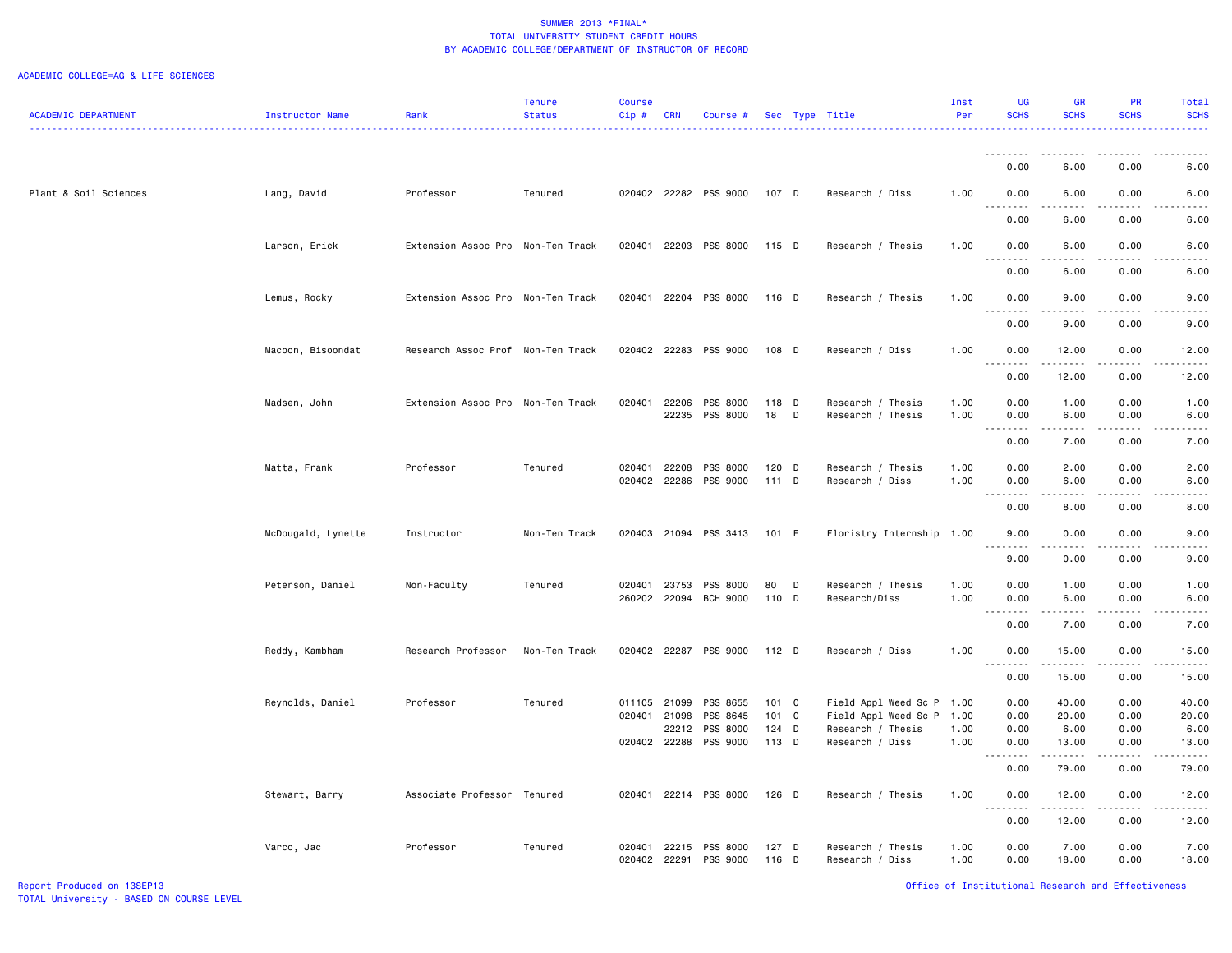|                            |                    |                                   | Tenure                    | <b>Course</b> |            |                       |         |   |                           | Inst | <b>UG</b>                             | <b>GR</b>                                                                                                                                                    | <b>PR</b>                    | Total                              |
|----------------------------|--------------------|-----------------------------------|---------------------------|---------------|------------|-----------------------|---------|---|---------------------------|------|---------------------------------------|--------------------------------------------------------------------------------------------------------------------------------------------------------------|------------------------------|------------------------------------|
| <b>ACADEMIC DEPARTMENT</b> | Instructor Name    | Rank                              | <b>Status</b><br><u>.</u> | $Cip$ #       | <b>CRN</b> | Course #              |         |   | Sec Type Title            | Per  | <b>SCHS</b>                           | <b>SCHS</b>                                                                                                                                                  | <b>SCHS</b>                  | <b>SCHS</b>                        |
|                            |                    |                                   |                           |               |            |                       |         |   |                           |      | . <b>.</b>                            | . <b>.</b>                                                                                                                                                   | .                            | $\cdots$                           |
|                            |                    |                                   |                           |               |            |                       |         |   |                           |      | 0.00                                  | 6.00                                                                                                                                                         | 0.00                         | 6.00                               |
|                            |                    |                                   |                           |               |            |                       |         |   |                           |      |                                       |                                                                                                                                                              |                              |                                    |
| Plant & Soil Sciences      | Lang, David        | Professor                         | Tenured                   |               |            | 020402 22282 PSS 9000 | 107 D   |   | Research / Diss           | 1.00 | 0.00                                  | 6.00                                                                                                                                                         | 0.00                         | 6.00                               |
|                            |                    |                                   |                           |               |            |                       |         |   |                           |      | 0.00                                  | 6.00                                                                                                                                                         | 0.00                         | 6.00                               |
|                            |                    | Extension Assoc Pro Non-Ten Track |                           | 020401        |            | 22203 PSS 8000        | $115$ D |   | Research / Thesis         | 1.00 | 0.00                                  | 6.00                                                                                                                                                         | 0.00                         | 6.00                               |
|                            | Larson, Erick      |                                   |                           |               |            |                       |         |   |                           |      | .                                     |                                                                                                                                                              |                              |                                    |
|                            |                    |                                   |                           |               |            |                       |         |   |                           |      | 0.00                                  | 6.00                                                                                                                                                         | 0.00                         | 6.00                               |
|                            | Lemus, Rocky       | Extension Assoc Pro Non-Ten Track |                           |               |            | 020401 22204 PSS 8000 | 116 D   |   | Research / Thesis         | 1.00 | 0.00                                  | 9.00                                                                                                                                                         | 0.00                         | 9.00                               |
|                            |                    |                                   |                           |               |            |                       |         |   |                           |      | $\sim$ $\sim$ $\sim$<br>-----         | .                                                                                                                                                            | .                            | $\frac{1}{2}$                      |
|                            |                    |                                   |                           |               |            |                       |         |   |                           |      | 0.00                                  | 9.00                                                                                                                                                         | 0.00                         | 9.00                               |
|                            | Macoon, Bisoondat  | Research Assoc Prof Non-Ten Track |                           |               |            | 020402 22283 PSS 9000 | 108 D   |   | Research / Diss           | 1.00 | 0.00                                  | 12.00                                                                                                                                                        | 0.00                         | 12.00                              |
|                            |                    |                                   |                           |               |            |                       |         |   |                           |      | 1.1.1.1.1.1.1                         | .                                                                                                                                                            | $- - - - -$                  | .                                  |
|                            |                    |                                   |                           |               |            |                       |         |   |                           |      | 0.00                                  | 12.00                                                                                                                                                        | 0.00                         | 12.00                              |
|                            | Madsen, John       | Extension Assoc Pro Non-Ten Track |                           | 020401        | 22206      | PSS 8000              | 118 D   |   | Research / Thesis         | 1.00 | 0.00                                  | 1.00                                                                                                                                                         | 0.00                         | 1.00                               |
|                            |                    |                                   |                           |               | 22235      | PSS 8000              | 18      | D | Research / Thesis         | 1.00 | 0.00                                  | 6.00                                                                                                                                                         | 0.00                         | 6.00                               |
|                            |                    |                                   |                           |               |            |                       |         |   |                           |      | $\sim$ $\sim$<br>0.00                 | 7.00                                                                                                                                                         | 0.00                         | 7.00                               |
|                            |                    |                                   |                           |               |            |                       |         |   |                           |      |                                       |                                                                                                                                                              |                              |                                    |
|                            | Matta, Frank       | Professor                         | Tenured                   | 020401        | 22208      | PSS 8000              | 120 D   |   | Research / Thesis         | 1.00 | 0.00                                  | 2.00                                                                                                                                                         | 0.00                         | 2.00                               |
|                            |                    |                                   |                           |               |            | 020402 22286 PSS 9000 | $111$ D |   | Research / Diss           | 1.00 | 0.00<br>$\sim$ $\sim$ $\sim$<br>----- | 6.00<br>$\frac{1}{2} \left( \frac{1}{2} \right) \left( \frac{1}{2} \right) \left( \frac{1}{2} \right) \left( \frac{1}{2} \right) \left( \frac{1}{2} \right)$ | 0.00<br>.                    | 6.00<br>-----                      |
|                            |                    |                                   |                           |               |            |                       |         |   |                           |      | 0.00                                  | 8.00                                                                                                                                                         | 0.00                         | 8.00                               |
|                            |                    |                                   |                           |               |            |                       |         |   |                           |      |                                       |                                                                                                                                                              |                              |                                    |
|                            | McDougald, Lynette | Instructor                        | Non-Ten Track             |               |            | 020403 21094 PSS 3413 | 101 E   |   | Floristry Internship 1.00 |      | 9.00                                  | 0.00<br>.                                                                                                                                                    | 0.00                         | 9.00                               |
|                            |                    |                                   |                           |               |            |                       |         |   |                           |      | 9.00                                  | 0.00                                                                                                                                                         | 0.00                         | 9.00                               |
|                            | Peterson, Daniel   | Non-Faculty                       | Tenured                   | 020401        | 23753      | PSS 8000              | 80      | D | Research / Thesis         | 1.00 | 0.00                                  | 1.00                                                                                                                                                         | 0.00                         | 1.00                               |
|                            |                    |                                   |                           | 260202 22094  |            | <b>BCH 9000</b>       | 110 D   |   | Research/Diss             | 1.00 | 0.00                                  | 6.00                                                                                                                                                         | 0.00                         | 6.00                               |
|                            |                    |                                   |                           |               |            |                       |         |   |                           |      | .<br>$\sim$ $\sim$ $\sim$             | .                                                                                                                                                            | .                            | $\sim$ $\sim$ $\sim$ $\sim$ $\sim$ |
|                            |                    |                                   |                           |               |            |                       |         |   |                           |      | 0.00                                  | 7.00                                                                                                                                                         | 0.00                         | 7.00                               |
|                            | Reddy, Kambham     | Research Professor                | Non-Ten Track             |               |            | 020402 22287 PSS 9000 | $112$ D |   | Research / Diss           | 1.00 | 0.00                                  | 15.00                                                                                                                                                        | 0.00                         | 15.00                              |
|                            |                    |                                   |                           |               |            |                       |         |   |                           |      | .<br>$\sim$ $\sim$ $\sim$             | .                                                                                                                                                            | $\frac{1}{2}$                | .                                  |
|                            |                    |                                   |                           |               |            |                       |         |   |                           |      | 0.00                                  | 15.00                                                                                                                                                        | 0.00                         | 15.00                              |
|                            | Reynolds, Daniel   | Professor                         | Tenured                   | 011105        | 21099      | PSS 8655              | 101 C   |   | Field Appl Weed Sc P      | 1.00 | 0.00                                  | 40.00                                                                                                                                                        | 0.00                         | 40.00                              |
|                            |                    |                                   |                           | 020401        | 21098      | PSS 8645              | 101 C   |   | Field Appl Weed Sc P      | 1.00 | 0.00                                  | 20.00                                                                                                                                                        | 0.00                         | 20.00                              |
|                            |                    |                                   |                           |               | 22212      | PSS 8000              | 124 D   |   | Research / Thesis         | 1.00 | 0.00                                  | 6.00                                                                                                                                                         | 0.00                         | 6.00                               |
|                            |                    |                                   |                           | 020402 22288  |            | PSS 9000              | 113 D   |   | Research / Diss           | 1.00 | 0.00                                  | 13.00                                                                                                                                                        | 0.00                         | 13.00                              |
|                            |                    |                                   |                           |               |            |                       |         |   |                           |      | $\sim$ $\sim$<br>.<br>0.00            | .<br>79.00                                                                                                                                                   | .<br>0.00                    | .<br>79.00                         |
|                            |                    |                                   |                           |               |            |                       |         |   |                           |      |                                       |                                                                                                                                                              |                              |                                    |
|                            | Stewart, Barry     | Associate Professor Tenured       |                           | 020401        |            | 22214 PSS 8000        | $126$ D |   | Research / Thesis         | 1.00 | 0.00                                  | 12.00                                                                                                                                                        | 0.00                         | 12.00                              |
|                            |                    |                                   |                           |               |            |                       |         |   |                           |      | $\frac{1}{2}$<br>0.00                 | .<br>12.00                                                                                                                                                   | $\sim$ $\sim$ $\sim$<br>0.00 | .<br>12.00                         |
|                            |                    |                                   |                           |               |            |                       |         |   |                           |      |                                       |                                                                                                                                                              |                              |                                    |
|                            | Varco, Jac         | Professor                         | Tenured                   | 020401        | 22215      | PSS 8000              | $127$ D |   | Research / Thesis         | 1.00 | 0.00                                  | 7.00                                                                                                                                                         | 0.00                         | 7.00                               |
|                            |                    |                                   |                           | 020402 22291  |            | PSS 9000              | 116 D   |   | Research / Diss           | 1.00 | 0.00                                  | 18.00                                                                                                                                                        | 0.00                         | 18.00                              |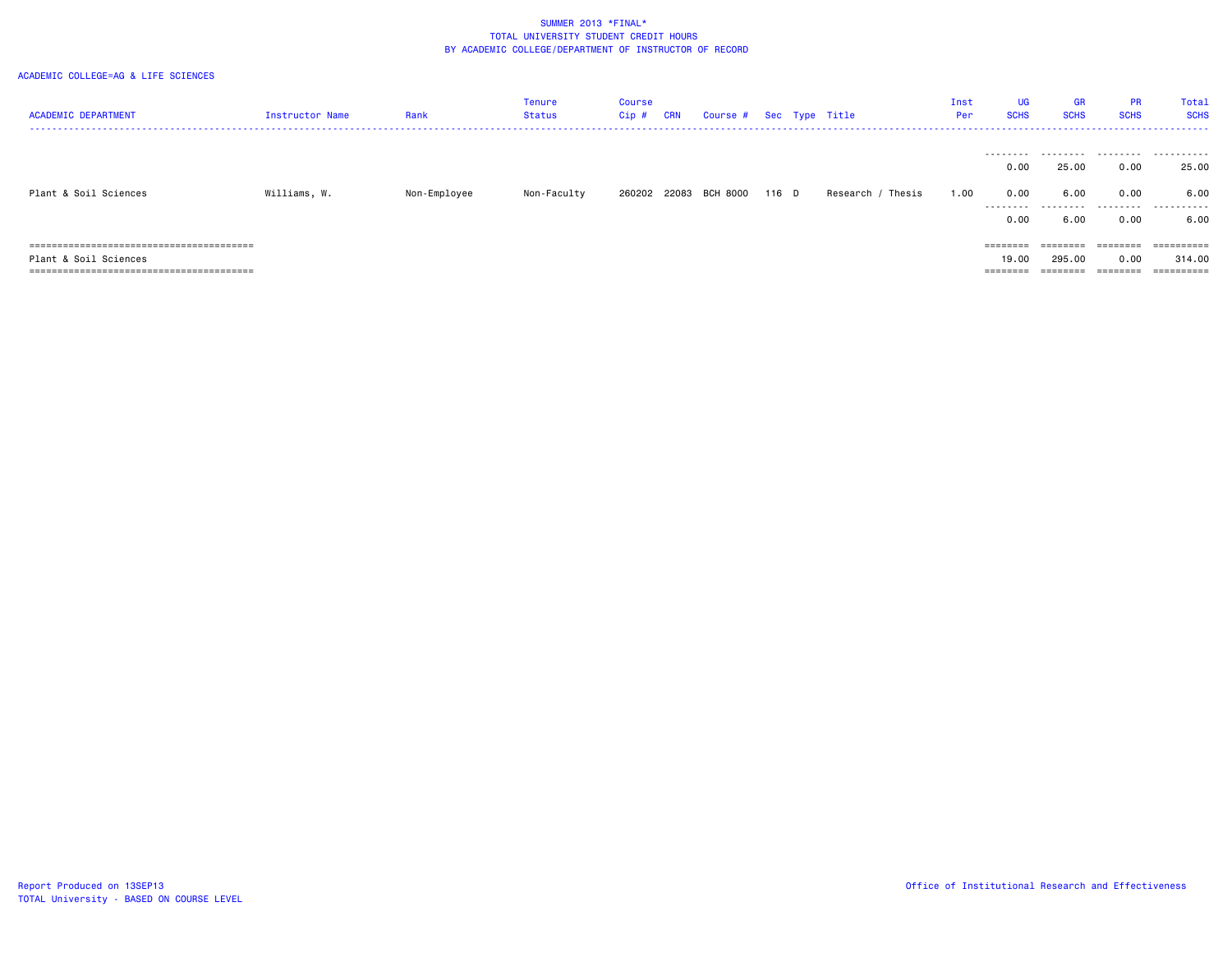| <b>ACADEMIC DEPARTMENT</b>           | Instructor Name | Rank         | Tenure<br>Status | Course<br>Cip # | <b>CRN</b> | Course # Sec Type Title |       |                   | Inst<br>Per | UG<br><b>SCHS</b>         | <b>GR</b><br><b>SCHS</b> | <b>PR</b><br><b>SCHS</b> | Total<br><b>SCHS</b><br>. |
|--------------------------------------|-----------------|--------------|------------------|-----------------|------------|-------------------------|-------|-------------------|-------------|---------------------------|--------------------------|--------------------------|---------------------------|
| Plant & Soil Sciences                | Williams, W.    | Non-Employee | Non-Faculty      |                 |            | 260202 22083 BCH 8000   | 116 D | Research / Thesis | 1.00        | 0.00<br>0.00<br>.<br>0.00 | 25.00<br>6.00<br>6.00    | 0.00<br>0.00<br>0.00     | 25.00<br>6.00<br>6.00     |
| ==================================== |                 |              |                  |                 |            |                         |       |                   |             | $=$ = = = = = = =         | ========                 | ========                 | ==========                |
| Plant & Soil Sciences                |                 |              |                  |                 |            |                         |       |                   |             | 19.00                     | 295.00                   | 0.00                     | 314.00                    |
|                                      |                 |              |                  |                 |            |                         |       |                   |             | ========                  | ========                 | ========                 | ==========                |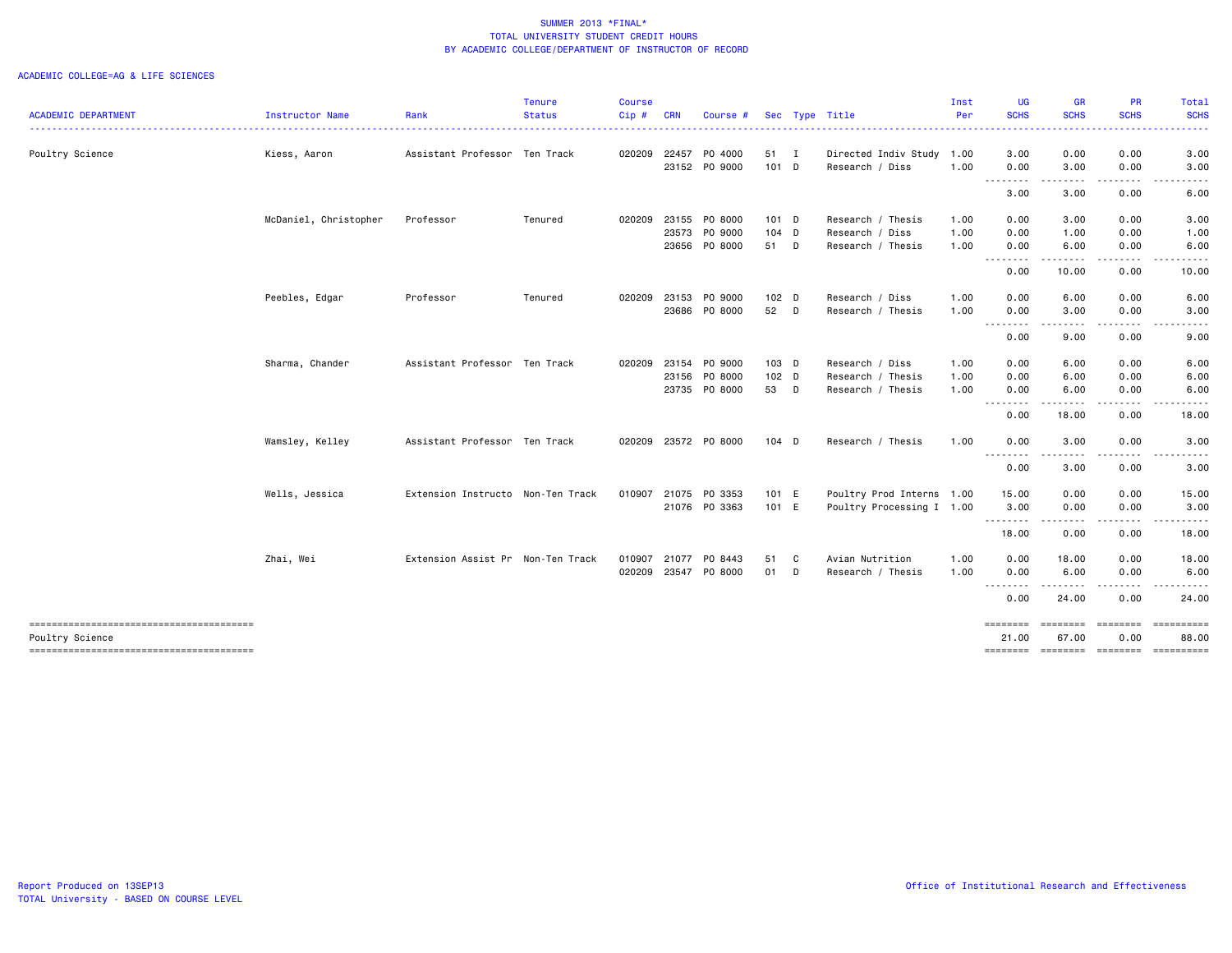| <b>ACADEMIC DEPARTMENT</b>             | Instructor Name       | Rank                              | <b>Tenure</b><br><b>Status</b> | <b>Course</b><br>Cip# | <b>CRN</b> | Course #                       |                  |   | Sec Type Title                               | Inst<br>Per | <b>UG</b><br><b>SCHS</b>         | <b>GR</b><br><b>SCHS</b>                                                                                                                                                                                                                                                                                                                                                                                                                                                               | PR<br><b>SCHS</b>     | <b>Total</b><br><b>SCHS</b> |
|----------------------------------------|-----------------------|-----------------------------------|--------------------------------|-----------------------|------------|--------------------------------|------------------|---|----------------------------------------------|-------------|----------------------------------|----------------------------------------------------------------------------------------------------------------------------------------------------------------------------------------------------------------------------------------------------------------------------------------------------------------------------------------------------------------------------------------------------------------------------------------------------------------------------------------|-----------------------|-----------------------------|
|                                        |                       |                                   | .                              |                       |            |                                |                  |   |                                              |             | .                                | .                                                                                                                                                                                                                                                                                                                                                                                                                                                                                      |                       |                             |
| Poultry Science                        | Kiess, Aaron          | Assistant Professor Ten Track     |                                | 020209                |            | 22457 PO 4000<br>23152 PO 9000 | 51 I<br>$101$ D  |   | Directed Indiv Study 1.00<br>Research / Diss | 1.00        | 3.00<br>0.00                     | 0.00<br>3.00                                                                                                                                                                                                                                                                                                                                                                                                                                                                           | 0.00<br>0.00          | 3.00<br>3.00                |
|                                        |                       |                                   |                                |                       |            |                                |                  |   |                                              |             | .<br>3.00                        | $\frac{1}{2} \left( \frac{1}{2} \right) \left( \frac{1}{2} \right) \left( \frac{1}{2} \right) \left( \frac{1}{2} \right)$<br>3.00                                                                                                                                                                                                                                                                                                                                                      | 0.00                  | 6.00                        |
|                                        |                       |                                   |                                |                       |            |                                |                  |   |                                              |             |                                  |                                                                                                                                                                                                                                                                                                                                                                                                                                                                                        |                       |                             |
|                                        | McDaniel, Christopher | Professor                         | Tenured                        | 020209                |            | 23155 PO 8000                  | $101$ D          |   | Research / Thesis                            | 1.00        | 0.00                             | 3.00                                                                                                                                                                                                                                                                                                                                                                                                                                                                                   | 0.00                  | 3.00                        |
|                                        |                       |                                   |                                |                       | 23573      | PO 9000                        | 104 D            |   | Research / Diss                              | 1.00        | 0.00                             | 1.00                                                                                                                                                                                                                                                                                                                                                                                                                                                                                   | 0.00                  | 1.00                        |
|                                        |                       |                                   |                                |                       |            | 23656 PO 8000                  | 51 D             |   | Research / Thesis                            | 1.00        | 0.00<br>.                        | 6.00<br>----                                                                                                                                                                                                                                                                                                                                                                                                                                                                           | 0.00<br>$\frac{1}{2}$ | 6.00                        |
|                                        |                       |                                   |                                |                       |            |                                |                  |   |                                              |             | 0.00                             | 10.00                                                                                                                                                                                                                                                                                                                                                                                                                                                                                  | 0.00                  | 10.00                       |
|                                        | Peebles, Edgar        | Professor                         | Tenured                        | 020209                |            | 23153 PO 9000                  | 102 <sub>D</sub> |   | Research / Diss                              | 1.00        | 0.00                             | 6.00                                                                                                                                                                                                                                                                                                                                                                                                                                                                                   | 0.00                  | 6.00                        |
|                                        |                       |                                   |                                |                       |            | 23686 PO 8000                  | 52 D             |   | Research / Thesis                            | 1.00        | 0.00                             | 3.00                                                                                                                                                                                                                                                                                                                                                                                                                                                                                   | 0.00                  | 3.00                        |
|                                        |                       |                                   |                                |                       |            |                                |                  |   |                                              |             | - - - - - - - - <b>-</b><br>0.00 | .<br>9.00                                                                                                                                                                                                                                                                                                                                                                                                                                                                              | .<br>0.00             | . <u>.</u><br>9.00          |
|                                        | Sharma, Chander       | Assistant Professor Ten Track     |                                | 020209                | 23154      | PO 9000                        | $103$ D          |   | Research / Diss                              | 1.00        | 0.00                             | 6.00                                                                                                                                                                                                                                                                                                                                                                                                                                                                                   | 0.00                  | 6.00                        |
|                                        |                       |                                   |                                |                       | 23156      | PO 8000                        | $102$ D          |   | Research / Thesis                            | 1.00        | 0.00                             | 6.00                                                                                                                                                                                                                                                                                                                                                                                                                                                                                   | 0.00                  | 6.00                        |
|                                        |                       |                                   |                                |                       |            | 23735 PO 8000                  | 53 D             |   | Research / Thesis                            | 1.00        | 0.00                             | 6.00                                                                                                                                                                                                                                                                                                                                                                                                                                                                                   | 0.00                  | 6.00                        |
|                                        |                       |                                   |                                |                       |            |                                |                  |   |                                              |             | 0.00                             | 18.00                                                                                                                                                                                                                                                                                                                                                                                                                                                                                  | 0.00                  | 18.00                       |
|                                        | Wamsley, Kelley       | Assistant Professor Ten Track     |                                |                       |            | 020209 23572 P0 8000           | $104$ D          |   | Research / Thesis                            | 1.00        | 0.00                             | 3.00<br>- - -                                                                                                                                                                                                                                                                                                                                                                                                                                                                          | 0.00                  | 3.00                        |
|                                        |                       |                                   |                                |                       |            |                                |                  |   |                                              |             | 0.00                             | 3.00                                                                                                                                                                                                                                                                                                                                                                                                                                                                                   | 0.00                  | 3.00                        |
|                                        | Wells, Jessica        | Extension Instructo Non-Ten Track |                                | 010907                |            | 21075 PO 3353                  | 101 E            |   | Poultry Prod Interns 1.00                    |             | 15.00                            | 0.00                                                                                                                                                                                                                                                                                                                                                                                                                                                                                   | 0.00                  | 15.00                       |
|                                        |                       |                                   |                                |                       |            | 21076 PO 3363                  | 101 E            |   | Poultry Processing I 1.00                    |             | 3.00<br><u>.</u>                 | 0.00<br>$\frac{1}{2}$                                                                                                                                                                                                                                                                                                                                                                                                                                                                  | 0.00                  | 3.00<br>.                   |
|                                        |                       |                                   |                                |                       |            |                                |                  |   |                                              |             | 18.00                            | 0.00                                                                                                                                                                                                                                                                                                                                                                                                                                                                                   | . <b>.</b><br>0.00    | 18.00                       |
|                                        | Zhai, Wei             | Extension Assist Pr Non-Ten Track |                                | 010907                | 21077      | PO 8443                        | 51               | C | Avian Nutrition                              | 1.00        | 0.00                             | 18.00                                                                                                                                                                                                                                                                                                                                                                                                                                                                                  | 0.00                  | 18.00                       |
|                                        |                       |                                   |                                | 020209 23547          |            | PO 8000                        | 01 D             |   | Research / Thesis                            | 1.00        | 0.00                             | 6.00                                                                                                                                                                                                                                                                                                                                                                                                                                                                                   | 0.00                  | 6.00                        |
|                                        |                       |                                   |                                |                       |            |                                |                  |   |                                              |             | .<br>0.00                        | .<br>24.00                                                                                                                                                                                                                                                                                                                                                                                                                                                                             | .<br>0.00             | 24.00                       |
| Poultry Science                        |                       |                                   |                                |                       |            |                                |                  |   |                                              |             | ========<br>21.00                | ========<br>67.00                                                                                                                                                                                                                                                                                                                                                                                                                                                                      | ========<br>0.00      | ==========<br>88.00         |
| -------------------------------------- |                       |                                   |                                |                       |            |                                |                  |   |                                              |             | ========                         | $\begin{array}{cccccccccc} \multicolumn{2}{c}{} & \multicolumn{2}{c}{} & \multicolumn{2}{c}{} & \multicolumn{2}{c}{} & \multicolumn{2}{c}{} & \multicolumn{2}{c}{} & \multicolumn{2}{c}{} & \multicolumn{2}{c}{} & \multicolumn{2}{c}{} & \multicolumn{2}{c}{} & \multicolumn{2}{c}{} & \multicolumn{2}{c}{} & \multicolumn{2}{c}{} & \multicolumn{2}{c}{} & \multicolumn{2}{c}{} & \multicolumn{2}{c}{} & \multicolumn{2}{c}{} & \multicolumn{2}{c}{} & \multicolumn{2}{c}{} & \mult$ | <b>ESSESSES</b>       |                             |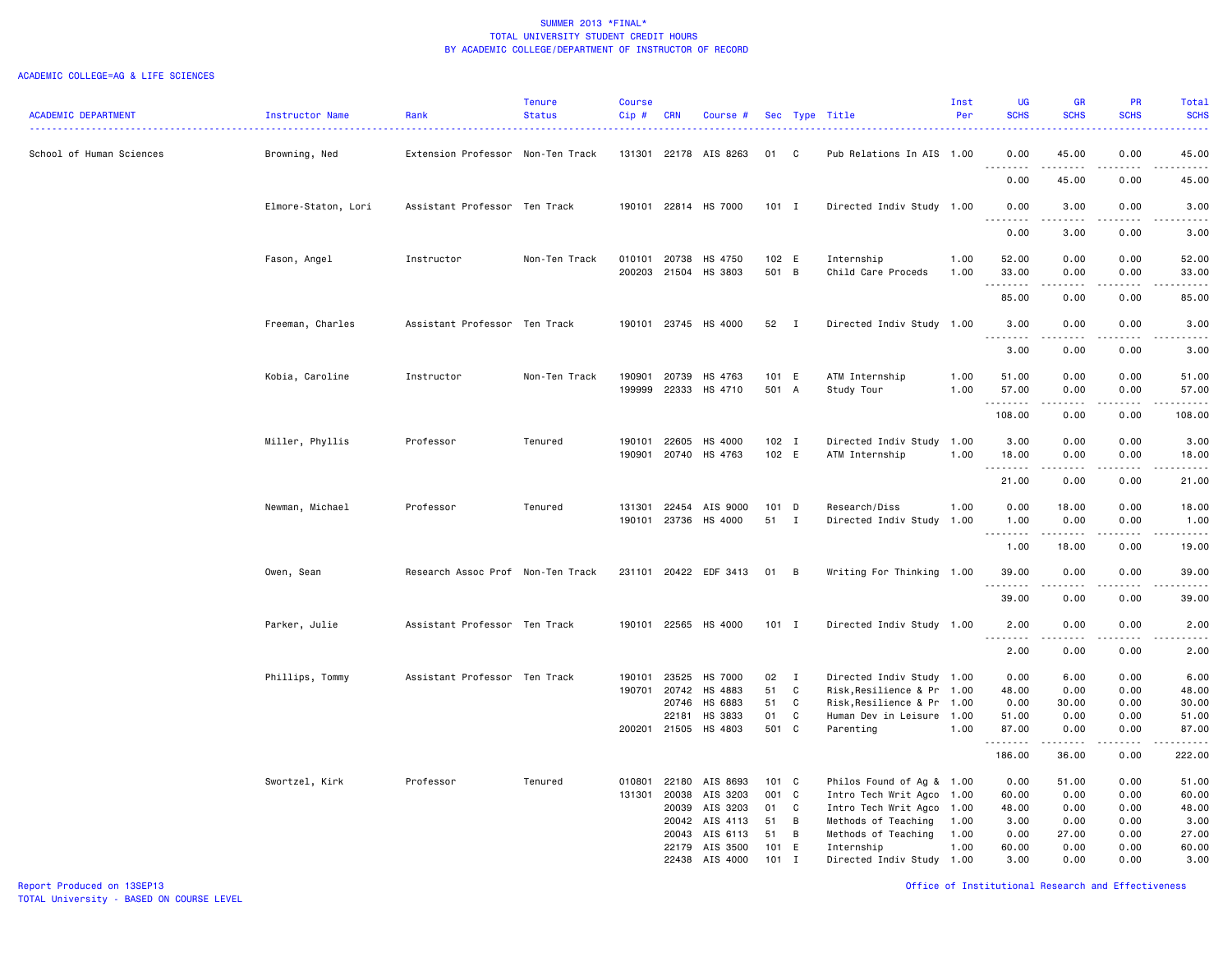|                            |                     |                                   | <b>Tenure</b> | <b>Course</b>    |                       |                                              |                  |                   |                                                         | Inst         | <b>UG</b>                                                                                                                                                                                  | <b>GR</b>                                                                                                                                                                                                                                                                                                                                    | PR              | Total                                                                                                                                                         |
|----------------------------|---------------------|-----------------------------------|---------------|------------------|-----------------------|----------------------------------------------|------------------|-------------------|---------------------------------------------------------|--------------|--------------------------------------------------------------------------------------------------------------------------------------------------------------------------------------------|----------------------------------------------------------------------------------------------------------------------------------------------------------------------------------------------------------------------------------------------------------------------------------------------------------------------------------------------|-----------------|---------------------------------------------------------------------------------------------------------------------------------------------------------------|
| <b>ACADEMIC DEPARTMENT</b> | Instructor Name     | Rank                              | <b>Status</b> | $Cip$ #          | <b>CRN</b>            | Course #                                     |                  |                   | Sec Type Title                                          | Per          | <b>SCHS</b>                                                                                                                                                                                | <b>SCHS</b>                                                                                                                                                                                                                                                                                                                                  | <b>SCHS</b>     | <b>SCHS</b><br>$\frac{1}{2} \left( \frac{1}{2} \right) \left( \frac{1}{2} \right) \left( \frac{1}{2} \right) \left( \frac{1}{2} \right)$                      |
| School of Human Sciences   | Browning, Ned       | Extension Professor Non-Ten Track |               |                  |                       | 131301 22178 AIS 8263                        | 01               | C                 | Pub Relations In AIS 1.00                               |              | 0.00<br>$\frac{1}{2} \left( \frac{1}{2} \right) \left( \frac{1}{2} \right) \left( \frac{1}{2} \right) \left( \frac{1}{2} \right) \left( \frac{1}{2} \right)$<br>- - -                      | 45.00<br>-----                                                                                                                                                                                                                                                                                                                               | 0.00<br>----    | 45.00<br>$\frac{1}{2} \left( \frac{1}{2} \right) \left( \frac{1}{2} \right) \left( \frac{1}{2} \right) \left( \frac{1}{2} \right) \left( \frac{1}{2} \right)$ |
|                            |                     |                                   |               |                  |                       |                                              |                  |                   |                                                         |              | 0.00                                                                                                                                                                                       | 45.00                                                                                                                                                                                                                                                                                                                                        | 0.00            | 45.00                                                                                                                                                         |
|                            | Elmore-Staton, Lori | Assistant Professor Ten Track     |               |                  |                       | 190101 22814 HS 7000                         | $101$ I          |                   | Directed Indiv Study 1.00                               |              | 0.00<br>$\sim$ $\sim$<br>.                                                                                                                                                                 | 3.00                                                                                                                                                                                                                                                                                                                                         | 0.00            | 3.00<br>.                                                                                                                                                     |
|                            |                     |                                   |               |                  |                       |                                              |                  |                   |                                                         |              | 0.00                                                                                                                                                                                       | 3.00                                                                                                                                                                                                                                                                                                                                         | 0.00            | 3.00                                                                                                                                                          |
|                            | Fason, Angel        | Instructor                        | Non-Ten Track |                  |                       | 010101 20738 HS 4750<br>200203 21504 HS 3803 | 102 E<br>501 B   |                   | Internship<br>Child Care Proceds                        | 1.00<br>1.00 | 52.00<br>33.00                                                                                                                                                                             | 0.00<br>0.00                                                                                                                                                                                                                                                                                                                                 | 0.00<br>0.00    | 52.00<br>33.00                                                                                                                                                |
|                            |                     |                                   |               |                  |                       |                                              |                  |                   |                                                         |              | .<br>85.00                                                                                                                                                                                 | .<br>0.00                                                                                                                                                                                                                                                                                                                                    | .<br>0.00       | .<br>85.00                                                                                                                                                    |
|                            | Freeman, Charles    | Assistant Professor Ten Track     |               |                  |                       | 190101 23745 HS 4000                         | 52 I             |                   | Directed Indiv Study 1.00                               |              | 3.00<br>$\omega$ $\omega$ $\omega$<br>$\frac{1}{2} \left( \frac{1}{2} \right) \left( \frac{1}{2} \right) \left( \frac{1}{2} \right) \left( \frac{1}{2} \right) \left( \frac{1}{2} \right)$ | 0.00                                                                                                                                                                                                                                                                                                                                         | 0.00<br>.       | 3.00                                                                                                                                                          |
|                            |                     |                                   |               |                  |                       |                                              |                  |                   |                                                         |              | 3.00                                                                                                                                                                                       | 0.00                                                                                                                                                                                                                                                                                                                                         | 0.00            | 3.00                                                                                                                                                          |
|                            | Kobia, Caroline     | Instructor                        | Non-Ten Track | 199999           |                       | 190901 20739 HS 4763<br>22333 HS 4710        | 101 E<br>501 A   |                   | ATM Internship<br>Study Tour                            | 1.00<br>1.00 | 51.00<br>57.00                                                                                                                                                                             | 0.00<br>0.00                                                                                                                                                                                                                                                                                                                                 | 0.00<br>0.00    | 51.00<br>57.00                                                                                                                                                |
|                            |                     |                                   |               |                  |                       |                                              |                  |                   |                                                         |              | .<br>108.00                                                                                                                                                                                | $\frac{1}{2} \left( \begin{array}{ccc} 1 & 0 & 0 & 0 \\ 0 & 0 & 0 & 0 \\ 0 & 0 & 0 & 0 \\ 0 & 0 & 0 & 0 \\ 0 & 0 & 0 & 0 \\ 0 & 0 & 0 & 0 \\ 0 & 0 & 0 & 0 \\ 0 & 0 & 0 & 0 \\ 0 & 0 & 0 & 0 \\ 0 & 0 & 0 & 0 \\ 0 & 0 & 0 & 0 & 0 \\ 0 & 0 & 0 & 0 & 0 \\ 0 & 0 & 0 & 0 & 0 \\ 0 & 0 & 0 & 0 & 0 \\ 0 & 0 & 0 & 0 & 0 \\ 0 & 0 & 0$<br>0.00 | .<br>0.00       | .<br>108.00                                                                                                                                                   |
|                            | Miller, Phyllis     | Professor                         | Tenured       | 190101           | 22605                 | HS 4000<br>190901 20740 HS 4763              | $102$ I<br>102 E |                   | Directed Indiv Study 1.00<br>ATM Internship             | 1.00         | 3.00<br>18.00                                                                                                                                                                              | 0.00<br>0.00                                                                                                                                                                                                                                                                                                                                 | 0.00<br>0.00    | 3.00<br>18.00                                                                                                                                                 |
|                            |                     |                                   |               |                  |                       |                                              |                  |                   |                                                         |              | .<br>21.00                                                                                                                                                                                 | $\frac{1}{2} \left( \frac{1}{2} \right) \left( \frac{1}{2} \right) \left( \frac{1}{2} \right) \left( \frac{1}{2} \right) \left( \frac{1}{2} \right)$<br>0.00                                                                                                                                                                                 | .<br>0.00       | .<br>21.00                                                                                                                                                    |
|                            | Newman, Michael     | Professor                         | Tenured       | 131301           | 22454                 | AIS 9000                                     | 101 D            |                   | Research/Diss                                           | 1.00         | 0.00                                                                                                                                                                                       | 18.00                                                                                                                                                                                                                                                                                                                                        | 0.00            | 18.00                                                                                                                                                         |
|                            |                     |                                   |               |                  |                       | 190101 23736 HS 4000                         | 51 I             |                   | Directed Indiv Study 1.00                               |              | 1.00<br>.                                                                                                                                                                                  | 0.00<br>$\frac{1}{2} \left( \frac{1}{2} \right) \left( \frac{1}{2} \right) \left( \frac{1}{2} \right) \left( \frac{1}{2} \right) \left( \frac{1}{2} \right)$                                                                                                                                                                                 | 0.00<br>د د د د | 1.00<br>$\frac{1}{2} \left( \frac{1}{2} \right) \left( \frac{1}{2} \right) \left( \frac{1}{2} \right) \left( \frac{1}{2} \right) \left( \frac{1}{2} \right)$  |
|                            |                     |                                   |               |                  |                       |                                              |                  |                   |                                                         |              | 1.00                                                                                                                                                                                       | 18.00                                                                                                                                                                                                                                                                                                                                        | 0.00            | 19.00                                                                                                                                                         |
|                            | Owen, Sean          | Research Assoc Prof Non-Ten Track |               |                  |                       | 231101 20422 EDF 3413                        | 01 B             |                   | Writing For Thinking 1.00                               |              | 39.00<br>.                                                                                                                                                                                 | 0.00<br>. <b>.</b> .                                                                                                                                                                                                                                                                                                                         | 0.00<br>.       | 39.00<br>.                                                                                                                                                    |
|                            |                     |                                   |               |                  |                       |                                              |                  |                   |                                                         |              | 39.00                                                                                                                                                                                      | 0.00                                                                                                                                                                                                                                                                                                                                         | 0.00            | 39.00                                                                                                                                                         |
|                            | Parker, Julie       | Assistant Professor Ten Track     |               |                  |                       | 190101 22565 HS 4000                         | $101$ I          |                   | Directed Indiv Study 1.00                               |              | 2.00<br>$\sim$ $\sim$<br>.                                                                                                                                                                 | 0.00<br>.                                                                                                                                                                                                                                                                                                                                    | 0.00<br>د د د د | 2.00<br>$\frac{1}{2} \left( \frac{1}{2} \right) \left( \frac{1}{2} \right) \left( \frac{1}{2} \right) \left( \frac{1}{2} \right) \left( \frac{1}{2} \right)$  |
|                            |                     |                                   |               |                  |                       |                                              |                  |                   |                                                         |              | 2.00                                                                                                                                                                                       | 0.00                                                                                                                                                                                                                                                                                                                                         | 0.00            | 2.00                                                                                                                                                          |
|                            | Phillips, Tommy     | Assistant Professor Ten Track     |               | 190101<br>190701 | 23525<br>20742        | <b>HS 7000</b><br>HS 4883                    | 02<br>51         | $\mathbf{I}$<br>C | Directed Indiv Study 1.00<br>Risk, Resilience & Pr 1.00 |              | 0.00<br>48.00                                                                                                                                                                              | 6.00<br>0.00                                                                                                                                                                                                                                                                                                                                 | 0.00<br>0.00    | 6.00<br>48.00                                                                                                                                                 |
|                            |                     |                                   |               |                  | 20746                 | HS 6883                                      | 51               | C                 | Risk, Resilience & Pr 1.00                              |              | 0.00                                                                                                                                                                                       | 30.00                                                                                                                                                                                                                                                                                                                                        | 0.00            | 30.00                                                                                                                                                         |
|                            |                     |                                   |               |                  | 22181<br>200201 21505 | HS 3833<br>HS 4803                           | 01<br>501 C      | C                 | Human Dev in Leisure 1.00<br>Parenting                  | 1.00         | 51.00<br>87.00                                                                                                                                                                             | 0.00<br>0.00                                                                                                                                                                                                                                                                                                                                 | 0.00<br>0.00    | 51.00<br>87.00                                                                                                                                                |
|                            |                     |                                   |               |                  |                       |                                              |                  |                   |                                                         |              | .<br>186.00                                                                                                                                                                                | .<br>36.00                                                                                                                                                                                                                                                                                                                                   | .<br>0.00       | .<br>222.00                                                                                                                                                   |
|                            | Swortzel, Kirk      | Professor                         | Tenured       | 010801           | 22180                 | AIS 8693                                     | 101 C            |                   | Philos Found of Ag & 1.00                               |              | 0.00                                                                                                                                                                                       | 51.00                                                                                                                                                                                                                                                                                                                                        | 0.00            | 51.00                                                                                                                                                         |
|                            |                     |                                   |               | 131301           | 20038                 | AIS 3203                                     | 001 C            |                   | Intro Tech Writ Agco 1.00                               |              | 60.00                                                                                                                                                                                      | 0.00                                                                                                                                                                                                                                                                                                                                         | 0.00            | 60.00                                                                                                                                                         |
|                            |                     |                                   |               |                  | 20039                 | AIS 3203                                     | 01               | C                 | Intro Tech Writ Agco 1.00                               |              | 48.00                                                                                                                                                                                      | 0.00                                                                                                                                                                                                                                                                                                                                         | 0.00            | 48.00                                                                                                                                                         |
|                            |                     |                                   |               |                  | 20042                 | AIS 4113                                     | 51               | B                 | Methods of Teaching                                     | 1.00         | 3.00                                                                                                                                                                                       | 0.00                                                                                                                                                                                                                                                                                                                                         | 0.00            | 3.00                                                                                                                                                          |
|                            |                     |                                   |               |                  | 20043                 | AIS 6113                                     | 51               | B                 | Methods of Teaching                                     | 1.00         | 0.00                                                                                                                                                                                       | 27.00                                                                                                                                                                                                                                                                                                                                        | 0.00            | 27.00                                                                                                                                                         |
|                            |                     |                                   |               |                  | 22179                 | AIS 3500                                     | 101              | E                 | Internship                                              | 1.00         | 60.00                                                                                                                                                                                      | 0.00                                                                                                                                                                                                                                                                                                                                         | 0.00            | 60.00                                                                                                                                                         |
|                            |                     |                                   |               |                  | 22438                 | AIS 4000                                     | 101              | $\mathbf I$       | Directed Indiv Study 1.00                               |              | 3.00                                                                                                                                                                                       | 0.00                                                                                                                                                                                                                                                                                                                                         | 0.00            | 3.00                                                                                                                                                          |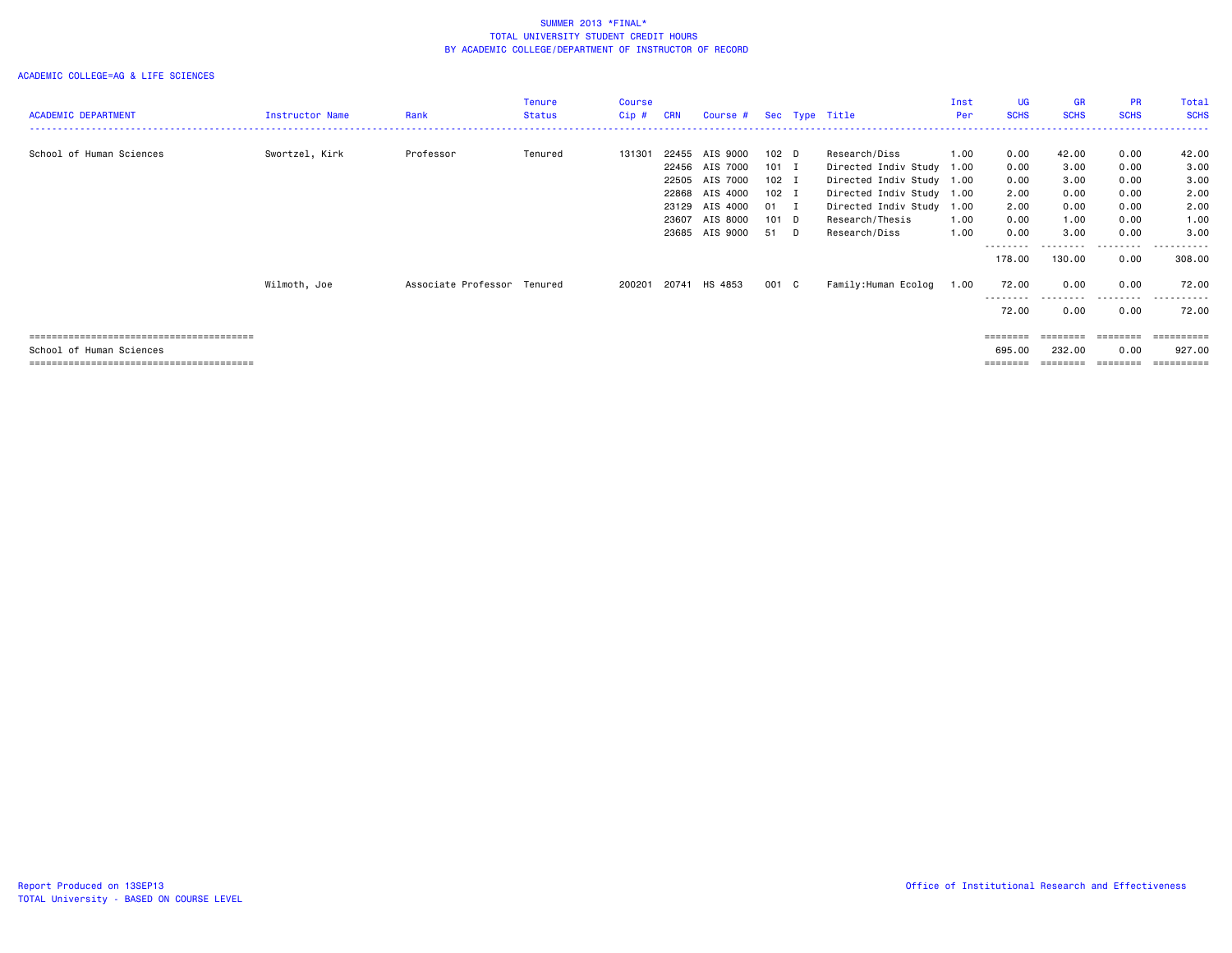| <b>ACADEMIC DEPARTMENT</b> | Instructor Name | Rank                        | <b>Tenure</b><br>Status | <b>Course</b><br>Cip# | <b>CRN</b>                       | Course #                                     |                                        |                          | Sec Type Title                                                                        | Inst<br>Per          | <b>UG</b><br><b>SCHS</b>                | <b>GR</b><br><b>SCHS</b>     | <b>PR</b><br><b>SCHS</b>     | Total<br><b>SCHS</b>         |
|----------------------------|-----------------|-----------------------------|-------------------------|-----------------------|----------------------------------|----------------------------------------------|----------------------------------------|--------------------------|---------------------------------------------------------------------------------------|----------------------|-----------------------------------------|------------------------------|------------------------------|------------------------------|
| School of Human Sciences   | Swortzel, Kirk  | Professor                   | Tenured                 | 131301                | 22455<br>22456<br>22505          | AIS 9000<br>AIS 7000<br>AIS 7000             | 102 <sub>D</sub><br>$101$ I<br>$102$ I |                          | Research/Diss<br>Directed Indiv Study<br>Directed Indiv Study 1.00                    | 1.00<br>1.00         | 0.00<br>0.00<br>0.00                    | 42.00<br>3.00<br>3.00        | 0.00<br>0.00<br>0.00         | 42.00<br>3.00<br>3.00        |
|                            |                 |                             |                         |                       | 22868<br>23129<br>23607<br>23685 | AIS 4000<br>AIS 4000<br>AIS 8000<br>AIS 9000 | $102$ I<br>01<br>101 D<br>51           | $\blacksquare$<br>$\Box$ | Directed Indiv Study 1.00<br>Directed Indiv Study<br>Research/Thesis<br>Research/Diss | 1.00<br>1.00<br>1.00 | 2.00<br>2.00<br>0.00<br>0.00            | 0.00<br>0.00<br>1.00<br>3.00 | 0.00<br>0.00<br>0.00<br>0.00 | 2.00<br>2.00<br>1.00<br>3.00 |
|                            | Wilmoth, Joe    | Associate Professor Tenured |                         | 200201                |                                  | 20741 HS 4853                                | 001 C                                  |                          | Family:Human Ecolog                                                                   | 1.00                 | --------<br>178.00<br>72.00             | 130.00<br>0.00               | . <b>.</b> .<br>0.00<br>0.00 | .<br>308.00<br>72.00         |
|                            |                 |                             |                         |                       |                                  |                                              |                                        |                          |                                                                                       |                      | ---------<br>72.00                      | .<br>0.00                    | ---------<br>0.00            | - - - - - - -<br>72.00       |
| School of Human Sciences   |                 |                             |                         |                       |                                  |                                              |                                        |                          |                                                                                       |                      | $=$ = = = = = = =<br>695.00<br>======== | ========<br>232.00<br>====== | ========<br>0.00<br>======== | 927,00<br>==========         |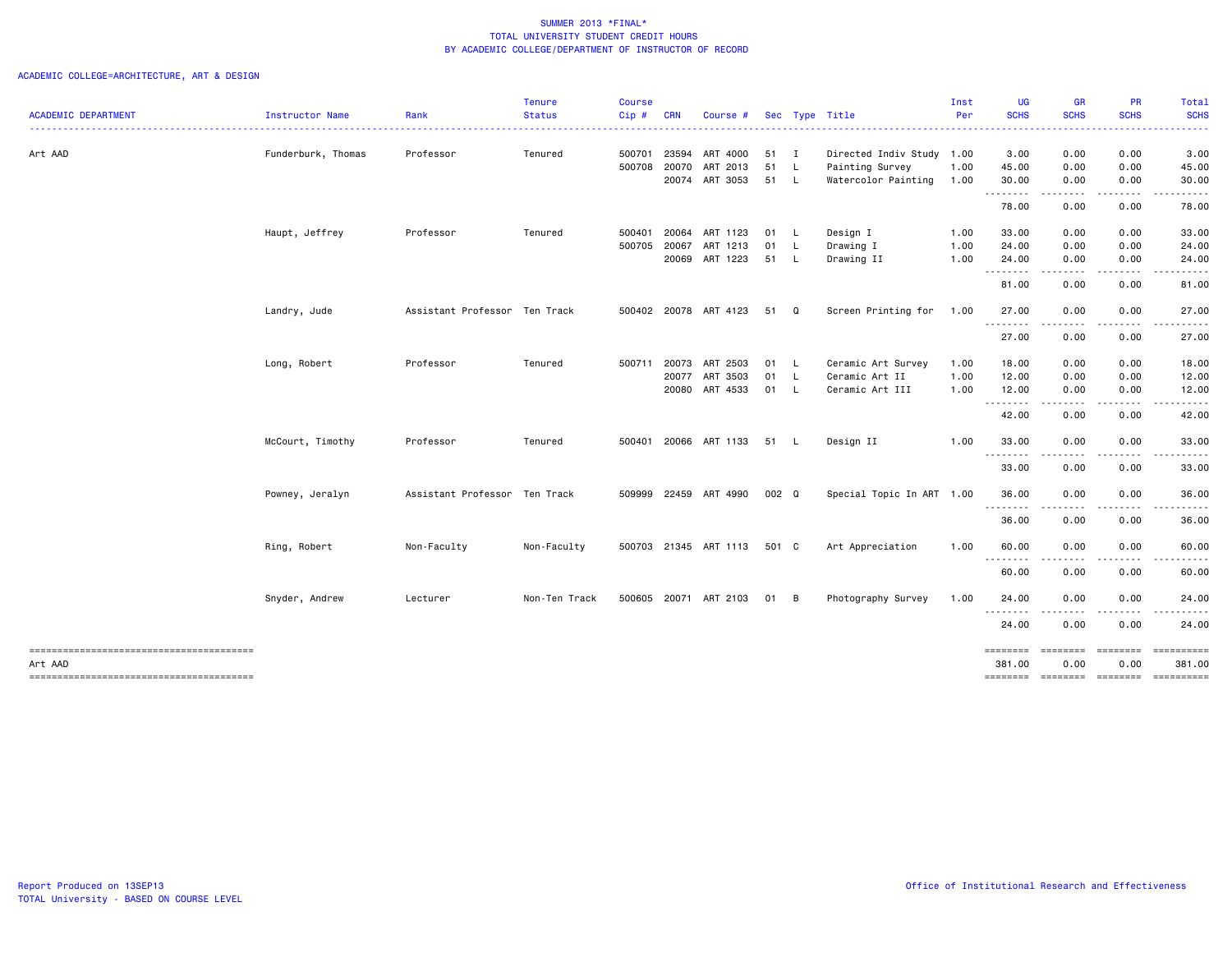|                                        |                    |                               | <b>Tenure</b> | <b>Course</b> |            |                             |       |              |                           | Inst | <b>UG</b>               | <b>GR</b>                                                                                                                         | <b>PR</b>                                                                                                                                                                               | Total                                                                                                                                                                                                                                                                                                                                                                                                                                                                                            |
|----------------------------------------|--------------------|-------------------------------|---------------|---------------|------------|-----------------------------|-------|--------------|---------------------------|------|-------------------------|-----------------------------------------------------------------------------------------------------------------------------------|-----------------------------------------------------------------------------------------------------------------------------------------------------------------------------------------|--------------------------------------------------------------------------------------------------------------------------------------------------------------------------------------------------------------------------------------------------------------------------------------------------------------------------------------------------------------------------------------------------------------------------------------------------------------------------------------------------|
| ACADEMIC DEPARTMENT                    | Instructor Name    | Rank                          | <b>Status</b> | Cip#          | <b>CRN</b> | Course #                    |       |              | Sec Type Title            | Per  | <b>SCHS</b>             | <b>SCHS</b>                                                                                                                       | <b>SCHS</b>                                                                                                                                                                             | <b>SCHS</b><br>.                                                                                                                                                                                                                                                                                                                                                                                                                                                                                 |
| Art AAD                                | Funderburk, Thomas | Professor                     | Tenured       | 500701        | 23594      | ART 4000                    | 51    | $\mathbf{I}$ | Directed Indiv Study 1.00 |      | 3.00                    | 0.00                                                                                                                              | 0.00                                                                                                                                                                                    | 3.00                                                                                                                                                                                                                                                                                                                                                                                                                                                                                             |
|                                        |                    |                               |               | 500708        |            | 20070 ART 2013              | 51    | - L          | Painting Survey           | 1.00 | 45.00                   | 0.00                                                                                                                              | 0.00                                                                                                                                                                                    | 45.00                                                                                                                                                                                                                                                                                                                                                                                                                                                                                            |
|                                        |                    |                               |               |               |            | 20074 ART 3053              | 51 L  |              | Watercolor Painting       | 1.00 | 30.00<br>. <sub>.</sub> | 0.00<br>-----                                                                                                                     | 0.00<br>$\frac{1}{2} \left( \frac{1}{2} \right) \left( \frac{1}{2} \right) \left( \frac{1}{2} \right) \left( \frac{1}{2} \right) \left( \frac{1}{2} \right) \left( \frac{1}{2} \right)$ | 30.00<br>.                                                                                                                                                                                                                                                                                                                                                                                                                                                                                       |
|                                        |                    |                               |               |               |            |                             |       |              |                           |      | 78.00                   | 0.00                                                                                                                              | 0.00                                                                                                                                                                                    | 78.00                                                                                                                                                                                                                                                                                                                                                                                                                                                                                            |
|                                        | Haupt, Jeffrey     | Professor                     | Tenured       | 500401        |            | 20064 ART 1123              | 01 L  |              | Design I                  | 1.00 | 33.00                   | 0.00                                                                                                                              | 0.00                                                                                                                                                                                    | 33.00                                                                                                                                                                                                                                                                                                                                                                                                                                                                                            |
|                                        |                    |                               |               | 500705 20067  |            | ART 1213                    | 01    | - L          | Drawing I                 | 1.00 | 24.00                   | 0.00                                                                                                                              | 0.00                                                                                                                                                                                    | 24.00                                                                                                                                                                                                                                                                                                                                                                                                                                                                                            |
|                                        |                    |                               |               |               |            | 20069 ART 1223              | 51 L  |              | Drawing II                | 1.00 | 24.00<br>.              | 0.00<br>.                                                                                                                         | 0.00<br>.                                                                                                                                                                               | 24.00<br>.                                                                                                                                                                                                                                                                                                                                                                                                                                                                                       |
|                                        |                    |                               |               |               |            |                             |       |              |                           |      | 81.00                   | 0.00                                                                                                                              | 0.00                                                                                                                                                                                    | 81.00                                                                                                                                                                                                                                                                                                                                                                                                                                                                                            |
|                                        | Landry, Jude       | Assistant Professor Ten Track |               |               |            | 500402 20078 ART 4123       | 51 Q  |              | Screen Printing for       | 1.00 | 27.00<br>.              | 0.00<br>$\frac{1}{2} \left( \frac{1}{2} \right) \left( \frac{1}{2} \right) \left( \frac{1}{2} \right) \left( \frac{1}{2} \right)$ | 0.00<br>$\frac{1}{2} \left( \frac{1}{2} \right) \left( \frac{1}{2} \right) \left( \frac{1}{2} \right) \left( \frac{1}{2} \right)$                                                       | 27.00<br>.                                                                                                                                                                                                                                                                                                                                                                                                                                                                                       |
|                                        |                    |                               |               |               |            |                             |       |              |                           |      | 27.00                   | 0.00                                                                                                                              | 0.00                                                                                                                                                                                    | 27.00                                                                                                                                                                                                                                                                                                                                                                                                                                                                                            |
|                                        | Long, Robert       | Professor                     | Tenured       | 500711        |            | 20073 ART 2503              | 01 L  |              | Ceramic Art Survey        | 1.00 | 18.00                   | 0.00                                                                                                                              | 0.00                                                                                                                                                                                    | 18.00                                                                                                                                                                                                                                                                                                                                                                                                                                                                                            |
|                                        |                    |                               |               |               |            | 20077 ART 3503              | 01 L  |              | Ceramic Art II            | 1.00 | 12.00                   | 0.00                                                                                                                              | 0.00                                                                                                                                                                                    | 12.00                                                                                                                                                                                                                                                                                                                                                                                                                                                                                            |
|                                        |                    |                               |               |               |            | 20080 ART 4533              | 01    | - L          | Ceramic Art III           | 1.00 | 12.00<br>.              | 0.00<br>$\frac{1}{2} \left( \frac{1}{2} \right) \left( \frac{1}{2} \right) \left( \frac{1}{2} \right) \left( \frac{1}{2} \right)$ | 0.00<br>. <b>.</b>                                                                                                                                                                      | 12.00                                                                                                                                                                                                                                                                                                                                                                                                                                                                                            |
|                                        |                    |                               |               |               |            |                             |       |              |                           |      | 42.00                   | 0.00                                                                                                                              | 0.00                                                                                                                                                                                    | 42.00                                                                                                                                                                                                                                                                                                                                                                                                                                                                                            |
|                                        | McCourt, Timothy   | Professor                     | Tenured       |               |            | 500401 20066 ART 1133       | 51 L  |              | Design II                 | 1.00 | 33.00<br>----           | 0.00                                                                                                                              | 0.00                                                                                                                                                                                    | 33.00                                                                                                                                                                                                                                                                                                                                                                                                                                                                                            |
|                                        |                    |                               |               |               |            |                             |       |              |                           |      | 33.00                   | 0.00                                                                                                                              | 0.00                                                                                                                                                                                    | 33.00                                                                                                                                                                                                                                                                                                                                                                                                                                                                                            |
|                                        | Powney, Jeralyn    | Assistant Professor Ten Track |               |               |            | 509999 22459 ART 4990       | 002 Q |              | Special Topic In ART 1.00 |      | 36.00<br><b></b>        | 0.00<br>- - - -                                                                                                                   | 0.00                                                                                                                                                                                    | 36.00                                                                                                                                                                                                                                                                                                                                                                                                                                                                                            |
|                                        |                    |                               |               |               |            |                             |       |              |                           |      | 36.00                   | 0.00                                                                                                                              | 0.00                                                                                                                                                                                    | 36.00                                                                                                                                                                                                                                                                                                                                                                                                                                                                                            |
|                                        | Ring, Robert       | Non-Faculty                   | Non-Faculty   |               |            | 500703 21345 ART 1113 501 C |       |              | Art Appreciation          | 1.00 | 60.00<br><u>.</u>       | 0.00                                                                                                                              | 0.00                                                                                                                                                                                    | 60.00                                                                                                                                                                                                                                                                                                                                                                                                                                                                                            |
|                                        |                    |                               |               |               |            |                             |       |              |                           |      | 60.00                   | 0.00                                                                                                                              | 0.00                                                                                                                                                                                    | 60.00                                                                                                                                                                                                                                                                                                                                                                                                                                                                                            |
|                                        | Snyder, Andrew     | Lecturer                      | Non-Ten Track |               |            | 500605 20071 ART 2103       | 01 B  |              | Photography Survey        | 1.00 | 24.00<br>.              | 0.00<br>.                                                                                                                         | 0.00                                                                                                                                                                                    | 24.00                                                                                                                                                                                                                                                                                                                                                                                                                                                                                            |
|                                        |                    |                               |               |               |            |                             |       |              |                           |      | 24.00                   | 0.00                                                                                                                              | 0.00                                                                                                                                                                                    | 24.00                                                                                                                                                                                                                                                                                                                                                                                                                                                                                            |
| Art AAD                                |                    |                               |               |               |            |                             |       |              |                           |      | ========<br>381.00      | 0.00                                                                                                                              | ========<br>0.00                                                                                                                                                                        | $\begin{array}{cccccccccc} \multicolumn{2}{c}{} & \multicolumn{2}{c}{} & \multicolumn{2}{c}{} & \multicolumn{2}{c}{} & \multicolumn{2}{c}{} & \multicolumn{2}{c}{} & \multicolumn{2}{c}{} & \multicolumn{2}{c}{} & \multicolumn{2}{c}{} & \multicolumn{2}{c}{} & \multicolumn{2}{c}{} & \multicolumn{2}{c}{} & \multicolumn{2}{c}{} & \multicolumn{2}{c}{} & \multicolumn{2}{c}{} & \multicolumn{2}{c}{} & \multicolumn{2}{c}{} & \multicolumn{2}{c}{} & \multicolumn{2}{c}{} & \mult$<br>381.00 |
| -------------------------------------- |                    |                               |               |               |            |                             |       |              |                           |      | ========                | <b>EEEEEEEE</b>                                                                                                                   | =========                                                                                                                                                                               | ==========                                                                                                                                                                                                                                                                                                                                                                                                                                                                                       |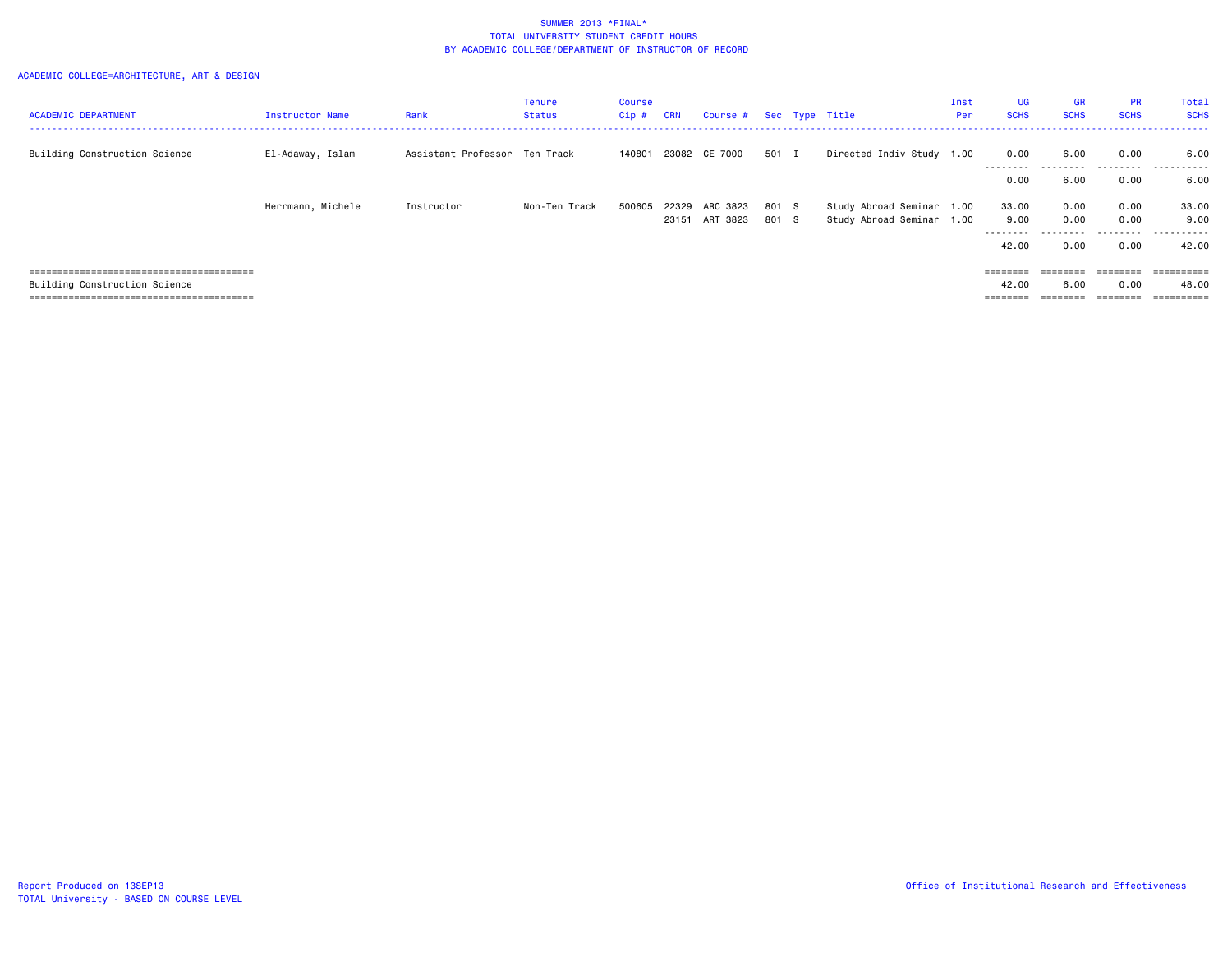| <b>ACADEMIC DEPARTMENT</b>    | Instructor Name   | Rank                          | Tenure<br>Status | Course<br>Cip # | <b>CRN</b>     | Course # Sec Type Title |                |                                                        | Inst<br>Per | UG<br><b>SCHS</b> | <b>GR</b><br><b>SCHS</b> | <b>PR</b><br><b>SCHS</b> | Total<br><b>SCHS</b> |
|-------------------------------|-------------------|-------------------------------|------------------|-----------------|----------------|-------------------------|----------------|--------------------------------------------------------|-------------|-------------------|--------------------------|--------------------------|----------------------|
| Building Construction Science | El-Adaway, Islam  | Assistant Professor Ten Track |                  | 140801          |                | 23082 CE 7000           | 501 I          | Directed Indiv Study 1.00                              |             | 0.00              | 6.00                     | 0.00                     | 6.00                 |
|                               |                   |                               |                  |                 |                |                         |                |                                                        |             | --------<br>0.00  | 6.00                     | .<br>0.00                | .<br>6.00            |
|                               | Herrmann, Michele | Instructor                    | Non-Ten Track    | 500605          | 22329<br>23151 | ARC 3823<br>ART 3823    | 801 S<br>801 S | Study Abroad Seminar 1.00<br>Study Abroad Seminar 1.00 |             | 33.00<br>9.00     | 0.00<br>0.00             | 0.00<br>0.00             | 33.00<br>9.00        |
|                               |                   |                               |                  |                 |                |                         |                |                                                        |             | --------<br>42.00 | 0.00                     | 0.00                     | ------<br>42.00      |
|                               |                   |                               |                  |                 |                |                         |                |                                                        |             | ========          | ========                 | ========                 | ==========           |
| Building Construction Science |                   |                               |                  |                 |                |                         |                |                                                        |             | 42.00             | 6.00                     | 0.00                     | 48.00                |
|                               |                   |                               |                  |                 |                |                         |                |                                                        |             | ========          |                          | ========                 | ==========           |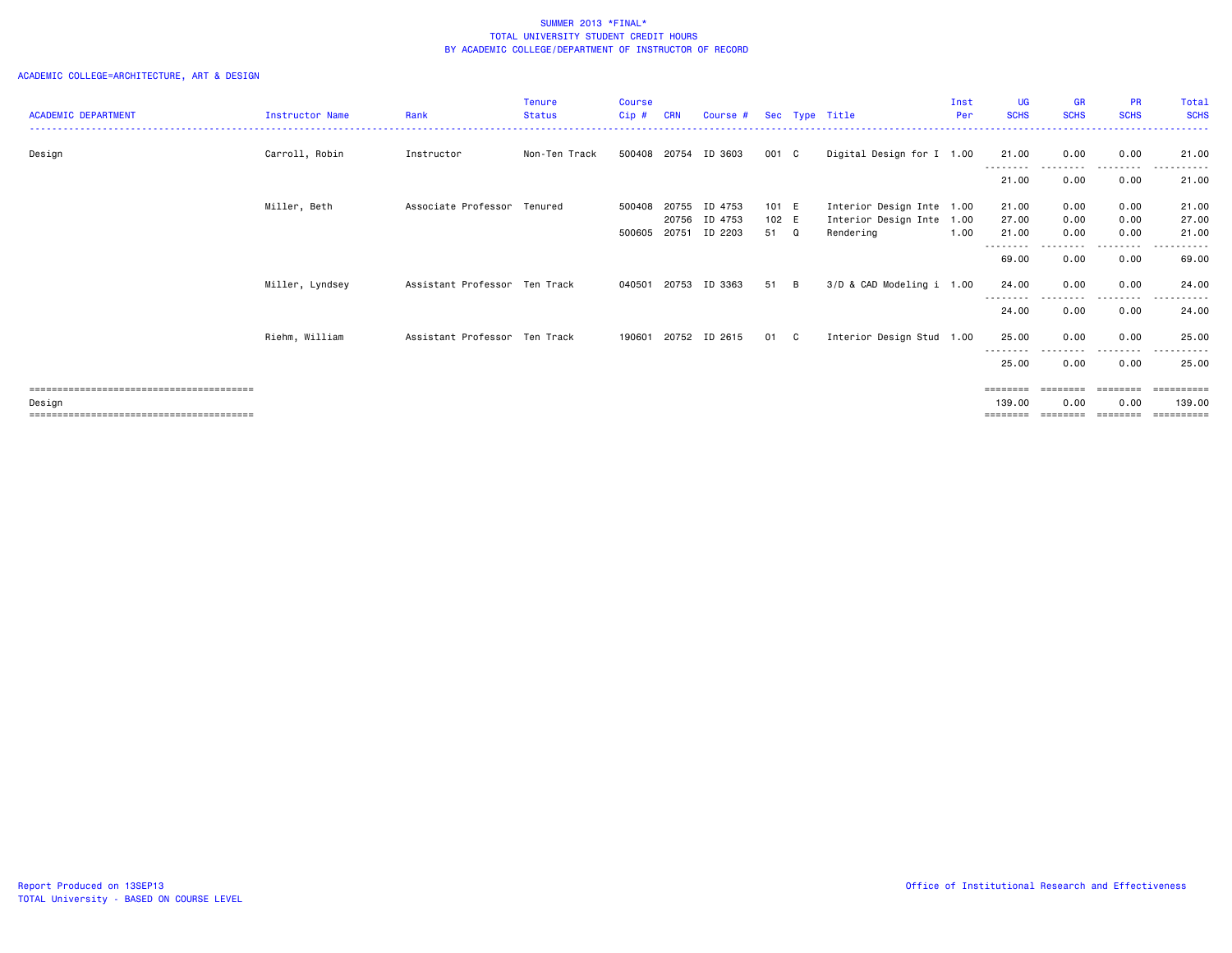|                            |                 |                               | <b>Tenure</b> | <b>Course</b> |            |               |       |    |                           | Inst | <b>UG</b>         | <b>GR</b>   | <b>PR</b>        | Total                |
|----------------------------|-----------------|-------------------------------|---------------|---------------|------------|---------------|-------|----|---------------------------|------|-------------------|-------------|------------------|----------------------|
| <b>ACADEMIC DEPARTMENT</b> | Instructor Name | Rank                          | <b>Status</b> | $Cip$ #       | <b>CRN</b> | Course #      |       |    | Sec Type Title            | Per  | <b>SCHS</b>       | <b>SCHS</b> | <b>SCHS</b>      | <b>SCHS</b>          |
|                            |                 |                               |               |               |            |               |       |    |                           |      |                   |             |                  |                      |
| Design                     | Carroll, Robin  | Instructor                    | Non-Ten Track | 500408        | 20754      | ID 3603       | 001 C |    | Digital Design for I 1.00 |      | 21.00             | 0.00        | 0.00             | 21.00                |
|                            |                 |                               |               |               |            |               |       |    |                           |      | --------          |             | <u>.</u>         |                      |
|                            |                 |                               |               |               |            |               |       |    |                           |      | 21.00             | 0.00        | 0.00             | 21.00                |
|                            | Miller, Beth    | Associate Professor Tenured   |               | 500408        | 20755      | ID 4753       | 101 E |    | Interior Design Inte 1.00 |      | 21.00             | 0.00        | 0.00             | 21.00                |
|                            |                 |                               |               |               | 20756      | ID 4753       | 102 E |    | Interior Design Inte 1.00 |      | 27.00             | 0.00        | 0.00             | 27.00                |
|                            |                 |                               |               | 500605        | 20751      | ID 2203       | 51 Q  |    | Rendering                 | 1.00 | 21.00             | 0.00        | 0.00             | 21.00                |
|                            |                 |                               |               |               |            |               |       |    |                           |      | --------<br>69.00 | 0.00        | <u>.</u><br>0.00 | ------<br>69.00      |
|                            | Miller, Lyndsey | Assistant Professor Ten Track |               | 040501        |            | 20753 ID 3363 | 51    | B  | 3/D & CAD Modeling i 1.00 |      | 24.00             | 0.00        | 0.00             | 24.00                |
|                            |                 |                               |               |               |            |               |       |    |                           |      | --------<br>24.00 | 0.00        | --------<br>0.00 | - - - - - -<br>24.00 |
|                            | Riehm, William  | Assistant Professor Ten Track |               | 190601        |            | 20752 ID 2615 | 01    | C. | Interior Design Stud 1.00 |      | 25.00             | 0.00        | 0.00             | 25.00                |
|                            |                 |                               |               |               |            |               |       |    |                           |      | 25.00             | 0.00        | 0.00             | 25.00                |
|                            |                 |                               |               |               |            |               |       |    |                           |      | ========          |             | ---------        | -----------          |
| Design                     |                 |                               |               |               |            |               |       |    |                           |      | 139.00            | 0.00        | 0.00             | 139.00               |
|                            |                 |                               |               |               |            |               |       |    |                           |      | ========          | ---------   | ---------        | -----------          |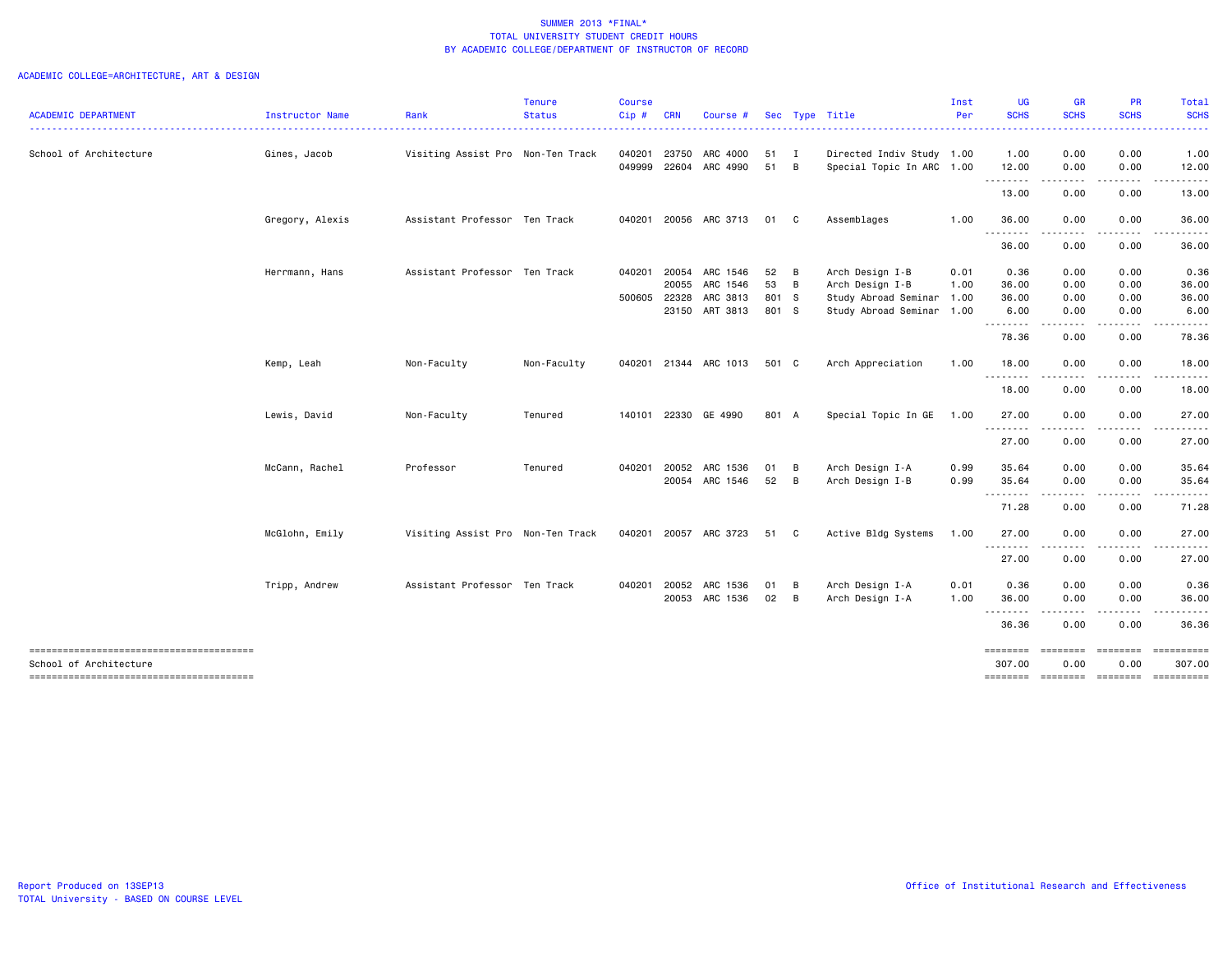| 0.00<br>1.00<br>12.00<br>0.00<br>.<br>المتمامين<br>13.00<br>0.00<br>0.00<br>36.00<br>.<br>0.00<br>36.00<br>0.36<br>0.00<br>36.00<br>0.00<br>36.00<br>0.00 | 0.00<br>0.00<br>.<br>0.00<br>0.00<br>0.00<br>0.00                                                                                                                                                                                                                                                                                                                                              | .                                                 |
|-----------------------------------------------------------------------------------------------------------------------------------------------------------|------------------------------------------------------------------------------------------------------------------------------------------------------------------------------------------------------------------------------------------------------------------------------------------------------------------------------------------------------------------------------------------------|---------------------------------------------------|
|                                                                                                                                                           |                                                                                                                                                                                                                                                                                                                                                                                                | 1.00<br>12.00                                     |
|                                                                                                                                                           |                                                                                                                                                                                                                                                                                                                                                                                                |                                                   |
|                                                                                                                                                           |                                                                                                                                                                                                                                                                                                                                                                                                |                                                   |
|                                                                                                                                                           |                                                                                                                                                                                                                                                                                                                                                                                                | 13.00<br>36.00<br>36.00                           |
|                                                                                                                                                           |                                                                                                                                                                                                                                                                                                                                                                                                |                                                   |
|                                                                                                                                                           |                                                                                                                                                                                                                                                                                                                                                                                                |                                                   |
|                                                                                                                                                           |                                                                                                                                                                                                                                                                                                                                                                                                |                                                   |
|                                                                                                                                                           |                                                                                                                                                                                                                                                                                                                                                                                                | 0.36                                              |
|                                                                                                                                                           | 0.00                                                                                                                                                                                                                                                                                                                                                                                           | 36.00                                             |
|                                                                                                                                                           | 0.00                                                                                                                                                                                                                                                                                                                                                                                           | 36.00                                             |
| 6.00<br>0.00<br><u>.</u><br>$\frac{1}{2} \left( \frac{1}{2} \right) \left( \frac{1}{2} \right) \left( \frac{1}{2} \right) \left( \frac{1}{2} \right)$     | 0.00<br>.                                                                                                                                                                                                                                                                                                                                                                                      | 6.00                                              |
| 0.00<br>78.36                                                                                                                                             | 0.00                                                                                                                                                                                                                                                                                                                                                                                           | 78.36                                             |
| 18.00<br>0.00                                                                                                                                             | 0.00                                                                                                                                                                                                                                                                                                                                                                                           | 18.00                                             |
| .<br>----<br>0.00<br>18.00                                                                                                                                | 0.00                                                                                                                                                                                                                                                                                                                                                                                           | 18.00                                             |
| 27.00<br>0.00                                                                                                                                             | 0.00                                                                                                                                                                                                                                                                                                                                                                                           | 27.00                                             |
| <u>.</u><br>.                                                                                                                                             | .                                                                                                                                                                                                                                                                                                                                                                                              |                                                   |
| 0.00<br>27.00                                                                                                                                             | 0.00                                                                                                                                                                                                                                                                                                                                                                                           | 27.00                                             |
|                                                                                                                                                           |                                                                                                                                                                                                                                                                                                                                                                                                | 35.64                                             |
| 0.00                                                                                                                                                      | 0.00                                                                                                                                                                                                                                                                                                                                                                                           | 35.64                                             |
| 0.00                                                                                                                                                      | 0.00                                                                                                                                                                                                                                                                                                                                                                                           | 71.28                                             |
| 0.00                                                                                                                                                      | 0.00                                                                                                                                                                                                                                                                                                                                                                                           | 27.00                                             |
| ----<br>0.00                                                                                                                                              | 0.00                                                                                                                                                                                                                                                                                                                                                                                           | 27.00                                             |
|                                                                                                                                                           |                                                                                                                                                                                                                                                                                                                                                                                                |                                                   |
| 0.00                                                                                                                                                      | 0.00                                                                                                                                                                                                                                                                                                                                                                                           | 0.36                                              |
|                                                                                                                                                           |                                                                                                                                                                                                                                                                                                                                                                                                | 36.00<br>.                                        |
| 0.00                                                                                                                                                      | 0.00                                                                                                                                                                                                                                                                                                                                                                                           | 36.36                                             |
| $= 22222222$                                                                                                                                              | ========                                                                                                                                                                                                                                                                                                                                                                                       |                                                   |
| 0.00                                                                                                                                                      | 0.00                                                                                                                                                                                                                                                                                                                                                                                           | 307.00                                            |
|                                                                                                                                                           | 35.64<br>35.64<br>.<br>$\sim$ $\sim$ $\sim$<br>71.28<br>27.00<br>. <b>.</b><br>27.00<br>0.36<br>36.00<br>0.00<br>.<br>$\frac{1}{2} \left( \frac{1}{2} \right) \left( \frac{1}{2} \right) \left( \frac{1}{2} \right) \left( \frac{1}{2} \right) \left( \frac{1}{2} \right) \left( \frac{1}{2} \right) \left( \frac{1}{2} \right)$<br>36.36<br>========<br>307.00<br><b>ESSESSES</b><br>======== | 0.00<br>0.00<br>.<br>0.00<br>.<br><b>ESSESSES</b> |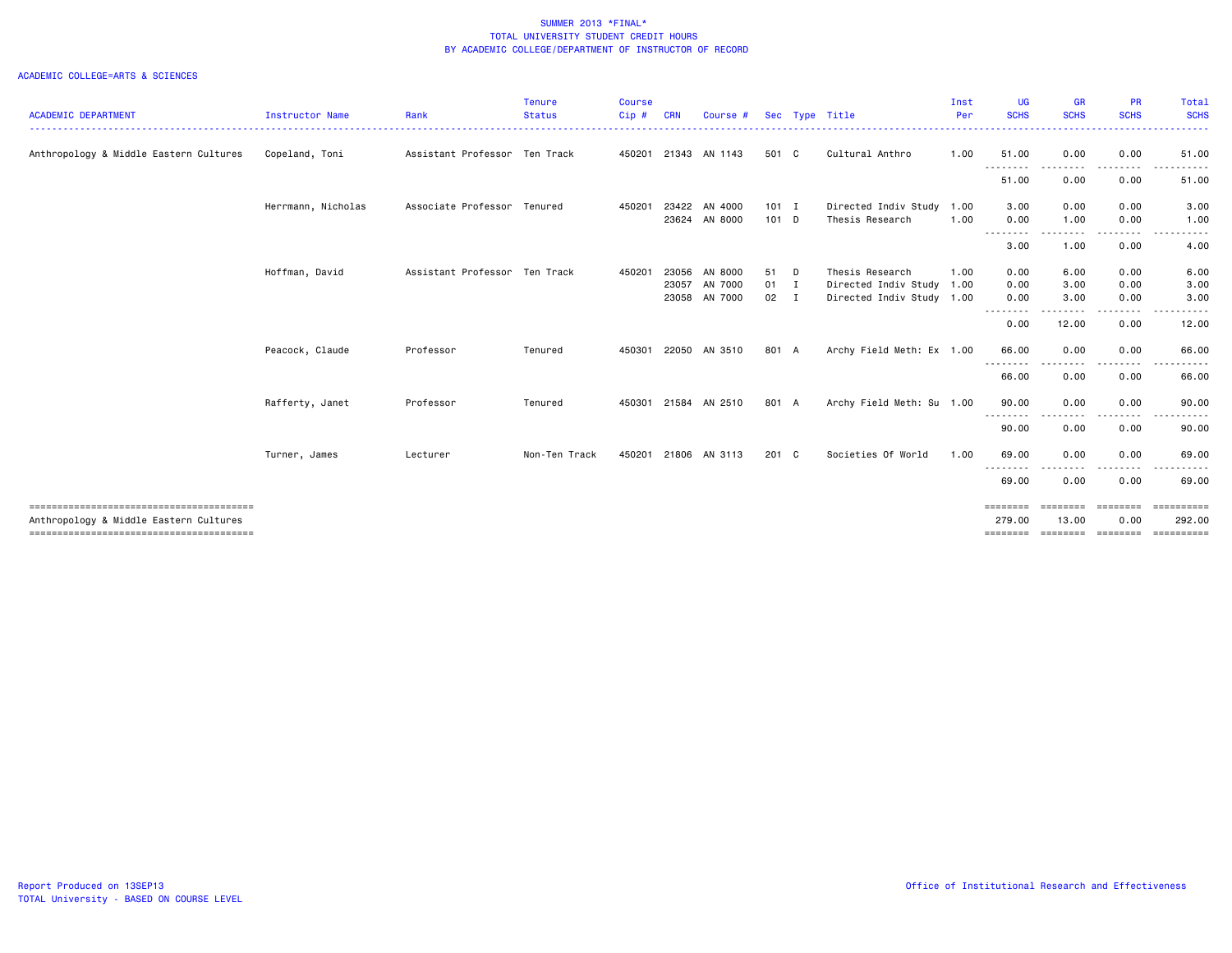| <b>ACADEMIC DEPARTMENT</b>             | <b>Instructor Name</b> | Rank                          | <b>Tenure</b><br><b>Status</b> | <b>Course</b><br>Cip# | <b>CRN</b> | Course #                 |                         | Sec Type Title                                    | Inst<br>Per  | <b>UG</b><br><b>SCHS</b> | <b>GR</b><br><b>SCHS</b> | <b>PR</b><br><b>SCHS</b>  | Total<br><b>SCHS</b>       |
|----------------------------------------|------------------------|-------------------------------|--------------------------------|-----------------------|------------|--------------------------|-------------------------|---------------------------------------------------|--------------|--------------------------|--------------------------|---------------------------|----------------------------|
| Anthropology & Middle Eastern Cultures | Copeland, Toni         | Assistant Professor Ten Track |                                |                       |            | 450201 21343 AN 1143     | 501 C                   | Cultural Anthro                                   | 1.00         | 51.00                    | 0.00                     | 0.00                      | 51.00                      |
|                                        |                        |                               |                                |                       |            |                          |                         |                                                   |              | --------<br>51.00        | .<br>0.00                | 0.00                      | 51.00                      |
|                                        | Herrmann, Nicholas     | Associate Professor Tenured   |                                | 450201                | 23422      | AN 4000<br>23624 AN 8000 | $101$ I<br>101 D        | Directed Indiv Study<br>Thesis Research           | 1.00<br>1.00 | 3.00<br>0.00             | 0.00<br>1.00             | 0.00<br>0.00              | 3.00<br>1.00               |
|                                        |                        |                               |                                |                       |            |                          |                         |                                                   |              | --------<br>3.00         | .<br>1.00                | 0.00                      | 4.00                       |
|                                        | Hoffman, David         | Assistant Professor Ten Track |                                | 450201                | 23056      | AN 8000                  | 51 D                    | Thesis Research                                   | 1.00         | 0.00                     | 6.00                     | 0.00                      | 6.00                       |
|                                        |                        |                               |                                |                       | 23057      | AN 7000<br>23058 AN 7000 | $01$ I<br>$02 \qquad I$ | Directed Indiv Study<br>Directed Indiv Study 1.00 | 1.00         | 0.00<br>0.00             | 3.00<br>3.00             | 0.00<br>0.00              | 3.00<br>3.00               |
|                                        |                        |                               |                                |                       |            |                          |                         |                                                   |              | --------<br>0.00         | .<br>12.00               | 0.00                      | 12.00                      |
|                                        | Peacock, Claude        | Professor                     | Tenured                        | 450301                |            | 22050 AN 3510            | 801 A                   | Archy Field Meth: Ex 1.00                         |              | 66.00<br>--------        | 0.00<br>----             | 0.00                      | 66.00                      |
|                                        |                        |                               |                                |                       |            |                          |                         |                                                   |              | 66.00                    | 0.00                     | 0.00                      | 66.00                      |
|                                        | Rafferty, Janet        | Professor                     | Tenured                        | 450301                |            | 21584 AN 2510            | 801 A                   | Archy Field Meth: Su 1.00                         |              | 90.00<br>--------        | 0.00                     | 0.00                      | 90.00                      |
|                                        | Turner, James          | Lecturer                      | Non-Ten Track                  | 450201                |            | 21806 AN 3113            | 201 C                   | Societies Of World                                | 1.00         | 90.00<br>69.00           | 0.00<br>0.00             | 0.00<br>0.00              | 90.00<br>69.00             |
|                                        |                        |                               |                                |                       |            |                          |                         |                                                   |              | --------<br>69.00        | 0.00                     | 0.00                      | 69.00                      |
|                                        |                        |                               |                                |                       |            |                          |                         |                                                   |              | ========                 | ========                 | ========                  | $=$ ==========             |
| Anthropology & Middle Eastern Cultures |                        |                               |                                |                       |            |                          |                         |                                                   |              | 279.00<br>========       | 13.00                    | 0.00<br>economic concepts | 292.00<br><b>CONSESSED</b> |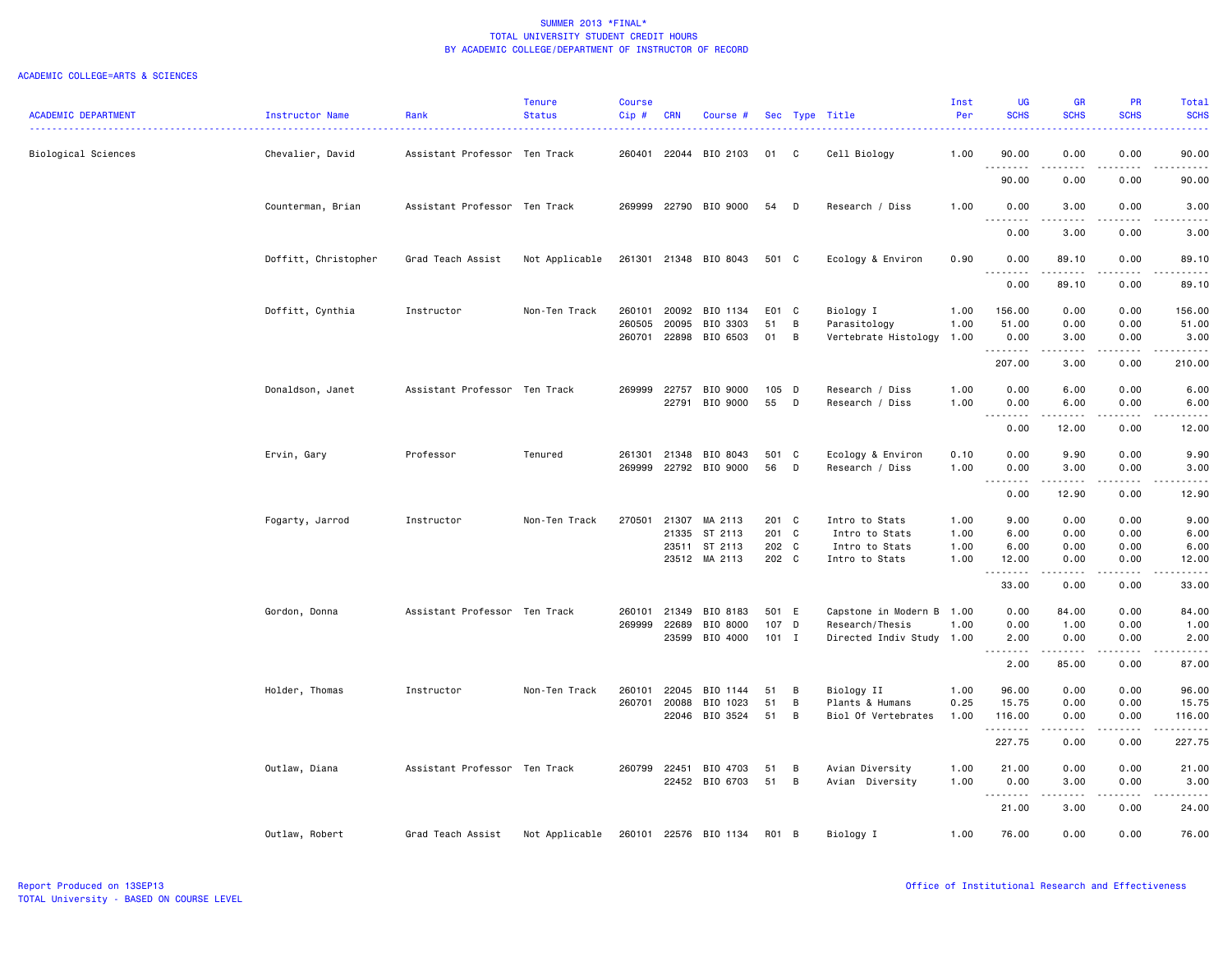| <b>ACADEMIC DEPARTMENT</b> | Instructor Name      | Rank                                 | <b>Tenure</b><br><b>Status</b> | <b>Course</b><br>Cip# | <b>CRN</b>     | Course #              |          |        | Sec Type Title                       | Inst<br>Per  | <b>UG</b><br><b>SCHS</b>                                                                                                                                                             | <b>GR</b><br><b>SCHS</b> | <b>PR</b><br><b>SCHS</b> | Total<br><b>SCHS</b>                                                                                                                                          |
|----------------------------|----------------------|--------------------------------------|--------------------------------|-----------------------|----------------|-----------------------|----------|--------|--------------------------------------|--------------|--------------------------------------------------------------------------------------------------------------------------------------------------------------------------------------|--------------------------|--------------------------|---------------------------------------------------------------------------------------------------------------------------------------------------------------|
|                            |                      | ------------------------------------ |                                |                       |                |                       |          |        |                                      |              |                                                                                                                                                                                      |                          |                          | بالأنابات                                                                                                                                                     |
| Biological Sciences        | Chevalier, David     | Assistant Professor Ten Track        |                                | 260401                |                | 22044 BIO 2103        | 01       | C      | Cell Biology                         | 1.00         | 90.00                                                                                                                                                                                | 0.00                     | 0.00                     | 90.00<br>.                                                                                                                                                    |
|                            |                      |                                      |                                |                       |                |                       |          |        |                                      |              | .<br>90.00                                                                                                                                                                           | 0.00                     | 0.00                     | 90.00                                                                                                                                                         |
|                            | Counterman, Brian    | Assistant Professor Ten Track        |                                | 269999                |                | 22790 BIO 9000        | 54       | D      | Research / Diss                      | 1.00         | 0.00<br>$\sim$ $\sim$<br>.                                                                                                                                                           | 3.00                     | 0.00                     | 3.00                                                                                                                                                          |
|                            |                      |                                      |                                |                       |                |                       |          |        |                                      |              | 0.00                                                                                                                                                                                 | 3.00                     | 0.00                     | 3.00                                                                                                                                                          |
|                            | Doffitt, Christopher | Grad Teach Assist                    | Not Applicable                 |                       |                | 261301 21348 BIO 8043 | 501 C    |        | Ecology & Environ                    | 0.90         | 0.00<br>$\frac{1}{2} \left( \frac{1}{2} \right) \left( \frac{1}{2} \right) \left( \frac{1}{2} \right) \left( \frac{1}{2} \right) \left( \frac{1}{2} \right)$<br>$\sim$ $\sim$ $\sim$ | 89.10<br>222222          | 0.00<br>.                | 89.10<br>.                                                                                                                                                    |
|                            |                      |                                      |                                |                       |                |                       |          |        |                                      |              | 0.00                                                                                                                                                                                 | 89.10                    | 0.00                     | 89.10                                                                                                                                                         |
|                            | Doffitt, Cynthia     | Instructor                           | Non-Ten Track                  | 260101                | 20092          | BIO 1134              | E01 C    |        | Biology I                            | 1.00         | 156.00                                                                                                                                                                               | 0.00                     | 0.00                     | 156.00                                                                                                                                                        |
|                            |                      |                                      |                                | 260505<br>260701      | 20095<br>22898 | BIO 3303<br>BIO 6503  | 51<br>01 | B<br>В | Parasitology<br>Vertebrate Histology | 1.00<br>1.00 | 51.00<br>0.00                                                                                                                                                                        | 0.00<br>3.00             | 0.00<br>0.00             | 51.00<br>3.00                                                                                                                                                 |
|                            |                      |                                      |                                |                       |                |                       |          |        |                                      |              | <u>.</u>                                                                                                                                                                             |                          | $\sim$ $\sim$ $\sim$     | .                                                                                                                                                             |
|                            |                      |                                      |                                |                       |                |                       |          |        |                                      |              | 207.00                                                                                                                                                                               | 3.00                     | 0.00                     | 210.00                                                                                                                                                        |
|                            | Donaldson, Janet     | Assistant Professor Ten Track        |                                | 269999                | 22757          | BIO 9000              | 105 D    |        | Research / Diss                      | 1.00         | 0.00                                                                                                                                                                                 | 6.00                     | 0.00                     | 6.00                                                                                                                                                          |
|                            |                      |                                      |                                |                       | 22791          | BIO 9000              | 55       | D      | Research / Diss                      | 1.00         | 0.00<br>$\cdots$<br>.                                                                                                                                                                | 6.00                     | 0.00<br>.                | 6.00<br>.                                                                                                                                                     |
|                            |                      |                                      |                                |                       |                |                       |          |        |                                      |              | 0.00                                                                                                                                                                                 | 12.00                    | 0.00                     | 12.00                                                                                                                                                         |
|                            | Ervin, Gary          | Professor                            | Tenured                        | 261301                | 21348          | BIO 8043              | 501 C    |        | Ecology & Environ                    | 0.10         | 0.00                                                                                                                                                                                 | 9.90                     | 0.00                     | 9.90                                                                                                                                                          |
|                            |                      |                                      |                                | 269999                |                | 22792 BIO 9000        | 56       | D      | Research / Diss                      | 1.00         | 0.00                                                                                                                                                                                 | 3.00                     | 0.00                     | 3.00                                                                                                                                                          |
|                            |                      |                                      |                                |                       |                |                       |          |        |                                      |              | $\sim$ $\sim$<br>.<br>0.00                                                                                                                                                           | $- - - - -$<br>12.90     | .<br>0.00                | $\frac{1}{2} \left( \frac{1}{2} \right) \left( \frac{1}{2} \right) \left( \frac{1}{2} \right) \left( \frac{1}{2} \right) \left( \frac{1}{2} \right)$<br>12.90 |
|                            | Fogarty, Jarrod      | Instructor                           | Non-Ten Track                  | 270501                | 21307          | MA 2113               | 201 C    |        | Intro to Stats                       | 1.00         | 9.00                                                                                                                                                                                 | 0.00                     | 0.00                     | 9.00                                                                                                                                                          |
|                            |                      |                                      |                                |                       | 21335          | ST 2113               | 201 C    |        | Intro to Stats                       | 1.00         | 6.00                                                                                                                                                                                 | 0.00                     | 0.00                     | 6.00                                                                                                                                                          |
|                            |                      |                                      |                                |                       | 23511          | ST 2113               | 202 C    |        | Intro to Stats                       | 1.00         | 6.00                                                                                                                                                                                 | 0.00                     | 0.00                     | 6.00                                                                                                                                                          |
|                            |                      |                                      |                                |                       |                | 23512 MA 2113         | 202 C    |        | Intro to Stats                       | 1.00         | 12.00                                                                                                                                                                                | 0.00<br>.                | 0.00<br>د د د د          | 12.00<br>$\frac{1}{2} \left( \frac{1}{2} \right) \left( \frac{1}{2} \right) \left( \frac{1}{2} \right) \left( \frac{1}{2} \right) \left( \frac{1}{2} \right)$ |
|                            |                      |                                      |                                |                       |                |                       |          |        |                                      |              | 33.00                                                                                                                                                                                | 0.00                     | 0.00                     | 33.00                                                                                                                                                         |
|                            | Gordon, Donna        | Assistant Professor Ten Track        |                                | 260101                | 21349          | BIO 8183              | 501 E    |        | Capstone in Modern B                 | 1.00         | 0.00                                                                                                                                                                                 | 84.00                    | 0.00                     | 84.00                                                                                                                                                         |
|                            |                      |                                      |                                | 269999                | 22689          | BIO 8000              | 107 D    |        | Research/Thesis                      | 1.00         | 0.00                                                                                                                                                                                 | 1.00                     | 0.00                     | 1.00                                                                                                                                                          |
|                            |                      |                                      |                                |                       | 23599          | BIO 4000              | $101$ I  |        | Directed Indiv Study 1.00            |              | 2.00<br>.<br>$\sim$ $\sim$ .                                                                                                                                                         | 0.00<br>.                | 0.00<br>.                | 2.00<br>.                                                                                                                                                     |
|                            |                      |                                      |                                |                       |                |                       |          |        |                                      |              | 2.00                                                                                                                                                                                 | 85.00                    | 0.00                     | 87.00                                                                                                                                                         |
|                            | Holder, Thomas       | Instructor                           | Non-Ten Track                  | 260101                | 22045          | BIO 1144              | 51       | B      | Biology II                           | 1.00         | 96.00                                                                                                                                                                                | 0.00                     | 0.00                     | 96.00                                                                                                                                                         |
|                            |                      |                                      |                                | 260701                | 20088          | BIO 1023              | 51       | B      | Plants & Humans                      | 0.25         | 15.75                                                                                                                                                                                | 0.00                     | 0.00                     | 15.75                                                                                                                                                         |
|                            |                      |                                      |                                |                       |                | 22046 BIO 3524        | 51       | B      | Biol Of Vertebrates                  | 1.00         | 116.00<br>.                                                                                                                                                                          | 0.00                     | 0.00                     | 116.00<br>.                                                                                                                                                   |
|                            |                      |                                      |                                |                       |                |                       |          |        |                                      |              | 227.75                                                                                                                                                                               | 0.00                     | 0.00                     | 227.75                                                                                                                                                        |
|                            | Outlaw, Diana        | Assistant Professor Ten Track        |                                | 260799 22451          |                | BIO 4703              | 51       | B      | Avian Diversity                      | 1.00         | 21.00                                                                                                                                                                                | 0.00                     | 0.00                     | 21.00                                                                                                                                                         |
|                            |                      |                                      |                                |                       | 22452          | BIO 6703              | 51       | B      | Avian Diversity                      | 1.00         | 0.00                                                                                                                                                                                 | 3.00                     | 0.00                     | 3.00                                                                                                                                                          |
|                            |                      |                                      |                                |                       |                |                       |          |        |                                      |              | .<br>21.00                                                                                                                                                                           | 3.00                     | د د د د<br>0.00          | .<br>24.00                                                                                                                                                    |
|                            | Outlaw, Robert       | Grad Teach Assist                    | Not Applicable                 |                       |                | 260101 22576 BIO 1134 | R01 B    |        | Biology I                            | 1.00         | 76.00                                                                                                                                                                                | 0.00                     | 0.00                     | 76.00                                                                                                                                                         |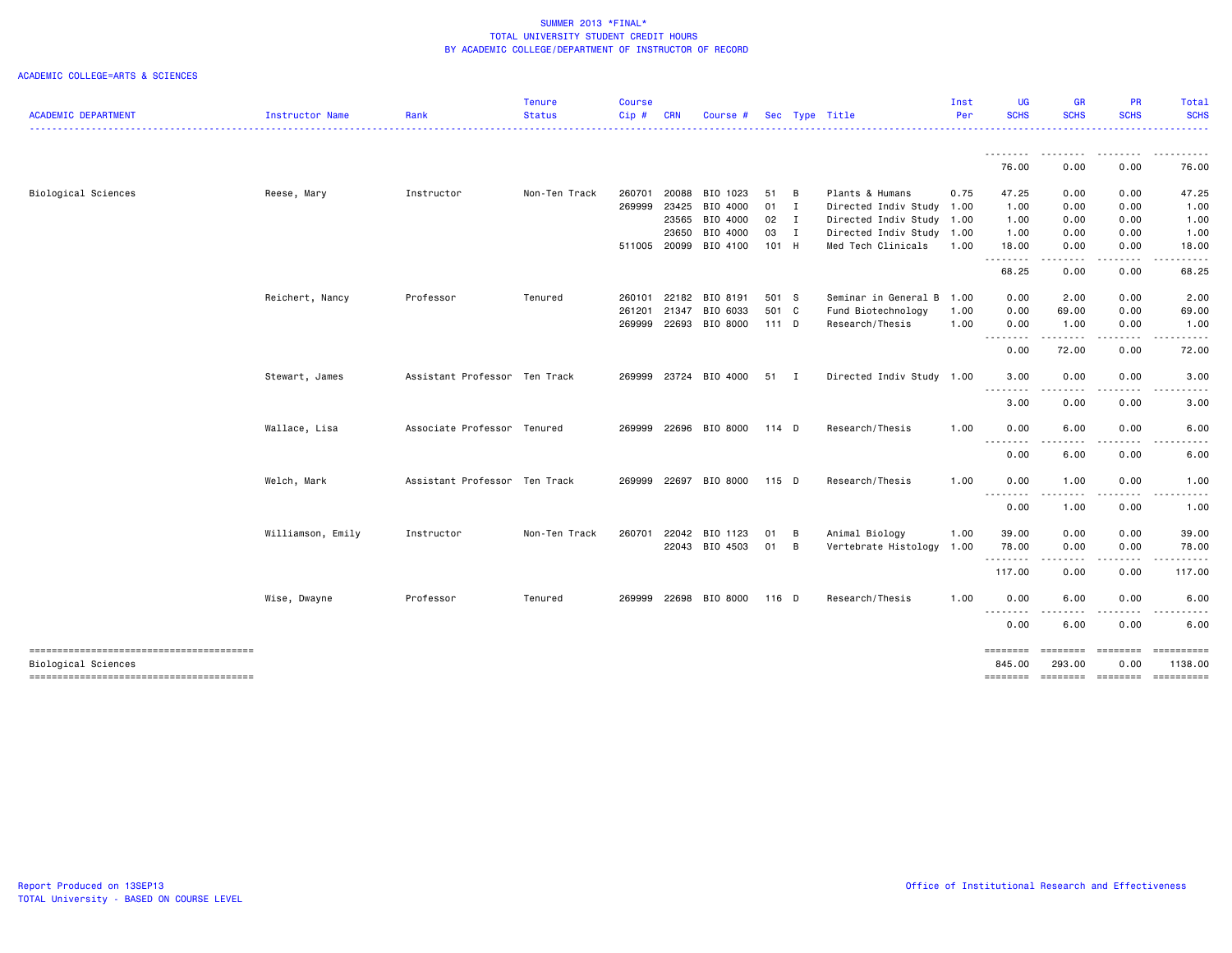| Instructor Name<br>Reese, Mary | Rank       | <b>Status</b> | Cip#                                                                                          | <b>CRN</b> | Course # |                                                                                                                                                              | Sec Type Title                                                                                              | Per  | <b>SCHS</b>                                                               | <b>SCHS</b>                                                             | <b>SCHS</b>                                                                                                                                                                                                                                                                                          | <b>SCHS</b>                           |
|--------------------------------|------------|---------------|-----------------------------------------------------------------------------------------------|------------|----------|--------------------------------------------------------------------------------------------------------------------------------------------------------------|-------------------------------------------------------------------------------------------------------------|------|---------------------------------------------------------------------------|-------------------------------------------------------------------------|------------------------------------------------------------------------------------------------------------------------------------------------------------------------------------------------------------------------------------------------------------------------------------------------------|---------------------------------------|
|                                |            |               |                                                                                               |            |          |                                                                                                                                                              |                                                                                                             |      |                                                                           |                                                                         |                                                                                                                                                                                                                                                                                                      |                                       |
|                                |            |               |                                                                                               |            |          |                                                                                                                                                              |                                                                                                             |      | --------<br>76.00                                                         | <u>.</u><br>0.00                                                        | 0.00                                                                                                                                                                                                                                                                                                 | 76.00                                 |
|                                | Instructor | Non-Ten Track | 260701                                                                                        | 20088      | BIO 1023 | 51 B                                                                                                                                                         | Plants & Humans                                                                                             | 0.75 | 47.25                                                                     | 0.00                                                                    | 0.00                                                                                                                                                                                                                                                                                                 | 47.25                                 |
|                                |            |               | 269999                                                                                        | 23425      | BIO 4000 | $01$ I                                                                                                                                                       | Directed Indiv Study                                                                                        | 1.00 | 1.00                                                                      | 0.00                                                                    | 0.00                                                                                                                                                                                                                                                                                                 | 1.00                                  |
|                                |            |               |                                                                                               | 23565      | BIO 4000 |                                                                                                                                                              | Directed Indiv Study                                                                                        | 1.00 | 1.00                                                                      | 0.00                                                                    | 0.00                                                                                                                                                                                                                                                                                                 | 1.00                                  |
|                                |            |               |                                                                                               | 23650      | BIO 4000 |                                                                                                                                                              |                                                                                                             | 1.00 | 1.00                                                                      | 0.00                                                                    | 0.00                                                                                                                                                                                                                                                                                                 | 1.00                                  |
|                                |            |               |                                                                                               |            |          |                                                                                                                                                              | Med Tech Clinicals                                                                                          | 1.00 | 18.00                                                                     | 0.00                                                                    | 0.00                                                                                                                                                                                                                                                                                                 | 18.00                                 |
|                                |            |               |                                                                                               |            |          |                                                                                                                                                              |                                                                                                             |      | 68.25                                                                     | 0.00                                                                    | 0.00                                                                                                                                                                                                                                                                                                 | 68.25                                 |
| Reichert, Nancy                | Professor  | Tenured       | 260101                                                                                        |            |          |                                                                                                                                                              |                                                                                                             | 1.00 | 0.00                                                                      | 2.00                                                                    | 0.00                                                                                                                                                                                                                                                                                                 | 2.00                                  |
|                                |            |               | 261201                                                                                        | 21347      | BIO 6033 |                                                                                                                                                              | Fund Biotechnology                                                                                          | 1.00 | 0.00                                                                      | 69.00                                                                   | 0.00                                                                                                                                                                                                                                                                                                 | 69.00                                 |
|                                |            |               | 269999                                                                                        |            |          |                                                                                                                                                              | Research/Thesis                                                                                             | 1.00 | 0.00                                                                      | 1.00                                                                    | 0.00                                                                                                                                                                                                                                                                                                 | 1.00                                  |
|                                |            |               |                                                                                               |            |          |                                                                                                                                                              |                                                                                                             |      | 0.00                                                                      | 72.00                                                                   | 0.00                                                                                                                                                                                                                                                                                                 | 72.00                                 |
| Stewart, James                 |            |               | 269999                                                                                        |            |          |                                                                                                                                                              |                                                                                                             |      | 3.00                                                                      | 0.00                                                                    | 0.00                                                                                                                                                                                                                                                                                                 | 3.00                                  |
|                                |            |               |                                                                                               |            |          |                                                                                                                                                              |                                                                                                             |      | 3.00                                                                      | 0.00                                                                    | 0.00                                                                                                                                                                                                                                                                                                 | 3.00                                  |
| Wallace, Lisa                  |            |               | 269999                                                                                        |            |          |                                                                                                                                                              | Research/Thesis                                                                                             | 1.00 | 0.00                                                                      | 6.00                                                                    | 0.00                                                                                                                                                                                                                                                                                                 | 6.00                                  |
|                                |            |               |                                                                                               |            |          |                                                                                                                                                              |                                                                                                             |      | 0.00                                                                      | 6.00                                                                    | 0.00                                                                                                                                                                                                                                                                                                 | 6.00                                  |
| Welch, Mark                    |            |               | 269999                                                                                        |            |          |                                                                                                                                                              | Research/Thesis                                                                                             | 1.00 | 0.00                                                                      | 1.00                                                                    | 0.00                                                                                                                                                                                                                                                                                                 | 1.00                                  |
|                                |            |               |                                                                                               |            |          |                                                                                                                                                              |                                                                                                             |      | 0.00                                                                      | 1.00                                                                    | 0.00                                                                                                                                                                                                                                                                                                 | 1.00                                  |
| Williamson, Emily              | Instructor | Non-Ten Track | 260701                                                                                        |            | BIO 1123 | 01                                                                                                                                                           | Animal Biology                                                                                              | 1.00 | 39.00                                                                     | 0.00                                                                    | 0.00                                                                                                                                                                                                                                                                                                 | 39.00                                 |
|                                |            |               |                                                                                               |            |          |                                                                                                                                                              | Vertebrate Histology                                                                                        | 1.00 | 78.00                                                                     | 0.00                                                                    | 0.00                                                                                                                                                                                                                                                                                                 | 78.00                                 |
|                                |            |               |                                                                                               |            |          |                                                                                                                                                              |                                                                                                             |      | 117.00                                                                    | 0.00                                                                    | 0.00                                                                                                                                                                                                                                                                                                 | 117.00                                |
| Wise, Dwayne                   | Professor  | Tenured       | 269999                                                                                        |            |          |                                                                                                                                                              | Research/Thesis                                                                                             | 1.00 | 0.00                                                                      | 6.00                                                                    | 0.00                                                                                                                                                                                                                                                                                                 | 6.00                                  |
|                                |            |               |                                                                                               |            |          |                                                                                                                                                              |                                                                                                             |      | 0.00                                                                      | 6.00                                                                    | 0.00                                                                                                                                                                                                                                                                                                 | 6.00                                  |
|                                |            |               |                                                                                               |            |          |                                                                                                                                                              |                                                                                                             |      | ========<br>845,00                                                        | ========<br>293,00                                                      | ========<br>0.00                                                                                                                                                                                                                                                                                     | ==========<br>1138.00                 |
|                                |            |               | Assistant Professor Ten Track<br>Associate Professor Tenured<br>Assistant Professor Ten Track |            |          | 511005 20099 BIO 4100<br>22182 BIO 8191<br>22693 BIO 8000<br>23724 BIO 4000<br>22696 BIO 8000<br>22697 BIO 8000<br>22042<br>22043 BIO 4503<br>22698 BIO 8000 | $02 \qquad I$<br>03 I<br>101 H<br>501 S<br>501 C<br>111 D<br>51 I<br>114 D<br>115 D<br>- B<br>01 B<br>116 D |      | Directed Indiv Study<br>Seminar in General B<br>Directed Indiv Study 1.00 | .<br>.<br>$ -$<br>- - - -<br><u>.</u><br>--------<br>.<br>.<br>======== | $\frac{1}{2} \left( \frac{1}{2} \right) \left( \frac{1}{2} \right) \left( \frac{1}{2} \right) \left( \frac{1}{2} \right)$<br>$\frac{1}{2} \left( \frac{1}{2} \right) \left( \frac{1}{2} \right) \left( \frac{1}{2} \right) \left( \frac{1}{2} \right) \left( \frac{1}{2} \right)$<br>.<br>$  -$<br>. | .<br>======== ========<br>----------- |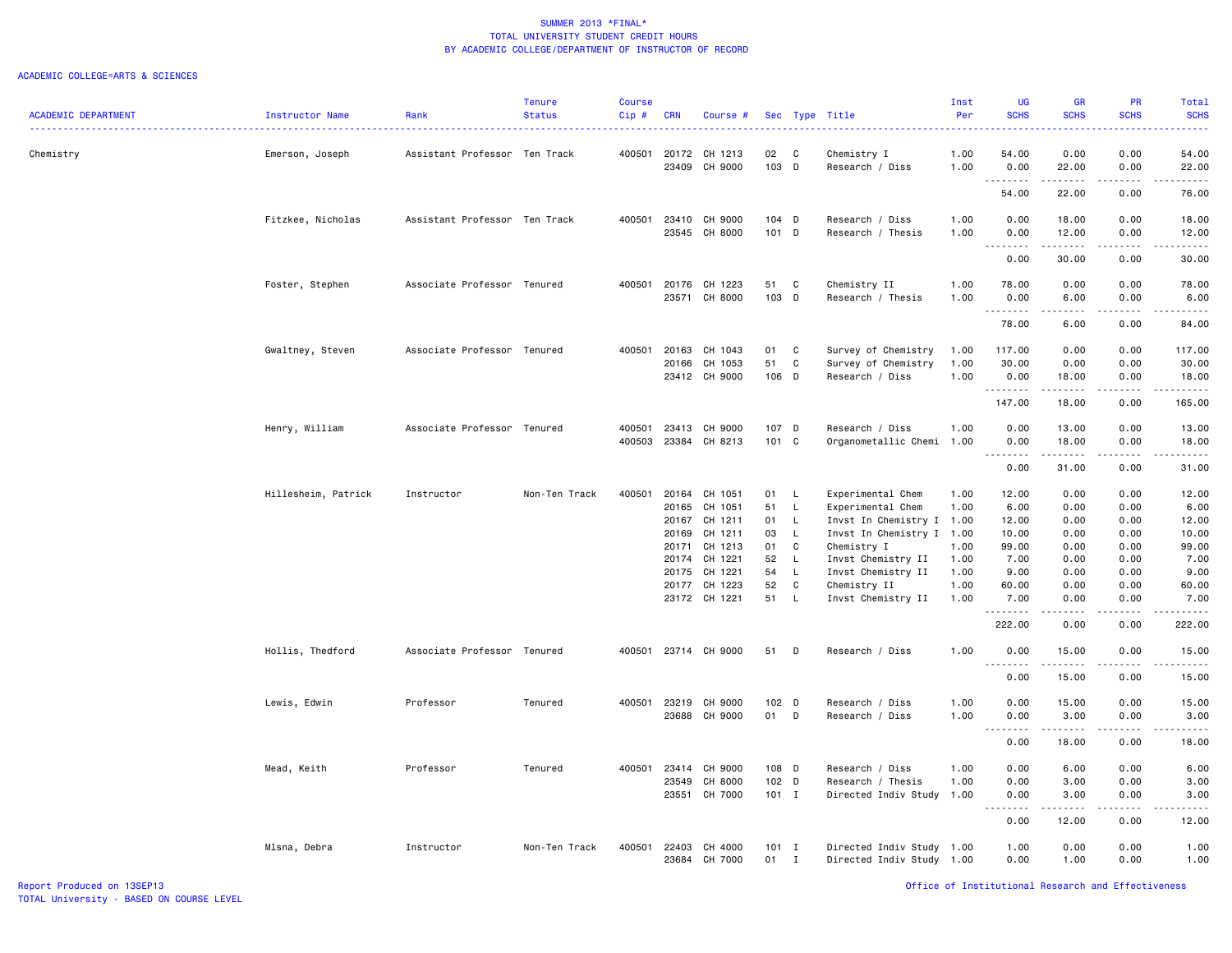| <b>ACADEMIC DEPARTMENT</b> | Instructor Name     | Rank                          | <b>Tenure</b><br><b>Status</b> | <b>Course</b><br>Cip# | <b>CRN</b> | Course #                       |          |                   | Sec Type Title                     | Inst<br>Per  | <b>UG</b><br><b>SCHS</b>              | <b>GR</b><br><b>SCHS</b> | <b>PR</b><br><b>SCHS</b> | Total<br><b>SCHS</b>                                                                                                                                 |
|----------------------------|---------------------|-------------------------------|--------------------------------|-----------------------|------------|--------------------------------|----------|-------------------|------------------------------------|--------------|---------------------------------------|--------------------------|--------------------------|------------------------------------------------------------------------------------------------------------------------------------------------------|
| Chemistry                  | Emerson, Joseph     | Assistant Professor Ten Track |                                | 400501                | 20172      | CH 1213                        | 02       | C                 | Chemistry I                        | 1.00         | 54.00                                 | 0.00                     | 0.00                     | 54,00                                                                                                                                                |
|                            |                     |                               |                                |                       | 23409      | CH 9000                        | 103 D    |                   | Research / Diss                    | 1.00         | 0.00<br>.                             | 22.00<br>.               | 0.00<br>.                | 22.00<br>.                                                                                                                                           |
|                            |                     |                               |                                |                       |            |                                |          |                   |                                    |              | 54.00                                 | 22.00                    | 0.00                     | 76.00                                                                                                                                                |
|                            | Fitzkee, Nicholas   | Assistant Professor Ten Track |                                | 400501                | 23410      | CH 9000                        | 104 D    |                   | Research / Diss                    | 1.00         | 0.00                                  | 18.00                    | 0.00                     | 18.00                                                                                                                                                |
|                            |                     |                               |                                |                       |            | 23545 CH 8000                  | 101 D    |                   | Research / Thesis                  | 1.00         | 0.00                                  | 12.00                    | 0.00                     | 12.00                                                                                                                                                |
|                            |                     |                               |                                |                       |            |                                |          |                   |                                    |              | -----<br>$\sim$ $\sim$ $\sim$<br>0.00 | .<br>30.00               | .<br>0.00                | .<br>30.00                                                                                                                                           |
|                            | Foster, Stephen     | Associate Professor Tenured   |                                | 400501                | 20176      | CH 1223                        | 51       | C                 | Chemistry II                       | 1.00         | 78.00                                 | 0.00                     | 0.00                     | 78.00                                                                                                                                                |
|                            |                     |                               |                                |                       | 23571      | CH 8000                        | 103 D    |                   | Research / Thesis                  | 1.00         | 0.00                                  | 6.00                     | 0.00                     | 6.00                                                                                                                                                 |
|                            |                     |                               |                                |                       |            |                                |          |                   |                                    |              | <u>.</u>                              | ----                     | $- - -$                  | $\frac{1}{2} \left( \frac{1}{2} \right) \left( \frac{1}{2} \right) \left( \frac{1}{2} \right) \left( \frac{1}{2} \right) \left( \frac{1}{2} \right)$ |
|                            |                     |                               |                                |                       |            |                                |          |                   |                                    |              | 78.00                                 | 6.00                     | 0.00                     | 84.00                                                                                                                                                |
|                            | Gwaltney, Steven    | Associate Professor Tenured   |                                | 400501                | 20163      | CH 1043                        | 01       | C                 | Survey of Chemistry                | 1.00         | 117.00                                | 0.00                     | 0.00                     | 117.00                                                                                                                                               |
|                            |                     |                               |                                |                       | 20166      | CH 1053                        | 51       | C                 | Survey of Chemistry                | 1.00         | 30.00                                 | 0.00                     | 0.00                     | 30.00                                                                                                                                                |
|                            |                     |                               |                                |                       |            | 23412 CH 9000                  | 106 D    |                   | Research / Diss                    | 1.00         | 0.00                                  | 18.00                    | 0.00                     | 18.00<br>الداعات                                                                                                                                     |
|                            |                     |                               |                                |                       |            |                                |          |                   |                                    |              | 147.00                                | 18.00                    | 0.00                     | 165.00                                                                                                                                               |
|                            | Henry, William      | Associate Professor Tenured   |                                | 400501                | 23413      | CH 9000                        | 107 D    |                   | Research / Diss                    | 1.00         | 0.00                                  | 13.00                    | 0.00                     | 13.00                                                                                                                                                |
|                            |                     |                               |                                | 400503                |            | 23384 CH 8213                  | 101 C    |                   | Organometallic Chemi               | 1.00         | 0.00                                  | 18.00                    | 0.00                     | 18.00                                                                                                                                                |
|                            |                     |                               |                                |                       |            |                                |          |                   |                                    |              | 0.00                                  | .<br>31.00               | .<br>0.00                | .<br>31.00                                                                                                                                           |
|                            | Hillesheim, Patrick | Instructor                    | Non-Ten Track                  | 400501                | 20164      | CH 1051                        | 01       | L.                | Experimental Chem                  | 1.00         | 12.00                                 | 0.00                     | 0.00                     | 12.00                                                                                                                                                |
|                            |                     |                               |                                |                       | 20165      | CH 1051                        | 51       | L.                | Experimental Chem                  | 1.00         | 6.00                                  | 0.00                     | 0.00                     | 6.00                                                                                                                                                 |
|                            |                     |                               |                                |                       | 20167      | CH 1211                        | 01       | L.                | Invst In Chemistry I 1.00          |              | 12.00                                 | 0.00                     | 0.00                     | 12.00                                                                                                                                                |
|                            |                     |                               |                                |                       | 20169      | CH 1211                        | 03       | $\mathsf{L}$      | Invst In Chemistry I               | 1.00         | 10.00                                 | 0.00                     | 0.00                     | 10.00                                                                                                                                                |
|                            |                     |                               |                                |                       | 20171      | CH 1213                        | 01       | C                 | Chemistry I                        | 1.00         | 99.00                                 | 0.00                     | 0.00                     | 99.00                                                                                                                                                |
|                            |                     |                               |                                |                       |            | 20174 CH 1221                  | 52       | L.                | Invst Chemistry II                 | 1.00         | 7.00                                  | 0.00                     | 0.00                     | 7.00                                                                                                                                                 |
|                            |                     |                               |                                |                       | 20175      | CH 1221                        | 54<br>52 | L.                | Invst Chemistry II                 | 1.00         | 9.00                                  | 0.00                     | 0.00                     | 9.00                                                                                                                                                 |
|                            |                     |                               |                                |                       |            | 20177 CH 1223<br>23172 CH 1221 | 51       | C<br>$\mathsf{L}$ | Chemistry II<br>Invst Chemistry II | 1.00<br>1.00 | 60.00<br>7.00                         | 0.00<br>0.00             | 0.00<br>0.00             | 60.00<br>7.00                                                                                                                                        |
|                            |                     |                               |                                |                       |            |                                |          |                   |                                    |              | والوالوا والوا<br>222.00              | 0.00                     | 0.00                     | 222.00                                                                                                                                               |
|                            | Hollis, Thedford    | Associate Professor Tenured   |                                | 400501                |            | 23714 CH 9000                  | 51       | D                 | Research / Diss                    | 1.00         | 0.00                                  | 15.00                    | 0.00                     | 15.00                                                                                                                                                |
|                            |                     |                               |                                |                       |            |                                |          |                   |                                    |              | .<br>0.00                             | 15.00                    | 0.00                     | .<br>15.00                                                                                                                                           |
|                            |                     |                               |                                | 400501                |            | CH 9000                        | 102 D    |                   |                                    |              | 0.00                                  |                          | 0.00                     |                                                                                                                                                      |
|                            | Lewis, Edwin        | Professor                     | Tenured                        |                       | 23219      | 23688 CH 9000                  | 01 D     |                   | Research / Diss<br>Research / Diss | 1.00<br>1.00 | 0.00                                  | 15.00<br>3.00            | 0.00                     | 15.00<br>3.00                                                                                                                                        |
|                            |                     |                               |                                |                       |            |                                |          |                   |                                    |              | $\sim$ $\sim$<br>----                 | .                        | $   -$                   | $\frac{1}{2}$                                                                                                                                        |
|                            |                     |                               |                                |                       |            |                                |          |                   |                                    |              | 0.00                                  | 18.00                    | 0.00                     | 18.00                                                                                                                                                |
|                            | Mead, Keith         | Professor                     | Tenured                        | 400501                | 23414      | CH 9000                        | 108 D    |                   | Research / Diss                    | 1.00         | 0.00                                  | 6.00                     | 0.00                     | 6.00                                                                                                                                                 |
|                            |                     |                               |                                |                       | 23549      | CH 8000                        | 102 D    |                   | Research / Thesis                  | 1.00         | 0.00                                  | 3.00                     | 0.00                     | 3.00                                                                                                                                                 |
|                            |                     |                               |                                |                       | 23551      | CH 7000                        | $101$ I  |                   | Directed Indiv Study               | 1.00         | 0.00<br>$\sim$ $\sim$                 | 3.00                     | 0.00                     | 3.00                                                                                                                                                 |
|                            |                     |                               |                                |                       |            |                                |          |                   |                                    |              | 0.00                                  | 12.00                    | 0.00                     | 12.00                                                                                                                                                |
|                            | Mlsna, Debra        | Instructor                    | Non-Ten Track                  | 400501                | 22403      | CH 4000                        | $101$ I  |                   | Directed Indiv Study 1.00          |              | 1.00                                  | 0.00                     | 0.00                     | 1.00                                                                                                                                                 |
|                            |                     |                               |                                |                       |            | 23684 CH 7000                  | 01       | Ι.                | Directed Indiv Study 1.00          |              | 0.00                                  | 1.00                     | 0.00                     | 1.00                                                                                                                                                 |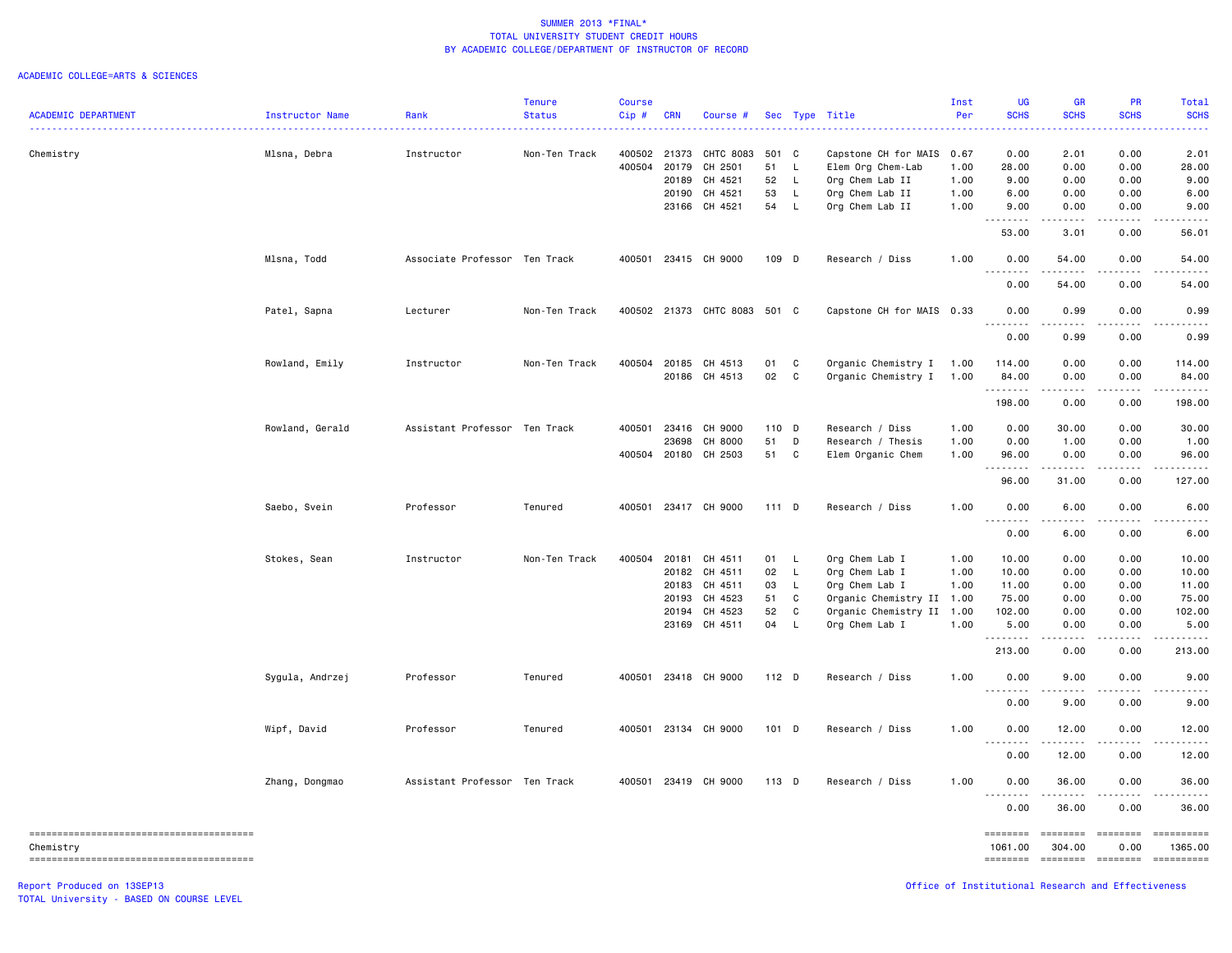|                            |                 |                               | <b>Tenure</b> | Course   |              |                              |         |              |                           | Inst | <b>UG</b>           | <b>GR</b>                                   | PR                                                                                                                                                           | Total                                                                                                                                                                                                                                                                                                                                                                                                                                                                                  |
|----------------------------|-----------------|-------------------------------|---------------|----------|--------------|------------------------------|---------|--------------|---------------------------|------|---------------------|---------------------------------------------|--------------------------------------------------------------------------------------------------------------------------------------------------------------|----------------------------------------------------------------------------------------------------------------------------------------------------------------------------------------------------------------------------------------------------------------------------------------------------------------------------------------------------------------------------------------------------------------------------------------------------------------------------------------|
| <b>ACADEMIC DEPARTMENT</b> | Instructor Name | Rank<br>.                     | <b>Status</b> | $Cip \#$ | <b>CRN</b>   | Course #                     |         |              | Sec Type Title            | Per  | <b>SCHS</b>         | <b>SCHS</b>                                 | <b>SCHS</b>                                                                                                                                                  | <b>SCHS</b>                                                                                                                                                                                                                                                                                                                                                                                                                                                                            |
| Chemistry                  | Mlsna, Debra    | Instructor                    | Non-Ten Track |          | 400502 21373 | CHTC 8083                    | 501 C   |              | Capstone CH for MAIS 0.67 |      | 0.00                | 2.01                                        | 0.00                                                                                                                                                         | 2.01                                                                                                                                                                                                                                                                                                                                                                                                                                                                                   |
|                            |                 |                               |               | 400504   | 20179        | CH 2501                      | 51      | $\mathsf{L}$ | Elem Org Chem-Lab         | 1.00 | 28.00               | 0.00                                        | 0.00                                                                                                                                                         | 28.00                                                                                                                                                                                                                                                                                                                                                                                                                                                                                  |
|                            |                 |                               |               |          | 20189        | CH 4521                      | 52      | $\mathsf{L}$ | Org Chem Lab II           | 1.00 | 9.00                | 0.00                                        | 0.00                                                                                                                                                         | 9.00                                                                                                                                                                                                                                                                                                                                                                                                                                                                                   |
|                            |                 |                               |               |          | 20190        | CH 4521                      | 53      | L            | Org Chem Lab II           | 1.00 | 6.00                | 0.00                                        | 0.00                                                                                                                                                         | 6.00                                                                                                                                                                                                                                                                                                                                                                                                                                                                                   |
|                            |                 |                               |               |          | 23166        | CH 4521                      | 54      | L.           | Org Chem Lab II           | 1.00 | 9.00                | 0.00                                        | 0.00                                                                                                                                                         | 9.00                                                                                                                                                                                                                                                                                                                                                                                                                                                                                   |
|                            |                 |                               |               |          |              |                              |         |              |                           |      | .<br>53.00          | .<br>3.01                                   | $\frac{1}{2} \left( \frac{1}{2} \right) \left( \frac{1}{2} \right) \left( \frac{1}{2} \right) \left( \frac{1}{2} \right) \left( \frac{1}{2} \right)$<br>0.00 | .<br>56.01                                                                                                                                                                                                                                                                                                                                                                                                                                                                             |
|                            | Mlsna, Todd     | Associate Professor Ten Track |               | 400501   |              | 23415 CH 9000                | 109 D   |              | Research / Diss           | 1.00 | 0.00<br>.           | 54.00<br>.                                  | 0.00<br>.                                                                                                                                                    | 54.00<br>.                                                                                                                                                                                                                                                                                                                                                                                                                                                                             |
|                            |                 |                               |               |          |              |                              |         |              |                           |      | 0.00                | 54.00                                       | 0.00                                                                                                                                                         | 54.00                                                                                                                                                                                                                                                                                                                                                                                                                                                                                  |
|                            | Patel, Sapna    | Lecturer                      | Non-Ten Track |          |              | 400502 21373 CHTC 8083 501 C |         |              | Capstone CH for MAIS 0.33 |      | 0.00<br>.           | 0.99<br>$\frac{1}{2}$                       | 0.00<br>.                                                                                                                                                    | 0.99                                                                                                                                                                                                                                                                                                                                                                                                                                                                                   |
|                            |                 |                               |               |          |              |                              |         |              |                           |      | 0.00                | 0.99                                        | 0.00                                                                                                                                                         | 0.99                                                                                                                                                                                                                                                                                                                                                                                                                                                                                   |
|                            | Rowland, Emily  | Instructor                    | Non-Ten Track | 400504   | 20185        | CH 4513                      | 01 C    |              | Organic Chemistry I       | 1.00 | 114.00              | 0.00                                        | 0.00                                                                                                                                                         | 114.00                                                                                                                                                                                                                                                                                                                                                                                                                                                                                 |
|                            |                 |                               |               |          |              | 20186 CH 4513                | 02      | $\mathbf{C}$ | Organic Chemistry I       | 1.00 | 84.00<br>--------   | 0.00<br>.                                   | 0.00<br>.                                                                                                                                                    | 84.00                                                                                                                                                                                                                                                                                                                                                                                                                                                                                  |
|                            |                 |                               |               |          |              |                              |         |              |                           |      | 198.00              | 0.00                                        | 0.00                                                                                                                                                         | 198.00                                                                                                                                                                                                                                                                                                                                                                                                                                                                                 |
|                            | Rowland, Gerald | Assistant Professor Ten Track |               | 400501   | 23416        | CH 9000                      | 110 D   |              | Research / Diss           | 1.00 | 0.00                | 30.00                                       | 0.00                                                                                                                                                         | 30.00                                                                                                                                                                                                                                                                                                                                                                                                                                                                                  |
|                            |                 |                               |               |          | 23698        | CH 8000                      | 51      | D            | Research / Thesis         | 1.00 | 0.00                | 1.00                                        | 0.00                                                                                                                                                         | 1.00                                                                                                                                                                                                                                                                                                                                                                                                                                                                                   |
|                            |                 |                               |               |          |              | 400504 20180 CH 2503         | 51      | C            | Elem Organic Chem         | 1.00 | 96.00               | 0.00                                        | 0.00                                                                                                                                                         | 96.00                                                                                                                                                                                                                                                                                                                                                                                                                                                                                  |
|                            |                 |                               |               |          |              |                              |         |              |                           |      | <b></b><br>96.00    | $\sim$ $\sim$ $\sim$ $\sim$ $\sim$<br>31.00 | $\sim$ $\sim$ $\sim$ $\sim$<br>0.00                                                                                                                          | .<br>127.00                                                                                                                                                                                                                                                                                                                                                                                                                                                                            |
|                            | Saebo, Svein    | Professor                     | Tenured       | 400501   |              | 23417 CH 9000                | $111$ D |              | Research / Diss           | 1.00 | 0.00                | 6.00                                        | 0.00                                                                                                                                                         | 6.00                                                                                                                                                                                                                                                                                                                                                                                                                                                                                   |
|                            |                 |                               |               |          |              |                              |         |              |                           |      | .<br>0.00           | $\sim$ $\sim$ $\sim$<br>6.00                | $\frac{1}{2} \left( \frac{1}{2} \right) \left( \frac{1}{2} \right) \left( \frac{1}{2} \right) \left( \frac{1}{2} \right) \left( \frac{1}{2} \right)$<br>0.00 | 6.00                                                                                                                                                                                                                                                                                                                                                                                                                                                                                   |
|                            | Stokes, Sean    | Instructor                    | Non-Ten Track | 400504   | 20181        | CH 4511                      | 01 L    |              | Org Chem Lab I            | 1.00 | 10.00               | 0.00                                        | 0.00                                                                                                                                                         | 10.00                                                                                                                                                                                                                                                                                                                                                                                                                                                                                  |
|                            |                 |                               |               |          |              | 20182 CH 4511                | 02 L    |              | Org Chem Lab I            | 1.00 | 10.00               | 0.00                                        | 0.00                                                                                                                                                         | 10.00                                                                                                                                                                                                                                                                                                                                                                                                                                                                                  |
|                            |                 |                               |               |          | 20183        | CH 4511                      | 03      | $\mathsf{L}$ | Org Chem Lab I            | 1.00 | 11.00               | 0.00                                        | 0.00                                                                                                                                                         | 11.00                                                                                                                                                                                                                                                                                                                                                                                                                                                                                  |
|                            |                 |                               |               |          | 20193        | CH 4523                      | 51      | C            | Organic Chemistry II 1.00 |      | 75.00               | 0.00                                        | 0.00                                                                                                                                                         | 75.00                                                                                                                                                                                                                                                                                                                                                                                                                                                                                  |
|                            |                 |                               |               |          | 20194        | CH 4523                      | 52      | C            | Organic Chemistry II 1.00 |      | 102.00              | 0.00                                        | 0.00                                                                                                                                                         | 102.00                                                                                                                                                                                                                                                                                                                                                                                                                                                                                 |
|                            |                 |                               |               |          |              | 23169 CH 4511                | 04      | L.           | Org Chem Lab I            | 1.00 | 5.00<br>.           | 0.00<br>$\frac{1}{2}$                       | 0.00<br>-----                                                                                                                                                | 5.00                                                                                                                                                                                                                                                                                                                                                                                                                                                                                   |
|                            |                 |                               |               |          |              |                              |         |              |                           |      | 213.00              | 0.00                                        | 0.00                                                                                                                                                         | 213.00                                                                                                                                                                                                                                                                                                                                                                                                                                                                                 |
|                            | Sygula, Andrzej | Professor                     | Tenured       |          |              | 400501 23418 CH 9000         | 112 D   |              | Research / Diss           | 1.00 | 0.00<br>.           | 9.00                                        | 0.00                                                                                                                                                         | 9.00                                                                                                                                                                                                                                                                                                                                                                                                                                                                                   |
|                            |                 |                               |               |          |              |                              |         |              |                           |      | 0.00                | 9.00                                        | 0.00                                                                                                                                                         | 9.00                                                                                                                                                                                                                                                                                                                                                                                                                                                                                   |
|                            | Wipf, David     | Professor                     | Tenured       |          |              | 400501 23134 CH 9000         | $101$ D |              | Research / Diss           | 1.00 | 0.00<br><u>.</u>    | 12.00                                       | 0.00                                                                                                                                                         | 12.00                                                                                                                                                                                                                                                                                                                                                                                                                                                                                  |
|                            |                 |                               |               |          |              |                              |         |              |                           |      | 0.00                | 12.00                                       | 0.00                                                                                                                                                         | 12.00                                                                                                                                                                                                                                                                                                                                                                                                                                                                                  |
|                            | Zhang, Dongmao  | Assistant Professor Ten Track |               |          |              | 400501 23419 CH 9000         | 113 D   |              | Research / Diss           | 1.00 | 0.00<br>.           | 36.00<br>.                                  | 0.00                                                                                                                                                         | 36.00                                                                                                                                                                                                                                                                                                                                                                                                                                                                                  |
|                            |                 |                               |               |          |              |                              |         |              |                           |      | 0.00                | 36.00                                       | 0.00                                                                                                                                                         | 36.00                                                                                                                                                                                                                                                                                                                                                                                                                                                                                  |
| Chemistry                  |                 |                               |               |          |              |                              |         |              |                           |      | ========<br>1061.00 | <b>EEEEEEE</b><br>304.00                    | <b>ESSESSE</b><br>0.00                                                                                                                                       | 1365.00                                                                                                                                                                                                                                                                                                                                                                                                                                                                                |
|                            |                 |                               |               |          |              |                              |         |              |                           |      | <b>EEEEEEEE</b>     |                                             | -------- -------                                                                                                                                             | $\begin{array}{cccccccccc} \multicolumn{2}{c}{} & \multicolumn{2}{c}{} & \multicolumn{2}{c}{} & \multicolumn{2}{c}{} & \multicolumn{2}{c}{} & \multicolumn{2}{c}{} & \multicolumn{2}{c}{} & \multicolumn{2}{c}{} & \multicolumn{2}{c}{} & \multicolumn{2}{c}{} & \multicolumn{2}{c}{} & \multicolumn{2}{c}{} & \multicolumn{2}{c}{} & \multicolumn{2}{c}{} & \multicolumn{2}{c}{} & \multicolumn{2}{c}{} & \multicolumn{2}{c}{} & \multicolumn{2}{c}{} & \multicolumn{2}{c}{} & \mult$ |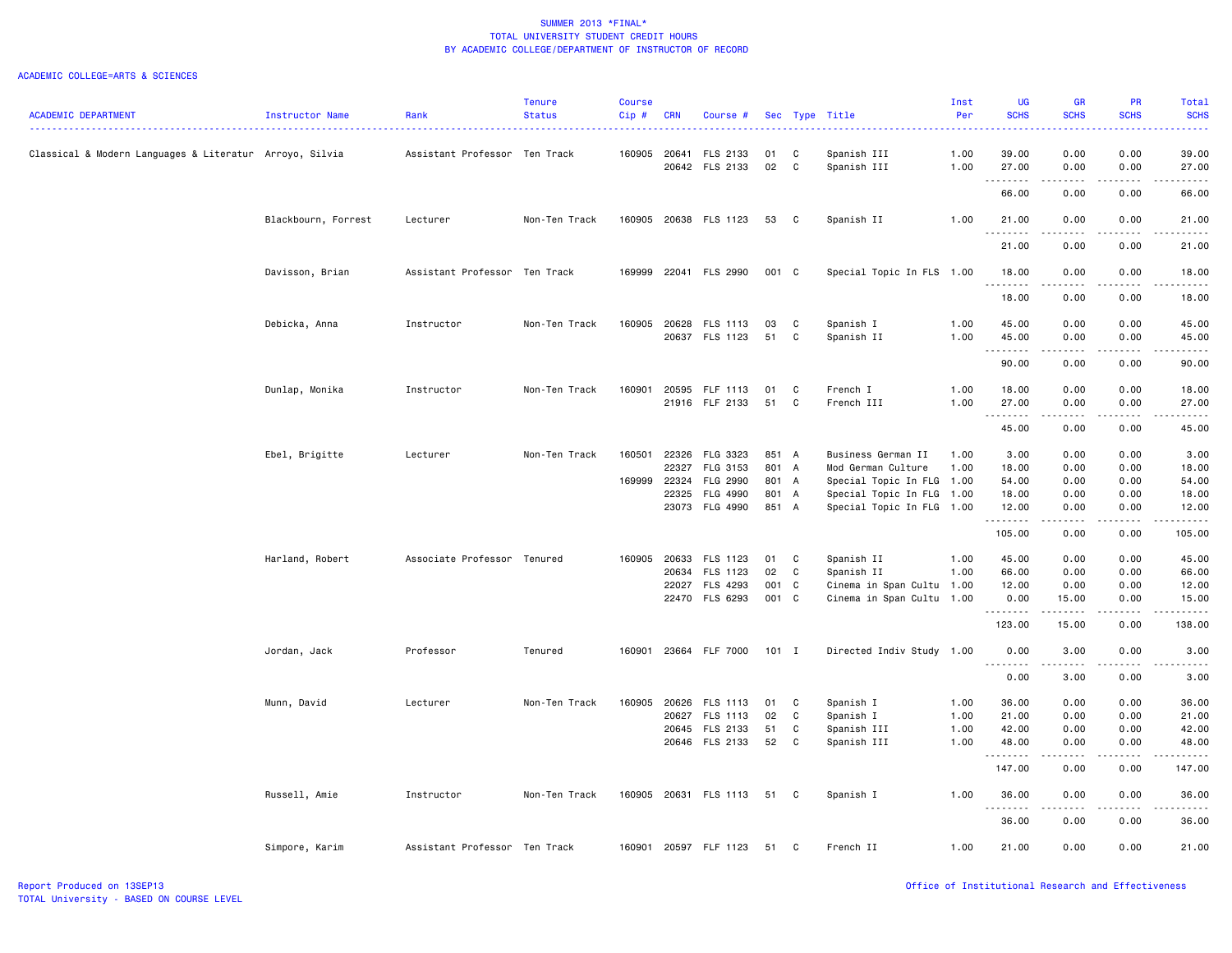|                                                         |                     |                               | <b>Tenure</b> | <b>Course</b> |            |                       |         |              |                           | Inst | UG                               | <b>GR</b>                                                                                                                                                     | <b>PR</b>   | Total                |
|---------------------------------------------------------|---------------------|-------------------------------|---------------|---------------|------------|-----------------------|---------|--------------|---------------------------|------|----------------------------------|---------------------------------------------------------------------------------------------------------------------------------------------------------------|-------------|----------------------|
| <b>ACADEMIC DEPARTMENT</b>                              | Instructor Name     | Rank                          | <b>Status</b> | Cip#          | <b>CRN</b> | Course #              |         |              | Sec Type Title            | Per  | <b>SCHS</b>                      | <b>SCHS</b>                                                                                                                                                   | <b>SCHS</b> | <b>SCHS</b>          |
| Classical & Modern Languages & Literatur Arroyo, Silvia |                     | Assistant Professor Ten Track |               | 160905        | 20641      | FLS 2133              | 01      | C            | Spanish III               | 1.00 | 39.00                            | 0.00                                                                                                                                                          | 0.00        | 39.00                |
|                                                         |                     |                               |               |               |            | 20642 FLS 2133        | 02      | C            | Spanish III               | 1.00 | 27.00<br><u> - - - - - - - -</u> | 0.00                                                                                                                                                          | 0.00        | 27.00<br>$- - - - -$ |
|                                                         |                     |                               |               |               |            |                       |         |              |                           |      | 66.00                            | 0.00                                                                                                                                                          | 0.00        | 66.00                |
|                                                         | Blackbourn, Forrest | Lecturer                      | Non-Ten Track |               |            | 160905 20638 FLS 1123 | 53      | $\mathbf{C}$ | Spanish II                | 1.00 | 21.00                            | 0.00                                                                                                                                                          | 0.00        | 21.00                |
|                                                         |                     |                               |               |               |            |                       |         |              |                           |      | <u>.</u><br>21.00                | 0.00                                                                                                                                                          | 0.00        | .<br>21.00           |
|                                                         | Davisson, Brian     | Assistant Professor Ten Track |               | 169999        |            | 22041 FLS 2990        | 001 C   |              | Special Topic In FLS 1.00 |      | 18.00                            | 0.00                                                                                                                                                          | 0.00        | 18.00                |
|                                                         |                     |                               |               |               |            |                       |         |              |                           |      | . <b>.</b><br>18.00              | 0.00                                                                                                                                                          | 0.00        | 18.00                |
|                                                         | Debicka, Anna       | Instructor                    | Non-Ten Track | 160905        | 20628      | FLS 1113              | 03      | C            | Spanish I                 | 1.00 | 45.00                            | 0.00                                                                                                                                                          | 0.00        | 45.00                |
|                                                         |                     |                               |               |               | 20637      | FLS 1123              | 51      | C            | Spanish II                | 1.00 | 45.00<br>.                       | 0.00                                                                                                                                                          | 0.00        | 45.00<br>-----       |
|                                                         |                     |                               |               |               |            |                       |         |              |                           |      | 90.00                            | 0.00                                                                                                                                                          | 0.00        | 90.00                |
|                                                         | Dunlap, Monika      | Instructor                    | Non-Ten Track | 160901        | 20595      | FLF 1113              | 01      | C            | French I                  | 1.00 | 18.00                            | 0.00                                                                                                                                                          | 0.00        | 18.00                |
|                                                         |                     |                               |               |               |            | 21916 FLF 2133        | 51      | C            | French III                | 1.00 | 27.00                            | 0.00<br>.                                                                                                                                                     | 0.00<br>.   | 27.00<br>.           |
|                                                         |                     |                               |               |               |            |                       |         |              |                           |      | 45.00                            | 0.00                                                                                                                                                          | 0.00        | 45.00                |
|                                                         | Ebel, Brigitte      | Lecturer                      | Non-Ten Track | 160501        | 22326      | FLG 3323              | 851 A   |              | Business German II        | 1.00 | 3.00                             | 0.00                                                                                                                                                          | 0.00        | 3.00                 |
|                                                         |                     |                               |               |               | 22327      | FLG 3153              | 801 A   |              | Mod German Culture        | 1.00 | 18.00                            | 0.00                                                                                                                                                          | 0.00        | 18.00                |
|                                                         |                     |                               |               | 169999        | 22324      | FLG 2990              | 801 A   |              | Special Topic In FLG 1.00 |      | 54.00                            | 0.00                                                                                                                                                          | 0.00        | 54.00                |
|                                                         |                     |                               |               |               | 22325      | FLG 4990              | 801 A   |              | Special Topic In FLG 1.00 |      | 18.00                            | 0.00                                                                                                                                                          | 0.00        | 18.00                |
|                                                         |                     |                               |               |               |            | 23073 FLG 4990        | 851 A   |              | Special Topic In FLG 1.00 |      | 12.00<br>.                       | 0.00<br>.                                                                                                                                                     | 0.00<br>.   | 12.00<br>.           |
|                                                         |                     |                               |               |               |            |                       |         |              |                           |      | 105.00                           | 0.00                                                                                                                                                          | 0.00        | 105.00               |
|                                                         | Harland, Robert     | Associate Professor Tenured   |               | 160905        | 20633      | FLS 1123              | 01      | $\mathbf{C}$ | Spanish II                | 1.00 | 45.00                            | 0.00                                                                                                                                                          | 0.00        | 45.00                |
|                                                         |                     |                               |               |               | 20634      | FLS 1123              | 02      | C            | Spanish II                | 1.00 | 66.00                            | 0.00                                                                                                                                                          | 0.00        | 66.00                |
|                                                         |                     |                               |               |               | 22027      | FLS 4293              | 001     | C            | Cinema in Span Cultu      | 1.00 | 12.00                            | 0.00                                                                                                                                                          | 0.00        | 12.00                |
|                                                         |                     |                               |               |               |            | 22470 FLS 6293        | 001 C   |              | Cinema in Span Cultu 1.00 |      | 0.00<br>.                        | 15.00<br>$\frac{1}{2} \left( \frac{1}{2} \right) \left( \frac{1}{2} \right) \left( \frac{1}{2} \right) \left( \frac{1}{2} \right) \left( \frac{1}{2} \right)$ | 0.00<br>.   | 15.00<br>.           |
|                                                         |                     |                               |               |               |            |                       |         |              |                           |      | 123.00                           | 15.00                                                                                                                                                         | 0.00        | 138.00               |
|                                                         | Jordan, Jack        | Professor                     | Tenured       | 160901        |            | 23664 FLF 7000        | $101$ I |              | Directed Indiv Study 1.00 |      | 0.00<br><b></b>                  | 3.00<br>.                                                                                                                                                     | 0.00<br>.   | 3.00<br>.            |
|                                                         |                     |                               |               |               |            |                       |         |              |                           |      | 0.00                             | 3.00                                                                                                                                                          | 0.00        | 3.00                 |
|                                                         | Munn, David         | Lecturer                      | Non-Ten Track | 160905        | 20626      | FLS 1113              | 01      | C            | Spanish I                 | 1.00 | 36.00                            | 0.00                                                                                                                                                          | 0.00        | 36.00                |
|                                                         |                     |                               |               |               | 20627      | FLS 1113              | 02      | C            | Spanish I                 | 1.00 | 21.00                            | 0.00                                                                                                                                                          | 0.00        | 21.00                |
|                                                         |                     |                               |               |               | 20645      | FLS 2133              | 51      | C            | Spanish III               | 1.00 | 42.00                            | 0.00                                                                                                                                                          | 0.00        | 42.00                |
|                                                         |                     |                               |               |               |            | 20646 FLS 2133        | 52      | C            | Spanish III               | 1.00 | 48.00<br>.                       | 0.00<br>$- - - -$                                                                                                                                             | 0.00<br>.   | 48.00<br>.           |
|                                                         |                     |                               |               |               |            |                       |         |              |                           |      | 147.00                           | 0.00                                                                                                                                                          | 0.00        | 147.00               |
|                                                         | Russell, Amie       | Instructor                    | Non-Ten Track |               |            | 160905 20631 FLS 1113 | 51      | $\mathbf{C}$ | Spanish I                 | 1.00 | 36.00<br>--------                | 0.00                                                                                                                                                          | 0.00        | 36.00                |
|                                                         |                     |                               |               |               |            |                       |         |              |                           |      | 36.00                            | 0.00                                                                                                                                                          | 0.00        | 36.00                |
|                                                         | Simpore, Karim      | Assistant Professor Ten Track |               | 160901        |            | 20597 FLF 1123        | 51      | C            | French II                 | 1.00 | 21.00                            | 0.00                                                                                                                                                          | 0.00        | 21.00                |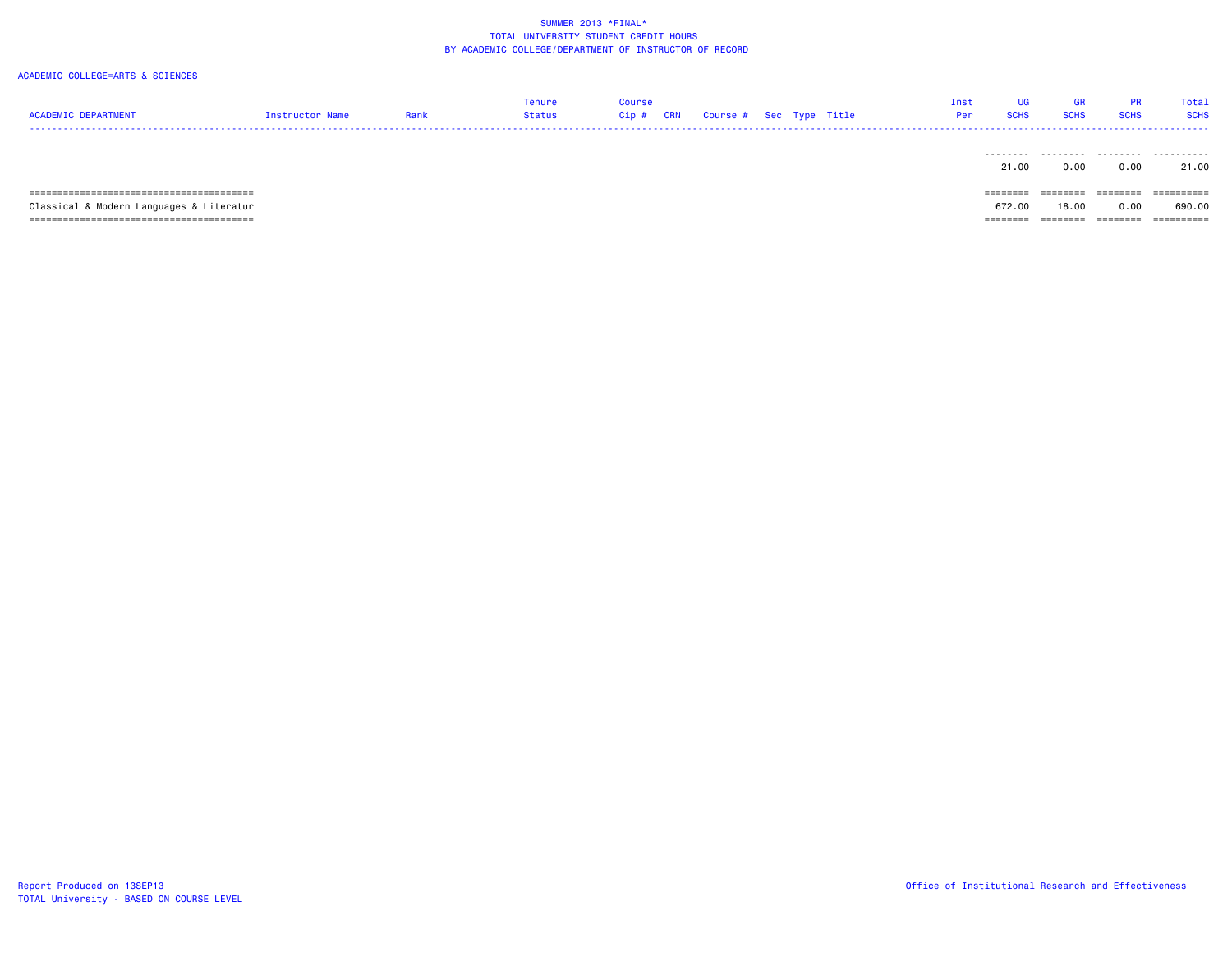| <b>ACADEMIC DEPARTMENT</b>               | Instructor Name | Rank | Tenure<br>Status | Course<br>Cip# | <b>CRN</b> | Course # Sec Type Title |  |  | Inst<br>UGi<br><b>SCHS</b><br>Per | GR<br><b>SCHS</b> | <b>PR</b><br><b>SCHS</b> | Total<br><b>SCHS</b> |
|------------------------------------------|-----------------|------|------------------|----------------|------------|-------------------------|--|--|-----------------------------------|-------------------|--------------------------|----------------------|
|                                          |                 |      |                  |                |            |                         |  |  | ---------<br>21.00                | .<br>0.00         | .<br>0.00                | .<br>21.00           |
|                                          |                 |      |                  |                |            |                         |  |  | ========                          | --------          | ========                 | ==========           |
| Classical & Modern Languages & Literatur |                 |      |                  |                |            |                         |  |  | 672.00                            | 18,00             | 0.00                     | 690.00               |
|                                          |                 |      |                  |                |            |                         |  |  | $=$ = = = = = = =                 | ========          | ========                 | ==========           |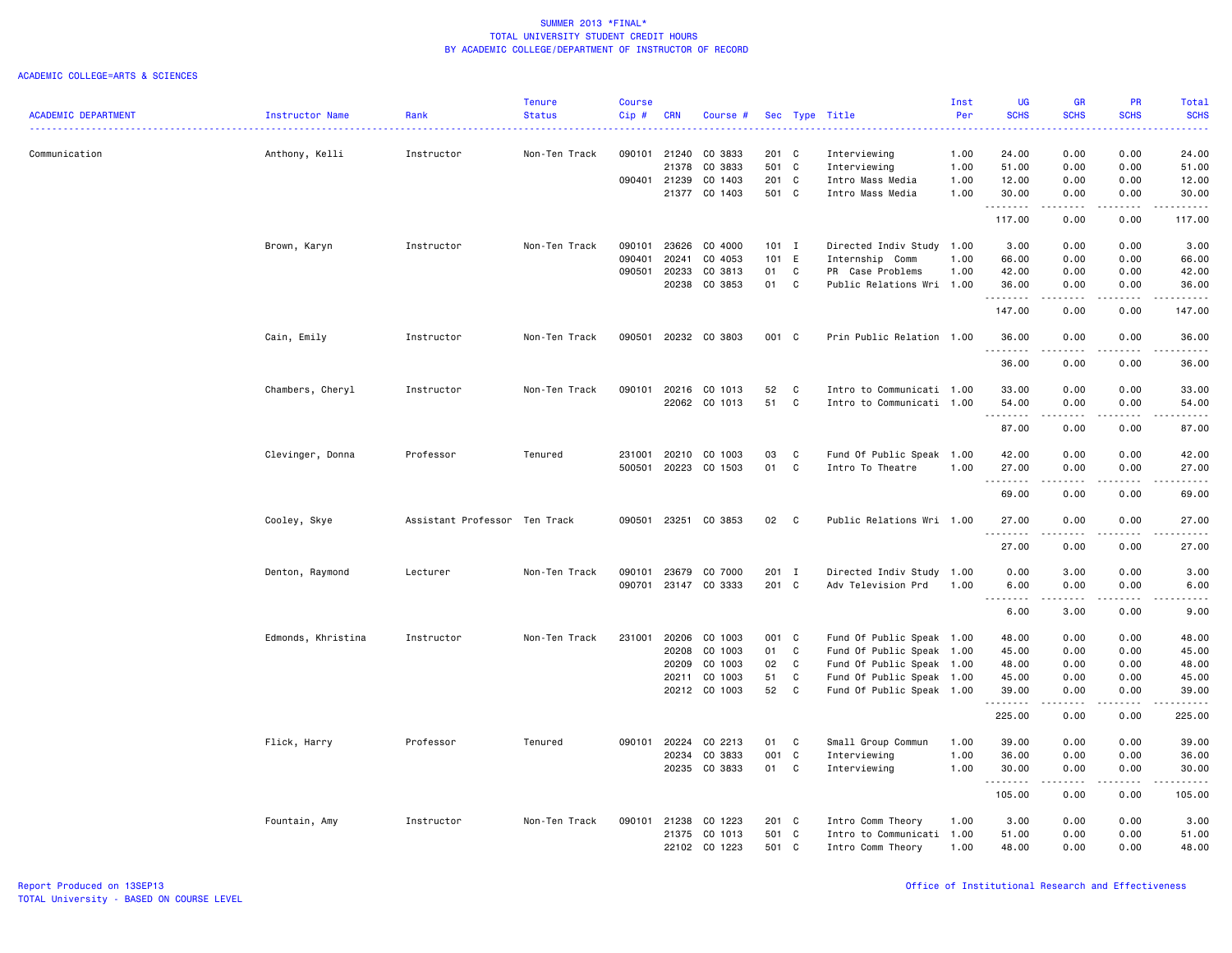|                            |                    |                               | Tenure        | Course |            |               |         |              |                           | Inst | UG                                | <b>GR</b>            | <b>PR</b>                    | Total              |
|----------------------------|--------------------|-------------------------------|---------------|--------|------------|---------------|---------|--------------|---------------------------|------|-----------------------------------|----------------------|------------------------------|--------------------|
| <b>ACADEMIC DEPARTMENT</b> | Instructor Name    | Rank                          | <b>Status</b> | Cip #  | <b>CRN</b> | Course #      |         |              | Sec Type Title            | Per  | <b>SCHS</b>                       | <b>SCHS</b>          | <b>SCHS</b>                  | <b>SCHS</b>        |
|                            |                    |                               |               |        |            |               |         |              |                           |      |                                   |                      |                              | $\frac{1}{2}$      |
| Communication              | Anthony, Kelli     | Instructor                    | Non-Ten Track | 090101 | 21240      | CO 3833       | 201 C   |              | Interviewing              | 1.00 | 24.00                             | 0.00                 | 0.00                         | 24.00              |
|                            |                    |                               |               |        | 21378      | CO 3833       | 501 C   |              | Interviewing              | 1.00 | 51.00                             | 0.00                 | 0.00                         | 51.00              |
|                            |                    |                               |               | 090401 | 21239      | CO 1403       | 201 C   |              | Intro Mass Media          | 1.00 | 12.00                             | 0.00                 | 0.00                         | 12.00              |
|                            |                    |                               |               |        | 21377      | CO 1403       | 501 C   |              | Intro Mass Media          | 1.00 | 30.00                             | 0.00                 | 0.00                         | 30.00              |
|                            |                    |                               |               |        |            |               |         |              |                           |      | . <b>.</b>                        | <u>.</u>             | .                            | .                  |
|                            |                    |                               |               |        |            |               |         |              |                           |      | 117.00                            | 0.00                 | 0.00                         | 117.00             |
|                            | Brown, Karyn       | Instructor                    | Non-Ten Track | 090101 | 23626      | CO 4000       | $101$ I |              | Directed Indiv Study 1.00 |      | 3.00                              | 0.00                 | 0.00                         | 3.00               |
|                            |                    |                               |               | 090401 | 20241      | CO 4053       | 101 E   |              | Internship Comm           | 1.00 | 66.00                             | 0.00                 | 0.00                         | 66.00              |
|                            |                    |                               |               | 090501 | 20233      | CO 3813       | 01      | $\mathbf c$  | PR Case Problems          | 1.00 | 42.00                             | 0.00                 | 0.00                         | 42.00              |
|                            |                    |                               |               |        | 20238      | CO 3853       | 01      | C            | Public Relations Wri 1.00 |      | 36.00                             | 0.00                 | 0.00                         | 36.00              |
|                            |                    |                               |               |        |            |               |         |              |                           |      | <u>.</u><br>147.00                | .<br>0.00            | .<br>0.00                    | .<br>147.00        |
|                            | Cain, Emily        | Instructor                    | Non-Ten Track | 090501 |            | 20232 CO 3803 | 001 C   |              | Prin Public Relation 1.00 |      | 36.00                             | 0.00                 | 0.00                         | 36.00              |
|                            |                    |                               |               |        |            |               |         |              |                           |      | .                                 | .                    | $\sim$ $\sim$ $\sim$ $\sim$  | .                  |
|                            |                    |                               |               |        |            |               |         |              |                           |      | 36.00                             | 0.00                 | 0.00                         | 36.00              |
|                            | Chambers, Cheryl   | Instructor                    | Non-Ten Track | 090101 | 20216      | CO 1013       | 52      | C            | Intro to Communicati 1.00 |      | 33.00                             | 0.00                 | 0.00                         | 33.00              |
|                            |                    |                               |               |        |            | 22062 CO 1013 | 51      | C            | Intro to Communicati 1.00 |      | 54.00                             | 0.00                 | 0.00                         | 54.00              |
|                            |                    |                               |               |        |            |               |         |              |                           |      | <u>.</u>                          | .                    |                              | $\frac{1}{2}$      |
|                            |                    |                               |               |        |            |               |         |              |                           |      | 87.00                             | 0.00                 | 0.00                         | 87.00              |
|                            | Clevinger, Donna   | Professor                     | Tenured       | 231001 | 20210      | CO 1003       | 03      | C            | Fund Of Public Speak 1.00 |      | 42.00                             | 0.00                 | 0.00                         | 42.00              |
|                            |                    |                               |               | 500501 | 20223      | CO 1503       | 01      | $\mathtt{C}$ | Intro To Theatre          | 1.00 | 27.00                             | 0.00                 | 0.00                         | 27.00              |
|                            |                    |                               |               |        |            |               |         |              |                           |      |                                   | $\omega$ is a set of | .                            | .                  |
|                            |                    |                               |               |        |            |               |         |              |                           |      | 69.00                             | 0.00                 | 0.00                         | 69.00              |
|                            | Cooley, Skye       | Assistant Professor Ten Track |               | 090501 | 23251      | CO 3853       | 02      | C            | Public Relations Wri 1.00 |      | 27.00                             | 0.00                 | 0.00                         | 27.00              |
|                            |                    |                               |               |        |            |               |         |              |                           |      | .<br>27.00                        | 0.00                 | 0.00                         | 27.00              |
|                            |                    |                               |               |        |            |               |         |              |                           |      |                                   |                      |                              |                    |
|                            | Denton, Raymond    | Lecturer                      | Non-Ten Track | 090101 | 23679      | CO 7000       | 201 I   |              | Directed Indiv Study 1.00 |      | 0.00                              | 3.00                 | 0.00                         | 3.00               |
|                            |                    |                               |               | 090701 |            | 23147 CO 3333 | 201 C   |              | Adv Television Prd        | 1.00 | 6.00                              | 0.00                 | 0.00                         | 6.00               |
|                            |                    |                               |               |        |            |               |         |              |                           |      | $\sim$ $\sim$ $\sim$<br>.<br>6.00 | .<br>3.00            | $\sim$ $\sim$ $\sim$<br>0.00 | -----<br>9.00      |
|                            |                    |                               |               |        |            |               |         |              |                           |      |                                   |                      |                              |                    |
|                            | Edmonds, Khristina | Instructor                    | Non-Ten Track | 231001 | 20206      | CO 1003       | 001 C   |              | Fund Of Public Speak 1.00 |      | 48.00                             | 0.00                 | 0.00                         | 48.00              |
|                            |                    |                               |               |        | 20208      | CO 1003       | 01      | C            | Fund Of Public Speak 1.00 |      | 45.00                             | 0.00                 | 0.00                         | 45.00              |
|                            |                    |                               |               |        | 20209      | CO 1003       | 02      | $\mathbf{C}$ | Fund Of Public Speak 1.00 |      | 48.00                             | 0.00                 | 0.00                         | 48.00              |
|                            |                    |                               |               |        | 20211      | CO 1003       | 51      | $\mathbb C$  | Fund Of Public Speak 1.00 |      | 45.00                             | 0.00                 | 0.00                         | 45.00              |
|                            |                    |                               |               |        |            | 20212 CO 1003 | 52      | $\mathbb C$  | Fund Of Public Speak 1.00 |      | 39.00                             | 0.00                 | 0.00                         | 39.00              |
|                            |                    |                               |               |        |            |               |         |              |                           |      | .<br>225.00                       | .<br>0.00            | .<br>0.00                    | .<br>225.00        |
|                            |                    |                               |               |        |            |               |         |              |                           |      |                                   |                      |                              |                    |
|                            | Flick, Harry       | Professor                     | Tenured       | 090101 | 20224      | CO 2213       | 01      | C            | Small Group Commun        | 1.00 | 39.00                             | 0.00                 | 0.00                         | 39.00              |
|                            |                    |                               |               |        | 20234      | CO 3833       | 001 C   |              | Interviewing              | 1.00 | 36.00                             | 0.00                 | 0.00                         | 36.00              |
|                            |                    |                               |               |        |            | 20235 CO 3833 | 01      | $\mathbf{C}$ | Interviewing              | 1.00 | 30.00                             | 0.00                 | 0.00                         | 30.00<br>والمستحدث |
|                            |                    |                               |               |        |            |               |         |              |                           |      | 105.00                            | 0.00                 | 0.00                         | 105.00             |
|                            | Fountain, Amy      | Instructor                    | Non-Ten Track | 090101 | 21238      | CO 1223       | 201 C   |              | Intro Comm Theory         | 1.00 | 3.00                              | 0.00                 | 0.00                         | 3.00               |
|                            |                    |                               |               |        | 21375      | CO 1013       | 501 C   |              | Intro to Communicati 1.00 |      | 51.00                             | 0.00                 | 0.00                         | 51.00              |
|                            |                    |                               |               |        |            | 22102 CO 1223 | 501 C   |              | Intro Comm Theory         | 1.00 | 48.00                             | 0.00                 | 0.00                         | 48.00              |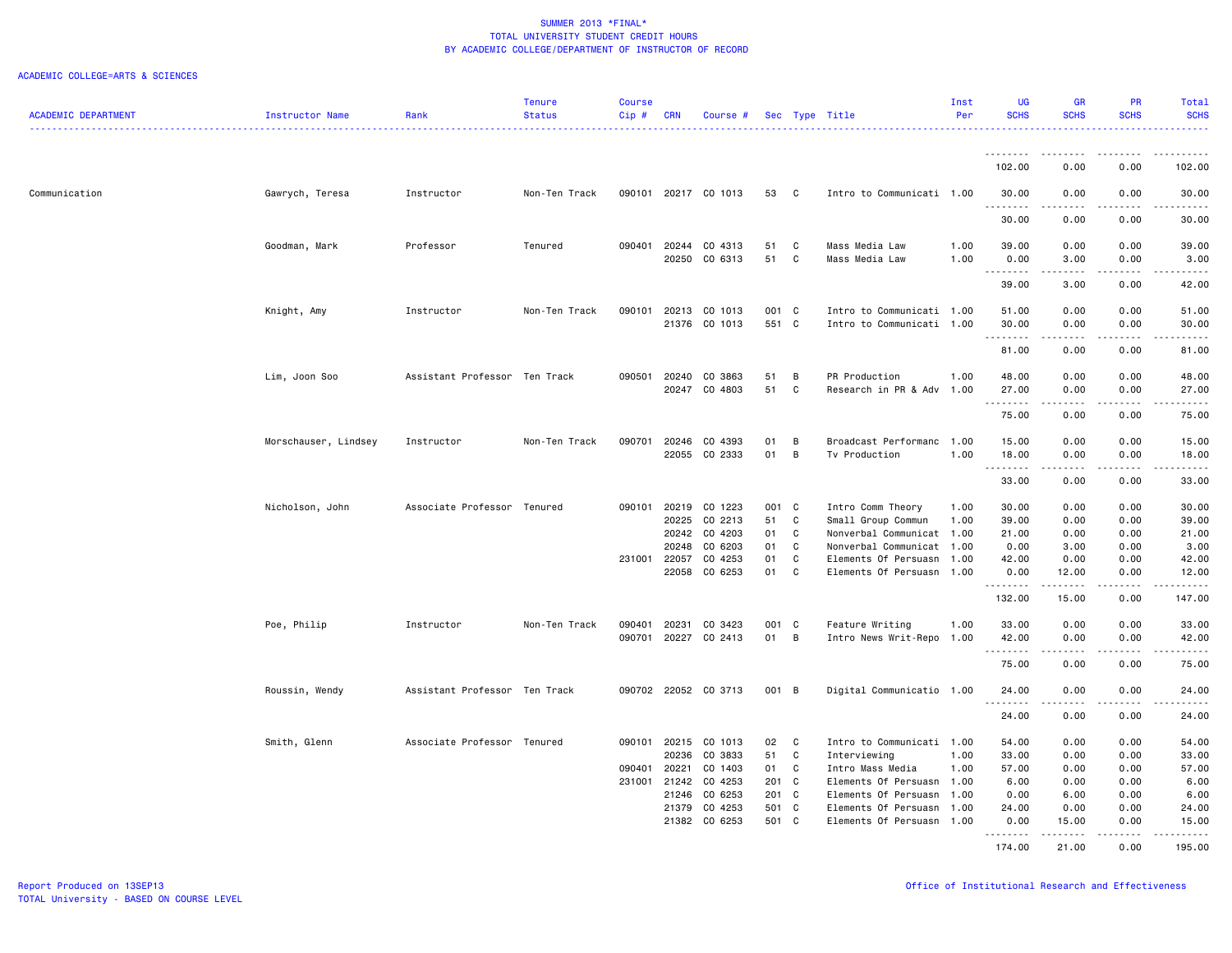|                            |                      |                               | <b>Tenure</b> | Course       |            |                      |               |              |                           | Inst | <b>UG</b>       | <b>GR</b>                                                                                                                                            | <b>PR</b>     | Total       |
|----------------------------|----------------------|-------------------------------|---------------|--------------|------------|----------------------|---------------|--------------|---------------------------|------|-----------------|------------------------------------------------------------------------------------------------------------------------------------------------------|---------------|-------------|
| <b>ACADEMIC DEPARTMENT</b> | Instructor Name      | Rank                          | <b>Status</b> | $Cip$ #      | <b>CRN</b> | Course #             |               |              | Sec Type Title            | Per  | <b>SCHS</b>     | <b>SCHS</b>                                                                                                                                          | <b>SCHS</b>   | <b>SCHS</b> |
|                            |                      |                               | .             |              |            |                      |               |              |                           |      |                 |                                                                                                                                                      |               | .           |
|                            |                      |                               |               |              |            |                      |               |              |                           |      |                 |                                                                                                                                                      |               |             |
|                            |                      |                               |               |              |            |                      |               |              |                           |      | <u>--------</u> |                                                                                                                                                      |               |             |
|                            |                      |                               |               |              |            |                      |               |              |                           |      | 102.00          | 0.00                                                                                                                                                 | 0.00          | 102.00      |
| Communication              | Gawrych, Teresa      | Instructor                    | Non-Ten Track |              |            | 090101 20217 CO 1013 | 53            | C            | Intro to Communicati 1.00 |      | 30.00           | 0.00                                                                                                                                                 | 0.00          | 30.00       |
|                            |                      |                               |               |              |            |                      |               |              |                           |      | .               | .                                                                                                                                                    | د د د د       | .           |
|                            |                      |                               |               |              |            |                      |               |              |                           |      | 30.00           | 0.00                                                                                                                                                 | 0.00          | 30.00       |
|                            |                      |                               |               |              |            |                      |               |              |                           |      |                 |                                                                                                                                                      |               |             |
|                            | Goodman, Mark        | Professor                     | Tenured       | 090401       | 20244      | CO 4313              | 51            | $\mathtt{C}$ | Mass Media Law            | 1.00 | 39.00           | 0.00                                                                                                                                                 | 0.00          | 39.00       |
|                            |                      |                               |               |              | 20250      | CO 6313              | 51            | C            | Mass Media Law            | 1.00 | 0.00            | 3.00                                                                                                                                                 | 0.00          | 3.00        |
|                            |                      |                               |               |              |            |                      |               |              |                           |      | .               |                                                                                                                                                      |               |             |
|                            |                      |                               |               |              |            |                      |               |              |                           |      | 39.00           | 3.00                                                                                                                                                 | 0.00          | 42.00       |
|                            |                      |                               |               |              |            |                      |               |              |                           |      |                 |                                                                                                                                                      |               |             |
|                            | Knight, Amy          | Instructor                    | Non-Ten Track | 090101       | 20213      | CO 1013              | 001 C         |              | Intro to Communicati 1.00 |      | 51.00           | 0.00                                                                                                                                                 | 0.00          | 51.00       |
|                            |                      |                               |               |              |            | 21376 CO 1013        | 551 C         |              | Intro to Communicati 1.00 |      | 30.00           | 0.00                                                                                                                                                 | 0.00          | 30.00       |
|                            |                      |                               |               |              |            |                      |               |              |                           |      | .               | .                                                                                                                                                    | .             | .           |
|                            |                      |                               |               |              |            |                      |               |              |                           |      | 81.00           | 0.00                                                                                                                                                 | 0.00          | 81.00       |
|                            |                      |                               |               |              |            |                      |               |              |                           |      |                 |                                                                                                                                                      |               |             |
|                            | Lim, Joon Soo        | Assistant Professor Ten Track |               | 090501       | 20240      | CO 3863              | 51            | В            | PR Production             | 1.00 | 48.00           | 0.00                                                                                                                                                 | 0.00          | 48.00       |
|                            |                      |                               |               |              |            | 20247 CO 4803        | 51            | C            | Research in PR & Adv      | 1.00 | 27.00           | 0.00                                                                                                                                                 | 0.00          | 27.00       |
|                            |                      |                               |               |              |            |                      |               |              |                           |      | . <b>.</b>      | $\frac{1}{2} \left( \frac{1}{2} \right) \left( \frac{1}{2} \right) \left( \frac{1}{2} \right) \left( \frac{1}{2} \right) \left( \frac{1}{2} \right)$ | .             | .           |
|                            |                      |                               |               |              |            |                      |               |              |                           |      | 75.00           | 0.00                                                                                                                                                 | 0.00          | 75.00       |
|                            |                      | Instructor                    | Non-Ten Track | 090701       | 20246      | CO 4393              | 01            | В            | Broadcast Performanc      | 1.00 | 15.00           | 0.00                                                                                                                                                 | 0.00          | 15.00       |
|                            | Morschauser, Lindsey |                               |               |              |            | 22055 CO 2333        | 01            | B            | Tv Production             | 1.00 | 18.00           | 0.00                                                                                                                                                 | 0.00          | 18.00       |
|                            |                      |                               |               |              |            |                      |               |              |                           |      | .               | .                                                                                                                                                    | .             | .           |
|                            |                      |                               |               |              |            |                      |               |              |                           |      | 33.00           | 0.00                                                                                                                                                 | 0.00          | 33.00       |
|                            |                      |                               |               |              |            |                      |               |              |                           |      |                 |                                                                                                                                                      |               |             |
|                            | Nicholson, John      | Associate Professor Tenured   |               | 090101       | 20219      | CO 1223              | 001 C         |              | Intro Comm Theory         | 1.00 | 30.00           | 0.00                                                                                                                                                 | 0.00          | 30.00       |
|                            |                      |                               |               |              | 20225      | CO 2213              | 51            | C            | Small Group Commun        | 1.00 | 39.00           | 0.00                                                                                                                                                 | 0.00          | 39.00       |
|                            |                      |                               |               |              | 20242      | CO 4203              | 01            | C            | Nonverbal Communicat 1.00 |      | 21.00           | 0.00                                                                                                                                                 | 0.00          | 21.00       |
|                            |                      |                               |               |              | 20248      | CO 6203              | 01            | C            | Nonverbal Communicat 1.00 |      | 0.00            | 3.00                                                                                                                                                 | 0.00          | 3.00        |
|                            |                      |                               |               | 231001       | 22057      | CO 4253              | 01            | C            | Elements Of Persuasn      | 1.00 | 42.00           | 0.00                                                                                                                                                 | 0.00          | 42.00       |
|                            |                      |                               |               |              | 22058      | CO 6253              | 01            | C            | Elements Of Persuasn 1.00 |      | 0.00            | 12.00                                                                                                                                                | 0.00          | 12.00       |
|                            |                      |                               |               |              |            |                      |               |              |                           |      | .               | .                                                                                                                                                    | د د د د       |             |
|                            |                      |                               |               |              |            |                      |               |              |                           |      | 132.00          | 15.00                                                                                                                                                | 0.00          | 147.00      |
|                            |                      |                               |               |              |            |                      |               |              |                           |      |                 |                                                                                                                                                      |               |             |
|                            | Poe, Philip          | Instructor                    | Non-Ten Track | 090401       | 20231      | CO 3423              | 001           | C            | Feature Writing           | 1.00 | 33.00           | 0.00                                                                                                                                                 | 0.00          | 33.00       |
|                            |                      |                               |               | 090701       | 20227      | CO 2413              | 01            | B            | Intro News Writ-Repo 1.00 |      | 42.00           | 0.00                                                                                                                                                 | 0.00          | 42.00       |
|                            |                      |                               |               |              |            |                      |               |              |                           |      | .               |                                                                                                                                                      | والمالات      | د د د د د   |
|                            |                      |                               |               |              |            |                      |               |              |                           |      | 75.00           | 0.00                                                                                                                                                 | 0.00          | 75.00       |
|                            | Roussin, Wendy       | Assistant Professor Ten Track |               |              |            | 090702 22052 CO 3713 | 001 B         |              | Digital Communicatio 1.00 |      | 24.00           | 0.00                                                                                                                                                 | 0.00          | 24.00       |
|                            |                      |                               |               |              |            |                      |               |              |                           |      | .               |                                                                                                                                                      | $\frac{1}{2}$ | .           |
|                            |                      |                               |               |              |            |                      |               |              |                           |      | 24.00           | 0.00                                                                                                                                                 | 0.00          | 24.00       |
|                            |                      |                               |               |              |            |                      |               |              |                           |      |                 |                                                                                                                                                      |               |             |
|                            | Smith, Glenn         | Associate Professor Tenured   |               | 090101       | 20215      | CO 1013              | 02            | C            | Intro to Communicati 1.00 |      | 54.00           | 0.00                                                                                                                                                 | 0.00          | 54.00       |
|                            |                      |                               |               |              | 20236      | CO 3833              | 51            | C            | Interviewing              | 1.00 | 33.00           | 0.00                                                                                                                                                 | 0.00          | 33.00       |
|                            |                      |                               |               | 090401 20221 |            | CO 1403              | 01            | $\mathbf{C}$ | Intro Mass Media          | 1.00 | 57.00           | 0.00                                                                                                                                                 | 0.00          | 57.00       |
|                            |                      |                               |               | 231001       | 21242      | CO 4253              | 201 C         |              | Elements Of Persuasn      | 1.00 | 6.00            | 0.00                                                                                                                                                 | 0.00          | 6.00        |
|                            |                      |                               |               |              | 21246      | CO 6253              | $201 \quad C$ |              | Elements Of Persuasn      | 1.00 | 0.00            | 6.00                                                                                                                                                 | 0.00          | 6.00        |
|                            |                      |                               |               |              | 21379      | CO 4253              | 501 C         |              | Elements Of Persuasn      | 1.00 | 24.00           | 0.00                                                                                                                                                 | 0.00          | 24.00       |
|                            |                      |                               |               |              | 21382      | CO 6253              | 501 C         |              | Elements Of Persuasn      | 1.00 | 0.00            | 15.00                                                                                                                                                | 0.00          | 15.00       |
|                            |                      |                               |               |              |            |                      |               |              |                           |      | .               | .                                                                                                                                                    | .             | .           |
|                            |                      |                               |               |              |            |                      |               |              |                           |      | 174.00          | 21.00                                                                                                                                                | 0.00          | 195.00      |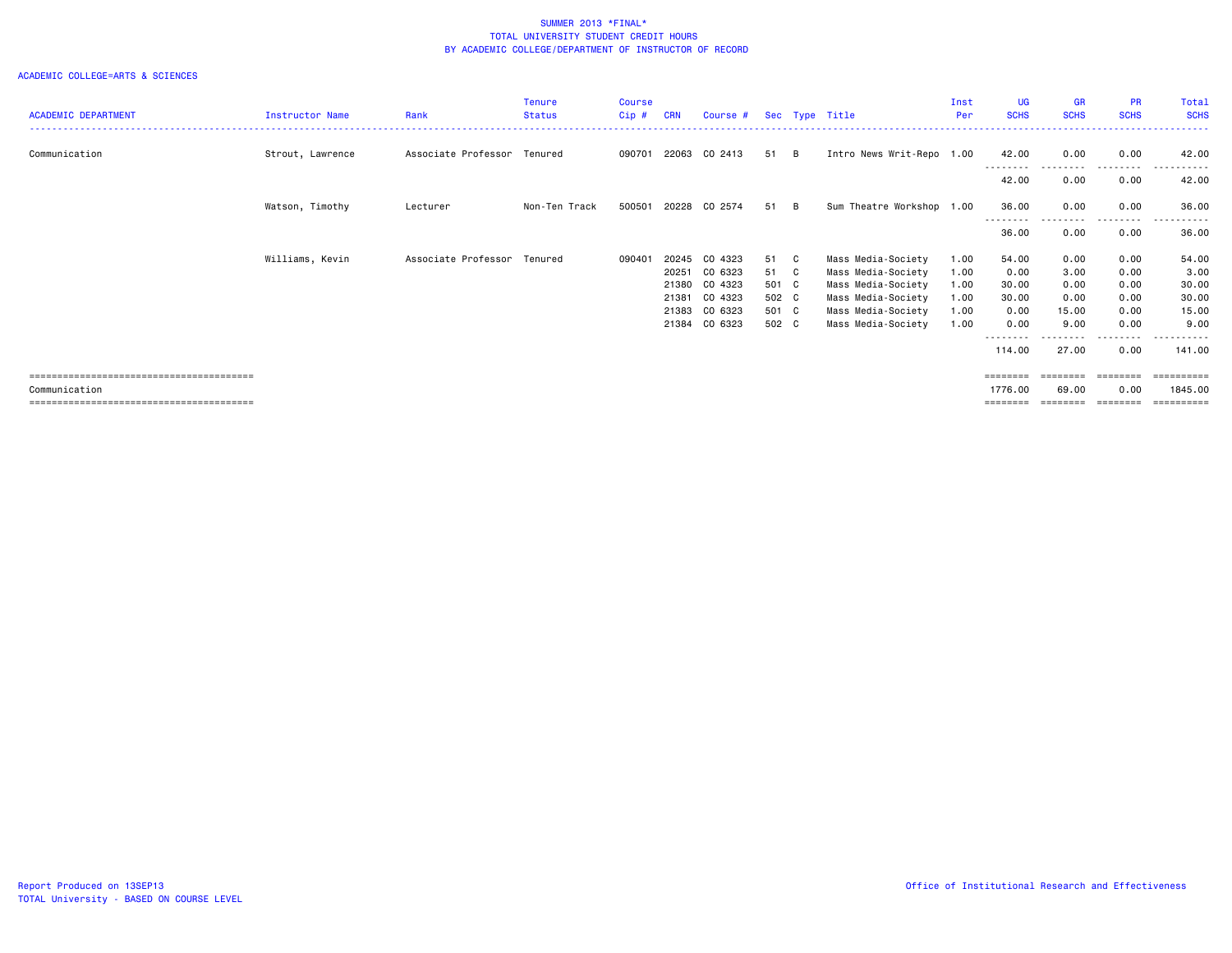|                            |                        |                             | <b>Tenure</b> | <b>Course</b> |            |               |       |          |                           | Inst | <b>UG</b>         | <b>GR</b>         | <b>PR</b>     | Total       |
|----------------------------|------------------------|-----------------------------|---------------|---------------|------------|---------------|-------|----------|---------------------------|------|-------------------|-------------------|---------------|-------------|
| <b>ACADEMIC DEPARTMENT</b> | <b>Instructor Name</b> | Rank                        | <b>Status</b> | $Cip$ #       | <b>CRN</b> | Course #      |       |          | Sec Type Title            | Per  | <b>SCHS</b>       | <b>SCHS</b>       | <b>SCHS</b>   | <b>SCHS</b> |
|                            |                        |                             |               |               |            |               |       |          |                           |      |                   |                   |               |             |
| Communication              | Strout, Lawrence       | Associate Professor Tenured |               | 090701        |            | 22063 CO 2413 | 51    | <b>B</b> | Intro News Writ-Repo 1.00 |      | 42.00             | 0.00              | 0.00          | 42.00       |
|                            |                        |                             |               |               |            |               |       |          |                           |      | --------<br>42.00 | .<br>0.00         | -----<br>0.00 | 42.00       |
|                            |                        |                             |               |               |            |               |       |          |                           |      |                   |                   |               |             |
|                            | Watson, Timothy        | Lecturer                    | Non-Ten Track | 500501        | 20228      | CO 2574       | 51    | - B      | Sum Theatre Workshop 1.00 |      | 36.00<br>-------- | 0.00<br>--------- | 0.00<br>.     | 36.00<br>.  |
|                            |                        |                             |               |               |            |               |       |          |                           |      | 36.00             | 0.00              | 0.00          | 36.00       |
|                            | Williams, Kevin        | Associate Professor Tenured |               | 090401        | 20245      | CO 4323       | 51 C  |          | Mass Media-Society        | 1.00 | 54.00             | 0.00              | 0.00          | 54.00       |
|                            |                        |                             |               |               | 20251      | CO 6323       | 51 C  |          | Mass Media-Society        | 1.00 | 0.00              | 3.00              | 0.00          | 3.00        |
|                            |                        |                             |               |               | 21380      | CO 4323       | 501 C |          | Mass Media-Society        | 1.00 | 30.00             | 0.00              | 0.00          | 30.00       |
|                            |                        |                             |               |               | 21381      | CO 4323       | 502 C |          | Mass Media-Society        | 1.00 | 30.00             | 0.00              | 0.00          | 30.00       |
|                            |                        |                             |               |               | 21383      | CO 6323       | 501 C |          | Mass Media-Society        | 1.00 | 0.00              | 15.00             | 0.00          | 15.00       |
|                            |                        |                             |               |               | 21384      | CO 6323       | 502 C |          | Mass Media-Society        | 1.00 | 0.00              | 9.00              | 0.00          | 9.00        |
|                            |                        |                             |               |               |            |               |       |          |                           |      |                   |                   | .             |             |
|                            |                        |                             |               |               |            |               |       |          |                           |      | 114.00            | 27.00             | 0.00          | 141.00      |
|                            |                        |                             |               |               |            |               |       |          |                           |      | ========          | ========          | ========      | ==========  |
| Communication              |                        |                             |               |               |            |               |       |          |                           |      | 1776.00           | 69.00             | 0.00          | 1845,00     |
|                            |                        |                             |               |               |            |               |       |          |                           |      | ========          | ========          |               | ==========  |
|                            |                        |                             |               |               |            |               |       |          |                           |      |                   |                   |               |             |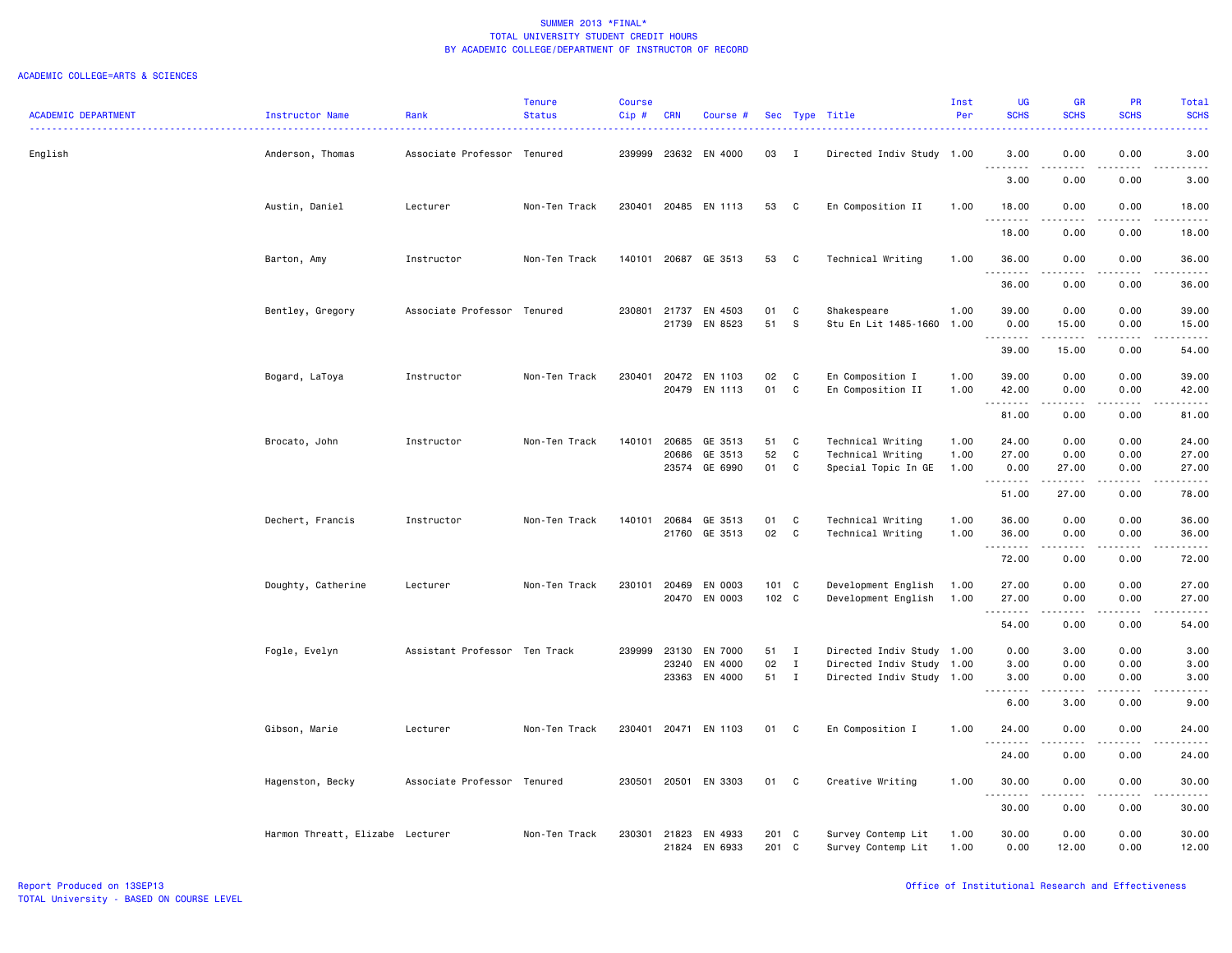|                            |                                  |                               | <b>Tenure</b> | <b>Course</b> |                |                                |                |                   |                                          | Inst         | <b>UG</b>                                                                                                                         | <b>GR</b>             | <b>PR</b>             | Total          |
|----------------------------|----------------------------------|-------------------------------|---------------|---------------|----------------|--------------------------------|----------------|-------------------|------------------------------------------|--------------|-----------------------------------------------------------------------------------------------------------------------------------|-----------------------|-----------------------|----------------|
| <b>ACADEMIC DEPARTMENT</b> | Instructor Name                  | Rank                          | <b>Status</b> | Cip#          | <b>CRN</b>     | Course #                       |                |                   | Sec Type Title                           | Per          | <b>SCHS</b>                                                                                                                       | <b>SCHS</b>           | <b>SCHS</b>           | <b>SCHS</b>    |
| English                    | Anderson, Thomas                 | Associate Professor Tenured   |               | 239999        |                | 23632 EN 4000                  | 03             | I                 | Directed Indiv Study                     | 1.00         | 3.00<br>.                                                                                                                         | 0.00                  | 0.00                  | 3.00           |
|                            |                                  |                               |               |               |                |                                |                |                   |                                          |              | 3.00                                                                                                                              | 0.00                  | 0.00                  | 3.00           |
|                            | Austin, Daniel                   | Lecturer                      | Non-Ten Track | 230401        |                | 20485 EN 1113                  | 53             | $\mathbf{C}$      | En Composition II                        | 1.00         | 18.00                                                                                                                             | 0.00                  | 0.00                  | 18.00          |
|                            |                                  |                               |               |               |                |                                |                |                   |                                          |              | 18.00                                                                                                                             | 0.00                  | 0.00                  | 18.00          |
|                            | Barton, Amy                      | Instructor                    | Non-Ten Track |               |                | 140101 20687 GE 3513           | 53             | $\mathbf{C}$      | Technical Writing                        | 1.00         | 36.00<br><u>.</u>                                                                                                                 | 0.00                  | 0.00                  | 36.00<br>.     |
|                            |                                  |                               |               |               |                |                                |                |                   |                                          |              | 36.00                                                                                                                             | 0.00                  | 0.00                  | 36.00          |
|                            | Bentley, Gregory                 | Associate Professor Tenured   |               | 230801        | 21737          | EN 4503                        | 01             | C                 | Shakespeare                              | 1.00         | 39.00                                                                                                                             | 0.00                  | 0.00                  | 39.00          |
|                            |                                  |                               |               |               |                | 21739 EN 8523                  | 51             | $\mathbb S$       | Stu En Lit 1485-1660                     | 1.00         | 0.00                                                                                                                              | 15.00<br>.            | 0.00<br>.             | 15.00<br>.     |
|                            |                                  |                               |               |               |                |                                |                |                   |                                          |              | 39.00                                                                                                                             | 15.00                 | 0.00                  | 54.00          |
|                            | Bogard, LaToya                   | Instructor                    | Non-Ten Track | 230401        |                | 20472 EN 1103<br>20479 EN 1113 | 02<br>01       | C<br>C            | En Composition I                         | 1.00<br>1.00 | 39.00                                                                                                                             | 0.00<br>0.00          | 0.00<br>0.00          | 39.00<br>42.00 |
|                            |                                  |                               |               |               |                |                                |                |                   | En Composition II                        |              | 42.00<br>.                                                                                                                        |                       |                       | .              |
|                            |                                  |                               |               |               |                |                                |                |                   |                                          |              | 81.00                                                                                                                             | 0.00                  | 0.00                  | 81.00          |
|                            | Brocato, John                    | Instructor                    | Non-Ten Track | 140101        | 20685          | GE 3513                        | 51             | C                 | Technical Writing                        | 1.00         | 24.00                                                                                                                             | 0.00                  | 0.00                  | 24.00          |
|                            |                                  |                               |               |               | 20686<br>23574 | GE 3513<br>GE 6990             | 52<br>01       | C<br>C            | Technical Writing<br>Special Topic In GE | 1.00<br>1.00 | 27.00<br>0.00                                                                                                                     | 0.00<br>27.00         | 0.00<br>0.00          | 27.00<br>27.00 |
|                            |                                  |                               |               |               |                |                                |                |                   |                                          |              | . <b>.</b><br>51.00                                                                                                               | .<br>27.00            | المتماما<br>0.00      | .<br>78.00     |
|                            |                                  |                               |               |               |                |                                |                |                   |                                          |              |                                                                                                                                   |                       |                       |                |
|                            | Dechert, Francis                 | Instructor                    | Non-Ten Track | 140101        | 20684<br>21760 | GE 3513<br>GE 3513             | 01<br>02       | C<br>$\mathbf{C}$ | Technical Writing<br>Technical Writing   | 1.00<br>1.00 | 36.00<br>36.00                                                                                                                    | 0.00<br>0.00          | 0.00<br>0.00          | 36.00<br>36.00 |
|                            |                                  |                               |               |               |                |                                |                |                   |                                          |              | .                                                                                                                                 | .                     | .                     | .              |
|                            |                                  |                               |               |               |                |                                |                |                   |                                          |              | 72.00                                                                                                                             | 0.00                  | 0.00                  | 72.00          |
|                            | Doughty, Catherine               | Lecturer                      | Non-Ten Track | 230101        | 20469          | EN 0003                        | 101 C          |                   | Development English                      | 1.00         | 27.00                                                                                                                             | 0.00                  | 0.00                  | 27.00          |
|                            |                                  |                               |               |               |                | 20470 EN 0003                  | 102 C          |                   | Development English                      | 1.00         | 27.00                                                                                                                             | 0.00                  | 0.00                  | 27.00          |
|                            |                                  |                               |               |               |                |                                |                |                   |                                          |              | 54.00                                                                                                                             | .<br>0.00             | .<br>0.00             | .<br>54.00     |
|                            | Fogle, Evelyn                    | Assistant Professor Ten Track |               | 239999        | 23130          | EN 7000                        | 51             | $\mathbf{I}$      | Directed Indiv Study 1.00                |              | 0.00                                                                                                                              | 3.00                  | 0.00                  | 3.00           |
|                            |                                  |                               |               |               | 23240          | EN 4000                        | 02             | $\mathbf I$       | Directed Indiv Study 1.00                |              | 3.00                                                                                                                              | 0.00                  | 0.00                  | 3.00           |
|                            |                                  |                               |               |               |                | 23363 EN 4000                  | 51             | $\mathbf{I}$      | Directed Indiv Study 1.00                |              | 3.00<br>$\frac{1}{2} \left( \frac{1}{2} \right) \left( \frac{1}{2} \right) \left( \frac{1}{2} \right) \left( \frac{1}{2} \right)$ | 0.00                  | 0.00                  | 3.00           |
|                            |                                  |                               |               |               |                |                                |                |                   |                                          |              | 6.00                                                                                                                              | 3.00                  | 0.00                  | 9.00           |
|                            | Gibson, Marie                    | Lecturer                      | Non-Ten Track | 230401        |                | 20471 EN 1103                  | 01             | C                 | En Composition I                         | 1.00         | 24.00<br><b></b>                                                                                                                  | 0.00<br>.             | 0.00<br>.             | 24.00<br>.     |
|                            |                                  |                               |               |               |                |                                |                |                   |                                          |              | 24.00                                                                                                                             | 0.00                  | 0.00                  | 24.00          |
|                            | Hagenston, Becky                 | Associate Professor           | Tenured       | 230501        |                | 20501 EN 3303                  | 01             | C                 | Creative Writing                         | 1.00         | 30.00<br>.                                                                                                                        | 0.00<br>المتمام المنا | 0.00<br>$\frac{1}{2}$ | 30.00<br>.     |
|                            |                                  |                               |               |               |                |                                |                |                   |                                          |              | 30.00                                                                                                                             | 0.00                  | 0.00                  | 30.00          |
|                            | Harmon Threatt, Elizabe Lecturer |                               | Non-Ten Track | 230301        | 21823          | EN 4933<br>21824 EN 6933       | 201 C<br>201 C |                   | Survey Contemp Lit<br>Survey Contemp Lit | 1.00<br>1.00 | 30.00<br>0.00                                                                                                                     | 0.00<br>12.00         | 0.00<br>0.00          | 30.00<br>12.00 |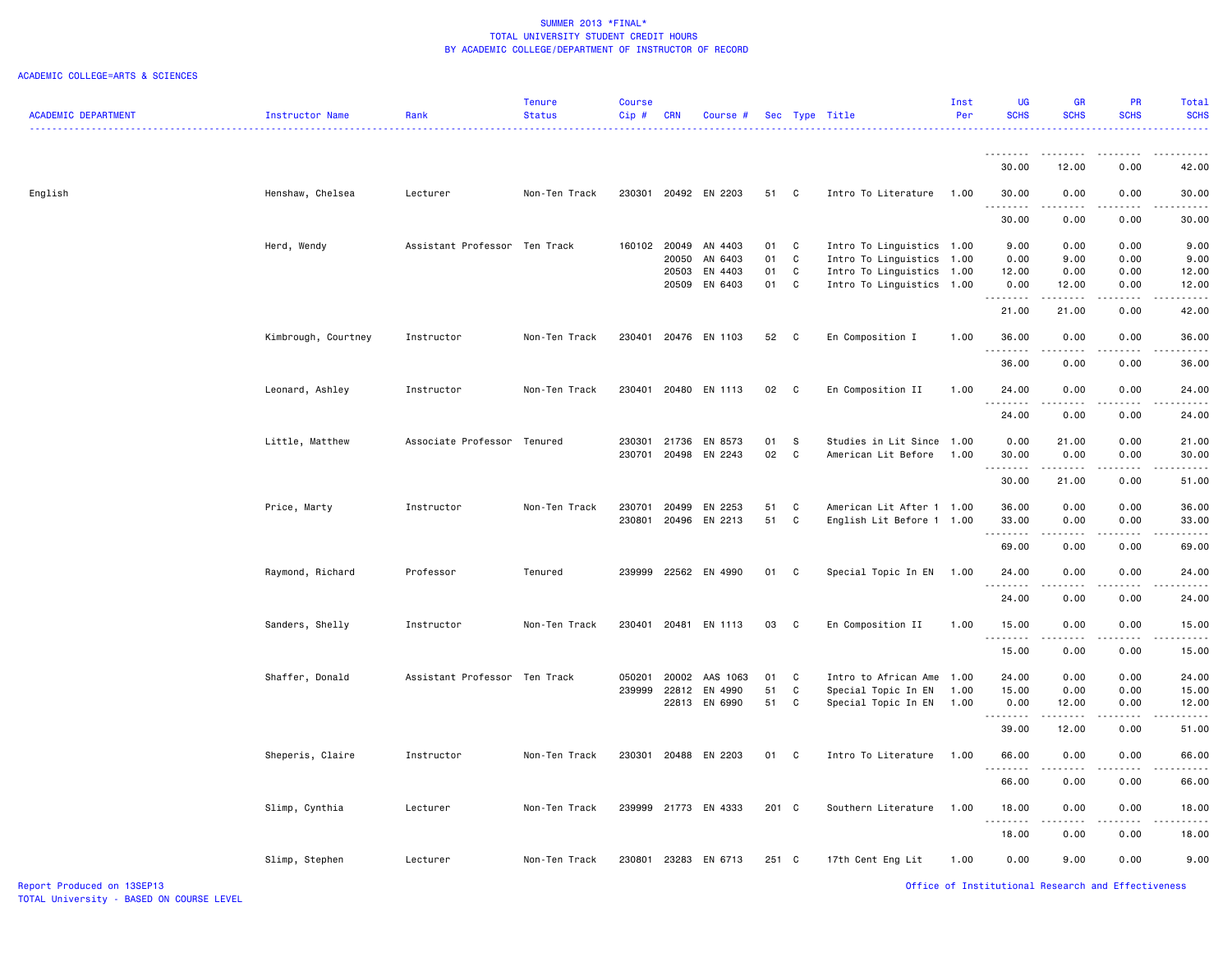| <b>ACADEMIC DEPARTMENT</b> | Instructor Name     | Rank                          | <b>Tenure</b><br><b>Status</b> | Course<br>Cip# | <b>CRN</b> | Course #             |       |              | Sec Type Title            | Inst<br>Per | <b>UG</b><br><b>SCHS</b> | <b>GR</b><br><b>SCHS</b>                                                                                                  | PR<br><b>SCHS</b>     | Total<br><b>SCHS</b> |
|----------------------------|---------------------|-------------------------------|--------------------------------|----------------|------------|----------------------|-------|--------------|---------------------------|-------------|--------------------------|---------------------------------------------------------------------------------------------------------------------------|-----------------------|----------------------|
|                            |                     |                               |                                |                |            |                      |       |              |                           |             |                          |                                                                                                                           |                       |                      |
|                            |                     |                               |                                |                |            |                      |       |              |                           |             | .<br>30.00               | .<br>12.00                                                                                                                | -----<br>0.00         | 42.00                |
| English                    | Henshaw, Chelsea    | Lecturer                      | Non-Ten Track                  | 230301         |            | 20492 EN 2203        | 51    | $\mathbf{C}$ | Intro To Literature       | 1.00        | 30.00                    | 0.00                                                                                                                      | 0.00                  | 30.00                |
|                            |                     |                               |                                |                |            |                      |       |              |                           |             | .<br>30.00               | .<br>0.00                                                                                                                 | 0.00                  | 30.00                |
|                            | Herd, Wendy         | Assistant Professor Ten Track |                                | 160102         | 20049      | AN 4403              | 01    | C            | Intro To Linguistics 1.00 |             | 9.00                     | 0.00                                                                                                                      | 0.00                  | 9.00                 |
|                            |                     |                               |                                |                | 20050      | AN 6403              | 01    | $\mathbf C$  | Intro To Linguistics      | 1.00        | 0.00                     | 9.00                                                                                                                      | 0.00                  | 9.00                 |
|                            |                     |                               |                                |                | 20503      | EN 4403              | 01    | C            | Intro To Linguistics      | 1.00        | 12.00                    | 0.00                                                                                                                      | 0.00                  | 12.00                |
|                            |                     |                               |                                |                |            | 20509 EN 6403        | 01    | $\mathbf C$  | Intro To Linguistics      | 1.00        | 0.00<br>.                | 12.00                                                                                                                     | 0.00                  | 12.00                |
|                            |                     |                               |                                |                |            |                      |       |              |                           |             | 21.00                    | 21.00                                                                                                                     | 0.00                  | 42.00                |
|                            | Kimbrough, Courtney | Instructor                    | Non-Ten Track                  | 230401         |            | 20476 EN 1103        | 52 C  |              | En Composition I          | 1.00        | 36.00                    | 0.00                                                                                                                      | 0.00                  | 36.00                |
|                            |                     |                               |                                |                |            |                      |       |              |                           |             | 36.00                    | 0.00                                                                                                                      | 0.00                  | 36.00                |
|                            | Leonard, Ashley     | Instructor                    | Non-Ten Track                  | 230401         |            | 20480 EN 1113        | 02 C  |              | En Composition II         | 1.00        | 24.00                    | 0.00                                                                                                                      | 0.00                  | 24.00                |
|                            |                     |                               |                                |                |            |                      |       |              |                           |             | 24.00                    | 0.00                                                                                                                      | 0.00                  | 24.00                |
|                            | Little, Matthew     | Associate Professor Tenured   |                                | 230301         |            | 21736 EN 8573        | 01    | s            | Studies in Lit Since 1.00 |             | 0.00                     | 21.00                                                                                                                     | 0.00                  | 21.00                |
|                            |                     |                               |                                | 230701         |            | 20498 EN 2243        | 02    | $\mathbf{C}$ | American Lit Before       | 1.00        | 30.00                    | 0.00                                                                                                                      | 0.00                  | 30.00                |
|                            |                     |                               |                                |                |            |                      |       |              |                           |             | .                        | $\frac{1}{2} \left( \frac{1}{2} \right) \left( \frac{1}{2} \right) \left( \frac{1}{2} \right) \left( \frac{1}{2} \right)$ |                       |                      |
|                            |                     |                               |                                |                |            |                      |       |              |                           |             | 30.00                    | 21.00                                                                                                                     | 0.00                  | 51.00                |
|                            | Price, Marty        | Instructor                    | Non-Ten Track                  | 230701         | 20499      | EN 2253              | 51    | C            | American Lit After 1 1.00 |             | 36.00                    | 0.00                                                                                                                      | 0.00                  | 36.00                |
|                            |                     |                               |                                | 230801         |            | 20496 EN 2213        | 51    | $\mathtt{C}$ | English Lit Before 1 1.00 |             | 33.00<br>.               | 0.00<br>بالرباء                                                                                                           | 0.00<br>$\frac{1}{2}$ | 33.00<br>.           |
|                            |                     |                               |                                |                |            |                      |       |              |                           |             | 69.00                    | 0.00                                                                                                                      | 0.00                  | 69.00                |
|                            | Raymond, Richard    | Professor                     | Tenured                        | 239999         |            | 22562 EN 4990        | 01    | $\mathbf{C}$ | Special Topic In EN       | 1.00        | 24.00                    | 0.00                                                                                                                      | 0.00                  | 24.00                |
|                            |                     |                               |                                |                |            |                      |       |              |                           |             | .<br>24.00               | $- - -$<br>0.00                                                                                                           | .<br>0.00             | 24.00                |
|                            |                     |                               |                                |                |            |                      |       |              |                           |             |                          |                                                                                                                           |                       |                      |
|                            | Sanders, Shelly     | Instructor                    | Non-Ten Track                  | 230401         |            | 20481 EN 1113        | 03    | $\mathbf{C}$ | En Composition II         | 1.00        | 15.00<br>.               | 0.00<br>.                                                                                                                 | 0.00<br>$\frac{1}{2}$ | 15.00<br><u>.</u>    |
|                            |                     |                               |                                |                |            |                      |       |              |                           |             | 15.00                    | 0.00                                                                                                                      | 0.00                  | 15.00                |
|                            | Shaffer, Donald     | Assistant Professor Ten Track |                                | 050201         |            | 20002 AAS 1063       | 01    | C            | Intro to African Ame      | 1.00        | 24.00                    | 0.00                                                                                                                      | 0.00                  | 24.00                |
|                            |                     |                               |                                | 239999         | 22812      | EN 4990              | 51    | $\mathtt{C}$ | Special Topic In EN       | 1.00        | 15.00                    | 0.00                                                                                                                      | 0.00                  | 15.00                |
|                            |                     |                               |                                |                |            | 22813 EN 6990        | 51    | C            | Special Topic In EN       | 1.00        | 0.00                     | 12.00                                                                                                                     | 0.00                  | 12.00                |
|                            |                     |                               |                                |                |            |                      |       |              |                           |             | . <b>.</b><br>39.00      | 12.00                                                                                                                     | 0.00                  | 51.00                |
|                            | Sheperis, Claire    | Instructor                    | Non-Ten Track                  | 230301         |            | 20488 EN 2203        | 01    | $\mathbf{C}$ | Intro To Literature       | 1.00        | 66.00                    | 0.00                                                                                                                      | 0.00                  | 66.00                |
|                            |                     |                               |                                |                |            |                      |       |              |                           |             | 66.00                    | 0.00                                                                                                                      | 0.00                  | 66.00                |
|                            | Slimp, Cynthia      | Lecturer                      | Non-Ten Track                  |                |            | 239999 21773 EN 4333 | 201 C |              | Southern Literature       | 1.00        | 18.00                    | 0.00                                                                                                                      | 0.00                  | 18.00                |
|                            |                     |                               |                                |                |            |                      |       |              |                           |             | .<br>18.00               | 0.00                                                                                                                      | 0.00                  | 18.00                |
|                            | Slimp, Stephen      | Lecturer                      | Non-Ten Track                  | 230801         |            | 23283 EN 6713        | 251 C |              | 17th Cent Eng Lit         | 1.00        | 0.00                     | 9.00                                                                                                                      | 0.00                  | 9.00                 |
|                            |                     |                               |                                |                |            |                      |       |              |                           |             |                          |                                                                                                                           |                       |                      |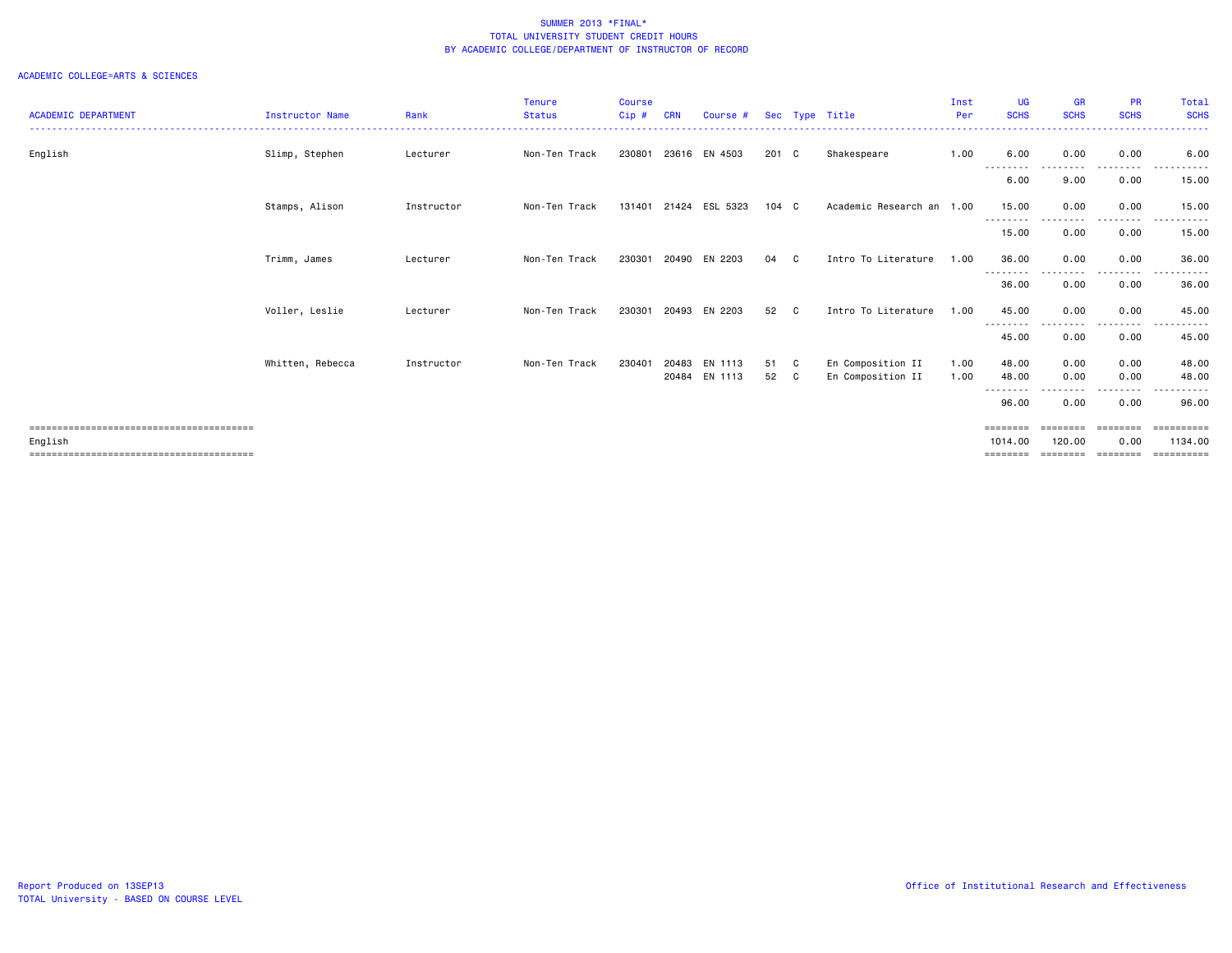| <b>ACADEMIC DEPARTMENT</b>      | <b>Instructor Name</b> | Rank       | <b>Tenure</b><br><b>Status</b> | Course<br>Cip# | CRN   |                |               |              | Sec Type Title            | Inst<br>Per | <b>UG</b><br><b>SCHS</b> | <b>GR</b><br><b>SCHS</b> | <b>PR</b><br><b>SCHS</b> | <b>Total</b><br><b>SCHS</b> |
|---------------------------------|------------------------|------------|--------------------------------|----------------|-------|----------------|---------------|--------------|---------------------------|-------------|--------------------------|--------------------------|--------------------------|-----------------------------|
|                                 |                        |            |                                |                |       | Course #       |               |              |                           |             |                          |                          |                          | ------                      |
| English                         | Slimp, Stephen         | Lecturer   | Non-Ten Track                  | 230801         |       | 23616 EN 4503  | 201 C         |              | Shakespeare               | 1.00        | 6.00<br>.                | 0.00<br>.                | 0.00<br>.                | 6.00<br>.                   |
|                                 |                        |            |                                |                |       |                |               |              |                           |             | 6.00                     | 9.00                     | 0.00                     | 15.00                       |
|                                 | Stamps, Alison         | Instructor | Non-Ten Track                  | 131401         |       | 21424 ESL 5323 | $104 \quad C$ |              | Academic Research an 1.00 |             | 15.00<br>---------       | 0.00<br>.                | 0.00<br>.                | 15.00                       |
|                                 |                        |            |                                |                |       |                |               |              |                           |             | 15.00                    | 0.00                     | 0.00                     | 15.00                       |
|                                 | Trimm, James           | Lecturer   | Non-Ten Track                  | 230301         | 20490 | EN 2203        | 04            | C            | Intro To Literature       | 1.00        | 36.00<br>---------       | 0.00<br>----             | 0.00<br>. <b>.</b> .     | 36.00<br>.                  |
|                                 |                        |            |                                |                |       |                |               |              |                           |             | 36.00                    | 0.00                     | 0.00                     | 36.00                       |
|                                 | Voller, Leslie         | Lecturer   | Non-Ten Track                  | 230301         | 20493 | EN 2203        | 52            | C.           | Intro To Literature       | 1.00        | 45.00<br>--------        | 0.00<br>-----            | 0.00<br>-----            | 45.00<br>.                  |
|                                 |                        |            |                                |                |       |                |               |              |                           |             | 45.00                    | 0.00                     | 0.00                     | 45.00                       |
|                                 | Whitten, Rebecca       | Instructor | Non-Ten Track                  | 230401         | 20483 | EN 1113        | 51 C          |              | En Composition II         | 1.00        | 48.00                    | 0.00                     | 0.00                     | 48.00                       |
|                                 |                        |            |                                |                |       | 20484 EN 1113  | 52            | $\mathbf{C}$ | En Composition II         | 1.00        | 48.00<br>---------       | 0.00<br>.                | 0.00<br>-----            | 48.00                       |
|                                 |                        |            |                                |                |       |                |               |              |                           |             | 96.00                    | 0.00                     | 0.00                     | 96.00                       |
|                                 |                        |            |                                |                |       |                |               |              |                           |             | ========                 | ========                 | ========                 | <b>CONSIDERS</b>            |
| English                         |                        |            |                                |                |       |                |               |              |                           |             | 1014.00                  | 120.00                   | 0.00                     | 1134.00                     |
| =============================== |                        |            |                                |                |       |                |               |              |                           |             |                          |                          |                          | -------                     |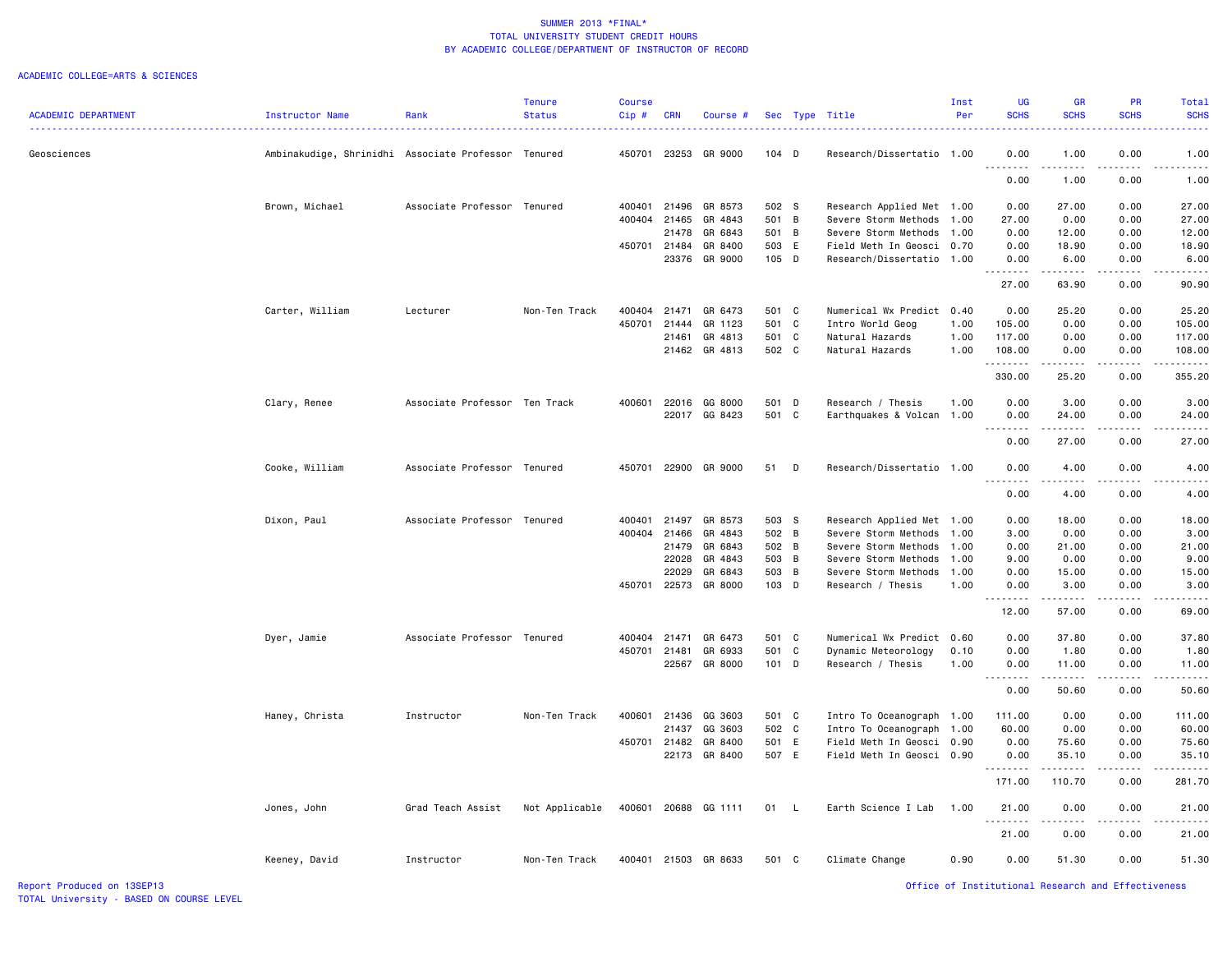|                            |                                                     |                               | <b>Tenure</b>  | <b>Course</b> |            |                      |         |                           | Inst | <b>UG</b>            | <b>GR</b>                                                                                                             | PR                           | Total       |
|----------------------------|-----------------------------------------------------|-------------------------------|----------------|---------------|------------|----------------------|---------|---------------------------|------|----------------------|-----------------------------------------------------------------------------------------------------------------------|------------------------------|-------------|
| <b>ACADEMIC DEPARTMENT</b> | Instructor Name                                     | Rank                          | <b>Status</b>  | Cip#          | <b>CRN</b> | Course #             |         | Sec Type Title            | Per  | <b>SCHS</b>          | <b>SCHS</b>                                                                                                           | <b>SCHS</b>                  | <b>SCHS</b> |
| Geosciences                | Ambinakudige, Shrinidhi Associate Professor Tenured |                               |                |               |            | 450701 23253 GR 9000 | $104$ D | Research/Dissertatio 1.00 |      | 0.00                 | 1.00                                                                                                                  | 0.00                         | 1.00        |
|                            |                                                     |                               |                |               |            |                      |         |                           |      | .                    | .                                                                                                                     | -----                        | .           |
|                            |                                                     |                               |                |               |            |                      |         |                           |      | 0.00                 | 1.00                                                                                                                  | 0.00                         | 1.00        |
|                            | Brown, Michael                                      | Associate Professor Tenured   |                | 400401        | 21496      | GR 8573              | 502 S   | Research Applied Met 1.00 |      | 0.00                 | 27.00                                                                                                                 | 0.00                         | 27.00       |
|                            |                                                     |                               |                | 400404        | 21465      | GR 4843              | 501 B   | Severe Storm Methods      | 1.00 | 27.00                | 0.00                                                                                                                  | 0.00                         | 27.00       |
|                            |                                                     |                               |                |               | 21478      | GR 6843              | 501 B   | Severe Storm Methods      | 1.00 | 0.00                 | 12.00                                                                                                                 | 0.00                         | 12.00       |
|                            |                                                     |                               |                | 450701 21484  |            | GR 8400              | 503 E   | Field Meth In Geosci 0.70 |      | 0.00                 | 18.90                                                                                                                 | 0.00                         | 18.90       |
|                            |                                                     |                               |                |               |            | 23376 GR 9000        | 105 D   | Research/Dissertatio      | 1.00 | 0.00<br>.            | 6.00<br>.                                                                                                             | 0.00<br>-----                | 6.00<br>.   |
|                            |                                                     |                               |                |               |            |                      |         |                           |      | 27.00                | 63.90                                                                                                                 | 0.00                         | 90.90       |
|                            | Carter, William                                     | Lecturer                      | Non-Ten Track  | 400404        | 21471      | GR 6473              | 501 C   | Numerical Wx Predict      | 0.40 | 0.00                 | 25.20                                                                                                                 | 0.00                         | 25.20       |
|                            |                                                     |                               |                | 450701        | 21444      | GR 1123              | 501 C   | Intro World Geog          | 1.00 | 105.00               | 0.00                                                                                                                  | 0.00                         | 105.00      |
|                            |                                                     |                               |                |               | 21461      | GR 4813              | 501 C   | Natural Hazards           | 1.00 | 117.00               | 0.00                                                                                                                  | 0.00                         | 117.00      |
|                            |                                                     |                               |                |               |            | 21462 GR 4813        | 502 C   | Natural Hazards           | 1.00 | 108.00<br>.          | 0.00<br>.                                                                                                             | 0.00                         | 108.00      |
|                            |                                                     |                               |                |               |            |                      |         |                           |      | 330.00               | 25.20                                                                                                                 | 0.00                         | 355.20      |
|                            | Clary, Renee                                        | Associate Professor Ten Track |                |               |            | 400601 22016 GG 8000 | 501 D   | Research / Thesis         | 1.00 | 0.00                 | 3.00                                                                                                                  | 0.00                         | 3.00        |
|                            |                                                     |                               |                |               |            | 22017 GG 8423        | 501 C   | Earthquakes & Volcan      | 1.00 | 0.00                 | 24.00                                                                                                                 | 0.00                         | 24.00       |
|                            |                                                     |                               |                |               |            |                      |         |                           |      | .<br>0.00            | .<br>27.00                                                                                                            | .<br>0.00                    | 27.00       |
|                            | Cooke, William                                      | Associate Professor Tenured   |                | 450701        |            | 22900 GR 9000        | 51 D    | Research/Dissertatio 1.00 |      | 0.00                 | 4.00                                                                                                                  | 0.00                         | 4.00        |
|                            |                                                     |                               |                |               |            |                      |         |                           |      | .<br>0.00            | د د د د<br>4.00                                                                                                       | .<br>0.00                    | 4.00        |
|                            |                                                     |                               |                |               |            |                      |         |                           |      |                      |                                                                                                                       |                              |             |
|                            | Dixon, Paul                                         | Associate Professor Tenured   |                | 400401        | 21497      | GR 8573              | 503 S   | Research Applied Met 1.00 |      | 0.00                 | 18.00                                                                                                                 | 0.00                         | 18.00       |
|                            |                                                     |                               |                | 400404        | 21466      | GR 4843              | 502 B   | Severe Storm Methods      | 1.00 | 3.00                 | 0.00                                                                                                                  | 0.00                         | 3.00        |
|                            |                                                     |                               |                |               | 21479      | GR 6843              | 502 B   | Severe Storm Methods      | 1.00 | 0.00                 | 21.00                                                                                                                 | 0.00                         | 21.00       |
|                            |                                                     |                               |                |               | 22028      | GR 4843              | 503 B   | Severe Storm Methods      | 1.00 | 9.00                 | 0.00                                                                                                                  | 0.00                         | 9.00        |
|                            |                                                     |                               |                |               | 22029      | GR 6843              | 503 B   | Severe Storm Methods      | 1.00 | 0.00                 | 15.00                                                                                                                 | 0.00                         | 15.00       |
|                            |                                                     |                               |                | 450701        |            | 22573 GR 8000        | 103 D   | Research / Thesis         | 1.00 | 0.00<br>.            | 3.00<br>.                                                                                                             | 0.00                         | 3.00        |
|                            |                                                     |                               |                |               |            |                      |         |                           |      | 12.00                | 57.00                                                                                                                 | 0.00                         | 69.00       |
|                            | Dyer, Jamie                                         | Associate Professor Tenured   |                | 400404 21471  |            | GR 6473              | 501 C   | Numerical Wx Predict      | 0.60 | 0.00                 | 37.80                                                                                                                 | 0.00                         | 37.80       |
|                            |                                                     |                               |                | 450701 21481  |            | GR 6933              | 501 C   | Dynamic Meteorology       | 0.10 | 0.00                 | 1.80                                                                                                                  | 0.00                         | 1.80        |
|                            |                                                     |                               |                |               |            | 22567 GR 8000        | 101 D   | Research / Thesis         | 1.00 | 0.00<br>.            | 11.00<br>$\sim$ $\sim$ $\sim$ $\sim$                                                                                  | 0.00                         | 11.00       |
|                            |                                                     |                               |                |               |            |                      |         |                           |      | 0.00                 | 50.60                                                                                                                 | 0.00                         | 50.60       |
|                            | Haney, Christa                                      | Instructor                    | Non-Ten Track  | 400601        |            | 21436 GG 3603        | 501 C   | Intro To Oceanograph      | 1.00 | 111.00               | 0.00                                                                                                                  | 0.00                         | 111.00      |
|                            |                                                     |                               |                |               | 21437      | GG 3603              | 502 C   | Intro To Oceanograph      | 1.00 | 60.00                | 0.00                                                                                                                  | 0.00                         | 60.00       |
|                            |                                                     |                               |                | 450701        | 21482      | GR 8400              | 501 E   | Field Meth In Geosci      | 0.90 | 0.00                 | 75.60                                                                                                                 | 0.00                         | 75.60       |
|                            |                                                     |                               |                |               |            | 22173 GR 8400        | 507 E   | Field Meth In Geosci 0.90 |      | 0.00                 | 35.10                                                                                                                 | 0.00                         | 35.10       |
|                            |                                                     |                               |                |               |            |                      |         |                           |      | . <b>.</b><br>171.00 | $\begin{array}{cccccccccc} \bullet & \bullet & \bullet & \bullet & \bullet & \bullet & \bullet \end{array}$<br>110.70 | $\omega$ is a set in<br>0.00 | 281.70      |
|                            | Jones, John                                         | Grad Teach Assist             | Not Applicable |               |            | 400601 20688 GG 1111 | 01 L    | Earth Science I Lab       | 1.00 | 21.00                | 0.00                                                                                                                  | 0.00                         | 21.00       |
|                            |                                                     |                               |                |               |            |                      |         |                           |      | .<br>21.00           | 0.00                                                                                                                  | 0.00                         | 21.00       |
|                            | Keeney, David                                       | Instructor                    | Non-Ten Track  |               |            | 400401 21503 GR 8633 | 501 C   | Climate Change            | 0.90 | 0.00                 | 51.30                                                                                                                 | 0.00                         | 51.30       |
|                            |                                                     |                               |                |               |            |                      |         |                           |      |                      |                                                                                                                       |                              |             |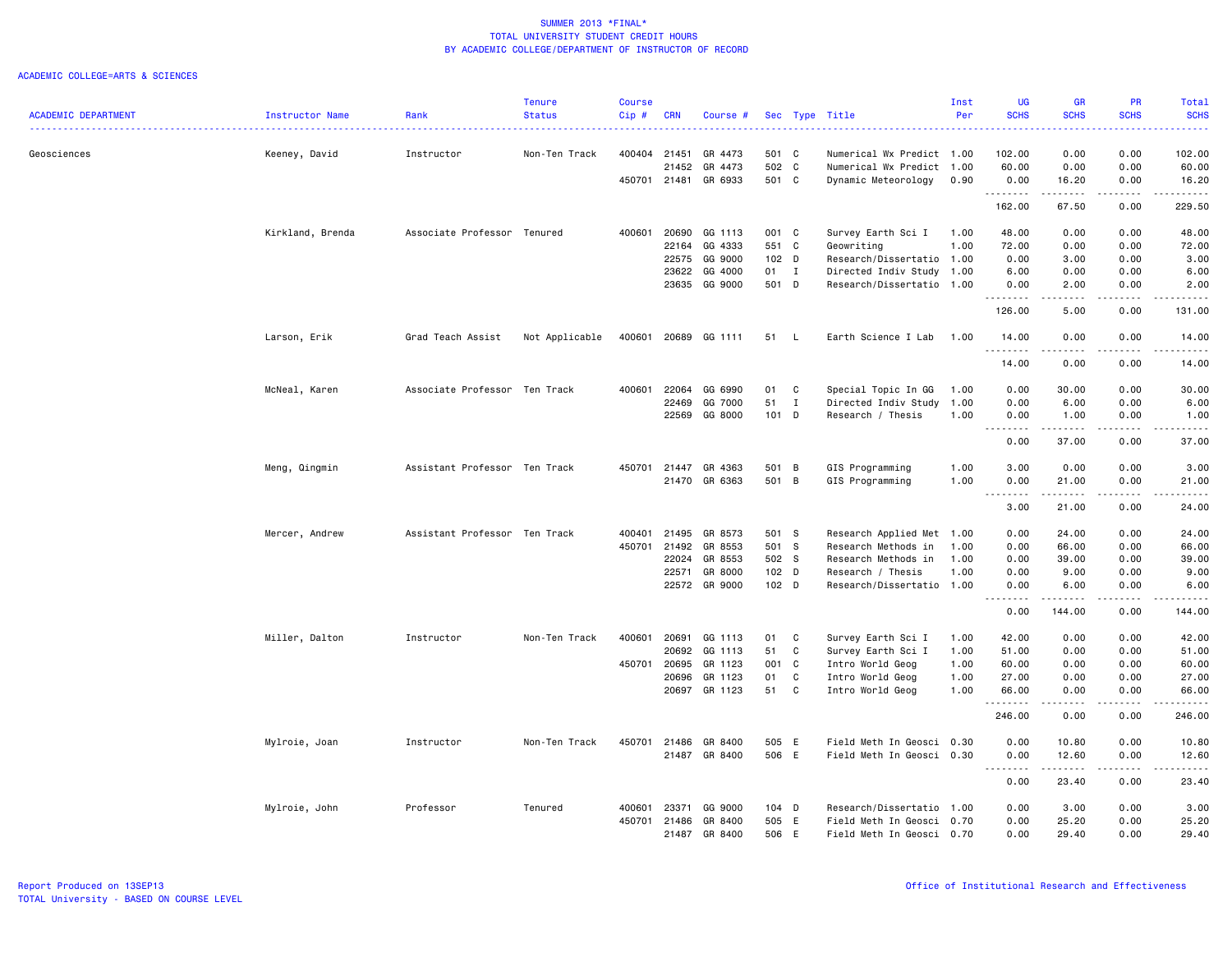|                            |                  |                               | Tenure         | Course  |            |               |                  |              |                           | Inst | UG                                | <b>GR</b>        | <b>PR</b>             | Total              |
|----------------------------|------------------|-------------------------------|----------------|---------|------------|---------------|------------------|--------------|---------------------------|------|-----------------------------------|------------------|-----------------------|--------------------|
| <b>ACADEMIC DEPARTMENT</b> | Instructor Name  | Rank                          | <b>Status</b>  | $Cip$ # | <b>CRN</b> | Course #      |                  |              | Sec Type Title            | Per  | <b>SCHS</b>                       | <b>SCHS</b>      | <b>SCHS</b>           | <b>SCHS</b>        |
| Geosciences                | Keeney, David    | Instructor                    | Non-Ten Track  | 400404  | 21451      | GR 4473       | 501 C            |              | Numerical Wx Predict 1.00 |      | 102.00                            | 0.00             | 0.00                  | 102.00             |
|                            |                  |                               |                |         | 21452      | GR 4473       | 502 C            |              | Numerical Wx Predict 1.00 |      | 60.00                             | 0.00             | 0.00                  | 60.00              |
|                            |                  |                               |                | 450701  |            | 21481 GR 6933 | 501 C            |              | Dynamic Meteorology       | 0.90 | 0.00                              | 16.20            | 0.00                  | 16.20              |
|                            |                  |                               |                |         |            |               |                  |              |                           |      | 162.00                            | .<br>67.50       | .<br>0.00             | .<br>229.50        |
|                            | Kirkland, Brenda | Associate Professor Tenured   |                | 400601  | 20690      | GG 1113       | 001 C            |              | Survey Earth Sci I        | 1.00 | 48.00                             | 0.00             | 0.00                  | 48.00              |
|                            |                  |                               |                |         | 22164      | GG 4333       | 551 C            |              | Geowriting                | 1.00 | 72.00                             | 0.00             | 0.00                  | 72.00              |
|                            |                  |                               |                |         | 22575      | GG 9000       | $102$ D          |              | Research/Dissertatio 1.00 |      | 0.00                              | 3.00             | 0.00                  | 3.00               |
|                            |                  |                               |                |         | 23622      | GG 4000       | 01 I             |              | Directed Indiv Study 1.00 |      | 6.00                              | 0.00             | 0.00                  | 6.00               |
|                            |                  |                               |                |         |            | 23635 GG 9000 | 501 D            |              | Research/Dissertatio 1.00 |      | 0.00<br>.                         | 2.00             | 0.00                  | 2.00<br>والمناصبات |
|                            |                  |                               |                |         |            |               |                  |              |                           |      | 126.00                            | 5.00             | 0.00                  | 131.00             |
|                            | Larson, Erik     | Grad Teach Assist             | Not Applicable | 400601  | 20689      | GG 1111       | 51               | - L          | Earth Science I Lab       | 1.00 | 14.00                             | 0.00             | 0.00<br>.             | 14.00<br>.         |
|                            |                  |                               |                |         |            |               |                  |              |                           |      | 14.00                             | 0.00             | 0.00                  | 14.00              |
|                            | McNeal, Karen    | Associate Professor Ten Track |                | 400601  | 22064      | GG 6990       | 01               | C            | Special Topic In GG       | 1.00 | 0.00                              | 30.00            | 0.00                  | 30.00              |
|                            |                  |                               |                |         | 22469      | GG 7000       | 51               | $\mathbf{I}$ | Directed Indiv Study      | 1.00 | 0.00                              | 6.00             | 0.00                  | 6.00               |
|                            |                  |                               |                |         | 22569      | GG 8000       | 101 D            |              | Research / Thesis         | 1.00 | 0.00                              | 1.00             | 0.00                  | 1.00               |
|                            |                  |                               |                |         |            |               |                  |              |                           |      | $\sim$ $\sim$<br>0.00             | -----<br>37.00   | 0.00                  | .<br>37.00         |
|                            | Meng, Qingmin    | Assistant Professor Ten Track |                | 450701  | 21447      | GR 4363       | 501 B            |              | GIS Programming           | 1.00 | 3.00                              | 0.00             | 0.00                  | 3.00               |
|                            |                  |                               |                |         |            | 21470 GR 6363 | 501 B            |              | GIS Programming           | 1.00 | 0.00                              | 21.00            | 0.00                  | 21.00              |
|                            |                  |                               |                |         |            |               |                  |              |                           |      | .<br>$\sim$ $\sim$ $\sim$<br>3.00 | .<br>21.00       | .<br>0.00             | .<br>24.00         |
|                            | Mercer, Andrew   | Assistant Professor Ten Track |                | 400401  | 21495      | GR 8573       | 501 S            |              | Research Applied Met 1.00 |      | 0.00                              | 24.00            | 0.00                  | 24.00              |
|                            |                  |                               |                | 450701  | 21492      | GR 8553       | 501 S            |              | Research Methods in       | 1.00 | 0.00                              | 66.00            | 0.00                  | 66.00              |
|                            |                  |                               |                |         | 22024      | GR 8553       | 502 S            |              | Research Methods in       | 1.00 | 0.00                              | 39.00            | 0.00                  | 39.00              |
|                            |                  |                               |                |         | 22571      | GR 8000       | $102$ D          |              | Research / Thesis         | 1.00 | 0.00                              | 9.00             | 0.00                  | 9.00               |
|                            |                  |                               |                |         |            | 22572 GR 9000 | 102 <sub>D</sub> |              | Research/Dissertatio 1.00 |      | 0.00                              | 6.00             | 0.00                  | 6.00               |
|                            |                  |                               |                |         |            |               |                  |              |                           |      | .<br>0.00                         | .<br>144.00      | .<br>0.00             | 144.00             |
|                            | Miller, Dalton   | Instructor                    | Non-Ten Track  | 400601  | 20691      | GG 1113       | 01               | C            | Survey Earth Sci I        | 1.00 | 42.00                             | 0.00             | 0.00                  | 42.00              |
|                            |                  |                               |                |         | 20692      | GG 1113       | 51               | C            | Survey Earth Sci I        | 1.00 | 51.00                             | 0.00             | 0.00                  | 51.00              |
|                            |                  |                               |                | 450701  | 20695      | GR 1123       | 001 C            |              | Intro World Geog          | 1.00 | 60.00                             | 0.00             | 0.00                  | 60.00              |
|                            |                  |                               |                |         | 20696      | GR 1123       | 01               | C            | Intro World Geog          | 1.00 | 27.00                             | 0.00             | 0.00                  | 27.00              |
|                            |                  |                               |                |         | 20697      | GR 1123       | 51               | C            | Intro World Geog          | 1.00 | 66.00                             | 0.00             | 0.00                  | 66.00              |
|                            |                  |                               |                |         |            |               |                  |              |                           |      | . <b>.</b><br>246.00              | <u>.</u><br>0.00 | $\frac{1}{2}$<br>0.00 | .<br>246.00        |
|                            | Mylroie, Joan    | Instructor                    | Non-Ten Track  | 450701  | 21486      | GR 8400       | 505 E            |              | Field Meth In Geosci      | 0.30 | 0.00                              | 10.80            | 0.00                  | 10.80              |
|                            |                  |                               |                |         |            | 21487 GR 8400 | 506 E            |              | Field Meth In Geosci 0.30 |      | 0.00                              | 12.60            | 0.00                  | 12.60              |
|                            |                  |                               |                |         |            |               |                  |              |                           |      | .<br>0.00                         | .<br>23.40       | $- - - -$<br>0.00     | .<br>23.40         |
|                            | Mylroie, John    | Professor                     | Tenured        | 400601  | 23371      | GG 9000       | $104$ D          |              | Research/Dissertatio 1.00 |      | 0.00                              | 3.00             | 0.00                  | 3.00               |
|                            |                  |                               |                | 450701  | 21486      | GR 8400       | 505 E            |              | Field Meth In Geosci      | 0.70 | 0.00                              | 25.20            | 0.00                  | 25.20              |
|                            |                  |                               |                |         | 21487      | GR 8400       | 506 E            |              | Field Meth In Geosci 0.70 |      | 0.00                              | 29,40            | 0.00                  | 29,40              |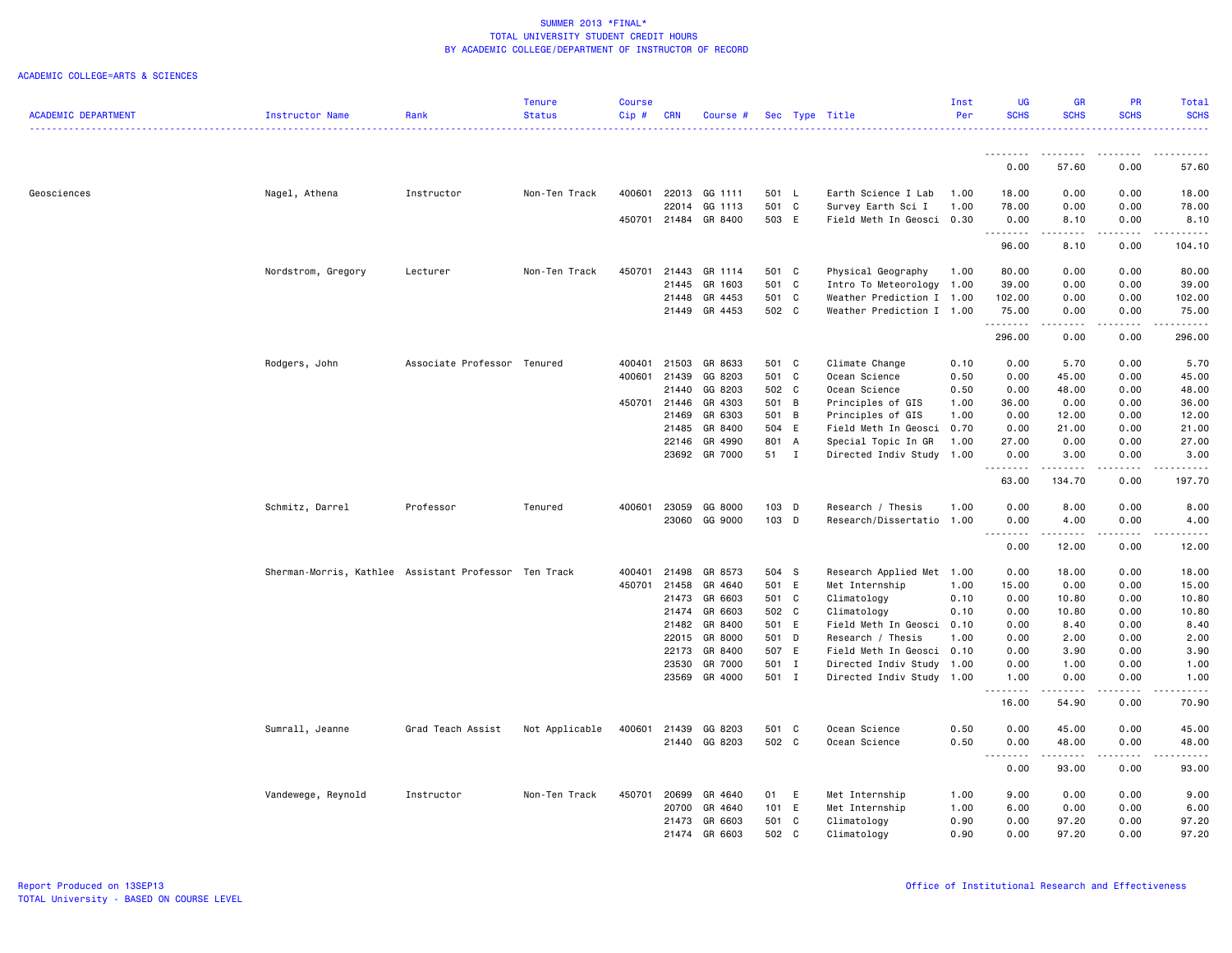|                            |                                                       |                             | Tenure         | <b>Course</b> |              |               |       |                           | Inst | UG                 | GR                                                                                                                                | <b>PR</b>                                                                                                                                                    | Total                |
|----------------------------|-------------------------------------------------------|-----------------------------|----------------|---------------|--------------|---------------|-------|---------------------------|------|--------------------|-----------------------------------------------------------------------------------------------------------------------------------|--------------------------------------------------------------------------------------------------------------------------------------------------------------|----------------------|
| <b>ACADEMIC DEPARTMENT</b> | Instructor Name                                       | Rank                        | <b>Status</b>  | Cip#          | <b>CRN</b>   | Course #      |       | Sec Type Title            | Per  | <b>SCHS</b>        | <b>SCHS</b>                                                                                                                       | <b>SCHS</b>                                                                                                                                                  | <b>SCHS</b>          |
|                            |                                                       |                             |                |               |              |               |       |                           |      | --------           | - - - - - - - -                                                                                                                   | .                                                                                                                                                            | .                    |
|                            |                                                       |                             |                |               |              |               |       |                           |      | 0.00               | 57.60                                                                                                                             | 0.00                                                                                                                                                         | 57.60                |
| Geosciences                | Nagel, Athena                                         | Instructor                  | Non-Ten Track  | 400601        | 22013        | GG 1111       | 501 L | Earth Science I Lab       | 1.00 | 18,00              | 0.00                                                                                                                              | 0.00                                                                                                                                                         | 18.00                |
|                            |                                                       |                             |                |               | 22014        | GG 1113       | 501 C | Survey Earth Sci I        | 1.00 | 78.00              | 0.00                                                                                                                              | 0.00                                                                                                                                                         | 78.00                |
|                            |                                                       |                             |                | 450701        | 21484        | GR 8400       | 503 E | Field Meth In Geosci 0.30 |      | 0.00<br><u>.</u>   | 8.10<br>$\frac{1}{2}$                                                                                                             | 0.00<br>.                                                                                                                                                    | 8.10<br>.            |
|                            |                                                       |                             |                |               |              |               |       |                           |      | 96.00              | 8.10                                                                                                                              | 0.00                                                                                                                                                         | 104.10               |
|                            | Nordstrom, Gregory                                    | Lecturer                    | Non-Ten Track  | 450701        | 21443        | GR 1114       | 501 C | Physical Geography        | 1.00 | 80.00              | 0.00                                                                                                                              | 0.00                                                                                                                                                         | 80.00                |
|                            |                                                       |                             |                |               | 21445        | GR 1603       | 501 C | Intro To Meteorology      | 1.00 | 39.00              | 0.00                                                                                                                              | 0.00                                                                                                                                                         | 39.00                |
|                            |                                                       |                             |                |               | 21448        | GR 4453       | 501 C | Weather Prediction I 1.00 |      | 102.00             | 0.00                                                                                                                              | 0.00                                                                                                                                                         | 102.00               |
|                            |                                                       |                             |                |               |              | 21449 GR 4453 | 502 C | Weather Prediction I 1.00 |      | 75.00<br>.         | 0.00<br>.                                                                                                                         | 0.00<br>.                                                                                                                                                    | 75.00<br>.           |
|                            |                                                       |                             |                |               |              |               |       |                           |      | 296.00             | 0.00                                                                                                                              | 0.00                                                                                                                                                         | 296.00               |
|                            | Rodgers, John                                         | Associate Professor Tenured |                | 400401        | 21503        | GR 8633       | 501 C | Climate Change            | 0.10 | 0.00               | 5.70                                                                                                                              | 0.00                                                                                                                                                         | 5.70                 |
|                            |                                                       |                             |                | 400601        | 21439        | GG 8203       | 501 C | Ocean Science             | 0.50 | 0.00               | 45.00                                                                                                                             | 0.00                                                                                                                                                         | 45.00                |
|                            |                                                       |                             |                |               | 21440        | GG 8203       | 502 C | Ocean Science             | 0.50 | 0.00               | 48.00                                                                                                                             | 0.00                                                                                                                                                         | 48.00                |
|                            |                                                       |                             |                | 450701 21446  |              | GR 4303       | 501 B | Principles of GIS         | 1.00 | 36.00              | 0.00                                                                                                                              | 0.00                                                                                                                                                         | 36.00                |
|                            |                                                       |                             |                |               | 21469        | GR 6303       | 501 B | Principles of GIS         | 1.00 | 0.00               | 12.00                                                                                                                             | 0.00                                                                                                                                                         | 12.00                |
|                            |                                                       |                             |                |               | 21485        | GR 8400       | 504 E | Field Meth In Geosci 0.70 |      | 0.00               | 21.00                                                                                                                             | 0.00                                                                                                                                                         | 21.00                |
|                            |                                                       |                             |                |               | 22146        | GR 4990       | 801 A | Special Topic In GR       | 1.00 | 27.00              | 0.00                                                                                                                              | 0.00                                                                                                                                                         | 27.00                |
|                            |                                                       |                             |                |               |              | 23692 GR 7000 | 51 I  | Directed Indiv Study      | 1.00 | 0.00               | 3.00                                                                                                                              | 0.00                                                                                                                                                         | 3.00                 |
|                            |                                                       |                             |                |               |              |               |       |                           |      | .<br>63.00         | 134.70                                                                                                                            | . <b>.</b><br>0.00                                                                                                                                           | . <b>.</b><br>197.70 |
|                            | Schmitz, Darrel                                       | Professor                   | Tenured        | 400601        | 23059        | GG 8000       | 103 D | Research / Thesis         | 1.00 | 0.00               | 8.00                                                                                                                              | 0.00                                                                                                                                                         | 8.00                 |
|                            |                                                       |                             |                |               |              | 23060 GG 9000 | 103 D | Research/Dissertatio 1.00 |      | 0.00               | 4.00                                                                                                                              | 0.00                                                                                                                                                         | 4.00                 |
|                            |                                                       |                             |                |               |              |               |       |                           |      | -----              | .                                                                                                                                 | .                                                                                                                                                            | $\cdots$             |
|                            |                                                       |                             |                |               |              |               |       |                           |      | 0.00               | 12.00                                                                                                                             | 0.00                                                                                                                                                         | 12.00                |
|                            | Sherman-Morris, Kathlee Assistant Professor Ten Track |                             |                | 400401        | 21498        | GR 8573       | 504 S | Research Applied Met 1.00 |      | 0.00               | 18.00                                                                                                                             | 0.00                                                                                                                                                         | 18.00                |
|                            |                                                       |                             |                | 450701        | 21458        | GR 4640       | 501 E | Met Internship            | 1.00 | 15.00              | 0.00                                                                                                                              | 0.00                                                                                                                                                         | 15.00                |
|                            |                                                       |                             |                |               | 21473        | GR 6603       | 501 C | Climatology               | 0.10 | 0.00               | 10.80                                                                                                                             | 0.00                                                                                                                                                         | 10.80                |
|                            |                                                       |                             |                |               | 21474        | GR 6603       | 502 C | Climatology               | 0.10 | 0.00               | 10.80                                                                                                                             | 0.00                                                                                                                                                         | 10.80                |
|                            |                                                       |                             |                |               | 21482        | GR 8400       | 501 E | Field Meth In Geosci      | 0.10 | 0.00               | 8.40                                                                                                                              | 0.00                                                                                                                                                         | 8.40                 |
|                            |                                                       |                             |                |               | 22015        | GR 8000       | 501 D | Research / Thesis         | 1.00 | 0.00               | 2.00                                                                                                                              | 0.00                                                                                                                                                         | 2.00                 |
|                            |                                                       |                             |                |               | 22173        | GR 8400       | 507 E | Field Meth In Geosci 0.10 |      | 0.00               | 3.90                                                                                                                              | 0.00                                                                                                                                                         | 3.90                 |
|                            |                                                       |                             |                |               | 23530        | GR 7000       | 501 I | Directed Indiv Study      | 1.00 | 0.00               | 1.00                                                                                                                              | 0.00                                                                                                                                                         | 1.00                 |
|                            |                                                       |                             |                |               | 23569        | GR 4000       | 501 I | Directed Indiv Study 1.00 |      | 1.00<br>. <b>.</b> | 0.00<br>$\frac{1}{2} \left( \frac{1}{2} \right) \left( \frac{1}{2} \right) \left( \frac{1}{2} \right) \left( \frac{1}{2} \right)$ | 0.00<br>.                                                                                                                                                    | 1.00<br>.            |
|                            |                                                       |                             |                |               |              |               |       |                           |      | 16.00              | 54.90                                                                                                                             | 0.00                                                                                                                                                         | 70.90                |
|                            | Sumrall, Jeanne                                       | Grad Teach Assist           | Not Applicable |               | 400601 21439 | GG 8203       | 501 C | Ocean Science             | 0.50 | 0.00               | 45.00                                                                                                                             | 0.00                                                                                                                                                         | 45.00                |
|                            |                                                       |                             |                |               |              | 21440 GG 8203 | 502 C | Ocean Science             | 0.50 | 0.00<br><u>.</u>   | 48.00<br>. <b>.</b> .                                                                                                             | 0.00<br>$\frac{1}{2} \left( \frac{1}{2} \right) \left( \frac{1}{2} \right) \left( \frac{1}{2} \right) \left( \frac{1}{2} \right) \left( \frac{1}{2} \right)$ | 48.00<br>.           |
|                            |                                                       |                             |                |               |              |               |       |                           |      | 0.00               | 93.00                                                                                                                             | 0.00                                                                                                                                                         | 93.00                |
|                            | Vandewege, Reynold                                    | Instructor                  | Non-Ten Track  | 450701        | 20699        | GR 4640       | 01 E  | Met Internship            | 1.00 | 9.00               | 0.00                                                                                                                              | 0.00                                                                                                                                                         | 9.00                 |
|                            |                                                       |                             |                |               | 20700        | GR 4640       | 101 E | Met Internship            | 1.00 | 6.00               | 0.00                                                                                                                              | 0.00                                                                                                                                                         | 6.00                 |
|                            |                                                       |                             |                |               | 21473        | GR 6603       | 501 C | Climatology               | 0.90 | 0.00               | 97.20                                                                                                                             | 0.00                                                                                                                                                         | 97.20                |
|                            |                                                       |                             |                |               | 21474        | GR 6603       | 502 C | Climatology               | 0.90 | 0.00               | 97.20                                                                                                                             | 0.00                                                                                                                                                         | 97.20                |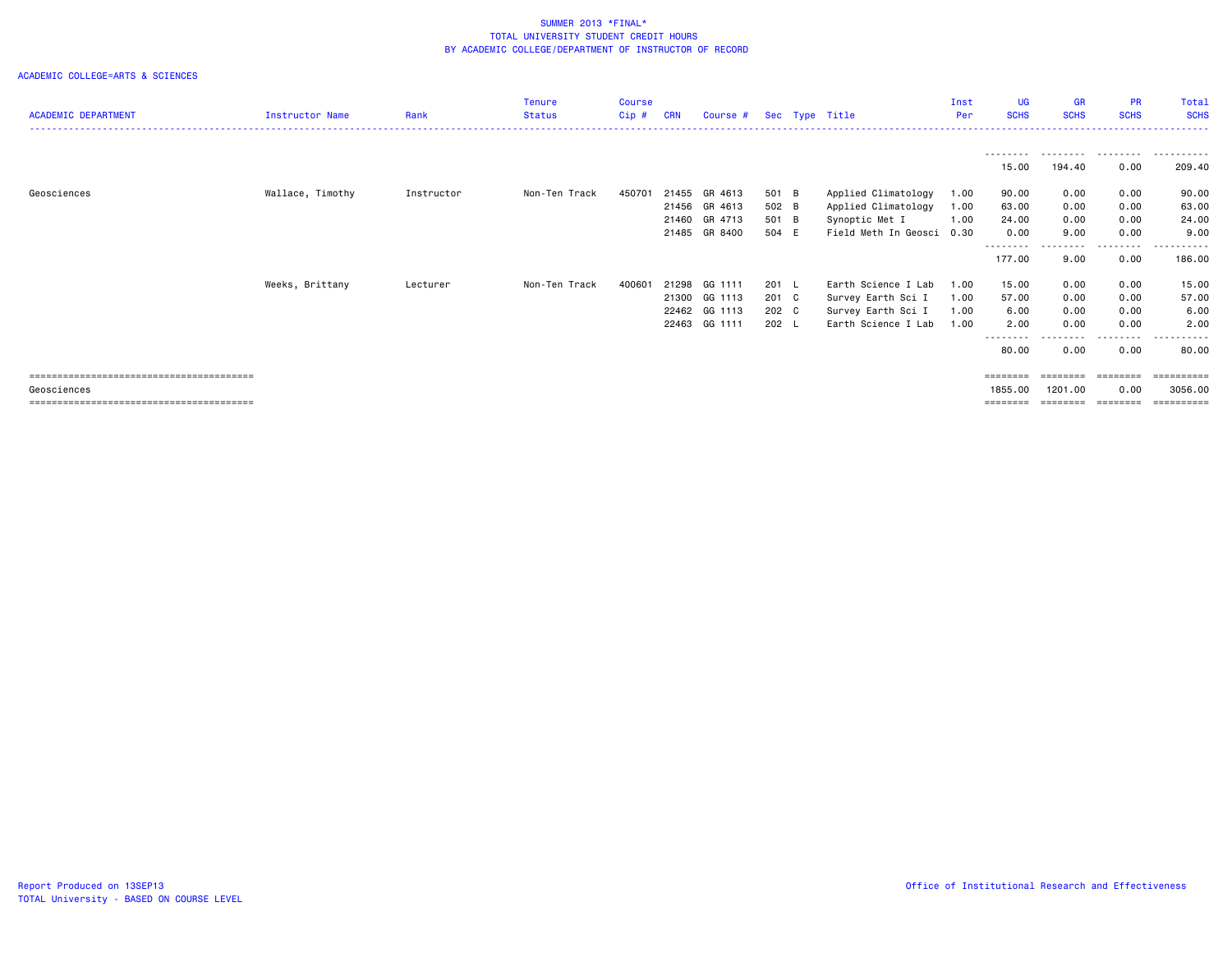|                            |                  |            | <b>Tenure</b> | <b>Course</b> |            |               |         |                      | Inst | <b>UG</b>           | <b>GR</b>   | <b>PR</b>     | Total             |
|----------------------------|------------------|------------|---------------|---------------|------------|---------------|---------|----------------------|------|---------------------|-------------|---------------|-------------------|
| <b>ACADEMIC DEPARTMENT</b> | Instructor Name  | Rank       | <b>Status</b> | Cip#          | <b>CRN</b> | Course #      |         | Sec Type Title       | Per  | <b>SCHS</b>         | <b>SCHS</b> | <b>SCHS</b>   | <b>SCHS</b>       |
|                            |                  |            |               |               |            |               |         |                      |      | ---------           | .           | .             | .                 |
|                            |                  |            |               |               |            |               |         |                      |      | 15.00               | 194.40      | 0.00          | 209.40            |
| Geosciences                | Wallace, Timothy | Instructor | Non-Ten Track | 450701        | 21455      | GR 4613       | 501 B   | Applied Climatology  | 1.00 | 90.00               | 0.00        | 0.00          | 90.00             |
|                            |                  |            |               |               |            | 21456 GR 4613 | 502 B   | Applied Climatology  | 1.00 | 63.00               | 0.00        | 0.00          | 63.00             |
|                            |                  |            |               |               | 21460      | GR 4713       | 501 B   | Synoptic Met I       | 1.00 | 24.00               | 0.00        | 0.00          | 24.00             |
|                            |                  |            |               |               | 21485      | GR 8400       | 504 E   | Field Meth In Geosci | 0.30 | 0.00                | 9.00        | 0.00          | 9.00              |
|                            |                  |            |               |               |            |               |         |                      |      | ---------<br>177.00 | .<br>9.00   | .<br>0.00     | -------<br>186.00 |
|                            | Weeks, Brittany  | Lecturer   | Non-Ten Track | 400601        | 21298      | GG 1111       | $201$ L | Earth Science I Lab  | 1.00 | 15.00               | 0.00        | 0.00          | 15.00             |
|                            |                  |            |               |               | 21300      | GG 1113       | 201 C   | Survey Earth Sci I   | 1.00 | 57.00               | 0.00        | 0.00          | 57.00             |
|                            |                  |            |               |               |            | 22462 GG 1113 | 202 C   | Survey Earth Sci I   | 1.00 | 6.00                | 0.00        | 0.00          | 6.00              |
|                            |                  |            |               |               |            | 22463 GG 1111 | 202 L   | Earth Science I Lab  | 1.00 | 2.00                | 0.00        | 0.00          | 2.00              |
|                            |                  |            |               |               |            |               |         |                      |      | --------<br>80.00   | 0.00        | -----<br>0.00 | .<br>80.00        |
|                            |                  |            |               |               |            |               |         |                      |      | ========            | ---------   | ---------     | ==========        |
| Geosciences                |                  |            |               |               |            |               |         |                      |      | 1855.00             | 1201.00     | 0.00          | 3056,00           |
|                            |                  |            |               |               |            |               |         |                      |      | ========            |             |               | ==========        |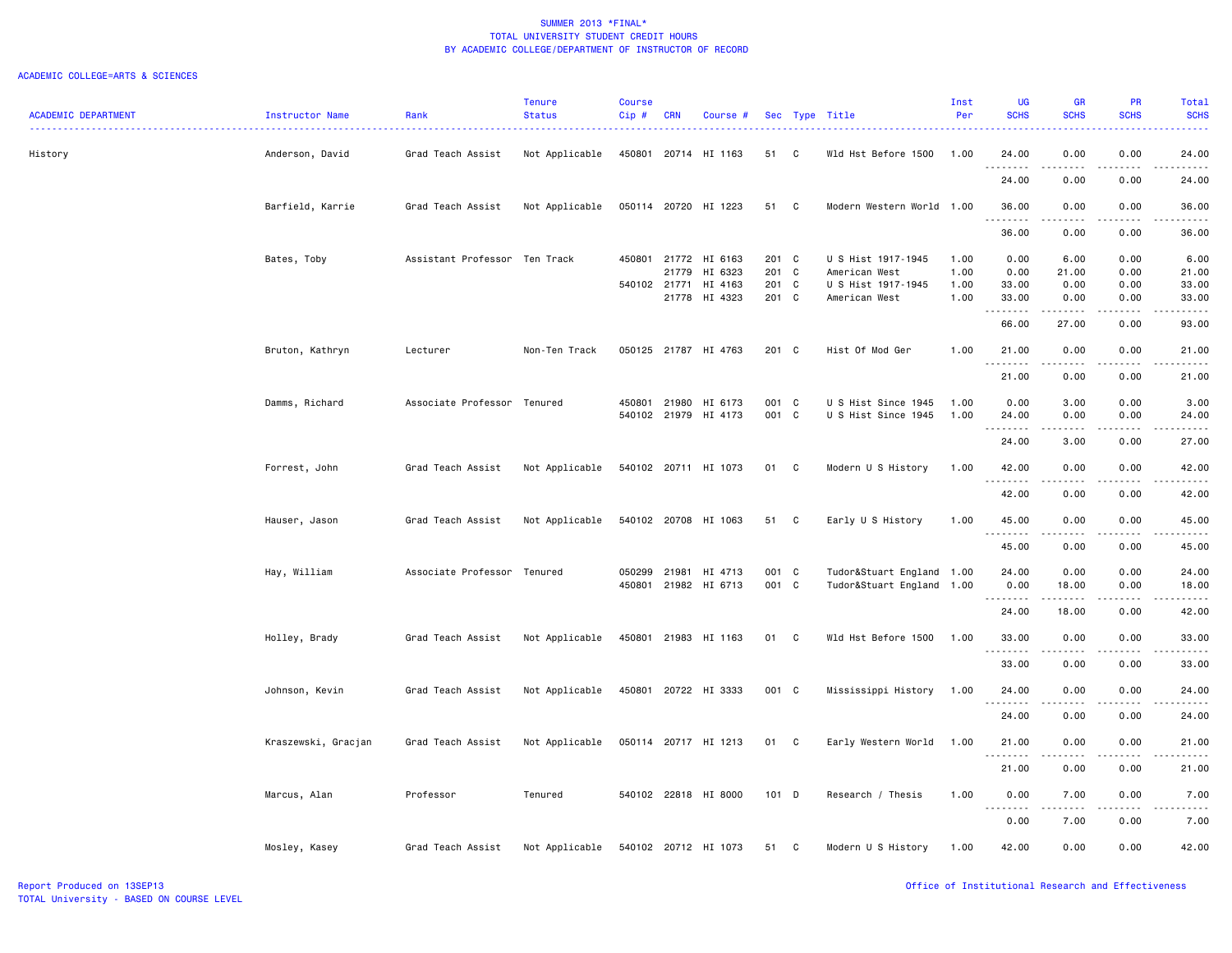|                            |                     |                               | <b>Tenure</b>  | <b>Course</b>    |            |                      |         |              |                                                        | Inst | <b>UG</b>                                 | <b>GR</b>             | <b>PR</b>         | Total                                                                                                                              |
|----------------------------|---------------------|-------------------------------|----------------|------------------|------------|----------------------|---------|--------------|--------------------------------------------------------|------|-------------------------------------------|-----------------------|-------------------|------------------------------------------------------------------------------------------------------------------------------------|
| <b>ACADEMIC DEPARTMENT</b> | Instructor Name     | Rank                          | <b>Status</b>  | $Cip$ #          | <b>CRN</b> | Course #             |         |              | Sec Type Title                                         | Per  | <b>SCHS</b>                               | <b>SCHS</b>           | <b>SCHS</b>       | <b>SCHS</b>                                                                                                                        |
| History                    | Anderson, David     | Grad Teach Assist             | Not Applicable | 450801           | 20714      | HI 1163              | 51      | C            | Wld Hst Before 1500                                    | 1.00 | 24.00                                     | 0.00                  | 0.00              | 24.00                                                                                                                              |
|                            |                     |                               |                |                  |            |                      |         |              |                                                        |      | <u>.</u><br>24.00                         | $- - - -$<br>0.00     | $- - - -$<br>0.00 | $\frac{1}{2}$<br>24.00                                                                                                             |
|                            | Barfield, Karrie    | Grad Teach Assist             | Not Applicable |                  |            | 050114 20720 HI 1223 | 51      | $\mathbf{C}$ | Modern Western World                                   | 1.00 | 36.00<br>.                                | 0.00                  | 0.00              | 36.00<br>. <u>.</u> .                                                                                                              |
|                            |                     |                               |                |                  |            |                      |         |              |                                                        |      | 36.00                                     | 0.00                  | 0.00              | 36.00                                                                                                                              |
|                            | Bates, Toby         | Assistant Professor Ten Track |                | 450801           | 21772      | HI 6163              | 201 C   |              | U S Hist 1917-1945                                     | 1.00 | 0.00                                      | 6.00                  | 0.00              | 6.00                                                                                                                               |
|                            |                     |                               |                |                  | 21779      | HI 6323              | 201 C   |              | American West                                          | 1.00 | 0.00                                      | 21.00                 | 0.00              | 21.00                                                                                                                              |
|                            |                     |                               |                | 540102 21771     |            | HI 4163              | 201 C   |              | U S Hist 1917-1945                                     | 1.00 | 33.00                                     | 0.00                  | 0.00              | 33.00                                                                                                                              |
|                            |                     |                               |                |                  | 21778      | HI 4323              | 201 C   |              | American West                                          | 1.00 | 33.00<br>.                                | 0.00                  | 0.00              | 33.00<br>.                                                                                                                         |
|                            |                     |                               |                |                  |            |                      |         |              |                                                        |      | 66.00                                     | 27.00                 | 0.00              | 93.00                                                                                                                              |
|                            | Bruton, Kathryn     | Lecturer                      | Non-Ten Track  |                  |            | 050125 21787 HI 4763 | 201 C   |              | Hist Of Mod Ger                                        | 1.00 | 21.00<br>$\sim$ $\sim$ $\sim$ $\sim$<br>. | 0.00                  | 0.00              | 21.00                                                                                                                              |
|                            |                     |                               |                |                  |            |                      |         |              |                                                        |      | 21.00                                     | 0.00                  | 0.00              | 21.00                                                                                                                              |
|                            | Damms, Richard      | Associate Professor Tenured   |                | 450801           | 21980      | HI 6173              | 001 C   |              | U S Hist Since 1945                                    | 1.00 | 0.00                                      | 3.00                  | 0.00              | 3.00                                                                                                                               |
|                            |                     |                               |                |                  |            | 540102 21979 HI 4173 | 001 C   |              | U S Hist Since 1945                                    | 1.00 | 24.00<br>.                                | 0.00<br>-----         | 0.00<br>.         | 24.00<br>.                                                                                                                         |
|                            |                     |                               |                |                  |            |                      |         |              |                                                        |      | 24.00                                     | 3.00                  | 0.00              | 27.00                                                                                                                              |
|                            | Forrest, John       | Grad Teach Assist             | Not Applicable |                  |            | 540102 20711 HI 1073 | 01      | C            | Modern U S History                                     | 1.00 | 42.00                                     | 0.00<br>$- - - - -$   | 0.00<br>.         | 42.00<br>.                                                                                                                         |
|                            |                     |                               |                |                  |            |                      |         |              |                                                        |      | 42.00                                     | 0.00                  | 0.00              | 42.00                                                                                                                              |
|                            | Hauser, Jason       | Grad Teach Assist             | Not Applicable |                  |            | 540102 20708 HI 1063 | 51      | C            | Early U S History                                      | 1.00 | 45.00                                     | 0.00                  | 0.00              | 45.00                                                                                                                              |
|                            |                     |                               |                |                  |            |                      |         |              |                                                        |      | .<br>45.00                                | 0.00                  | $- - - -$<br>0.00 | .<br>45.00                                                                                                                         |
|                            |                     | Associate Professor Tenured   |                |                  | 21981      | HI 4713              | 001 C   |              |                                                        |      | 24.00                                     | 0.00                  | 0.00              | 24.00                                                                                                                              |
|                            | Hay, William        |                               |                | 050299<br>450801 |            | 21982 HI 6713        | 001 C   |              | Tudor&Stuart England 1.00<br>Tudor&Stuart England 1.00 |      | 0.00                                      | 18.00                 | 0.00              | 18.00                                                                                                                              |
|                            |                     |                               |                |                  |            |                      |         |              |                                                        |      | .                                         | .                     | .                 | .                                                                                                                                  |
|                            |                     |                               |                |                  |            |                      |         |              |                                                        |      | 24.00                                     | 18.00                 | 0.00              | 42.00                                                                                                                              |
|                            | Holley, Brady       | Grad Teach Assist             | Not Applicable | 450801           |            | 21983 HI 1163        | 01      | $\mathbf{C}$ | Wld Hst Before 1500                                    | 1.00 | 33.00                                     | 0.00                  | 0.00              | 33.00<br>$\frac{1}{2} \left( \frac{1}{2} \right) \left( \frac{1}{2} \right) \left( \frac{1}{2} \right) \left( \frac{1}{2} \right)$ |
|                            |                     |                               |                |                  |            |                      |         |              |                                                        |      | 33.00                                     | 0.00                  | 0.00              | 33.00                                                                                                                              |
|                            | Johnson, Kevin      | Grad Teach Assist             | Not Applicable |                  |            | 450801 20722 HI 3333 | 001 C   |              | Mississippi History                                    | 1.00 | 24.00<br>. <b>.</b>                       | 0.00<br>-----         | 0.00<br>.         | 24.00<br>. <u>.</u> .                                                                                                              |
|                            |                     |                               |                |                  |            |                      |         |              |                                                        |      | 24.00                                     | 0.00                  | 0.00              | 24.00                                                                                                                              |
|                            | Kraszewski, Gracjan | Grad Teach Assist             | Not Applicable |                  |            | 050114 20717 HI 1213 | 01      | C            | Early Western World                                    | 1.00 | 21.00<br>.                                | 0.00<br>.             | 0.00<br>.         | 21.00<br>.                                                                                                                         |
|                            |                     |                               |                |                  |            |                      |         |              |                                                        |      | 21.00                                     | 0.00                  | 0.00              | 21.00                                                                                                                              |
|                            | Marcus, Alan        | Professor                     | Tenured        |                  |            | 540102 22818 HI 8000 | $101$ D |              | Research / Thesis                                      | 1.00 | 0.00                                      | 7.00<br>$\frac{1}{2}$ | 0.00<br>$- - - -$ | 7.00<br>$    -$                                                                                                                    |
|                            |                     |                               |                |                  |            |                      |         |              |                                                        |      | $\sim$ $\sim$<br>.<br>0.00                | 7.00                  | 0.00              | 7.00                                                                                                                               |
|                            | Mosley, Kasey       | Grad Teach Assist             | Not Applicable |                  |            | 540102 20712 HI 1073 | 51      | C            | Modern U S History                                     | 1.00 | 42.00                                     | 0.00                  | 0.00              | 42.00                                                                                                                              |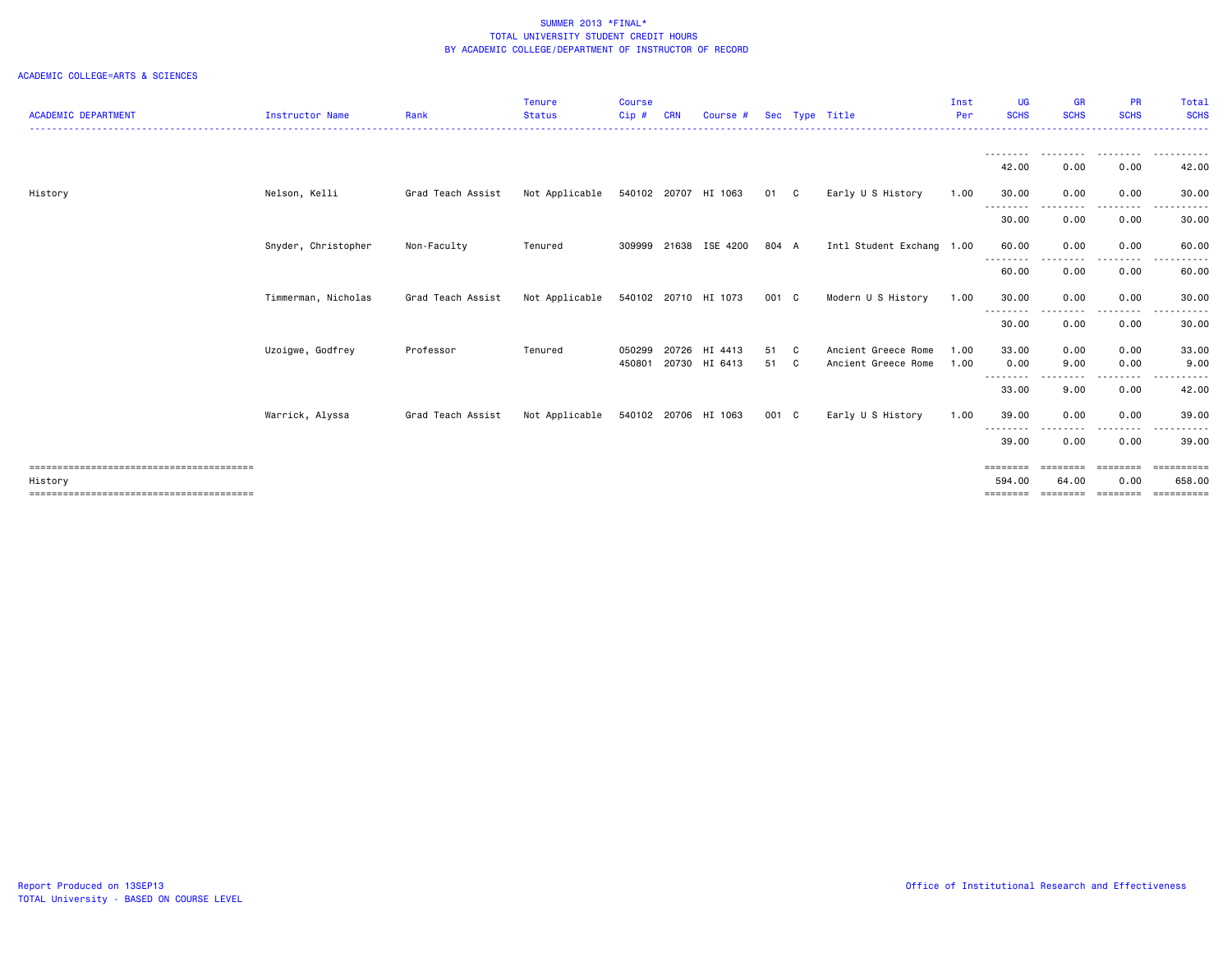| <b>ACADEMIC DEPARTMENT</b> | <b>Instructor Name</b> | Rank              | <b>Tenure</b><br><b>Status</b> | <b>Course</b><br>Cip# | CRN   | Course #             |       | Sec Type Title            | Inst<br>Per | <b>UG</b><br><b>SCHS</b> | <b>GR</b><br><b>SCHS</b> | <b>PR</b><br><b>SCHS</b>                                                                                                          | Total<br><b>SCHS</b>  |
|----------------------------|------------------------|-------------------|--------------------------------|-----------------------|-------|----------------------|-------|---------------------------|-------------|--------------------------|--------------------------|-----------------------------------------------------------------------------------------------------------------------------------|-----------------------|
|                            |                        |                   |                                |                       |       |                      |       |                           |             |                          |                          |                                                                                                                                   |                       |
|                            |                        |                   |                                |                       |       |                      |       |                           |             | ---------<br>42.00       | .<br>0.00                | .<br>0.00                                                                                                                         | .<br>42.00            |
| History                    | Nelson, Kelli          | Grad Teach Assist | Not Applicable                 |                       |       | 540102 20707 HI 1063 | 01 C  | Early U S History         | 1.00        | 30.00                    | 0.00                     | 0.00                                                                                                                              | 30.00                 |
|                            |                        |                   |                                |                       |       |                      |       |                           |             | --------<br>30.00        | 0.00                     | $\frac{1}{2} \left( \frac{1}{2} \right) \left( \frac{1}{2} \right) \left( \frac{1}{2} \right) \left( \frac{1}{2} \right)$<br>0.00 | .<br>30.00            |
|                            | Snyder, Christopher    | Non-Faculty       | Tenured                        | 309999                | 21638 | ISE 4200             | 804 A | Intl Student Exchang 1.00 |             | 60.00<br>--------        | 0.00<br>.                | 0.00<br>. <b>.</b>                                                                                                                | 60.00                 |
|                            |                        |                   |                                |                       |       |                      |       |                           |             | 60.00                    | 0.00                     | 0.00                                                                                                                              | 60.00                 |
|                            | Timmerman, Nicholas    | Grad Teach Assist | Not Applicable                 | 540102                |       | 20710 HI 1073        | 001 C | Modern U S History        | 1.00        | 30.00<br>---------       | 0.00<br>.                | 0.00<br>.                                                                                                                         | 30.00<br>.            |
|                            |                        |                   |                                |                       |       |                      |       |                           |             | 30.00                    | 0.00                     | 0.00                                                                                                                              | 30.00                 |
|                            | Uzoigwe, Godfrey       | Professor         | Tenured                        | 050299                | 20726 | HI 4413              | 51 C  | Ancient Greece Rome       | 1.00        | 33.00                    | 0.00                     | 0.00                                                                                                                              | 33.00                 |
|                            |                        |                   |                                | 450801                |       | 20730 HI 6413        | 51 C  | Ancient Greece Rome       | 1.00        | 0.00<br>.                | 9.00<br>----             | 0.00<br>$\cdots$                                                                                                                  | 9.00                  |
|                            |                        |                   |                                |                       |       |                      |       |                           |             | 33.00                    | 9.00                     | 0.00                                                                                                                              | 42.00                 |
|                            | Warrick, Alyssa        | Grad Teach Assist | Not Applicable                 |                       |       | 540102 20706 HI 1063 | 001 C | Early U S History         | 1.00        | 39.00<br>--------        | 0.00                     | 0.00                                                                                                                              | 39.00<br>. <b>.</b> . |
|                            |                        |                   |                                |                       |       |                      |       |                           |             | 39.00                    | 0.00                     | 0.00                                                                                                                              | 39.00                 |
|                            |                        |                   |                                |                       |       |                      |       |                           |             | ========                 | ========                 | ========                                                                                                                          | <b>Expressed</b>      |
| History                    |                        |                   |                                |                       |       |                      |       |                           |             | 594.00<br>========       | 64.00<br>========        | 0.00<br>========                                                                                                                  | 658.00<br>=======     |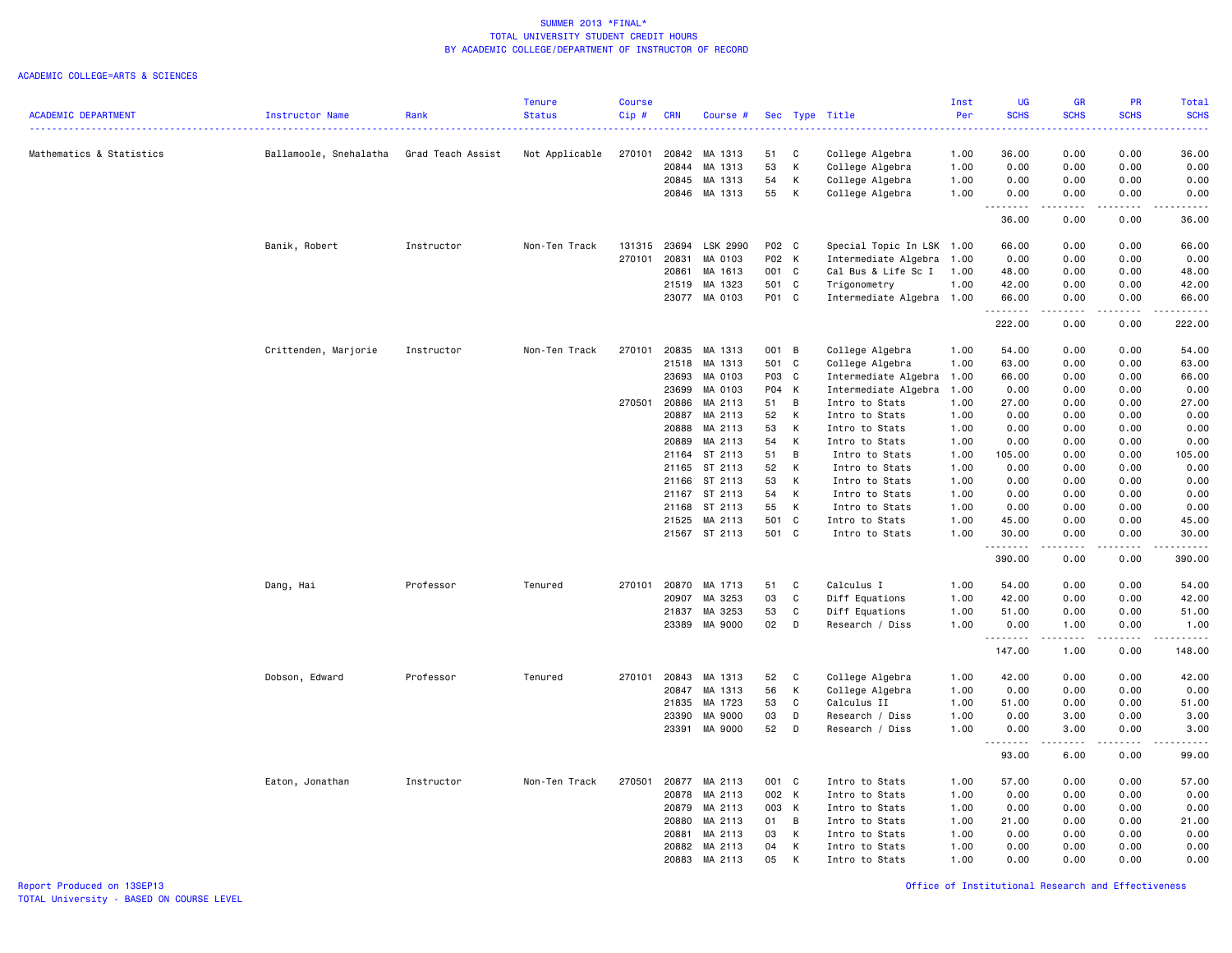|                            |                        |                   | <b>Tenure</b>  | Course |            |               |       |                |                           | Inst | <b>UG</b>   | <b>GR</b>                                                                                                                                                    | <b>PR</b>                    | Total                                        |
|----------------------------|------------------------|-------------------|----------------|--------|------------|---------------|-------|----------------|---------------------------|------|-------------|--------------------------------------------------------------------------------------------------------------------------------------------------------------|------------------------------|----------------------------------------------|
| <b>ACADEMIC DEPARTMENT</b> | Instructor Name        | Rank              | <b>Status</b>  | Cip#   | <b>CRN</b> | Course #      |       |                | Sec Type Title            | Per  | <b>SCHS</b> | <b>SCHS</b>                                                                                                                                                  | <b>SCHS</b>                  | <b>SCHS</b>                                  |
|                            |                        |                   |                |        |            |               |       |                | <u>.</u>                  |      |             |                                                                                                                                                              |                              |                                              |
| Mathematics & Statistics   | Ballamoole, Snehalatha | Grad Teach Assist | Not Applicable | 270101 | 20842      | MA 1313       | 51    | C              | College Algebra           | 1.00 | 36.00       | 0.00                                                                                                                                                         | 0.00                         | 36.00                                        |
|                            |                        |                   |                |        | 20844      | MA 1313       | 53    | К              | College Algebra           | 1.00 | 0.00        | 0.00                                                                                                                                                         | 0.00                         | 0.00                                         |
|                            |                        |                   |                |        | 20845      | MA 1313       | 54    | К              | College Algebra           | 1.00 | 0.00        | 0.00                                                                                                                                                         | 0.00                         | 0.00                                         |
|                            |                        |                   |                |        |            | 20846 MA 1313 | 55    | К              | College Algebra           | 1.00 | 0.00        | 0.00                                                                                                                                                         | 0.00                         | 0.00                                         |
|                            |                        |                   |                |        |            |               |       |                |                           |      | .<br>36.00  | .<br>0.00                                                                                                                                                    | .<br>0.00                    | .<br>36.00                                   |
|                            | Banik, Robert          | Instructor        | Non-Ten Track  | 131315 | 23694      | LSK 2990      | P02 C |                | Special Topic In LSK 1.00 |      | 66.00       | 0.00                                                                                                                                                         | 0.00                         | 66.00                                        |
|                            |                        |                   |                | 270101 | 20831      | MA 0103       | P02 K |                | Intermediate Algebra      | 1.00 | 0.00        | 0.00                                                                                                                                                         | 0.00                         | 0.00                                         |
|                            |                        |                   |                |        | 20861      | MA 1613       | 001 C |                | Cal Bus & Life Sc I       | 1.00 | 48.00       | 0.00                                                                                                                                                         | 0.00                         | 48.00                                        |
|                            |                        |                   |                |        | 21519      | MA 1323       | 501   | $\mathbf{C}$   | Trigonometry              | 1.00 | 42.00       | 0.00                                                                                                                                                         | 0.00                         | 42.00                                        |
|                            |                        |                   |                |        | 23077      | MA 0103       | P01 C |                | Intermediate Algebra 1.00 |      | 66.00       | 0.00                                                                                                                                                         | 0.00                         | 66.00                                        |
|                            |                        |                   |                |        |            |               |       |                |                           |      | .<br>222.00 | د د د د<br>0.00                                                                                                                                              | .<br>0.00                    | .<br>222.00                                  |
|                            | Crittenden, Marjorie   | Instructor        | Non-Ten Track  | 270101 | 20835      | MA 1313       | 001 B |                | College Algebra           | 1.00 | 54.00       | 0.00                                                                                                                                                         | 0.00                         | 54.00                                        |
|                            |                        |                   |                |        | 21518      | MA 1313       | 501 C |                | College Algebra           | 1.00 | 63.00       | 0.00                                                                                                                                                         | 0.00                         | 63.00                                        |
|                            |                        |                   |                |        | 23693      | MA 0103       | P03 C |                | Intermediate Algebra 1.00 |      | 66.00       | 0.00                                                                                                                                                         | 0.00                         | 66.00                                        |
|                            |                        |                   |                |        | 23699      | MA 0103       | P04 K |                | Intermediate Algebra      | 1.00 | 0.00        | 0.00                                                                                                                                                         | 0.00                         | 0.00                                         |
|                            |                        |                   |                | 270501 | 20886      | MA 2113       | 51    | $\overline{B}$ | Intro to Stats            | 1.00 | 27.00       | 0.00                                                                                                                                                         | 0.00                         | 27.00                                        |
|                            |                        |                   |                |        | 20887      | MA 2113       | 52    | K              | Intro to Stats            | 1.00 | 0.00        | 0.00                                                                                                                                                         | 0.00                         | 0.00                                         |
|                            |                        |                   |                |        | 20888      | MA 2113       | 53    | K              | Intro to Stats            | 1.00 | 0.00        | 0.00                                                                                                                                                         | 0.00                         | 0.00                                         |
|                            |                        |                   |                |        | 20889      | MA 2113       | 54    | К              | Intro to Stats            | 1.00 | 0.00        | 0.00                                                                                                                                                         | 0.00                         | 0.00                                         |
|                            |                        |                   |                |        | 21164      | ST 2113       | 51    | B              | Intro to Stats            | 1.00 | 105.00      | 0.00                                                                                                                                                         | 0.00                         | 105.00                                       |
|                            |                        |                   |                |        | 21165      | ST 2113       | 52    | K              | Intro to Stats            | 1.00 | 0.00        | 0.00                                                                                                                                                         | 0.00                         | 0.00                                         |
|                            |                        |                   |                |        | 21166      | ST 2113       | 53    | К              | Intro to Stats            | 1.00 | 0.00        | 0.00                                                                                                                                                         | 0.00                         | 0.00                                         |
|                            |                        |                   |                |        | 21167      | ST 2113       | 54    | K              | Intro to Stats            | 1.00 | 0.00        | 0.00                                                                                                                                                         | 0.00                         | 0.00                                         |
|                            |                        |                   |                |        | 21168      | ST 2113       | 55    | K              | Intro to Stats            | 1.00 | 0.00        | 0.00                                                                                                                                                         | 0.00                         | 0.00                                         |
|                            |                        |                   |                |        | 21525      | MA 2113       | 501 C |                | Intro to Stats            | 1.00 | 45.00       | 0.00                                                                                                                                                         | 0.00                         | 45.00                                        |
|                            |                        |                   |                |        |            | 21567 ST 2113 | 501 C |                | Intro to Stats            | 1.00 | 30.00       | 0.00                                                                                                                                                         | 0.00                         | 30.00                                        |
|                            |                        |                   |                |        |            |               |       |                |                           |      | .<br>390.00 | 0.00                                                                                                                                                         | $\sim$ $\sim$ $\sim$<br>0.00 | $\sim$ $\sim$ $\sim$ $\sim$ $\sim$<br>390.00 |
|                            | Dang, Hai              | Professor         | Tenured        | 270101 | 20870      | MA 1713       | 51    | C              | Calculus I                | 1.00 | 54.00       | 0.00                                                                                                                                                         | 0.00                         | 54.00                                        |
|                            |                        |                   |                |        | 20907      | MA 3253       | 03    | $\mathbf C$    | Diff Equations            | 1.00 | 42.00       | 0.00                                                                                                                                                         | 0.00                         | 42.00                                        |
|                            |                        |                   |                |        | 21837      | MA 3253       | 53    | C              | Diff Equations            | 1.00 | 51.00       | 0.00                                                                                                                                                         | 0.00                         | 51.00                                        |
|                            |                        |                   |                |        | 23389      | MA 9000       | 02    | D              | Research / Diss           | 1.00 | 0.00        | 1.00                                                                                                                                                         | 0.00                         | 1.00                                         |
|                            |                        |                   |                |        |            |               |       |                |                           |      | .<br>147.00 | $\frac{1}{2} \left( \frac{1}{2} \right) \left( \frac{1}{2} \right) \left( \frac{1}{2} \right) \left( \frac{1}{2} \right) \left( \frac{1}{2} \right)$<br>1.00 | .<br>0.00                    | 148.00                                       |
|                            | Dobson, Edward         | Professor         | Tenured        | 270101 | 20843      | MA 1313       | 52    | C              | College Algebra           | 1.00 | 42.00       | 0.00                                                                                                                                                         | 0.00                         | 42.00                                        |
|                            |                        |                   |                |        | 20847      | MA 1313       | 56    | К              | College Algebra           | 1.00 | 0.00        | 0.00                                                                                                                                                         | 0.00                         | 0.00                                         |
|                            |                        |                   |                |        | 21835      | MA 1723       | 53    | C              | Calculus II               | 1.00 | 51.00       | 0.00                                                                                                                                                         | 0.00                         | 51.00                                        |
|                            |                        |                   |                |        | 23390      | MA 9000       | 03    | D              | Research / Diss           | 1.00 | 0.00        | 3.00                                                                                                                                                         | 0.00                         | 3.00                                         |
|                            |                        |                   |                |        | 23391      | MA 9000       | 52    | D              | Research / Diss           | 1.00 | 0.00        | 3.00                                                                                                                                                         | 0.00                         | 3.00                                         |
|                            |                        |                   |                |        |            |               |       |                |                           |      | 93.00       | 6.00                                                                                                                                                         | 0.00                         | 99.00                                        |
|                            |                        |                   |                |        |            |               |       |                |                           |      |             |                                                                                                                                                              |                              |                                              |
|                            | Eaton, Jonathan        | Instructor        | Non-Ten Track  | 270501 | 20877      | MA 2113       | 001 C |                | Intro to Stats            | 1.00 | 57.00       | 0.00                                                                                                                                                         | 0.00                         | 57.00                                        |
|                            |                        |                   |                |        | 20878      | MA 2113       | 002 K |                | Intro to Stats            | 1.00 | 0.00        | 0.00                                                                                                                                                         | 0.00                         | 0.00                                         |
|                            |                        |                   |                |        | 20879      | MA 2113       | 003 K |                | Intro to Stats            | 1.00 | 0.00        | 0.00                                                                                                                                                         | 0.00                         | 0.00                                         |
|                            |                        |                   |                |        | 20880      | MA 2113       | 01    | $\overline{B}$ | Intro to Stats            | 1.00 | 21.00       | 0.00                                                                                                                                                         | 0.00                         | 21.00                                        |
|                            |                        |                   |                |        | 20881      | MA 2113       | 03    | К              | Intro to Stats            | 1.00 | 0.00        | 0.00                                                                                                                                                         | 0.00                         | 0.00                                         |
|                            |                        |                   |                |        | 20882      | MA 2113       | 04    | К              | Intro to Stats            | 1.00 | 0.00        | 0.00                                                                                                                                                         | 0.00                         | 0.00                                         |
|                            |                        |                   |                |        | 20883      | MA 2113       | 05    | К              | Intro to Stats            | 1.00 | 0.00        | 0.00                                                                                                                                                         | 0.00                         | 0.00                                         |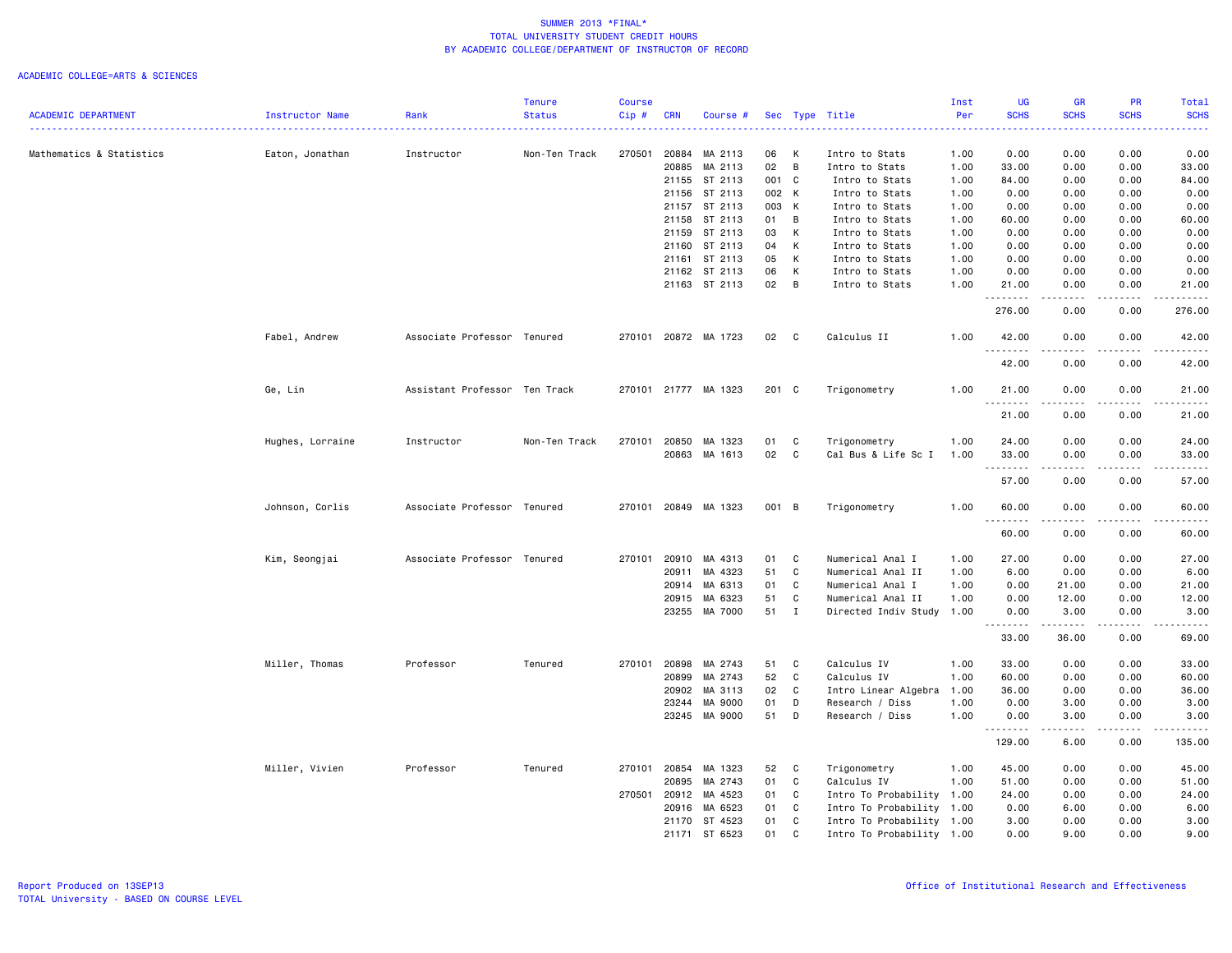|                            |                  |                               | <b>Tenure</b> | <b>Course</b> |              |                      |       |              |                           | Inst | UG                   | GR                                                                                                                                                                                      | PR                                  | Total                                                                                                                                                        |
|----------------------------|------------------|-------------------------------|---------------|---------------|--------------|----------------------|-------|--------------|---------------------------|------|----------------------|-----------------------------------------------------------------------------------------------------------------------------------------------------------------------------------------|-------------------------------------|--------------------------------------------------------------------------------------------------------------------------------------------------------------|
| <b>ACADEMIC DEPARTMENT</b> | Instructor Name  | Rank                          | <b>Status</b> | Cip#          | <b>CRN</b>   | Course #             |       |              | Sec Type Title            | Per  | <b>SCHS</b>          | <b>SCHS</b>                                                                                                                                                                             | <b>SCHS</b>                         | <b>SCHS</b><br>.                                                                                                                                             |
| Mathematics & Statistics   | Eaton, Jonathan  | Instructor                    | Non-Ten Track | 270501        | 20884        | MA 2113              | 06    | К            | Intro to Stats            | 1.00 | 0.00                 | 0.00                                                                                                                                                                                    | 0.00                                | 0.00                                                                                                                                                         |
|                            |                  |                               |               |               | 20885        | MA 2113              | 02    | B            | Intro to Stats            | 1.00 | 33.00                | 0.00                                                                                                                                                                                    | 0.00                                | 33.00                                                                                                                                                        |
|                            |                  |                               |               |               | 21155        | ST 2113              | 001 C |              | Intro to Stats            | 1.00 | 84.00                | 0.00                                                                                                                                                                                    | 0.00                                | 84.00                                                                                                                                                        |
|                            |                  |                               |               |               | 21156        | ST 2113              | 002 K |              | Intro to Stats            | 1.00 | 0.00                 | 0.00                                                                                                                                                                                    | 0.00                                | 0.00                                                                                                                                                         |
|                            |                  |                               |               |               | 21157        | ST 2113              | 003 K |              | Intro to Stats            | 1.00 | 0.00                 | 0.00                                                                                                                                                                                    | 0.00                                | 0.00                                                                                                                                                         |
|                            |                  |                               |               |               | 21158        | ST 2113              | 01 B  |              | Intro to Stats            | 1.00 | 60.00                | 0.00                                                                                                                                                                                    | 0.00                                | 60.00                                                                                                                                                        |
|                            |                  |                               |               |               | 21159        | ST 2113              | 03    | к            | Intro to Stats            | 1.00 | 0.00                 | 0.00                                                                                                                                                                                    | 0.00                                | 0.00                                                                                                                                                         |
|                            |                  |                               |               |               | 21160        | ST 2113              | 04    | К            | Intro to Stats            | 1.00 | 0.00                 | 0.00                                                                                                                                                                                    | 0.00                                | 0.00                                                                                                                                                         |
|                            |                  |                               |               |               | 21161        | ST 2113              | 05    | K            | Intro to Stats            | 1.00 | 0.00                 | 0.00                                                                                                                                                                                    | 0.00                                | 0.00                                                                                                                                                         |
|                            |                  |                               |               |               | 21162        | ST 2113              | 06    | К            | Intro to Stats            | 1.00 | 0.00                 | 0.00                                                                                                                                                                                    | 0.00                                | 0.00                                                                                                                                                         |
|                            |                  |                               |               |               |              | 21163 ST 2113        | 02    | B            | Intro to Stats            | 1.00 | 21.00<br>.           | 0.00<br>.                                                                                                                                                                               | 0.00<br>.                           | 21.00<br>.                                                                                                                                                   |
|                            |                  |                               |               |               |              |                      |       |              |                           |      | 276.00               | 0.00                                                                                                                                                                                    | 0.00                                | 276.00                                                                                                                                                       |
|                            | Fabel, Andrew    | Associate Professor Tenured   |               |               |              | 270101 20872 MA 1723 | 02    | $\mathbf{C}$ | Calculus II               | 1.00 | 42.00<br><u>.</u>    | 0.00                                                                                                                                                                                    | 0.00<br>.                           | 42.00<br>.                                                                                                                                                   |
|                            |                  |                               |               |               |              |                      |       |              |                           |      | 42.00                | 0.00                                                                                                                                                                                    | 0.00                                | 42.00                                                                                                                                                        |
|                            | Ge, Lin          | Assistant Professor Ten Track |               |               |              | 270101 21777 MA 1323 | 201 C |              | Trigonometry              | 1.00 | 21.00<br>.           | 0.00<br>.                                                                                                                                                                               | 0.00<br>$\sim$ $\sim$ $\sim$ $\sim$ | 21.00<br>.                                                                                                                                                   |
|                            |                  |                               |               |               |              |                      |       |              |                           |      | 21.00                | 0.00                                                                                                                                                                                    | 0.00                                | 21.00                                                                                                                                                        |
|                            | Hughes, Lorraine | Instructor                    | Non-Ten Track | 270101        | 20850        | MA 1323              | 01    | C            | Trigonometry              | 1.00 | 24.00                | 0.00                                                                                                                                                                                    | 0.00                                | 24.00                                                                                                                                                        |
|                            |                  |                               |               |               |              | 20863 MA 1613        | 02    | C            | Cal Bus & Life Sc I       | 1.00 | 33.00<br><u>.</u>    | 0.00                                                                                                                                                                                    | 0.00                                | 33.00<br>$- - - - -$                                                                                                                                         |
|                            |                  |                               |               |               |              |                      |       |              |                           |      | 57.00                | 0.00                                                                                                                                                                                    | 0.00                                | 57.00                                                                                                                                                        |
|                            | Johnson, Corlis  | Associate Professor Tenured   |               |               |              | 270101 20849 MA 1323 | 001 B |              | Trigonometry              | 1.00 | 60.00<br>$- - - - -$ | 0.00                                                                                                                                                                                    | 0.00<br>$\frac{1}{2}$               | 60.00<br>.                                                                                                                                                   |
|                            |                  |                               |               |               |              |                      |       |              |                           |      | 60.00                | 0.00                                                                                                                                                                                    | 0.00                                | 60.00                                                                                                                                                        |
|                            | Kim, Seongjai    | Associate Professor Tenured   |               | 270101        | 20910        | MA 4313              | 01    | C            | Numerical Anal I          | 1.00 | 27.00                | 0.00                                                                                                                                                                                    | 0.00                                | 27.00                                                                                                                                                        |
|                            |                  |                               |               |               | 20911        | MA 4323              | 51    | C            | Numerical Anal II         | 1.00 | 6.00                 | 0.00                                                                                                                                                                                    | 0.00                                | 6.00                                                                                                                                                         |
|                            |                  |                               |               |               | 20914        | MA 6313              | 01    | C            | Numerical Anal I          | 1.00 | 0.00                 | 21.00                                                                                                                                                                                   | 0.00                                | 21.00                                                                                                                                                        |
|                            |                  |                               |               |               | 20915        | MA 6323              | 51    | C            | Numerical Anal II         | 1.00 | 0.00                 | 12.00                                                                                                                                                                                   | 0.00                                | 12.00                                                                                                                                                        |
|                            |                  |                               |               |               | 23255        | MA 7000              | 51    | $\mathbf{I}$ | Directed Indiv Study      | 1.00 | 0.00                 | 3.00<br>$\frac{1}{2} \left( \frac{1}{2} \right) \left( \frac{1}{2} \right) \left( \frac{1}{2} \right) \left( \frac{1}{2} \right) \left( \frac{1}{2} \right) \left( \frac{1}{2} \right)$ | 0.00                                | 3.00<br>$\frac{1}{2} \left( \frac{1}{2} \right) \left( \frac{1}{2} \right) \left( \frac{1}{2} \right) \left( \frac{1}{2} \right) \left( \frac{1}{2} \right)$ |
|                            |                  |                               |               |               |              |                      |       |              |                           |      | 33.00                | 36.00                                                                                                                                                                                   | 0.00                                | 69.00                                                                                                                                                        |
|                            | Miller, Thomas   | Professor                     | Tenured       | 270101        | 20898        | MA 2743              | 51    | C            | Calculus IV               | 1.00 | 33.00                | 0.00                                                                                                                                                                                    | 0.00                                | 33.00                                                                                                                                                        |
|                            |                  |                               |               |               | 20899        | MA 2743              | 52    | C            | Calculus IV               | 1.00 | 60.00                | 0.00                                                                                                                                                                                    | 0.00                                | 60.00                                                                                                                                                        |
|                            |                  |                               |               |               | 20902        | MA 3113              | 02    | C            | Intro Linear Algebra      | 1.00 | 36.00                | 0.00                                                                                                                                                                                    | 0.00                                | 36.00                                                                                                                                                        |
|                            |                  |                               |               |               | 23244        | MA 9000              | 01    | D            | Research / Diss           | 1.00 | 0.00                 | 3.00                                                                                                                                                                                    | 0.00                                | 3.00                                                                                                                                                         |
|                            |                  |                               |               |               |              | 23245 MA 9000        | 51    | D            | Research / Diss           | 1.00 | 0.00                 | 3.00<br>.                                                                                                                                                                               | 0.00                                | 3.00                                                                                                                                                         |
|                            |                  |                               |               |               |              |                      |       |              |                           |      | .<br>129.00          | 6.00                                                                                                                                                                                    | .<br>0.00                           | .<br>135.00                                                                                                                                                  |
|                            | Miller, Vivien   | Professor                     | Tenured       | 270101        | 20854        | MA 1323              | 52    | C            | Trigonometry              | 1.00 | 45.00                | 0.00                                                                                                                                                                                    | 0.00                                | 45.00                                                                                                                                                        |
|                            |                  |                               |               |               | 20895        | MA 2743              | 01    | C            | Calculus IV               | 1.00 | 51.00                | 0.00                                                                                                                                                                                    | 0.00                                | 51.00                                                                                                                                                        |
|                            |                  |                               |               |               | 270501 20912 | MA 4523              | 01    | C            | Intro To Probability 1.00 |      | 24.00                | 0.00                                                                                                                                                                                    | 0.00                                | 24.00                                                                                                                                                        |
|                            |                  |                               |               |               | 20916        | MA 6523              | 01    | C            | Intro To Probability 1.00 |      | 0.00                 | 6.00                                                                                                                                                                                    | 0.00                                | 6.00                                                                                                                                                         |
|                            |                  |                               |               |               |              | 21170 ST 4523        | 01    | C            | Intro To Probability 1.00 |      | 3.00                 | 0.00                                                                                                                                                                                    | 0.00                                | 3.00                                                                                                                                                         |
|                            |                  |                               |               |               | 21171        | ST 6523              | 01    | C            | Intro To Probability 1.00 |      | 0.00                 | 9.00                                                                                                                                                                                    | 0.00                                | 9.00                                                                                                                                                         |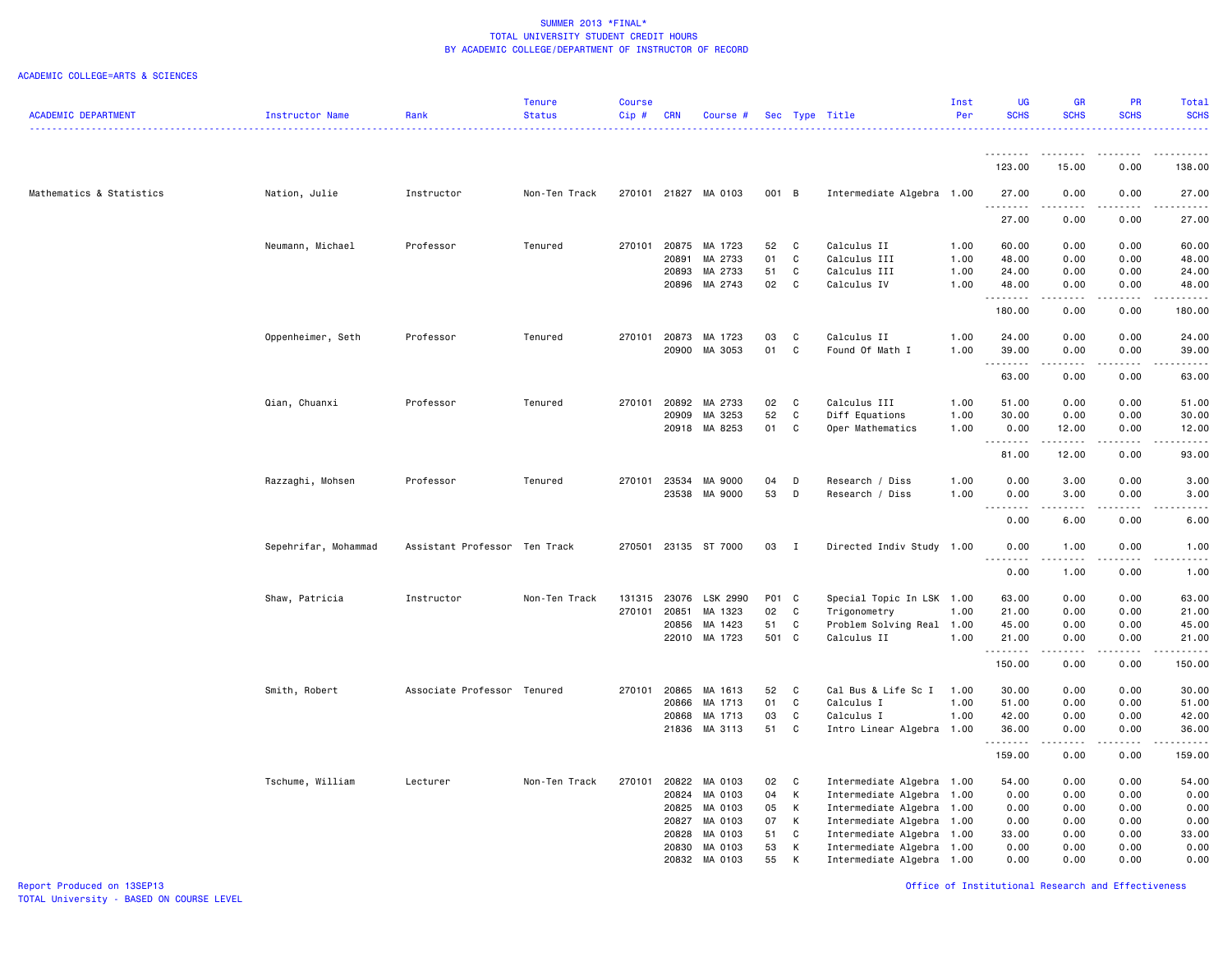|                            |                      |                               | <b>Tenure</b> | <b>Course</b> |            |                      |          |              |                           | Inst | <b>UG</b>                          | GR                    | <b>PR</b>   | Total                                                                                                                                                        |
|----------------------------|----------------------|-------------------------------|---------------|---------------|------------|----------------------|----------|--------------|---------------------------|------|------------------------------------|-----------------------|-------------|--------------------------------------------------------------------------------------------------------------------------------------------------------------|
| <b>ACADEMIC DEPARTMENT</b> | Instructor Name      | Rank                          | <b>Status</b> | Cip#          | <b>CRN</b> | Course #             |          |              | Sec Type Title            | Per  | <b>SCHS</b>                        | <b>SCHS</b>           | <b>SCHS</b> | <b>SCHS</b>                                                                                                                                                  |
|                            |                      |                               |               |               |            |                      |          |              |                           |      |                                    |                       |             | .                                                                                                                                                            |
|                            |                      |                               |               |               |            |                      |          |              |                           |      | .                                  | <u>.</u>              | .           | .                                                                                                                                                            |
|                            |                      |                               |               |               |            |                      |          |              |                           |      | 123.00                             | 15.00                 | 0.00        | 138.00                                                                                                                                                       |
| Mathematics & Statistics   | Nation, Julie        | Instructor                    | Non-Ten Track |               |            | 270101 21827 MA 0103 | 001 B    |              | Intermediate Algebra 1.00 |      | 27.00<br>.                         | 0.00                  | 0.00        | 27.00                                                                                                                                                        |
|                            |                      |                               |               |               |            |                      |          |              |                           |      | 27.00                              | 0.00                  | 0.00        | 27.00                                                                                                                                                        |
|                            | Neumann, Michael     | Professor                     | Tenured       | 270101        | 20875      | MA 1723              | 52       | $\mathbf{C}$ | Calculus II               | 1.00 | 60.00                              | 0.00                  | 0.00        | 60.00                                                                                                                                                        |
|                            |                      |                               |               |               | 20891      | MA 2733              | 01       | $\mathbf{C}$ | Calculus III              | 1.00 | 48.00                              | 0.00                  | 0.00        | 48.00                                                                                                                                                        |
|                            |                      |                               |               |               | 20893      | MA 2733              | 51       | $\mathbf C$  | Calculus III              | 1.00 | 24.00                              | 0.00                  | 0.00        | 24.00                                                                                                                                                        |
|                            |                      |                               |               |               | 20896      | MA 2743              | 02       | $\mathbf C$  | Calculus IV               | 1.00 | 48.00<br>.                         | 0.00<br>.             | 0.00<br>.   | 48.00<br>.                                                                                                                                                   |
|                            |                      |                               |               |               |            |                      |          |              |                           |      | 180.00                             | 0.00                  | 0.00        | 180.00                                                                                                                                                       |
|                            | Oppenheimer, Seth    | Professor                     | Tenured       | 270101        | 20873      | MA 1723              | 03       | C            | Calculus II               | 1.00 | 24.00                              | 0.00                  | 0.00        | 24.00                                                                                                                                                        |
|                            |                      |                               |               |               | 20900      | MA 3053              | 01       | $\mathbf c$  | Found Of Math I           | 1.00 | 39.00                              | 0.00                  | 0.00        | 39.00                                                                                                                                                        |
|                            |                      |                               |               |               |            |                      |          |              |                           |      |                                    | .                     | .           | د د د د د                                                                                                                                                    |
|                            |                      |                               |               |               |            |                      |          |              |                           |      | 63.00                              | 0.00                  | 0.00        | 63.00                                                                                                                                                        |
|                            | Qian, Chuanxi        | Professor                     | Tenured       | 270101        | 20892      | MA 2733              | 02       | $\mathbf{C}$ | Calculus III              | 1.00 | 51.00                              | 0.00                  | 0.00        | 51.00                                                                                                                                                        |
|                            |                      |                               |               |               | 20909      | MA 3253              | 52       | C            | Diff Equations            | 1.00 | 30.00                              | 0.00                  | 0.00        | 30.00                                                                                                                                                        |
|                            |                      |                               |               |               | 20918      | MA 8253              | 01       | C            | Oper Mathematics          | 1.00 | 0.00                               | 12.00<br>.            | 0.00<br>.   | 12.00<br>.                                                                                                                                                   |
|                            |                      |                               |               |               |            |                      |          |              |                           |      | 81.00                              | 12.00                 | 0.00        | 93.00                                                                                                                                                        |
|                            | Razzaghi, Mohsen     | Professor                     | Tenured       | 270101        | 23534      | MA 9000              | 04       | D            | Research / Diss           | 1.00 | 0.00                               | 3.00                  | 0.00        | 3.00                                                                                                                                                         |
|                            |                      |                               |               |               | 23538      | MA 9000              | 53       | D            | Research / Diss           | 1.00 | 0.00                               | 3.00                  | 0.00        | 3.00                                                                                                                                                         |
|                            |                      |                               |               |               |            |                      |          |              |                           |      | د د د د<br>$\sim$ $\sim$           | .                     | .           | .                                                                                                                                                            |
|                            |                      |                               |               |               |            |                      |          |              |                           |      | 0.00                               | 6.00                  | 0.00        | 6.00                                                                                                                                                         |
|                            | Sepehrifar, Mohammad | Assistant Professor Ten Track |               | 270501        |            | 23135 ST 7000        | 03       | $\mathbf{I}$ | Directed Indiv Study 1.00 |      | 0.00<br>د د د د<br>$\sim$ $\sim$ . | 1.00<br>-----         | 0.00<br>.   | 1.00<br>$\frac{1}{2} \left( \frac{1}{2} \right) \left( \frac{1}{2} \right) \left( \frac{1}{2} \right) \left( \frac{1}{2} \right) \left( \frac{1}{2} \right)$ |
|                            |                      |                               |               |               |            |                      |          |              |                           |      | 0.00                               | 1.00                  | 0.00        | 1.00                                                                                                                                                         |
|                            | Shaw, Patricia       | Instructor                    | Non-Ten Track | 131315        | 23076      | LSK 2990             | P01 C    |              | Special Topic In LSK 1.00 |      | 63.00                              | 0.00                  | 0.00        | 63.00                                                                                                                                                        |
|                            |                      |                               |               | 270101        | 20851      | MA 1323              | 02       | C            | Trigonometry              | 1.00 | 21.00                              | 0.00                  | 0.00        | 21.00                                                                                                                                                        |
|                            |                      |                               |               |               | 20856      | MA 1423              | 51       | C            | Problem Solving Real 1.00 |      | 45.00                              | 0.00                  | 0.00        | 45.00                                                                                                                                                        |
|                            |                      |                               |               |               |            | 22010 MA 1723        | 501 C    |              | Calculus II               | 1.00 | 21.00                              | 0.00                  | 0.00        | 21.00                                                                                                                                                        |
|                            |                      |                               |               |               |            |                      |          |              |                           |      | .<br>150.00                        | .<br>0.00             | .<br>0.00   | .<br>150.00                                                                                                                                                  |
|                            |                      |                               |               |               |            |                      |          |              |                           |      |                                    |                       |             |                                                                                                                                                              |
|                            | Smith, Robert        | Associate Professor Tenured   |               | 270101        | 20865      | MA 1613              | 52       | $\mathbf{C}$ | Cal Bus & Life Sc I       | 1.00 | 30.00                              | 0.00                  | 0.00        | 30.00                                                                                                                                                        |
|                            |                      |                               |               |               | 20866      | MA 1713              | 01       | $\mathbf c$  | Calculus I                | 1.00 | 51.00                              | 0.00                  | 0.00        | 51.00                                                                                                                                                        |
|                            |                      |                               |               |               | 20868      | MA 1713              | 03<br>51 | $\mathtt{C}$ | Calculus I                | 1.00 | 42.00                              | 0.00                  | 0.00        | 42.00                                                                                                                                                        |
|                            |                      |                               |               |               | 21836      | MA 3113              |          | C            | Intro Linear Algebra 1.00 |      | 36.00<br>.                         | 0.00<br>$\frac{1}{2}$ | 0.00<br>.   | 36.00<br>.                                                                                                                                                   |
|                            |                      |                               |               |               |            |                      |          |              |                           |      | 159.00                             | 0.00                  | 0.00        | 159.00                                                                                                                                                       |
|                            | Tschume, William     | Lecturer                      | Non-Ten Track | 270101        | 20822      | MA 0103              | 02       | $\mathbf{C}$ | Intermediate Algebra 1.00 |      | 54.00                              | 0.00                  | 0.00        | 54.00                                                                                                                                                        |
|                            |                      |                               |               |               | 20824      | MA 0103              | 04       | K            | Intermediate Algebra 1.00 |      | 0.00                               | 0.00                  | 0.00        | 0.00                                                                                                                                                         |
|                            |                      |                               |               |               | 20825      | MA 0103              | 05       | К            | Intermediate Algebra 1.00 |      | 0.00                               | 0.00                  | 0.00        | 0.00                                                                                                                                                         |
|                            |                      |                               |               |               | 20827      | MA 0103              | 07       | K            | Intermediate Algebra 1.00 |      | 0.00                               | 0.00                  | 0.00        | 0.00                                                                                                                                                         |
|                            |                      |                               |               |               | 20828      | MA 0103              | 51       | C            | Intermediate Algebra 1.00 |      | 33.00                              | 0.00                  | 0.00        | 33.00                                                                                                                                                        |
|                            |                      |                               |               |               | 20830      | MA 0103              | 53       | К            | Intermediate Algebra 1.00 |      | 0.00                               | 0.00                  | 0.00        | 0.00                                                                                                                                                         |
|                            |                      |                               |               |               | 20832      | MA 0103              | 55       | K            | Intermediate Algebra 1.00 |      | 0.00                               | 0.00                  | 0.00        | 0.00                                                                                                                                                         |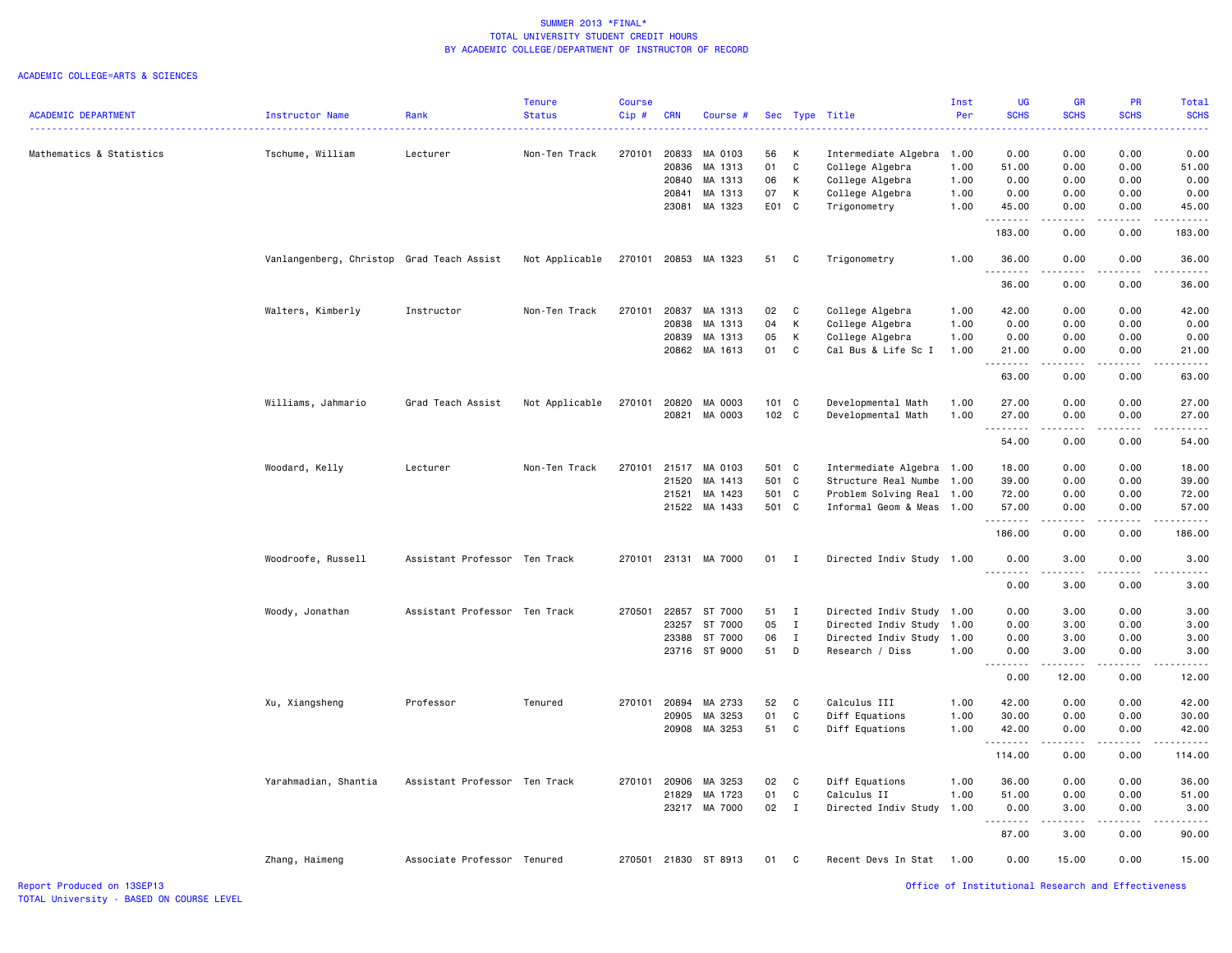|                            |                                           |                               | <b>Tenure</b>  | Course |            |                      |       |              |                           | Inst | <b>UG</b>                  | <b>GR</b>             | PR                                  | <b>Total</b>                                                                                                                                                 |
|----------------------------|-------------------------------------------|-------------------------------|----------------|--------|------------|----------------------|-------|--------------|---------------------------|------|----------------------------|-----------------------|-------------------------------------|--------------------------------------------------------------------------------------------------------------------------------------------------------------|
| <b>ACADEMIC DEPARTMENT</b> | Instructor Name                           | Rank                          | <b>Status</b>  | Cip#   | <b>CRN</b> | Course #             |       |              | Sec Type Title            | Per  | <b>SCHS</b>                | <b>SCHS</b>           | <b>SCHS</b>                         | <b>SCHS</b><br>المتمامين                                                                                                                                     |
| Mathematics & Statistics   | Tschume, William                          | Lecturer                      | Non-Ten Track  | 270101 | 20833      | MA 0103              | 56    | Κ            | Intermediate Algebra      | 1.00 | 0.00                       | 0.00                  | 0.00                                | 0.00                                                                                                                                                         |
|                            |                                           |                               |                |        | 20836      | MA 1313              | 01    | C            | College Algebra           | 1.00 | 51.00                      | 0.00                  | 0.00                                | 51.00                                                                                                                                                        |
|                            |                                           |                               |                |        | 20840      | MA 1313              | 06    | К            | College Algebra           | 1.00 | 0.00                       | 0.00                  | 0.00                                | 0.00                                                                                                                                                         |
|                            |                                           |                               |                |        | 20841      | MA 1313              | 07    | Κ            | College Algebra           | 1.00 | 0.00                       | 0.00                  | 0.00                                | 0.00                                                                                                                                                         |
|                            |                                           |                               |                |        | 23081      | MA 1323              | E01 C |              | Trigonometry              | 1.00 | 45.00                      | 0.00                  | 0.00                                | 45.00                                                                                                                                                        |
|                            |                                           |                               |                |        |            |                      |       |              |                           |      | <u>.</u><br>183.00         | .<br>0.00             | .<br>0.00                           | .<br>183.00                                                                                                                                                  |
|                            | Vanlangenberg, Christop Grad Teach Assist |                               | Not Applicable | 270101 |            | 20853 MA 1323        | 51    | C            | Trigonometry              | 1.00 | 36.00                      | 0.00                  | 0.00                                | 36.00                                                                                                                                                        |
|                            |                                           |                               |                |        |            |                      |       |              |                           |      | .<br>36.00                 | .<br>0.00             | $\sim$ $\sim$ $\sim$ $\sim$<br>0.00 | .<br>36.00                                                                                                                                                   |
|                            | Walters, Kimberly                         | Instructor                    | Non-Ten Track  | 270101 | 20837      | MA 1313              | 02    | C            | College Algebra           | 1.00 | 42.00                      | 0.00                  | 0.00                                | 42.00                                                                                                                                                        |
|                            |                                           |                               |                |        | 20838      | MA 1313              | 04    | К            | College Algebra           | 1.00 | 0.00                       | 0.00                  | 0.00                                | 0.00                                                                                                                                                         |
|                            |                                           |                               |                |        | 20839      | MA 1313              | 05    | К            | College Algebra           | 1.00 | 0.00                       | 0.00                  | 0.00                                | 0.00                                                                                                                                                         |
|                            |                                           |                               |                |        |            | 20862 MA 1613        | 01    | C            |                           | 1.00 | 21.00                      | 0.00                  | 0.00                                | 21.00                                                                                                                                                        |
|                            |                                           |                               |                |        |            |                      |       |              | Cal Bus & Life Sc I       |      | .<br>$\sim$ $\sim$ .       | .                     | .                                   | د د د د د .                                                                                                                                                  |
|                            |                                           |                               |                |        |            |                      |       |              |                           |      | 63.00                      | 0.00                  | 0.00                                | 63.00                                                                                                                                                        |
|                            | Williams, Jahmario                        | Grad Teach Assist             | Not Applicable | 270101 | 20820      | MA 0003              | 101 C |              | Developmental Math        | 1.00 | 27.00                      | 0.00                  | 0.00                                | 27.00                                                                                                                                                        |
|                            |                                           |                               |                |        | 20821      | MA 0003              | 102 C |              | Developmental Math        | 1.00 | 27.00                      | 0.00                  | 0.00                                | 27.00                                                                                                                                                        |
|                            |                                           |                               |                |        |            |                      |       |              |                           |      | .                          | .                     | .                                   | .                                                                                                                                                            |
|                            |                                           |                               |                |        |            |                      |       |              |                           |      | 54.00                      | 0.00                  | 0.00                                | 54.00                                                                                                                                                        |
|                            | Woodard, Kelly                            | Lecturer                      | Non-Ten Track  | 270101 | 21517      | MA 0103              | 501 C |              | Intermediate Algebra 1.00 |      | 18.00                      | 0.00                  | 0.00                                | 18.00                                                                                                                                                        |
|                            |                                           |                               |                |        | 21520      | MA 1413              | 501 C |              | Structure Real Numbe      | 1.00 | 39.00                      | 0.00                  | 0.00                                | 39.00                                                                                                                                                        |
|                            |                                           |                               |                |        | 21521      | MA 1423              | 501 C |              | Problem Solving Real 1.00 |      | 72.00                      | 0.00                  | 0.00                                | 72.00                                                                                                                                                        |
|                            |                                           |                               |                |        |            | 21522 MA 1433        | 501 C |              | Informal Geom & Meas 1.00 |      | 57.00                      | 0.00                  | 0.00                                | 57.00                                                                                                                                                        |
|                            |                                           |                               |                |        |            |                      |       |              |                           |      | .<br>186.00                | .<br>0.00             | .<br>0.00                           | .<br>186.00                                                                                                                                                  |
|                            | Woodroofe, Russell                        | Assistant Professor Ten Track |                |        |            | 270101 23131 MA 7000 | 01 I  |              | Directed Indiv Study 1.00 |      | 0.00                       | 3.00                  | 0.00                                | 3.00                                                                                                                                                         |
|                            |                                           |                               |                |        |            |                      |       |              |                           |      | . <b>.</b><br>0.00         | $\frac{1}{2}$<br>3.00 | .<br>0.00                           | $\frac{1}{2} \left( \frac{1}{2} \right) \left( \frac{1}{2} \right) \left( \frac{1}{2} \right) \left( \frac{1}{2} \right) \left( \frac{1}{2} \right)$<br>3.00 |
|                            | Woody, Jonathan                           | Assistant Professor Ten Track |                | 270501 | 22857      | ST 7000              | 51 I  |              | Directed Indiv Study 1.00 |      | 0.00                       | 3.00                  | 0.00                                | 3.00                                                                                                                                                         |
|                            |                                           |                               |                |        | 23257      | ST 7000              | 05    | $\mathbf{I}$ | Directed Indiv Study      | 1.00 | 0.00                       | 3.00                  | 0.00                                | 3.00                                                                                                                                                         |
|                            |                                           |                               |                |        | 23388      | ST 7000              | 06    | $\mathbf{I}$ | Directed Indiv Study 1.00 |      | 0.00                       | 3.00                  | 0.00                                | 3.00                                                                                                                                                         |
|                            |                                           |                               |                |        |            | 23716 ST 9000        | 51    | D            | Research / Diss           | 1.00 | 0.00                       | 3.00                  | 0.00                                | 3.00                                                                                                                                                         |
|                            |                                           |                               |                |        |            |                      |       |              |                           |      | $\sim$ $\sim$<br>.<br>0.00 | 12.00                 | $\sim$ $\sim$ $\sim$ $\sim$<br>0.00 | .<br>12.00                                                                                                                                                   |
|                            |                                           |                               |                |        |            |                      |       |              |                           |      |                            |                       |                                     |                                                                                                                                                              |
|                            | Xu, Xiangsheng                            | Professor                     | Tenured        | 270101 | 20894      | MA 2733              | 52    | C            | Calculus III              | 1.00 | 42.00                      | 0.00                  | 0.00                                | 42.00                                                                                                                                                        |
|                            |                                           |                               |                |        | 20905      | MA 3253              | 01    | $\mathtt{C}$ | Diff Equations            | 1.00 | 30.00                      | 0.00                  | 0.00                                | 30.00                                                                                                                                                        |
|                            |                                           |                               |                |        |            | 20908 MA 3253        | 51    | C            | Diff Equations            | 1.00 | 42.00<br>.                 | 0.00                  | 0.00<br>$\sim$ $\sim$ $\sim$        | 42.00<br>.                                                                                                                                                   |
|                            |                                           |                               |                |        |            |                      |       |              |                           |      | 114.00                     | 0.00                  | 0.00                                | 114.00                                                                                                                                                       |
|                            | Yarahmadian, Shantia                      | Assistant Professor Ten Track |                | 270101 | 20906      | MA 3253              | 02    | C            | Diff Equations            | 1.00 | 36.00                      | 0.00                  | 0.00                                | 36.00                                                                                                                                                        |
|                            |                                           |                               |                |        | 21829      | MA 1723              | 01    | $\mathbb{C}$ | Calculus II               | 1.00 | 51.00                      | 0.00                  | 0.00                                | 51.00                                                                                                                                                        |
|                            |                                           |                               |                |        |            | 23217 MA 7000        | 02    | $\mathbf{I}$ | Directed Indiv Study      | 1.00 | 0.00                       | 3.00                  | 0.00                                | 3.00                                                                                                                                                         |
|                            |                                           |                               |                |        |            |                      |       |              |                           |      |                            |                       |                                     |                                                                                                                                                              |
|                            |                                           |                               |                |        |            |                      |       |              |                           |      | 87.00                      | 3.00                  | 0.00                                | 90.00                                                                                                                                                        |
|                            | Zhang, Haimeng                            | Associate Professor Tenured   |                |        |            | 270501 21830 ST 8913 | 01    | C.           | Recent Devs In Stat 1.00  |      | 0.00                       | 15.00                 | 0.00                                | 15.00                                                                                                                                                        |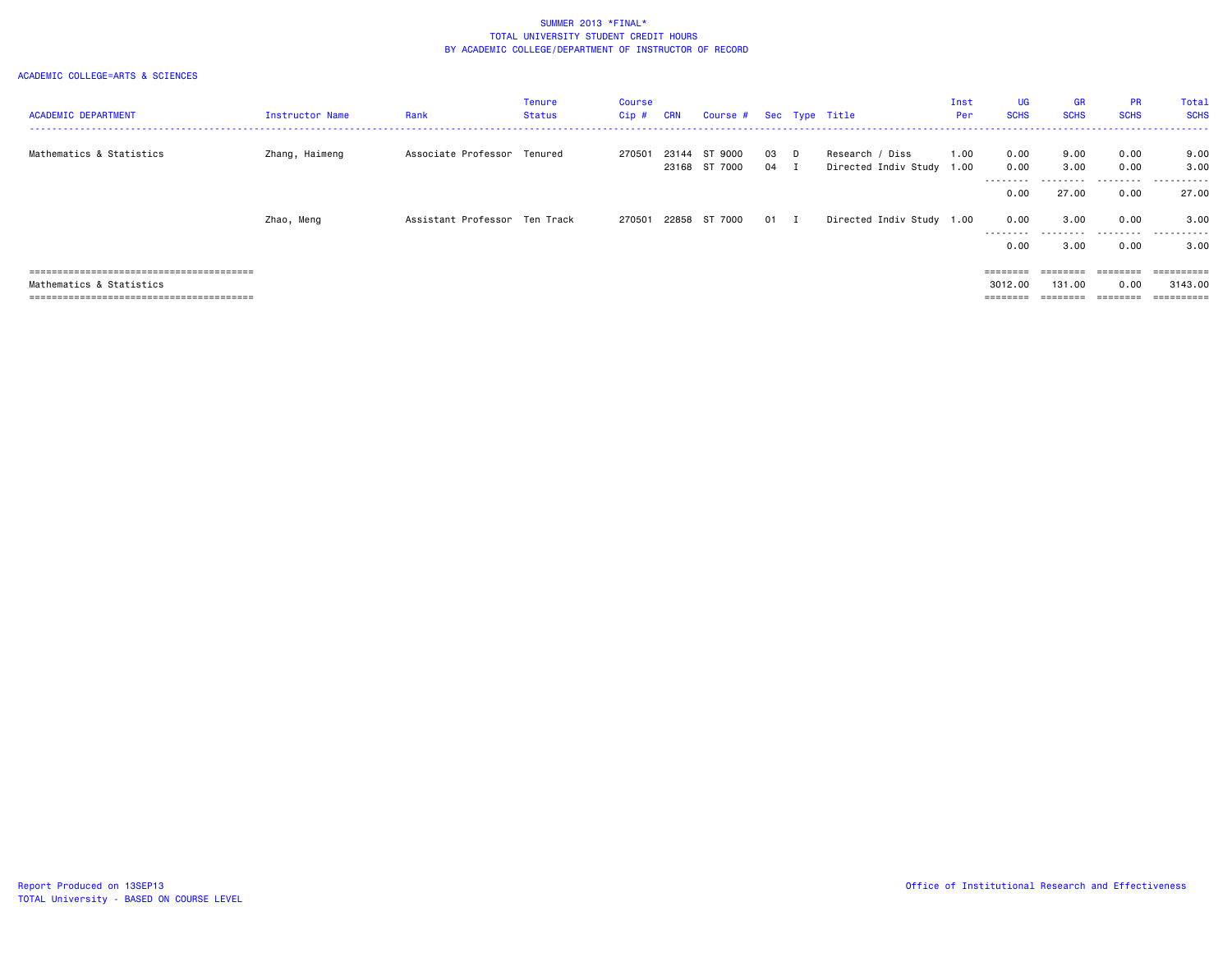| <b>ACADEMIC DEPARTMENT</b> | <b>Instructor Name</b> | Rank                          | Tenure<br><b>Status</b> | <b>Course</b><br>Cip # | <b>CRN</b> | Course # Sec Type Title        |              |                                              | Inst<br>Per | UG<br><b>SCHS</b>  | <b>GR</b><br><b>SCHS</b> | <b>PR</b><br><b>SCHS</b> | Total<br><b>SCHS</b>          |
|----------------------------|------------------------|-------------------------------|-------------------------|------------------------|------------|--------------------------------|--------------|----------------------------------------------|-------------|--------------------|--------------------------|--------------------------|-------------------------------|
| Mathematics & Statistics   | Zhang, Haimeng         | Associate Professor Tenured   |                         | 270501                 |            | 23144 ST 9000<br>23168 ST 7000 | 03 D<br>04 I | Research / Diss<br>Directed Indiv Study 1.00 | 1.00        | 0.00<br>0.00       | 9.00<br>3.00             | 0.00<br>0.00             | 9.00<br>3.00                  |
|                            |                        |                               |                         |                        |            |                                |              |                                              |             | .<br>0.00          | 27.00                    | .<br>0.00                | . <b>.</b> .<br>----<br>27.00 |
|                            | Zhao, Meng             | Assistant Professor Ten Track |                         | 270501                 |            | 22858 ST 7000                  | 01 I         | Directed Indiv Study 1.00                    |             | 0.00<br>.          | 3.00                     | 0.00<br>.                | 3.00<br>.                     |
|                            |                        |                               |                         |                        |            |                                |              |                                              |             | 0.00               | 3.00                     | 0.00                     | 3.00                          |
|                            |                        |                               |                         |                        |            |                                |              |                                              |             | ========           | ========                 | ========                 | ==========                    |
| Mathematics & Statistics   |                        |                               |                         |                        |            |                                |              |                                              |             | 3012.00<br>======= | 131,00                   | 0.00<br>========         | 3143.00<br>==========         |
|                            |                        |                               |                         |                        |            |                                |              |                                              |             |                    |                          |                          |                               |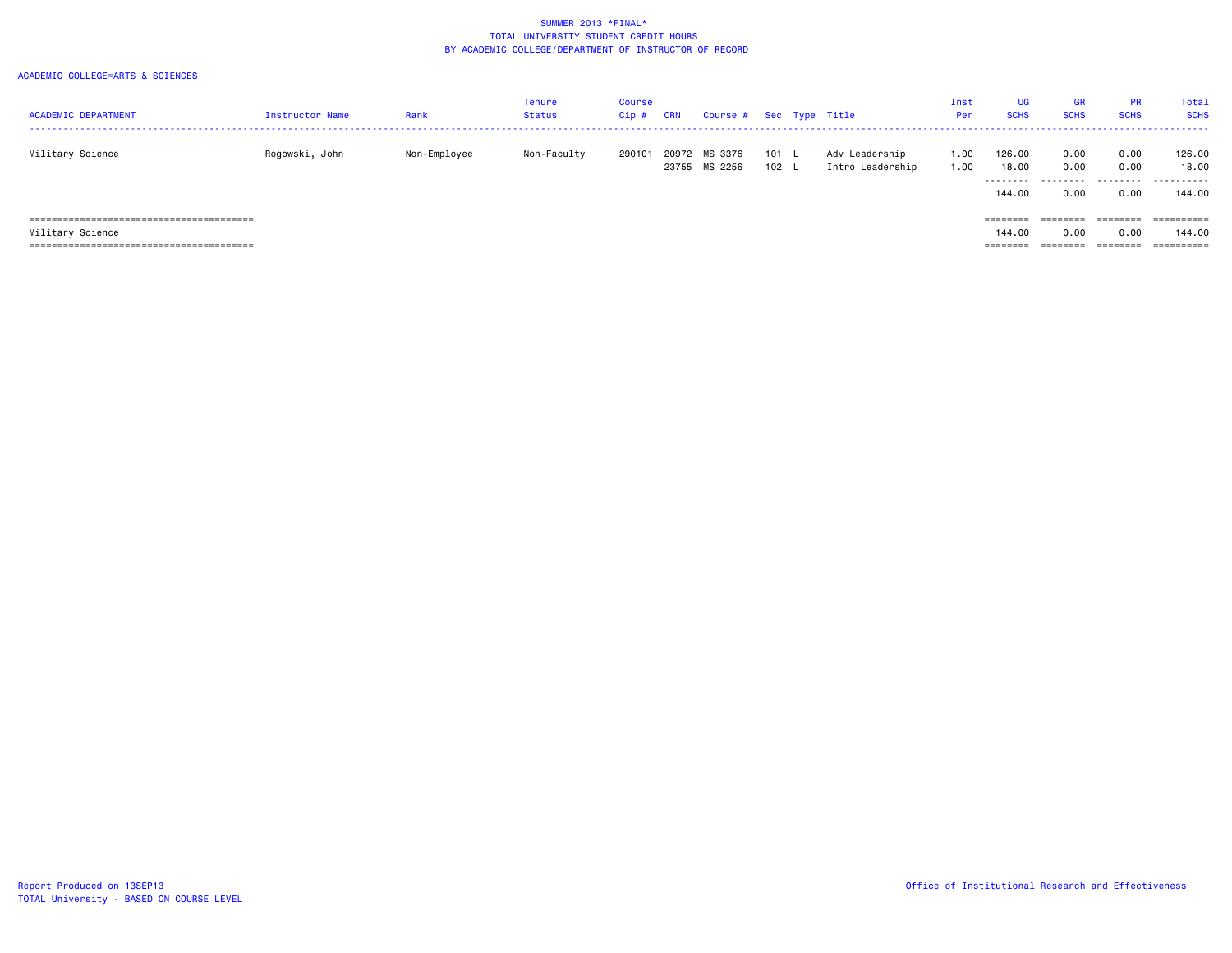| <b>ACADEMIC DEPARTMENT</b> | <b>Instructor Name</b> | Rank         | Tenure<br>Status | Course<br>Cip # | CRN            | Course # Sec Type Title |              |                                    | Inst<br>Per  | <b>UG</b><br><b>SCHS</b> | <b>GR</b><br><b>SCHS</b> | <b>PR</b><br><b>SCHS</b> | Total<br><b>SCHS</b> |
|----------------------------|------------------------|--------------|------------------|-----------------|----------------|-------------------------|--------------|------------------------------------|--------------|--------------------------|--------------------------|--------------------------|----------------------|
| Military Science           | Rogowski, John         | Non-Employee | Non-Faculty      | 290101          | 20972<br>23755 | MS 3376<br>MS 2256      | 101 L<br>102 | Adv Leadership<br>Intro Leadership | 1.00<br>1.00 | 126.00<br>18.00          | 0.00<br>0.00             | 0.00<br>0.00             | 126.00<br>18.00      |
|                            |                        |              |                  |                 |                |                         |              |                                    |              | 144.00                   | 0.00                     | 0.00                     | 144.00               |
|                            |                        |              |                  |                 |                |                         |              |                                    |              | ========                 | ========                 | ========                 | ==========           |
| Military Science           |                        |              |                  |                 |                |                         |              |                                    |              | 144.00                   | 0.00                     | 0.00                     | 144.00               |
|                            |                        |              |                  |                 |                |                         |              |                                    |              | ========                 | ========                 | ========                 | ==========           |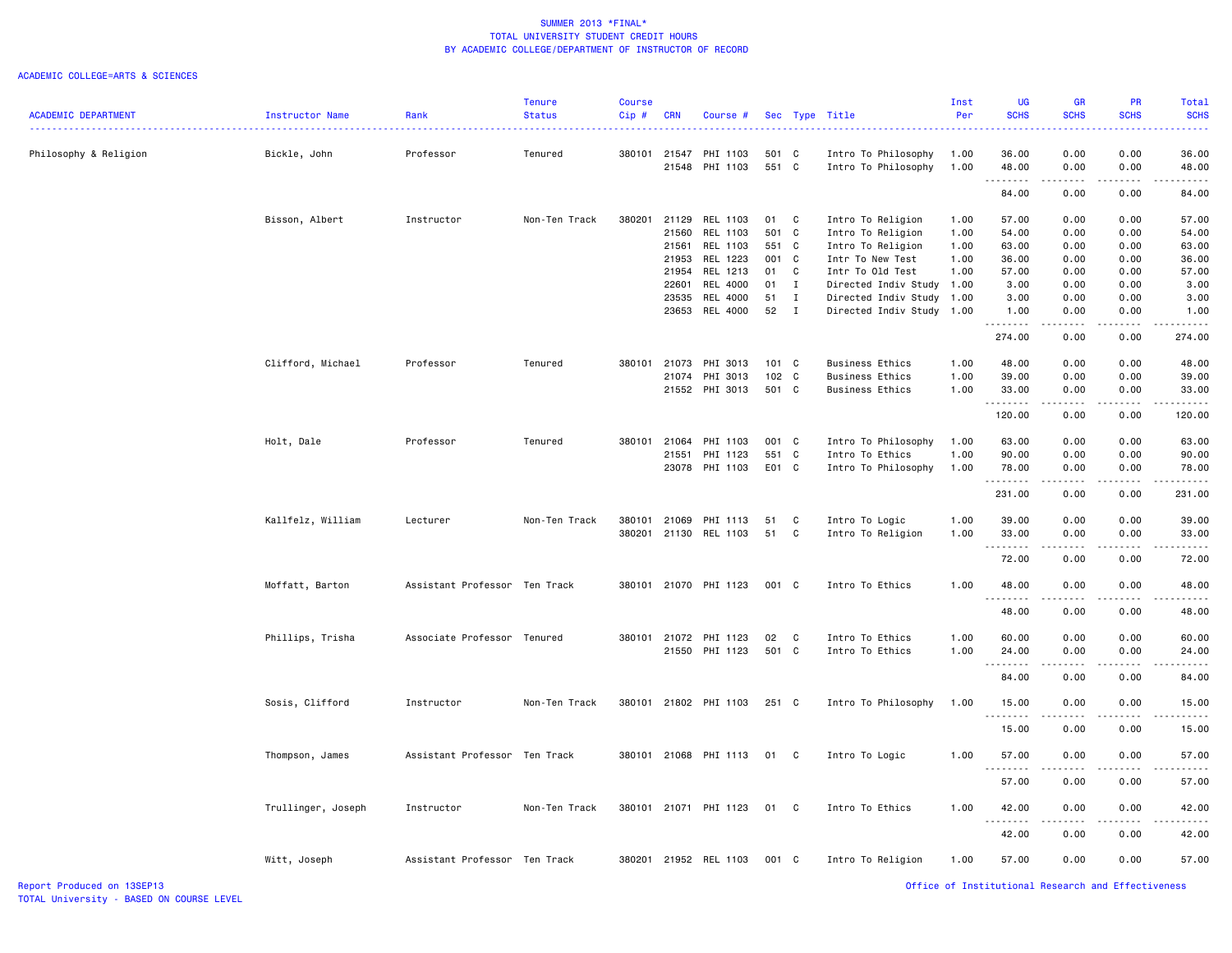| <b>ACADEMIC DEPARTMENT</b> | Instructor Name    | Rank                          | <b>Tenure</b><br><b>Status</b> | <b>Course</b><br>Cip# | <b>CRN</b>   | Course #              |       |              | Sec Type Title         | Inst<br>Per | UG<br><b>SCHS</b>                           | <b>GR</b><br><b>SCHS</b>            | PR<br><b>SCHS</b> | Total<br><b>SCHS</b> |
|----------------------------|--------------------|-------------------------------|--------------------------------|-----------------------|--------------|-----------------------|-------|--------------|------------------------|-------------|---------------------------------------------|-------------------------------------|-------------------|----------------------|
|                            |                    |                               |                                |                       |              |                       |       |              |                        |             |                                             |                                     |                   |                      |
| Philosophy & Religion      | Bickle, John       | Professor                     | Tenured                        | 380101                |              | 21547 PHI 1103        | 501 C |              | Intro To Philosophy    | 1.00        | 36.00                                       | 0.00                                | 0.00              | 36.00                |
|                            |                    |                               |                                |                       | 21548        | PHI 1103              | 551 C |              | Intro To Philosophy    | 1.00        | 48.00<br>$\sim$ $\sim$ $\sim$ $\sim$ $\sim$ | 0.00<br>----                        | 0.00              | 48.00                |
|                            |                    |                               |                                |                       |              |                       |       |              |                        |             | 84.00                                       | 0.00                                | 0.00              | 84.00                |
|                            | Bisson, Albert     | Instructor                    | Non-Ten Track                  | 380201                | 21129        | REL 1103              | 01    | $\mathbf{C}$ | Intro To Religion      | 1.00        | 57.00                                       | 0.00                                | 0.00              | 57.00                |
|                            |                    |                               |                                |                       | 21560        | REL 1103              | 501 C |              | Intro To Religion      | 1.00        | 54.00                                       | 0.00                                | 0.00              | 54.00                |
|                            |                    |                               |                                |                       | 21561        | REL 1103              | 551 C |              | Intro To Religion      | 1.00        | 63.00                                       | 0.00                                | 0.00              | 63.00                |
|                            |                    |                               |                                |                       | 21953        | REL 1223              | 001 C |              | Intr To New Test       | 1.00        | 36.00                                       | 0.00                                | 0.00              | 36.00                |
|                            |                    |                               |                                |                       | 21954        | REL 1213              | 01 C  |              | Intr To Old Test       | 1.00        | 57.00                                       | 0.00                                | 0.00              | 57.00                |
|                            |                    |                               |                                |                       | 22601        | REL 4000              | 01    | $\mathbf{I}$ | Directed Indiv Study   | 1.00        | 3.00                                        | 0.00                                | 0.00              | 3.00                 |
|                            |                    |                               |                                |                       | 23535        | REL 4000              | 51    | $\mathbf{I}$ | Directed Indiv Study   | 1.00        | 3.00                                        | 0.00                                | 0.00              | 3.00                 |
|                            |                    |                               |                                |                       |              | 23653 REL 4000        | 52 I  |              | Directed Indiv Study   | 1.00        | 1.00<br>.                                   | 0.00<br>.                           | 0.00<br>.         | 1.00<br>.            |
|                            |                    |                               |                                |                       |              |                       |       |              |                        |             | 274.00                                      | 0.00                                | 0.00              | 274.00               |
|                            | Clifford, Michael  | Professor                     | Tenured                        |                       | 380101 21073 | PHI 3013              | 101 C |              | <b>Business Ethics</b> | 1.00        | 48.00                                       | 0.00                                | 0.00              | 48.00                |
|                            |                    |                               |                                |                       | 21074        | PHI 3013              | 102 C |              | <b>Business Ethics</b> | 1.00        | 39.00                                       | 0.00                                | 0.00              | 39.00                |
|                            |                    |                               |                                |                       |              | 21552 PHI 3013        | 501 C |              | <b>Business Ethics</b> | 1.00        | 33.00<br>.                                  | 0.00<br>$\sim$ $\sim$ $\sim$ $\sim$ | 0.00              | 33.00                |
|                            |                    |                               |                                |                       |              |                       |       |              |                        |             | 120.00                                      | 0.00                                | 0.00              | 120.00               |
|                            | Holt, Dale         | Professor                     | Tenured                        | 380101                | 21064        | PHI 1103              | 001 C |              | Intro To Philosophy    | 1.00        | 63.00                                       | 0.00                                | 0.00              | 63.00                |
|                            |                    |                               |                                |                       | 21551        | PHI 1123              | 551 C |              | Intro To Ethics        | 1.00        | 90.00                                       | 0.00                                | 0.00              | 90.00                |
|                            |                    |                               |                                |                       | 23078        | PHI 1103              | E01 C |              | Intro To Philosophy    | 1.00        | 78.00<br>.                                  | 0.00<br>.                           | 0.00<br>.         | 78.00<br>.           |
|                            |                    |                               |                                |                       |              |                       |       |              |                        |             | 231.00                                      | 0.00                                | 0.00              | 231.00               |
|                            | Kallfelz, William  | Lecturer                      | Non-Ten Track                  | 380101                | 21069        | PHI 1113              | 51    | $\mathbf{C}$ | Intro To Logic         | 1.00        | 39.00                                       | 0.00                                | 0.00              | 39.00                |
|                            |                    |                               |                                | 380201                |              | 21130 REL 1103        | 51    | $\mathbf{C}$ | Intro To Religion      | 1.00        | 33.00                                       | 0.00                                | 0.00              | 33.00                |
|                            |                    |                               |                                |                       |              |                       |       |              |                        |             | 72.00                                       | 0.00                                | 0.00              | 72.00                |
|                            | Moffatt, Barton    | Assistant Professor Ten Track |                                | 380101                |              | 21070 PHI 1123        | 001 C |              | Intro To Ethics        | 1.00        | 48.00                                       | 0.00                                | 0.00              | 48.00                |
|                            |                    |                               |                                |                       |              |                       |       |              |                        |             | .                                           |                                     |                   |                      |
|                            |                    |                               |                                |                       |              |                       |       |              |                        |             | 48.00                                       | 0.00                                | 0.00              | 48.00                |
|                            | Phillips, Trisha   | Associate Professor Tenured   |                                | 380101                |              | 21072 PHI 1123        | 02    | $\mathbf{C}$ | Intro To Ethics        | 1.00        | 60.00                                       | 0.00                                | 0.00              | 60.00                |
|                            |                    |                               |                                |                       |              | 21550 PHI 1123        | 501 C |              | Intro To Ethics        | 1.00        | 24.00                                       | 0.00                                | 0.00              | 24.00                |
|                            |                    |                               |                                |                       |              |                       |       |              |                        |             | .<br>84.00                                  | .<br>0.00                           | 0.00              | 84.00                |
|                            |                    |                               |                                |                       |              |                       |       |              |                        |             |                                             |                                     |                   |                      |
|                            | Sosis, Clifford    | Instructor                    | Non-Ten Track                  |                       |              | 380101 21802 PHI 1103 | 251 C |              | Intro To Philosophy    | 1.00        | 15.00<br>.                                  | 0.00                                | 0.00              | 15.00                |
|                            |                    |                               |                                |                       |              |                       |       |              |                        |             | 15.00                                       | 0.00                                | 0.00              | 15.00                |
|                            | Thompson, James    | Assistant Professor Ten Track |                                |                       |              | 380101 21068 PHI 1113 | 01 C  |              | Intro To Logic         | 1.00        | 57.00                                       | 0.00                                | 0.00              | 57.00                |
|                            |                    |                               |                                |                       |              |                       |       |              |                        |             | .<br>57.00                                  | 0.00                                | 0.00              | 57.00                |
|                            | Trullinger, Joseph | Instructor                    | Non-Ten Track                  |                       |              | 380101 21071 PHI 1123 | 01    | $\mathbf{C}$ | Intro To Ethics        | 1.00        | 42.00                                       | 0.00                                | 0.00              | 42.00                |
|                            |                    |                               |                                |                       |              |                       |       |              |                        |             | 42.00                                       | 0.00                                | 0.00              | 42.00                |
|                            | Witt, Joseph       | Assistant Professor Ten Track |                                |                       |              | 380201 21952 REL 1103 | 001 C |              | Intro To Religion      | 1.00        | 57.00                                       | 0.00                                | 0.00              | 57.00                |
|                            |                    |                               |                                |                       |              |                       |       |              |                        |             |                                             |                                     |                   |                      |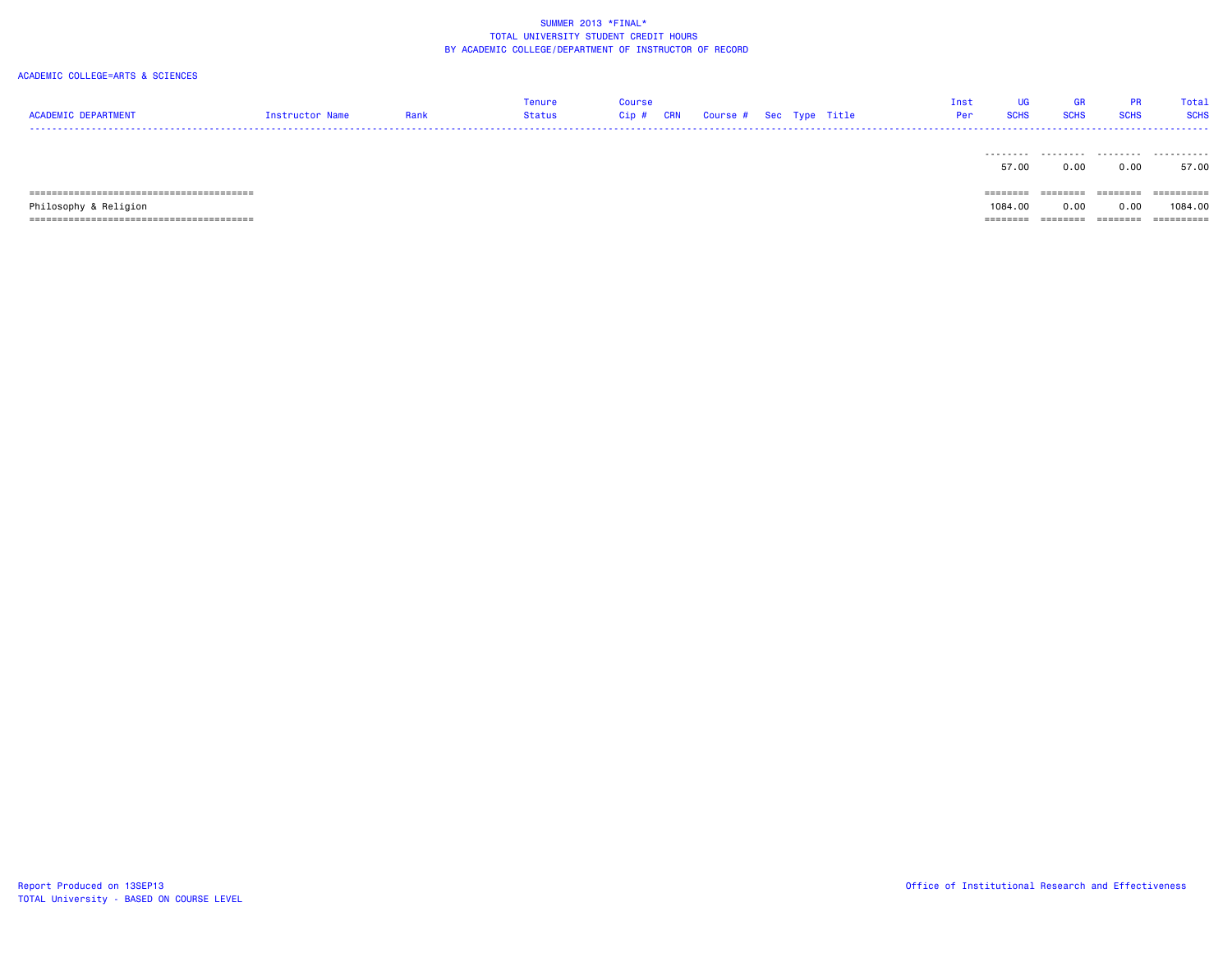| <b>ACADEMIC DEPARTMENT</b> | Instructor Name | Rank | Tenure<br>Status | <b>Course</b><br>$Cip$ # | <b>CRN</b> | Course # Sec Type Title |  |  | <b>UG</b><br>Inst<br><b>SCHS</b><br>Per | <b>GR</b><br><b>SCHS</b> | <b>PR</b><br><b>SCHS</b> | Total<br><b>SCHS</b> |
|----------------------------|-----------------|------|------------------|--------------------------|------------|-------------------------|--|--|-----------------------------------------|--------------------------|--------------------------|----------------------|
|                            |                 |      |                  |                          |            |                         |  |  | .<br>57.00                              | .<br>0.00                | .<br>0.00                | .<br>57.00           |
|                            |                 |      |                  |                          |            |                         |  |  | ========                                | ========                 | ========                 | ==========           |
| Philosophy & Religion      |                 |      |                  |                          |            |                         |  |  | 1084.00                                 | 0.00                     | 0.00                     | 1084.00              |
|                            |                 |      |                  |                          |            |                         |  |  | ========                                | ========                 | ========                 | ==========           |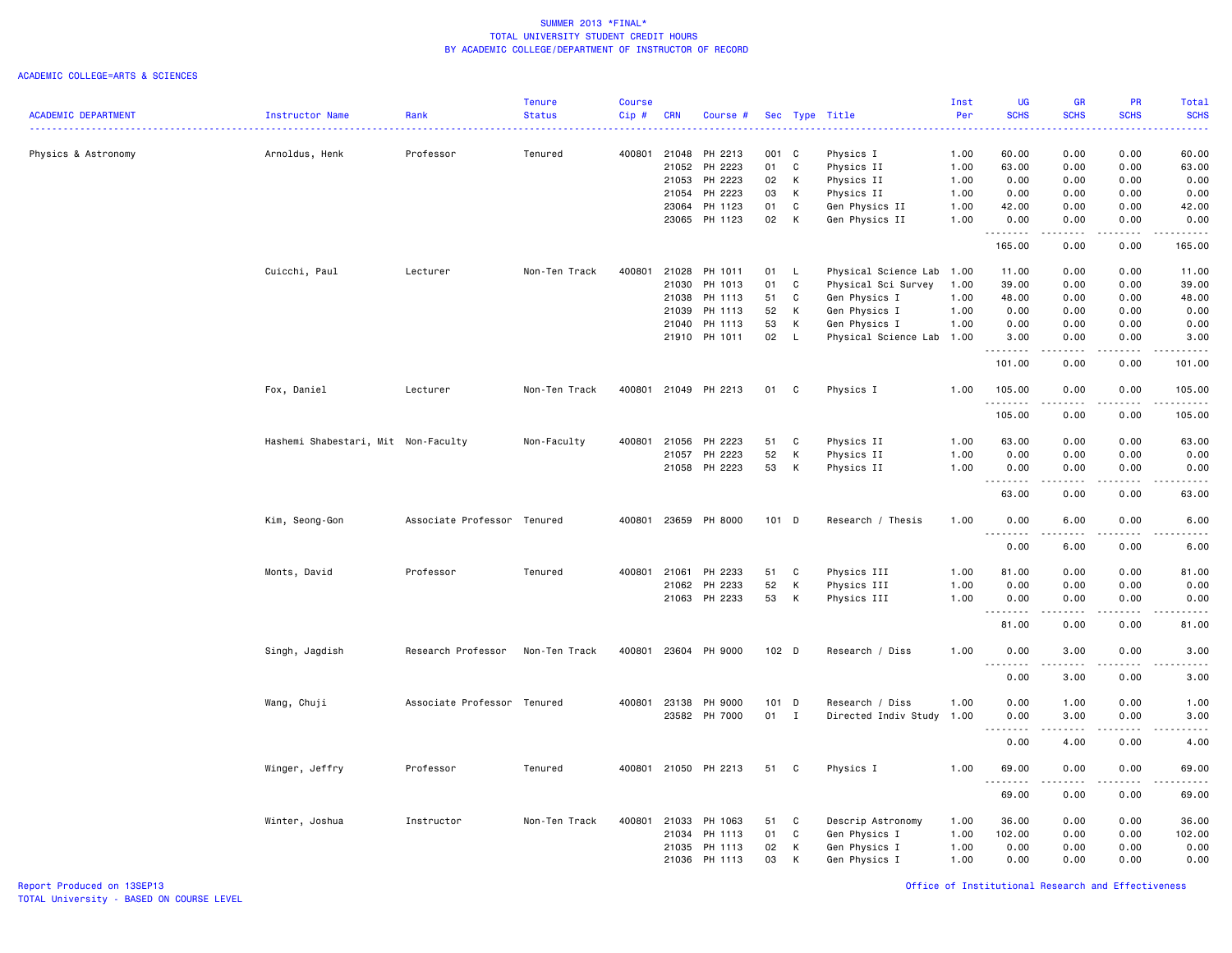|                            |                                     |                             | <b>Tenure</b> | <b>Course</b> |            |                      |         |              |                           | Inst | <b>UG</b>                                                                                                                                  | <b>GR</b>     | <b>PR</b>                   | Total           |
|----------------------------|-------------------------------------|-----------------------------|---------------|---------------|------------|----------------------|---------|--------------|---------------------------|------|--------------------------------------------------------------------------------------------------------------------------------------------|---------------|-----------------------------|-----------------|
| <b>ACADEMIC DEPARTMENT</b> | Instructor Name                     | Rank                        | <b>Status</b> | Cip#          | <b>CRN</b> | Course #             |         |              | Sec Type Title            | Per  | <b>SCHS</b>                                                                                                                                | <b>SCHS</b>   | <b>SCHS</b>                 | <b>SCHS</b>     |
|                            |                                     |                             |               |               |            |                      |         |              |                           |      |                                                                                                                                            |               |                             | ا کا کا کا ک    |
| Physics & Astronomy        | Arnoldus, Henk                      | Professor                   | Tenured       | 400801 21048  |            | PH 2213              | 001 C   |              | Physics I                 | 1.00 | 60.00                                                                                                                                      | 0.00          | 0.00                        | 60.00           |
|                            |                                     |                             |               |               | 21052      | PH 2223              | 01      | C            | Physics II                | 1.00 | 63.00                                                                                                                                      | 0.00          | 0.00                        | 63.00           |
|                            |                                     |                             |               |               | 21053      | PH 2223              | 02      | К            | Physics II                | 1.00 | 0.00                                                                                                                                       | 0.00          | 0.00                        | 0.00            |
|                            |                                     |                             |               |               | 21054      | PH 2223              | 03      | К            | Physics II                | 1.00 | 0.00                                                                                                                                       | 0.00          | 0.00                        | 0.00            |
|                            |                                     |                             |               |               | 23064      | PH 1123              | 01      | C            | Gen Physics II            | 1.00 | 42.00                                                                                                                                      | 0.00          | 0.00                        | 42.00           |
|                            |                                     |                             |               |               | 23065      | PH 1123              | 02      | К            | Gen Physics II            | 1.00 | 0.00                                                                                                                                       | 0.00          | 0.00                        | 0.00            |
|                            |                                     |                             |               |               |            |                      |         |              |                           |      | .                                                                                                                                          |               |                             | .               |
|                            |                                     |                             |               |               |            |                      |         |              |                           |      | 165.00                                                                                                                                     | 0.00          | 0.00                        | 165.00          |
|                            |                                     |                             |               |               |            |                      |         |              |                           |      |                                                                                                                                            |               |                             |                 |
|                            | Cuicchi, Paul                       | Lecturer                    | Non-Ten Track | 400801        | 21028      | PH 1011              | 01      | L.           | Physical Science Lab 1.00 |      | 11.00                                                                                                                                      | 0.00          | 0.00                        | 11.00           |
|                            |                                     |                             |               |               | 21030      | PH 1013              | 01      | C            | Physical Sci Survey       | 1.00 | 39.00                                                                                                                                      | 0.00          | 0.00                        | 39.00           |
|                            |                                     |                             |               |               | 21038      | PH 1113              | 51      | C            | Gen Physics I             | 1.00 | 48.00                                                                                                                                      | 0.00          | 0.00                        | 48.00           |
|                            |                                     |                             |               |               | 21039      | PH 1113              | 52      | к            | Gen Physics I             | 1.00 | 0.00                                                                                                                                       | 0.00          | 0.00                        | 0.00            |
|                            |                                     |                             |               |               | 21040      | PH 1113              | 53      | К            | Gen Physics I             | 1.00 | 0.00                                                                                                                                       | 0.00          | 0.00                        | 0.00            |
|                            |                                     |                             |               |               |            | 21910 PH 1011        | 02      | L            | Physical Science Lab 1.00 |      | 3.00                                                                                                                                       | 0.00          | 0.00                        | 3.00            |
|                            |                                     |                             |               |               |            |                      |         |              |                           |      | --------                                                                                                                                   | .             | .                           | .               |
|                            |                                     |                             |               |               |            |                      |         |              |                           |      | 101.00                                                                                                                                     | 0.00          | 0.00                        | 101.00          |
|                            |                                     |                             |               |               |            |                      |         |              |                           |      |                                                                                                                                            |               |                             |                 |
|                            | Fox, Daniel                         | Lecturer                    | Non-Ten Track |               |            | 400801 21049 PH 2213 | 01      | C            | Physics I                 | 1.00 | 105.00                                                                                                                                     | 0.00          | 0.00                        | 105.00          |
|                            |                                     |                             |               |               |            |                      |         |              |                           |      | <u>.</u>                                                                                                                                   | .             | .                           | $- - - - - - -$ |
|                            |                                     |                             |               |               |            |                      |         |              |                           |      | 105.00                                                                                                                                     | 0.00          | 0.00                        | 105.00          |
|                            |                                     |                             |               |               |            |                      |         |              |                           |      |                                                                                                                                            |               |                             |                 |
|                            | Hashemi Shabestari, Mit Non-Faculty |                             | Non-Faculty   | 400801 21056  |            | PH 2223              | 51      | C            | Physics II                | 1.00 | 63.00                                                                                                                                      | 0.00          | 0.00                        | 63.00           |
|                            |                                     |                             |               |               | 21057      | PH 2223              | 52      | К            | Physics II                | 1.00 | 0.00                                                                                                                                       | 0.00          | 0.00                        | 0.00            |
|                            |                                     |                             |               |               |            | 21058 PH 2223        | 53      | К            | Physics II                | 1.00 | 0.00                                                                                                                                       | 0.00          | 0.00                        | 0.00            |
|                            |                                     |                             |               |               |            |                      |         |              |                           |      | 1.1.1.1.1.1                                                                                                                                |               |                             |                 |
|                            |                                     |                             |               |               |            |                      |         |              |                           |      | 63.00                                                                                                                                      | 0.00          | 0.00                        | 63.00           |
|                            | Kim, Seong-Gon                      | Associate Professor Tenured |               | 400801        |            | 23659 PH 8000        | 101 D   |              | Research / Thesis         | 1.00 | 0.00                                                                                                                                       | 6.00          | 0.00                        | 6.00            |
|                            |                                     |                             |               |               |            |                      |         |              |                           |      |                                                                                                                                            | .             | $\frac{1}{2}$               | .               |
|                            |                                     |                             |               |               |            |                      |         |              |                           |      | 0.00                                                                                                                                       | 6.00          | 0.00                        | 6.00            |
|                            |                                     |                             |               |               |            |                      |         |              |                           |      |                                                                                                                                            |               |                             |                 |
|                            | Monts, David                        | Professor                   | Tenured       | 400801        | 21061      | PH 2233              | 51      | $\mathtt{C}$ | Physics III               | 1.00 | 81.00                                                                                                                                      | 0.00          | 0.00                        | 81.00           |
|                            |                                     |                             |               |               | 21062      | PH 2233              | 52      | К            | Physics III               | 1.00 | 0.00                                                                                                                                       | 0.00          | 0.00                        | 0.00            |
|                            |                                     |                             |               |               | 21063      | PH 2233              | 53      | К            | Physics III               | 1.00 | 0.00                                                                                                                                       | 0.00          | 0.00                        | 0.00            |
|                            |                                     |                             |               |               |            |                      |         |              |                           |      | .                                                                                                                                          |               | $   -$                      | .               |
|                            |                                     |                             |               |               |            |                      |         |              |                           |      | 81.00                                                                                                                                      | 0.00          | 0.00                        | 81.00           |
|                            |                                     |                             |               |               |            |                      |         |              |                           |      |                                                                                                                                            |               |                             |                 |
|                            | Singh, Jagdish                      | Research Professor          | Non-Ten Track | 400801        | 23604      | PH 9000              | $102$ D |              | Research / Diss           | 1.00 | 0.00                                                                                                                                       | 3.00          | 0.00                        | 3.00            |
|                            |                                     |                             |               |               |            |                      |         |              |                           |      | $\sim$ $\sim$ $\sim$<br>$\sim$ $\sim$ $\sim$                                                                                               |               | $\sim$ $\sim$ $\sim$ $\sim$ | .               |
|                            |                                     |                             |               |               |            |                      |         |              |                           |      | 0.00                                                                                                                                       | 3.00          | 0.00                        | 3.00            |
|                            |                                     |                             |               |               |            |                      |         |              |                           |      |                                                                                                                                            |               |                             |                 |
|                            | Wang, Chuji                         | Associate Professor Tenured |               | 400801        | 23138      | PH 9000              | $101$ D |              | Research / Diss           | 1.00 | 0.00                                                                                                                                       | 1.00          | 0.00                        | 1.00            |
|                            |                                     |                             |               |               |            | 23582 PH 7000        | 01 I    |              | Directed Indiv Study 1.00 |      | 0.00                                                                                                                                       | 3.00          | 0.00                        | 3.00            |
|                            |                                     |                             |               |               |            |                      |         |              |                           |      | $\sim$ $\sim$<br>$\frac{1}{2} \left( \frac{1}{2} \right) \left( \frac{1}{2} \right) \left( \frac{1}{2} \right) \left( \frac{1}{2} \right)$ | $\frac{1}{2}$ | $   -$                      | -----           |
|                            |                                     |                             |               |               |            |                      |         |              |                           |      | 0.00                                                                                                                                       | 4.00          | 0.00                        | 4.00            |
|                            |                                     |                             |               |               |            |                      |         |              |                           |      |                                                                                                                                            |               |                             |                 |
|                            | Winger, Jeffry                      | Professor                   | Tenured       | 400801        |            | 21050 PH 2213        | 51      | C            | Physics I                 | 1.00 | 69.00                                                                                                                                      | 0.00          | 0.00                        | 69.00           |
|                            |                                     |                             |               |               |            |                      |         |              |                           |      | .                                                                                                                                          | $- - - -$     | ----                        | -----           |
|                            |                                     |                             |               |               |            |                      |         |              |                           |      | 69.00                                                                                                                                      | 0.00          | 0.00                        | 69.00           |
|                            |                                     |                             |               |               |            |                      |         |              |                           |      |                                                                                                                                            |               |                             |                 |
|                            | Winter, Joshua                      | Instructor                  | Non-Ten Track | 400801        | 21033      | PH 1063              | 51      | C            | Descrip Astronomy         | 1.00 | 36.00                                                                                                                                      | 0.00          | 0.00                        | 36.00           |
|                            |                                     |                             |               |               | 21034      | PH 1113              | 01      | C            | Gen Physics I             | 1.00 | 102.00                                                                                                                                     | 0.00          | 0.00                        | 102.00          |
|                            |                                     |                             |               |               | 21035      | PH 1113              | 02      | К            | Gen Physics I             | 1.00 | 0.00                                                                                                                                       | 0.00          | 0.00                        | 0.00            |
|                            |                                     |                             |               |               | 21036      | PH 1113              | 03      | К            | Gen Physics I             | 1.00 | 0.00                                                                                                                                       | 0.00          | 0.00                        | 0.00            |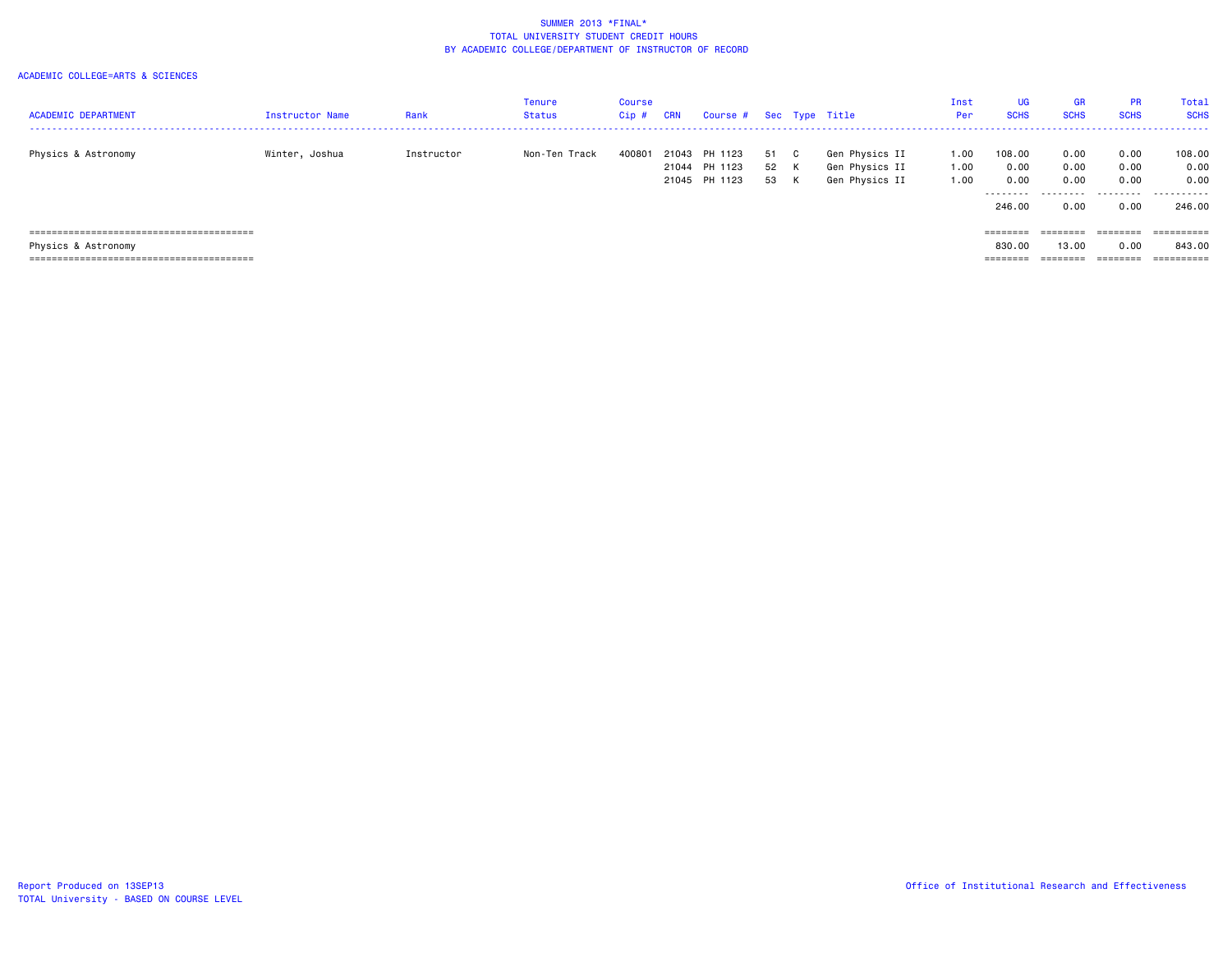| <b>ACADEMIC DEPARTMENT</b>             | <b>Instructor Name</b> | Rank       | Tenure<br><b>Status</b> | <b>Course</b><br>$Cip$ # | <b>CRN</b> | Course # Sec Type Title                   |                      |                                                    | Inst<br>Per:         | <b>UG</b><br><b>SCHS</b>    | <b>GR</b><br><b>SCHS</b>          | <b>PR</b><br><b>SCHS</b>                                                | <b>Total</b><br><b>SCHS</b> |
|----------------------------------------|------------------------|------------|-------------------------|--------------------------|------------|-------------------------------------------|----------------------|----------------------------------------------------|----------------------|-----------------------------|-----------------------------------|-------------------------------------------------------------------------|-----------------------------|
| Physics & Astronomy                    | Winter, Joshua         | Instructor | Non-Ten Track           | 400801                   | 21043      | PH 1123<br>21044 PH 1123<br>21045 PH 1123 | 51 C<br>52 K<br>53 K | Gen Physics II<br>Gen Physics II<br>Gen Physics II | 1.00<br>1.00<br>1.00 | 108.00<br>0.00<br>0.00<br>. | 0.00<br>0.00<br>0.00<br>--------- | 0.00<br>0.00<br>0.00<br>.                                               | 108.00<br>0.00<br>0.00<br>. |
|                                        |                        |            |                         |                          |            |                                           |                      |                                                    |                      | 246.00                      | 0.00                              | 0.00                                                                    | 246.00                      |
|                                        |                        |            |                         |                          |            |                                           |                      |                                                    |                      | ========                    | ========                          | $\qquad \qquad \equiv \equiv \equiv \equiv \equiv \equiv \equiv \equiv$ |                             |
| Physics & Astronomy                    |                        |            |                         |                          |            |                                           |                      |                                                    |                      | 830.00                      | 13,00                             | 0.00                                                                    | 843.00                      |
| ,,,,,,,,,,,,,,,,,,,,,,,,,,,,,,,,,,,,,, |                        |            |                         |                          |            |                                           |                      |                                                    |                      | ========                    |                                   | =======                                                                 | ==========                  |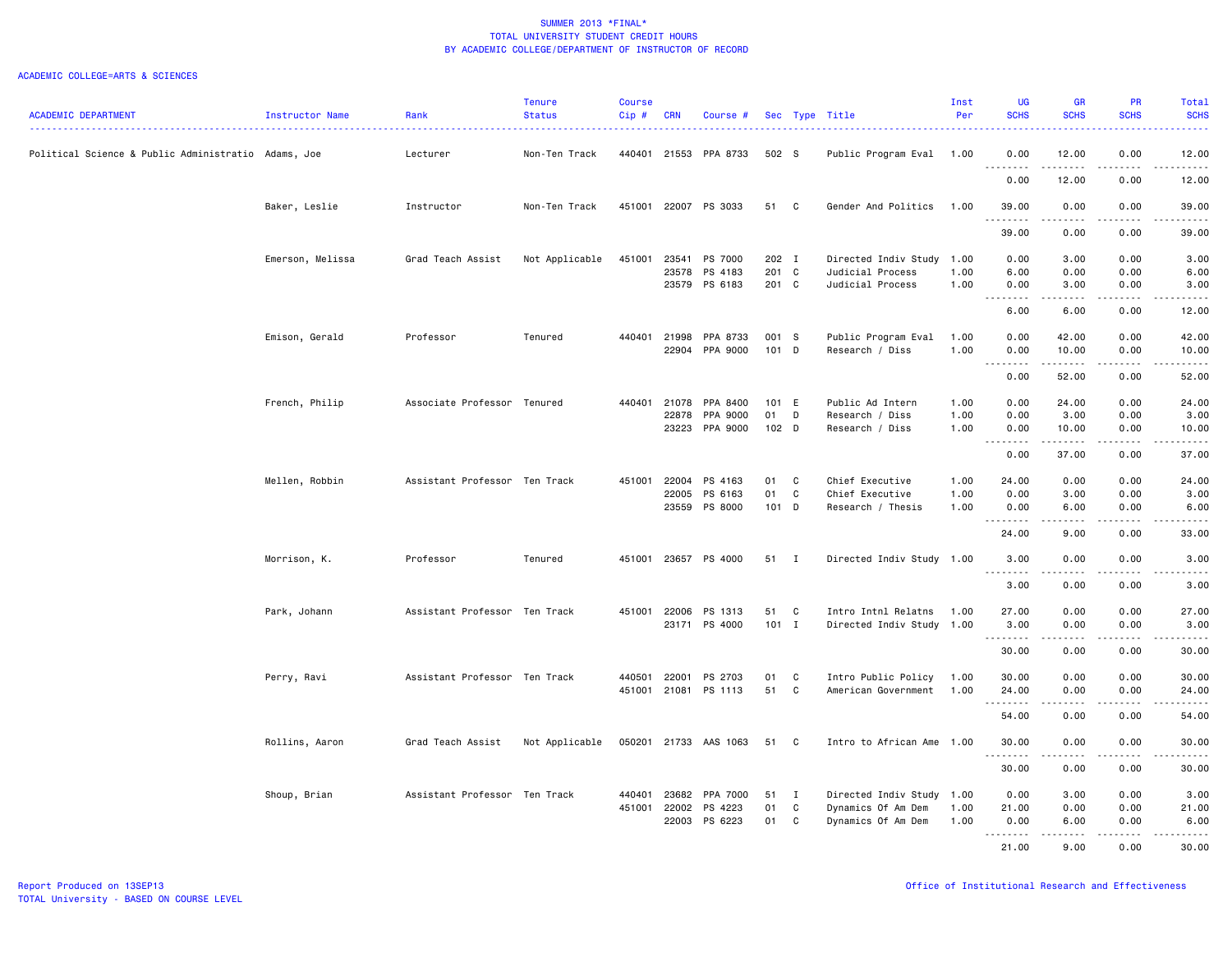|                                                     |                  |                               | <b>Tenure</b>  | <b>Course</b> |            |                |                  |                |                           | Inst | <b>UG</b>                                                                                                                                                                            | <b>GR</b>                   | <b>PR</b>                           | Total                                                                                                                                    |
|-----------------------------------------------------|------------------|-------------------------------|----------------|---------------|------------|----------------|------------------|----------------|---------------------------|------|--------------------------------------------------------------------------------------------------------------------------------------------------------------------------------------|-----------------------------|-------------------------------------|------------------------------------------------------------------------------------------------------------------------------------------|
| <b>ACADEMIC DEPARTMENT</b>                          | Instructor Name  | Rank                          | <b>Status</b>  | Cip#          | <b>CRN</b> | Course #       |                  |                | Sec Type Title            | Per  | <b>SCHS</b>                                                                                                                                                                          | <b>SCHS</b>                 | <b>SCHS</b>                         | <b>SCHS</b><br>$\frac{1}{2} \left( \frac{1}{2} \right) \left( \frac{1}{2} \right) \left( \frac{1}{2} \right) \left( \frac{1}{2} \right)$ |
| Political Science & Public Administratio Adams, Joe |                  | Lecturer                      | Non-Ten Track  | 440401        | 21553      | PPA 8733       | 502 S            |                | Public Program Eval       | 1.00 | 0.00                                                                                                                                                                                 | 12.00                       | 0.00                                | 12.00                                                                                                                                    |
|                                                     |                  |                               |                |               |            |                |                  |                |                           |      | -----<br>$\sim$ $\sim$ $\sim$<br>0.00                                                                                                                                                | $\frac{1}{2}$<br>12.00      | $- - -$<br>0.00                     | .<br>12.00                                                                                                                               |
|                                                     | Baker, Leslie    | Instructor                    | Non-Ten Track  | 451001        |            | 22007 PS 3033  | 51               | $\mathbf{C}$   | Gender And Politics       | 1.00 | 39.00                                                                                                                                                                                | 0.00                        | 0.00                                | 39.00                                                                                                                                    |
|                                                     |                  |                               |                |               |            |                |                  |                |                           |      | .<br>39.00                                                                                                                                                                           | .<br>0.00                   | .<br>0.00                           | .<br>39.00                                                                                                                               |
|                                                     | Emerson, Melissa | Grad Teach Assist             | Not Applicable | 451001        | 23541      | PS 7000        | 202 I            |                | Directed Indiv Study 1.00 |      | 0.00                                                                                                                                                                                 | 3.00                        | 0.00                                | 3.00                                                                                                                                     |
|                                                     |                  |                               |                |               | 23578      | PS 4183        | 201 C            |                | Judicial Process          | 1.00 | 6.00                                                                                                                                                                                 | 0.00                        | 0.00                                | 6.00                                                                                                                                     |
|                                                     |                  |                               |                |               |            | 23579 PS 6183  | 201 C            |                | Judicial Process          | 1.00 | 0.00<br>$\frac{1}{2} \left( \frac{1}{2} \right) \left( \frac{1}{2} \right) \left( \frac{1}{2} \right) \left( \frac{1}{2} \right) \left( \frac{1}{2} \right)$<br>$\sim$ $\sim$ $\sim$ | 3.00<br>.                   | 0.00<br>.                           | 3.00<br>.                                                                                                                                |
|                                                     |                  |                               |                |               |            |                |                  |                |                           |      | 6.00                                                                                                                                                                                 | 6.00                        | 0.00                                | 12.00                                                                                                                                    |
|                                                     | Emison, Gerald   | Professor                     | Tenured        | 440401        | 21998      | PPA 8733       | 001 S            |                | Public Program Eval       | 1.00 | 0.00                                                                                                                                                                                 | 42.00                       | 0.00                                | 42.00                                                                                                                                    |
|                                                     |                  |                               |                |               |            | 22904 PPA 9000 | $101$ D          |                | Research / Diss           | 1.00 | 0.00                                                                                                                                                                                 | 10.00<br><b>.</b> .         | 0.00<br>.                           | 10.00<br>.                                                                                                                               |
|                                                     |                  |                               |                |               |            |                |                  |                |                           |      | 0.00                                                                                                                                                                                 | 52.00                       | 0.00                                | 52.00                                                                                                                                    |
|                                                     | French, Philip   | Associate Professor Tenured   |                | 440401        | 21078      | PPA 8400       | 101 E            |                | Public Ad Intern          | 1.00 | 0.00                                                                                                                                                                                 | 24.00                       | 0.00                                | 24.00                                                                                                                                    |
|                                                     |                  |                               |                |               | 22878      | PPA 9000       | 01               | D              | Research / Diss           | 1.00 | 0.00                                                                                                                                                                                 | 3.00                        | 0.00                                | 3.00                                                                                                                                     |
|                                                     |                  |                               |                |               | 23223      | PPA 9000       | 102 <sub>D</sub> |                | Research / Diss           | 1.00 | 0.00<br>.                                                                                                                                                                            | 10.00<br>.                  | 0.00<br>.                           | 10.00<br>.                                                                                                                               |
|                                                     |                  |                               |                |               |            |                |                  |                |                           |      | 0.00                                                                                                                                                                                 | 37.00                       | 0.00                                | 37.00                                                                                                                                    |
|                                                     | Mellen, Robbin   | Assistant Professor Ten Track |                | 451001        | 22004      | PS 4163        | 01               | C              | Chief Executive           | 1.00 | 24.00                                                                                                                                                                                | 0.00                        | 0.00                                | 24.00                                                                                                                                    |
|                                                     |                  |                               |                |               | 22005      | PS 6163        | 01               | C              | Chief Executive           | 1.00 | 0.00                                                                                                                                                                                 | 3.00                        | 0.00                                | 3.00                                                                                                                                     |
|                                                     |                  |                               |                |               | 23559      | PS 8000        | 101 D            |                | Research / Thesis         | 1.00 | 0.00<br>.                                                                                                                                                                            | 6.00<br>.                   | 0.00<br>.                           | 6.00<br>.                                                                                                                                |
|                                                     |                  |                               |                |               |            |                |                  |                |                           |      | 24.00                                                                                                                                                                                | 9.00                        | 0.00                                | 33.00                                                                                                                                    |
|                                                     | Morrison, K.     | Professor                     | Tenured        | 451001        |            | 23657 PS 4000  | 51               | $\blacksquare$ | Directed Indiv Study 1.00 |      | 3.00<br>.<br>$\sim$ $\sim$ $\sim$                                                                                                                                                    | 0.00                        | 0.00                                | 3.00<br>$\frac{1}{2} \left( \frac{1}{2} \right) \left( \frac{1}{2} \right) \left( \frac{1}{2} \right) \left( \frac{1}{2} \right)$        |
|                                                     |                  |                               |                |               |            |                |                  |                |                           |      | 3.00                                                                                                                                                                                 | 0.00                        | 0.00                                | 3.00                                                                                                                                     |
|                                                     | Park, Johann     | Assistant Professor Ten Track |                | 451001        | 22006      | PS 1313        | 51               | C              | Intro Intnl Relatns       | 1.00 | 27.00                                                                                                                                                                                | 0.00                        | 0.00                                | 27.00                                                                                                                                    |
|                                                     |                  |                               |                |               |            | 23171 PS 4000  | $101$ I          |                | Directed Indiv Study 1.00 |      | 3.00                                                                                                                                                                                 | 0.00                        | 0.00                                | 3.00                                                                                                                                     |
|                                                     |                  |                               |                |               |            |                |                  |                |                           |      |                                                                                                                                                                                      | $\sim$ $\sim$ $\sim$ $\sim$ | $\sim$ $\sim$ $\sim$                | والمستحدث                                                                                                                                |
|                                                     |                  |                               |                |               |            |                |                  |                |                           |      | 30.00                                                                                                                                                                                | 0.00                        | 0.00                                | 30.00                                                                                                                                    |
|                                                     | Perry, Ravi      | Assistant Professor Ten Track |                | 440501        | 22001      | PS 2703        | 01               | C              | Intro Public Policy       | 1.00 | 30.00                                                                                                                                                                                | 0.00                        | 0.00                                | 30.00                                                                                                                                    |
|                                                     |                  |                               |                | 451001        | 21081      | PS 1113        | 51               | C              | American Government       | 1.00 | 24.00<br>.                                                                                                                                                                           | 0.00<br>$\frac{1}{2}$       | 0.00<br>$\sim$ $\sim$ $\sim$ $\sim$ | 24.00<br>$    -$                                                                                                                         |
|                                                     |                  |                               |                |               |            |                |                  |                |                           |      | 54.00                                                                                                                                                                                | 0.00                        | 0.00                                | 54.00                                                                                                                                    |
|                                                     | Rollins, Aaron   | Grad Teach Assist             | Not Applicable | 050201        | 21733      | AAS 1063       | 51               | C.             | Intro to African Ame      | 1.00 | 30.00<br>.                                                                                                                                                                           | 0.00                        | 0.00                                | 30.00                                                                                                                                    |
|                                                     |                  |                               |                |               |            |                |                  |                |                           |      | 30.00                                                                                                                                                                                | 0.00                        | 0.00                                | 30.00                                                                                                                                    |
|                                                     | Shoup, Brian     | Assistant Professor Ten Track |                | 440401        | 23682      | PPA 7000       | 51               | $\mathbf{I}$   | Directed Indiv Study 1.00 |      | 0.00                                                                                                                                                                                 | 3.00                        | 0.00                                | 3.00                                                                                                                                     |
|                                                     |                  |                               |                | 451001        | 22002      | PS 4223        | 01               | C              | Dynamics Of Am Dem        | 1.00 | 21.00                                                                                                                                                                                | 0.00                        | 0.00                                | 21.00                                                                                                                                    |
|                                                     |                  |                               |                |               | 22003      | PS 6223        | 01               | C              | Dynamics Of Am Dem        | 1.00 | 0.00                                                                                                                                                                                 | 6.00                        | 0.00                                | 6.00                                                                                                                                     |
|                                                     |                  |                               |                |               |            |                |                  |                |                           |      | . <b>.</b><br>21.00                                                                                                                                                                  | <u>.</u> .<br>9.00          | .<br>0.00                           | .<br>30.00                                                                                                                               |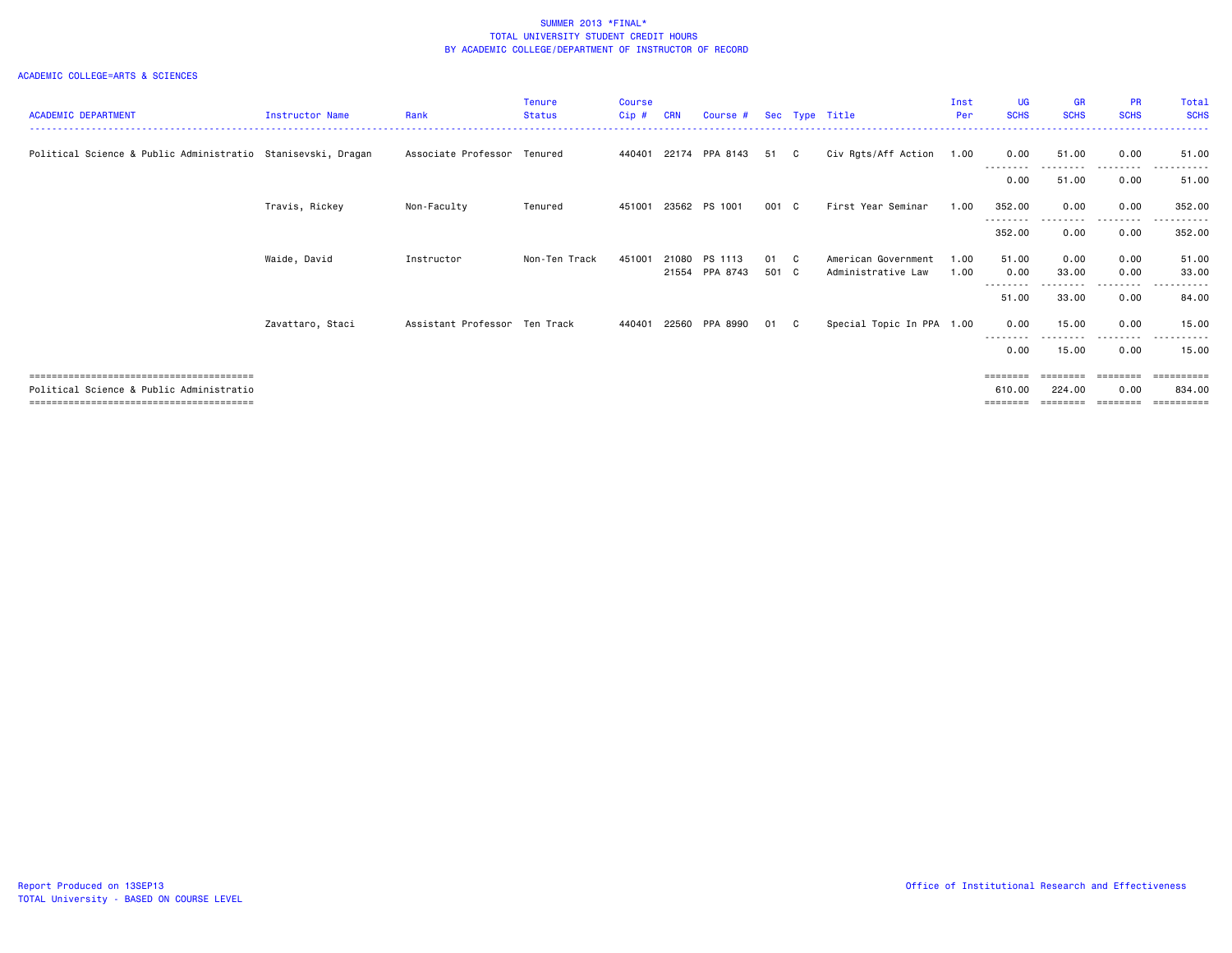|                                                              |                        |                               | <b>Tenure</b> | <b>Course</b> |            |                |       |              |                           | Inst | UG                | <b>GR</b>   | <b>PR</b>     | Total       |
|--------------------------------------------------------------|------------------------|-------------------------------|---------------|---------------|------------|----------------|-------|--------------|---------------------------|------|-------------------|-------------|---------------|-------------|
| <b>ACADEMIC DEPARTMENT</b>                                   | <b>Instructor Name</b> | Rank                          | <b>Status</b> | Cip#          | <b>CRN</b> | Course #       |       |              | Sec Type Title            | Per  | <b>SCHS</b>       | <b>SCHS</b> | <b>SCHS</b>   | <b>SCHS</b> |
|                                                              |                        |                               |               |               |            |                |       |              |                           |      |                   |             |               |             |
| Political Science & Public Administratio Stanisevski, Dragan |                        | Associate Professor           | Tenured       | 440401        |            | 22174 PPA 8143 | 51    | $\mathbf{C}$ | Civ Rgts/Aff Action       | 1.00 | 0.00              | 51.00       | 0.00          | 51.00       |
|                                                              |                        |                               |               |               |            |                |       |              |                           |      | --------<br>0.00  | 51.00       | 0.00          | 51.00       |
|                                                              |                        |                               |               |               |            |                |       |              |                           |      |                   |             |               |             |
|                                                              | Travis, Rickey         | Non-Faculty                   | Tenured       | 451001        |            | 23562 PS 1001  | 001 C |              | First Year Seminar        | 1.00 | 352.00            | 0.00        | 0.00          | 352.00      |
|                                                              |                        |                               |               |               |            |                |       |              |                           |      | .<br>352.00       | 0.00        | -----<br>0.00 | 352.00      |
|                                                              |                        |                               |               |               |            |                |       |              |                           |      |                   |             |               |             |
|                                                              | Waide, David           | Instructor                    | Non-Ten Track | 451001        | 21080      | PS 1113        | 01 C  |              | American Government       | 1.00 | 51.00             | 0.00        | 0.00          | 51.00       |
|                                                              |                        |                               |               |               |            | 21554 PPA 8743 | 501 C |              | Administrative Law        | 1.00 | 0.00              | 33.00       | 0.00          | 33.00       |
|                                                              |                        |                               |               |               |            |                |       |              |                           |      | 51.00             | 33.00       | 0.00          | 84.00       |
|                                                              |                        |                               |               |               |            |                |       |              |                           |      |                   |             |               |             |
|                                                              | Zavattaro, Staci       | Assistant Professor Ten Track |               | 440401        | 22560      | PPA 8990       | 01    | $\mathbf{C}$ | Special Topic In PPA 1.00 |      | 0.00              | 15.00       | 0.00          | 15.00       |
|                                                              |                        |                               |               |               |            |                |       |              |                           |      | --------<br>0.00  | 15.00       | 0.00          | 15.00       |
|                                                              |                        |                               |               |               |            |                |       |              |                           |      |                   |             |               |             |
|                                                              |                        |                               |               |               |            |                |       |              |                           |      | ========          | --------    | ========      | eeeeeeee    |
| Political Science & Public Administratio                     |                        |                               |               |               |            |                |       |              |                           |      | 610.00            | 224.00      | 0.00          | 834,00      |
|                                                              |                        |                               |               |               |            |                |       |              |                           |      | $=$ = = = = = = = | :=======    | ========      |             |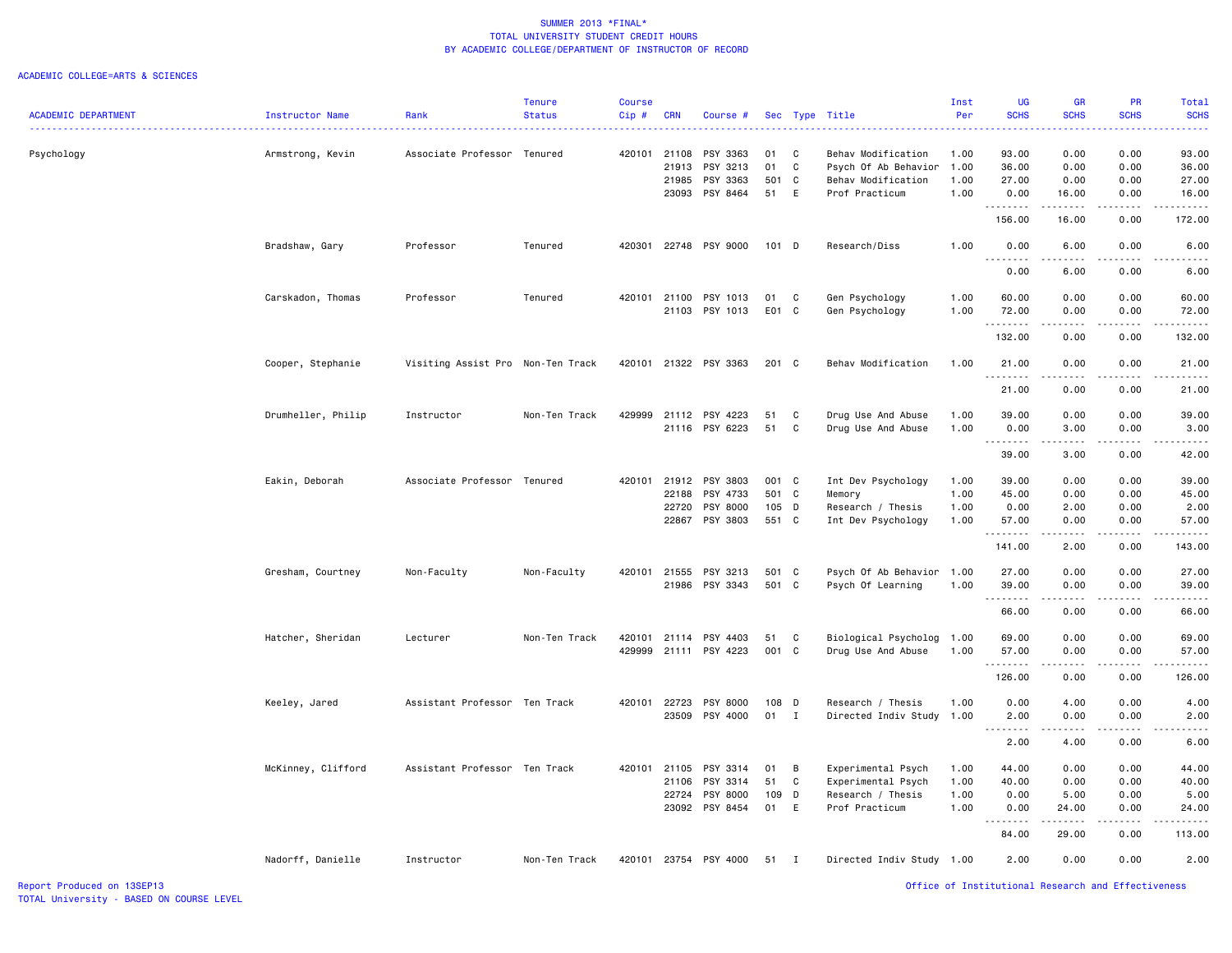|                            |                    |                                   | <b>Tenure</b> | <b>Course</b> |                |                       |          |              |                           | Inst         | <b>UG</b>                                                                                                                                            | <b>GR</b>                                                                                                                                                     | PR              | Total          |
|----------------------------|--------------------|-----------------------------------|---------------|---------------|----------------|-----------------------|----------|--------------|---------------------------|--------------|------------------------------------------------------------------------------------------------------------------------------------------------------|---------------------------------------------------------------------------------------------------------------------------------------------------------------|-----------------|----------------|
| <b>ACADEMIC DEPARTMENT</b> | Instructor Name    | Rank                              | <b>Status</b> | Cip#          | <b>CRN</b>     | Course #              |          |              | Sec Type Title            | Per          | <b>SCHS</b>                                                                                                                                          | <b>SCHS</b>                                                                                                                                                   | <b>SCHS</b>     | <b>SCHS</b>    |
|                            |                    |                                   |               |               |                |                       |          |              |                           |              |                                                                                                                                                      |                                                                                                                                                               |                 |                |
| Psychology                 | Armstrong, Kevin   | Associate Professor Tenured       |               | 420101 21108  |                | PSY 3363              | 01       | C            | Behav Modification        | 1.00         | 93.00                                                                                                                                                | 0.00                                                                                                                                                          | 0.00            | 93.00          |
|                            |                    |                                   |               |               | 21913          | PSY 3213              | 01       | C            | Psych Of Ab Behavior      | 1.00         | 36.00                                                                                                                                                | 0.00                                                                                                                                                          | 0.00            | 36.00          |
|                            |                    |                                   |               |               | 21985          | PSY 3363              | 501      | C.           | Behav Modification        | 1.00         | 27.00                                                                                                                                                | 0.00                                                                                                                                                          | 0.00            | 27.00          |
|                            |                    |                                   |               |               |                |                       |          |              |                           |              |                                                                                                                                                      |                                                                                                                                                               |                 |                |
|                            |                    |                                   |               |               | 23093          | PSY 8464              | 51       | E            | Prof Practicum            | 1.00         | 0.00<br>.                                                                                                                                            | 16.00<br>.                                                                                                                                                    | 0.00<br>.       | 16.00<br>.     |
|                            |                    |                                   |               |               |                |                       |          |              |                           |              | 156.00                                                                                                                                               | 16.00                                                                                                                                                         | 0.00            | 172.00         |
|                            | Bradshaw, Gary     | Professor                         | Tenured       |               |                | 420301 22748 PSY 9000 | 101 D    |              | Research/Diss             | 1.00         | 0.00                                                                                                                                                 | 6.00                                                                                                                                                          | 0.00            | 6.00           |
|                            |                    |                                   |               |               |                |                       |          |              |                           |              | $\sim$ $\sim$ .<br>$\frac{1}{2} \left( \frac{1}{2} \right) \left( \frac{1}{2} \right) \left( \frac{1}{2} \right) \left( \frac{1}{2} \right)$<br>0.00 | ----<br>6.00                                                                                                                                                  | .<br>0.00       | .<br>6.00      |
|                            |                    |                                   |               |               |                |                       |          |              |                           |              |                                                                                                                                                      |                                                                                                                                                               |                 |                |
|                            | Carskadon, Thomas  | Professor                         | Tenured       | 420101 21100  |                | PSY 1013              | 01       | C            | Gen Psychology            | 1.00         | 60.00                                                                                                                                                | 0.00                                                                                                                                                          | 0.00            | 60.00          |
|                            |                    |                                   |               |               | 21103          | PSY 1013              | E01 C    |              | Gen Psychology            | 1.00         | 72.00<br>. <b>.</b>                                                                                                                                  | 0.00<br>.                                                                                                                                                     | 0.00<br>.       | 72.00<br>.     |
|                            |                    |                                   |               |               |                |                       |          |              |                           |              | 132.00                                                                                                                                               | 0.00                                                                                                                                                          | 0.00            | 132.00         |
|                            |                    |                                   |               |               |                |                       |          |              |                           |              |                                                                                                                                                      |                                                                                                                                                               |                 |                |
|                            | Cooper, Stephanie  | Visiting Assist Pro Non-Ten Track |               | 420101        |                | 21322 PSY 3363        | 201 C    |              | Behav Modification        | 1.00         | 21.00                                                                                                                                                | 0.00                                                                                                                                                          | 0.00            | 21.00          |
|                            |                    |                                   |               |               |                |                       |          |              |                           |              | .                                                                                                                                                    | .                                                                                                                                                             | $\frac{1}{2}$   | .              |
|                            |                    |                                   |               |               |                |                       |          |              |                           |              | 21.00                                                                                                                                                | 0.00                                                                                                                                                          | 0.00            | 21.00          |
|                            | Drumheller, Philip | Instructor                        | Non-Ten Track | 429999        | 21112          | PSY 4223              | 51       | C            | Drug Use And Abuse        | 1.00         | 39.00                                                                                                                                                | 0.00                                                                                                                                                          | 0.00            | 39.00          |
|                            |                    |                                   |               |               |                | 21116 PSY 6223        | 51       | C            | Drug Use And Abuse        | 1.00         | 0.00                                                                                                                                                 | 3.00                                                                                                                                                          | 0.00            | 3.00           |
|                            |                    |                                   |               |               |                |                       |          |              |                           |              | .                                                                                                                                                    |                                                                                                                                                               |                 | $\frac{1}{2}$  |
|                            |                    |                                   |               |               |                |                       |          |              |                           |              | 39.00                                                                                                                                                | 3.00                                                                                                                                                          | 0.00            | 42.00          |
|                            |                    |                                   |               |               |                |                       |          |              |                           |              |                                                                                                                                                      |                                                                                                                                                               |                 |                |
|                            | Eakin, Deborah     | Associate Professor Tenured       |               | 420101        | 21912          | PSY 3803              | 001 C    |              | Int Dev Psychology        | 1.00         | 39.00                                                                                                                                                | 0.00                                                                                                                                                          | 0.00            | 39.00          |
|                            |                    |                                   |               |               | 22188          | PSY 4733              | 501 C    |              | Memory                    | 1.00         | 45.00                                                                                                                                                | 0.00                                                                                                                                                          | 0.00            | 45.00          |
|                            |                    |                                   |               |               | 22720          | PSY 8000              | 105 D    |              | Research / Thesis         | 1.00         | 0.00                                                                                                                                                 | 2.00                                                                                                                                                          | 0.00            | 2.00           |
|                            |                    |                                   |               |               | 22867          | PSY 3803              | 551 C    |              | Int Dev Psychology        | 1.00         | 57.00                                                                                                                                                | 0.00                                                                                                                                                          | 0.00            | 57.00          |
|                            |                    |                                   |               |               |                |                       |          |              |                           |              | .                                                                                                                                                    |                                                                                                                                                               | $   -$          | $\frac{1}{2}$  |
|                            |                    |                                   |               |               |                |                       |          |              |                           |              | 141.00                                                                                                                                               | 2.00                                                                                                                                                          | 0.00            | 143.00         |
|                            |                    |                                   |               |               |                |                       |          |              |                           |              |                                                                                                                                                      |                                                                                                                                                               |                 |                |
|                            | Gresham, Courtney  | Non-Faculty                       | Non-Faculty   | 420101        | 21555          | PSY 3213              | 501 C    |              | Psych Of Ab Behavior      | 1.00         | 27.00                                                                                                                                                | 0.00                                                                                                                                                          | 0.00            | 27.00          |
|                            |                    |                                   |               |               | 21986          | PSY 3343              | 501 C    |              | Psych Of Learning         | 1.00         | 39.00                                                                                                                                                | 0.00                                                                                                                                                          | 0.00<br>.       | 39.00          |
|                            |                    |                                   |               |               |                |                       |          |              |                           |              | .<br>66.00                                                                                                                                           | 0.00                                                                                                                                                          | 0.00            | .<br>66.00     |
|                            |                    |                                   |               |               |                |                       |          |              |                           |              |                                                                                                                                                      |                                                                                                                                                               |                 |                |
|                            | Hatcher, Sheridan  | Lecturer                          | Non-Ten Track | 420101        | 21114          | PSY 4403              | 51       | C            | Biological Psycholog      | 1.00         | 69.00                                                                                                                                                | 0.00                                                                                                                                                          | 0.00            | 69.00          |
|                            |                    |                                   |               | 429999        |                | 21111 PSY 4223        | 001 C    |              | Drug Use And Abuse        | 1.00         | 57.00                                                                                                                                                | 0.00                                                                                                                                                          | 0.00            | 57.00          |
|                            |                    |                                   |               |               |                |                       |          |              |                           |              |                                                                                                                                                      |                                                                                                                                                               |                 | .              |
|                            |                    |                                   |               |               |                |                       |          |              |                           |              | 126.00                                                                                                                                               | 0.00                                                                                                                                                          | 0.00            | 126.00         |
|                            |                    |                                   |               |               |                |                       |          |              |                           |              |                                                                                                                                                      |                                                                                                                                                               |                 |                |
|                            | Keeley, Jared      | Assistant Professor Ten Track     |               | 420101        | 22723          | PSY 8000              | 108 D    |              | Research / Thesis         | 1.00         | 0.00                                                                                                                                                 | 4.00                                                                                                                                                          | 0.00            | 4.00           |
|                            |                    |                                   |               |               | 23509          | PSY 4000              | 01       | $\mathbf{I}$ | Directed Indiv Study      | 1.00         | 2.00                                                                                                                                                 | 0.00                                                                                                                                                          | 0.00            | 2.00           |
|                            |                    |                                   |               |               |                |                       |          |              |                           |              | د د د د<br>$\sim$ $\sim$ $\sim$                                                                                                                      | .                                                                                                                                                             | د د د د         | .              |
|                            |                    |                                   |               |               |                |                       |          |              |                           |              | 2.00                                                                                                                                                 | 4.00                                                                                                                                                          | 0.00            | 6.00           |
|                            |                    |                                   |               |               |                |                       |          |              |                           |              |                                                                                                                                                      |                                                                                                                                                               | 0.00            |                |
|                            | McKinney, Clifford | Assistant Professor Ten Track     |               | 420101        | 21105<br>21106 | PSY 3314<br>PSY 3314  | 01<br>51 | B<br>C       | Experimental Psych        | 1.00<br>1.00 | 44.00<br>40.00                                                                                                                                       | 0.00<br>0.00                                                                                                                                                  | 0.00            | 44.00<br>40.00 |
|                            |                    |                                   |               |               |                |                       |          |              | Experimental Psych        |              |                                                                                                                                                      |                                                                                                                                                               |                 |                |
|                            |                    |                                   |               |               | 22724          | PSY 8000              | 109      | D            | Research / Thesis         | 1.00         | 0.00                                                                                                                                                 | 5.00                                                                                                                                                          | 0.00            | 5.00           |
|                            |                    |                                   |               |               |                | 23092 PSY 8454        | 01       | E            | Prof Practicum            | 1.00         | 0.00<br>$\sim$ $\sim$ .<br>.                                                                                                                         | 24.00<br>$\frac{1}{2} \left( \frac{1}{2} \right) \left( \frac{1}{2} \right) \left( \frac{1}{2} \right) \left( \frac{1}{2} \right) \left( \frac{1}{2} \right)$ | 0.00<br>د د د د | 24.00<br>.     |
|                            |                    |                                   |               |               |                |                       |          |              |                           |              | 84.00                                                                                                                                                | 29.00                                                                                                                                                         | 0.00            | 113.00         |
|                            |                    |                                   |               |               |                |                       |          |              |                           |              |                                                                                                                                                      |                                                                                                                                                               |                 |                |
|                            | Nadorff, Danielle  | Instructor                        | Non-Ten Track |               |                | 420101 23754 PSY 4000 | 51 I     |              | Directed Indiv Study 1.00 |              | 2.00                                                                                                                                                 | 0.00                                                                                                                                                          | 0.00            | 2.00           |
|                            |                    |                                   |               |               |                |                       |          |              |                           |              |                                                                                                                                                      |                                                                                                                                                               |                 |                |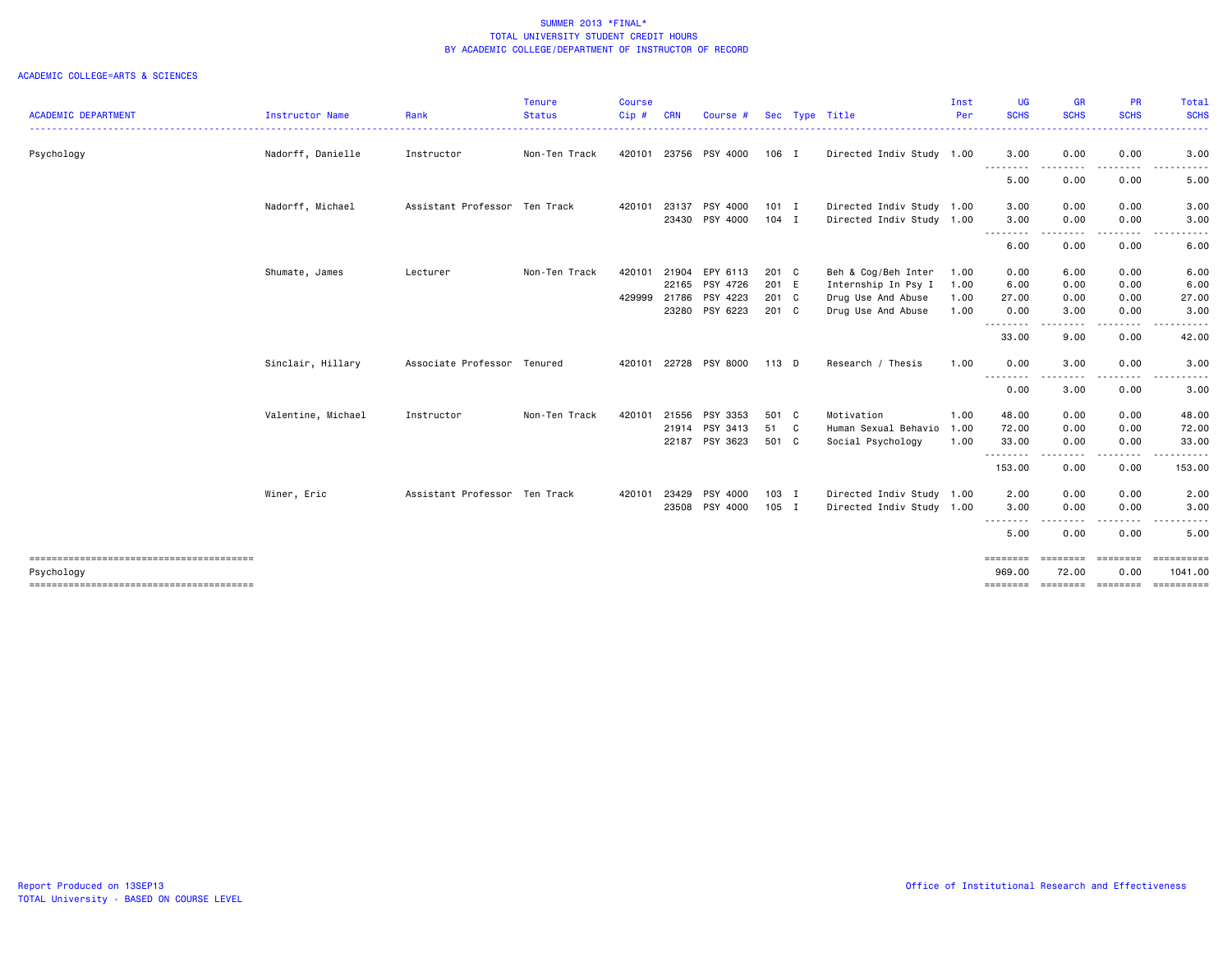|                            |                    |                               | <b>Tenure</b> | <b>Course</b> |            |                |         |                           | Inst | <b>UG</b>          | <b>GR</b>                                                                                                                                                    | PR                             | <b>Total</b>          |
|----------------------------|--------------------|-------------------------------|---------------|---------------|------------|----------------|---------|---------------------------|------|--------------------|--------------------------------------------------------------------------------------------------------------------------------------------------------------|--------------------------------|-----------------------|
| <b>ACADEMIC DEPARTMENT</b> | Instructor Name    | Rank                          | <b>Status</b> | Cip#          | <b>CRN</b> | Course #       |         | Sec Type Title            | Per  | <b>SCHS</b>        | <b>SCHS</b><br>----                                                                                                                                          | <b>SCHS</b>                    | <b>SCHS</b>           |
| Psychology                 | Nadorff, Danielle  | Instructor                    | Non-Ten Track | 420101        |            | 23756 PSY 4000 | 106 I   | Directed Indiv Study 1.00 |      | 3.00               | 0.00<br>$\frac{1}{2} \left( \frac{1}{2} \right) \left( \frac{1}{2} \right) \left( \frac{1}{2} \right) \left( \frac{1}{2} \right) \left( \frac{1}{2} \right)$ | 0.00                           | 3.00                  |
|                            |                    |                               |               |               |            |                |         |                           |      | .<br>5.00          | $- - -$<br>0.00                                                                                                                                              | .<br>0.00                      | <u>.</u><br>5.00      |
|                            | Nadorff, Michael   | Assistant Professor Ten Track |               | 420101        | 23137      | PSY 4000       | $101$ I | Directed Indiv Study 1.00 |      | 3.00               | 0.00                                                                                                                                                         | 0.00                           | 3.00                  |
|                            |                    |                               |               |               |            | 23430 PSY 4000 | $104$ I | Directed Indiv Study 1.00 |      | 3.00               | 0.00                                                                                                                                                         | 0.00                           | 3.00<br>------        |
|                            |                    |                               |               |               |            |                |         |                           |      | --------<br>6.00   | -----<br>$\sim$ $\sim$<br>0.00                                                                                                                               | $\cdots \cdots \cdots$<br>0.00 | 6.00                  |
|                            | Shumate, James     | Lecturer                      | Non-Ten Track | 420101        | 21904      | EPY 6113       | 201 C   | Beh & Cog/Beh Inter       | 1.00 | 0.00               | 6.00                                                                                                                                                         | 0.00                           | 6.00                  |
|                            |                    |                               |               |               |            | 22165 PSY 4726 | 201 E   | Internship In Psy I       | 1.00 | 6.00               | 0.00                                                                                                                                                         | 0.00                           | 6.00                  |
|                            |                    |                               |               | 429999        | 21786      | PSY 4223       | 201 C   | Drug Use And Abuse        | 1.00 | 27.00              | 0.00                                                                                                                                                         | 0.00                           | 27.00                 |
|                            |                    |                               |               |               |            | 23280 PSY 6223 | 201 C   | Drug Use And Abuse        | 1.00 | 0.00               | 3.00                                                                                                                                                         | 0.00                           | 3.00                  |
|                            |                    |                               |               |               |            |                |         |                           |      | --------<br>33.00  | .<br>9.00                                                                                                                                                    | - - - -<br>0.00                | 42.00                 |
|                            | Sinclair, Hillary  | Associate Professor Tenured   |               | 420101        |            | 22728 PSY 8000 | 113 D   | Research / Thesis         | 1.00 | 0.00               | 3.00                                                                                                                                                         | 0.00                           | 3.00                  |
|                            |                    |                               |               |               |            |                |         |                           |      | --------<br>0.00   | .<br>3.00                                                                                                                                                    | . <b>.</b><br>0.00             | <u>.</u><br>3.00      |
|                            | Valentine, Michael | Instructor                    | Non-Ten Track | 420101        |            | 21556 PSY 3353 | 501 C   | Motivation                | 1.00 | 48.00              | 0.00                                                                                                                                                         | 0.00                           | 48.00                 |
|                            |                    |                               |               |               |            | 21914 PSY 3413 | 51 C    | Human Sexual Behavio      | 1.00 | 72.00              | 0.00                                                                                                                                                         | 0.00                           | 72.00                 |
|                            |                    |                               |               |               |            | 22187 PSY 3623 | 501 C   | Social Psychology         | 1.00 | 33.00              | 0.00                                                                                                                                                         | 0.00                           | 33.00                 |
|                            |                    |                               |               |               |            |                |         |                           |      | .<br>153.00        | .<br>0.00                                                                                                                                                    | 0.00                           | 153.00                |
|                            | Winer, Eric        | Assistant Professor Ten Track |               | 420101        | 23429      | PSY 4000       | 103 I   | Directed Indiv Study      | 1.00 | 2.00               | 0.00                                                                                                                                                         | 0.00                           | 2.00                  |
|                            |                    |                               |               |               |            | 23508 PSY 4000 | 105 I   | Directed Indiv Study 1.00 |      | 3.00               | 0.00                                                                                                                                                         | 0.00                           | 3.00                  |
|                            |                    |                               |               |               |            |                |         |                           |      | --------<br>5.00   | .<br>0.00                                                                                                                                                    | -----<br>0.00                  | 5.00                  |
| Psychology                 |                    |                               |               |               |            |                |         |                           |      | ========<br>969.00 | $\qquad \qquad \equiv \equiv \equiv \equiv \equiv \equiv \equiv \equiv$<br>72.00                                                                             | <b>EBBEBBBB</b><br>0.00        | ==========<br>1041.00 |
|                            |                    |                               |               |               |            |                |         |                           |      | ========           | ========                                                                                                                                                     | ========                       | ==========            |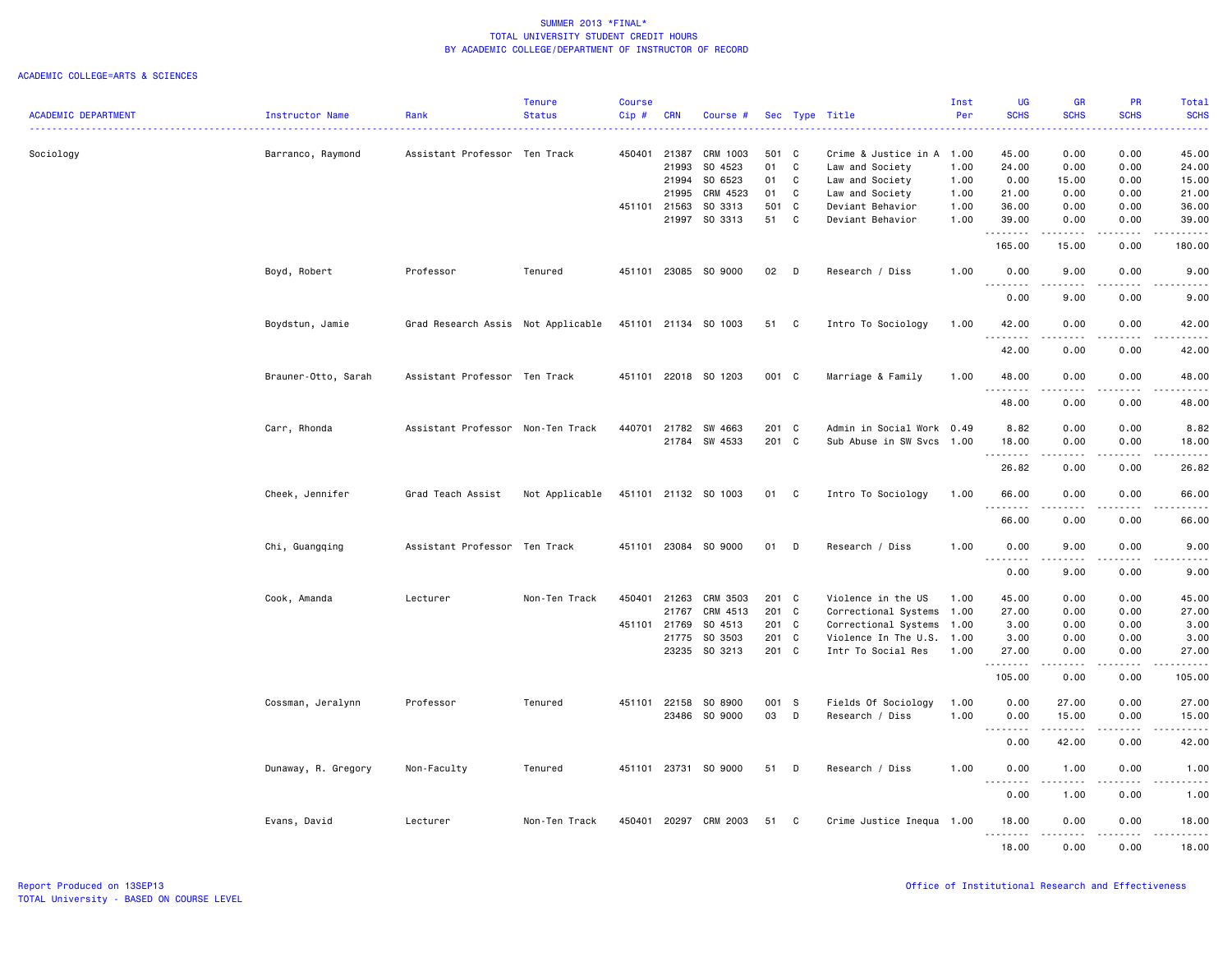|                            |                     |                                    | <b>Tenure</b>  | <b>Course</b> |              |                      |       |              |                           | Inst | <b>UG</b>                                                                                                                                                             | <b>GR</b>                                                                                                                                                    | <b>PR</b>             | Total                                                                                                                             |
|----------------------------|---------------------|------------------------------------|----------------|---------------|--------------|----------------------|-------|--------------|---------------------------|------|-----------------------------------------------------------------------------------------------------------------------------------------------------------------------|--------------------------------------------------------------------------------------------------------------------------------------------------------------|-----------------------|-----------------------------------------------------------------------------------------------------------------------------------|
| <b>ACADEMIC DEPARTMENT</b> | Instructor Name     | Rank                               | <b>Status</b>  | Cip#          | <b>CRN</b>   | Course #             |       |              | Sec Type Title            | Per  | <b>SCHS</b>                                                                                                                                                           | <b>SCHS</b>                                                                                                                                                  | <b>SCHS</b>           | <b>SCHS</b>                                                                                                                       |
| Sociology                  | Barranco, Raymond   | Assistant Professor Ten Track      |                | 450401        | 21387        | CRM 1003             | 501 C |              | Crime & Justice in A      | 1.00 | 45.00                                                                                                                                                                 | 0.00                                                                                                                                                         | 0.00                  | 45.00                                                                                                                             |
|                            |                     |                                    |                |               | 21993        | SO 4523              | 01    | C            | Law and Society           | 1.00 | 24.00                                                                                                                                                                 | 0.00                                                                                                                                                         | 0.00                  | 24.00                                                                                                                             |
|                            |                     |                                    |                |               | 21994        | SO 6523              | 01    | C            | Law and Society           | 1.00 | 0.00                                                                                                                                                                  | 15.00                                                                                                                                                        | 0.00                  | 15.00                                                                                                                             |
|                            |                     |                                    |                |               | 21995        | CRM 4523             | 01    | $\mathbf{C}$ | Law and Society           | 1.00 | 21.00                                                                                                                                                                 | 0.00                                                                                                                                                         | 0.00                  | 21.00                                                                                                                             |
|                            |                     |                                    |                |               | 451101 21563 | SO 3313              | 501 C |              | Deviant Behavior          | 1.00 | 36.00                                                                                                                                                                 | 0.00                                                                                                                                                         | 0.00                  | 36.00                                                                                                                             |
|                            |                     |                                    |                |               | 21997        | SO 3313              | 51    | $\mathbf{C}$ | Deviant Behavior          | 1.00 | 39.00<br>.                                                                                                                                                            | 0.00<br>$\begin{array}{cccccccccc} \bullet & \bullet & \bullet & \bullet & \bullet & \bullet \end{array}$                                                    | 0.00                  | 39.00                                                                                                                             |
|                            |                     |                                    |                |               |              |                      |       |              |                           |      | 165.00                                                                                                                                                                | 15.00                                                                                                                                                        | المتماما<br>0.00      | .<br>180.00                                                                                                                       |
|                            | Boyd, Robert        | Professor                          | Tenured        | 451101        |              | 23085 SO 9000        | 02    | $\Box$       | Research / Diss           | 1.00 | 0.00<br><u>.</u>                                                                                                                                                      | 9.00<br>.                                                                                                                                                    | 0.00<br>. <b>.</b> .  | 9.00<br>$\frac{1}{2} \left( \frac{1}{2} \right) \left( \frac{1}{2} \right) \left( \frac{1}{2} \right) \left( \frac{1}{2} \right)$ |
|                            |                     |                                    |                |               |              |                      |       |              |                           |      | 0.00                                                                                                                                                                  | 9.00                                                                                                                                                         | 0.00                  | 9.00                                                                                                                              |
|                            | Boydstun, Jamie     | Grad Research Assis Not Applicable |                | 451101        |              | 21134 SO 1003        | 51    | C            | Intro To Sociology        | 1.00 | 42.00                                                                                                                                                                 | 0.00<br>د د د د                                                                                                                                              | 0.00<br>.             | 42.00<br>.                                                                                                                        |
|                            |                     |                                    |                |               |              |                      |       |              |                           |      | 42.00                                                                                                                                                                 | 0.00                                                                                                                                                         | 0.00                  | 42.00                                                                                                                             |
|                            | Brauner-Otto, Sarah | Assistant Professor Ten Track      |                | 451101        |              | 22018 SO 1203        | 001 C |              | Marriage & Family         | 1.00 | 48.00<br><u>.</u>                                                                                                                                                     | 0.00<br>$\frac{1}{2}$                                                                                                                                        | 0.00<br>$\frac{1}{2}$ | 48.00<br>.                                                                                                                        |
|                            |                     |                                    |                |               |              |                      |       |              |                           |      | 48.00                                                                                                                                                                 | 0.00                                                                                                                                                         | 0.00                  | 48.00                                                                                                                             |
|                            | Carr, Rhonda        | Assistant Professor Non-Ten Track  |                | 440701        | 21782        | SW 4663              | 201 C |              | Admin in Social Work 0.49 |      | 8.82                                                                                                                                                                  | 0.00                                                                                                                                                         | 0.00                  | 8.82                                                                                                                              |
|                            |                     |                                    |                |               |              | 21784 SW 4533        | 201 C |              | Sub Abuse in SW Svcs 1.00 |      | 18.00                                                                                                                                                                 | 0.00                                                                                                                                                         | 0.00                  | 18.00                                                                                                                             |
|                            |                     |                                    |                |               |              |                      |       |              |                           |      | . <b>.</b><br>26.82                                                                                                                                                   | .<br>0.00                                                                                                                                                    | .<br>0.00             | .<br>26.82                                                                                                                        |
|                            | Cheek, Jennifer     | Grad Teach Assist                  | Not Applicable |               |              | 451101 21132 SO 1003 | 01 C  |              | Intro To Sociology        | 1.00 | 66.00                                                                                                                                                                 | 0.00                                                                                                                                                         | 0.00                  | 66.00                                                                                                                             |
|                            |                     |                                    |                |               |              |                      |       |              |                           |      | --------<br>66.00                                                                                                                                                     | ----<br>0.00                                                                                                                                                 | .<br>0.00             | . <b>.</b> .<br>66.00                                                                                                             |
|                            |                     |                                    |                |               |              |                      |       |              |                           |      |                                                                                                                                                                       |                                                                                                                                                              |                       |                                                                                                                                   |
|                            | Chi, Guangqing      | Assistant Professor Ten Track      |                | 451101        |              | 23084 SO 9000        | 01    | D            | Research / Diss           | 1.00 | 0.00                                                                                                                                                                  | 9.00<br>.                                                                                                                                                    | 0.00<br>.             | 9.00<br>$\omega_{\rm c}$ and $\omega_{\rm c}$                                                                                     |
|                            |                     |                                    |                |               |              |                      |       |              |                           |      | 0.00                                                                                                                                                                  | 9.00                                                                                                                                                         | 0.00                  | 9.00                                                                                                                              |
|                            | Cook, Amanda        | Lecturer                           | Non-Ten Track  | 450401        | 21263        | CRM 3503             | 201 C |              | Violence in the US        | 1.00 | 45.00                                                                                                                                                                 | 0.00                                                                                                                                                         | 0.00                  | 45.00                                                                                                                             |
|                            |                     |                                    |                |               | 21767        | CRM 4513             | 201 C |              | Correctional Systems      | 1.00 | 27.00                                                                                                                                                                 | 0.00                                                                                                                                                         | 0.00                  | 27.00                                                                                                                             |
|                            |                     |                                    |                | 451101        | 21769        | SO 4513              | 201 C |              | Correctional Systems      | 1.00 | 3.00                                                                                                                                                                  | 0.00                                                                                                                                                         | 0.00                  | 3.00                                                                                                                              |
|                            |                     |                                    |                |               | 21775        | SO 3503              | 201 C |              | Violence In The U.S.      | 1.00 | 3.00                                                                                                                                                                  | 0.00                                                                                                                                                         | 0.00                  | 3.00                                                                                                                              |
|                            |                     |                                    |                |               | 23235        | SO 3213              | 201 C |              | Intr To Social Res        | 1.00 | 27.00<br><u>.</u>                                                                                                                                                     | 0.00<br>.                                                                                                                                                    | 0.00<br>.             | 27.00<br>.                                                                                                                        |
|                            |                     |                                    |                |               |              |                      |       |              |                           |      | 105.00                                                                                                                                                                | 0.00                                                                                                                                                         | 0.00                  | 105.00                                                                                                                            |
|                            | Cossman, Jeralynn   | Professor                          | Tenured        | 451101        | 22158        | SO 8900              | 001 S |              | Fields Of Sociology       | 1.00 | 0.00                                                                                                                                                                  | 27.00                                                                                                                                                        | 0.00                  | 27.00                                                                                                                             |
|                            |                     |                                    |                |               |              | 23486 SO 9000        | 03    | $\mathsf{D}$ | Research / Diss           | 1.00 | 0.00<br>$\frac{1}{2} \left( \frac{1}{2} \right) \left( \frac{1}{2} \right) \left( \frac{1}{2} \right) \left( \frac{1}{2} \right) \left( \frac{1}{2} \right)$<br>$  -$ | 15.00<br>.                                                                                                                                                   | 0.00<br>.             | 15.00<br>.                                                                                                                        |
|                            |                     |                                    |                |               |              |                      |       |              |                           |      | 0.00                                                                                                                                                                  | 42.00                                                                                                                                                        | 0.00                  | 42.00                                                                                                                             |
|                            | Dunaway, R. Gregory | Non-Faculty                        | Tenured        | 451101        |              | 23731 SO 9000        | 51    | D            | Research / Diss           | 1.00 | 0.00                                                                                                                                                                  | 1.00<br>$\frac{1}{2} \left( \frac{1}{2} \right) \left( \frac{1}{2} \right) \left( \frac{1}{2} \right) \left( \frac{1}{2} \right) \left( \frac{1}{2} \right)$ | 0.00<br>.             | 1.00<br>$\omega_{\rm c}$ and $\omega_{\rm c}$                                                                                     |
|                            |                     |                                    |                |               |              |                      |       |              |                           |      | 0.00                                                                                                                                                                  | 1.00                                                                                                                                                         | 0.00                  | 1.00                                                                                                                              |
|                            | Evans, David        | Lecturer                           | Non-Ten Track  | 450401        | 20297        | CRM 2003             | 51    | C            | Crime Justice Inequa 1.00 |      | 18.00<br>.                                                                                                                                                            | 0.00<br>$\frac{1}{2} \left( \frac{1}{2} \right) \left( \frac{1}{2} \right) \left( \frac{1}{2} \right) \left( \frac{1}{2} \right)$                            | 0.00<br>$\frac{1}{2}$ | 18.00<br>.                                                                                                                        |
|                            |                     |                                    |                |               |              |                      |       |              |                           |      | 18.00                                                                                                                                                                 | 0.00                                                                                                                                                         | 0.00                  | 18.00                                                                                                                             |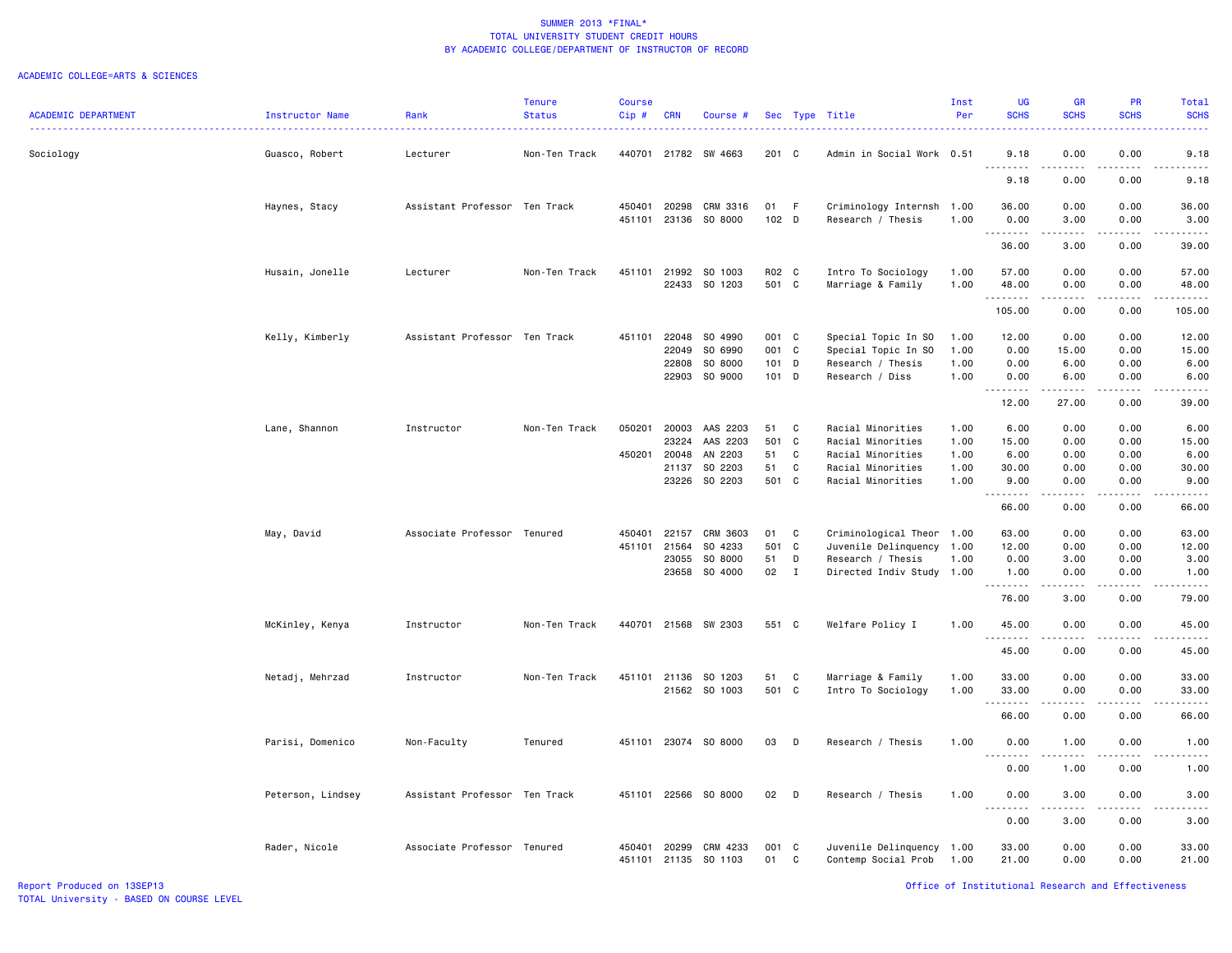| <b>Tenure</b><br>Course<br>Inst<br>UG                                                                                                                                                                                                | <b>GR</b>                                                                                                                         | PR                           | Total                                                                                                                                                        |
|--------------------------------------------------------------------------------------------------------------------------------------------------------------------------------------------------------------------------------------|-----------------------------------------------------------------------------------------------------------------------------------|------------------------------|--------------------------------------------------------------------------------------------------------------------------------------------------------------|
| <b>SCHS</b><br><b>ACADEMIC DEPARTMENT</b><br><b>Status</b><br>Per<br>Rank<br>Cip #<br><b>CRN</b><br>Sec Type Title<br>Instructor Name<br>Course #                                                                                    | <b>SCHS</b>                                                                                                                       | <b>SCHS</b>                  | <b>SCHS</b>                                                                                                                                                  |
| 440701<br>201 C<br>Sociology<br>Guasco, Robert<br>Lecturer<br>21782<br>SW 4663<br>Admin in Social Work 0.51<br>9.18<br>Non-Ten Track<br>د د د د                                                                                      | 0.00                                                                                                                              | 0.00                         | 9.18<br>.                                                                                                                                                    |
| 9.18                                                                                                                                                                                                                                 | 0.00                                                                                                                              | .<br>0.00                    | 9.18                                                                                                                                                         |
| Haynes, Stacy<br>Assistant Professor Ten Track<br>450401<br>20298<br>CRM 3316<br>01<br>F<br>Criminology Internsh<br>1.00<br>36.00                                                                                                    | 0.00                                                                                                                              | 0.00                         | 36.00                                                                                                                                                        |
| 23136 SO 8000<br>102 D<br>451101<br>Research / Thesis<br>1.00<br>0.00<br>.                                                                                                                                                           | 3.00                                                                                                                              | 0.00                         | 3.00<br>$\frac{1}{2} \left( \frac{1}{2} \right) \left( \frac{1}{2} \right) \left( \frac{1}{2} \right) \left( \frac{1}{2} \right) \left( \frac{1}{2} \right)$ |
| 36.00                                                                                                                                                                                                                                | 3.00                                                                                                                              | 0.00                         | 39.00                                                                                                                                                        |
| 451101<br>SO 1003<br>R02 C<br>Husain, Jonelle<br>Lecturer<br>Non-Ten Track<br>21992<br>Intro To Sociology<br>1.00<br>57.00                                                                                                           | 0.00                                                                                                                              | 0.00                         | 57.00                                                                                                                                                        |
| 22433 SO 1203<br>501 C<br>Marriage & Family<br>48.00<br>1.00                                                                                                                                                                         | 0.00                                                                                                                              | 0.00                         | 48.00                                                                                                                                                        |
| .<br>105.00                                                                                                                                                                                                                          | $\frac{1}{2} \left( \frac{1}{2} \right) \left( \frac{1}{2} \right) \left( \frac{1}{2} \right) \left( \frac{1}{2} \right)$<br>0.00 | .<br>0.00                    | .<br>105.00                                                                                                                                                  |
| Kelly, Kimberly<br>SO 4990<br>001 C<br>Assistant Professor Ten Track<br>451101<br>22048<br>Special Topic In SO<br>1.00<br>12.00                                                                                                      | 0.00                                                                                                                              | 0.00                         | 12.00                                                                                                                                                        |
| SO 6990<br>001 C<br>0.00<br>22049<br>Special Topic In SO<br>1.00                                                                                                                                                                     | 15.00                                                                                                                             | 0.00                         | 15.00                                                                                                                                                        |
| SO 8000<br>$101$ D<br>Research / Thesis<br>1.00<br>0.00<br>22808                                                                                                                                                                     | 6.00                                                                                                                              | 0.00                         | 6.00                                                                                                                                                         |
| SO 9000<br>101 D<br>22903<br>Research / Diss<br>1.00<br>0.00<br>.                                                                                                                                                                    | 6.00<br>$\frac{1}{2}$                                                                                                             | 0.00<br>$\frac{1}{2}$        | 6.00<br>$\frac{1}{2}$                                                                                                                                        |
| 12.00                                                                                                                                                                                                                                | 27.00                                                                                                                             | 0.00                         | 39.00                                                                                                                                                        |
| 050201<br>C<br>6.00<br>Lane, Shannon<br>Instructor<br>Non-Ten Track<br>20003<br>AAS 2203<br>51<br>Racial Minorities<br>1.00                                                                                                          | 0.00                                                                                                                              | 0.00                         | 6.00                                                                                                                                                         |
| 501 C<br>23224<br>AAS 2203<br>Racial Minorities<br>1.00<br>15.00                                                                                                                                                                     | 0.00                                                                                                                              | 0.00                         | 15.00                                                                                                                                                        |
| 450201<br>20048<br>AN 2203<br>51<br>C<br>Racial Minorities<br>1.00<br>6.00                                                                                                                                                           | 0.00                                                                                                                              | 0.00                         | 6.00                                                                                                                                                         |
| 21137<br>SO 2203<br>51<br>C<br>Racial Minorities<br>1.00<br>30.00                                                                                                                                                                    | 0.00                                                                                                                              | 0.00                         | 30.00                                                                                                                                                        |
| SO 2203<br>501 C<br>23226<br>Racial Minorities<br>1.00<br>9.00                                                                                                                                                                       | 0.00                                                                                                                              | 0.00                         | 9.00                                                                                                                                                         |
| 66.00                                                                                                                                                                                                                                | 0.00                                                                                                                              | 0.00                         | 66.00                                                                                                                                                        |
| May, David<br>Associate Professor Tenured<br>450401<br>22157<br>CRM 3603<br>01<br>C<br>Criminological Theor 1.00<br>63.00                                                                                                            | 0.00                                                                                                                              | 0.00                         | 63.00                                                                                                                                                        |
| SO 4233<br>501<br>$\mathbf{C}$<br>451101<br>21564<br>Juvenile Delinquency 1.00<br>12.00                                                                                                                                              | 0.00                                                                                                                              | 0.00                         | 12.00                                                                                                                                                        |
| SO 8000<br>23055<br>51<br>D<br>Research / Thesis<br>1.00<br>0.00                                                                                                                                                                     | 3.00                                                                                                                              | 0.00                         | 3.00                                                                                                                                                         |
| 23658<br>SO 4000<br>02<br>$\mathbf{I}$<br>Directed Indiv Study 1.00<br>1.00                                                                                                                                                          | 0.00                                                                                                                              | 0.00                         | 1.00                                                                                                                                                         |
| .<br>76.00                                                                                                                                                                                                                           | -----<br>3.00                                                                                                                     | $\sim$ $\sim$ $\sim$<br>0.00 | .<br>79.00                                                                                                                                                   |
| 440701<br>21568 SW 2303<br>551 C<br>Non-Ten Track<br>Welfare Policy I<br>1.00<br>45.00<br>McKinley, Kenya<br>Instructor                                                                                                              | 0.00                                                                                                                              | 0.00                         | 45.00                                                                                                                                                        |
| $\sim$ $\sim$ .<br>.<br>45.00                                                                                                                                                                                                        | 0.00                                                                                                                              | .<br>0.00                    | -----<br>45.00                                                                                                                                               |
|                                                                                                                                                                                                                                      |                                                                                                                                   |                              |                                                                                                                                                              |
| 51<br>Marriage & Family<br>Netadj, Mehrzad<br>Instructor<br>Non-Ten Track<br>451101<br>21136<br>SO 1203<br>C<br>1.00<br>33.00                                                                                                        | 0.00                                                                                                                              | 0.00                         | 33.00                                                                                                                                                        |
| 501<br>C<br>21562 SO 1003<br>1.00<br>Intro To Sociology<br>33.00                                                                                                                                                                     | 0.00                                                                                                                              | 0.00                         | 33.00                                                                                                                                                        |
| .<br>66.00                                                                                                                                                                                                                           | -----<br>0.00                                                                                                                     | د د د د<br>0.00              | .<br>66.00                                                                                                                                                   |
| Parisi, Domenico<br>23074 SO 8000<br>03<br>D<br>Research / Thesis<br>1.00<br>0.00<br>Non-Faculty<br>Tenured<br>451101                                                                                                                | 1.00                                                                                                                              | 0.00                         | 1.00                                                                                                                                                         |
| .<br>$\sim$ $\sim$ .<br>0.00                                                                                                                                                                                                         | د د د د<br>1.00                                                                                                                   | $\sim$ $\sim$ $\sim$<br>0.00 | 22222<br>1.00                                                                                                                                                |
| 22566<br>SO 8000<br>Peterson, Lindsey<br>Assistant Professor Ten Track<br>451101<br>02<br>D<br>Research / Thesis<br>1.00<br>0.00                                                                                                     | 3.00                                                                                                                              | 0.00                         | 3.00                                                                                                                                                         |
| $\sim$ $\sim$<br>----<br>0.00                                                                                                                                                                                                        | .<br>3.00                                                                                                                         | $\frac{1}{2}$<br>0.00        | -----<br>3.00                                                                                                                                                |
|                                                                                                                                                                                                                                      |                                                                                                                                   |                              |                                                                                                                                                              |
| Associate Professor Tenured<br>CRM 4233<br>001<br>33.00<br>Rader, Nicole<br>450401<br>20299<br>$\mathbf{C}$<br>Juvenile Delinquency 1.00<br>451101<br>$\mathbb{C}$<br>21.00<br>21135<br>SO 1103<br>01<br>Contemp Social Prob<br>1.00 | 0.00<br>0.00                                                                                                                      | 0.00<br>0.00                 | 33.00<br>21.00                                                                                                                                               |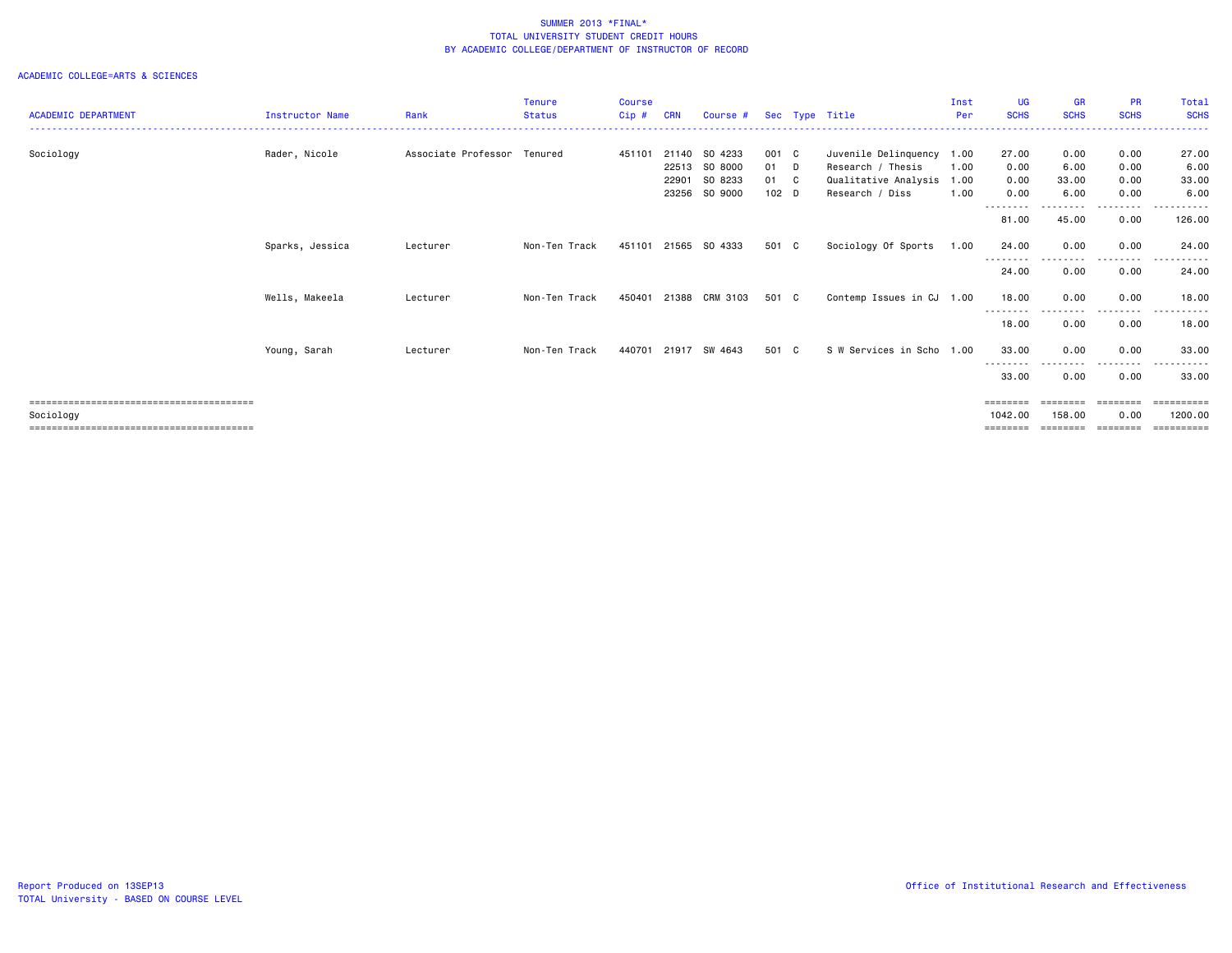|                            |                        |                     | <b>Tenure</b> | <b>Course</b> |            |                      |         |                           | Inst | <b>UG</b>         | <b>GR</b>   | <b>PR</b>   | <b>Total</b> |
|----------------------------|------------------------|---------------------|---------------|---------------|------------|----------------------|---------|---------------------------|------|-------------------|-------------|-------------|--------------|
| <b>ACADEMIC DEPARTMENT</b> | <b>Instructor Name</b> | Rank                | <b>Status</b> | Cip#          | <b>CRN</b> | Course #             |         | Sec Type Title            | Per  | <b>SCHS</b>       | <b>SCHS</b> | <b>SCHS</b> | <b>SCHS</b>  |
|                            |                        |                     |               |               |            |                      |         |                           |      |                   |             |             |              |
| Sociology                  | Rader, Nicole          | Associate Professor | Tenured       | 451101        | 21140      | SO 4233              | 001 C   | Juvenile Delinquency 1.00 |      | 27.00             | 0.00        | 0.00        | 27.00        |
|                            |                        |                     |               |               | 22513      | SO 8000              | 01 D    | Research / Thesis         | 1.00 | 0.00              | 6.00        | 0.00        | 6.00         |
|                            |                        |                     |               |               | 22901      | SO 8233              | 01 C    | Qualitative Analysis 1.00 |      | 0.00              | 33.00       | 0.00        | 33.00        |
|                            |                        |                     |               |               | 23256      | SO 9000              | $102$ D | Research / Diss           | 1.00 | 0.00              | 6.00        | 0.00        | 6.00         |
|                            |                        |                     |               |               |            |                      |         |                           |      |                   |             |             |              |
|                            |                        |                     |               |               |            |                      |         |                           |      | 81.00             | 45.00       | 0.00        | 126.00       |
|                            | Sparks, Jessica        | Lecturer            | Non-Ten Track | 451101        | 21565      | SO 4333              | 501 C   | Sociology Of Sports       | 1.00 | 24.00             | 0.00        | 0.00        | 24.00        |
|                            |                        |                     |               |               |            |                      |         |                           |      | --------          |             | .           |              |
|                            |                        |                     |               |               |            |                      |         |                           |      | 24.00             | 0.00        | 0.00        | 24.00        |
|                            | Wells, Makeela         | Lecturer            | Non-Ten Track | 450401        | 21388      | CRM 3103             | 501 C   | Contemp Issues in CJ 1.00 |      | 18.00             | 0.00        | 0.00        | 18.00        |
|                            |                        |                     |               |               |            |                      |         |                           |      | ---------         | --------    | <u>.</u>    |              |
|                            |                        |                     |               |               |            |                      |         |                           |      | 18.00             | 0.00        | 0.00        | 18.00        |
|                            | Young, Sarah           | Lecturer            | Non-Ten Track |               |            | 440701 21917 SW 4643 | 501 C   | S W Services in Scho 1.00 |      | 33.00             | 0.00        | 0.00        | 33.00        |
|                            |                        |                     |               |               |            |                      |         |                           |      |                   | - - -       | -----       |              |
|                            |                        |                     |               |               |            |                      |         |                           |      | 33.00             | 0.00        | 0.00        | 33.00        |
|                            |                        |                     |               |               |            |                      |         |                           |      | $=$ = = = = = = = | ========    | ========    | ==========   |
| Sociology                  |                        |                     |               |               |            |                      |         |                           |      | 1042.00           | 158.00      | 0.00        | 1200.00      |
|                            |                        |                     |               |               |            |                      |         |                           |      | ========          |             |             | ==========   |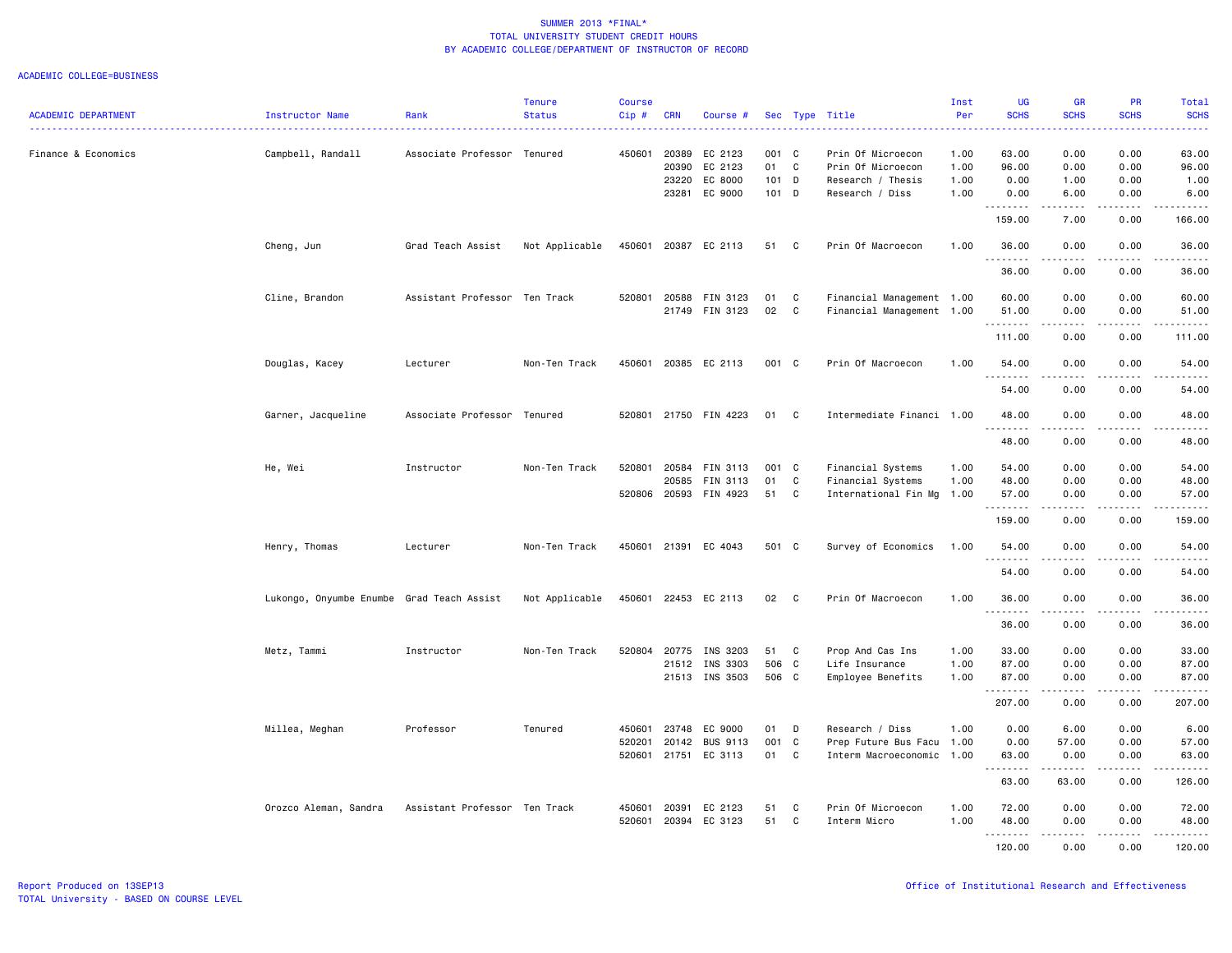| <b>ACADEMIC DEPARTMENT</b> | Instructor Name                           | Rank                          | <b>Tenure</b><br><b>Status</b> | <b>Course</b><br>Cip# | <b>CRN</b>   | Course #             |         |              | Sec Type Title            | Inst<br>Per | <b>UG</b><br><b>SCHS</b> | <b>GR</b><br><b>SCHS</b> | <b>PR</b><br><b>SCHS</b>     | Total<br><b>SCHS</b>   |
|----------------------------|-------------------------------------------|-------------------------------|--------------------------------|-----------------------|--------------|----------------------|---------|--------------|---------------------------|-------------|--------------------------|--------------------------|------------------------------|------------------------|
|                            |                                           |                               |                                |                       |              |                      |         |              |                           |             |                          |                          |                              | د د د د د              |
| Finance & Economics        | Campbell, Randall                         | Associate Professor Tenured   |                                |                       | 450601 20389 | EC 2123              | 001 C   |              | Prin Of Microecon         | 1.00        | 63.00                    | 0.00                     | 0.00                         | 63.00                  |
|                            |                                           |                               |                                |                       | 20390        | EC 2123              | 01      | C            | Prin Of Microecon         | 1.00        | 96.00                    | 0.00                     | 0.00                         | 96.00                  |
|                            |                                           |                               |                                |                       | 23220        | EC 8000              | 101 D   |              | Research / Thesis         | 1.00        | 0.00                     | 1.00                     | 0.00                         | 1.00                   |
|                            |                                           |                               |                                |                       | 23281        | EC 9000              | $101$ D |              | Research / Diss           | 1.00        | 0.00<br>.                | 6.00<br>.                | 0.00<br>$\sim$ $\sim$ $\sim$ | 6.00<br>.              |
|                            |                                           |                               |                                |                       |              |                      |         |              |                           |             | 159.00                   | 7.00                     | 0.00                         | 166.00                 |
|                            | Cheng, Jun                                | Grad Teach Assist             | Not Applicable                 | 450601                | 20387        | EC 2113              | 51      | C            | Prin Of Macroecon         | 1.00        | 36.00<br>.               | 0.00                     | 0.00                         | 36.00<br>.             |
|                            |                                           |                               |                                |                       |              |                      |         |              |                           |             | 36.00                    | 0.00                     | 0.00                         | 36.00                  |
|                            | Cline, Brandon                            | Assistant Professor Ten Track |                                | 520801                | 20588        | FIN 3123             | 01      | C            | Financial Management 1.00 |             | 60.00                    | 0.00                     | 0.00                         | 60.00                  |
|                            |                                           |                               |                                |                       | 21749        | FIN 3123             | 02      | C            | Financial Management 1.00 |             | 51.00                    | 0.00                     | 0.00                         | 51.00                  |
|                            |                                           |                               |                                |                       |              |                      |         |              |                           |             | .                        | .                        | .                            | .                      |
|                            |                                           |                               |                                |                       |              |                      |         |              |                           |             | 111.00                   | 0.00                     | 0.00                         | 111.00                 |
|                            | Douglas, Kacey                            | Lecturer                      | Non-Ten Track                  | 450601                |              | 20385 EC 2113        | 001 C   |              | Prin Of Macroecon         | 1.00        | 54.00<br>.               | 0.00<br>-----            | 0.00<br>.                    | 54.00<br>.             |
|                            |                                           |                               |                                |                       |              |                      |         |              |                           |             | 54.00                    | 0.00                     | 0.00                         | 54.00                  |
|                            | Garner, Jacqueline                        | Associate Professor Tenured   |                                | 520801                |              | 21750 FIN 4223       | 01      | C            | Intermediate Financi 1.00 |             | 48.00                    | 0.00                     | 0.00                         | 48.00                  |
|                            |                                           |                               |                                |                       |              |                      |         |              |                           |             | . <b>.</b><br>48.00      | 0.00                     | .<br>0.00                    | 48.00                  |
|                            | He, Wei                                   | Instructor                    | Non-Ten Track                  | 520801                | 20584        | FIN 3113             | 001 C   |              | Financial Systems         | 1.00        | 54.00                    | 0.00                     | 0.00                         | 54.00                  |
|                            |                                           |                               |                                |                       | 20585        | FIN 3113             | 01      | C            | Financial Systems         | 1.00        | 48.00                    | 0.00                     | 0.00                         | 48.00                  |
|                            |                                           |                               |                                | 520806 20593          |              | FIN 4923             | 51      | C            | International Fin Mg      | 1.00        | 57.00                    | 0.00                     | 0.00                         | 57.00                  |
|                            |                                           |                               |                                |                       |              |                      |         |              |                           |             | .                        | .                        | .                            | .                      |
|                            |                                           |                               |                                |                       |              |                      |         |              |                           |             | 159.00                   | 0.00                     | 0.00                         | 159.00                 |
|                            | Henry, Thomas                             | Lecturer                      | Non-Ten Track                  | 450601                | 21391        | EC 4043              | 501 C   |              | Survey of Economics       | 1.00        | 54.00<br>.               | 0.00<br>$\frac{1}{2}$    | 0.00<br>$- - - -$            | 54.00<br>$\frac{1}{2}$ |
|                            |                                           |                               |                                |                       |              |                      |         |              |                           |             | 54.00                    | 0.00                     | 0.00                         | 54.00                  |
|                            | Lukongo, Onyumbe Enumbe Grad Teach Assist |                               | Not Applicable                 |                       |              | 450601 22453 EC 2113 | 02      | $\mathbf{C}$ | Prin Of Macroecon         | 1.00        | 36.00                    | 0.00                     | 0.00                         | 36.00                  |
|                            |                                           |                               |                                |                       |              |                      |         |              |                           |             | .                        | 0.00                     | 0.00                         | .                      |
|                            |                                           |                               |                                |                       |              |                      |         |              |                           |             | 36.00                    |                          |                              | 36.00                  |
|                            | Metz, Tammi                               | Instructor                    | Non-Ten Track                  |                       | 520804 20775 | INS 3203             | 51      | C            | Prop And Cas Ins          | 1.00        | 33.00                    | 0.00                     | 0.00                         | 33.00                  |
|                            |                                           |                               |                                |                       | 21512        | INS 3303             | 506 C   |              | Life Insurance            | 1.00        | 87.00                    | 0.00                     | 0.00                         | 87.00                  |
|                            |                                           |                               |                                |                       |              | 21513 INS 3503       | 506 C   |              | Employee Benefits         | 1.00        | 87.00<br><u>.</u>        | 0.00<br>-----            | 0.00<br>.                    | 87.00<br>.             |
|                            |                                           |                               |                                |                       |              |                      |         |              |                           |             | 207.00                   | 0.00                     | 0.00                         | 207.00                 |
|                            | Millea, Meghan                            | Professor                     | Tenured                        | 450601                | 23748        | EC 9000              | 01      | D            | Research / Diss           | 1.00        | 0.00                     | 6.00                     | 0.00                         | 6.00                   |
|                            |                                           |                               |                                | 520201                | 20142        | <b>BUS 9113</b>      | 001     | C            | Prep Future Bus Facu      | 1.00        | 0.00                     | 57.00                    | 0.00                         | 57.00                  |
|                            |                                           |                               |                                |                       |              | 520601 21751 EC 3113 | 01      | C            | Interm Macroeconomic      | 1.00        | 63.00                    | 0.00                     | 0.00                         | 63.00                  |
|                            |                                           |                               |                                |                       |              |                      |         |              |                           |             | <u>.</u>                 | .                        | .                            | .                      |
|                            |                                           |                               |                                |                       |              |                      |         |              |                           |             | 63.00                    | 63.00                    | 0.00                         | 126.00                 |
|                            | Orozco Aleman, Sandra                     | Assistant Professor Ten Track |                                | 450601                | 20391        | EC 2123              | 51      | C            | Prin Of Microecon         | 1.00        | 72.00                    | 0.00                     | 0.00                         | 72.00                  |
|                            |                                           |                               |                                | 520601                | 20394        | EC 3123              | 51      | C            | Interm Micro              | 1.00        | 48.00                    | 0.00                     | 0.00                         | 48.00                  |
|                            |                                           |                               |                                |                       |              |                      |         |              |                           |             | .                        | .                        | <u>.</u>                     |                        |
|                            |                                           |                               |                                |                       |              |                      |         |              |                           |             | 120.00                   | 0.00                     | 0.00                         | 120.00                 |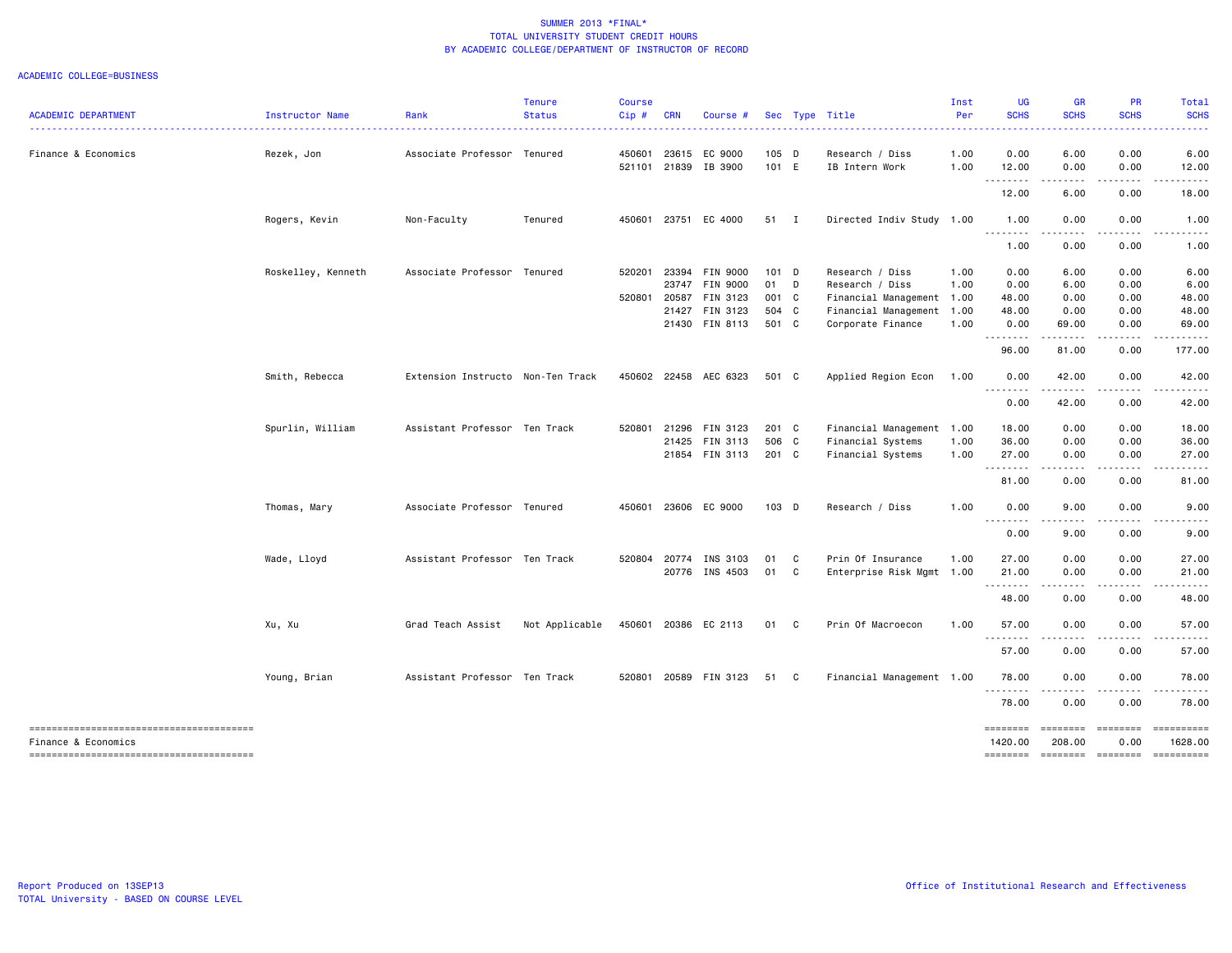| <b>ACADEMIC DEPARTMENT</b> | Instructor Name    | Rank                              | <b>Tenure</b><br><b>Status</b> | <b>Course</b><br>Cip# | <b>CRN</b> | Course #                              |                  |   | Sec Type Title                                    | Inst<br>Per<br>. | <b>UG</b><br><b>SCHS</b> | <b>GR</b><br><b>SCHS</b>            | <b>PR</b><br><b>SCHS</b>         | <b>Total</b><br><b>SCHS</b>         |
|----------------------------|--------------------|-----------------------------------|--------------------------------|-----------------------|------------|---------------------------------------|------------------|---|---------------------------------------------------|------------------|--------------------------|-------------------------------------|----------------------------------|-------------------------------------|
| Finance & Economics        | Rezek, Jon         | Associate Professor Tenured       |                                | 450601                |            | 23615 EC 9000<br>521101 21839 IB 3900 | $105$ D<br>101 E |   | Research / Diss<br>IB Intern Work                 | 1.00<br>1.00     | 0.00<br>12.00            | 6.00<br>0.00                        | 0.00<br>0.00                     | 6.00<br>12.00                       |
|                            |                    |                                   |                                |                       |            |                                       |                  |   |                                                   |                  | .<br>12.00               | $\sim$ $\sim$ $\sim$ $\sim$<br>6.00 | .<br>0.00                        | 18.00                               |
|                            | Rogers, Kevin      | Non-Faculty                       | Tenured                        | 450601                |            | 23751 EC 4000                         | 51 I             |   | Directed Indiv Study 1.00                         |                  | 1.00<br>.                | 0.00<br>.                           | 0.00                             | 1.00                                |
|                            |                    |                                   |                                |                       |            |                                       |                  |   |                                                   |                  | 1.00                     | 0.00                                | 0.00                             | 1.00                                |
|                            | Roskelley, Kenneth | Associate Professor Tenured       |                                | 520201                |            | 23394 FIN 9000<br>23747 FIN 9000      | $101$ D<br>01 D  |   | Research / Diss<br>Research / Diss                | 1.00<br>1.00     | 0.00<br>0.00             | 6.00<br>6.00                        | 0.00<br>0.00                     | 6.00<br>6.00                        |
|                            |                    |                                   |                                | 520801                |            | 20587 FIN 3123<br>21427 FIN 3123      | 001 C<br>504 C   |   | Financial Management 1.00<br>Financial Management | 1.00             | 48.00<br>48.00           | 0.00<br>0.00                        | 0.00<br>0.00                     | 48.00<br>48.00                      |
|                            |                    |                                   |                                |                       |            | 21430 FIN 8113                        | 501 C            |   | Corporate Finance                                 | 1.00             | 0.00<br>.                | 69.00<br>.                          | 0.00<br>.                        | 69.00                               |
|                            |                    |                                   |                                |                       |            |                                       |                  |   |                                                   |                  | 96.00                    | 81.00                               | 0.00                             | 177.00                              |
|                            | Smith, Rebecca     | Extension Instructo Non-Ten Track |                                |                       |            | 450602 22458 AEC 6323                 | 501 C            |   | Applied Region Econ                               | 1.00             | 0.00<br>.                | 42.00                               | 0.00                             | 42.00                               |
|                            |                    |                                   |                                |                       |            |                                       |                  |   |                                                   |                  | 0.00                     | 42.00                               | 0.00                             | 42.00                               |
|                            | Spurlin, William   | Assistant Professor Ten Track     |                                | 520801                |            | 21296 FIN 3123                        | 201 C            |   | Financial Management 1.00                         |                  | 18.00                    | 0.00                                | 0.00                             | 18.00                               |
|                            |                    |                                   |                                |                       |            | 21425 FIN 3113                        | 506 C            |   | Financial Systems                                 | 1.00             | 36.00                    | 0.00                                | 0.00                             | 36.00                               |
|                            |                    |                                   |                                |                       |            | 21854 FIN 3113                        | 201 C            |   | Financial Systems                                 | 1.00             | 27.00<br>.               | 0.00<br>.                           | 0.00<br>.                        | 27.00                               |
|                            |                    |                                   |                                |                       |            |                                       |                  |   |                                                   |                  | 81.00                    | 0.00                                | 0.00                             | 81.00                               |
|                            | Thomas, Mary       | Associate Professor Tenured       |                                | 450601                |            | 23606 EC 9000                         | 103 D            |   | Research / Diss                                   | 1.00             | 0.00<br>.                | 9.00<br>$\sim$ $\sim$ $\sim$ $\sim$ | 0.00<br>-----                    | 9.00                                |
|                            |                    |                                   |                                |                       |            |                                       |                  |   |                                                   |                  | 0.00                     | 9.00                                | 0.00                             | 9.00                                |
|                            | Wade, Lloyd        | Assistant Professor Ten Track     |                                | 520804                |            | 20774 INS 3103                        | 01               | C | Prin Of Insurance                                 | 1.00             | 27.00                    | 0.00                                | 0.00                             | 27.00                               |
|                            |                    |                                   |                                |                       |            | 20776 INS 4503                        | 01 C             |   | Enterprise Risk Mgmt 1.00                         |                  | 21.00                    | 0.00                                | 0.00                             | 21.00                               |
|                            |                    |                                   |                                |                       |            |                                       |                  |   |                                                   |                  | .<br>48.00               | 0.00                                | 0.00                             | 48.00                               |
|                            | Xu, Xu             | Grad Teach Assist                 | Not Applicable                 | 450601                |            | 20386 EC 2113                         | 01 C             |   | Prin Of Macroecon                                 | 1.00             | 57.00                    | 0.00                                | 0.00                             | 57.00                               |
|                            |                    |                                   |                                |                       |            |                                       |                  |   |                                                   |                  | .<br>57.00               | 0.00                                | 0.00                             | 57.00                               |
|                            | Young, Brian       | Assistant Professor Ten Track     |                                | 520801                |            | 20589 FIN 3123                        | 51 C             |   | Financial Management 1.00                         |                  | 78.00                    | 0.00                                | 0.00                             | 78.00                               |
|                            |                    |                                   |                                |                       |            |                                       |                  |   |                                                   |                  | .<br>78.00               | $\sim$ $\sim$ $\sim$ $\sim$<br>0.00 | .<br>0.00                        | 78.00                               |
| Finance & Economics        |                    |                                   |                                |                       |            |                                       |                  |   |                                                   |                  | ========<br>1420.00      | ========<br>208.00<br>$= 222222222$ | $=$ ========<br>0.00<br>======== | ==========<br>1628.00<br>========== |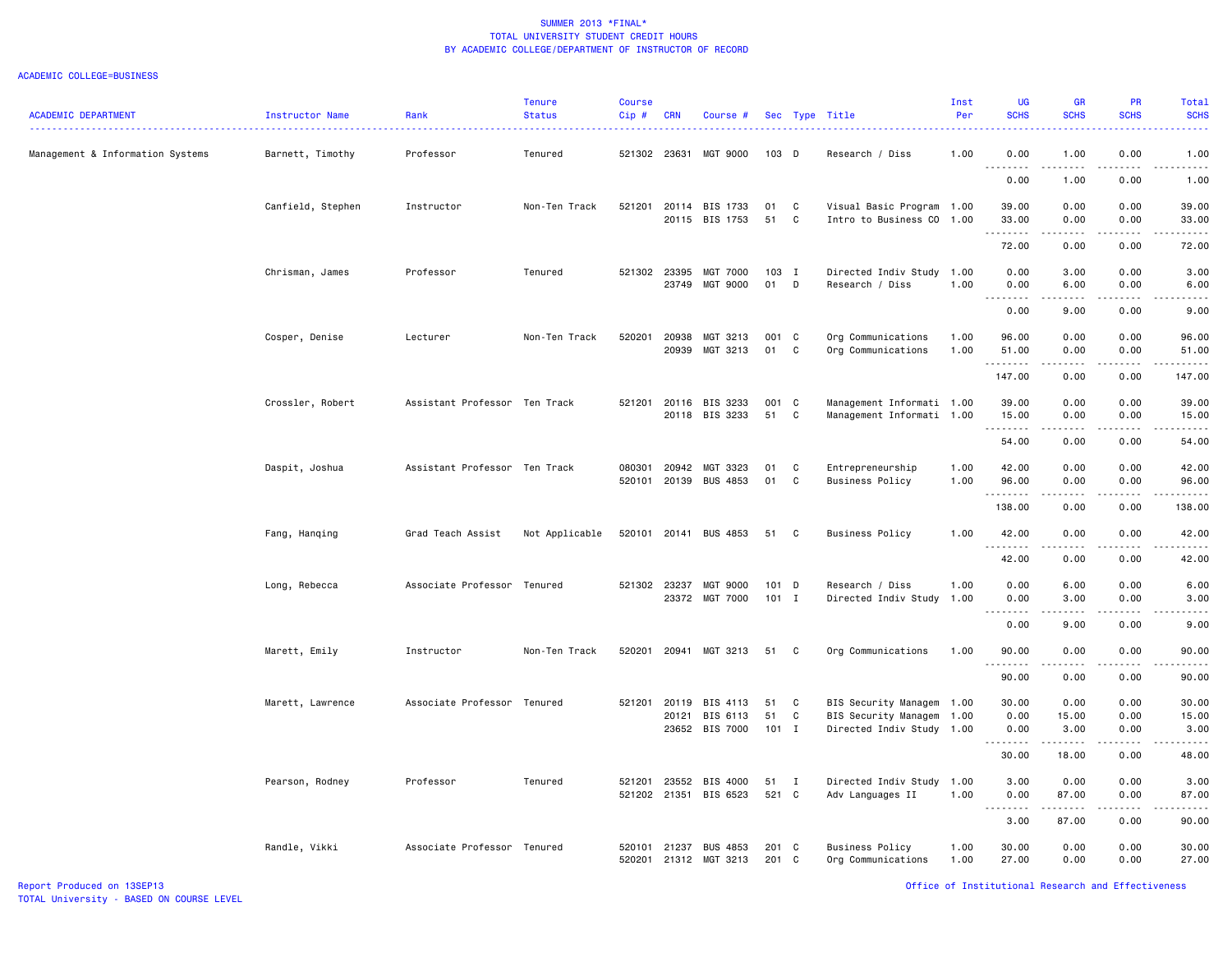| <b>ACADEMIC DEPARTMENT</b>       | Instructor Name   | Rank<br>. <b>.</b> .          | <b>Tenure</b><br><b>Status</b> | <b>Course</b><br>$Cip$ # | <b>CRN</b>     | Course #                               |                     |              | Sec Type Title                                                                      | Inst<br>Per  | <b>UG</b><br><b>SCHS</b>     | <b>GR</b><br><b>SCHS</b>                                                                                                                                     | <b>PR</b><br><b>SCHS</b>                                                                                                          | Total<br><b>SCHS</b><br>$\frac{1}{2} \left( \frac{1}{2} \right) \left( \frac{1}{2} \right) \left( \frac{1}{2} \right) \left( \frac{1}{2} \right)$ |
|----------------------------------|-------------------|-------------------------------|--------------------------------|--------------------------|----------------|----------------------------------------|---------------------|--------------|-------------------------------------------------------------------------------------|--------------|------------------------------|--------------------------------------------------------------------------------------------------------------------------------------------------------------|-----------------------------------------------------------------------------------------------------------------------------------|---------------------------------------------------------------------------------------------------------------------------------------------------|
| Management & Information Systems | Barnett, Timothy  | Professor                     | Tenured                        |                          | 521302 23631   | MGT 9000                               | 103 D               |              | Research / Diss                                                                     | 1.00         | 0.00                         | 1.00                                                                                                                                                         | 0.00                                                                                                                              | 1.00<br>$\frac{1}{2} \left( \frac{1}{2} \right) \left( \frac{1}{2} \right) \left( \frac{1}{2} \right) \left( \frac{1}{2} \right)$                 |
|                                  |                   |                               |                                |                          |                |                                        |                     |              |                                                                                     |              | 0.00                         | 1.00                                                                                                                                                         | 0.00                                                                                                                              | 1.00                                                                                                                                              |
|                                  | Canfield, Stephen | Instructor                    | Non-Ten Track                  | 521201                   | 20114          | BIS 1733<br>20115 BIS 1753             | 01<br>51            | C<br>C       | Visual Basic Program 1.00<br>Intro to Business CO 1.00                              |              | 39.00<br>33.00               | 0.00<br>0.00                                                                                                                                                 | 0.00<br>0.00                                                                                                                      | 39.00<br>33.00                                                                                                                                    |
|                                  |                   |                               |                                |                          |                |                                        |                     |              |                                                                                     |              | .<br>72.00                   | .<br>0.00                                                                                                                                                    | $\frac{1}{2} \left( \frac{1}{2} \right) \left( \frac{1}{2} \right) \left( \frac{1}{2} \right) \left( \frac{1}{2} \right)$<br>0.00 | .<br>72.00                                                                                                                                        |
|                                  | Chrisman, James   | Professor                     | Tenured                        | 521302 23395             |                | <b>MGT 7000</b><br>23749 MGT 9000      | $103$ I<br>01       | D            | Directed Indiv Study 1.00<br>Research / Diss                                        | 1.00         | 0.00<br>0.00                 | 3.00<br>6.00                                                                                                                                                 | 0.00<br>0.00                                                                                                                      | 3.00<br>6.00                                                                                                                                      |
|                                  |                   |                               |                                |                          |                |                                        |                     |              |                                                                                     |              | .<br>$\sim$ $\sim$<br>0.00   | .<br>9.00                                                                                                                                                    | .<br>0.00                                                                                                                         | -----<br>9.00                                                                                                                                     |
|                                  | Cosper, Denise    | Lecturer                      | Non-Ten Track                  | 520201                   | 20938<br>20939 | MGT 3213<br>MGT 3213                   | 001 C<br>01         | C            | Org Communications<br>Org Communications                                            | 1.00<br>1.00 | 96.00<br>51.00               | 0.00<br>0.00                                                                                                                                                 | 0.00<br>0.00                                                                                                                      | 96.00<br>51.00                                                                                                                                    |
|                                  |                   |                               |                                |                          |                |                                        |                     |              |                                                                                     |              | .<br>147.00                  | 0.00                                                                                                                                                         | 0.00                                                                                                                              | $\frac{1}{2}$<br>147.00                                                                                                                           |
|                                  | Crossler, Robert  | Assistant Professor Ten Track |                                | 521201                   | 20116          | BIS 3233<br>20118 BIS 3233             | 001 C<br>51         | C            | Management Informati 1.00<br>Management Informati 1.00                              |              | 39.00<br>15.00               | 0.00<br>0.00                                                                                                                                                 | 0.00<br>0.00                                                                                                                      | 39.00<br>15.00                                                                                                                                    |
|                                  |                   |                               |                                |                          |                |                                        |                     |              |                                                                                     |              | .<br>54.00                   | $\frac{1}{2} \left( \frac{1}{2} \right) \left( \frac{1}{2} \right) \left( \frac{1}{2} \right) \left( \frac{1}{2} \right) \left( \frac{1}{2} \right)$<br>0.00 | د د د د<br>0.00                                                                                                                   | .<br>54.00                                                                                                                                        |
|                                  | Daspit, Joshua    | Assistant Professor Ten Track |                                | 080301                   | 20942          | MGT 3323<br>520101 20139 BUS 4853      | 01<br>01            | C<br>C       | Entrepreneurship<br><b>Business Policy</b>                                          | 1.00<br>1.00 | 42.00<br>96.00               | 0.00<br>0.00                                                                                                                                                 | 0.00<br>0.00                                                                                                                      | 42.00<br>96.00                                                                                                                                    |
|                                  |                   |                               |                                |                          |                |                                        |                     |              |                                                                                     |              | .<br>138.00                  | . <b>.</b> .<br>0.00                                                                                                                                         | .<br>0.00                                                                                                                         | .<br>138.00                                                                                                                                       |
|                                  | Fang, Hanqing     | Grad Teach Assist             | Not Applicable                 |                          |                | 520101 20141 BUS 4853                  | 51 C                |              | Business Policy                                                                     | 1.00         | 42.00<br>.                   | 0.00<br>.                                                                                                                                                    | 0.00<br>.                                                                                                                         | 42.00<br>.                                                                                                                                        |
|                                  |                   |                               |                                |                          |                |                                        |                     |              |                                                                                     |              | 42.00                        | 0.00                                                                                                                                                         | 0.00                                                                                                                              | 42.00                                                                                                                                             |
|                                  | Long, Rebecca     | Associate Professor Tenured   |                                | 521302 23237             |                | <b>MGT 9000</b><br>23372 MGT 7000      | $101$ D<br>$101$ I  |              | Research / Diss<br>Directed Indiv Study                                             | 1.00<br>1.00 | 0.00<br>0.00                 | 6.00<br>3.00                                                                                                                                                 | 0.00<br>0.00                                                                                                                      | 6.00<br>3.00                                                                                                                                      |
|                                  |                   |                               |                                |                          |                |                                        |                     |              |                                                                                     |              | 0.00                         | 9.00                                                                                                                                                         | 0.00                                                                                                                              | 9.00                                                                                                                                              |
|                                  | Marett, Emily     | Instructor                    | Non-Ten Track                  | 520201                   | 20941          | MGT 3213                               | 51                  | C            | Org Communications                                                                  | 1.00         | 90.00<br>.                   | 0.00                                                                                                                                                         | 0.00                                                                                                                              | 90.00<br>.                                                                                                                                        |
|                                  |                   |                               |                                |                          |                |                                        |                     |              |                                                                                     |              | 90.00                        | 0.00                                                                                                                                                         | $\sim$ $\sim$ $\sim$ $\sim$<br>0.00                                                                                               | 90.00                                                                                                                                             |
|                                  | Marett, Lawrence  | Associate Professor Tenured   |                                | 521201                   | 20119<br>20121 | BIS 4113<br>BIS 6113<br>23652 BIS 7000 | 51<br>51<br>$101$ I | C<br>C       | BIS Security Managem 1.00<br>BIS Security Managem 1.00<br>Directed Indiv Study 1.00 |              | 30.00<br>0.00<br>0.00        | 0.00<br>15.00<br>3.00                                                                                                                                        | 0.00<br>0.00<br>0.00                                                                                                              | 30.00<br>15.00<br>3.00                                                                                                                            |
|                                  |                   |                               |                                |                          |                |                                        |                     |              |                                                                                     |              | .<br>30.00                   | .<br>18.00                                                                                                                                                   | .<br>0.00                                                                                                                         | .<br>48.00                                                                                                                                        |
|                                  | Pearson, Rodney   | Professor                     | Tenured                        | 521201<br>521202         | 23552<br>21351 | BIS 4000<br>BIS 6523                   | 51<br>521 C         | $\mathbf{I}$ | Directed Indiv Study 1.00<br>Adv Languages II                                       | 1.00         | 3.00<br>0.00                 | 0.00<br>87.00                                                                                                                                                | 0.00<br>0.00                                                                                                                      | 3.00<br>87.00                                                                                                                                     |
|                                  |                   |                               |                                |                          |                |                                        |                     |              |                                                                                     |              | $\sim$ $\sim$ .<br>.<br>3.00 | .<br>87.00                                                                                                                                                   | $\frac{1}{2}$<br>0.00                                                                                                             | .<br>90.00                                                                                                                                        |
|                                  | Randle, Vikki     | Associate Professor Tenured   |                                | 520101<br>520201         | 21237          | <b>BUS 4853</b><br>21312 MGT 3213      | 201 C<br>201        | $\mathbf{C}$ | <b>Business Policy</b><br>Org Communications                                        | 1.00<br>1.00 | 30.00<br>27.00               | 0.00<br>0.00                                                                                                                                                 | 0.00<br>0.00                                                                                                                      | 30.00<br>27.00                                                                                                                                    |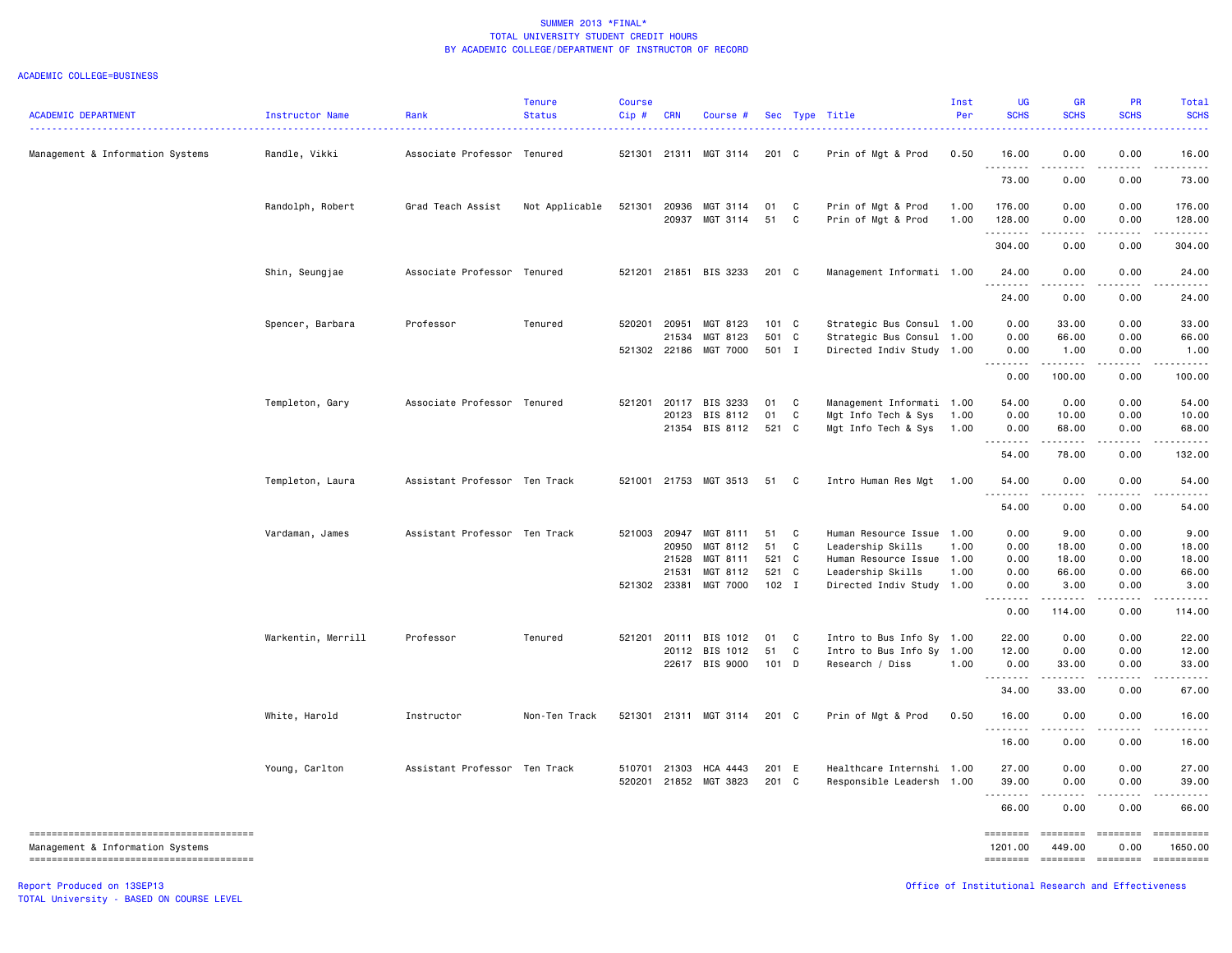#### ACADEMIC COLLEGE=BUSINESS

| <b>ACADEMIC DEPARTMENT</b>       | Instructor Name    | Rank                          | <b>Tenure</b><br><b>Status</b> | <b>Course</b><br>Cip# | <b>CRN</b> | Course #              |         |              | Sec Type Title            | Inst<br>Per | UG<br><b>SCHS</b> | <b>GR</b><br><b>SCHS</b>                                                                                                                                      | <b>PR</b><br><b>SCHS</b> | Total<br><b>SCHS</b>                                                                                                                                                                                                                                                                                                                                                                                                        |
|----------------------------------|--------------------|-------------------------------|--------------------------------|-----------------------|------------|-----------------------|---------|--------------|---------------------------|-------------|-------------------|---------------------------------------------------------------------------------------------------------------------------------------------------------------|--------------------------|-----------------------------------------------------------------------------------------------------------------------------------------------------------------------------------------------------------------------------------------------------------------------------------------------------------------------------------------------------------------------------------------------------------------------------|
| Management & Information Systems | Randle, Vikki      | Associate Professor Tenured   |                                | 521301                |            | 21311 MGT 3114        | 201 C   |              | Prin of Mgt & Prod        | 0.50        | 16.00             | 0.00                                                                                                                                                          | 0.00                     | 16.00                                                                                                                                                                                                                                                                                                                                                                                                                       |
|                                  |                    |                               |                                |                       |            |                       |         |              |                           |             | .<br>73.00        | والمرابين<br>0.00                                                                                                                                             | 0.00                     | 73.00                                                                                                                                                                                                                                                                                                                                                                                                                       |
|                                  | Randolph, Robert   | Grad Teach Assist             | Not Applicable                 | 521301                | 20936      | MGT 3114              | 01      | $\mathbf{C}$ | Prin of Mgt & Prod        | 1.00        | 176.00            | 0.00                                                                                                                                                          | 0.00                     | 176.00                                                                                                                                                                                                                                                                                                                                                                                                                      |
|                                  |                    |                               |                                |                       | 20937      | MGT 3114              | 51      | C            | Prin of Mgt & Prod        | 1.00        | 128.00<br>.       | 0.00<br>$\sim$ $\sim$ $\sim$ $\sim$                                                                                                                           | 0.00                     | 128.00                                                                                                                                                                                                                                                                                                                                                                                                                      |
|                                  |                    |                               |                                |                       |            |                       |         |              |                           |             | 304.00            | 0.00                                                                                                                                                          | 0.00                     | 304.00                                                                                                                                                                                                                                                                                                                                                                                                                      |
|                                  | Shin, Seungjae     | Associate Professor Tenured   |                                | 521201                |            | 21851 BIS 3233        | 201 C   |              | Management Informati 1.00 |             | 24.00<br>.        | 0.00                                                                                                                                                          | 0.00                     | 24.00                                                                                                                                                                                                                                                                                                                                                                                                                       |
|                                  |                    |                               |                                |                       |            |                       |         |              |                           |             | 24.00             | 0.00                                                                                                                                                          | 0.00                     | 24.00                                                                                                                                                                                                                                                                                                                                                                                                                       |
|                                  | Spencer, Barbara   | Professor                     | Tenured                        | 520201                | 20951      | MGT 8123              | 101 C   |              | Strategic Bus Consul 1.00 |             | 0.00              | 33.00                                                                                                                                                         | 0.00                     | 33.00                                                                                                                                                                                                                                                                                                                                                                                                                       |
|                                  |                    |                               |                                |                       | 21534      | MGT 8123              | 501 C   |              | Strategic Bus Consul 1.00 |             | 0.00              | 66.00                                                                                                                                                         | 0.00                     | 66.00                                                                                                                                                                                                                                                                                                                                                                                                                       |
|                                  |                    |                               |                                |                       |            | 521302 22186 MGT 7000 | 501 I   |              | Directed Indiv Study 1.00 |             | 0.00              | 1.00                                                                                                                                                          | 0.00                     | 1.00                                                                                                                                                                                                                                                                                                                                                                                                                        |
|                                  |                    |                               |                                |                       |            |                       |         |              |                           |             | . <b>.</b>        | .                                                                                                                                                             | $- - - - -$              | .                                                                                                                                                                                                                                                                                                                                                                                                                           |
|                                  |                    |                               |                                |                       |            |                       |         |              |                           |             | 0.00              | 100.00                                                                                                                                                        | 0.00                     | 100.00                                                                                                                                                                                                                                                                                                                                                                                                                      |
|                                  | Templeton, Gary    | Associate Professor Tenured   |                                |                       |            | 521201 20117 BIS 3233 | 01 C    |              | Management Informati 1.00 |             | 54.00             | 0.00                                                                                                                                                          | 0.00                     | 54.00                                                                                                                                                                                                                                                                                                                                                                                                                       |
|                                  |                    |                               |                                |                       | 20123      | BIS 8112              | 01      | C            | Mgt Info Tech & Sys       | 1.00        | 0.00              | 10.00                                                                                                                                                         | 0.00                     | 10.00                                                                                                                                                                                                                                                                                                                                                                                                                       |
|                                  |                    |                               |                                |                       |            | 21354 BIS 8112        | 521 C   |              | Mgt Info Tech & Sys       | 1.00        | 0.00<br>.         | 68.00                                                                                                                                                         | 0.00                     | 68.00                                                                                                                                                                                                                                                                                                                                                                                                                       |
|                                  |                    |                               |                                |                       |            |                       |         |              |                           |             | 54.00             | 78.00                                                                                                                                                         | 0.00                     | 132.00                                                                                                                                                                                                                                                                                                                                                                                                                      |
|                                  | Templeton, Laura   | Assistant Professor Ten Track |                                | 521001                |            | 21753 MGT 3513        | 51 C    |              | Intro Human Res Mgt       | 1.00        | 54.00             | 0.00                                                                                                                                                          | 0.00                     | 54.00                                                                                                                                                                                                                                                                                                                                                                                                                       |
|                                  |                    |                               |                                |                       |            |                       |         |              |                           |             | 54.00             | 0.00                                                                                                                                                          | 0.00                     | 54.00                                                                                                                                                                                                                                                                                                                                                                                                                       |
|                                  | Vardaman, James    | Assistant Professor Ten Track |                                | 521003                | 20947      | MGT 8111              | 51      | $\mathbf{C}$ | Human Resource Issue 1.00 |             | 0.00              | 9.00                                                                                                                                                          | 0.00                     | 9.00                                                                                                                                                                                                                                                                                                                                                                                                                        |
|                                  |                    |                               |                                |                       | 20950      | MGT 8112              | 51      | $\mathbf{C}$ | Leadership Skills         | 1.00        | 0.00              | 18.00                                                                                                                                                         | 0.00                     | 18.00                                                                                                                                                                                                                                                                                                                                                                                                                       |
|                                  |                    |                               |                                |                       | 21528      | MGT 8111              | 521 C   |              | Human Resource Issue 1.00 |             | 0.00              | 18.00                                                                                                                                                         | 0.00                     | 18.00                                                                                                                                                                                                                                                                                                                                                                                                                       |
|                                  |                    |                               |                                |                       | 21531      | MGT 8112              | 521 C   |              | Leadership Skills         | 1.00        | 0.00              | 66.00                                                                                                                                                         | 0.00                     | 66.00                                                                                                                                                                                                                                                                                                                                                                                                                       |
|                                  |                    |                               |                                |                       |            | 521302 23381 MGT 7000 | $102$ I |              | Directed Indiv Study 1.00 |             | 0.00              | 3.00                                                                                                                                                          | 0.00                     | 3.00                                                                                                                                                                                                                                                                                                                                                                                                                        |
|                                  |                    |                               |                                |                       |            |                       |         |              |                           |             | .<br>0.00         | .<br>114.00                                                                                                                                                   | .<br>0.00                | 114.00                                                                                                                                                                                                                                                                                                                                                                                                                      |
|                                  | Warkentin, Merrill | Professor                     | Tenured                        | 521201                |            | 20111 BIS 1012        | 01      | $\mathbf{C}$ | Intro to Bus Info Sy 1.00 |             | 22.00             | 0.00                                                                                                                                                          | 0.00                     | 22.00                                                                                                                                                                                                                                                                                                                                                                                                                       |
|                                  |                    |                               |                                |                       |            | 20112 BIS 1012        | 51 C    |              | Intro to Bus Info Sy      | 1.00        | 12.00             | 0.00                                                                                                                                                          | 0.00                     | 12.00                                                                                                                                                                                                                                                                                                                                                                                                                       |
|                                  |                    |                               |                                |                       |            | 22617 BIS 9000        | 101 D   |              | Research / Diss           | 1.00        | 0.00              | 33.00                                                                                                                                                         | 0.00                     | 33.00                                                                                                                                                                                                                                                                                                                                                                                                                       |
|                                  |                    |                               |                                |                       |            |                       |         |              |                           |             | .<br>34.00        | $\frac{1}{2} \left( \frac{1}{2} \right) \left( \frac{1}{2} \right) \left( \frac{1}{2} \right) \left( \frac{1}{2} \right) \left( \frac{1}{2} \right)$<br>33.00 | 0.00                     | 67.00                                                                                                                                                                                                                                                                                                                                                                                                                       |
|                                  | White, Harold      | Instructor                    | Non-Ten Track                  |                       |            | 521301 21311 MGT 3114 | 201 C   |              | Prin of Mgt & Prod        | 0.50        | 16.00             | 0.00                                                                                                                                                          | 0.00                     | 16.00                                                                                                                                                                                                                                                                                                                                                                                                                       |
|                                  |                    |                               |                                |                       |            |                       |         |              |                           |             | .<br>16.00        | .<br>0.00                                                                                                                                                     | -----<br>0.00            | 16.00                                                                                                                                                                                                                                                                                                                                                                                                                       |
|                                  | Young, Carlton     | Assistant Professor Ten Track |                                | 510701                | 21303      | HCA 4443              | 201 E   |              | Healthcare Internshi 1.00 |             | 27.00             | 0.00                                                                                                                                                          | 0.00                     | 27.00                                                                                                                                                                                                                                                                                                                                                                                                                       |
|                                  |                    |                               |                                | 520201                |            | 21852 MGT 3823        | 201 C   |              | Responsible Leadersh      | 1.00        | 39.00             | 0.00                                                                                                                                                          | 0.00                     | 39.00                                                                                                                                                                                                                                                                                                                                                                                                                       |
|                                  |                    |                               |                                |                       |            |                       |         |              |                           |             | .<br>66.00        | .<br>0.00                                                                                                                                                     | .<br>0.00                | 66.00                                                                                                                                                                                                                                                                                                                                                                                                                       |
|                                  |                    |                               |                                |                       |            |                       |         |              |                           |             | ========          | ========                                                                                                                                                      | $=$ ========             | $\begin{minipage}{0.9\linewidth} \hspace*{-0.2cm} \textbf{1} & \textbf{2} & \textbf{3} & \textbf{5} & \textbf{6} & \textbf{7} \\ \textbf{5} & \textbf{6} & \textbf{7} & \textbf{8} & \textbf{9} & \textbf{10} & \textbf{10} \\ \textbf{6} & \textbf{8} & \textbf{8} & \textbf{9} & \textbf{10} & \textbf{10} & \textbf{10} & \textbf{10} \\ \textbf{10} & \textbf{10} & \textbf{10} & \textbf{10} & \textbf{10} & \textbf{$ |
| Management & Information Systems |                    |                               |                                |                       |            |                       |         |              |                           |             | 1201.00           | 449.00                                                                                                                                                        | 0.00                     | 1650.00                                                                                                                                                                                                                                                                                                                                                                                                                     |
|                                  |                    |                               |                                |                       |            |                       |         |              |                           |             |                   | ======== ======== ========                                                                                                                                    |                          | ==========                                                                                                                                                                                                                                                                                                                                                                                                                  |

TOTAL University - BASED ON COURSE LEVEL

Report Produced on 13SEP13 Office of Institutional Research and Effectiveness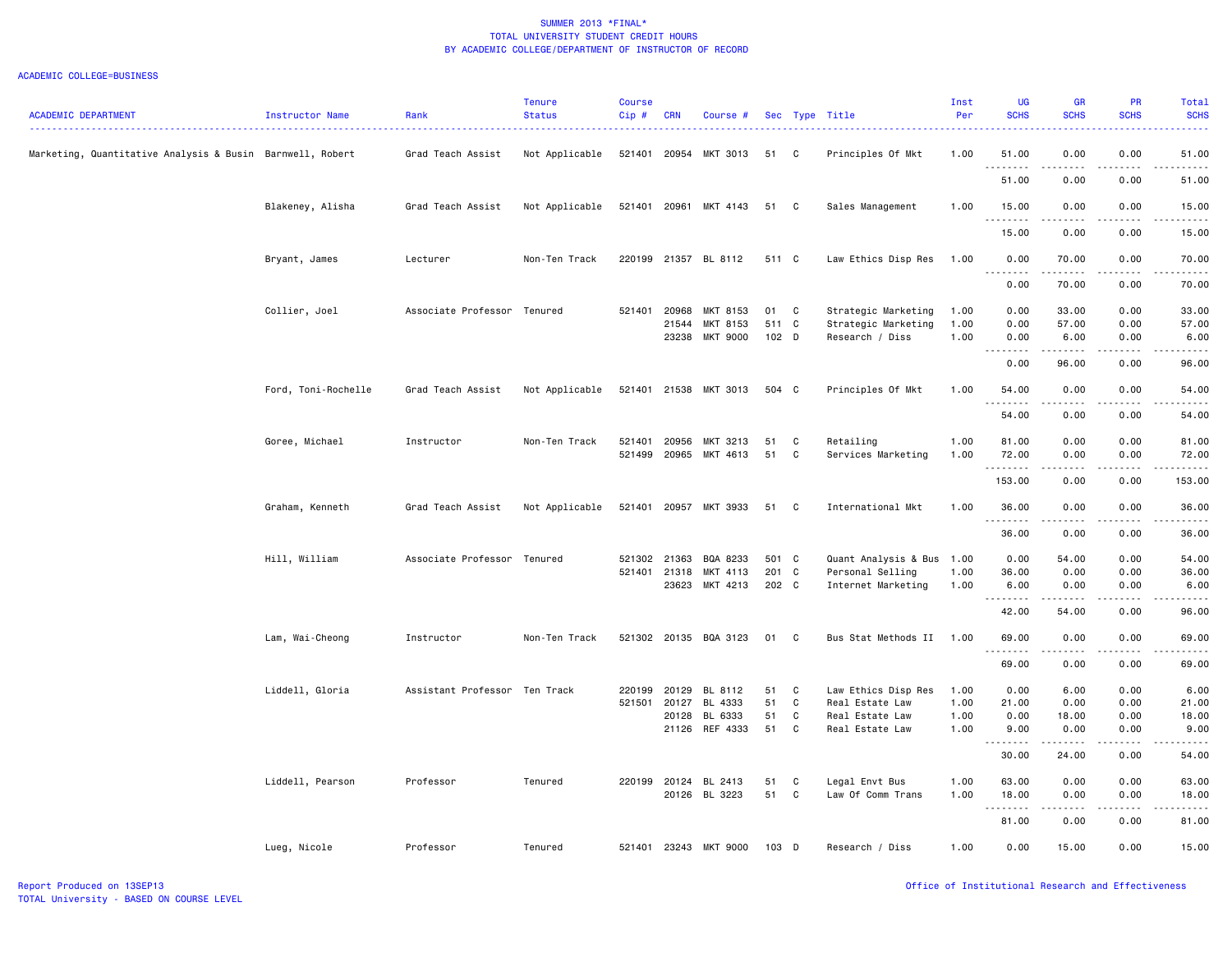| <b>ACADEMIC DEPARTMENT</b>                                | <b>Instructor Name</b> | Rank<br>.                     | <b>Tenure</b><br><b>Status</b> | Course<br>Cip# | <b>CRN</b>   | Course #              |       |   | Sec Type Title<br>. <u>.</u> | Inst<br>Per | <b>UG</b><br><b>SCHS</b>                                                                                                                             | GR<br><b>SCHS</b> | <b>PR</b><br><b>SCHS</b>                                                                                                          | Total<br><b>SCHS</b><br>بالأساس                                                                                                                               |
|-----------------------------------------------------------|------------------------|-------------------------------|--------------------------------|----------------|--------------|-----------------------|-------|---|------------------------------|-------------|------------------------------------------------------------------------------------------------------------------------------------------------------|-------------------|-----------------------------------------------------------------------------------------------------------------------------------|---------------------------------------------------------------------------------------------------------------------------------------------------------------|
| Marketing, Quantitative Analysis & Busin Barnwell, Robert |                        | Grad Teach Assist             | Not Applicable                 |                | 521401 20954 | MKT 3013              | 51    | C | Principles Of Mkt            | 1.00        | 51.00<br><u>.</u>                                                                                                                                    | 0.00              | 0.00                                                                                                                              | 51.00<br>.                                                                                                                                                    |
|                                                           |                        |                               |                                |                |              |                       |       |   |                              |             | 51.00                                                                                                                                                | 0.00              | 0.00                                                                                                                              | 51.00                                                                                                                                                         |
|                                                           | Blakeney, Alisha       | Grad Teach Assist             | Not Applicable                 |                |              | 521401 20961 MKT 4143 | 51    | C | Sales Management             | 1.00        | 15.00<br>.                                                                                                                                           | 0.00<br>-----     | 0.00<br>$- - - -$                                                                                                                 | 15.00<br>.                                                                                                                                                    |
|                                                           |                        |                               |                                |                |              |                       |       |   |                              |             | 15.00                                                                                                                                                | 0.00              | 0.00                                                                                                                              | 15.00                                                                                                                                                         |
|                                                           | Bryant, James          | Lecturer                      | Non-Ten Track                  |                |              | 220199 21357 BL 8112  | 511 C |   | Law Ethics Disp Res          | 1.00        | 0.00<br>$\sim$ $\sim$ $\sim$<br>.                                                                                                                    | 70.00             | 0.00<br>----                                                                                                                      | 70.00<br>$\frac{1}{2}$                                                                                                                                        |
|                                                           |                        |                               |                                |                |              |                       |       |   |                              |             | 0.00                                                                                                                                                 | 70.00             | 0.00                                                                                                                              | 70.00                                                                                                                                                         |
|                                                           | Collier, Joel          | Associate Professor Tenured   |                                | 521401 20968   |              | MKT 8153              | 01    | C | Strategic Marketing          | 1.00        | 0.00                                                                                                                                                 | 33.00             | 0.00                                                                                                                              | 33.00                                                                                                                                                         |
|                                                           |                        |                               |                                |                | 21544        | MKT 8153              | 511 C |   | Strategic Marketing          | 1.00        | 0.00                                                                                                                                                 | 57.00             | 0.00                                                                                                                              | 57.00                                                                                                                                                         |
|                                                           |                        |                               |                                |                | 23238        | MKT 9000              | 102 D |   | Research / Diss              | 1.00        | 0.00<br>.                                                                                                                                            | 6.00              | 0.00                                                                                                                              | 6.00<br>.                                                                                                                                                     |
|                                                           |                        |                               |                                |                |              |                       |       |   |                              |             | 0.00                                                                                                                                                 | 96.00             | 0.00                                                                                                                              | 96.00                                                                                                                                                         |
|                                                           | Ford, Toni-Rochelle    | Grad Teach Assist             | Not Applicable                 |                | 521401 21538 | MKT 3013              | 504 C |   | Principles Of Mkt            | 1.00        | 54.00<br>.                                                                                                                                           | 0.00<br>.         | 0.00<br>$\sim$ $\sim$ $\sim$                                                                                                      | 54.00<br>.                                                                                                                                                    |
|                                                           |                        |                               |                                |                |              |                       |       |   |                              |             | 54.00                                                                                                                                                | 0.00              | 0.00                                                                                                                              | 54.00                                                                                                                                                         |
|                                                           | Goree, Michael         | Instructor                    | Non-Ten Track                  | 521401         | 20956        | MKT 3213              | 51    | C | Retailing                    | 1.00        | 81.00                                                                                                                                                | 0.00              | 0.00                                                                                                                              | 81.00                                                                                                                                                         |
|                                                           |                        |                               |                                | 521499         | 20965        | MKT 4613              | 51    | C | Services Marketing           | 1.00        | 72.00<br>.                                                                                                                                           | 0.00<br>.         | 0.00<br>.                                                                                                                         | 72.00<br>.                                                                                                                                                    |
|                                                           |                        |                               |                                |                |              |                       |       |   |                              |             | 153.00                                                                                                                                               | 0.00              | 0.00                                                                                                                              | 153.00                                                                                                                                                        |
|                                                           | Graham, Kenneth        | Grad Teach Assist             | Not Applicable                 | 521401         |              | 20957 MKT 3933        | 51    | C | International Mkt            | 1.00        | 36.00<br>. <b>.</b>                                                                                                                                  | 0.00<br>.         | 0.00<br>د د د د                                                                                                                   | 36.00<br>.                                                                                                                                                    |
|                                                           |                        |                               |                                |                |              |                       |       |   |                              |             | 36.00                                                                                                                                                | 0.00              | 0.00                                                                                                                              | 36.00                                                                                                                                                         |
|                                                           | Hill, William          | Associate Professor Tenured   |                                | 521302 21363   |              | BQA 8233              | 501 C |   | Quant Analysis & Bus 1.00    |             | 0.00                                                                                                                                                 | 54.00             | 0.00                                                                                                                              | 54.00                                                                                                                                                         |
|                                                           |                        |                               |                                | 521401 21318   |              | MKT 4113              | 201 C |   | Personal Selling             | 1.00        | 36.00                                                                                                                                                | 0.00              | 0.00                                                                                                                              | 36.00                                                                                                                                                         |
|                                                           |                        |                               |                                |                | 23623        | MKT 4213              | 202 C |   | Internet Marketing           | 1.00        | 6.00<br>.                                                                                                                                            | 0.00              | 0.00                                                                                                                              | 6.00<br>.                                                                                                                                                     |
|                                                           |                        |                               |                                |                |              |                       |       |   |                              |             | 42.00                                                                                                                                                | 54.00             | 0.00                                                                                                                              | 96.00                                                                                                                                                         |
|                                                           | Lam, Wai-Cheong        | Instructor                    | Non-Ten Track                  |                |              | 521302 20135 BQA 3123 | 01    | C | Bus Stat Methods II 1.00     |             | 69.00                                                                                                                                                | 0.00              | 0.00                                                                                                                              | 69.00                                                                                                                                                         |
|                                                           |                        |                               |                                |                |              |                       |       |   |                              |             | .<br>69.00                                                                                                                                           | 0.00              | $\frac{1}{2} \left( \frac{1}{2} \right) \left( \frac{1}{2} \right) \left( \frac{1}{2} \right) \left( \frac{1}{2} \right)$<br>0.00 | .<br>69.00                                                                                                                                                    |
|                                                           | Liddell, Gloria        | Assistant Professor Ten Track |                                | 220199         | 20129        | BL 8112               | 51    | C | Law Ethics Disp Res          | 1.00        | 0.00                                                                                                                                                 | 6.00              | 0.00                                                                                                                              | 6.00                                                                                                                                                          |
|                                                           |                        |                               |                                | 521501         | 20127        | BL 4333               | 51    | C | Real Estate Law              | 1.00        | 21.00                                                                                                                                                | 0.00              | 0.00                                                                                                                              | 21.00                                                                                                                                                         |
|                                                           |                        |                               |                                |                | 20128        | BL 6333               | 51    | C | Real Estate Law              | 1.00        | 0.00                                                                                                                                                 | 18.00             | 0.00                                                                                                                              | 18.00                                                                                                                                                         |
|                                                           |                        |                               |                                |                |              | 21126 REF 4333        | 51    | C | Real Estate Law              | 1.00        | 9.00                                                                                                                                                 | 0.00              | 0.00                                                                                                                              | 9.00                                                                                                                                                          |
|                                                           |                        |                               |                                |                |              |                       |       |   |                              |             | .<br>30.00                                                                                                                                           | .<br>24.00        | د د د د<br>0.00                                                                                                                   | $\frac{1}{2} \left( \frac{1}{2} \right) \left( \frac{1}{2} \right) \left( \frac{1}{2} \right) \left( \frac{1}{2} \right) \left( \frac{1}{2} \right)$<br>54.00 |
|                                                           | Liddell, Pearson       | Professor                     | Tenured                        |                | 220199 20124 | BL 2413               | 51    | C | Legal Envt Bus               | 1.00        | 63.00                                                                                                                                                | 0.00              | 0.00                                                                                                                              | 63.00                                                                                                                                                         |
|                                                           |                        |                               |                                |                | 20126        | BL 3223               | 51    | C | Law Of Comm Trans            | 1.00        | 18.00                                                                                                                                                | 0.00              | 0.00                                                                                                                              | 18.00                                                                                                                                                         |
|                                                           |                        |                               |                                |                |              |                       |       |   |                              |             | $\frac{1}{2} \left( \frac{1}{2} \right) \left( \frac{1}{2} \right) \left( \frac{1}{2} \right) \left( \frac{1}{2} \right) \left( \frac{1}{2} \right)$ | .                 | .                                                                                                                                 | $\frac{1}{2} \left( \frac{1}{2} \right) \left( \frac{1}{2} \right) \left( \frac{1}{2} \right) \left( \frac{1}{2} \right) \left( \frac{1}{2} \right)$          |
|                                                           |                        |                               |                                |                |              |                       |       |   |                              |             | 81.00                                                                                                                                                | 0.00              | 0.00                                                                                                                              | 81.00                                                                                                                                                         |
|                                                           | Lueg, Nicole           | Professor                     | Tenured                        | 521401         | 23243        | MKT 9000              | 103   | D | Research / Diss              | 1.00        | 0.00                                                                                                                                                 | 15.00             | 0.00                                                                                                                              | 15.00                                                                                                                                                         |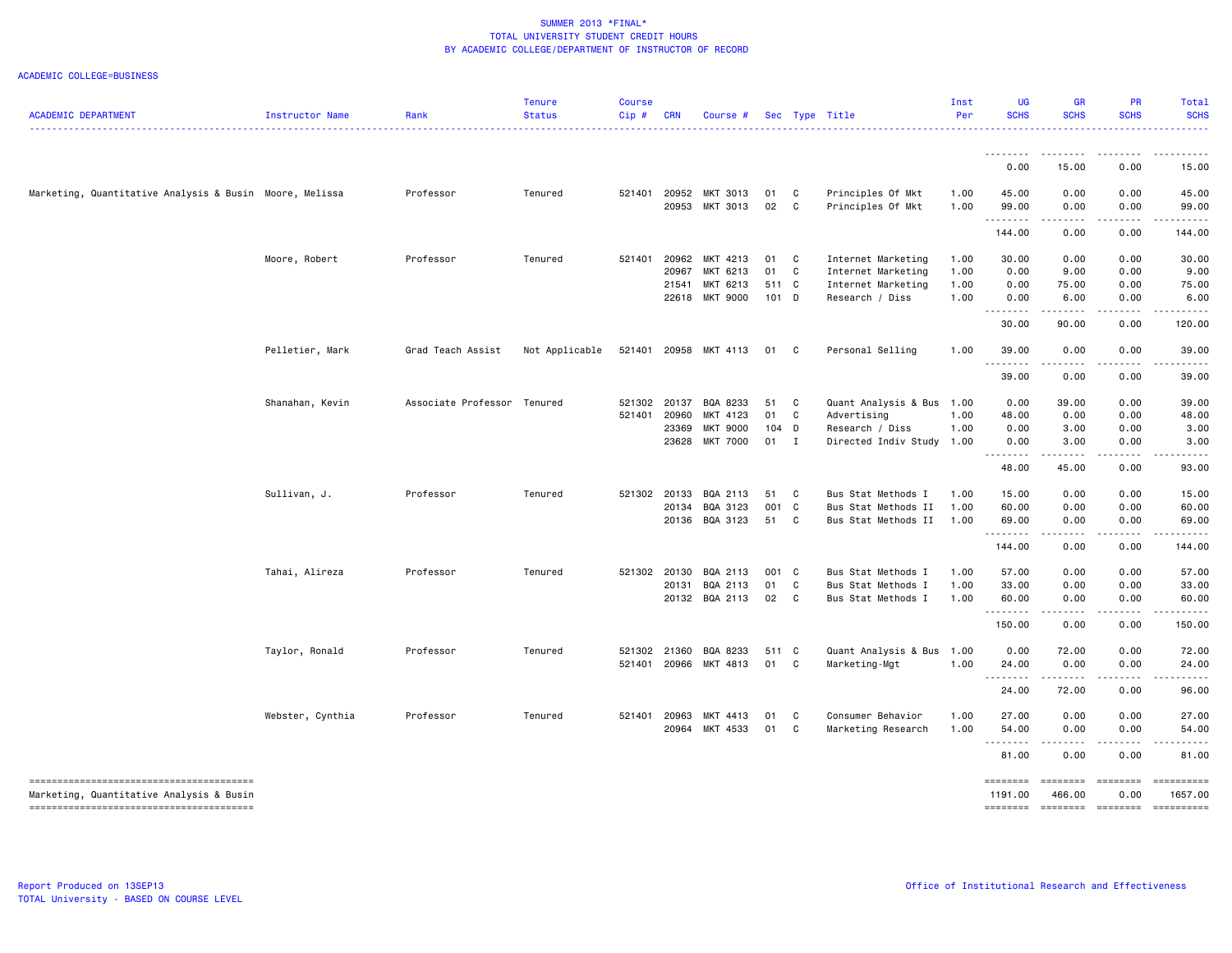| <b>ACADEMIC DEPARTMENT</b>                              | Instructor Name  | Rank                        | <b>Tenure</b><br><b>Status</b> | Course<br>Cip# | <b>CRN</b> | Course #        |       |              | Sec Type Title            | Inst<br>Per | <b>UG</b><br><b>SCHS</b> | <b>GR</b><br><b>SCHS</b>                                                                                                                                                                                                                                                                                                                                                                             | <b>PR</b><br><b>SCHS</b>                                                                                                                             | <b>Total</b><br><b>SCHS</b> |
|---------------------------------------------------------|------------------|-----------------------------|--------------------------------|----------------|------------|-----------------|-------|--------------|---------------------------|-------------|--------------------------|------------------------------------------------------------------------------------------------------------------------------------------------------------------------------------------------------------------------------------------------------------------------------------------------------------------------------------------------------------------------------------------------------|------------------------------------------------------------------------------------------------------------------------------------------------------|-----------------------------|
|                                                         |                  |                             |                                |                |            |                 |       |              |                           |             |                          |                                                                                                                                                                                                                                                                                                                                                                                                      |                                                                                                                                                      |                             |
|                                                         |                  |                             |                                |                |            |                 |       |              |                           |             | 0.00                     | 15.00                                                                                                                                                                                                                                                                                                                                                                                                | 0.00                                                                                                                                                 | 15.00                       |
| Marketing, Quantitative Analysis & Busin Moore, Melissa |                  | Professor                   | Tenured                        | 521401         | 20952      | MKT 3013        | 01    | C            | Principles Of Mkt         | 1.00        | 45.00                    | 0.00                                                                                                                                                                                                                                                                                                                                                                                                 | 0.00                                                                                                                                                 | 45.00                       |
|                                                         |                  |                             |                                |                | 20953      | MKT 3013        | 02    | C            | Principles Of Mkt         | 1.00        | 99.00<br>.               | 0.00<br>.                                                                                                                                                                                                                                                                                                                                                                                            | 0.00<br>.                                                                                                                                            | 99.00<br>.                  |
|                                                         |                  |                             |                                |                |            |                 |       |              |                           |             | 144.00                   | 0.00                                                                                                                                                                                                                                                                                                                                                                                                 | 0.00                                                                                                                                                 | 144.00                      |
|                                                         | Moore, Robert    | Professor                   | Tenured                        | 521401         | 20962      | MKT 4213        | 01    | $\mathbf{C}$ | Internet Marketing        | 1.00        | 30.00                    | 0.00                                                                                                                                                                                                                                                                                                                                                                                                 | 0.00                                                                                                                                                 | 30.00                       |
|                                                         |                  |                             |                                |                | 20967      | MKT 6213        | 01    | C            | Internet Marketing        | 1.00        | 0.00                     | 9.00                                                                                                                                                                                                                                                                                                                                                                                                 | 0.00                                                                                                                                                 | 9.00                        |
|                                                         |                  |                             |                                |                | 21541      | MKT 6213        | 511 C |              | Internet Marketing        | 1.00        | 0.00                     | 75.00                                                                                                                                                                                                                                                                                                                                                                                                | 0.00                                                                                                                                                 | 75.00                       |
|                                                         |                  |                             |                                |                | 22618      | MKT 9000        | 101 D |              | Research / Diss           | 1.00        | 0.00<br>.                | 6.00                                                                                                                                                                                                                                                                                                                                                                                                 | 0.00<br>.                                                                                                                                            | 6.00<br>.                   |
|                                                         |                  |                             |                                |                |            |                 |       |              |                           |             | 30.00                    | 90.00                                                                                                                                                                                                                                                                                                                                                                                                | 0.00                                                                                                                                                 | 120.00                      |
|                                                         | Pelletier, Mark  | Grad Teach Assist           | Not Applicable                 | 521401         |            | 20958 MKT 4113  | 01    | $\mathbf{C}$ | Personal Selling          | 1.00        | 39.00<br><u>.</u>        | 0.00<br>$\frac{1}{2} \frac{1}{2} \frac{1}{2} \frac{1}{2} \frac{1}{2} \frac{1}{2} \frac{1}{2} \frac{1}{2} \frac{1}{2} \frac{1}{2} \frac{1}{2} \frac{1}{2} \frac{1}{2} \frac{1}{2} \frac{1}{2} \frac{1}{2} \frac{1}{2} \frac{1}{2} \frac{1}{2} \frac{1}{2} \frac{1}{2} \frac{1}{2} \frac{1}{2} \frac{1}{2} \frac{1}{2} \frac{1}{2} \frac{1}{2} \frac{1}{2} \frac{1}{2} \frac{1}{2} \frac{1}{2} \frac{$ | 0.00                                                                                                                                                 | 39.00<br>$\frac{1}{2}$      |
|                                                         |                  |                             |                                |                |            |                 |       |              |                           |             | 39.00                    | 0.00                                                                                                                                                                                                                                                                                                                                                                                                 | 0.00                                                                                                                                                 | 39.00                       |
|                                                         | Shanahan, Kevin  | Associate Professor Tenured |                                | 521302         | 20137      | BQA 8233        | 51    | C            | Quant Analysis & Bus 1.00 |             | 0.00                     | 39.00                                                                                                                                                                                                                                                                                                                                                                                                | 0.00                                                                                                                                                 | 39.00                       |
|                                                         |                  |                             |                                | 521401         | 20960      | MKT 4123        | 01    | C            | Advertising               | 1.00        | 48.00                    | 0.00                                                                                                                                                                                                                                                                                                                                                                                                 | 0.00                                                                                                                                                 | 48.00                       |
|                                                         |                  |                             |                                |                | 23369      | <b>MKT 9000</b> | 104 D |              | Research / Diss           | 1.00        | 0.00                     | 3.00                                                                                                                                                                                                                                                                                                                                                                                                 | 0.00                                                                                                                                                 | 3.00                        |
|                                                         |                  |                             |                                |                | 23628      | MKT 7000        | 01    | $\mathbf{I}$ | Directed Indiv Study 1.00 |             | 0.00                     | 3.00                                                                                                                                                                                                                                                                                                                                                                                                 | 0.00                                                                                                                                                 | 3.00                        |
|                                                         |                  |                             |                                |                |            |                 |       |              |                           |             | .<br>48.00               | .<br>45.00                                                                                                                                                                                                                                                                                                                                                                                           | .<br>0.00                                                                                                                                            | $    -$<br>93.00            |
|                                                         | Sullivan, J.     | Professor                   | Tenured                        | 521302         | 20133      | BQA 2113        | 51    | C            | Bus Stat Methods I        | 1.00        | 15.00                    | 0.00                                                                                                                                                                                                                                                                                                                                                                                                 | 0.00                                                                                                                                                 | 15.00                       |
|                                                         |                  |                             |                                |                | 20134      | BQA 3123        | 001 C |              | Bus Stat Methods II       | 1.00        | 60.00                    | 0.00                                                                                                                                                                                                                                                                                                                                                                                                 | 0.00                                                                                                                                                 | 60.00                       |
|                                                         |                  |                             |                                |                | 20136      | BQA 3123        | 51    | C            | Bus Stat Methods II       | 1.00        | 69.00<br>.               | 0.00<br>----                                                                                                                                                                                                                                                                                                                                                                                         | 0.00<br>$  -$                                                                                                                                        | 69.00<br>$\frac{1}{2}$      |
|                                                         |                  |                             |                                |                |            |                 |       |              |                           |             | 144.00                   | 0.00                                                                                                                                                                                                                                                                                                                                                                                                 | 0.00                                                                                                                                                 | 144.00                      |
|                                                         | Tahai, Alireza   | Professor                   | Tenured                        | 521302         | 20130      | BQA 2113        | 001 C |              | Bus Stat Methods I        | 1.00        | 57.00                    | 0.00                                                                                                                                                                                                                                                                                                                                                                                                 | 0.00                                                                                                                                                 | 57.00                       |
|                                                         |                  |                             |                                |                | 20131      | BQA 2113        | 01    | $\mathbf c$  | Bus Stat Methods I        | 1.00        | 33.00                    | 0.00                                                                                                                                                                                                                                                                                                                                                                                                 | 0.00                                                                                                                                                 | 33.00                       |
|                                                         |                  |                             |                                |                | 20132      | BQA 2113        | 02    | $\mathbf{C}$ | Bus Stat Methods I        | 1.00        | 60.00<br>.               | 0.00                                                                                                                                                                                                                                                                                                                                                                                                 | 0.00<br>$\frac{1}{2}$                                                                                                                                | 60.00                       |
|                                                         |                  |                             |                                |                |            |                 |       |              |                           |             | 150.00                   | 0.00                                                                                                                                                                                                                                                                                                                                                                                                 | 0.00                                                                                                                                                 | 150.00                      |
|                                                         | Taylor, Ronald   | Professor                   | Tenured                        | 521302         | 21360      | BQA 8233        | 511 C |              | Quant Analysis & Bus 1.00 |             | 0.00                     | 72.00                                                                                                                                                                                                                                                                                                                                                                                                | 0.00                                                                                                                                                 | 72.00                       |
|                                                         |                  |                             |                                | 521401         |            | 20966 MKT 4813  | 01 C  |              | Marketing-Mgt             | 1.00        | 24.00                    | 0.00                                                                                                                                                                                                                                                                                                                                                                                                 | 0.00                                                                                                                                                 | 24.00                       |
|                                                         |                  |                             |                                |                |            |                 |       |              |                           |             | .                        | $\begin{array}{cccccccccc} \bullet & \bullet & \bullet & \bullet & \bullet & \bullet & \bullet & \bullet \end{array}$                                                                                                                                                                                                                                                                                | $\frac{1}{2} \left( \frac{1}{2} \right) \left( \frac{1}{2} \right) \left( \frac{1}{2} \right) \left( \frac{1}{2} \right) \left( \frac{1}{2} \right)$ | .                           |
|                                                         |                  |                             |                                |                |            |                 |       |              |                           |             | 24.00                    | 72.00                                                                                                                                                                                                                                                                                                                                                                                                | 0.00                                                                                                                                                 | 96.00                       |
|                                                         | Webster, Cynthia | Professor                   | Tenured                        | 521401         | 20963      | MKT 4413        | 01    | C            | Consumer Behavior         | 1.00        | 27.00                    | 0.00                                                                                                                                                                                                                                                                                                                                                                                                 | 0.00                                                                                                                                                 | 27.00                       |
|                                                         |                  |                             |                                |                | 20964      | MKT 4533        | 01    | C            | Marketing Research        | 1.00        | 54.00<br><u>.</u>        | 0.00<br>$\frac{1}{2} \left( \frac{1}{2} \right) \left( \frac{1}{2} \right) \left( \frac{1}{2} \right) \left( \frac{1}{2} \right)$                                                                                                                                                                                                                                                                    | 0.00<br>.                                                                                                                                            | 54.00<br>$- - - - -$        |
|                                                         |                  |                             |                                |                |            |                 |       |              |                           |             | 81.00                    | 0.00                                                                                                                                                                                                                                                                                                                                                                                                 | 0.00                                                                                                                                                 | 81.00                       |
|                                                         |                  |                             |                                |                |            |                 |       |              |                           |             | ========                 | <b>ESSESSE</b>                                                                                                                                                                                                                                                                                                                                                                                       | <b>ESSESSE</b>                                                                                                                                       | ==========                  |
| Marketing, Quantitative Analysis & Busin                |                  |                             |                                |                |            |                 |       |              |                           |             | 1191.00                  | 466.00                                                                                                                                                                                                                                                                                                                                                                                               | 0.00                                                                                                                                                 | 1657.00                     |
|                                                         |                  |                             |                                |                |            |                 |       |              |                           |             | ========                 | <b>ESSESSE</b>                                                                                                                                                                                                                                                                                                                                                                                       |                                                                                                                                                      |                             |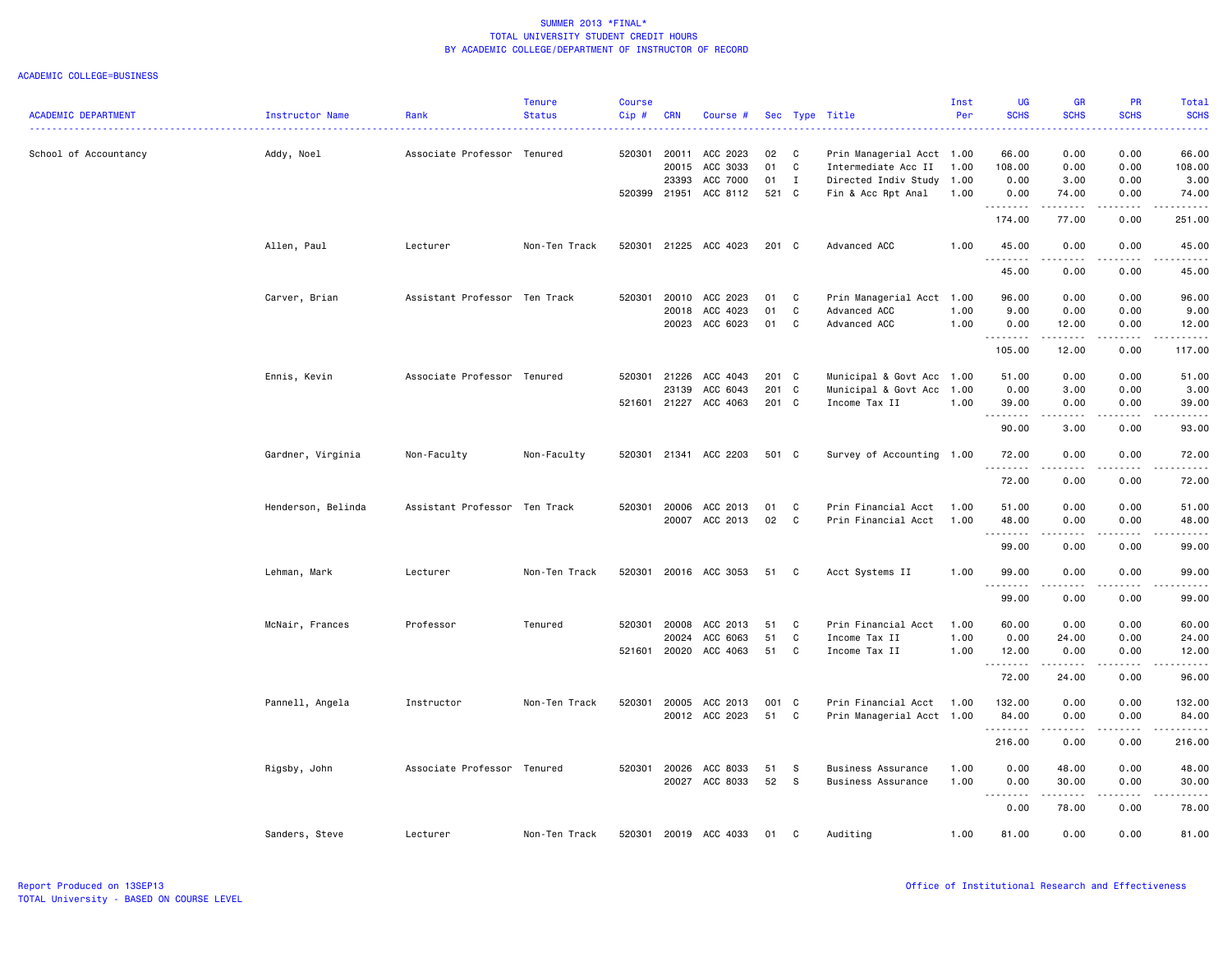#### ACADEMIC COLLEGE=BUSINESS

|                            |                    |                               | <b>Tenure</b> | <b>Course</b> |            |                |               |              |                           | Inst | UG                                     | <b>GR</b>           | PR                    | Total                                                                                                                                                         |
|----------------------------|--------------------|-------------------------------|---------------|---------------|------------|----------------|---------------|--------------|---------------------------|------|----------------------------------------|---------------------|-----------------------|---------------------------------------------------------------------------------------------------------------------------------------------------------------|
| <b>ACADEMIC DEPARTMENT</b> | Instructor Name    | Rank                          | <b>Status</b> | Cip #         | <b>CRN</b> | Course #       |               |              | Sec Type Title            | Per  | <b>SCHS</b>                            | <b>SCHS</b>         | <b>SCHS</b>           | <b>SCHS</b>                                                                                                                                                   |
| School of Accountancy      | Addy, Noel         | Associate Professor Tenured   |               | 520301        | 20011      | ACC 2023       | 02            | C            | Prin Managerial Acct 1.00 |      | 66.00                                  | 0.00                | 0.00                  | 66.00                                                                                                                                                         |
|                            |                    |                               |               |               | 20015      | ACC 3033       | 01            | $\mathbf c$  | Intermediate Acc II       | 1.00 | 108.00                                 | 0.00                | 0.00                  | 108.00                                                                                                                                                        |
|                            |                    |                               |               |               | 23393      | ACC 7000       | 01            | $\mathbf{I}$ | Directed Indiv Study 1.00 |      | 0.00                                   | 3.00                | 0.00                  | 3.00                                                                                                                                                          |
|                            |                    |                               |               | 520399        | 21951      | ACC 8112       | 521 C         |              | Fin & Acc Rpt Anal        | 1.00 | 0.00                                   | 74.00               | 0.00                  | 74.00                                                                                                                                                         |
|                            |                    |                               |               |               |            |                |               |              |                           |      | .<br>174.00                            | .<br>77.00          | $- - - -$<br>0.00     | .<br>251.00                                                                                                                                                   |
|                            | Allen, Paul        | Lecturer                      | Non-Ten Track | 520301        |            | 21225 ACC 4023 | $201 \quad C$ |              | Advanced ACC              | 1.00 | 45.00<br><u>.</u>                      | 0.00<br><u>.</u>    | 0.00                  | 45.00<br>.                                                                                                                                                    |
|                            |                    |                               |               |               |            |                |               |              |                           |      | 45.00                                  | 0.00                | 0.00                  | 45.00                                                                                                                                                         |
|                            | Carver, Brian      | Assistant Professor Ten Track |               | 520301        | 20010      | ACC 2023       | 01            | C            | Prin Managerial Acct 1.00 |      | 96.00                                  | 0.00                | 0.00                  | 96.00                                                                                                                                                         |
|                            |                    |                               |               |               | 20018      | ACC 4023       | 01            | C            | Advanced ACC              | 1.00 | 9.00                                   | 0.00                | 0.00                  | 9.00                                                                                                                                                          |
|                            |                    |                               |               |               | 20023      | ACC 6023       | 01            | C            | Advanced ACC              | 1.00 | 0.00                                   | 12.00<br>.          | 0.00<br>.             | 12.00<br>.                                                                                                                                                    |
|                            |                    |                               |               |               |            |                |               |              |                           |      | 105.00                                 | 12.00               | 0.00                  | 117.00                                                                                                                                                        |
|                            | Ennis, Kevin       | Associate Professor Tenured   |               | 520301        | 21226      | ACC 4043       | 201 C         |              | Municipal & Govt Acc 1.00 |      | 51.00                                  | 0.00                | 0.00                  | 51.00                                                                                                                                                         |
|                            |                    |                               |               |               | 23139      | ACC 6043       | 201 C         |              | Municipal & Govt Acc      | 1.00 | 0.00                                   | 3.00                | 0.00                  | 3.00                                                                                                                                                          |
|                            |                    |                               |               | 521601        |            | 21227 ACC 4063 | 201 C         |              | Income Tax II             | 1.00 | 39.00                                  | 0.00                | 0.00                  | 39.00                                                                                                                                                         |
|                            |                    |                               |               |               |            |                |               |              |                           |      | .<br>90.00                             | 3.00                | 0.00                  | $\frac{1}{2} \left( \frac{1}{2} \right) \left( \frac{1}{2} \right) \left( \frac{1}{2} \right) \left( \frac{1}{2} \right) \left( \frac{1}{2} \right)$<br>93.00 |
|                            | Gardner, Virginia  | Non-Faculty                   | Non-Faculty   | 520301        |            | 21341 ACC 2203 | 501 C         |              | Survey of Accounting 1.00 |      | 72.00                                  | 0.00                | 0.00                  | 72.00                                                                                                                                                         |
|                            |                    |                               |               |               |            |                |               |              |                           |      | 72.00                                  | .<br>0.00           | .<br>0.00             | .<br>72.00                                                                                                                                                    |
|                            | Henderson, Belinda | Assistant Professor Ten Track |               | 520301        | 20006      | ACC 2013       | 01            | C            | Prin Financial Acct       | 1.00 | 51.00                                  | 0.00                | 0.00                  | 51.00                                                                                                                                                         |
|                            |                    |                               |               |               |            | 20007 ACC 2013 | 02            | $\mathbf c$  | Prin Financial Acct       | 1.00 | 48.00                                  | 0.00<br>$- - - - -$ | 0.00<br>.             | 48.00                                                                                                                                                         |
|                            |                    |                               |               |               |            |                |               |              |                           |      | 99.00                                  | 0.00                | 0.00                  | .<br>99.00                                                                                                                                                    |
|                            | Lehman, Mark       | Lecturer                      | Non-Ten Track | 520301        |            | 20016 ACC 3053 | 51            | C            | Acct Systems II           | 1.00 | 99.00<br>.                             | 0.00                | 0.00                  | 99.00                                                                                                                                                         |
|                            |                    |                               |               |               |            |                |               |              |                           |      | 99.00                                  | 0.00                | 0.00                  | 99.00                                                                                                                                                         |
|                            | McNair, Frances    | Professor                     | Tenured       | 520301        | 20008      | ACC 2013       | 51            | C            | Prin Financial Acct       | 1.00 | 60.00                                  | 0.00                | 0.00                  | 60.00                                                                                                                                                         |
|                            |                    |                               |               |               | 20024      | ACC 6063       | 51            | C            | Income Tax II             | 1.00 | 0.00                                   | 24.00               | 0.00                  | 24.00                                                                                                                                                         |
|                            |                    |                               |               | 521601        | 20020      | ACC 4063       | 51            | C            | Income Tax II             | 1.00 | 12.00<br>. <b>.</b>                    | 0.00<br>.           | 0.00<br>.             | 12.00<br>.                                                                                                                                                    |
|                            |                    |                               |               |               |            |                |               |              |                           |      | 72.00                                  | 24.00               | 0.00                  | 96.00                                                                                                                                                         |
|                            | Pannell, Angela    | Instructor                    | Non-Ten Track | 520301        | 20005      | ACC 2013       | 001 C         |              | Prin Financial Acct       | 1.00 | 132.00                                 | 0.00                | 0.00                  | 132.00                                                                                                                                                        |
|                            |                    |                               |               |               |            | 20012 ACC 2023 | 51            | C            | Prin Managerial Acct 1.00 |      | 84.00                                  | 0.00                | 0.00                  | 84.00                                                                                                                                                         |
|                            |                    |                               |               |               |            |                |               |              |                           |      |                                        | $- - - - - - -$     | .                     |                                                                                                                                                               |
|                            |                    |                               |               |               |            |                |               |              |                           |      | 216.00                                 | 0.00                | 0.00                  | 216.00                                                                                                                                                        |
|                            | Rigsby, John       | Associate Professor Tenured   |               | 520301        | 20026      | ACC 8033       | 51            | - S          | Business Assurance        | 1.00 | 0.00                                   | 48.00               | 0.00                  | 48.00                                                                                                                                                         |
|                            |                    |                               |               |               |            | 20027 ACC 8033 | 52            | <b>S</b>     | Business Assurance        | 1.00 | 0.00                                   | 30.00               | 0.00                  | 30.00                                                                                                                                                         |
|                            |                    |                               |               |               |            |                |               |              |                           |      | $\sim$ $\sim$<br>$\frac{1}{2}$<br>0.00 | .<br>78.00          | $\frac{1}{2}$<br>0.00 | . <u>.</u><br>78.00                                                                                                                                           |
|                            | Sanders, Steve     | Lecturer                      | Non-Ten Track | 520301        |            | 20019 ACC 4033 | 01            | C            | Auditing                  | 1.00 | 81.00                                  | 0.00                | 0.00                  | 81.00                                                                                                                                                         |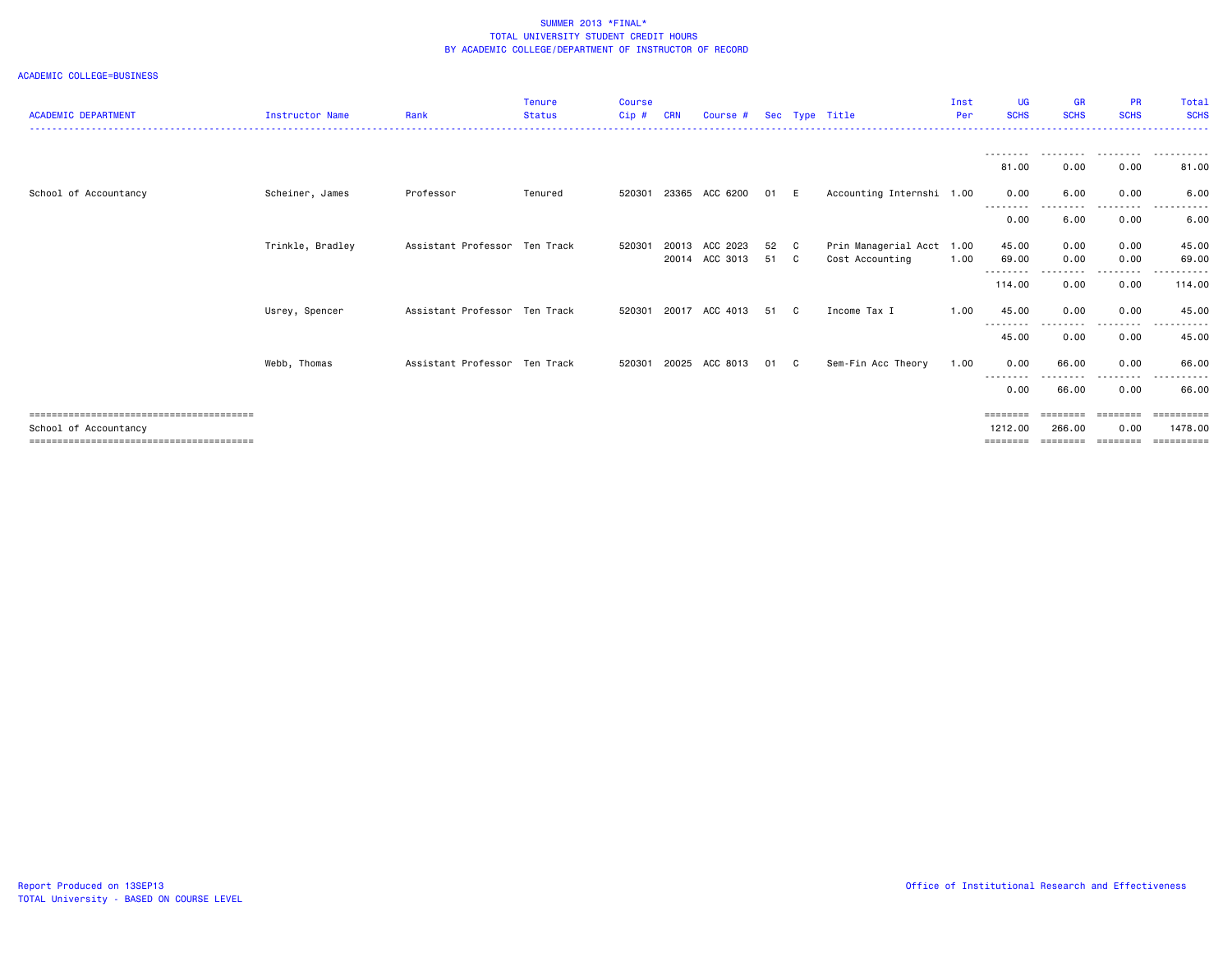#### ACADEMIC COLLEGE=BUSINESS

|                            |                        |                               | <b>Tenure</b> | <b>Course</b> |            |                |      |                |                           | Inst | <b>UG</b>               | <b>GR</b>         | <b>PR</b>         | Total       |
|----------------------------|------------------------|-------------------------------|---------------|---------------|------------|----------------|------|----------------|---------------------------|------|-------------------------|-------------------|-------------------|-------------|
| <b>ACADEMIC DEPARTMENT</b> | <b>Instructor Name</b> | Rank                          | <b>Status</b> | $Cip$ #       | <b>CRN</b> | Course #       |      |                | Sec Type Title            | Per  | <b>SCHS</b>             | <b>SCHS</b>       | <b>SCHS</b>       | <b>SCHS</b> |
|                            |                        |                               |               |               |            |                |      |                |                           |      |                         |                   |                   |             |
|                            |                        |                               |               |               |            |                |      |                |                           |      | --------<br>81,00       | ---------<br>0.00 | .<br>0.00         | .<br>81.00  |
| School of Accountancy      | Scheiner, James        | Professor                     | Tenured       | 520301        | 23365      | ACC 6200       | 01   | E              | Accounting Internshi 1.00 |      | 0.00<br><u>--------</u> | 6.00              | 0.00              | 6.00        |
|                            |                        |                               |               |               |            |                |      |                |                           |      | 0.00                    | 6.00              | $- - - -$<br>0.00 | 6.00        |
|                            | Trinkle, Bradley       | Assistant Professor Ten Track |               | 520301        | 20013      | ACC 2023       | 52   | C <sub>1</sub> | Prin Managerial Acct 1.00 |      | 45.00                   | 0.00              | 0.00              | 45.00       |
|                            |                        |                               |               |               | 20014      | ACC 3013       | 51 C |                | Cost Accounting           | 1.00 | 69.00                   | 0.00              | 0.00              | 69.00       |
|                            |                        |                               |               |               |            |                |      |                |                           |      | --------<br>114.00      | 0.00              | $- - - -$<br>0.00 | 114.00      |
|                            | Usrey, Spencer         | Assistant Professor Ten Track |               | 520301        | 20017      | ACC 4013       | 51   | C.             | Income Tax I              | 1.00 | 45.00<br>--------       | 0.00              | 0.00<br>.         | 45.00<br>.  |
|                            |                        |                               |               |               |            |                |      |                |                           |      | 45.00                   | 0.00              | 0.00              | 45.00       |
|                            | Webb, Thomas           | Assistant Professor Ten Track |               | 520301        |            | 20025 ACC 8013 | 01   | C.             | Sem-Fin Acc Theory        | 1.00 | 0.00<br>--------        | 66.00             | 0.00<br><u>.</u>  | 66.00<br>.  |
|                            |                        |                               |               |               |            |                |      |                |                           |      | 0.00                    | 66.00             | 0.00              | 66.00       |
|                            |                        |                               |               |               |            |                |      |                |                           |      | $=$ = = = = = = =       |                   | ========          |             |
| School of Accountancy      |                        |                               |               |               |            |                |      |                |                           |      | 1212.00                 | 266.00            | 0.00              | 1478.00     |
|                            |                        |                               |               |               |            |                |      |                |                           |      | $=$ = = = = = = =       | ========          | ========          | ==========  |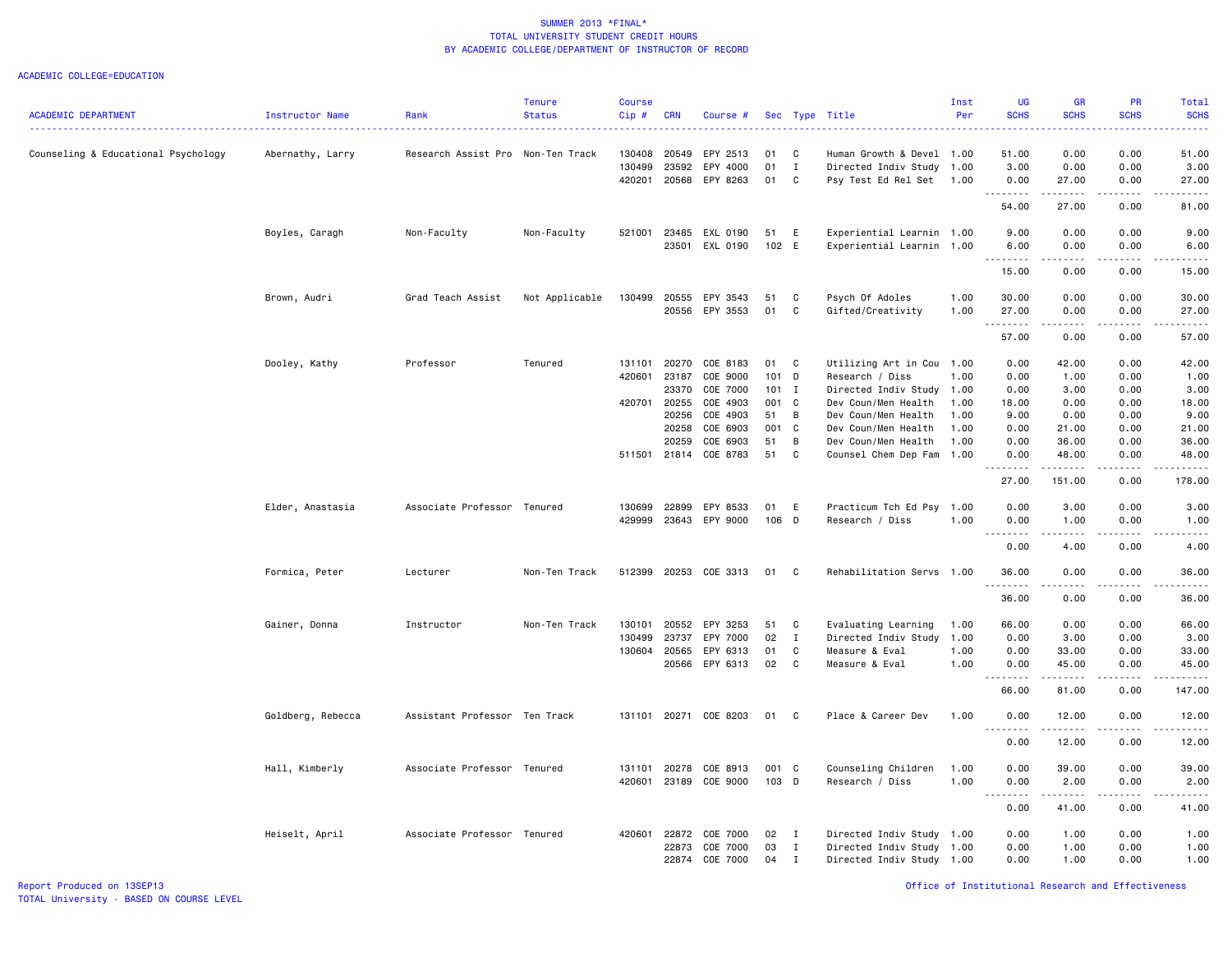| <b>ACADEMIC DEPARTMENT</b>          | Instructor Name   | Rank                              | <b>Tenure</b><br><b>Status</b> | <b>Course</b><br>Cip#      | <b>CRN</b>                                                  | Course #                                                                         |                                                      |                                             | Sec Type Title                                                                                                                                                   | Inst<br>Per                                  | <b>UG</b><br><b>SCHS</b>                              | <b>GR</b><br><b>SCHS</b>                                | <b>PR</b><br><b>SCHS</b>                             | <b>Total</b><br><b>SCHS</b>                              |
|-------------------------------------|-------------------|-----------------------------------|--------------------------------|----------------------------|-------------------------------------------------------------|----------------------------------------------------------------------------------|------------------------------------------------------|---------------------------------------------|------------------------------------------------------------------------------------------------------------------------------------------------------------------|----------------------------------------------|-------------------------------------------------------|---------------------------------------------------------|------------------------------------------------------|----------------------------------------------------------|
| Counseling & Educational Psychology | Abernathy, Larry  | Research Assist Pro Non-Ten Track |                                | 130408<br>130499<br>420201 | 20549<br>23592<br>20568                                     | EPY 2513<br>EPY 4000<br>EPY 8263                                                 | 01<br>01<br>01                                       | C<br>I<br>$\mathbf{C}$                      | Human Growth & Devel<br>Directed Indiv Study<br>Psy Test Ed Rel Set 1.00                                                                                         | 1.00<br>1.00                                 | 51.00<br>3.00<br>0.00                                 | 0.00<br>0.00<br>27.00                                   | 0.00<br>0.00<br>0.00                                 | 51.00<br>3.00<br>27.00                                   |
|                                     |                   |                                   |                                |                            |                                                             |                                                                                  |                                                      |                                             |                                                                                                                                                                  |                                              | .<br>54.00                                            | .<br>27.00                                              | .<br>0.00                                            | .<br>81.00                                               |
|                                     | Boyles, Caragh    | Non-Faculty                       | Non-Faculty                    | 521001                     | 23485<br>23501                                              | EXL 0190<br>EXL 0190                                                             | 51<br>102 E                                          | E                                           | Experiential Learnin 1.00<br>Experiential Learnin                                                                                                                | 1.00                                         | 9.00<br>6.00                                          | 0.00<br>0.00                                            | 0.00<br>0.00                                         | 9.00<br>6.00                                             |
|                                     |                   |                                   |                                |                            |                                                             |                                                                                  |                                                      |                                             |                                                                                                                                                                  |                                              | .<br>15.00                                            | .<br>0.00                                               | .<br>0.00                                            | .<br>15.00                                               |
|                                     | Brown, Audri      | Grad Teach Assist                 | Not Applicable                 | 130499                     | 20555<br>20556                                              | EPY 3543<br>EPY 3553                                                             | 51<br>01                                             | C<br>C                                      | Psych Of Adoles<br>Gifted/Creativity                                                                                                                             | 1.00<br>1.00                                 | 30.00<br>27.00                                        | 0.00<br>0.00                                            | 0.00<br>0.00                                         | 30.00<br>27.00                                           |
|                                     |                   |                                   |                                |                            |                                                             |                                                                                  |                                                      |                                             |                                                                                                                                                                  |                                              | .<br>57.00                                            | $- - - - -$<br>0.00                                     | .<br>0.00                                            | .<br>57.00                                               |
|                                     | Dooley, Kathy     | Professor                         | Tenured                        | 131101<br>420601<br>420701 | 20270<br>23187<br>23370<br>20255<br>20256<br>20258<br>20259 | COE 8183<br>COE 9000<br>COE 7000<br>COE 4903<br>COE 4903<br>COE 6903<br>COE 6903 | 01<br>101 D<br>$101$ I<br>001 C<br>51<br>001 C<br>51 | C<br>B<br>B                                 | Utilizing Art in Cou 1.00<br>Research / Diss<br>Directed Indiv Study<br>Dev Coun/Men Health<br>Dev Coun/Men Health<br>Dev Coun/Men Health<br>Dev Coun/Men Health | 1.00<br>1.00<br>1.00<br>1.00<br>1.00<br>1.00 | 0.00<br>0.00<br>0.00<br>18.00<br>9.00<br>0.00<br>0.00 | 42.00<br>1.00<br>3.00<br>0.00<br>0.00<br>21.00<br>36.00 | 0.00<br>0.00<br>0.00<br>0.00<br>0.00<br>0.00<br>0.00 | 42.00<br>1.00<br>3.00<br>18.00<br>9.00<br>21.00<br>36.00 |
|                                     |                   |                                   |                                | 511501                     | 21814                                                       | COE 8783                                                                         | 51                                                   | C                                           | Counsel Chem Dep Fam                                                                                                                                             | 1.00                                         | 0.00<br>-----<br>27.00                                | 48.00<br>151.00                                         | 0.00<br>. <b>.</b> .<br>0.00                         | 48.00<br>.<br>178.00                                     |
|                                     | Elder, Anastasia  | Associate Professor Tenured       |                                | 130699<br>429999           | 22899                                                       | EPY 8533<br>23643 EPY 9000                                                       | 01<br>106 D                                          | E                                           | Practicum Tch Ed Psy<br>Research / Diss                                                                                                                          | 1.00<br>1.00                                 | 0.00<br>0.00                                          | 3.00<br>1.00                                            | 0.00<br>0.00                                         | 3.00<br>1.00                                             |
|                                     |                   |                                   |                                |                            |                                                             |                                                                                  |                                                      |                                             |                                                                                                                                                                  |                                              | <u>.</u><br>0.00                                      | .<br>4.00                                               | .<br>0.00                                            | $- - - - -$<br>4.00                                      |
|                                     | Formica, Peter    | Lecturer                          | Non-Ten Track                  | 512399                     |                                                             | 20253 COE 3313                                                                   | 01                                                   | $\mathbf{C}$                                | Rehabilitation Servs 1.00                                                                                                                                        |                                              | 36.00                                                 | 0.00<br>.                                               | 0.00<br>.                                            | 36.00<br>.                                               |
|                                     |                   |                                   |                                |                            |                                                             |                                                                                  |                                                      |                                             |                                                                                                                                                                  |                                              | 36.00                                                 | 0.00                                                    | 0.00                                                 | 36.00                                                    |
|                                     | Gainer, Donna     | Instructor                        | Non-Ten Track                  | 130101<br>130499<br>130604 | 20552<br>23737<br>20565                                     | EPY 3253<br>EPY 7000<br>EPY 6313<br>20566 EPY 6313                               | 51<br>02<br>01<br>02                                 | C<br>$\mathbf{I}$<br>C<br>C                 | Evaluating Learning<br>Directed Indiv Study<br>Measure & Eval<br>Measure & Eval                                                                                  | 1.00<br>1.00<br>1.00<br>1.00                 | 66.00<br>0.00<br>0.00<br>0.00<br>66.00                | 0.00<br>3.00<br>33.00<br>45.00<br>81.00                 | 0.00<br>0.00<br>0.00<br>0.00<br>0.00                 | 66.00<br>3.00<br>33.00<br>45.00<br>.<br>147.00           |
|                                     | Goldberg, Rebecca | Assistant Professor Ten Track     |                                |                            |                                                             | 131101 20271 COE 8203                                                            | 01                                                   | $\mathbf{C}$                                | Place & Career Dev                                                                                                                                               | 1.00                                         | 0.00<br>. <b>.</b>                                    | 12.00                                                   | 0.00                                                 | 12.00<br>.                                               |
|                                     |                   |                                   |                                |                            |                                                             |                                                                                  |                                                      |                                             |                                                                                                                                                                  |                                              | 0.00                                                  | .<br>12.00                                              | . <b>.</b> .<br>0.00                                 | 12.00                                                    |
|                                     | Hall, Kimberly    | Associate Professor Tenured       |                                | 131101<br>420601           | 20278                                                       | COE 8913<br>23189 COE 9000                                                       | 001 C<br>103 D                                       |                                             | Counseling Children<br>Research / Diss                                                                                                                           | 1.00<br>1.00                                 | 0.00<br>0.00                                          | 39.00<br>2.00                                           | 0.00<br>0.00                                         | 39.00<br>2.00                                            |
|                                     |                   |                                   |                                |                            |                                                             |                                                                                  |                                                      |                                             |                                                                                                                                                                  |                                              | $\sim$ $\sim$ $\sim$<br>-----<br>0.00                 | .<br>41.00                                              | .<br>0.00                                            | .<br>41.00                                               |
|                                     | Heiselt, April    | Associate Professor Tenured       |                                | 420601                     | 22872<br>22873                                              | COE 7000<br>COE 7000<br>22874 COE 7000                                           | 02<br>03<br>04                                       | $\mathbf{I}$<br>$\mathbf{I}$<br>$\mathbf I$ | Directed Indiv Study 1.00<br>Directed Indiv Study<br>Directed Indiv Study 1.00                                                                                   | 1.00                                         | 0.00<br>0.00<br>0.00                                  | 1.00<br>1.00<br>1.00                                    | 0.00<br>0.00<br>0.00                                 | 1.00<br>1.00<br>1.00                                     |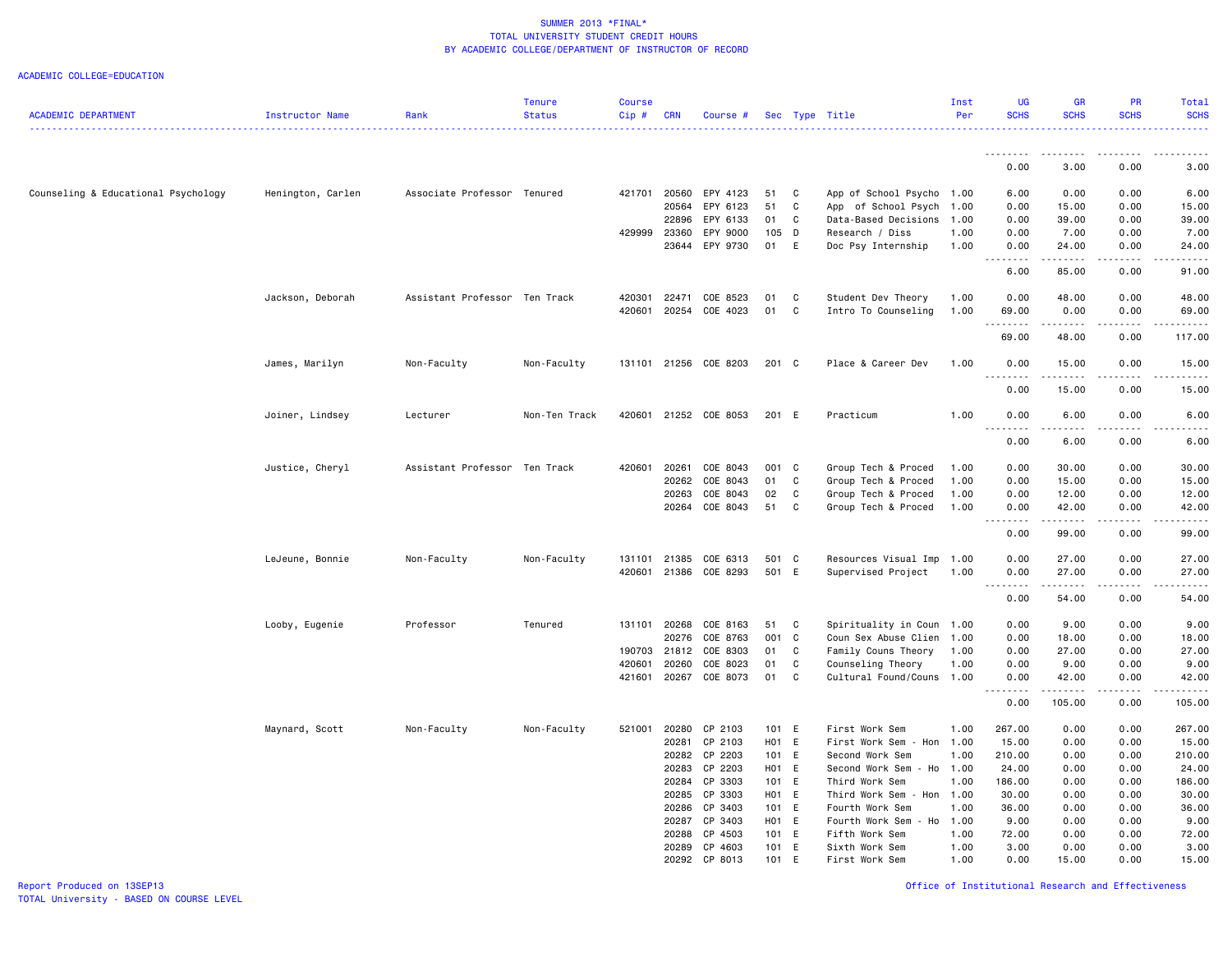|                                     |                   |                               | <b>Tenure</b> | <b>Course</b> |              |                          |                |                            |                                        | Inst         | UG                    | <b>GR</b>                                                                                                                                            | <b>PR</b>           | Total                                                                                                      |
|-------------------------------------|-------------------|-------------------------------|---------------|---------------|--------------|--------------------------|----------------|----------------------------|----------------------------------------|--------------|-----------------------|------------------------------------------------------------------------------------------------------------------------------------------------------|---------------------|------------------------------------------------------------------------------------------------------------|
| <b>ACADEMIC DEPARTMENT</b>          | Instructor Name   | Rank                          | <b>Status</b> | Cip#          | <b>CRN</b>   | Course #                 |                |                            | Sec Type Title                         | Per          | <b>SCHS</b>           | <b>SCHS</b>                                                                                                                                          | <b>SCHS</b>         | <b>SCHS</b>                                                                                                |
|                                     |                   |                               |               |               |              |                          |                |                            |                                        |              | <u>.</u>              | $\frac{1}{2} \left( \frac{1}{2} \right) \left( \frac{1}{2} \right) \left( \frac{1}{2} \right) \left( \frac{1}{2} \right) \left( \frac{1}{2} \right)$ | $- - - - -$         |                                                                                                            |
|                                     |                   |                               |               |               |              |                          |                |                            |                                        |              | 0.00                  | 3.00                                                                                                                                                 | 0.00                | 3.00                                                                                                       |
| Counseling & Educational Psychology | Henington, Carlen | Associate Professor Tenured   |               | 421701        | 20560        | EPY 4123                 | 51             | $\overline{\phantom{a}}$ C | App of School Psycho                   | 1.00         | 6.00                  | 0.00                                                                                                                                                 | 0.00                | 6.00                                                                                                       |
|                                     |                   |                               |               |               | 20564        | EPY 6123                 | 51             | $\mathbf{C}$               | App of School Psych                    | 1.00         | 0.00                  | 15.00                                                                                                                                                | 0.00                | 15.00                                                                                                      |
|                                     |                   |                               |               |               | 22896        | EPY 6133                 | 01             | C                          | Data-Based Decisions                   | 1.00         | 0.00                  | 39.00                                                                                                                                                | 0.00                | 39.00                                                                                                      |
|                                     |                   |                               |               |               | 429999 23360 | EPY 9000                 | $105$ D        |                            | Research / Diss                        | 1.00         | 0.00                  | 7.00                                                                                                                                                 | 0.00                | 7.00                                                                                                       |
|                                     |                   |                               |               |               |              | 23644 EPY 9730           | 01 E           |                            | Doc Psy Internship                     | 1.00         | 0.00<br>.             | 24.00<br>.                                                                                                                                           | 0.00<br>.           | 24.00<br>.                                                                                                 |
|                                     |                   |                               |               |               |              |                          |                |                            |                                        |              | 6.00                  | 85.00                                                                                                                                                | 0.00                | 91.00                                                                                                      |
|                                     | Jackson, Deborah  | Assistant Professor Ten Track |               | 420301        | 22471        | COE 8523                 | 01             | $\mathbf{C}$               | Student Dev Theory                     | 1.00         | 0.00                  | 48.00                                                                                                                                                | 0.00                | 48.00                                                                                                      |
|                                     |                   |                               |               | 420601        | 20254        | COE 4023                 | 01 C           |                            | Intro To Counseling                    | 1.00         | 69.00<br>.            | 0.00                                                                                                                                                 | 0.00                | 69.00                                                                                                      |
|                                     |                   |                               |               |               |              |                          |                |                            |                                        |              | 69.00                 | 48.00                                                                                                                                                | 0.00                | 117.00                                                                                                     |
|                                     | James, Marilyn    | Non-Faculty                   | Non-Faculty   |               |              | 131101 21256 COE 8203    | 201 C          |                            | Place & Career Dev                     | 1.00         | 0.00<br>.             | 15.00<br>.                                                                                                                                           | 0.00<br>-----       | 15.00                                                                                                      |
|                                     |                   |                               |               |               |              |                          |                |                            |                                        |              | 0.00                  | 15.00                                                                                                                                                | 0.00                | 15.00                                                                                                      |
|                                     | Joiner, Lindsey   | Lecturer                      | Non-Ten Track |               |              | 420601 21252 COE 8053    | 201 E          |                            | Practicum                              | 1.00         | 0.00<br>$\frac{1}{2}$ | 6.00<br>$- - - -$                                                                                                                                    | 0.00                | 6.00                                                                                                       |
|                                     |                   |                               |               |               |              |                          |                |                            |                                        |              | 0.00                  | 6.00                                                                                                                                                 | 0.00                | 6.00                                                                                                       |
|                                     | Justice, Cheryl   | Assistant Professor Ten Track |               | 420601        | 20261        | COE 8043                 | 001 C          |                            | Group Tech & Proced                    | 1.00         | 0.00                  | 30.00                                                                                                                                                | 0.00                | 30.00                                                                                                      |
|                                     |                   |                               |               |               | 20262        | COE 8043                 | 01             | C                          | Group Tech & Proced                    | 1.00         | 0.00                  | 15.00                                                                                                                                                | 0.00                | 15.00                                                                                                      |
|                                     |                   |                               |               |               | 20263        | COE 8043                 | 02             | $\mathbf{C}$               | Group Tech & Proced                    | 1.00         | 0.00                  | 12.00                                                                                                                                                | 0.00                | 12.00                                                                                                      |
|                                     |                   |                               |               |               | 20264        | COE 8043                 | 51 C           |                            | Group Tech & Proced                    | 1.00         | 0.00<br><u>.</u>      | 42.00<br>.                                                                                                                                           | 0.00                | 42.00<br>$\begin{array}{cccccccccc} \bullet & \bullet & \bullet & \bullet & \bullet & \bullet \end{array}$ |
|                                     |                   |                               |               |               |              |                          |                |                            |                                        |              | 0.00                  | 99.00                                                                                                                                                | 0.00                | 99.00                                                                                                      |
|                                     | LeJeune, Bonnie   | Non-Faculty                   | Non-Faculty   |               | 131101 21385 | COE 6313                 | 501 C          |                            | Resources Visual Imp 1.00              |              | 0.00                  | 27.00                                                                                                                                                | 0.00                | 27.00                                                                                                      |
|                                     |                   |                               |               |               |              | 420601 21386 COE 8293    | 501 E          |                            | Supervised Project                     | 1.00         | 0.00                  | 27.00                                                                                                                                                | 0.00                | 27.00                                                                                                      |
|                                     |                   |                               |               |               |              |                          |                |                            |                                        |              | $\sim$ $\sim$ .<br>.  | .                                                                                                                                                    | $- - - - -$         | . <u>.</u>                                                                                                 |
|                                     |                   |                               |               |               |              |                          |                |                            |                                        |              | 0.00                  | 54.00                                                                                                                                                | 0.00                | 54.00                                                                                                      |
|                                     | Looby, Eugenie    | Professor                     | Tenured       |               | 131101 20268 | COE 8163                 | 51 C           |                            | Spirituality in Coun 1.00              |              | 0.00                  | 9.00                                                                                                                                                 | 0.00                | 9.00                                                                                                       |
|                                     |                   |                               |               |               | 20276        | COE 8763                 | 001 C          |                            | Coun Sex Abuse Clien                   | 1.00         | 0.00                  | 18.00                                                                                                                                                | 0.00                | 18.00                                                                                                      |
|                                     |                   |                               |               | 190703        | 21812        | COE 8303                 | 01             | C                          | Family Couns Theory                    | 1.00         | 0.00                  | 27.00                                                                                                                                                | 0.00                | 27.00                                                                                                      |
|                                     |                   |                               |               | 420601        | 20260        | COE 8023                 | 01             | C                          | Counseling Theory                      | 1.00         | 0.00                  | 9.00                                                                                                                                                 | 0.00                | 9.00                                                                                                       |
|                                     |                   |                               |               | 421601        |              | 20267 COE 8073           | 01             | C                          | Cultural Found/Couns 1.00              |              | 0.00<br>.             | 42.00<br>.                                                                                                                                           | 0.00<br>$- - - - -$ | 42.00<br>.                                                                                                 |
|                                     |                   |                               |               |               |              |                          |                |                            |                                        |              | 0.00                  | 105.00                                                                                                                                               | 0.00                | 105.00                                                                                                     |
|                                     | Maynard, Scott    | Non-Faculty                   | Non-Faculty   | 521001        | 20280        | CP 2103                  | 101 E          |                            | First Work Sem                         | 1.00         | 267.00                | 0.00                                                                                                                                                 | 0.00                | 267.00                                                                                                     |
|                                     |                   |                               |               |               | 20281        | CP 2103                  | H01 E          |                            | First Work Sem - Hon                   | 1.00         | 15.00                 | 0.00                                                                                                                                                 | 0.00                | 15.00                                                                                                      |
|                                     |                   |                               |               |               | 20283        | 20282 CP 2203<br>CP 2203 | 101 E<br>H01 E |                            | Second Work Sem                        | 1.00<br>1.00 | 210.00<br>24.00       | 0.00<br>0.00                                                                                                                                         | 0.00<br>0.00        | 210.00<br>24.00                                                                                            |
|                                     |                   |                               |               |               | 20284        | CP 3303                  | 101 E          |                            | Second Work Sem - Ho<br>Third Work Sem | 1.00         | 186.00                | 0.00                                                                                                                                                 | 0.00                | 186.00                                                                                                     |
|                                     |                   |                               |               |               | 20285        | CP 3303                  | H01 E          |                            | Third Work Sem - Hon 1.00              |              | 30.00                 | 0.00                                                                                                                                                 | 0.00                | 30.00                                                                                                      |
|                                     |                   |                               |               |               | 20286        | CP 3403                  | 101 E          |                            | Fourth Work Sem                        | 1.00         | 36.00                 | 0.00                                                                                                                                                 | 0.00                | 36.00                                                                                                      |
|                                     |                   |                               |               |               | 20287        | CP 3403                  | H01 E          |                            | Fourth Work Sem - Ho                   | 1.00         | 9.00                  | 0.00                                                                                                                                                 | 0.00                | 9.00                                                                                                       |
|                                     |                   |                               |               |               | 20288        | CP 4503                  | 101 E          |                            | Fifth Work Sem                         | 1.00         | 72.00                 | 0.00                                                                                                                                                 | 0.00                | 72.00                                                                                                      |
|                                     |                   |                               |               |               | 20289        | CP 4603                  | 101 E          |                            | Sixth Work Sem                         | 1.00         | 3.00                  | 0.00                                                                                                                                                 | 0.00                | 3.00                                                                                                       |
|                                     |                   |                               |               |               | 20292        | CP 8013                  | 101 E          |                            | First Work Sem                         | 1.00         | 0.00                  | 15.00                                                                                                                                                | 0.00                | 15.00                                                                                                      |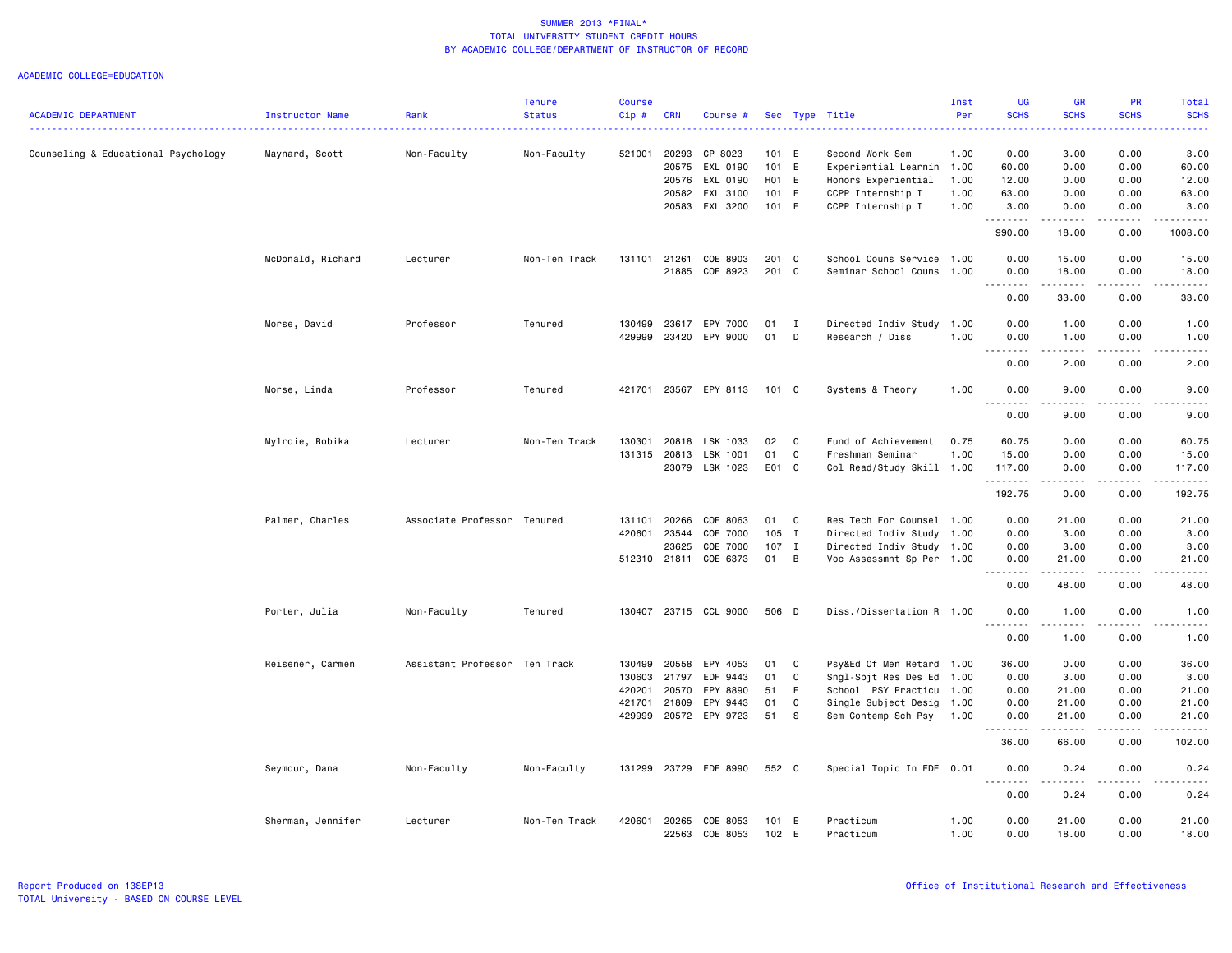| <b>ACADEMIC DEPARTMENT</b>          |                   |                               | <b>Tenure</b> | <b>Course</b> |              |                |         |                |                           | Inst<br>Per | <b>UG</b><br><b>SCHS</b>                                                                                                                                                             | <b>GR</b><br><b>SCHS</b> | PR<br><b>SCHS</b>     | <b>Total</b><br><b>SCHS</b>                                                                                                                                  |
|-------------------------------------|-------------------|-------------------------------|---------------|---------------|--------------|----------------|---------|----------------|---------------------------|-------------|--------------------------------------------------------------------------------------------------------------------------------------------------------------------------------------|--------------------------|-----------------------|--------------------------------------------------------------------------------------------------------------------------------------------------------------|
|                                     | Instructor Name   | Rank                          | <b>Status</b> | Cip#          | <b>CRN</b>   | Course #       |         |                | Sec Type Title            |             |                                                                                                                                                                                      |                          |                       | .                                                                                                                                                            |
| Counseling & Educational Psychology | Maynard, Scott    | Non-Faculty                   | Non-Faculty   | 521001        | 20293        | CP 8023        | 101 E   |                | Second Work Sem           | 1.00        | 0.00                                                                                                                                                                                 | 3.00                     | 0.00                  | 3.00                                                                                                                                                         |
|                                     |                   |                               |               |               | 20575        | EXL 0190       | 101 E   |                | Experiential Learnin 1.00 |             | 60.00                                                                                                                                                                                | 0.00                     | 0.00                  | 60.00                                                                                                                                                        |
|                                     |                   |                               |               |               | 20576        | EXL 0190       | H01 E   |                | Honors Experiential       | 1.00        | 12.00                                                                                                                                                                                | 0.00                     | 0.00                  | 12.00                                                                                                                                                        |
|                                     |                   |                               |               |               | 20582        | EXL 3100       | 101 E   |                | CCPP Internship I         | 1.00        | 63.00                                                                                                                                                                                | 0.00                     | 0.00                  | 63.00                                                                                                                                                        |
|                                     |                   |                               |               |               | 20583        | EXL 3200       | 101 E   |                | CCPP Internship I         | 1.00        | 3.00                                                                                                                                                                                 | 0.00                     | 0.00                  | 3.00                                                                                                                                                         |
|                                     |                   |                               |               |               |              |                |         |                |                           |             | 990.00                                                                                                                                                                               | 18.00                    | 0.00                  | 1008.00                                                                                                                                                      |
|                                     | McDonald, Richard | Lecturer                      | Non-Ten Track | 131101        | 21261        | COE 8903       | 201 C   |                | School Couns Service 1.00 |             | 0.00                                                                                                                                                                                 | 15.00                    | 0.00                  | 15.00                                                                                                                                                        |
|                                     |                   |                               |               |               | 21885        | COE 8923       | 201 C   |                | Seminar School Couns      | 1.00        | 0.00                                                                                                                                                                                 | 18.00                    | 0.00                  | 18.00                                                                                                                                                        |
|                                     |                   |                               |               |               |              |                |         |                |                           |             | $\sim$ $\sim$ $\sim$<br>$\frac{1}{2} \left( \frac{1}{2} \right) \left( \frac{1}{2} \right) \left( \frac{1}{2} \right) \left( \frac{1}{2} \right) \left( \frac{1}{2} \right)$<br>0.00 | 33.00                    | 0.00                  | $\frac{1}{2}$<br>33.00                                                                                                                                       |
|                                     | Morse, David      | Professor                     | Tenured       | 130499        | 23617        | EPY 7000       | 01      | $\mathbf{I}$   | Directed Indiv Study 1.00 |             | 0.00                                                                                                                                                                                 | 1.00                     | 0.00                  | 1.00                                                                                                                                                         |
|                                     |                   |                               |               | 429999        | 23420        | EPY 9000       | 01      | D              | Research / Diss           | 1.00        | 0.00                                                                                                                                                                                 | 1.00                     | 0.00                  | 1.00                                                                                                                                                         |
|                                     |                   |                               |               |               |              |                |         |                |                           |             | $\sim$ $\sim$<br>. <u>.</u> .                                                                                                                                                        | <u>.</u>                 | .                     | .                                                                                                                                                            |
|                                     |                   |                               |               |               |              |                |         |                |                           |             | 0.00                                                                                                                                                                                 | 2.00                     | 0.00                  | 2.00                                                                                                                                                         |
|                                     | Morse, Linda      | Professor                     | Tenured       | 421701        | 23567        | EPY 8113       | 101 C   |                | Systems & Theory          | 1.00        | 0.00<br>.<br>$  -$                                                                                                                                                                   | 9.00<br>.                | 0.00<br>$\frac{1}{2}$ | 9.00<br>-----                                                                                                                                                |
|                                     |                   |                               |               |               |              |                |         |                |                           |             | 0.00                                                                                                                                                                                 | 9.00                     | 0.00                  | 9.00                                                                                                                                                         |
|                                     | Mylroie, Robika   | Lecturer                      | Non-Ten Track | 130301        | 20818        | LSK 1033       | 02      | C              | Fund of Achievement       | 0.75        | 60.75                                                                                                                                                                                | 0.00                     | 0.00                  | 60.75                                                                                                                                                        |
|                                     |                   |                               |               | 131315        | 20813        | LSK 1001       | 01      | C              | Freshman Seminar          | 1.00        | 15.00                                                                                                                                                                                | 0.00                     | 0.00                  | 15.00                                                                                                                                                        |
|                                     |                   |                               |               |               | 23079        | LSK 1023       | E01 C   |                | Col Read/Study Skill 1.00 |             | 117.00<br>.                                                                                                                                                                          | 0.00<br>.                | 0.00<br>.             | 117.00<br>$\begin{array}{cccccccccc} \bullet & \bullet & \bullet & \bullet & \bullet & \bullet & \bullet \end{array}$                                        |
|                                     |                   |                               |               |               |              |                |         |                |                           |             | 192.75                                                                                                                                                                               | 0.00                     | 0.00                  | 192.75                                                                                                                                                       |
|                                     | Palmer, Charles   | Associate Professor Tenured   |               | 131101        | 20266        | COE 8063       | 01      | C              | Res Tech For Counsel 1.00 |             | 0.00                                                                                                                                                                                 | 21.00                    | 0.00                  | 21.00                                                                                                                                                        |
|                                     |                   |                               |               | 420601        | 23544        | COE 7000       | $105$ I |                | Directed Indiv Study 1.00 |             | 0.00                                                                                                                                                                                 | 3.00                     | 0.00                  | 3.00                                                                                                                                                         |
|                                     |                   |                               |               |               | 23625        | COE 7000       | $107$ I |                | Directed Indiv Study 1.00 |             | 0.00                                                                                                                                                                                 | 3.00                     | 0.00                  | 3.00                                                                                                                                                         |
|                                     |                   |                               |               |               | 512310 21811 | COE 6373       | 01      | $\overline{B}$ | Voc Assessmnt Sp Per 1.00 |             | 0.00<br>.<br>$  -$                                                                                                                                                                   | 21.00<br>.               | 0.00<br>.             | 21.00<br>.                                                                                                                                                   |
|                                     |                   |                               |               |               |              |                |         |                |                           |             | 0.00                                                                                                                                                                                 | 48.00                    | 0.00                  | 48.00                                                                                                                                                        |
|                                     | Porter, Julia     | Non-Faculty                   | Tenured       | 130407        |              | 23715 CCL 9000 | 506 D   |                | Diss./Dissertation R 1.00 |             | 0.00<br>$\sim$ $\sim$ $\sim$<br>.                                                                                                                                                    | 1.00                     | 0.00                  | 1.00<br>$\frac{1}{2} \left( \frac{1}{2} \right) \left( \frac{1}{2} \right) \left( \frac{1}{2} \right) \left( \frac{1}{2} \right) \left( \frac{1}{2} \right)$ |
|                                     |                   |                               |               |               |              |                |         |                |                           |             | 0.00                                                                                                                                                                                 | 1.00                     | 0.00                  | 1.00                                                                                                                                                         |
|                                     | Reisener, Carmen  | Assistant Professor Ten Track |               | 130499        | 20558        | EPY 4053       | 01      | C              | Psy&Ed Of Men Retard      | 1.00        | 36.00                                                                                                                                                                                | 0.00                     | 0.00                  | 36.00                                                                                                                                                        |
|                                     |                   |                               |               | 130603        | 21797        | EDF 9443       | 01      | C              | Sngl-Sbjt Res Des Ed      | 1.00        | 0.00                                                                                                                                                                                 | 3.00                     | 0.00                  | 3.00                                                                                                                                                         |
|                                     |                   |                               |               | 420201        | 20570        | EPY 8890       | 51      | E              | School PSY Practicu       | 1.00        | 0.00                                                                                                                                                                                 | 21.00                    | 0.00                  | 21.00                                                                                                                                                        |
|                                     |                   |                               |               | 421701        | 21809        | EPY 9443       | 01      | C              | Single Subject Desig      | 1.00        | 0.00                                                                                                                                                                                 | 21.00                    | 0.00                  | 21.00                                                                                                                                                        |
|                                     |                   |                               |               | 429999        |              | 20572 EPY 9723 | 51      | s              | Sem Contemp Sch Psy       | 1.00        | 0.00                                                                                                                                                                                 | 21.00                    | 0.00                  | 21.00                                                                                                                                                        |
|                                     |                   |                               |               |               |              |                |         |                |                           |             | .<br>36.00                                                                                                                                                                           | .<br>66.00               | .<br>0.00             | .<br>102.00                                                                                                                                                  |
|                                     | Seymour, Dana     | Non-Faculty                   | Non-Faculty   | 131299        | 23729        | EDE 8990       | 552 C   |                | Special Topic In EDE 0.01 |             | 0.00                                                                                                                                                                                 | 0.24                     | 0.00                  | 0.24                                                                                                                                                         |
|                                     |                   |                               |               |               |              |                |         |                |                           |             | $- - - -$<br>0.00                                                                                                                                                                    | <u>.</u><br>0.24         | $\frac{1}{2}$<br>0.00 | <u>.</u><br>0.24                                                                                                                                             |
|                                     | Sherman, Jennifer | Lecturer                      | Non-Ten Track | 420601        | 20265        | COE 8053       | 101 E   |                | Practicum                 | 1.00        | 0.00                                                                                                                                                                                 | 21.00                    | 0.00                  | 21.00                                                                                                                                                        |
|                                     |                   |                               |               |               | 22563        | COE 8053       | 102 E   |                | Practicum                 | 1.00        | 0.00                                                                                                                                                                                 | 18.00                    | 0.00                  | 18.00                                                                                                                                                        |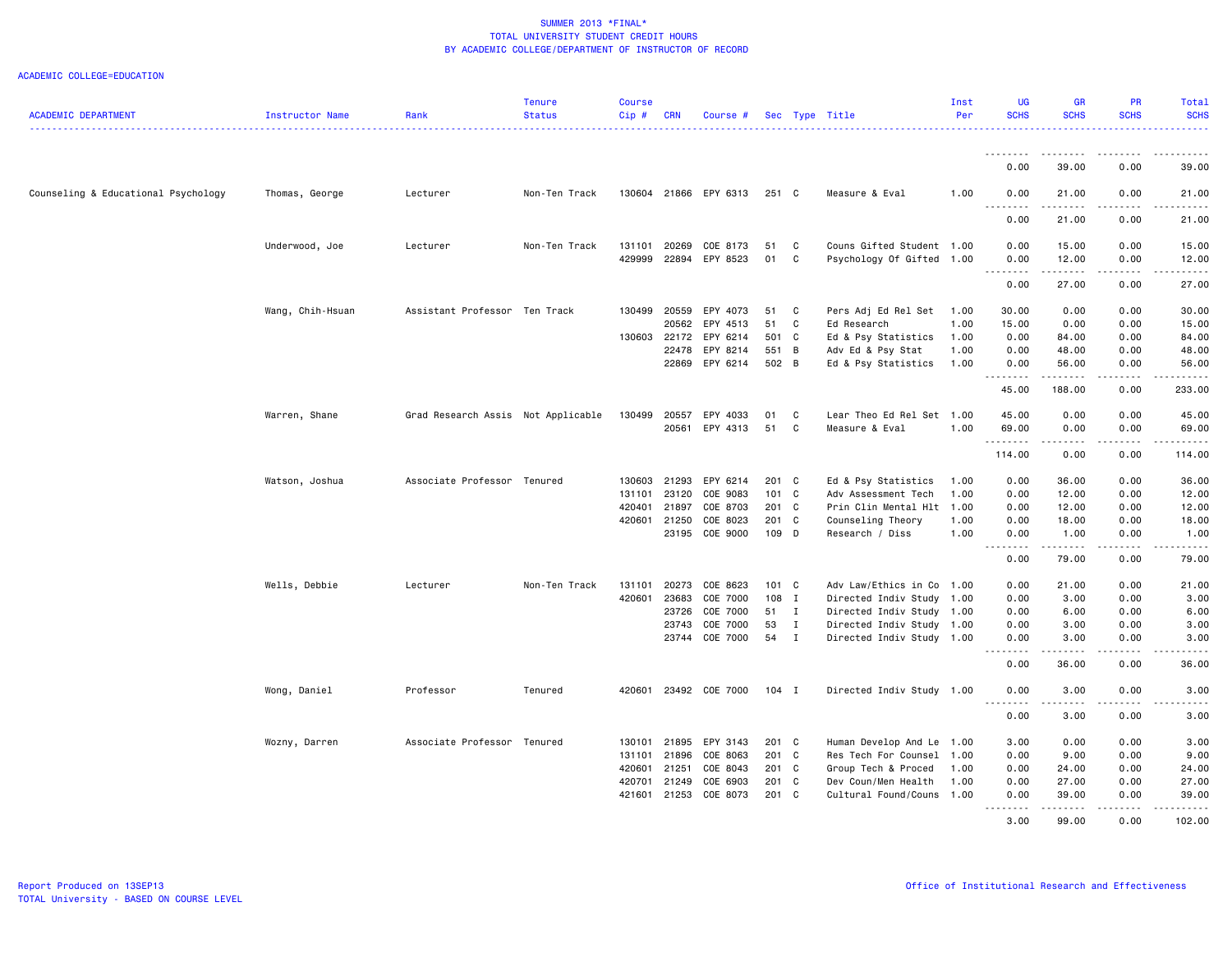| <b>ACADEMIC DEPARTMENT</b>          | Instructor Name  | Rank                               | <b>Tenure</b><br><b>Status</b> | <b>Course</b><br>Cip# | <b>CRN</b>   | Course #                    |               |              | Sec Type Title            | Inst<br>Per | UG<br><b>SCHS</b>                                                                                                                                            | <b>GR</b><br><b>SCHS</b>                                                                                                                                                                 | PR<br><b>SCHS</b> | Total<br><b>SCHS</b> |
|-------------------------------------|------------------|------------------------------------|--------------------------------|-----------------------|--------------|-----------------------------|---------------|--------------|---------------------------|-------------|--------------------------------------------------------------------------------------------------------------------------------------------------------------|------------------------------------------------------------------------------------------------------------------------------------------------------------------------------------------|-------------------|----------------------|
|                                     |                  |                                    |                                |                       |              |                             |               |              |                           |             | <u> - - - - - - - -</u>                                                                                                                                      |                                                                                                                                                                                          |                   |                      |
|                                     |                  |                                    |                                |                       |              |                             |               |              |                           |             | 0.00                                                                                                                                                         | 39.00                                                                                                                                                                                    | 0.00              | 39.00                |
| Counseling & Educational Psychology | Thomas, George   | Lecturer                           | Non-Ten Track                  |                       |              | 130604 21866 EPY 6313 251 C |               |              | Measure & Eval            | 1.00        | 0.00<br>$\frac{1}{2} \left( \frac{1}{2} \right) \left( \frac{1}{2} \right) \left( \frac{1}{2} \right) \left( \frac{1}{2} \right) \left( \frac{1}{2} \right)$ | 21.00<br>$\sim$ $\sim$ $\sim$                                                                                                                                                            | 0.00              | 21.00                |
|                                     |                  |                                    |                                |                       |              |                             |               |              |                           |             | 0.00                                                                                                                                                         | 21.00                                                                                                                                                                                    | 0.00              | 21.00                |
|                                     | Underwood, Joe   | Lecturer                           | Non-Ten Track                  | 131101                | 20269        | COE 8173                    | 51            | C            | Couns Gifted Student 1.00 |             | 0.00                                                                                                                                                         | 15.00                                                                                                                                                                                    | 0.00              | 15.00                |
|                                     |                  |                                    |                                | 429999                |              | 22894 EPY 8523              | 01            | C            | Psychology Of Gifted 1.00 |             | 0.00<br>.                                                                                                                                                    | 12.00<br>.                                                                                                                                                                               | 0.00<br>.         | 12.00                |
|                                     |                  |                                    |                                |                       |              |                             |               |              |                           |             | 0.00                                                                                                                                                         | 27.00                                                                                                                                                                                    | 0.00              | 27.00                |
|                                     | Wang, Chih-Hsuan | Assistant Professor Ten Track      |                                | 130499                | 20559        | EPY 4073                    | 51            | $\mathbf{C}$ | Pers Adj Ed Rel Set       | 1.00        | 30.00                                                                                                                                                        | 0.00                                                                                                                                                                                     | 0.00              | 30.00                |
|                                     |                  |                                    |                                |                       | 20562        | EPY 4513                    | 51            | C            | Ed Research               | 1.00        | 15.00                                                                                                                                                        | 0.00                                                                                                                                                                                     | 0.00              | 15.00                |
|                                     |                  |                                    |                                | 130603                | 22172        | EPY 6214                    | 501 C         |              | Ed & Psy Statistics       | 1.00        | 0.00                                                                                                                                                         | 84.00                                                                                                                                                                                    | 0.00              | 84.00                |
|                                     |                  |                                    |                                |                       | 22478        | EPY 8214                    | 551 B         |              | Adv Ed & Psy Stat         | 1.00        | 0.00                                                                                                                                                         | 48.00                                                                                                                                                                                    | 0.00              | 48.00                |
|                                     |                  |                                    |                                |                       |              | 22869 EPY 6214              | 502 B         |              | Ed & Psy Statistics       | 1.00        | 0.00<br>.                                                                                                                                                    | 56.00<br>.                                                                                                                                                                               | 0.00<br>.         | 56.00<br>.           |
|                                     |                  |                                    |                                |                       |              |                             |               |              |                           |             | 45.00                                                                                                                                                        | 188.00                                                                                                                                                                                   | 0.00              | 233.00               |
|                                     | Warren, Shane    | Grad Research Assis Not Applicable |                                | 130499                | 20557        | EPY 4033                    | 01            | $\mathbf{C}$ | Lear Theo Ed Rel Set 1.00 |             | 45.00                                                                                                                                                        | 0.00                                                                                                                                                                                     | 0.00              | 45.00                |
|                                     |                  |                                    |                                |                       | 20561        | EPY 4313                    | 51            | C            | Measure & Eval            | 1.00        | 69.00                                                                                                                                                        | 0.00                                                                                                                                                                                     | 0.00              | 69.00                |
|                                     |                  |                                    |                                |                       |              |                             |               |              |                           |             | .<br>114.00                                                                                                                                                  | .<br>0.00                                                                                                                                                                                | .<br>0.00         | .<br>114.00          |
|                                     | Watson, Joshua   | Associate Professor Tenured        |                                | 130603                | 21293        | EPY 6214                    | 201 C         |              | Ed & Psy Statistics       | 1.00        | 0.00                                                                                                                                                         | 36.00                                                                                                                                                                                    | 0.00              | 36.00                |
|                                     |                  |                                    |                                | 131101                | 23120        | COE 9083                    | 101 C         |              | Adv Assessment Tech       | 1.00        | 0.00                                                                                                                                                         | 12.00                                                                                                                                                                                    | 0.00              | 12.00                |
|                                     |                  |                                    |                                | 420401                | 21897        | COE 8703                    | 201 C         |              | Prin Clin Mental Hlt 1.00 |             | 0.00                                                                                                                                                         | 12.00                                                                                                                                                                                    | 0.00              | 12.00                |
|                                     |                  |                                    |                                |                       | 420601 21250 | COE 8023                    | 201 C         |              | Counseling Theory         | 1.00        | 0.00                                                                                                                                                         | 18.00                                                                                                                                                                                    | 0.00              | 18.00                |
|                                     |                  |                                    |                                |                       | 23195        | COE 9000                    | 109 D         |              | Research / Diss           | 1.00        | 0.00<br>-----                                                                                                                                                | 1.00<br>.                                                                                                                                                                                | 0.00              | 1.00                 |
|                                     |                  |                                    |                                |                       |              |                             |               |              |                           |             | 0.00                                                                                                                                                         | 79.00                                                                                                                                                                                    | 0.00              | 79.00                |
|                                     | Wells, Debbie    | Lecturer                           | Non-Ten Track                  | 131101                | 20273        | COE 8623                    | $101 \quad C$ |              | Adv Law/Ethics in Co      | 1.00        | 0.00                                                                                                                                                         | 21.00                                                                                                                                                                                    | 0.00              | 21.00                |
|                                     |                  |                                    |                                | 420601                | 23683        | COE 7000                    | 108 I         |              | Directed Indiv Study 1.00 |             | 0.00                                                                                                                                                         | 3.00                                                                                                                                                                                     | 0.00              | 3.00                 |
|                                     |                  |                                    |                                |                       | 23726        | COE 7000                    | 51 I          |              | Directed Indiv Study      | 1.00        | 0.00                                                                                                                                                         | 6.00                                                                                                                                                                                     | 0.00              | 6.00                 |
|                                     |                  |                                    |                                |                       | 23743        | COE 7000                    | 53            | $\mathbf{I}$ | Directed Indiv Study 1.00 |             | 0.00                                                                                                                                                         | 3.00                                                                                                                                                                                     | 0.00              | 3.00                 |
|                                     |                  |                                    |                                |                       |              | 23744 COE 7000              | 54 I          |              | Directed Indiv Study 1.00 |             | 0.00<br>$\frac{1}{2}$                                                                                                                                        | 3.00<br>-----                                                                                                                                                                            | 0.00<br>.         | 3.00                 |
|                                     |                  |                                    |                                |                       |              |                             |               |              |                           |             | 0.00                                                                                                                                                         | 36.00                                                                                                                                                                                    | 0.00              | 36.00                |
|                                     | Wong, Daniel     | Professor                          | Tenured                        | 420601                |              | 23492 COE 7000              | 104 I         |              | Directed Indiv Study 1.00 |             | 0.00                                                                                                                                                         | 3.00                                                                                                                                                                                     | 0.00              | 3.00                 |
|                                     |                  |                                    |                                |                       |              |                             |               |              |                           |             | .<br>0.00                                                                                                                                                    | .<br>3.00                                                                                                                                                                                | 0.00              | 3.00                 |
|                                     | Wozny, Darren    | Associate Professor Tenured        |                                | 130101                | 21895        | EPY 3143                    | 201 C         |              | Human Develop And Le      | 1.00        | 3.00                                                                                                                                                         | 0.00                                                                                                                                                                                     | 0.00              | 3.00                 |
|                                     |                  |                                    |                                | 131101                | 21896        | COE 8063                    | 201 C         |              | Res Tech For Counsel      | 1.00        | 0.00                                                                                                                                                         | 9.00                                                                                                                                                                                     | 0.00              | 9.00                 |
|                                     |                  |                                    |                                | 420601                | 21251        | COE 8043                    | 201 C         |              | Group Tech & Proced       | 1.00        | 0.00                                                                                                                                                         | 24.00                                                                                                                                                                                    | 0.00              | 24.00                |
|                                     |                  |                                    |                                | 420701                | 21249        | COE 6903                    | 201 C         |              | Dev Coun/Men Health       | 1.00        | 0.00                                                                                                                                                         | 27.00                                                                                                                                                                                    | 0.00              | 27.00                |
|                                     |                  |                                    |                                | 421601                |              | 21253 COE 8073              | 201 C         |              | Cultural Found/Couns 1.00 |             | 0.00<br>.                                                                                                                                                    | 39.00<br>$\frac{1}{2} \left( \frac{1}{2} \right) \left( \frac{1}{2} \right) \left( \frac{1}{2} \right) \left( \frac{1}{2} \right) \left( \frac{1}{2} \right) \left( \frac{1}{2} \right)$ | 0.00              | 39.00                |
|                                     |                  |                                    |                                |                       |              |                             |               |              |                           |             | 3.00                                                                                                                                                         | 99.00                                                                                                                                                                                    | 0.00              | 102.00               |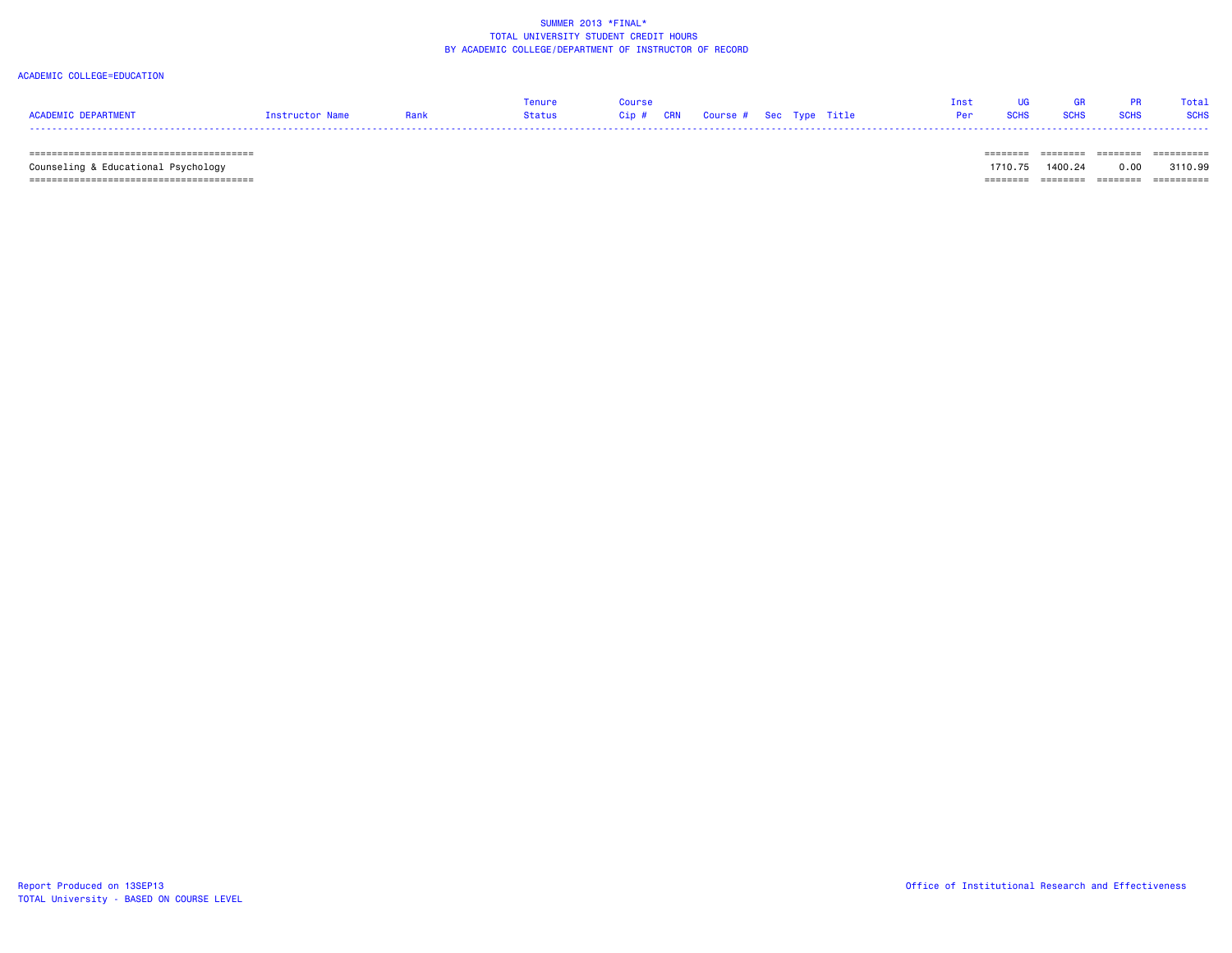#### ACADEMIC COLLEGE=EDUCATION

|                  |          | $\sim$ $\sim$ $\sim$ |  |                                   |  |  |  | Total I     |
|------------------|----------|----------------------|--|-----------------------------------|--|--|--|-------------|
| <b>FPARTMENT</b> | TPHCTOP. | Status               |  | Cip # CRN Course # Sec Type Title |  |  |  | <b>SCHS</b> |
| ----             |          |                      |  |                                   |  |  |  |             |

======================================== ======== ======== ======== ==========

 Counseling & Educational Psychology 1710.75 1400.24 0.00 3110.99 ======================================== ======== ======== ======== ==========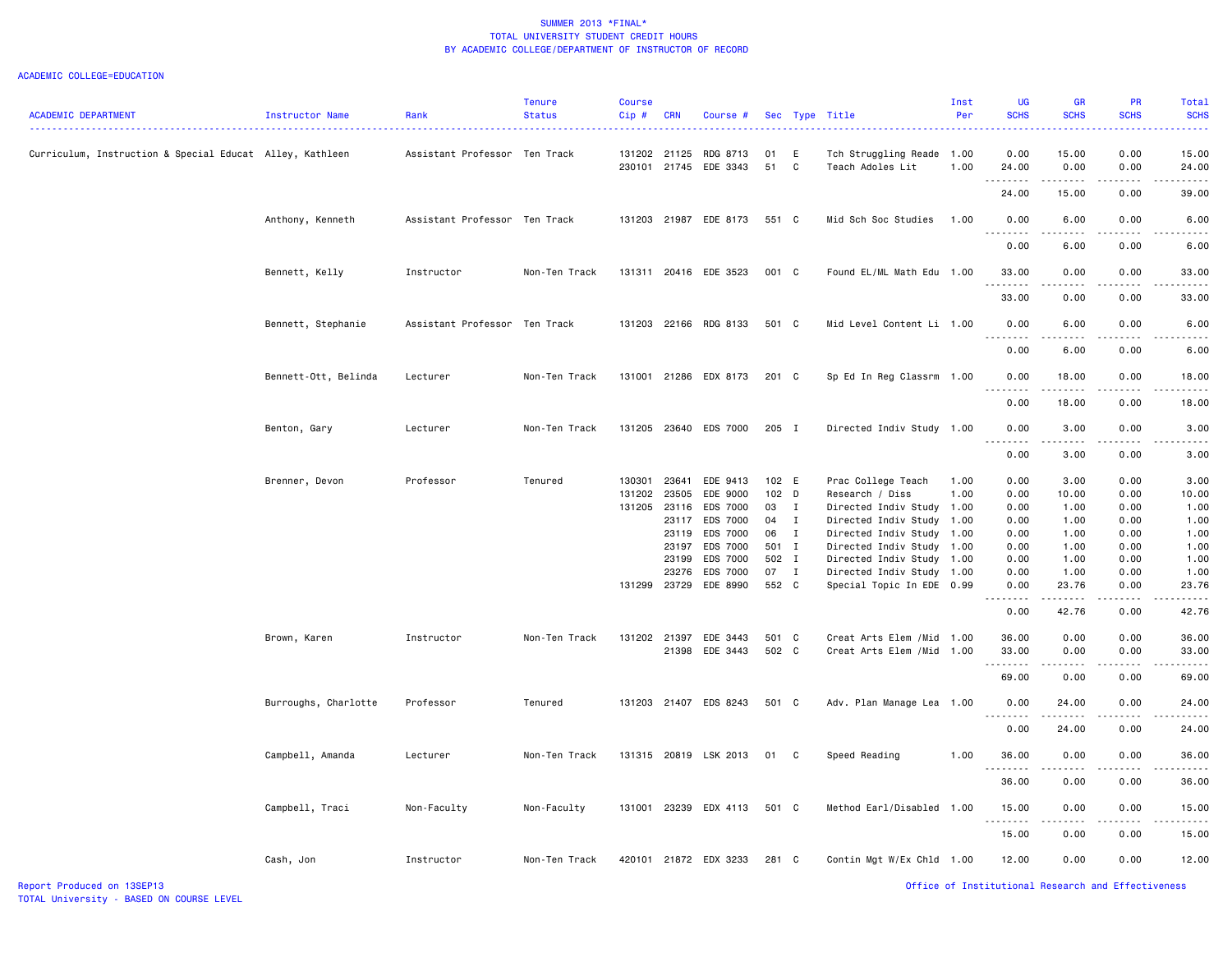| <b>ACADEMIC DEPARTMENT</b>                               | <b>Instructor Name</b> | Rank                          | <b>Tenure</b><br><b>Status</b> | Course<br>Cip# | <b>CRN</b>   | Course #                          |               |                    | Sec Type Title                                    | Inst<br>Per  | UG<br><b>SCHS</b> | <b>GR</b><br><b>SCHS</b> | PR<br><b>SCHS</b>                                                                                                                                                                       | Total<br><b>SCHS</b> |
|----------------------------------------------------------|------------------------|-------------------------------|--------------------------------|----------------|--------------|-----------------------------------|---------------|--------------------|---------------------------------------------------|--------------|-------------------|--------------------------|-----------------------------------------------------------------------------------------------------------------------------------------------------------------------------------------|----------------------|
| Curriculum, Instruction & Special Educat Alley, Kathleen |                        | Assistant Professor Ten Track |                                | 230101         | 131202 21125 | RDG 8713<br>21745 EDE 3343        | 01<br>51      | E.<br>$\mathbf{C}$ | Tch Struggling Reade<br>Teach Adoles Lit          | 1.00<br>1.00 | 0.00<br>24.00     | 15.00<br>0.00            | 0.00<br>0.00                                                                                                                                                                            | 15.00<br>24.00       |
|                                                          |                        |                               |                                |                |              |                                   |               |                    |                                                   |              | 24.00             | 15.00                    | 0.00                                                                                                                                                                                    | 39.00                |
|                                                          | Anthony, Kenneth       | Assistant Professor Ten Track |                                |                |              | 131203 21987 EDE 8173             | 551 C         |                    | Mid Sch Soc Studies                               | 1.00         | 0.00              | 6.00                     | 0.00                                                                                                                                                                                    | 6.00                 |
|                                                          |                        |                               |                                |                |              |                                   |               |                    |                                                   |              | 0.00              | 6.00                     | 0.00                                                                                                                                                                                    | 6.00                 |
|                                                          | Bennett, Kelly         | Instructor                    | Non-Ten Track                  |                |              | 131311 20416 EDE 3523             | 001 C         |                    | Found EL/ML Math Edu 1.00                         |              | 33.00             | 0.00                     | 0.00                                                                                                                                                                                    | 33.00                |
|                                                          |                        |                               |                                |                |              |                                   |               |                    |                                                   |              | 33.00             | 0.00                     | 0.00                                                                                                                                                                                    | 33.00                |
|                                                          | Bennett, Stephanie     | Assistant Professor Ten Track |                                |                |              | 131203 22166 RDG 8133             | 501 C         |                    | Mid Level Content Li 1.00                         |              | 0.00              | 6.00                     | 0.00                                                                                                                                                                                    | 6.00                 |
|                                                          |                        |                               |                                |                |              |                                   |               |                    |                                                   |              | 0.00              | 6.00                     | 0.00                                                                                                                                                                                    | 6.00                 |
|                                                          | Bennett-Ott, Belinda   | Lecturer                      | Non-Ten Track                  |                |              | 131001 21286 EDX 8173             | 201 C         |                    | Sp Ed In Reg Classrm 1.00                         |              | 0.00              | 18.00                    | 0.00                                                                                                                                                                                    | 18.00                |
|                                                          |                        |                               |                                |                |              |                                   |               |                    |                                                   |              | 0.00              | 18.00                    | 0.00                                                                                                                                                                                    | 18.00                |
|                                                          | Benton, Gary           | Lecturer                      | Non-Ten Track                  |                |              | 131205 23640 EDS 7000             | 205 I         |                    | Directed Indiv Study 1.00                         |              | 0.00<br><u>.</u>  | 3.00                     | 0.00                                                                                                                                                                                    | 3.00                 |
|                                                          |                        |                               |                                |                |              |                                   |               |                    |                                                   |              | 0.00              | 3.00                     | 0.00                                                                                                                                                                                    | 3.00                 |
|                                                          | Brenner, Devon         | Professor                     | Tenured                        | 130301         | 23641        | EDE 9413                          | 102 E         |                    | Prac College Teach                                | 1.00         | 0.00              | 3.00                     | 0.00                                                                                                                                                                                    | 3.00                 |
|                                                          |                        |                               |                                | 131202         | 23505        | EDE 9000<br>131205 23116 EDS 7000 | 102 D<br>03 I |                    | Research / Diss                                   | 1.00         | 0.00<br>0.00      | 10.00<br>1.00            | 0.00<br>0.00                                                                                                                                                                            | 10.00                |
|                                                          |                        |                               |                                |                | 23117        | EDS 7000                          | 04 I          |                    | Directed Indiv Study 1.00<br>Directed Indiv Study | 1.00         | 0.00              | 1.00                     | 0.00                                                                                                                                                                                    | 1.00<br>1.00         |
|                                                          |                        |                               |                                |                | 23119        | EDS 7000                          | 06 I          |                    | Directed Indiv Study                              | 1.00         | 0.00              | 1.00                     | 0.00                                                                                                                                                                                    | 1.00                 |
|                                                          |                        |                               |                                |                |              | 23197 EDS 7000                    | 501 I         |                    | Directed Indiv Study 1.00                         |              | 0.00              | 1.00                     | 0.00                                                                                                                                                                                    | 1.00                 |
|                                                          |                        |                               |                                |                | 23199        | EDS 7000                          | 502 I         |                    | Directed Indiv Study 1.00                         |              | 0.00              | 1.00                     | 0.00                                                                                                                                                                                    | 1.00                 |
|                                                          |                        |                               |                                |                | 23276        | EDS 7000                          | 07 I          |                    | Directed Indiv Study 1.00                         |              | 0.00              | 1.00                     | 0.00                                                                                                                                                                                    | 1.00                 |
|                                                          |                        |                               |                                |                |              | 131299 23729 EDE 8990             | 552 C         |                    | Special Topic In EDE 0.99                         |              | 0.00<br>.         | 23.76<br>.               | 0.00                                                                                                                                                                                    | 23.76                |
|                                                          |                        |                               |                                |                |              |                                   |               |                    |                                                   |              | 0.00              | 42.76                    | 0.00                                                                                                                                                                                    | 42.76                |
|                                                          | Brown, Karen           | Instructor                    | Non-Ten Track                  |                |              | 131202 21397 EDE 3443             | 501 C         |                    | Creat Arts Elem / Mid 1.00                        |              | 36.00             | 0.00                     | 0.00                                                                                                                                                                                    | 36.00                |
|                                                          |                        |                               |                                |                |              | 21398 EDE 3443                    | 502 C         |                    | Creat Arts Elem / Mid 1.00                        |              | 33.00             | 0.00                     | 0.00                                                                                                                                                                                    | 33.00                |
|                                                          |                        |                               |                                |                |              |                                   |               |                    |                                                   |              | --------<br>69.00 | -----<br>0.00            | $\frac{1}{2} \left( \frac{1}{2} \right) \left( \frac{1}{2} \right) \left( \frac{1}{2} \right) \left( \frac{1}{2} \right) \left( \frac{1}{2} \right) \left( \frac{1}{2} \right)$<br>0.00 | .<br>69.00           |
|                                                          | Burroughs, Charlotte   | Professor                     | Tenured                        |                |              | 131203 21407 EDS 8243             | 501 C         |                    | Adv. Plan Manage Lea 1.00                         |              | 0.00<br>.         | 24.00                    | 0.00                                                                                                                                                                                    | 24.00                |
|                                                          |                        |                               |                                |                |              |                                   |               |                    |                                                   |              | 0.00              | 24.00                    | 0.00                                                                                                                                                                                    | 24.00                |
|                                                          | Campbell, Amanda       | Lecturer                      | Non-Ten Track                  |                |              | 131315 20819 LSK 2013             | 01 C          |                    | Speed Reading                                     | 1.00         | 36.00<br>.        | 0.00<br>.                | 0.00                                                                                                                                                                                    | 36.00                |
|                                                          |                        |                               |                                |                |              |                                   |               |                    |                                                   |              | 36.00             | 0.00                     | 0.00                                                                                                                                                                                    | 36.00                |
|                                                          | Campbell, Traci        | Non-Faculty                   | Non-Faculty                    | 131001         |              | 23239 EDX 4113                    | 501 C         |                    | Method Earl/Disabled 1.00                         |              | 15.00<br>.        | 0.00                     | 0.00                                                                                                                                                                                    | 15.00                |
|                                                          |                        |                               |                                |                |              |                                   |               |                    |                                                   |              | 15.00             | 0.00                     | 0.00                                                                                                                                                                                    | 15.00                |
|                                                          | Cash, Jon              | Instructor                    | Non-Ten Track                  |                |              | 420101 21872 EDX 3233             | 281 C         |                    | Contin Mgt W/Ex Chld 1.00                         |              | 12.00             | 0.00                     | 0.00                                                                                                                                                                                    | 12.00                |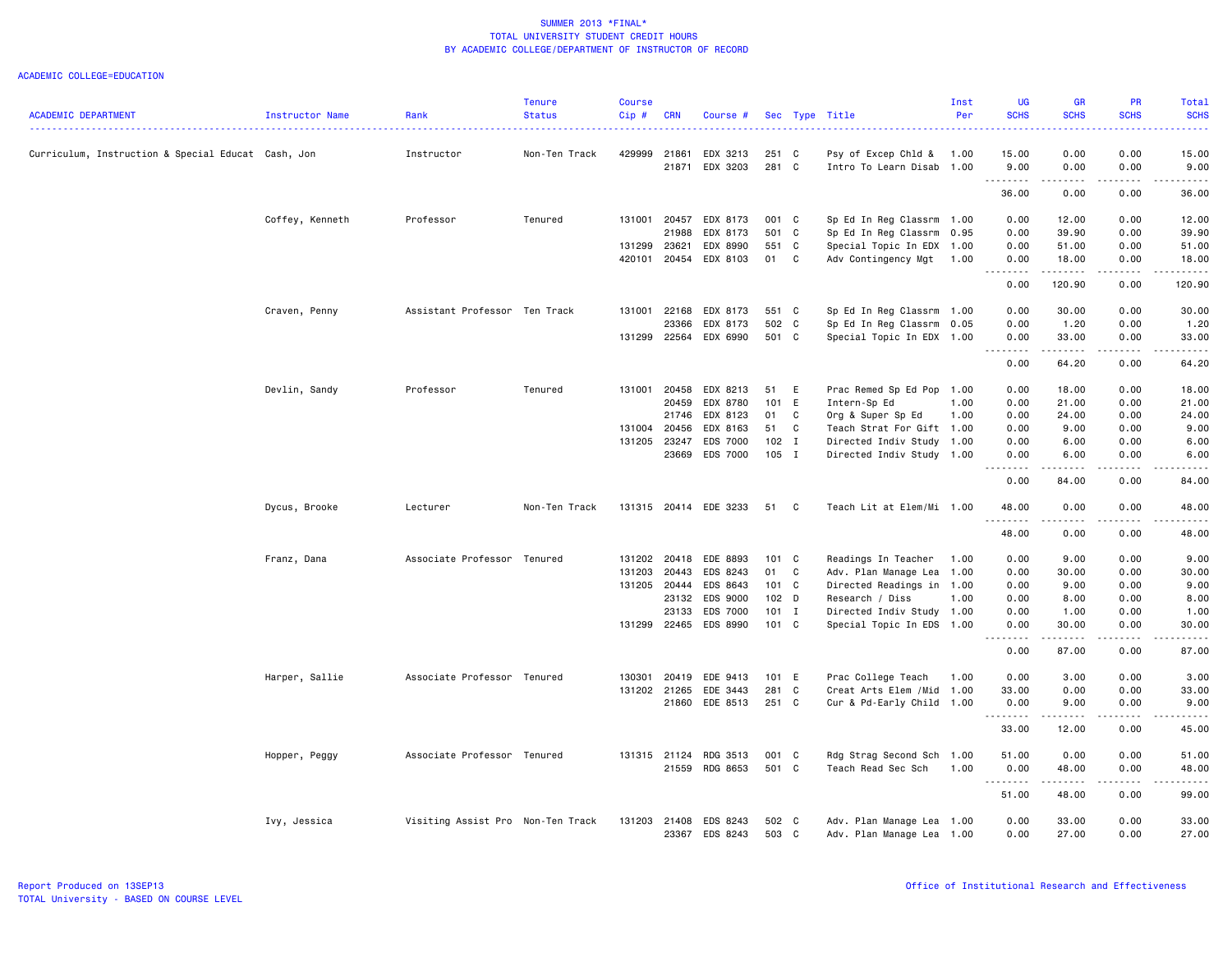|                                                    |                 |                                   | <b>Tenure</b> | <b>Course</b> |              |                       |         |              |                            | Inst | UG                                                                                                                                                           | GR                                                                                                                                                                                      | <b>PR</b>             | Total                  |
|----------------------------------------------------|-----------------|-----------------------------------|---------------|---------------|--------------|-----------------------|---------|--------------|----------------------------|------|--------------------------------------------------------------------------------------------------------------------------------------------------------------|-----------------------------------------------------------------------------------------------------------------------------------------------------------------------------------------|-----------------------|------------------------|
| <b>ACADEMIC DEPARTMENT</b>                         | Instructor Name | Rank                              | <b>Status</b> | Cip#          | <b>CRN</b>   | Course #              |         |              | Sec Type Title             | Per  | <b>SCHS</b>                                                                                                                                                  | <b>SCHS</b>                                                                                                                                                                             | <b>SCHS</b>           | <b>SCHS</b>            |
| Curriculum, Instruction & Special Educat Cash, Jon |                 | Instructor                        | Non-Ten Track | 429999        | 21861        | EDX 3213              | 251 C   |              | Psy of Excep Chld &        | 1.00 | 15.00                                                                                                                                                        | 0.00                                                                                                                                                                                    | 0.00                  | 15.00                  |
|                                                    |                 |                                   |               |               |              | 21871 EDX 3203        | 281 C   |              | Intro To Learn Disab 1.00  |      | 9.00                                                                                                                                                         | 0.00                                                                                                                                                                                    | 0.00                  | 9.00                   |
|                                                    |                 |                                   |               |               |              |                       |         |              |                            |      | .<br>36.00                                                                                                                                                   | $\frac{1}{2} \left( \frac{1}{2} \right) \left( \frac{1}{2} \right) \left( \frac{1}{2} \right) \left( \frac{1}{2} \right) \left( \frac{1}{2} \right) \left( \frac{1}{2} \right)$<br>0.00 | .<br>0.00             | .<br>36.00             |
|                                                    | Coffey, Kenneth | Professor                         | Tenured       | 131001        | 20457        | EDX 8173              | 001 C   |              | Sp Ed In Reg Classrm 1.00  |      | 0.00                                                                                                                                                         | 12.00                                                                                                                                                                                   | 0.00                  | 12.00                  |
|                                                    |                 |                                   |               |               | 21988        | EDX 8173              | 501 C   |              | Sp Ed In Reg Classrm       | 0.95 | 0.00                                                                                                                                                         | 39.90                                                                                                                                                                                   | 0.00                  | 39.90                  |
|                                                    |                 |                                   |               | 131299        | 23621        | EDX 8990              | 551 C   |              | Special Topic In EDX 1.00  |      | 0.00                                                                                                                                                         | 51.00                                                                                                                                                                                   | 0.00                  | 51.00                  |
|                                                    |                 |                                   |               | 420101        |              | 20454 EDX 8103        | 01 C    |              | Adv Contingency Mgt        | 1.00 | 0.00                                                                                                                                                         | 18.00                                                                                                                                                                                   | 0.00                  | 18.00                  |
|                                                    |                 |                                   |               |               |              |                       |         |              |                            |      | 0.00                                                                                                                                                         | . <b>.</b> .<br>120.90                                                                                                                                                                  | -----<br>0.00         | .<br>120.90            |
|                                                    | Craven, Penny   | Assistant Professor Ten Track     |               | 131001        | 22168        | EDX 8173              | 551 C   |              | Sp Ed In Reg Classrm 1.00  |      | 0.00                                                                                                                                                         | 30.00                                                                                                                                                                                   | 0.00                  | 30.00                  |
|                                                    |                 |                                   |               |               | 23366        | EDX 8173              | 502 C   |              | Sp Ed In Reg Classrm 0.05  |      | 0.00                                                                                                                                                         | 1.20                                                                                                                                                                                    | 0.00                  | 1.20                   |
|                                                    |                 |                                   |               | 131299        | 22564        | EDX 6990              | 501 C   |              | Special Topic In EDX 1.00  |      | 0.00                                                                                                                                                         | 33.00<br>.                                                                                                                                                                              | 0.00<br>.             | 33.00<br>.             |
|                                                    |                 |                                   |               |               |              |                       |         |              |                            |      | 0.00                                                                                                                                                         | 64.20                                                                                                                                                                                   | 0.00                  | 64.20                  |
|                                                    | Devlin, Sandy   | Professor                         | Tenured       | 131001 20458  |              | EDX 8213              | 51 E    |              | Prac Remed Sp Ed Pop       | 1.00 | 0.00                                                                                                                                                         | 18.00                                                                                                                                                                                   | 0.00                  | 18.00                  |
|                                                    |                 |                                   |               |               | 20459        | EDX 8780              | 101 E   |              | Intern-Sp Ed               | 1.00 | 0.00                                                                                                                                                         | 21.00                                                                                                                                                                                   | 0.00                  | 21.00                  |
|                                                    |                 |                                   |               |               | 21746        | EDX 8123              | 01      | C            | Org & Super Sp Ed          | 1.00 | 0.00                                                                                                                                                         | 24.00                                                                                                                                                                                   | 0.00                  | 24.00                  |
|                                                    |                 |                                   |               | 131004 20456  |              | EDX 8163              | 51      | C            | Teach Strat For Gift 1.00  |      | 0.00                                                                                                                                                         | 9.00                                                                                                                                                                                    | 0.00                  | 9.00                   |
|                                                    |                 |                                   |               | 131205        | 23247        | <b>EDS 7000</b>       | $102$ I |              | Directed Indiv Study 1.00  |      | 0.00                                                                                                                                                         | 6.00                                                                                                                                                                                    | 0.00                  | 6.00                   |
|                                                    |                 |                                   |               |               | 23669        | EDS 7000              | 105 I   |              | Directed Indiv Study 1.00  |      | 0.00<br>$\sim$ $\sim$ $\sim$                                                                                                                                 | 6.00                                                                                                                                                                                    | 0.00                  | 6.00                   |
|                                                    |                 |                                   |               |               |              |                       |         |              |                            |      | 0.00                                                                                                                                                         | 84.00                                                                                                                                                                                   | 0.00                  | 84.00                  |
|                                                    | Dycus, Brooke   | Lecturer                          | Non-Ten Track |               |              | 131315 20414 EDE 3233 | 51      | $\mathbf{C}$ | Teach Lit at Elem/Mi 1.00  |      | 48.00<br>.                                                                                                                                                   | 0.00                                                                                                                                                                                    | 0.00<br>$\frac{1}{2}$ | 48.00<br>$\frac{1}{2}$ |
|                                                    |                 |                                   |               |               |              |                       |         |              |                            |      | 48.00                                                                                                                                                        | 0.00                                                                                                                                                                                    | 0.00                  | 48.00                  |
|                                                    | Franz, Dana     | Associate Professor Tenured       |               | 131202 20418  |              | EDE 8893              | 101 C   |              | Readings In Teacher        | 1.00 | 0.00                                                                                                                                                         | 9.00                                                                                                                                                                                    | 0.00                  | 9.00                   |
|                                                    |                 |                                   |               | 131203        | 20443        | EDS 8243              | 01      | C            | Adv. Plan Manage Lea       | 1.00 | 0.00                                                                                                                                                         | 30.00                                                                                                                                                                                   | 0.00                  | 30.00                  |
|                                                    |                 |                                   |               | 131205 20444  |              | EDS 8643              | 101 C   |              | Directed Readings in 1.00  |      | 0.00                                                                                                                                                         | 9.00                                                                                                                                                                                    | 0.00                  | 9.00                   |
|                                                    |                 |                                   |               |               | 23132        | EDS 9000              | 102 D   |              | Research / Diss            | 1.00 | 0.00                                                                                                                                                         | 8.00                                                                                                                                                                                    | 0.00                  | 8.00                   |
|                                                    |                 |                                   |               |               | 23133        | <b>EDS 7000</b>       | $101$ I |              | Directed Indiv Study 1.00  |      | 0.00                                                                                                                                                         | 1.00                                                                                                                                                                                    | 0.00                  | 1.00                   |
|                                                    |                 |                                   |               | 131299 22465  |              | EDS 8990              | 101 C   |              | Special Topic In EDS 1.00  |      | 0.00<br>$\frac{1}{2} \left( \frac{1}{2} \right) \left( \frac{1}{2} \right) \left( \frac{1}{2} \right) \left( \frac{1}{2} \right) \left( \frac{1}{2} \right)$ | 30.00<br>.                                                                                                                                                                              | 0.00<br>.             | 30.00<br>.             |
|                                                    |                 |                                   |               |               |              |                       |         |              |                            |      | 0.00                                                                                                                                                         | 87.00                                                                                                                                                                                   | 0.00                  | 87.00                  |
|                                                    | Harper, Sallie  | Associate Professor Tenured       |               | 130301        | 20419        | EDE 9413              | 101 E   |              | Prac College Teach         | 1.00 | 0.00                                                                                                                                                         | 3.00                                                                                                                                                                                    | 0.00                  | 3.00                   |
|                                                    |                 |                                   |               | 131202 21265  |              | EDE 3443              | 281 C   |              | Creat Arts Elem / Mid 1.00 |      | 33.00                                                                                                                                                        | 0.00                                                                                                                                                                                    | 0.00                  | 33.00                  |
|                                                    |                 |                                   |               |               |              | 21860 EDE 8513        | 251 C   |              | Cur & Pd-Early Child 1.00  |      | 0.00                                                                                                                                                         | 9.00<br>.                                                                                                                                                                               | 0.00<br>.             | 9.00<br>.              |
|                                                    |                 |                                   |               |               |              |                       |         |              |                            |      | 33.00                                                                                                                                                        | 12.00                                                                                                                                                                                   | 0.00                  | 45.00                  |
|                                                    | Hopper, Peggy   | Associate Professor Tenured       |               |               | 131315 21124 | RDG 3513              | 001 C   |              | Rdg Strag Second Sch       | 1.00 | 51.00                                                                                                                                                        | 0.00                                                                                                                                                                                    | 0.00                  | 51.00                  |
|                                                    |                 |                                   |               |               |              | 21559 RDG 8653        | 501 C   |              | Teach Read Sec Sch         | 1.00 | 0.00                                                                                                                                                         | 48.00                                                                                                                                                                                   | 0.00                  | 48.00                  |
|                                                    |                 |                                   |               |               |              |                       |         |              |                            |      | <u>.</u><br>51.00                                                                                                                                            | .<br>48.00                                                                                                                                                                              | .<br>0.00             | .<br>99.00             |
|                                                    | Ivy, Jessica    | Visiting Assist Pro Non-Ten Track |               | 131203 21408  |              | EDS 8243              | 502 C   |              | Adv. Plan Manage Lea 1.00  |      | 0.00                                                                                                                                                         | 33.00                                                                                                                                                                                   | 0.00                  | 33.00                  |
|                                                    |                 |                                   |               |               |              | 23367 EDS 8243        | 503 C   |              | Adv. Plan Manage Lea 1.00  |      | 0.00                                                                                                                                                         | 27.00                                                                                                                                                                                   | 0.00                  | 27.00                  |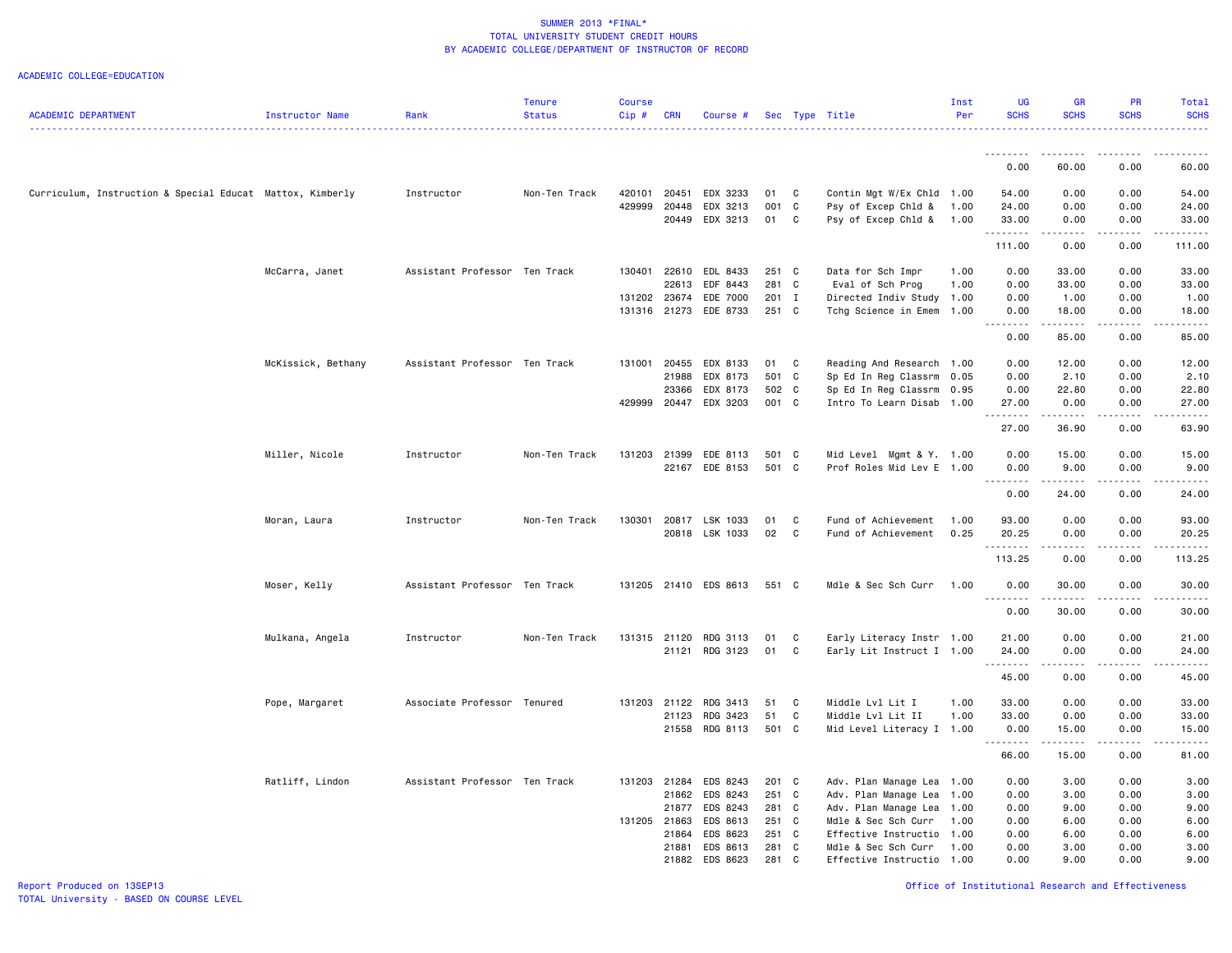|                                                           |                    |                               | <b>Tenure</b> | <b>Course</b> |              |                       |       |                |                           | Inst | UG               | <b>GR</b>                                                                                                                                                                                                                                                                                                                                    | PR                                                                                                                                                           | Total               |
|-----------------------------------------------------------|--------------------|-------------------------------|---------------|---------------|--------------|-----------------------|-------|----------------|---------------------------|------|------------------|----------------------------------------------------------------------------------------------------------------------------------------------------------------------------------------------------------------------------------------------------------------------------------------------------------------------------------------------|--------------------------------------------------------------------------------------------------------------------------------------------------------------|---------------------|
| ACADEMIC DEPARTMENT                                       | Instructor Name    | Rank                          | <b>Status</b> | $Cip \#$      | <b>CRN</b>   | Course #              |       |                | Sec Type Title            | Per  | <b>SCHS</b>      | <b>SCHS</b>                                                                                                                                                                                                                                                                                                                                  | <b>SCHS</b>                                                                                                                                                  | <b>SCHS</b>         |
|                                                           |                    |                               |               |               |              |                       |       |                |                           |      |                  |                                                                                                                                                                                                                                                                                                                                              |                                                                                                                                                              |                     |
|                                                           |                    |                               |               |               |              |                       |       |                |                           |      | 0.00             | 60.00                                                                                                                                                                                                                                                                                                                                        | 0.00                                                                                                                                                         | 60.00               |
| Curriculum, Instruction & Special Educat Mattox, Kimberly |                    | Instructor                    | Non-Ten Track | 420101        | 20451        | EDX 3233              | 01    | C              | Contin Mgt W/Ex Chld 1.00 |      | 54.00            | 0.00                                                                                                                                                                                                                                                                                                                                         | 0.00                                                                                                                                                         | 54.00               |
|                                                           |                    |                               |               | 429999        | 20448        | EDX 3213              | 001 C |                | Psy of Excep Chld &       | 1.00 | 24.00            | 0.00                                                                                                                                                                                                                                                                                                                                         | 0.00                                                                                                                                                         | 24.00               |
|                                                           |                    |                               |               |               |              | 20449 EDX 3213        | 01    | $\mathbf{C}$   | Psy of Excep Chld &       | 1.00 | 33.00<br>.       | 0.00<br><b></b>                                                                                                                                                                                                                                                                                                                              | 0.00<br><u>.</u>                                                                                                                                             | 33.00<br><u>.</u>   |
|                                                           |                    |                               |               |               |              |                       |       |                |                           |      | 111.00           | 0.00                                                                                                                                                                                                                                                                                                                                         | 0.00                                                                                                                                                         | 111.00              |
|                                                           | McCarra, Janet     | Assistant Professor Ten Track |               | 130401        | 22610        | EDL 8433              | 251 C |                | Data for Sch Impr         | 1.00 | 0.00             | 33.00                                                                                                                                                                                                                                                                                                                                        | 0.00                                                                                                                                                         | 33.00               |
|                                                           |                    |                               |               |               | 22613        | EDF 8443              | 281 C |                | Eval of Sch Prog          | 1.00 | 0.00             | 33.00                                                                                                                                                                                                                                                                                                                                        | 0.00                                                                                                                                                         | 33.00               |
|                                                           |                    |                               |               | 131202        | 23674        | EDE 7000              | 201 I |                | Directed Indiv Study      | 1.00 | 0.00             | 1.00                                                                                                                                                                                                                                                                                                                                         | 0.00                                                                                                                                                         | 1.00                |
|                                                           |                    |                               |               |               |              | 131316 21273 EDE 8733 | 251 C |                | Tchg Science in Emem 1.00 |      | 0.00<br>.        | 18.00<br>.                                                                                                                                                                                                                                                                                                                                   | 0.00<br>.                                                                                                                                                    | 18.00<br>.          |
|                                                           |                    |                               |               |               |              |                       |       |                |                           |      | 0.00             | 85.00                                                                                                                                                                                                                                                                                                                                        | 0.00                                                                                                                                                         | 85.00               |
|                                                           | McKissick, Bethany | Assistant Professor Ten Track |               | 131001        | 20455        | EDX 8133              | 01    | C              | Reading And Research 1.00 |      | 0.00             | 12.00                                                                                                                                                                                                                                                                                                                                        | 0.00                                                                                                                                                         | 12.00               |
|                                                           |                    |                               |               |               | 21988        | EDX 8173              | 501 C |                | Sp Ed In Reg Classrm      | 0.05 | 0.00             | 2.10                                                                                                                                                                                                                                                                                                                                         | 0.00                                                                                                                                                         | 2.10                |
|                                                           |                    |                               |               |               | 23366        | EDX 8173              | 502 C |                | Sp Ed In Reg Classrm 0.95 |      | 0.00             | 22.80                                                                                                                                                                                                                                                                                                                                        | 0.00                                                                                                                                                         | 22.80               |
|                                                           |                    |                               |               | 429999        | 20447        | EDX 3203              | 001 C |                | Intro To Learn Disab 1.00 |      | 27.00<br>.       | 0.00<br>.                                                                                                                                                                                                                                                                                                                                    | 0.00                                                                                                                                                         | 27.00<br>.          |
|                                                           |                    |                               |               |               |              |                       |       |                |                           |      | 27.00            | 36.90                                                                                                                                                                                                                                                                                                                                        | 0.00                                                                                                                                                         | 63.90               |
|                                                           | Miller, Nicole     | Instructor                    | Non-Ten Track | 131203        | 21399        | EDE 8113              | 501 C |                | Mid Level Mgmt & Y. 1.00  |      | 0.00             | 15.00                                                                                                                                                                                                                                                                                                                                        | 0.00                                                                                                                                                         | 15.00               |
|                                                           |                    |                               |               |               | 22167        | EDE 8153              | 501 C |                | Prof Roles Mid Lev E 1.00 |      | 0.00<br>-----    | 9.00<br>$- - - - -$                                                                                                                                                                                                                                                                                                                          | 0.00<br>.                                                                                                                                                    | 9.00<br>$- - - - -$ |
|                                                           |                    |                               |               |               |              |                       |       |                |                           |      | 0.00             | 24.00                                                                                                                                                                                                                                                                                                                                        | 0.00                                                                                                                                                         | 24.00               |
|                                                           | Moran, Laura       | Instructor                    | Non-Ten Track | 130301        |              | 20817 LSK 1033        | 01    | C              | Fund of Achievement       | 1.00 | 93.00            | 0.00                                                                                                                                                                                                                                                                                                                                         | 0.00                                                                                                                                                         | 93.00               |
|                                                           |                    |                               |               |               |              | 20818 LSK 1033        | 02    | C              | Fund of Achievement       | 0.25 | 20.25<br>.       | 0.00<br>$\frac{1}{2} \left( \begin{array}{ccc} 1 & 0 & 0 & 0 \\ 0 & 0 & 0 & 0 \\ 0 & 0 & 0 & 0 \\ 0 & 0 & 0 & 0 \\ 0 & 0 & 0 & 0 \\ 0 & 0 & 0 & 0 \\ 0 & 0 & 0 & 0 \\ 0 & 0 & 0 & 0 \\ 0 & 0 & 0 & 0 \\ 0 & 0 & 0 & 0 \\ 0 & 0 & 0 & 0 & 0 \\ 0 & 0 & 0 & 0 & 0 \\ 0 & 0 & 0 & 0 & 0 \\ 0 & 0 & 0 & 0 & 0 \\ 0 & 0 & 0 & 0 & 0 \\ 0 & 0 & 0$ | 0.00<br>$\frac{1}{2} \left( \frac{1}{2} \right) \left( \frac{1}{2} \right) \left( \frac{1}{2} \right) \left( \frac{1}{2} \right) \left( \frac{1}{2} \right)$ | 20.25<br>.          |
|                                                           |                    |                               |               |               |              |                       |       |                |                           |      | 113.25           | 0.00                                                                                                                                                                                                                                                                                                                                         | 0.00                                                                                                                                                         | 113.25              |
|                                                           | Moser, Kelly       | Assistant Professor Ten Track |               |               |              | 131205 21410 EDS 8613 | 551 C |                | Mdle & Sec Sch Curr       | 1.00 | 0.00<br>.        | 30.00<br>$\begin{array}{cccccccccc} \bullet & \bullet & \bullet & \bullet & \bullet & \bullet & \bullet & \bullet \end{array}$                                                                                                                                                                                                               | 0.00<br>.                                                                                                                                                    | 30.00               |
|                                                           |                    |                               |               |               |              |                       |       |                |                           |      | 0.00             | 30.00                                                                                                                                                                                                                                                                                                                                        | 0.00                                                                                                                                                         | .<br>30.00          |
|                                                           | Mulkana, Angela    | Instructor                    | Non-Ten Track |               | 131315 21120 | RDG 3113              | 01    | C              | Early Literacy Instr 1.00 |      | 21.00            | 0.00                                                                                                                                                                                                                                                                                                                                         | 0.00                                                                                                                                                         | 21.00               |
|                                                           |                    |                               |               |               | 21121        | RDG 3123              | 01    | C              | Early Lit Instruct I 1.00 |      | 24.00<br>.       | 0.00                                                                                                                                                                                                                                                                                                                                         | 0.00                                                                                                                                                         | 24.00               |
|                                                           |                    |                               |               |               |              |                       |       |                |                           |      | 45.00            | 0.00                                                                                                                                                                                                                                                                                                                                         | 0.00                                                                                                                                                         | 45.00               |
|                                                           | Pope, Margaret     | Associate Professor Tenured   |               |               | 131203 21122 | RDG 3413              | 51    | C              | Middle Lvl Lit I          | 1.00 | 33.00            | 0.00                                                                                                                                                                                                                                                                                                                                         | 0.00                                                                                                                                                         | 33.00               |
|                                                           |                    |                               |               |               | 21123        | RDG 3423              | 51    | C              | Middle Lvl Lit II         | 1.00 | 33.00            | 0.00                                                                                                                                                                                                                                                                                                                                         | 0.00                                                                                                                                                         | 33.00               |
|                                                           |                    |                               |               |               | 21558        | RDG 8113              | 501 C |                | Mid Level Literacy I 1.00 |      | 0.00<br><u>.</u> | 15.00<br>.                                                                                                                                                                                                                                                                                                                                   | 0.00<br>.                                                                                                                                                    | 15.00<br>.          |
|                                                           |                    |                               |               |               |              |                       |       |                |                           |      | 66.00            | 15.00                                                                                                                                                                                                                                                                                                                                        | 0.00                                                                                                                                                         | 81.00               |
|                                                           | Ratliff, Lindon    | Assistant Professor Ten Track |               |               | 131203 21284 | EDS 8243              | 201 C |                | Adv. Plan Manage Lea 1.00 |      | 0.00             | 3.00                                                                                                                                                                                                                                                                                                                                         | 0.00                                                                                                                                                         | 3.00                |
|                                                           |                    |                               |               |               | 21862        | EDS 8243              | 251 C |                | Adv. Plan Manage Lea      | 1.00 | 0.00             | 3.00                                                                                                                                                                                                                                                                                                                                         | 0.00                                                                                                                                                         | 3.00                |
|                                                           |                    |                               |               |               | 21877        | EDS 8243              | 281 C |                | Adv. Plan Manage Lea      | 1.00 | 0.00             | 9.00                                                                                                                                                                                                                                                                                                                                         | 0.00                                                                                                                                                         | 9.00                |
|                                                           |                    |                               |               | 131205 21863  |              | EDS 8613              | 251 C |                | Mdle & Sec Sch Curr       | 1.00 | 0.00             | 6.00                                                                                                                                                                                                                                                                                                                                         | 0.00                                                                                                                                                         | 6.00                |
|                                                           |                    |                               |               |               | 21864        | EDS 8623              | 251 C |                | Effective Instructio      | 1.00 | 0.00             | 6.00                                                                                                                                                                                                                                                                                                                                         | 0.00                                                                                                                                                         | 6.00                |
|                                                           |                    |                               |               |               | 21881        | EDS 8613              | 281 C |                | Mdle & Sec Sch Curr       | 1.00 | 0.00             | 3.00                                                                                                                                                                                                                                                                                                                                         | 0.00                                                                                                                                                         | 3.00                |
|                                                           |                    |                               |               |               | 21882        | EDS 8623              | 281   | C <sub>1</sub> | Effective Instructio      | 1.00 | 0.00             | 9.00                                                                                                                                                                                                                                                                                                                                         | 0.00                                                                                                                                                         | 9.00                |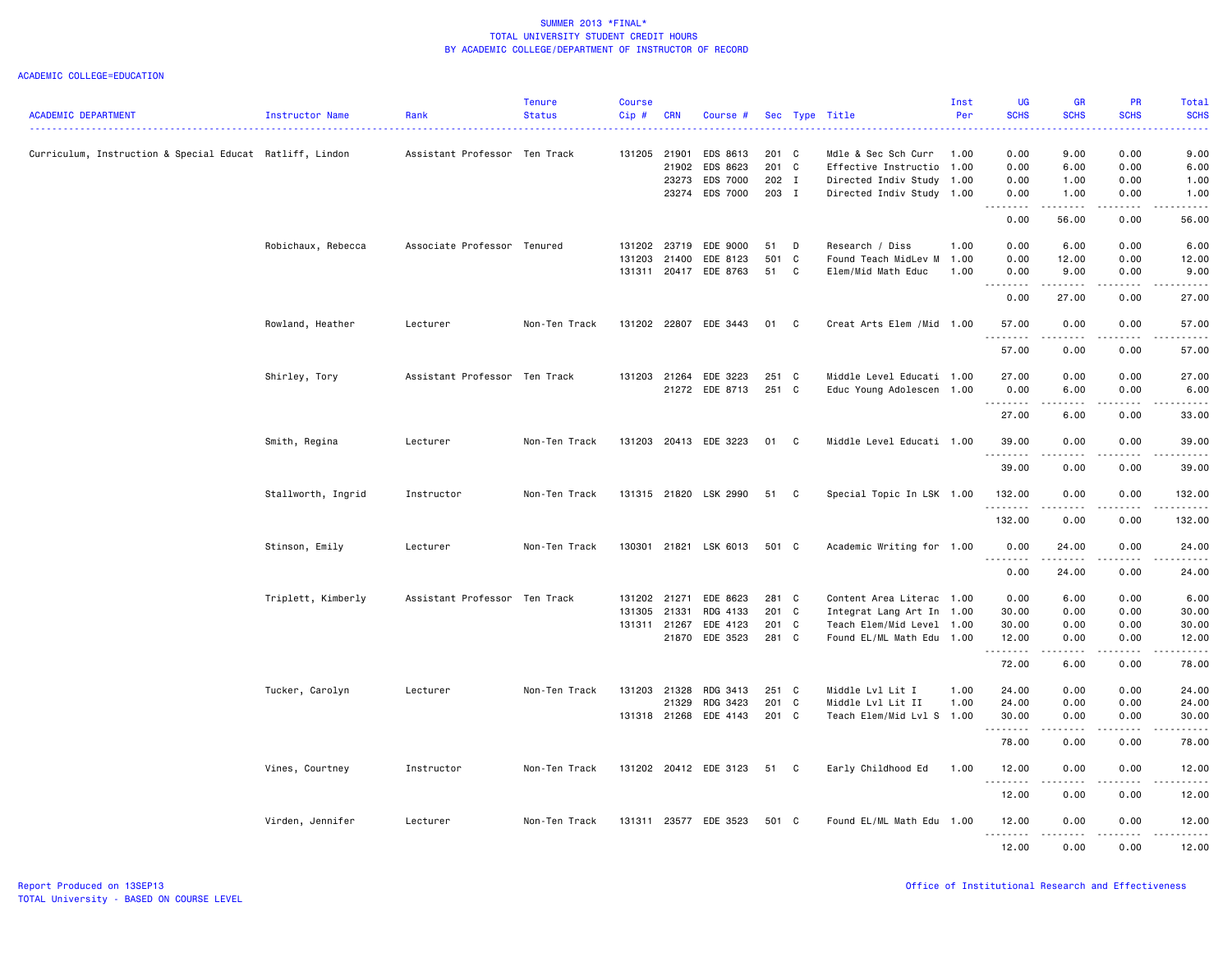| <b>ACADEMIC DEPARTMENT</b>                               | Instructor Name    | Rank                          | <b>Tenure</b><br><b>Status</b> | Course<br>Cip# | <b>CRN</b>   | Course #              |       |   | Sec Type Title             | Inst<br>Per | <b>UG</b><br><b>SCHS</b>                                                                                                                                     | <b>GR</b><br><b>SCHS</b>                                                                                                          | PR<br><b>SCHS</b>                   | Total<br><b>SCHS</b>                                                                                                                                           |
|----------------------------------------------------------|--------------------|-------------------------------|--------------------------------|----------------|--------------|-----------------------|-------|---|----------------------------|-------------|--------------------------------------------------------------------------------------------------------------------------------------------------------------|-----------------------------------------------------------------------------------------------------------------------------------|-------------------------------------|----------------------------------------------------------------------------------------------------------------------------------------------------------------|
|                                                          |                    |                               |                                |                |              |                       |       |   |                            |             |                                                                                                                                                              |                                                                                                                                   |                                     |                                                                                                                                                                |
| Curriculum, Instruction & Special Educat Ratliff, Lindon |                    | Assistant Professor Ten Track |                                | 131205 21901   |              | EDS 8613              | 201 C |   | Mdle & Sec Sch Curr        | 1.00        | 0.00                                                                                                                                                         | 9.00                                                                                                                              | 0.00                                | 9.00                                                                                                                                                           |
|                                                          |                    |                               |                                |                | 21902        | EDS 8623              | 201 C |   | Effective Instructio       | 1.00        | 0.00                                                                                                                                                         | 6.00                                                                                                                              | 0.00                                | 6.00                                                                                                                                                           |
|                                                          |                    |                               |                                |                | 23273        | EDS 7000              | 202 I |   | Directed Indiv Study 1.00  |             | 0.00                                                                                                                                                         | 1.00                                                                                                                              | 0.00                                | 1.00                                                                                                                                                           |
|                                                          |                    |                               |                                |                | 23274        | EDS 7000              | 203 I |   | Directed Indiv Study       | 1.00        | 0.00<br>$\frac{1}{2} \left( \frac{1}{2} \right) \left( \frac{1}{2} \right) \left( \frac{1}{2} \right) \left( \frac{1}{2} \right) \left( \frac{1}{2} \right)$ | 1.00<br>.                                                                                                                         | 0.00<br>$\sim$ $\sim$ $\sim$ $\sim$ | 1.00                                                                                                                                                           |
|                                                          |                    |                               |                                |                |              |                       |       |   |                            |             | 0.00                                                                                                                                                         | 56.00                                                                                                                             | 0.00                                | 56.00                                                                                                                                                          |
|                                                          | Robichaux, Rebecca | Associate Professor Tenured   |                                |                | 131202 23719 | EDE 9000              | 51    | D | Research / Diss            | 1.00        | 0.00                                                                                                                                                         | 6.00                                                                                                                              | 0.00                                | 6.00                                                                                                                                                           |
|                                                          |                    |                               |                                | 131203         | 21400        | EDE 8123              | 501 C |   | Found Teach MidLev M 1.00  |             | 0.00                                                                                                                                                         | 12.00                                                                                                                             | 0.00                                | 12.00                                                                                                                                                          |
|                                                          |                    |                               |                                |                |              | 131311 20417 EDE 8763 | 51    | C | Elem/Mid Math Educ         | 1.00        | 0.00<br>.                                                                                                                                                    | 9.00<br>.                                                                                                                         | 0.00<br>.                           | 9.00<br>.                                                                                                                                                      |
|                                                          |                    |                               |                                |                |              |                       |       |   |                            |             | 0.00                                                                                                                                                         | 27.00                                                                                                                             | 0.00                                | 27.00                                                                                                                                                          |
|                                                          | Rowland, Heather   | Lecturer                      | Non-Ten Track                  |                |              | 131202 22807 EDE 3443 | 01 C  |   | Creat Arts Elem / Mid 1.00 |             | 57.00<br>.                                                                                                                                                   | 0.00<br>المتماما                                                                                                                  | 0.00<br>.                           | 57.00<br>.                                                                                                                                                     |
|                                                          |                    |                               |                                |                |              |                       |       |   |                            |             | 57.00                                                                                                                                                        | 0.00                                                                                                                              | 0.00                                | 57.00                                                                                                                                                          |
|                                                          | Shirley, Tory      | Assistant Professor Ten Track |                                |                |              | 131203 21264 EDE 3223 | 251 C |   | Middle Level Educati 1.00  |             | 27.00                                                                                                                                                        | 0.00                                                                                                                              | 0.00                                | 27.00                                                                                                                                                          |
|                                                          |                    |                               |                                |                |              | 21272 EDE 8713        | 251 C |   | Educ Young Adolescen 1.00  |             | 0.00                                                                                                                                                         | 6.00                                                                                                                              | 0.00                                | 6.00                                                                                                                                                           |
|                                                          |                    |                               |                                |                |              |                       |       |   |                            |             | .<br>27.00                                                                                                                                                   | .<br>6.00                                                                                                                         | .<br>0.00                           | . <b>.</b><br>33.00                                                                                                                                            |
|                                                          | Smith, Regina      | Lecturer                      | Non-Ten Track                  |                |              | 131203 20413 EDE 3223 | 01 C  |   | Middle Level Educati 1.00  |             | 39.00                                                                                                                                                        | 0.00<br>$\sim$ $\sim$ $\sim$                                                                                                      | 0.00                                | 39.00                                                                                                                                                          |
|                                                          |                    |                               |                                |                |              |                       |       |   |                            |             | 39.00                                                                                                                                                        | 0.00                                                                                                                              | 0.00                                | 39.00                                                                                                                                                          |
|                                                          | Stallworth, Ingrid | Instructor                    | Non-Ten Track                  |                |              | 131315 21820 LSK 2990 | 51 C  |   | Special Topic In LSK 1.00  |             | 132.00<br>.                                                                                                                                                  | 0.00<br>.                                                                                                                         | 0.00<br>.                           | 132.00<br>$\frac{1}{2} \left( \frac{1}{2} \right) \left( \frac{1}{2} \right) \left( \frac{1}{2} \right) \left( \frac{1}{2} \right) \left( \frac{1}{2} \right)$ |
|                                                          |                    |                               |                                |                |              |                       |       |   |                            |             | 132.00                                                                                                                                                       | 0.00                                                                                                                              | 0.00                                | 132.00                                                                                                                                                         |
|                                                          | Stinson, Emily     | Lecturer                      | Non-Ten Track                  |                |              | 130301 21821 LSK 6013 | 501 C |   | Academic Writing for 1.00  |             | 0.00<br>.                                                                                                                                                    | 24.00<br>.                                                                                                                        | 0.00<br>.                           | 24.00<br>.                                                                                                                                                     |
|                                                          |                    |                               |                                |                |              |                       |       |   |                            |             | 0.00                                                                                                                                                         | 24.00                                                                                                                             | 0.00                                | 24.00                                                                                                                                                          |
|                                                          | Triplett, Kimberly | Assistant Professor Ten Track |                                |                | 131202 21271 | EDE 8623              | 281 C |   | Content Area Literac 1.00  |             | 0.00                                                                                                                                                         | 6.00                                                                                                                              | 0.00                                | 6.00                                                                                                                                                           |
|                                                          |                    |                               |                                |                | 131305 21331 | RDG 4133              | 201 C |   | Integrat Lang Art In 1.00  |             | 30.00                                                                                                                                                        | 0.00                                                                                                                              | 0.00                                | 30.00                                                                                                                                                          |
|                                                          |                    |                               |                                |                | 131311 21267 | EDE 4123              | 201 C |   | Teach Elem/Mid Level 1.00  |             | 30.00                                                                                                                                                        | 0.00                                                                                                                              | 0.00                                | 30.00                                                                                                                                                          |
|                                                          |                    |                               |                                |                | 21870        | EDE 3523              | 281 C |   | Found EL/ML Math Edu 1.00  |             | 12.00<br>.                                                                                                                                                   | 0.00<br>$\frac{1}{2} \left( \frac{1}{2} \right) \left( \frac{1}{2} \right) \left( \frac{1}{2} \right) \left( \frac{1}{2} \right)$ | 0.00<br>.                           | 12.00<br>.                                                                                                                                                     |
|                                                          |                    |                               |                                |                |              |                       |       |   |                            |             | 72.00                                                                                                                                                        | 6.00                                                                                                                              | 0.00                                | 78.00                                                                                                                                                          |
|                                                          | Tucker, Carolyn    | Lecturer                      | Non-Ten Track                  |                | 131203 21328 | RDG 3413              | 251 C |   | Middle Lvl Lit I           | 1.00        | 24.00                                                                                                                                                        | 0.00                                                                                                                              | 0.00                                | 24.00                                                                                                                                                          |
|                                                          |                    |                               |                                |                | 21329        | RDG 3423              | 201 C |   | Middle Lvl Lit II          | 1.00        | 24.00                                                                                                                                                        | 0.00                                                                                                                              | 0.00                                | 24.00                                                                                                                                                          |
|                                                          |                    |                               |                                |                |              | 131318 21268 EDE 4143 | 201 C |   | Teach Elem/Mid Lvl S 1.00  |             | 30.00<br>.                                                                                                                                                   | 0.00<br>.                                                                                                                         | 0.00<br>.                           | 30.00<br>.                                                                                                                                                     |
|                                                          |                    |                               |                                |                |              |                       |       |   |                            |             | 78.00                                                                                                                                                        | 0.00                                                                                                                              | 0.00                                | 78.00                                                                                                                                                          |
|                                                          | Vines, Courtney    | Instructor                    | Non-Ten Track                  |                |              | 131202 20412 EDE 3123 | 51 C  |   | Early Childhood Ed         | 1.00        | 12.00<br>.                                                                                                                                                   | 0.00<br>$\omega$ is $\omega$ in                                                                                                   | 0.00<br>.                           | 12.00<br>.                                                                                                                                                     |
|                                                          |                    |                               |                                |                |              |                       |       |   |                            |             | 12.00                                                                                                                                                        | 0.00                                                                                                                              | 0.00                                | 12.00                                                                                                                                                          |
|                                                          | Virden, Jennifer   | Lecturer                      | Non-Ten Track                  |                |              | 131311 23577 EDE 3523 | 501 C |   | Found EL/ML Math Edu 1.00  |             | 12.00<br>.                                                                                                                                                   | 0.00                                                                                                                              | 0.00                                | 12.00                                                                                                                                                          |
|                                                          |                    |                               |                                |                |              |                       |       |   |                            |             | 12.00                                                                                                                                                        | 0.00                                                                                                                              | 0.00                                | 12.00                                                                                                                                                          |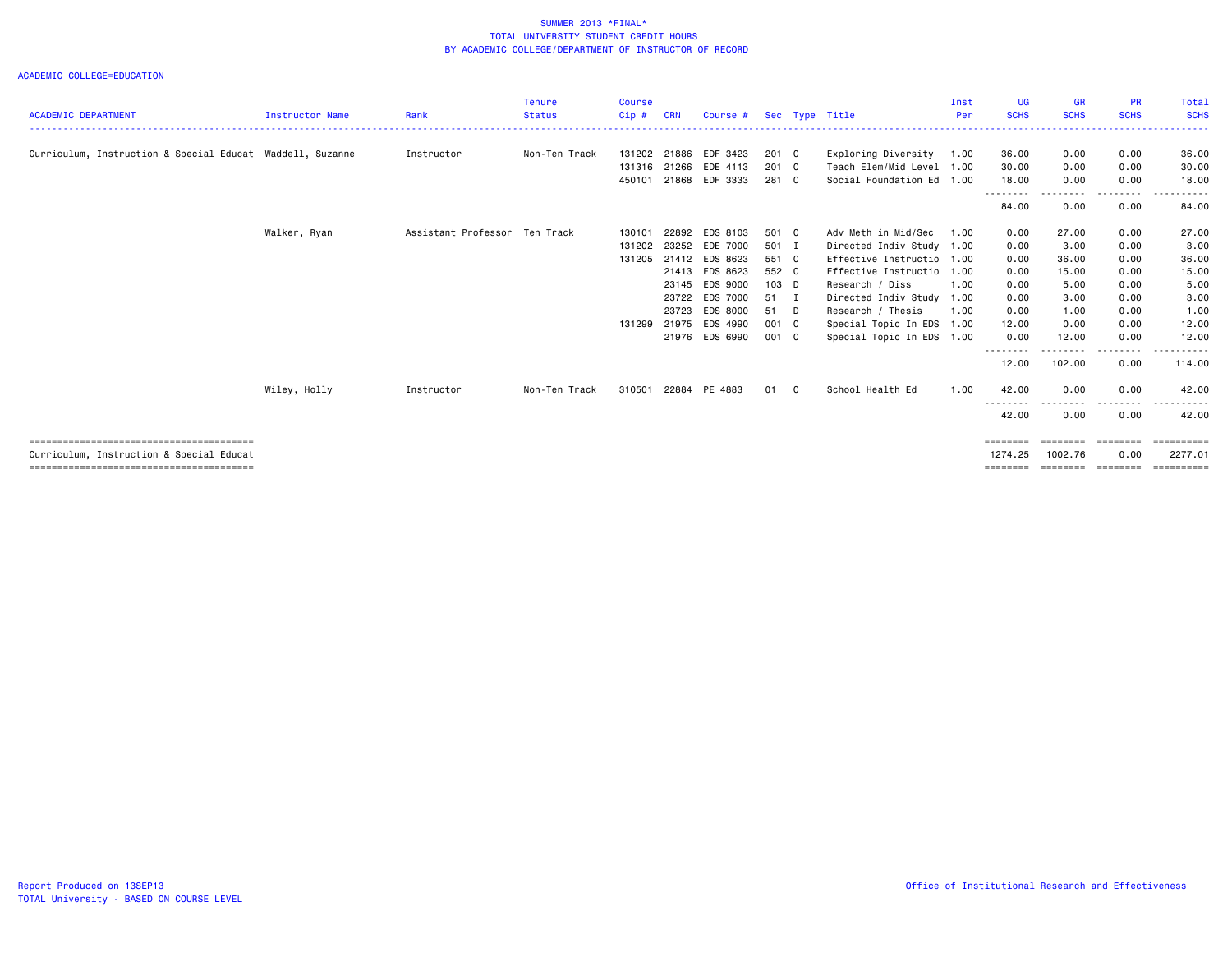|                                                           |                 |                     | <b>Tenure</b> | <b>Course</b> |            |                 |         |   |                           | Inst | UG                 | <b>GR</b>            | <b>PR</b>   | <b>Total</b>          |
|-----------------------------------------------------------|-----------------|---------------------|---------------|---------------|------------|-----------------|---------|---|---------------------------|------|--------------------|----------------------|-------------|-----------------------|
| <b>ACADEMIC DEPARTMENT</b>                                | Instructor Name | Rank                | <b>Status</b> | Cip#          | <b>CRN</b> | Course #        |         |   | Sec Type Title            | Per  | <b>SCHS</b>        | <b>SCHS</b>          | <b>SCHS</b> | <b>SCHS</b>           |
| Curriculum, Instruction & Special Educat Waddell, Suzanne |                 | Instructor          | Non-Ten Track | 131202        | 21886      | EDF 3423        | 201 C   |   | Exploring Diversity       | 1.00 | 36.00              | 0.00                 | 0.00        | 36.00                 |
|                                                           |                 |                     |               | 131316 21266  |            | EDE 4113        | 201 C   |   | Teach Elem/Mid Level 1.00 |      | 30.00              | 0.00                 | 0.00        | 30.00                 |
|                                                           |                 |                     |               | 450101        | 21868      | EDF 3333        | 281 C   |   | Social Foundation Ed 1.00 |      | 18,00              | 0.00                 | 0.00        | 18.00                 |
|                                                           |                 |                     |               |               |            |                 |         |   |                           |      | ---------<br>84.00 | . <b>.</b> .<br>0.00 | 0.00        | .<br>84.00            |
|                                                           | Walker, Ryan    | Assistant Professor | Ten Track     | 130101        | 22892      | EDS 8103        | 501 C   |   | Adv Meth in Mid/Sec       | 1.00 | 0.00               | 27.00                | 0.00        | 27.00                 |
|                                                           |                 |                     |               | 131202        | 23252      | EDE 7000        | 501 I   |   | Directed Indiv Study      | 1.00 | 0.00               | 3.00                 | 0.00        | 3.00                  |
|                                                           |                 |                     |               | 131205        | 21412      | EDS 8623        | 551 C   |   | Effective Instructio      | 1.00 | 0.00               | 36.00                | 0.00        | 36.00                 |
|                                                           |                 |                     |               |               | 21413      | EDS 8623        | 552 C   |   | Effective Instructio      | 1.00 | 0.00               | 15.00                | 0.00        | 15.00                 |
|                                                           |                 |                     |               |               | 23145      | EDS 9000        | $103$ D |   | Research / Diss           | 1.00 | 0.00               | 5.00                 | 0.00        | 5.00                  |
|                                                           |                 |                     |               |               | 23722      | EDS 7000        | 51 I    |   | Directed Indiv Study      | 1.00 | 0.00               | 3.00                 | 0.00        | 3.00                  |
|                                                           |                 |                     |               |               | 23723      | <b>EDS 8000</b> | 51 D    |   | Research / Thesis         | 1.00 | 0.00               | 1.00                 | 0.00        | 1.00                  |
|                                                           |                 |                     |               | 131299        | 21975      | EDS 4990        | 001 C   |   | Special Topic In EDS 1.00 |      | 12.00              | 0.00                 | 0.00        | 12.00                 |
|                                                           |                 |                     |               |               | 21976      | EDS 6990        | 001 C   |   | Special Topic In EDS 1.00 |      | 0.00               | 12.00                | 0.00        | 12.00                 |
|                                                           |                 |                     |               |               |            |                 |         |   |                           |      | --------<br>12.00  | 102.00               | 0.00        | 114.00                |
|                                                           | Wiley, Holly    | Instructor          | Non-Ten Track | 310501        | 22884      | PE 4883         | 01      | C | School Health Ed          | 1.00 | 42.00              | 0.00                 | 0.00        | 42.00                 |
|                                                           |                 |                     |               |               |            |                 |         |   |                           |      | .<br>42.00         | .<br>0.00            | 0.00        | 42.00                 |
|                                                           |                 |                     |               |               |            |                 |         |   |                           |      | ========           | ========             | ========    | $=$ = = = = = = = = = |
| Curriculum, Instruction & Special Educat                  |                 |                     |               |               |            |                 |         |   |                           |      | 1274.25            | 1002.76              | 0.00        | 2277.01               |
|                                                           |                 |                     |               |               |            |                 |         |   |                           |      | ========           | ========             | ---------   | ==========            |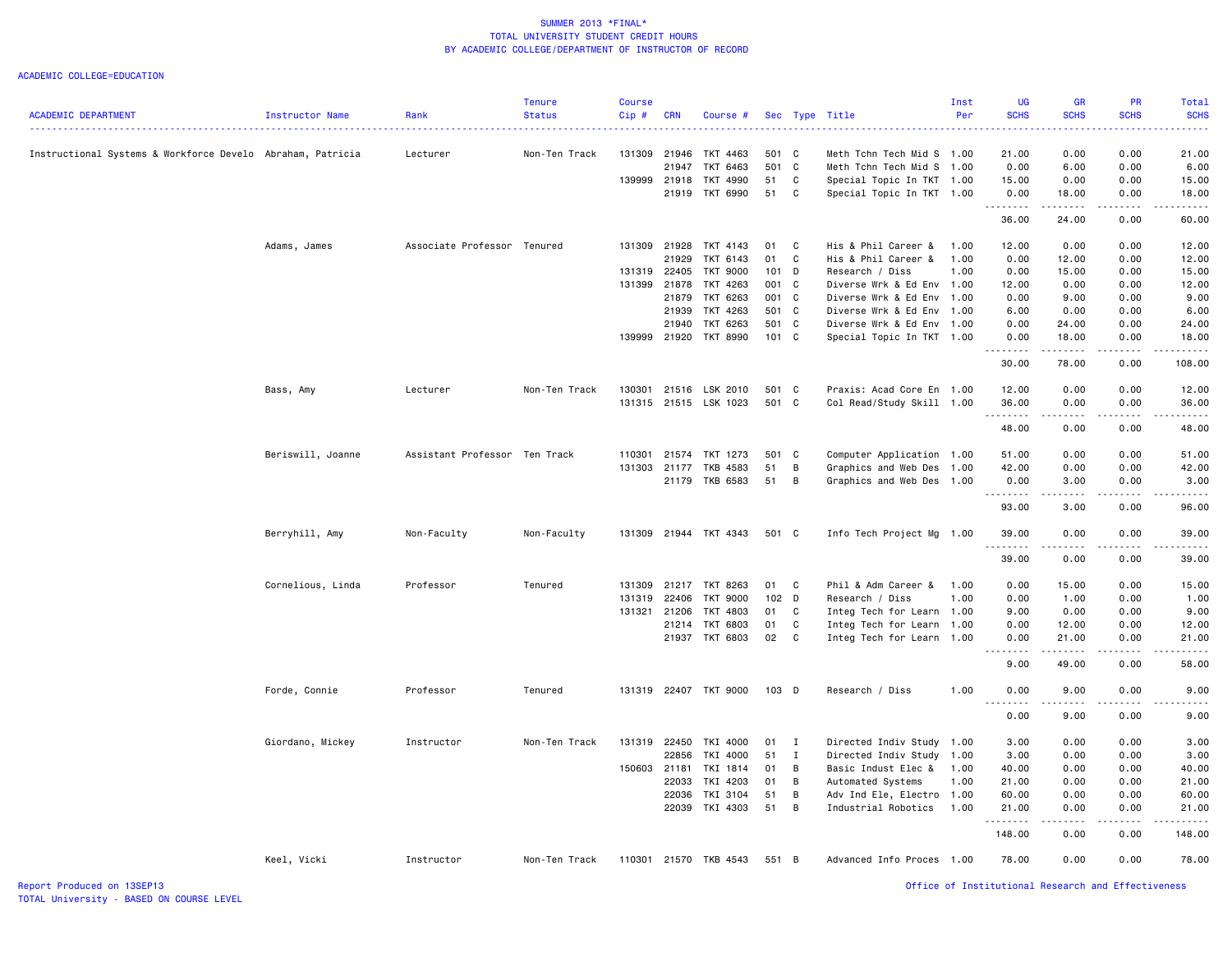|                                                            |                   |                               | <b>Tenure</b> | <b>Course</b> |            |                            |          |              |                                                        | Inst | <b>UG</b>                    | <b>GR</b>           | <b>PR</b>    | Total          |
|------------------------------------------------------------|-------------------|-------------------------------|---------------|---------------|------------|----------------------------|----------|--------------|--------------------------------------------------------|------|------------------------------|---------------------|--------------|----------------|
| <b>ACADEMIC DEPARTMENT</b>                                 | Instructor Name   | Rank                          | <b>Status</b> | Cip#          | <b>CRN</b> | Course #                   |          |              | Sec Type Title                                         | Per  | <b>SCHS</b>                  | <b>SCHS</b>         | <b>SCHS</b>  | <b>SCHS</b>    |
|                                                            |                   |                               |               |               |            |                            |          |              |                                                        |      |                              |                     |              |                |
| Instructional Systems & Workforce Develo Abraham, Patricia |                   | Lecturer                      | Non-Ten Track | 131309        | 21946      | TKT 4463                   | 501 C    |              | Meth Tchn Tech Mid S 1.00                              |      | 21.00                        | 0.00                | 0.00         | 21.00          |
|                                                            |                   |                               |               |               | 21947      | TKT 6463                   | 501 C    |              | Meth Tchn Tech Mid S 1.00                              |      | 0.00                         | 6.00                | 0.00         | 6.00           |
|                                                            |                   |                               |               | 139999        | 21918      | TKT 4990                   | 51       | $\mathbf C$  | Special Topic In TKT 1.00                              |      | 15.00                        | 0.00                | 0.00         | 15.00          |
|                                                            |                   |                               |               |               | 21919      | TKT 6990                   | 51       | $\mathbf{C}$ | Special Topic In TKT 1.00                              |      | 0.00<br><u>.</u>             | 18.00<br>. <b>.</b> | 0.00<br>.    | 18.00<br>.     |
|                                                            |                   |                               |               |               |            |                            |          |              |                                                        |      | 36.00                        | 24.00               | 0.00         | 60.00          |
|                                                            | Adams, James      | Associate Professor Tenured   |               | 131309 21928  |            | TKT 4143                   | 01       | C            | His & Phil Career &                                    | 1.00 | 12.00                        | 0.00                | 0.00         | 12.00          |
|                                                            |                   |                               |               |               | 21929      | TKT 6143                   | 01       | C            | His & Phil Career &                                    | 1.00 | 0.00                         | 12.00               | 0.00         | 12.00          |
|                                                            |                   |                               |               | 131319        | 22405      | TKT 9000                   | 101 D    |              | Research / Diss                                        | 1.00 | 0.00                         | 15.00               | 0.00         | 15.00          |
|                                                            |                   |                               |               | 131399        | 21878      | TKT 4263                   | 001 C    |              | Diverse Wrk & Ed Env 1.00                              |      | 12.00                        | 0.00                | 0.00         | 12.00          |
|                                                            |                   |                               |               |               | 21879      | TKT 6263                   | 001 C    |              | Diverse Wrk & Ed Env 1.00                              |      | 0.00                         | 9.00                | 0.00         | 9.00           |
|                                                            |                   |                               |               |               | 21939      | TKT 4263                   | 501 C    |              | Diverse Wrk & Ed Env                                   | 1.00 | 6.00                         | 0.00                | 0.00         | 6.00           |
|                                                            |                   |                               |               |               | 21940      | TKT 6263                   | 501 C    |              | Diverse Wrk & Ed Env 1.00                              |      | 0.00                         | 24.00               | 0.00         | 24.00          |
|                                                            |                   |                               |               | 139999 21920  |            | TKT 8990                   | 101 C    |              | Special Topic In TKT 1.00                              |      | 0.00<br><u>.</u>             | 18.00<br>. <b>.</b> | 0.00<br>.    | 18.00<br>.     |
|                                                            |                   |                               |               |               |            |                            |          |              |                                                        |      | 30.00                        | 78.00               | 0.00         | 108.00         |
|                                                            | Bass, Amy         | Lecturer                      | Non-Ten Track | 130301        | 21516      | LSK 2010                   | 501      | $\mathbf{C}$ | Praxis: Acad Core En 1.00                              |      | 12.00                        | 0.00                | 0.00         | 12.00          |
|                                                            |                   |                               |               |               |            | 131315 21515 LSK 1023      | 501 C    |              | Col Read/Study Skill 1.00                              |      | 36.00                        | 0.00                | 0.00         | 36.00          |
|                                                            |                   |                               |               |               |            |                            |          |              |                                                        |      | .<br>48.00                   | .<br>0.00           | .<br>0.00    | .<br>48.00     |
|                                                            | Beriswill, Joanne | Assistant Professor Ten Track |               | 110301        | 21574      | TKT 1273                   | 501 C    |              | Computer Application 1.00                              |      | 51.00                        | 0.00                | 0.00         | 51.00          |
|                                                            |                   |                               |               | 131303        | 21177      | TKB 4583                   | 51       | B            | Graphics and Web Des                                   | 1.00 | 42.00                        | 0.00                | 0.00         | 42.00          |
|                                                            |                   |                               |               |               | 21179      | TKB 6583                   | 51       | B            | Graphics and Web Des 1.00                              |      | 0.00                         | 3.00                | 0.00         | 3.00           |
|                                                            |                   |                               |               |               |            |                            |          |              |                                                        |      | .<br>93.00                   | <u>.</u><br>3.00    | .<br>0.00    | .<br>96.00     |
|                                                            | Berryhill, Amy    | Non-Faculty                   | Non-Faculty   |               |            | 131309 21944 TKT 4343      | 501 C    |              | Info Tech Project Mg                                   | 1.00 | 39.00                        | 0.00                | 0.00         | 39.00          |
|                                                            |                   |                               |               |               |            |                            |          |              |                                                        |      | 39.00                        | 0.00                | 0.00         | 39.00          |
|                                                            |                   |                               |               |               |            |                            |          |              |                                                        |      |                              |                     |              |                |
|                                                            | Cornelious, Linda | Professor                     | Tenured       | 131309        | 21217      | TKT 8263                   | 01       | C.           | Phil & Adm Career &                                    | 1.00 | 0.00                         | 15.00               | 0.00         | 15.00          |
|                                                            |                   |                               |               | 131319        | 22406      | <b>TKT 9000</b>            | 102 D    |              | Research / Diss                                        | 1.00 | 0.00                         | 1.00                | 0.00         | 1.00           |
|                                                            |                   |                               |               | 131321        | 21206      | TKT 4803                   | 01       | C            | Integ Tech for Learn 1.00                              |      | 9.00                         | 0.00                | 0.00         | 9.00           |
|                                                            |                   |                               |               |               | 21214      | TKT 6803<br>21937 TKT 6803 | 01<br>02 | C<br>C       | Integ Tech for Learn 1.00<br>Integ Tech for Learn 1.00 |      | 0.00<br>0.00                 | 12.00<br>21.00      | 0.00<br>0.00 | 12.00<br>21.00 |
|                                                            |                   |                               |               |               |            |                            |          |              |                                                        |      | $\sim$ $\sim$ $\sim$         |                     |              |                |
|                                                            |                   |                               |               |               |            |                            |          |              |                                                        |      | 9.00                         | 49.00               | 0.00         | 58.00          |
|                                                            | Forde, Connie     | Professor                     | Tenured       |               |            | 131319 22407 TKT 9000      | 103 D    |              | Research / Diss                                        | 1.00 | 0.00<br>$\sim$ $\sim$ $\sim$ | 9.00                | 0.00         | 9.00           |
|                                                            |                   |                               |               |               |            |                            |          |              |                                                        |      | 0.00                         | 9.00                | 0.00         | 9.00           |
|                                                            | Giordano, Mickey  | Instructor                    | Non-Ten Track | 131319        | 22450      | TKI 4000                   | 01       | I            | Directed Indiv Study                                   | 1.00 | 3.00                         | 0.00                | 0.00         | 3.00           |
|                                                            |                   |                               |               |               | 22856      | TKI 4000                   | 51       | $\mathbf{I}$ | Directed Indiv Study                                   | 1.00 | 3.00                         | 0.00                | 0.00         | 3.00           |
|                                                            |                   |                               |               | 150603 21181  |            | TKI 1814                   | 01       | B            | Basic Indust Elec &                                    | 1.00 | 40.00                        | 0.00                | 0.00         | 40.00          |
|                                                            |                   |                               |               |               | 22033      | TKI 4203                   | 01       | В            | Automated Systems                                      | 1.00 | 21.00                        | 0.00                | 0.00         | 21.00          |
|                                                            |                   |                               |               |               | 22036      | TKI 3104                   | 51       | B            | Adv Ind Ele, Electro 1.00                              |      | 60.00                        | 0.00                | 0.00         | 60.00          |
|                                                            |                   |                               |               |               | 22039      | TKI 4303                   | 51       | B            | Industrial Robotics                                    | 1.00 | 21.00<br>.                   | 0.00                | 0.00         | 21.00          |
|                                                            |                   |                               |               |               |            |                            |          |              |                                                        |      | 148.00                       | 0.00                | 0.00         | 148.00         |
|                                                            | Keel, Vicki       | Instructor                    | Non-Ten Track |               |            | 110301 21570 TKB 4543      | 551 B    |              | Advanced Info Proces 1.00                              |      | 78.00                        | 0.00                | 0.00         | 78,00          |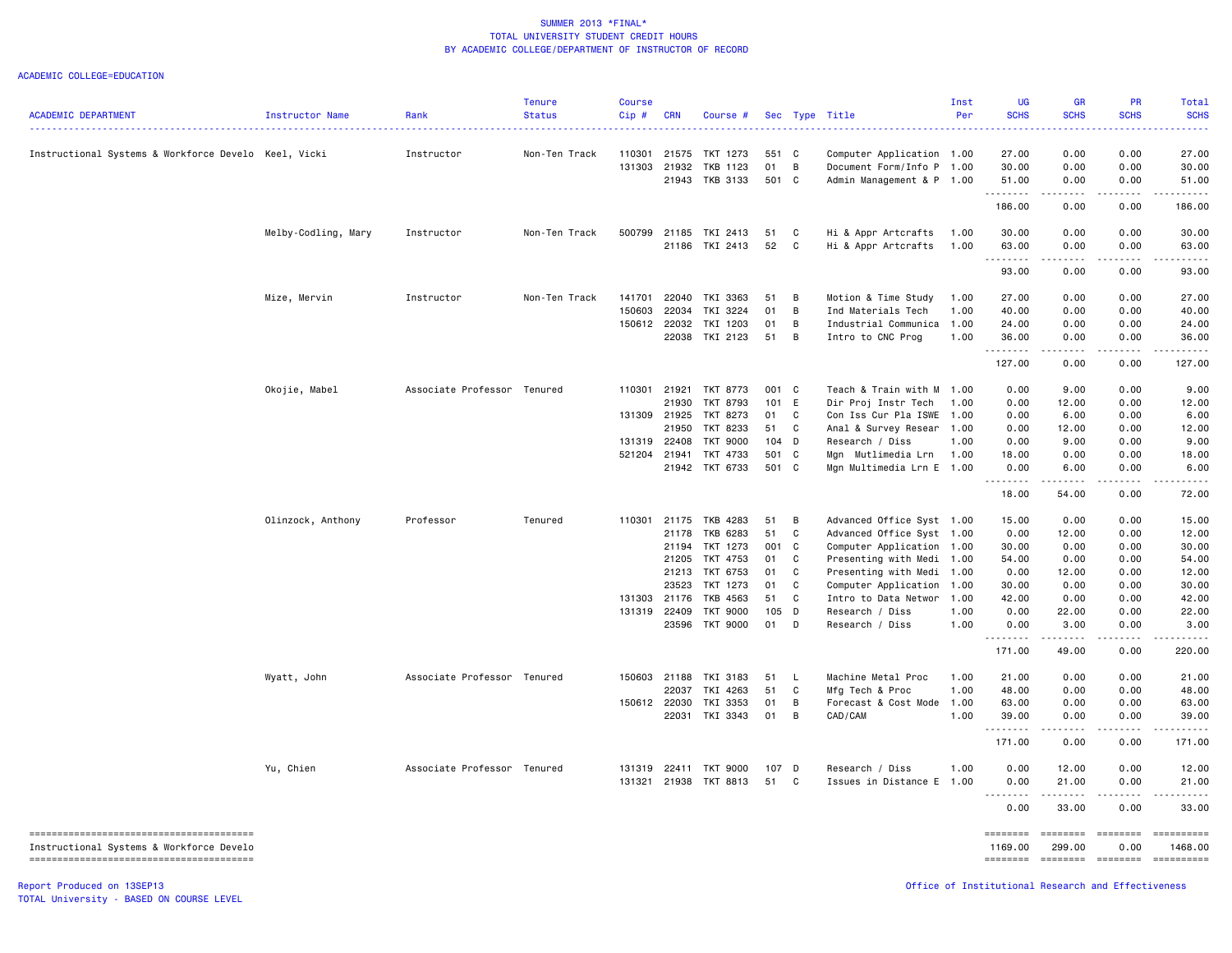#### ACADEMIC COLLEGE=EDUCATION

| <b>ACADEMIC DEPARTMENT</b>                           | <b>Instructor Name</b> | Rank                        | <b>Tenure</b><br><b>Status</b> | Course<br>Cip# | <b>CRN</b>   | Course          |         |                | Sec Type Title            | Inst<br>Per | UG<br><b>SCHS</b> | GR<br><b>SCHS</b>                   | PR<br><b>SCHS</b>   | Total<br><b>SCHS</b>  |
|------------------------------------------------------|------------------------|-----------------------------|--------------------------------|----------------|--------------|-----------------|---------|----------------|---------------------------|-------------|-------------------|-------------------------------------|---------------------|-----------------------|
| Instructional Systems & Workforce Develo Keel, Vicki |                        | Instructor                  | Non-Ten Track                  | 110301         | 21575        | TKT 1273        | 551 C   |                | Computer Application 1.00 |             | 27.00             | 0.00                                | 0.00                | 27.00                 |
|                                                      |                        |                             |                                | 131303         | 21932        | TKB 1123        | 01      | $\overline{B}$ | Document Form/Info P 1.00 |             | 30.00             | 0.00                                | 0.00                | 30.00                 |
|                                                      |                        |                             |                                |                |              | 21943 TKB 3133  | 501 C   |                | Admin Management & P 1.00 |             | 51.00             | 0.00                                | 0.00                | 51.00                 |
|                                                      |                        |                             |                                |                |              |                 |         |                |                           |             | .<br>186.00       | $\sim$ $\sim$ $\sim$ $\sim$<br>0.00 | .<br>0.00           | .<br>186.00           |
|                                                      | Melby-Codling, Mary    | Instructor                  | Non-Ten Track                  | 500799         |              | 21185 TKI 2413  | 51      | C              | Hi & Appr Artcrafts       | 1.00        | 30.00             | 0.00                                | 0.00                | 30.00                 |
|                                                      |                        |                             |                                |                |              | 21186 TKI 2413  | 52      | C              | Hi & Appr Artcrafts       | 1.00        | 63.00             | 0.00                                | 0.00                | 63.00                 |
|                                                      |                        |                             |                                |                |              |                 |         |                |                           |             | .<br>93.00        | د د د د<br>0.00                     | $- - - - -$<br>0.00 | .<br>93.00            |
|                                                      |                        |                             |                                |                |              |                 |         |                |                           |             |                   |                                     |                     |                       |
|                                                      | Mize, Mervin           | Instructor                  | Non-Ten Track                  | 141701         | 22040        | TKI 3363        | 51      | B              | Motion & Time Study       | 1.00        | 27.00             | 0.00                                | 0.00                | 27.00                 |
|                                                      |                        |                             |                                | 150603         | 22034        | TKI 3224        | 01      | B              | Ind Materials Tech        | 1.00        | 40.00             | 0.00                                | 0.00                | 40.00                 |
|                                                      |                        |                             |                                | 150612         | 22032        | TKI 1203        | 01      | B              | Industrial Communica 1.00 |             | 24.00             | 0.00                                | 0.00                | 24.00                 |
|                                                      |                        |                             |                                |                |              | 22038 TKI 2123  | 51 B    |                | Intro to CNC Prog         | 1.00        | 36.00<br>.        | 0.00<br>$\sim$ $\sim$ $\sim$ $\sim$ | 0.00                | 36.00                 |
|                                                      |                        |                             |                                |                |              |                 |         |                |                           |             | 127.00            | 0.00                                | 0.00                | 127.00                |
|                                                      | Okojie, Mabel          | Associate Professor Tenured |                                | 110301         | 21921        | TKT 8773        | 001 C   |                | Teach & Train with M      | 1.00        | 0.00              | 9.00                                | 0.00                | 9.00                  |
|                                                      |                        |                             |                                |                | 21930        | TKT 8793        | 101 E   |                | Dir Proj Instr Tech       | 1.00        | 0.00              | 12.00                               | 0.00                | 12.00                 |
|                                                      |                        |                             |                                |                | 131309 21925 | TKT 8273        | 01 C    |                | Con Iss Cur Pla ISWE      | 1.00        | 0.00              | 6.00                                | 0.00                | 6.00                  |
|                                                      |                        |                             |                                |                | 21950        | TKT 8233        | 51 C    |                | Anal & Survey Resear      | 1.00        | 0.00              | 12.00                               | 0.00                | 12.00                 |
|                                                      |                        |                             |                                |                | 131319 22408 | TKT 9000        | $104$ D |                | Research / Diss           | 1.00        | 0.00              | 9.00                                | 0.00                | 9.00                  |
|                                                      |                        |                             |                                | 521204         | 21941        | TKT 4733        | 501 C   |                | Mgn Mutlimedia Lrn        | 1.00        | 18.00             | 0.00                                | 0.00                | 18.00                 |
|                                                      |                        |                             |                                |                |              | 21942 TKT 6733  | 501 C   |                | Mgn Multimedia Lrn E 1.00 |             | 0.00<br>.         | 6.00                                | 0.00                | 6.00                  |
|                                                      |                        |                             |                                |                |              |                 |         |                |                           |             | 18.00             | 54.00                               | 0.00                | 72.00                 |
|                                                      | Olinzock, Anthony      | Professor                   | Tenured                        | 110301         | 21175        | TKB 4283        | 51      | $\overline{B}$ | Advanced Office Syst 1.00 |             | 15.00             | 0.00                                | 0.00                | 15.00                 |
|                                                      |                        |                             |                                |                | 21178        | TKB 6283        | 51      | C              | Advanced Office Syst 1.00 |             | 0.00              | 12.00                               | 0.00                | 12.00                 |
|                                                      |                        |                             |                                |                |              | 21194 TKT 1273  | 001 C   |                | Computer Application      | 1.00        | 30.00             | 0.00                                | 0.00                | 30.00                 |
|                                                      |                        |                             |                                |                | 21205        | TKT 4753        | 01      | $\overline{C}$ | Presenting with Medi      | 1.00        | 54.00             | 0.00                                | 0.00                | 54.00                 |
|                                                      |                        |                             |                                |                | 21213        | TKT 6753        | 01      | C              | Presenting with Medi 1.00 |             | 0.00              | 12.00                               | 0.00                | 12.00                 |
|                                                      |                        |                             |                                |                | 23523        | TKT 1273        | 01      | C              | Computer Application      | 1.00        | 30.00             | 0.00                                | 0.00                | 30.00                 |
|                                                      |                        |                             |                                |                | 131303 21176 | TKB 4563        | 51 C    |                | Intro to Data Networ      | 1.00        | 42.00             | 0.00                                | 0.00                | 42.00                 |
|                                                      |                        |                             |                                | 131319         | 22409        | <b>TKT 9000</b> | 105 D   |                | Research / Diss           | 1.00        | 0.00              | 22.00                               | 0.00                | 22.00                 |
|                                                      |                        |                             |                                |                |              | 23596 TKT 9000  | 01 D    |                | Research / Diss           | 1.00        | 0.00<br><u>.</u>  | 3.00<br>.                           | 0.00<br>$- - - - -$ | 3.00<br>.             |
|                                                      |                        |                             |                                |                |              |                 |         |                |                           |             | 171.00            | 49.00                               | 0.00                | 220.00                |
|                                                      | Wyatt, John            | Associate Professor Tenured |                                |                | 150603 21188 | TKI 3183        | 51      | <b>L</b>       | Machine Metal Proc        | 1.00        | 21.00             | 0.00                                | 0.00                | 21.00                 |
|                                                      |                        |                             |                                |                | 22037        | TKI 4263        | 51      | $\mathbf c$    | Mfg Tech & Proc           | 1.00        | 48.00             | 0.00                                | 0.00                | 48.00                 |
|                                                      |                        |                             |                                |                | 150612 22030 | TKI 3353        | 01      | B              | Forecast & Cost Mode 1.00 |             | 63.00             | 0.00                                | 0.00                | 63.00                 |
|                                                      |                        |                             |                                |                | 22031        | TKI 3343        | 01      | B              | CAD/CAM                   | 1.00        | 39.00             | 0.00                                | 0.00<br>.           | 39.00<br>.            |
|                                                      |                        |                             |                                |                |              |                 |         |                |                           |             | .<br>171.00       | $\sim$ $\sim$ $\sim$ $\sim$<br>0.00 | 0.00                | 171.00                |
|                                                      | Yu, Chien              | Associate Professor Tenured |                                | 131319         | 22411        | TKT 9000        | 107 D   |                | Research / Diss           | 1.00        | 0.00              | 12.00                               | 0.00                | 12.00                 |
|                                                      |                        |                             |                                | 131321         |              | 21938 TKT 8813  | 51      | C              | Issues in Distance E      | 1.00        | 0.00<br>.         | 21.00                               | 0.00                | 21.00                 |
|                                                      |                        |                             |                                |                |              |                 |         |                |                           |             | 0.00              | 33.00                               | 0.00                | 33.00                 |
|                                                      |                        |                             |                                |                |              |                 |         |                |                           |             | ========          | ========                            | ========            |                       |
| Instructional Systems & Workforce Develo             |                        |                             |                                |                |              |                 |         |                |                           |             | 1169.00           | 299.00                              | 0.00                | 1468.00<br>========== |
|                                                      |                        |                             |                                |                |              |                 |         |                |                           |             |                   |                                     |                     |                       |

TOTAL University - BASED ON COURSE LEVEL

Report Produced on 13SEP13 Office of Institutional Research and Effectiveness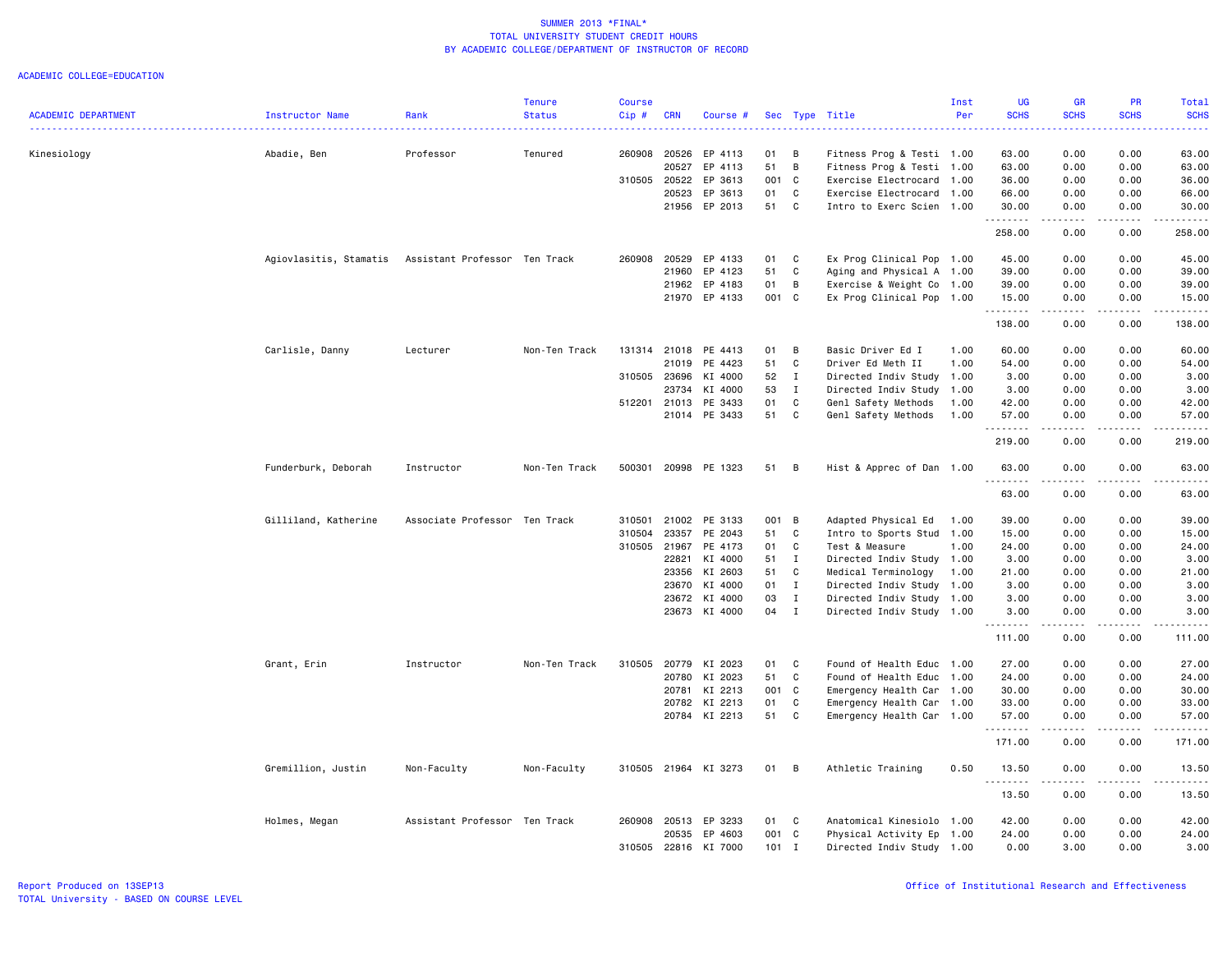|                            |                                                      |                               | <b>Tenure</b> | Course       |              |                      |         |              |                           | Inst | <b>UG</b>     | <b>GR</b>                                                                                                                         | PR               | Total                  |
|----------------------------|------------------------------------------------------|-------------------------------|---------------|--------------|--------------|----------------------|---------|--------------|---------------------------|------|---------------|-----------------------------------------------------------------------------------------------------------------------------------|------------------|------------------------|
| <b>ACADEMIC DEPARTMENT</b> | Instructor Name                                      | Rank                          | <b>Status</b> | Cip#         | <b>CRN</b>   | Course #             |         |              | Sec Type Title            | Per  | <b>SCHS</b>   | <b>SCHS</b>                                                                                                                       | <b>SCHS</b>      | <b>SCHS</b>            |
| Kinesiology                | Abadie, Ben                                          | Professor                     | Tenured       | 260908       | 20526        | EP 4113              | 01      | B            | Fitness Prog & Testi 1.00 |      | 63.00         | 0.00                                                                                                                              | 0.00             | 63.00                  |
|                            |                                                      |                               |               |              | 20527        | EP 4113              | 51      | B            | Fitness Prog & Testi 1.00 |      | 63.00         | 0.00                                                                                                                              | 0.00             | 63.00                  |
|                            |                                                      |                               |               |              | 310505 20522 | EP 3613              | 001 C   |              | Exercise Electrocard      | 1.00 | 36.00         | 0.00                                                                                                                              | 0.00             | 36.00                  |
|                            |                                                      |                               |               |              | 20523        | EP 3613              | 01      | C            | Exercise Electrocard      | 1.00 | 66.00         | 0.00                                                                                                                              | 0.00             | 66.00                  |
|                            |                                                      |                               |               |              | 21956        | EP 2013              | 51      | C            | Intro to Exerc Scien 1.00 |      | 30.00         | 0.00                                                                                                                              | 0.00             | 30.00                  |
|                            |                                                      |                               |               |              |              |                      |         |              |                           |      | 258.00        | 0.00                                                                                                                              | 0.00             | 258.00                 |
|                            | Agiovlasitis, Stamatis Assistant Professor Ten Track |                               |               | 260908       | 20529        | EP 4133              | 01      | C            | Ex Prog Clinical Pop 1.00 |      | 45.00         | 0.00                                                                                                                              | 0.00             | 45.00                  |
|                            |                                                      |                               |               |              | 21960        | EP 4123              | 51      | C            | Aging and Physical A 1.00 |      | 39.00         | 0.00                                                                                                                              | 0.00             | 39.00                  |
|                            |                                                      |                               |               |              | 21962        | EP 4183              | 01      | B            | Exercise & Weight Co      | 1.00 | 39.00         | 0.00                                                                                                                              | 0.00             | 39.00                  |
|                            |                                                      |                               |               |              | 21970        | EP 4133              | 001 C   |              | Ex Prog Clinical Pop 1.00 |      | 15.00         | 0.00                                                                                                                              | 0.00             | 15.00                  |
|                            |                                                      |                               |               |              |              |                      |         |              |                           |      | .<br>138.00   | 0.00                                                                                                                              | 0.00             | 138.00                 |
|                            | Carlisle, Danny                                      | Lecturer                      | Non-Ten Track |              | 131314 21018 | PE 4413              | 01      | B            | Basic Driver Ed I         | 1.00 | 60.00         | 0.00                                                                                                                              | 0.00             | 60.00                  |
|                            |                                                      |                               |               |              | 21019        | PE 4423              | 51      | C            | Driver Ed Meth II         | 1.00 | 54.00         | 0.00                                                                                                                              | 0.00             | 54.00                  |
|                            |                                                      |                               |               | 310505       | 23696        | KI 4000              | 52      | $\mathbf I$  | Directed Indiv Study      | 1.00 | 3.00          | 0.00                                                                                                                              | 0.00             | 3.00                   |
|                            |                                                      |                               |               |              | 23734        | KI 4000              | 53      | I            | Directed Indiv Study      | 1.00 | 3.00          | 0.00                                                                                                                              | 0.00             | 3.00                   |
|                            |                                                      |                               |               | 512201       | 21013        | PE 3433              | 01      | C            | Genl Safety Methods       | 1.00 | 42.00         | 0.00                                                                                                                              | 0.00             | 42.00                  |
|                            |                                                      |                               |               |              | 21014        | PE 3433              | 51      | $\mathtt{C}$ | Genl Safety Methods       | 1.00 | 57.00         | 0.00<br>.                                                                                                                         | 0.00<br>.        | 57.00<br>.             |
|                            |                                                      |                               |               |              |              |                      |         |              |                           |      | .<br>219.00   | 0.00                                                                                                                              | 0.00             | 219.00                 |
|                            | Funderburk, Deborah                                  | Instructor                    | Non-Ten Track | 500301       |              | 20998 PE 1323        | 51      | в            | Hist & Apprec of Dan 1.00 |      | 63.00<br>---- | 0.00                                                                                                                              | 0.00             | 63.00<br>$\frac{1}{2}$ |
|                            |                                                      |                               |               |              |              |                      |         |              |                           |      | 63.00         | 0.00                                                                                                                              | 0.00             | 63.00                  |
|                            | Gilliland, Katherine                                 | Associate Professor Ten Track |               | 310501       | 21002        | PE 3133              | 001 B   |              | Adapted Physical Ed       | 1.00 | 39.00         | 0.00                                                                                                                              | 0.00             | 39.00                  |
|                            |                                                      |                               |               | 310504       | 23357        | PE 2043              | 51      | C            | Intro to Sports Stud      | 1.00 | 15.00         | 0.00                                                                                                                              | 0.00             | 15.00                  |
|                            |                                                      |                               |               | 310505 21967 |              | PE 4173              | 01      | $\mathtt{C}$ | Test & Measure            | 1.00 | 24.00         | 0.00                                                                                                                              | 0.00             | 24.00                  |
|                            |                                                      |                               |               |              | 22821        | KI 4000              | 51      | I            | Directed Indiv Study      | 1.00 | 3.00          | 0.00                                                                                                                              | 0.00             | 3.00                   |
|                            |                                                      |                               |               |              | 23356        | KI 2603              | 51      | C            | Medical Terminology       | 1.00 | 21.00         | 0.00                                                                                                                              | 0.00             | 21.00                  |
|                            |                                                      |                               |               |              | 23670        | KI 4000              | 01      | $\mathbf I$  | Directed Indiv Study      | 1.00 | 3.00          | 0.00                                                                                                                              | 0.00             | 3.00                   |
|                            |                                                      |                               |               |              | 23672        | KI 4000              | 03      | $\mathbf{I}$ | Directed Indiv Study 1.00 |      | 3.00          | 0.00                                                                                                                              | 0.00             | 3.00                   |
|                            |                                                      |                               |               |              |              | 23673 KI 4000        | 04      | $\mathbf{I}$ | Directed Indiv Study 1.00 |      | 3.00          | 0.00                                                                                                                              | 0.00             | 3.00                   |
|                            |                                                      |                               |               |              |              |                      |         |              |                           |      | 111.00        | 0.00                                                                                                                              | 0.00             | 111.00                 |
|                            | Grant, Erin                                          | Instructor                    | Non-Ten Track | 310505       | 20779        | KI 2023              | 01      | C            | Found of Health Educ 1.00 |      | 27.00         | 0.00                                                                                                                              | 0.00             | 27.00                  |
|                            |                                                      |                               |               |              | 20780        | KI 2023              | 51      | $\mathtt{C}$ | Found of Health Educ      | 1.00 | 24.00         | 0.00                                                                                                                              | 0.00             | 24.00                  |
|                            |                                                      |                               |               |              | 20781        | KI 2213              | 001 C   |              | Emergency Health Car      | 1.00 | 30.00         | 0.00                                                                                                                              | 0.00             | 30.00                  |
|                            |                                                      |                               |               |              | 20782        | KI 2213              | 01      | C            | Emergency Health Car 1.00 |      | 33.00         | 0.00                                                                                                                              | 0.00             | 33.00                  |
|                            |                                                      |                               |               |              |              | 20784 KI 2213        | 51      | C            | Emergency Health Car 1.00 |      | 57.00         | 0.00                                                                                                                              | 0.00             | 57.00                  |
|                            |                                                      |                               |               |              |              |                      |         |              |                           |      | .<br>171.00   | $\frac{1}{2} \left( \frac{1}{2} \right) \left( \frac{1}{2} \right) \left( \frac{1}{2} \right) \left( \frac{1}{2} \right)$<br>0.00 | المتماما<br>0.00 | .<br>171.00            |
|                            | Gremillion, Justin                                   | Non-Faculty                   | Non-Faculty   |              |              | 310505 21964 KI 3273 | 01 B    |              | Athletic Training         | 0.50 | 13.50         | 0.00                                                                                                                              | 0.00             | 13.50                  |
|                            |                                                      |                               |               |              |              |                      |         |              |                           |      | .<br>13.50    | ----<br>0.00                                                                                                                      | .<br>0.00        | .<br>13.50             |
|                            | Holmes, Megan                                        | Assistant Professor Ten Track |               | 260908       | 20513        | EP 3233              | 01 C    |              | Anatomical Kinesiolo 1.00 |      | 42.00         | 0.00                                                                                                                              | 0.00             | 42.00                  |
|                            |                                                      |                               |               |              | 20535        | EP 4603              | 001     | $\mathbf{C}$ | Physical Activity Ep      | 1.00 | 24.00         | 0.00                                                                                                                              | 0.00             | 24.00                  |
|                            |                                                      |                               |               | 310505       |              | 22816 KI 7000        | $101$ I |              | Directed Indiv Study 1.00 |      | 0.00          | 3.00                                                                                                                              | 0.00             | 3.00                   |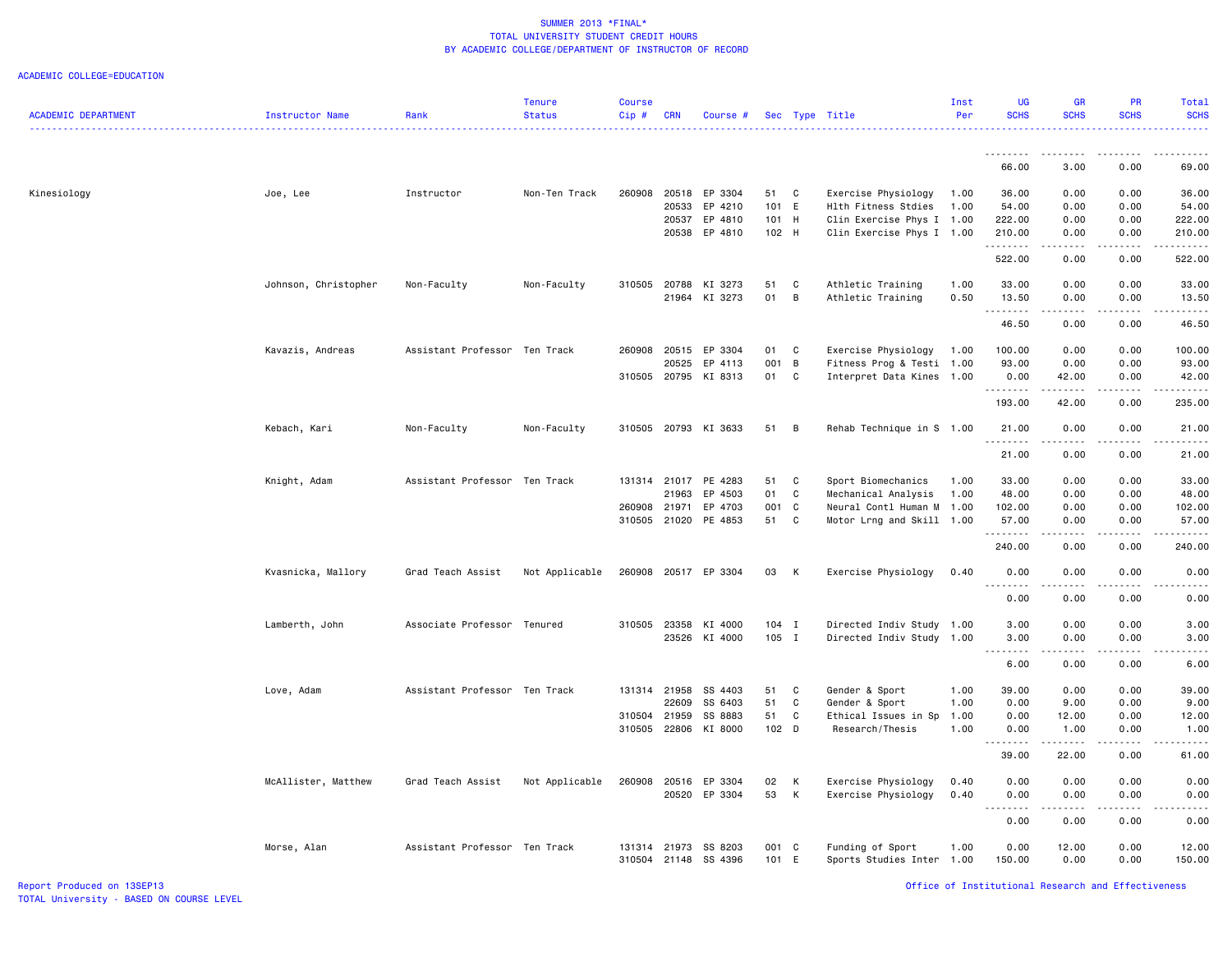|                            |                      |                               | <b>Tenure</b>  | <b>Course</b> |            |                          |                  |                |                                                        | Inst | UG                                                                                                                                                           | <b>GR</b>     | <b>PR</b>       | Total                                                                                                                                                        |
|----------------------------|----------------------|-------------------------------|----------------|---------------|------------|--------------------------|------------------|----------------|--------------------------------------------------------|------|--------------------------------------------------------------------------------------------------------------------------------------------------------------|---------------|-----------------|--------------------------------------------------------------------------------------------------------------------------------------------------------------|
| <b>ACADEMIC DEPARTMENT</b> | Instructor Name      | Rank                          | <b>Status</b>  | Cip#          | <b>CRN</b> | Course #                 |                  |                | Sec Type Title                                         | Per  | <b>SCHS</b>                                                                                                                                                  | <b>SCHS</b>   | <b>SCHS</b>     | <b>SCHS</b>                                                                                                                                                  |
|                            |                      |                               |                |               |            |                          |                  |                |                                                        |      |                                                                                                                                                              |               |                 |                                                                                                                                                              |
|                            |                      |                               |                |               |            |                          |                  |                |                                                        |      | --------<br>66.00                                                                                                                                            | 3.00          | 0.00            | 69.00                                                                                                                                                        |
|                            |                      |                               |                |               |            |                          |                  |                |                                                        |      |                                                                                                                                                              |               |                 |                                                                                                                                                              |
| Kinesiology                | Joe, Lee             | Instructor                    | Non-Ten Track  | 260908        |            | 20518 EP 3304            | 51 C             |                | Exercise Physiology                                    | 1.00 | 36.00                                                                                                                                                        | 0.00          | 0.00            | 36.00                                                                                                                                                        |
|                            |                      |                               |                |               | 20533      | EP 4210<br>EP 4810       | 101 E<br>101 H   |                | Hlth Fitness Stdies                                    | 1.00 | 54.00<br>222.00                                                                                                                                              | 0.00          | 0.00            | 54.00                                                                                                                                                        |
|                            |                      |                               |                |               | 20537      | 20538 EP 4810            | 102 H            |                | Clin Exercise Phys I 1.00<br>Clin Exercise Phys I 1.00 |      | 210.00                                                                                                                                                       | 0.00<br>0.00  | 0.00<br>0.00    | 222.00<br>210.00                                                                                                                                             |
|                            |                      |                               |                |               |            |                          |                  |                |                                                        |      | .                                                                                                                                                            | $\frac{1}{2}$ | .               | $- - - - - - -$                                                                                                                                              |
|                            |                      |                               |                |               |            |                          |                  |                |                                                        |      | 522.00                                                                                                                                                       | 0.00          | 0.00            | 522.00                                                                                                                                                       |
|                            | Johnson, Christopher | Non-Faculty                   | Non-Faculty    | 310505        | 20788      | KI 3273                  | 51               | C              | Athletic Training                                      | 1.00 | 33.00                                                                                                                                                        | 0.00          | 0.00            | 33.00                                                                                                                                                        |
|                            |                      |                               |                |               |            | 21964 KI 3273            | 01               | $\, {\bf B}$   | Athletic Training                                      | 0.50 | 13.50<br><b></b>                                                                                                                                             | 0.00<br>.     | 0.00<br>.       | 13.50<br>.                                                                                                                                                   |
|                            |                      |                               |                |               |            |                          |                  |                |                                                        |      | 46.50                                                                                                                                                        | 0.00          | 0.00            | 46.50                                                                                                                                                        |
|                            | Kavazis, Andreas     | Assistant Professor Ten Track |                | 260908        | 20515      | EP 3304                  | 01               | C              | Exercise Physiology                                    | 1.00 | 100.00                                                                                                                                                       | 0.00          | 0.00            | 100.00                                                                                                                                                       |
|                            |                      |                               |                |               | 20525      | EP 4113                  | 001 B            |                | Fitness Prog & Testi 1.00                              |      | 93.00                                                                                                                                                        | 0.00          | 0.00            | 93.00                                                                                                                                                        |
|                            |                      |                               |                |               |            | 310505 20795 KI 8313     | 01               | $\mathbf{C}$   | Interpret Data Kines 1.00                              |      | 0.00<br>.                                                                                                                                                    | 42.00<br>.    | 0.00<br>.       | 42.00<br>.                                                                                                                                                   |
|                            |                      |                               |                |               |            |                          |                  |                |                                                        |      | 193.00                                                                                                                                                       | 42.00         | 0.00            | 235.00                                                                                                                                                       |
|                            | Kebach, Kari         | Non-Faculty                   | Non-Faculty    |               |            | 310505 20793 KI 3633     | 51               | $\overline{B}$ | Rehab Technique in S 1.00                              |      | 21.00                                                                                                                                                        | 0.00          | 0.00            | 21.00                                                                                                                                                        |
|                            |                      |                               |                |               |            |                          |                  |                |                                                        |      | 21.00                                                                                                                                                        | .<br>0.00     | .<br>0.00       | .<br>21.00                                                                                                                                                   |
|                            | Knight, Adam         | Assistant Professor Ten Track |                | 131314 21017  |            | PE 4283                  | 51               | C              | Sport Biomechanics                                     | 1.00 | 33.00                                                                                                                                                        | 0.00          | 0.00            | 33.00                                                                                                                                                        |
|                            |                      |                               |                |               | 21963      | EP 4503                  | 01               | C              | Mechanical Analysis                                    | 1.00 | 48.00                                                                                                                                                        | 0.00          | 0.00            | 48.00                                                                                                                                                        |
|                            |                      |                               |                | 260908        | 21971      | EP 4703                  | 001 C            |                | Neural Contl Human M                                   | 1.00 | 102.00                                                                                                                                                       | 0.00          | 0.00            | 102.00                                                                                                                                                       |
|                            |                      |                               |                |               |            | 310505 21020 PE 4853     | 51               | C              | Motor Lrng and Skill 1.00                              |      | 57.00                                                                                                                                                        | 0.00          | 0.00            | 57.00                                                                                                                                                        |
|                            |                      |                               |                |               |            |                          |                  |                |                                                        |      | .<br>240.00                                                                                                                                                  | .<br>0.00     | 0.00            | .<br>240.00                                                                                                                                                  |
|                            | Kvasnicka, Mallory   | Grad Teach Assist             | Not Applicable | 260908        |            | 20517 EP 3304            | 03               | K              | Exercise Physiology                                    | 0.40 | 0.00                                                                                                                                                         | 0.00          | 0.00            | 0.00                                                                                                                                                         |
|                            |                      |                               |                |               |            |                          |                  |                |                                                        |      | <u>.</u><br>0.00                                                                                                                                             | .<br>0.00     | 0.00            | <u>.</u><br>0.00                                                                                                                                             |
|                            |                      |                               |                |               |            |                          |                  |                |                                                        |      |                                                                                                                                                              |               |                 |                                                                                                                                                              |
|                            | Lamberth, John       | Associate Professor Tenured   |                | 310505 23358  |            | KI 4000<br>23526 KI 4000 | $104$ I<br>105 I |                | Directed Indiv Study 1.00<br>Directed Indiv Study 1.00 |      | 3.00<br>3.00                                                                                                                                                 | 0.00<br>0.00  | 0.00<br>0.00    | 3.00<br>3.00                                                                                                                                                 |
|                            |                      |                               |                |               |            |                          |                  |                |                                                        |      | .<br>$\sim$ $\sim$                                                                                                                                           | .             | .               | $\frac{1}{2}$                                                                                                                                                |
|                            |                      |                               |                |               |            |                          |                  |                |                                                        |      | 6.00                                                                                                                                                         | 0.00          | 0.00            | 6.00                                                                                                                                                         |
|                            | Love, Adam           | Assistant Professor Ten Track |                | 131314 21958  |            | SS 4403                  | 51               | $\mathbf{C}$   | Gender & Sport                                         | 1.00 | 39.00                                                                                                                                                        | 0.00          | 0.00            | 39.00                                                                                                                                                        |
|                            |                      |                               |                |               | 22609      | SS 6403                  | 51               | C              | Gender & Sport                                         | 1.00 | 0.00                                                                                                                                                         | 9.00          | 0.00            | 9.00                                                                                                                                                         |
|                            |                      |                               |                | 310504        | 21959      | SS 8883                  | 51               | C              | Ethical Issues in Sp                                   | 1.00 | 0.00                                                                                                                                                         | 12.00         | 0.00            | 12.00                                                                                                                                                        |
|                            |                      |                               |                | 310505        |            | 22806 KI 8000            | 102 D            |                | Research/Thesis                                        | 1.00 | 0.00<br>$\frac{1}{2} \left( \frac{1}{2} \right) \left( \frac{1}{2} \right) \left( \frac{1}{2} \right) \left( \frac{1}{2} \right) \left( \frac{1}{2} \right)$ | 1.00<br>.     | 0.00<br>د د د د | 1.00<br>.                                                                                                                                                    |
|                            |                      |                               |                |               |            |                          |                  |                |                                                        |      | 39.00                                                                                                                                                        | 22.00         | 0.00            | 61.00                                                                                                                                                        |
|                            | McAllister, Matthew  | Grad Teach Assist             | Not Applicable | 260908        | 20516      | EP 3304                  | 02               | К              | Exercise Physiology                                    | 0.40 | 0.00                                                                                                                                                         | 0.00          | 0.00            | 0.00                                                                                                                                                         |
|                            |                      |                               |                |               | 20520      | EP 3304                  | 53               | К              | Exercise Physiology                                    | 0.40 | 0.00                                                                                                                                                         | 0.00          | 0.00            | 0.00                                                                                                                                                         |
|                            |                      |                               |                |               |            |                          |                  |                |                                                        |      | د د د د<br>$\sim$ $\sim$<br>0.00                                                                                                                             | .<br>0.00     | .<br>0.00       | $\frac{1}{2} \left( \frac{1}{2} \right) \left( \frac{1}{2} \right) \left( \frac{1}{2} \right) \left( \frac{1}{2} \right) \left( \frac{1}{2} \right)$<br>0.00 |
|                            | Morse, Alan          | Assistant Professor Ten Track |                | 131314        | 21973      | SS 8203                  | 001 C            |                | Funding of Sport                                       | 1.00 | 0.00                                                                                                                                                         | 12.00         | 0.00            | 12.00                                                                                                                                                        |
|                            |                      |                               |                | 310504 21148  |            | SS 4396                  | 101              | E              | Sports Studies Inter                                   | 1.00 | 150.00                                                                                                                                                       | 0.00          | 0.00            | 150.00                                                                                                                                                       |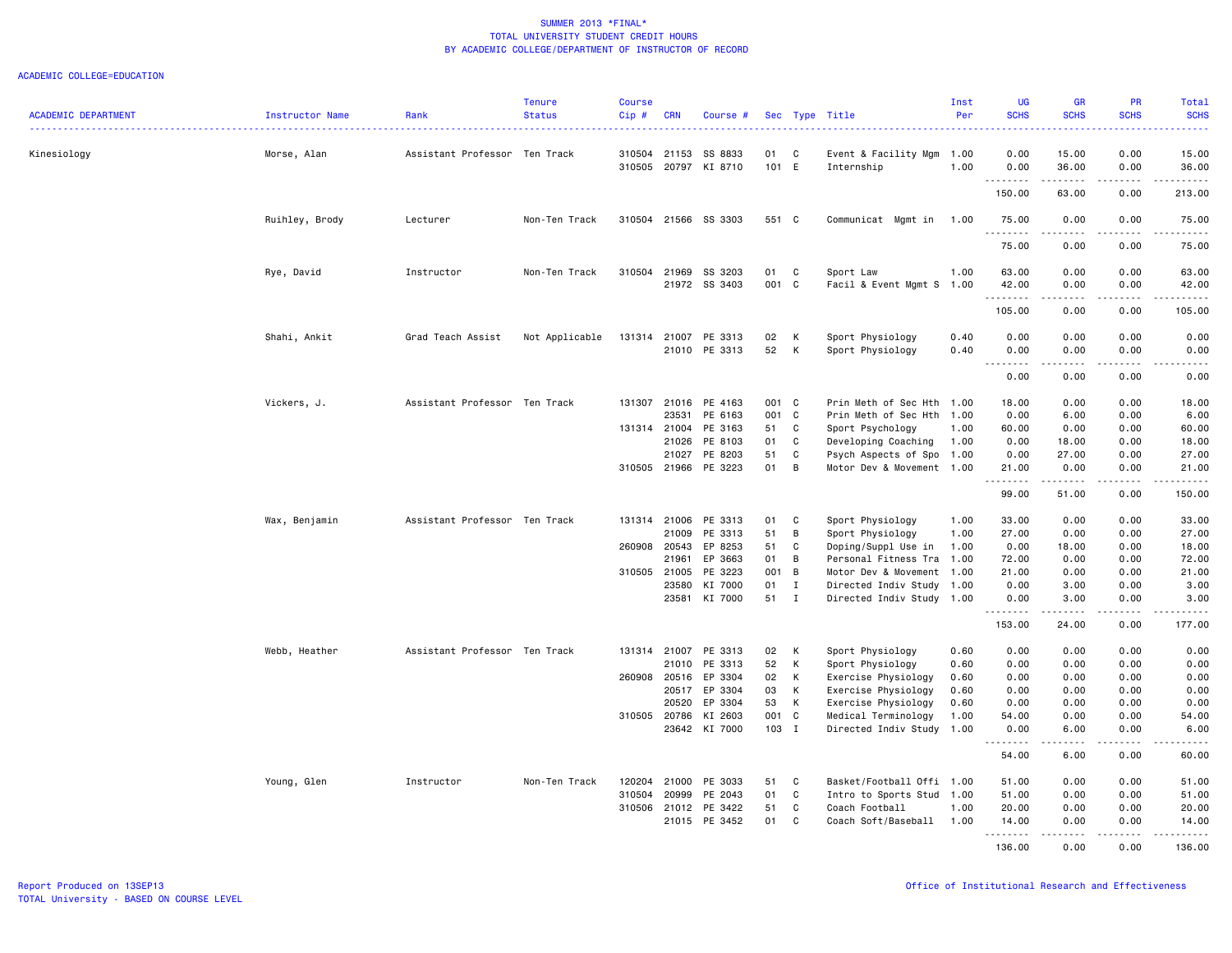|                            |                 |                               | <b>Tenure</b>  | <b>Course</b> |                |                          |          |              |                                         | Inst         | <b>UG</b>                        | <b>GR</b>                                                                                                                                                    | <b>PR</b>                           | Total                  |
|----------------------------|-----------------|-------------------------------|----------------|---------------|----------------|--------------------------|----------|--------------|-----------------------------------------|--------------|----------------------------------|--------------------------------------------------------------------------------------------------------------------------------------------------------------|-------------------------------------|------------------------|
| <b>ACADEMIC DEPARTMENT</b> | Instructor Name | Rank                          | <b>Status</b>  | Cip#          | <b>CRN</b>     | Course #                 |          |              | Sec Type Title                          | Per          | <b>SCHS</b><br>بالمحام           | <b>SCHS</b>                                                                                                                                                  | <b>SCHS</b>                         | <b>SCHS</b><br>وعاعاها |
| Kinesiology                | Morse, Alan     | Assistant Professor Ten Track |                |               | 310504 21153   | SS 8833                  | 01       | C            | Event & Facility Mgm                    | 1.00         | 0.00                             | 15.00                                                                                                                                                        | 0.00                                | 15.00                  |
|                            |                 |                               |                | 310505        |                | 20797 KI 8710            | 101 E    |              | Internship                              | 1.00         | 0.00                             | 36.00                                                                                                                                                        | 0.00                                | 36.00                  |
|                            |                 |                               |                |               |                |                          |          |              |                                         |              | <u>.</u><br>150.00               | .<br>63.00                                                                                                                                                   | .<br>0.00                           | .<br>213.00            |
|                            | Ruihley, Brody  | Lecturer                      | Non-Ten Track  |               |                | 310504 21566 SS 3303     | 551 C    |              | Communicat Mgmt in                      | 1.00         | 75.00                            | 0.00                                                                                                                                                         | 0.00                                | 75.00                  |
|                            |                 |                               |                |               |                |                          |          |              |                                         |              | .<br>75.00                       | $\frac{1}{2} \left( \frac{1}{2} \right) \left( \frac{1}{2} \right) \left( \frac{1}{2} \right) \left( \frac{1}{2} \right) \left( \frac{1}{2} \right)$<br>0.00 | .<br>0.00                           | .<br>75.00             |
|                            | Rye, David      | Instructor                    | Non-Ten Track  | 310504        | 21969          | SS 3203                  | 01       | C            | Sport Law                               | 1.00         | 63.00                            | 0.00                                                                                                                                                         | 0.00                                | 63,00                  |
|                            |                 |                               |                |               |                | 21972 SS 3403            | 001 C    |              | Facil & Event Mgmt S 1.00               |              | 42.00<br>.                       | 0.00                                                                                                                                                         | 0.00<br>.                           | 42.00<br>.             |
|                            |                 |                               |                |               |                |                          |          |              |                                         |              | 105.00                           | 0.00                                                                                                                                                         | 0.00                                | 105.00                 |
|                            | Shahi, Ankit    | Grad Teach Assist             | Not Applicable | 131314        |                | 21007 PE 3313            | 02       | K            | Sport Physiology                        | 0.40         | 0.00                             | 0.00                                                                                                                                                         | 0.00                                | 0.00                   |
|                            |                 |                               |                |               |                | 21010 PE 3313            | 52       | K            | Sport Physiology                        | 0.40         | 0.00<br>د د د د<br>$\sim$ $\sim$ | 0.00<br>$\frac{1}{2} \left( \frac{1}{2} \right) \left( \frac{1}{2} \right) \left( \frac{1}{2} \right) \left( \frac{1}{2} \right)$                            | 0.00<br>د د د د                     | 0.00<br>.              |
|                            |                 |                               |                |               |                |                          |          |              |                                         |              | 0.00                             | 0.00                                                                                                                                                         | 0.00                                | 0.00                   |
|                            | Vickers, J.     | Assistant Professor Ten Track |                | 131307        | 21016          | PE 4163                  | 001 C    |              | Prin Meth of Sec Hth                    | 1.00         | 18.00                            | 0.00                                                                                                                                                         | 0.00                                | 18.00                  |
|                            |                 |                               |                |               | 23531          | PE 6163                  | 001 C    |              | Prin Meth of Sec Hth                    | 1.00         | 0.00                             | 6.00                                                                                                                                                         | 0.00                                | 6.00                   |
|                            |                 |                               |                |               | 131314 21004   | PE 3163                  | 51       | C            | Sport Psychology                        | 1.00         | 60.00                            | 0.00                                                                                                                                                         | 0.00                                | 60.00                  |
|                            |                 |                               |                |               | 21026          | PE 8103                  | 01       | C            | Developing Coaching                     | 1.00         | 0.00                             | 18.00                                                                                                                                                        | 0.00                                | 18.00                  |
|                            |                 |                               |                |               | 21027          | PE 8203                  | 51       | C            | Psych Aspects of Spo 1.00               |              | 0.00                             | 27.00                                                                                                                                                        | 0.00                                | 27.00                  |
|                            |                 |                               |                |               |                | 310505 21966 PE 3223     | 01       | B            | Motor Dev & Movement 1.00               |              | 21.00<br>. <b>.</b>              | 0.00<br>------                                                                                                                                               | 0.00<br>.                           | 21.00<br>------        |
|                            |                 |                               |                |               |                |                          |          |              |                                         |              | 99.00                            | 51.00                                                                                                                                                        | 0.00                                | 150.00                 |
|                            | Wax, Benjamin   | Assistant Professor Ten Track |                |               | 131314 21006   | PE 3313                  | 01       | C            | Sport Physiology                        | 1.00         | 33.00                            | 0.00                                                                                                                                                         | 0.00                                | 33.00                  |
|                            |                 |                               |                |               | 21009          | PE 3313                  | 51       | B            | Sport Physiology                        | 1.00         | 27.00                            | 0.00                                                                                                                                                         | 0.00                                | 27.00                  |
|                            |                 |                               |                | 260908        | 20543          | EP 8253                  | 51       | C            | Doping/Suppl Use in                     | 1.00         | 0.00                             | 18.00                                                                                                                                                        | 0.00                                | 18.00                  |
|                            |                 |                               |                |               | 21961          | EP 3663                  | 01       | B            | Personal Fitness Tra                    | 1.00         | 72.00                            | 0.00                                                                                                                                                         | 0.00                                | 72.00                  |
|                            |                 |                               |                | 310505 21005  |                | PE 3223                  | 001 B    |              | Motor Dev & Movement                    | 1.00         | 21.00                            | 0.00                                                                                                                                                         | 0.00                                | 21.00                  |
|                            |                 |                               |                |               | 23580          | KI 7000                  | 01       | $\mathbf{I}$ | Directed Indiv Study                    | 1.00         | 0.00                             | 3.00                                                                                                                                                         | 0.00                                | 3.00                   |
|                            |                 |                               |                |               |                | 23581 KI 7000            | 51       | $\mathbf{I}$ | Directed Indiv Study 1.00               |              | 0.00<br>.                        | 3.00                                                                                                                                                         | 0.00<br>$\sim$ $\sim$ $\sim$ $\sim$ | 3.00<br>.              |
|                            |                 |                               |                |               |                |                          |          |              |                                         |              | 153.00                           | 24.00                                                                                                                                                        | 0.00                                | 177.00                 |
|                            | Webb, Heather   | Assistant Professor Ten Track |                |               | 131314 21007   | PE 3313                  | 02       | К            | Sport Physiology                        | 0.60         | 0.00                             | 0.00                                                                                                                                                         | 0.00                                | 0.00                   |
|                            |                 |                               |                | 260908        | 21010<br>20516 | PE 3313<br>EP 3304       | 52<br>02 | К<br>К       | Sport Physiology<br>Exercise Physiology | 0.60<br>0.60 | 0.00<br>0.00                     | 0.00<br>0.00                                                                                                                                                 | 0.00<br>0.00                        | 0.00<br>0.00           |
|                            |                 |                               |                |               | 20517          | EP 3304                  | 03       | К            | Exercise Physiology                     | 0.60         | 0.00                             | 0.00                                                                                                                                                         | 0.00                                | 0.00                   |
|                            |                 |                               |                |               | 20520          | EP 3304                  | 53       | К            | Exercise Physiology                     | 0.60         | 0.00                             | 0.00                                                                                                                                                         | 0.00                                | 0.00                   |
|                            |                 |                               |                | 310505 20786  |                | KI 2603                  | 001 C    |              | Medical Terminology                     | 1.00         | 54.00                            | 0.00                                                                                                                                                         | 0.00                                | 54.00                  |
|                            |                 |                               |                |               |                | 23642 KI 7000            | 103 I    |              | Directed Indiv Study                    | 1.00         | 0.00                             | 6.00                                                                                                                                                         | 0.00                                | 6.00                   |
|                            |                 |                               |                |               |                |                          |          |              |                                         |              | .                                | .                                                                                                                                                            | .                                   | .                      |
|                            |                 |                               |                |               |                |                          |          |              |                                         |              | 54.00                            | 6.00                                                                                                                                                         | 0.00                                | 60.00                  |
|                            | Young, Glen     | Instructor                    | Non-Ten Track  | 120204        | 21000          | PE 3033                  | 51       | C            | Basket/Football Offi 1.00               |              | 51.00                            | 0.00                                                                                                                                                         | 0.00                                | 51.00                  |
|                            |                 |                               |                | 310504        | 20999          | PE 2043                  | 01       | C            | Intro to Sports Stud                    | 1.00         | 51.00                            | 0.00                                                                                                                                                         | 0.00                                | 51.00                  |
|                            |                 |                               |                | 310506        | 21012          | PE 3422<br>21015 PE 3452 | 51<br>01 | C<br>C       | Coach Football<br>Coach Soft/Baseball   | 1.00<br>1.00 | 20.00<br>14.00                   | 0.00<br>0.00                                                                                                                                                 | 0.00<br>0.00                        | 20.00<br>14.00         |
|                            |                 |                               |                |               |                |                          |          |              |                                         |              | <u>.</u>                         | .                                                                                                                                                            | <u>.</u>                            |                        |
|                            |                 |                               |                |               |                |                          |          |              |                                         |              | 136.00                           | 0.00                                                                                                                                                         | 0.00                                | 136.00                 |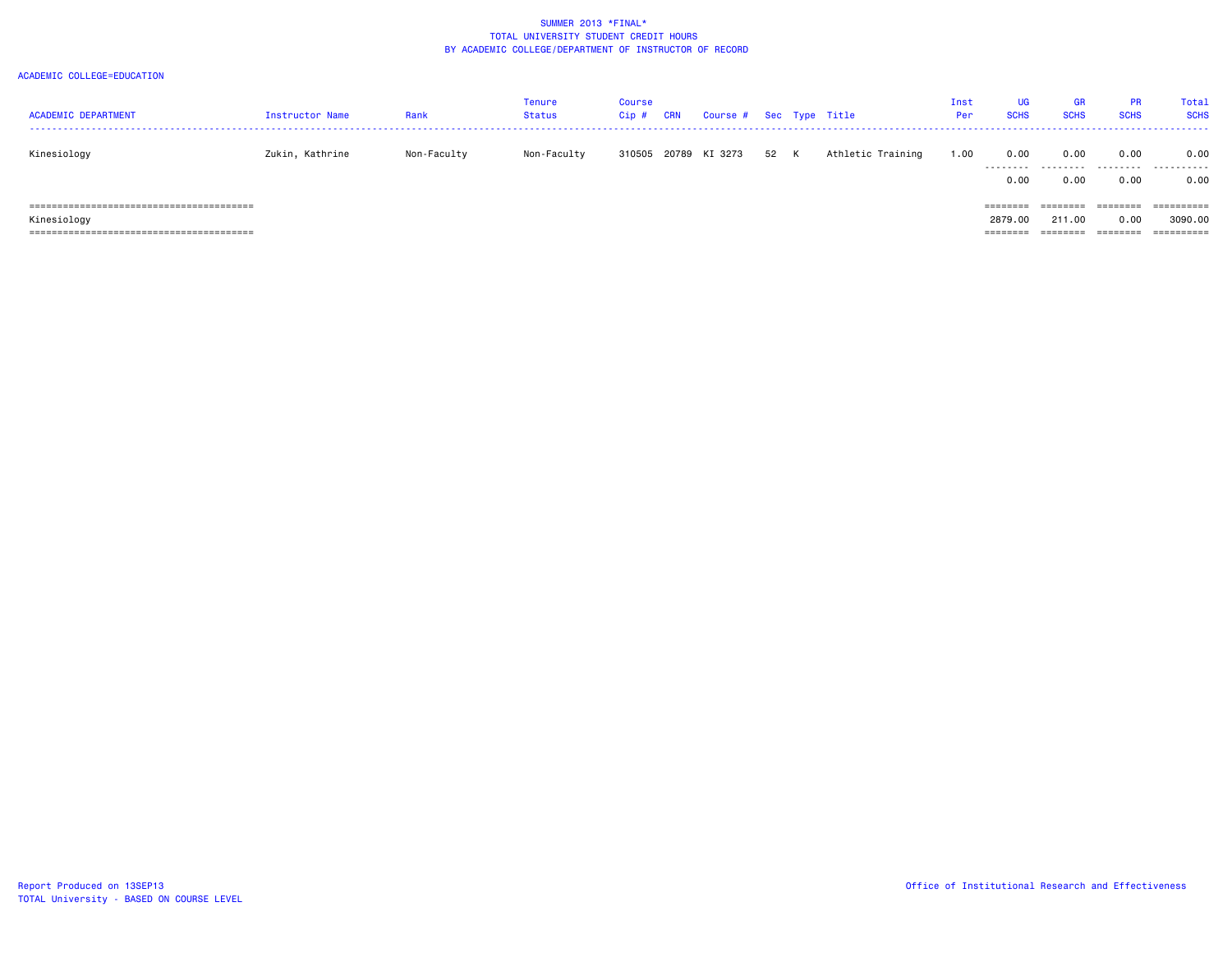| <b>ACADEMIC DEPARTMENT</b> | Instructor Name | Rank        | Tenure<br>Status | Course<br>Cip# | <b>CRN</b> | Course # |      | Sec Type Title    | Inst<br>Per | UG<br><b>SCHS</b>                           | <b>GR</b><br><b>SCHS</b>  | <b>PR</b><br><b>SCHS</b>     | Total<br><b>SCHS</b>  |
|----------------------------|-----------------|-------------|------------------|----------------|------------|----------|------|-------------------|-------------|---------------------------------------------|---------------------------|------------------------------|-----------------------|
| Kinesiology                | Zukin, Kathrine | Non-Faculty | Non-Faculty      | 310505         | 20789      | KI 3273  | 52 K | Athletic Training | 1.00        | 0.00<br>.<br>0.00                           | 0.00<br>---------<br>0.00 | 0.00<br>.<br>0.00            | 0.00<br>.<br>0.00     |
| Kinesiology                |                 |             |                  |                |            |          |      |                   |             | ========<br>2879.00<br>--------<br>-------- | 211.00<br>========        | ========<br>0.00<br>======== | 3090.00<br>========== |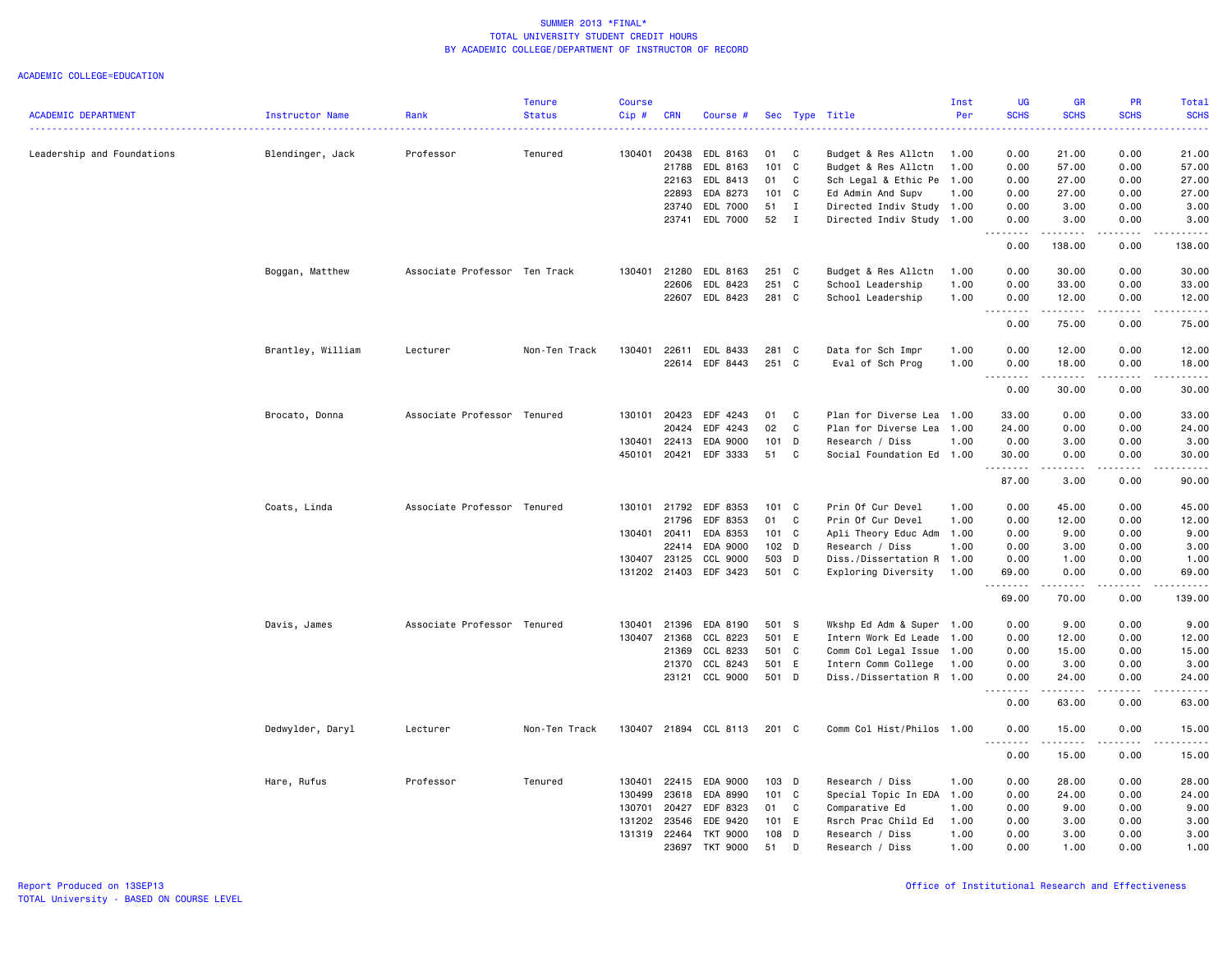|                            |                   |                               | <b>Tenure</b> | <b>Course</b> |              |                       |       |                |                           | Inst | <b>UG</b>                             | <b>GR</b>          | PR          | Total                      |
|----------------------------|-------------------|-------------------------------|---------------|---------------|--------------|-----------------------|-------|----------------|---------------------------|------|---------------------------------------|--------------------|-------------|----------------------------|
| <b>ACADEMIC DEPARTMENT</b> | Instructor Name   | Rank                          | <b>Status</b> | Cip#          | <b>CRN</b>   | Course #              |       |                | Sec Type Title            | Per  | <b>SCHS</b><br>بالمحام                | <b>SCHS</b>        | <b>SCHS</b> | <b>SCHS</b><br>المستما     |
| Leadership and Foundations | Blendinger, Jack  | Professor                     | Tenured       | 130401        | 20438        | EDL 8163              | 01    | C              | Budget & Res Allctn       | 1.00 | 0.00                                  | 21.00              | 0.00        | 21.00                      |
|                            |                   |                               |               |               | 21788        | EDL 8163              | 101 C |                | Budget & Res Allctn       | 1.00 | 0.00                                  | 57.00              | 0.00        | 57.00                      |
|                            |                   |                               |               |               | 22163        | EDL 8413              | 01    | C              | Sch Legal & Ethic Pe      | 1.00 | 0.00                                  | 27.00              | 0.00        | 27.00                      |
|                            |                   |                               |               |               | 22893        | EDA 8273              | 101 C |                | Ed Admin And Supv         | 1.00 | 0.00                                  | 27.00              | 0.00        | 27.00                      |
|                            |                   |                               |               |               | 23740        | EDL 7000              | 51    | $\mathbf{I}$   | Directed Indiv Study 1.00 |      | 0.00                                  | 3.00               | 0.00        | 3.00                       |
|                            |                   |                               |               |               |              | 23741 EDL 7000        | 52    | $\blacksquare$ | Directed Indiv Study 1.00 |      | 0.00                                  | 3.00               | 0.00        | 3.00                       |
|                            |                   |                               |               |               |              |                       |       |                |                           |      | -----<br>$  -$<br>0.00                | .<br>138.00        | .<br>0.00   | .<br>138.00                |
|                            | Boggan, Matthew   | Associate Professor Ten Track |               | 130401        | 21280        | EDL 8163              | 251 C |                | Budget & Res Allctn       | 1.00 | 0.00                                  | 30.00              | 0.00        | 30.00                      |
|                            |                   |                               |               |               | 22606        | EDL 8423              | 251 C |                | School Leadership         | 1.00 | 0.00                                  | 33.00              | 0.00        | 33.00                      |
|                            |                   |                               |               |               | 22607        | EDL 8423              | 281 C |                | School Leadership         | 1.00 | 0.00<br><u>.</u>                      | 12.00<br>.         | 0.00<br>.   | 12.00<br>.                 |
|                            |                   |                               |               |               |              |                       |       |                |                           |      | 0.00                                  | 75.00              | 0.00        | 75.00                      |
|                            | Brantley, William | Lecturer                      | Non-Ten Track | 130401        | 22611        | EDL 8433              | 281 C |                | Data for Sch Impr         | 1.00 | 0.00                                  | 12.00              | 0.00        | 12.00                      |
|                            |                   |                               |               |               |              | 22614 EDF 8443        | 251 C |                | Eval of Sch Prog          | 1.00 | 0.00<br>22222<br>$\sim$ $\sim$ $\sim$ | 18.00<br>.         | 0.00<br>.   | 18.00<br>.                 |
|                            |                   |                               |               |               |              |                       |       |                |                           |      | 0.00                                  | 30.00              | 0.00        | 30.00                      |
|                            | Brocato, Donna    | Associate Professor Tenured   |               | 130101        | 20423        | EDF 4243              | 01    | C              | Plan for Diverse Lea 1.00 |      | 33.00                                 | 0.00               | 0.00        | 33.00                      |
|                            |                   |                               |               |               | 20424        | EDF 4243              | 02    | C              | Plan for Diverse Lea      | 1.00 | 24.00                                 | 0.00               | 0.00        | 24.00                      |
|                            |                   |                               |               | 130401        | 22413        | EDA 9000              | 101   | D              | Research / Diss           | 1.00 | 0.00                                  | 3.00               | 0.00        | 3.00                       |
|                            |                   |                               |               | 450101        | 20421        | EDF 3333              | 51    | C              | Social Foundation Ed 1.00 |      | 30.00                                 | 0.00               | 0.00        | 30.00                      |
|                            |                   |                               |               |               |              |                       |       |                |                           |      | .<br>87.00                            | .<br>3.00          | .<br>0.00   | .<br>90.00                 |
|                            | Coats, Linda      | Associate Professor Tenured   |               | 130101        | 21792        | EDF 8353              | 101 C |                | Prin Of Cur Devel         | 1.00 | 0.00                                  | 45.00              | 0.00        | 45.00                      |
|                            |                   |                               |               |               | 21796        | EDF 8353              | 01    | C.             | Prin Of Cur Devel         | 1.00 | 0.00                                  | 12.00              | 0.00        | 12.00                      |
|                            |                   |                               |               |               | 130401 20411 | EDA 8353              | 101 C |                | Apli Theory Educ Adm      | 1.00 | 0.00                                  | 9.00               | 0.00        | 9.00                       |
|                            |                   |                               |               |               | 22414        | EDA 9000              | 102 D |                | Research / Diss           | 1.00 | 0.00                                  | 3.00               | 0.00        | 3.00                       |
|                            |                   |                               |               | 130407        | 23125        | CCL 9000              | 503 D |                | Diss./Dissertation R      | 1.00 | 0.00                                  | 1.00               | 0.00        | 1.00                       |
|                            |                   |                               |               |               |              | 131202 21403 EDF 3423 | 501 C |                | Exploring Diversity       | 1.00 | 69.00<br>.                            | 0.00<br>.          | 0.00<br>.   | 69.00<br>.                 |
|                            |                   |                               |               |               |              |                       |       |                |                           |      | 69.00                                 | 70.00              | 0.00        | 139.00                     |
|                            | Davis, James      | Associate Professor Tenured   |               | 130401        | 21396        | EDA 8190              | 501 S |                | Wkshp Ed Adm & Super      | 1.00 | 0.00                                  | 9.00               | 0.00        | 9.00                       |
|                            |                   |                               |               | 130407        | 21368        | CCL 8223              | 501 E |                | Intern Work Ed Leade      | 1.00 | 0.00                                  | 12.00              | 0.00        | 12.00                      |
|                            |                   |                               |               |               | 21369        | CCL 8233              | 501 C |                | Comm Col Legal Issue      | 1.00 | 0.00                                  | 15.00              | 0.00        | 15.00                      |
|                            |                   |                               |               |               | 21370        | CCL 8243              | 501 E |                | Intern Comm College       | 1.00 | 0.00                                  | 3.00               | 0.00        | 3.00                       |
|                            |                   |                               |               |               | 23121        | CCL 9000              | 501 D |                | Diss./Dissertation R 1.00 |      | 0.00<br>.                             | 24.00<br>د د د د د | 0.00<br>.   | 24.00<br>المالم المالية ال |
|                            |                   |                               |               |               |              |                       |       |                |                           |      | 0.00                                  | 63.00              | 0.00        | 63.00                      |
|                            | Dedwylder, Daryl  | Lecturer                      | Non-Ten Track | 130407        |              | 21894 CCL 8113        | 201 C |                | Comm Col Hist/Philos 1.00 |      | 0.00<br>.                             | 15.00<br>.         | 0.00<br>.   | 15.00<br>.                 |
|                            |                   |                               |               |               |              |                       |       |                |                           |      | 0.00                                  | 15.00              | 0.00        | 15.00                      |
|                            | Hare, Rufus       | Professor                     | Tenured       | 130401        | 22415        | EDA 9000              | 103 D |                | Research / Diss           | 1.00 | 0.00                                  | 28.00              | 0.00        | 28.00                      |
|                            |                   |                               |               | 130499        | 23618        | EDA 8990              | 101 C |                | Special Topic In EDA 1.00 |      | 0.00                                  | 24.00              | 0.00        | 24.00                      |
|                            |                   |                               |               | 130701        | 20427        | EDF 8323              | 01 C  |                | Comparative Ed            | 1.00 | 0.00                                  | 9.00               | 0.00        | 9.00                       |
|                            |                   |                               |               | 131202        | 23546        | EDE 9420              | 101 E |                | Rsrch Prac Child Ed       | 1.00 | 0.00                                  | 3.00               | 0.00        | 3.00                       |
|                            |                   |                               |               | 131319        | 22464        | <b>TKT 9000</b>       | 108 D |                | Research / Diss           | 1.00 | 0.00                                  | 3.00               | 0.00        | 3.00                       |
|                            |                   |                               |               |               | 23697        | <b>TKT 9000</b>       | 51    | D              | Research / Diss           | 1.00 | 0.00                                  | 1.00               | 0.00        | 1.00                       |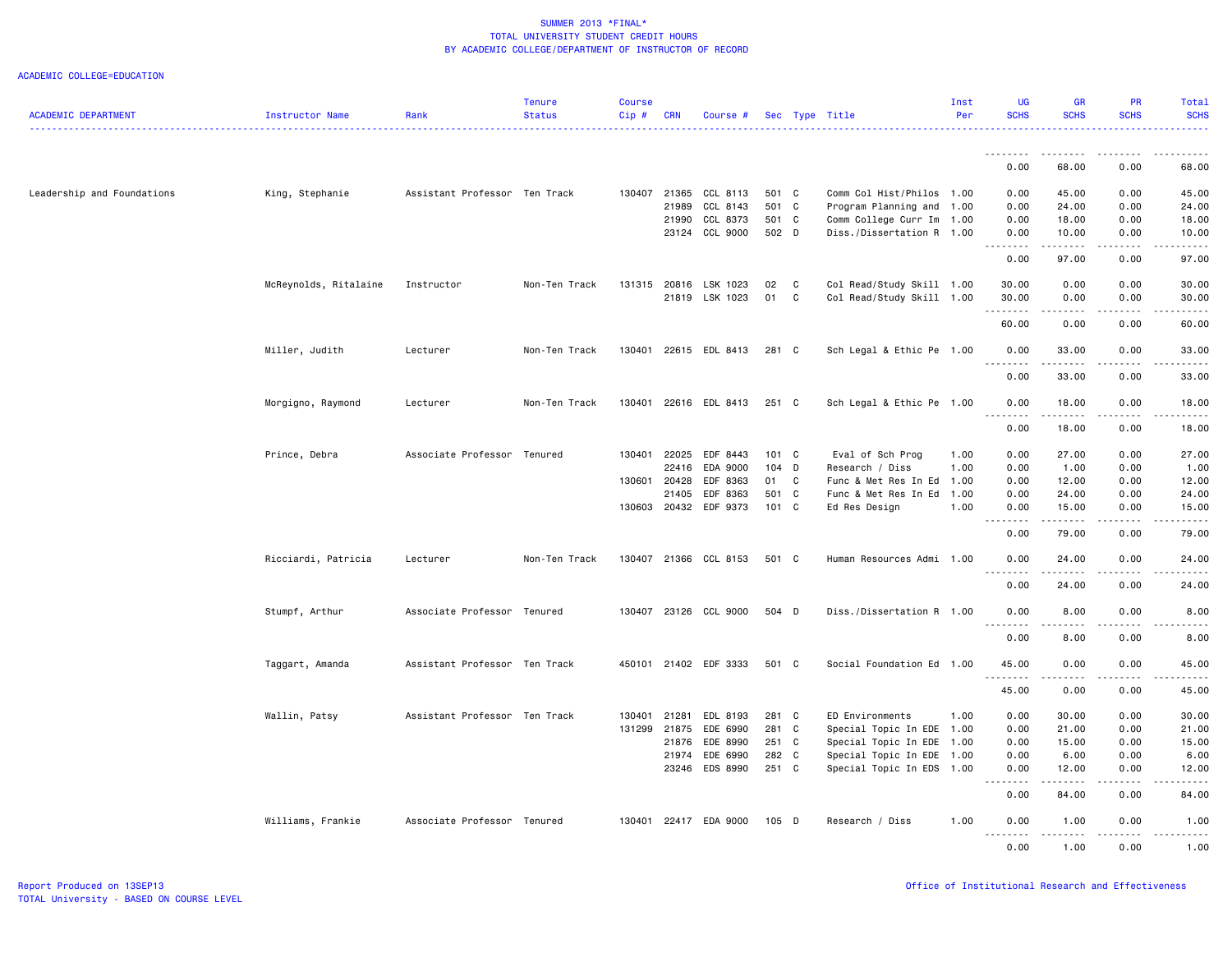| <b>ACADEMIC DEPARTMENT</b> | Instructor Name       | Rank                          | <b>Tenure</b><br><b>Status</b> | <b>Course</b><br>$Cip$ # | <b>CRN</b>   | Course #              |         |              | Sec Type Title            | Inst<br>Per  | <b>UG</b><br><b>SCHS</b> | <b>GR</b><br><b>SCHS</b>                                                                                                          | PR<br><b>SCHS</b>                                                                                                                                            | Total<br><b>SCHS</b> |
|----------------------------|-----------------------|-------------------------------|--------------------------------|--------------------------|--------------|-----------------------|---------|--------------|---------------------------|--------------|--------------------------|-----------------------------------------------------------------------------------------------------------------------------------|--------------------------------------------------------------------------------------------------------------------------------------------------------------|----------------------|
|                            |                       |                               |                                |                          |              |                       |         |              |                           |              | <u>.</u>                 | .                                                                                                                                 | .                                                                                                                                                            |                      |
|                            |                       |                               |                                |                          |              |                       |         |              |                           |              | 0.00                     | 68.00                                                                                                                             | 0.00                                                                                                                                                         | 68.00                |
| Leadership and Foundations | King, Stephanie       | Assistant Professor Ten Track |                                | 130407                   | 21365        | CCL 8113              | 501 C   |              | Comm Col Hist/Philos      | 1.00         | 0.00                     | 45.00                                                                                                                             | 0.00                                                                                                                                                         | 45.00                |
|                            |                       |                               |                                |                          | 21989        | CCL 8143              | 501 C   |              | Program Planning and      | 1.00         | 0.00                     | 24.00                                                                                                                             | 0.00                                                                                                                                                         | 24.00                |
|                            |                       |                               |                                |                          |              | 21990 CCL 8373        | 501 C   |              | Comm College Curr Im      | 1.00         | 0.00                     | 18.00                                                                                                                             | 0.00                                                                                                                                                         | 18.00                |
|                            |                       |                               |                                |                          |              | 23124 CCL 9000        | 502 D   |              | Diss./Dissertation R 1.00 |              | 0.00<br>--------         | 10.00<br>------                                                                                                                   | 0.00<br>.                                                                                                                                                    | 10.00<br>.           |
|                            |                       |                               |                                |                          |              |                       |         |              |                           |              | 0.00                     | 97.00                                                                                                                             | 0.00                                                                                                                                                         | 97.00                |
|                            | McReynolds, Ritalaine | Instructor                    | Non-Ten Track                  | 131315                   |              | 20816 LSK 1023        | 02 C    |              | Col Read/Study Skill 1.00 |              | 30.00                    | 0.00                                                                                                                              | 0.00                                                                                                                                                         | 30.00                |
|                            |                       |                               |                                |                          |              | 21819 LSK 1023        | 01      | $\mathbf{C}$ | Col Read/Study Skill 1.00 |              | 30.00                    | 0.00                                                                                                                              | 0.00                                                                                                                                                         | 30.00                |
|                            |                       |                               |                                |                          |              |                       |         |              |                           |              | .<br>60.00               | .<br>0.00                                                                                                                         | .<br>0.00                                                                                                                                                    | 60.00                |
|                            |                       |                               |                                |                          |              |                       |         |              |                           |              |                          |                                                                                                                                   |                                                                                                                                                              |                      |
|                            | Miller, Judith        | Lecturer                      | Non-Ten Track                  | 130401                   |              | 22615 EDL 8413        | 281 C   |              | Sch Legal & Ethic Pe 1.00 |              | 0.00<br>$\frac{1}{2}$    | 33.00<br>$\omega$ $\omega$ $\omega$ $\omega$                                                                                      | 0.00                                                                                                                                                         | 33.00                |
|                            |                       |                               |                                |                          |              |                       |         |              |                           |              | 0.00                     | 33.00                                                                                                                             | 0.00                                                                                                                                                         | 33.00                |
|                            | Morgigno, Raymond     | Lecturer                      | Non-Ten Track                  |                          |              | 130401 22616 EDL 8413 | 251 C   |              | Sch Legal & Ethic Pe 1.00 |              | 0.00<br>.                | 18.00<br>.                                                                                                                        | 0.00<br>-----                                                                                                                                                | 18.00                |
|                            |                       |                               |                                |                          |              |                       |         |              |                           |              | 0.00                     | 18.00                                                                                                                             | 0.00                                                                                                                                                         | 18.00                |
|                            | Prince, Debra         | Associate Professor Tenured   |                                |                          | 130401 22025 | EDF 8443              | 101 C   |              | Eval of Sch Prog          | 1.00         | 0.00                     | 27.00                                                                                                                             | 0.00                                                                                                                                                         | 27.00                |
|                            |                       |                               |                                |                          | 22416        | EDA 9000              | 104 D   |              | Research / Diss           | 1.00         | 0.00                     | 1.00                                                                                                                              | 0.00                                                                                                                                                         | 1.00                 |
|                            |                       |                               |                                | 130601                   | 20428        | EDF 8363              | 01 C    |              | Func & Met Res In Ed 1.00 |              | 0.00                     | 12.00                                                                                                                             | 0.00                                                                                                                                                         | 12.00                |
|                            |                       |                               |                                |                          | 21405        | EDF 8363              | 501 C   |              | Func & Met Res In Ed      | 1.00         | 0.00                     | 24.00                                                                                                                             | 0.00                                                                                                                                                         | 24.00                |
|                            |                       |                               |                                |                          |              | 130603 20432 EDF 9373 | 101 C   |              | Ed Res Design             | 1.00         | 0.00<br><u>.</u>         | 15.00<br>. <b>.</b>                                                                                                               | 0.00<br>.                                                                                                                                                    | 15.00<br>.           |
|                            |                       |                               |                                |                          |              |                       |         |              |                           |              | 0.00                     | 79.00                                                                                                                             | 0.00                                                                                                                                                         | 79.00                |
|                            | Ricciardi, Patricia   | Lecturer                      | Non-Ten Track                  | 130407                   |              | 21366 CCL 8153        | 501 C   |              | Human Resources Admi 1.00 |              | 0.00                     | 24.00                                                                                                                             | 0.00                                                                                                                                                         | 24.00                |
|                            |                       |                               |                                |                          |              |                       |         |              |                           |              | .<br>0.00                | 24.00                                                                                                                             | 0.00                                                                                                                                                         | 24.00                |
|                            | Stumpf, Arthur        | Associate Professor Tenured   |                                |                          |              | 130407 23126 CCL 9000 | 504 D   |              | Diss./Dissertation R 1.00 |              | 0.00                     | 8.00                                                                                                                              | 0.00                                                                                                                                                         | 8.00                 |
|                            |                       |                               |                                |                          |              |                       |         |              |                           |              | <u>.</u><br>0.00         | 8.00                                                                                                                              | 0.00                                                                                                                                                         | 8.00                 |
|                            | Taggart, Amanda       | Assistant Professor Ten Track |                                |                          |              | 450101 21402 EDF 3333 | 501 C   |              | Social Foundation Ed 1.00 |              | 45.00                    | 0.00                                                                                                                              | 0.00                                                                                                                                                         | 45.00                |
|                            |                       |                               |                                |                          |              |                       |         |              |                           |              | <u>.</u><br>45.00        | $\frac{1}{2} \left( \frac{1}{2} \right) \left( \frac{1}{2} \right) \left( \frac{1}{2} \right) \left( \frac{1}{2} \right)$<br>0.00 | 0.00                                                                                                                                                         | 45.00                |
|                            |                       | Assistant Professor Ten Track |                                |                          | 21281        | EDL 8193              | 281 C   |              | ED Environments           |              | 0.00                     | 30.00                                                                                                                             | 0.00                                                                                                                                                         | 30.00                |
|                            | Wallin, Patsy         |                               |                                | 130401<br>131299         | 21875        | EDE 6990              | 281 C   |              | Special Topic In EDE      | 1.00<br>1.00 | 0.00                     | 21.00                                                                                                                             | 0.00                                                                                                                                                         | 21.00                |
|                            |                       |                               |                                |                          | 21876        | EDE 8990              | 251 C   |              | Special Topic In EDE      | 1.00         | 0.00                     | 15.00                                                                                                                             | 0.00                                                                                                                                                         | 15.00                |
|                            |                       |                               |                                |                          | 21974        | EDE 6990              | 282 C   |              | Special Topic In EDE 1.00 |              | 0.00                     | 6.00                                                                                                                              | 0.00                                                                                                                                                         | 6.00                 |
|                            |                       |                               |                                |                          |              | 23246 EDS 8990        | 251 C   |              | Special Topic In EDS 1.00 |              | 0.00                     | 12.00                                                                                                                             | 0.00                                                                                                                                                         | 12.00                |
|                            |                       |                               |                                |                          |              |                       |         |              |                           |              | .<br>0.00                | .<br>84.00                                                                                                                        | -----<br>0.00                                                                                                                                                | 84.00                |
|                            | Williams, Frankie     | Associate Professor Tenured   |                                |                          |              | 130401 22417 EDA 9000 | $105$ D |              | Research / Diss           | 1.00         | 0.00                     | 1.00                                                                                                                              | 0.00                                                                                                                                                         | 1.00                 |
|                            |                       |                               |                                |                          |              |                       |         |              |                           |              | .<br>0.00                | $\sim$ $\sim$ $\sim$ $\sim$ $\sim$<br>1.00                                                                                        | $\frac{1}{2} \left( \frac{1}{2} \right) \left( \frac{1}{2} \right) \left( \frac{1}{2} \right) \left( \frac{1}{2} \right) \left( \frac{1}{2} \right)$<br>0.00 | .<br>1.00            |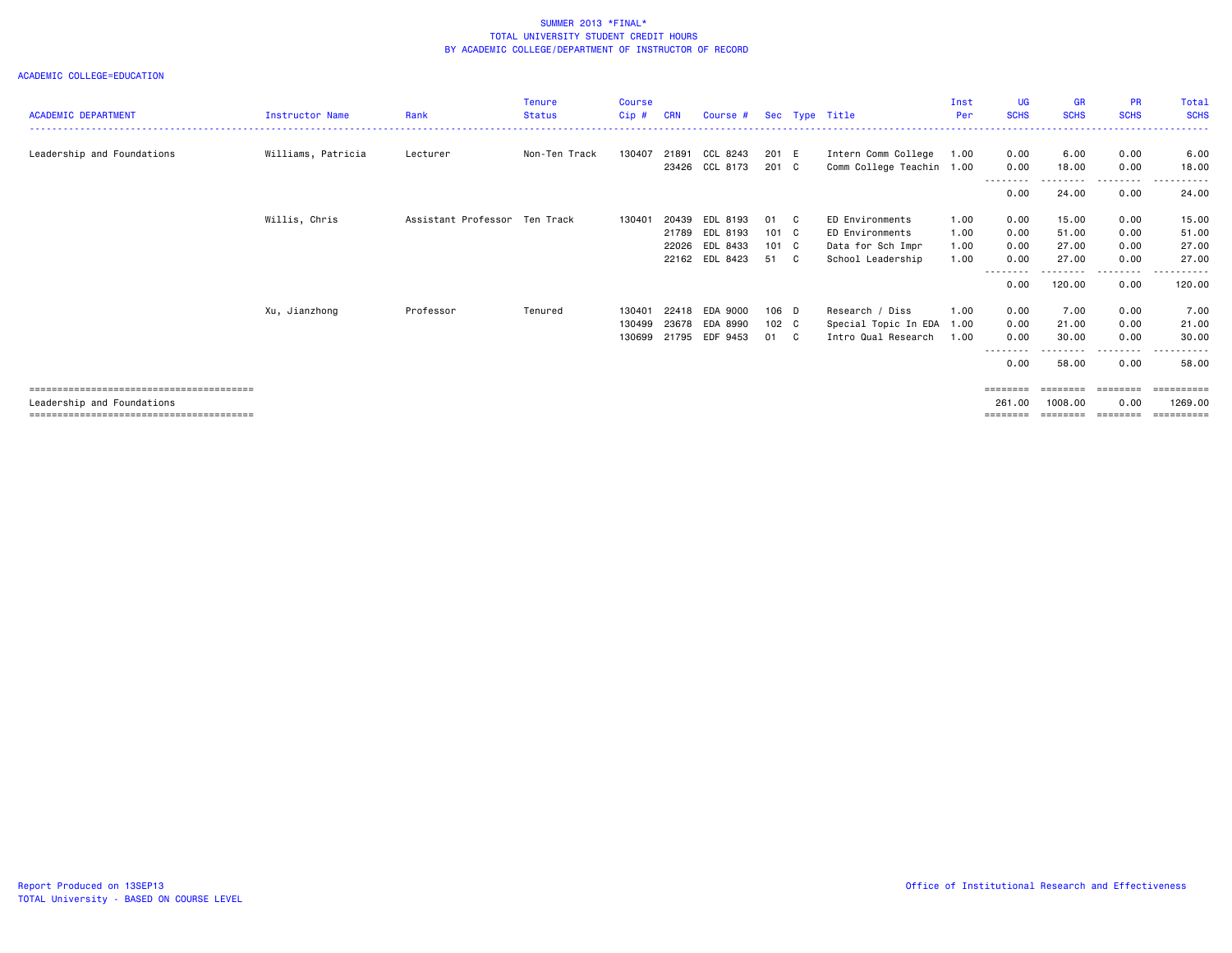|                            |                        |                               | <b>Tenure</b> | <b>Course</b> |            |                |               |              |                           | Inst | <b>UG</b>   | <b>GR</b>         | <b>PR</b>   | Total       |
|----------------------------|------------------------|-------------------------------|---------------|---------------|------------|----------------|---------------|--------------|---------------------------|------|-------------|-------------------|-------------|-------------|
| <b>ACADEMIC DEPARTMENT</b> | <b>Instructor Name</b> | Rank                          | <b>Status</b> | Cip#          | <b>CRN</b> | Course #       |               |              | Sec Type Title            | Per  | <b>SCHS</b> | <b>SCHS</b>       | <b>SCHS</b> | <b>SCHS</b> |
|                            |                        |                               |               |               |            |                |               |              |                           |      |             |                   |             |             |
| Leadership and Foundations | Williams, Patricia     | Lecturer                      | Non-Ten Track | 130407        | 21891      | CCL 8243       | 201 E         |              | Intern Comm College       | 1.00 | 0.00        | 6.00              | 0.00        | 6.00        |
|                            |                        |                               |               |               | 23426      | CCL 8173       | 201 C         |              | Comm College Teachin 1.00 |      | 0.00        | 18.00             | 0.00        | 18.00       |
|                            |                        |                               |               |               |            |                |               |              |                           |      | . <b>.</b>  | - - - - - - - - - | .           | .           |
|                            |                        |                               |               |               |            |                |               |              |                           |      | 0.00        | 24.00             | 0.00        | 24.00       |
|                            | Willis, Chris          | Assistant Professor Ten Track |               | 130401        | 20439      | EDL 8193       | 01            | $\mathbf{C}$ | ED Environments           | 1.00 | 0.00        | 15.00             | 0.00        | 15.00       |
|                            |                        |                               |               |               | 21789      | EDL 8193       | $101 \quad C$ |              | ED Environments           | 1.00 | 0.00        | 51.00             | 0.00        | 51.00       |
|                            |                        |                               |               |               | 22026      | EDL 8433       | $101 \quad C$ |              | Data for Sch Impr         | 1.00 | 0.00        | 27.00             | 0.00        | 27.00       |
|                            |                        |                               |               |               |            | 22162 EDL 8423 | 51 C          |              | School Leadership         | 1.00 | 0.00        | 27.00             | 0.00        | 27.00       |
|                            |                        |                               |               |               |            |                |               |              |                           |      | -----       |                   | -----       | .           |
|                            |                        |                               |               |               |            |                |               |              |                           |      | 0.00        | 120.00            | 0.00        | 120.00      |
|                            | Xu, Jianzhong          | Professor                     | Tenured       | 130401        | 22418      | EDA 9000       | 106 D         |              | Research / Diss           | 1.00 | 0.00        | 7.00              | 0.00        | 7.00        |
|                            |                        |                               |               | 130499        | 23678      | EDA 8990       | 102 C         |              | Special Topic In EDA      | 1.00 | 0.00        | 21.00             | 0.00        | 21.00       |
|                            |                        |                               |               | 130699        |            | 21795 EDF 9453 | 01            | $\mathbf{C}$ | Intro Qual Research       | 1.00 | 0.00        | 30.00             | 0.00        | 30.00       |
|                            |                        |                               |               |               |            |                |               |              |                           |      | 0.00        | 58.00             | .<br>0.00   | 58.00       |
|                            |                        |                               |               |               |            |                |               |              |                           |      | ========    | ---------         | ---------   | ==========  |
| Leadership and Foundations |                        |                               |               |               |            |                |               |              |                           |      | 261.00      | 1008.00           | 0.00        | 1269,00     |
|                            |                        |                               |               |               |            |                |               |              |                           |      | ========    | ========          | ---------   |             |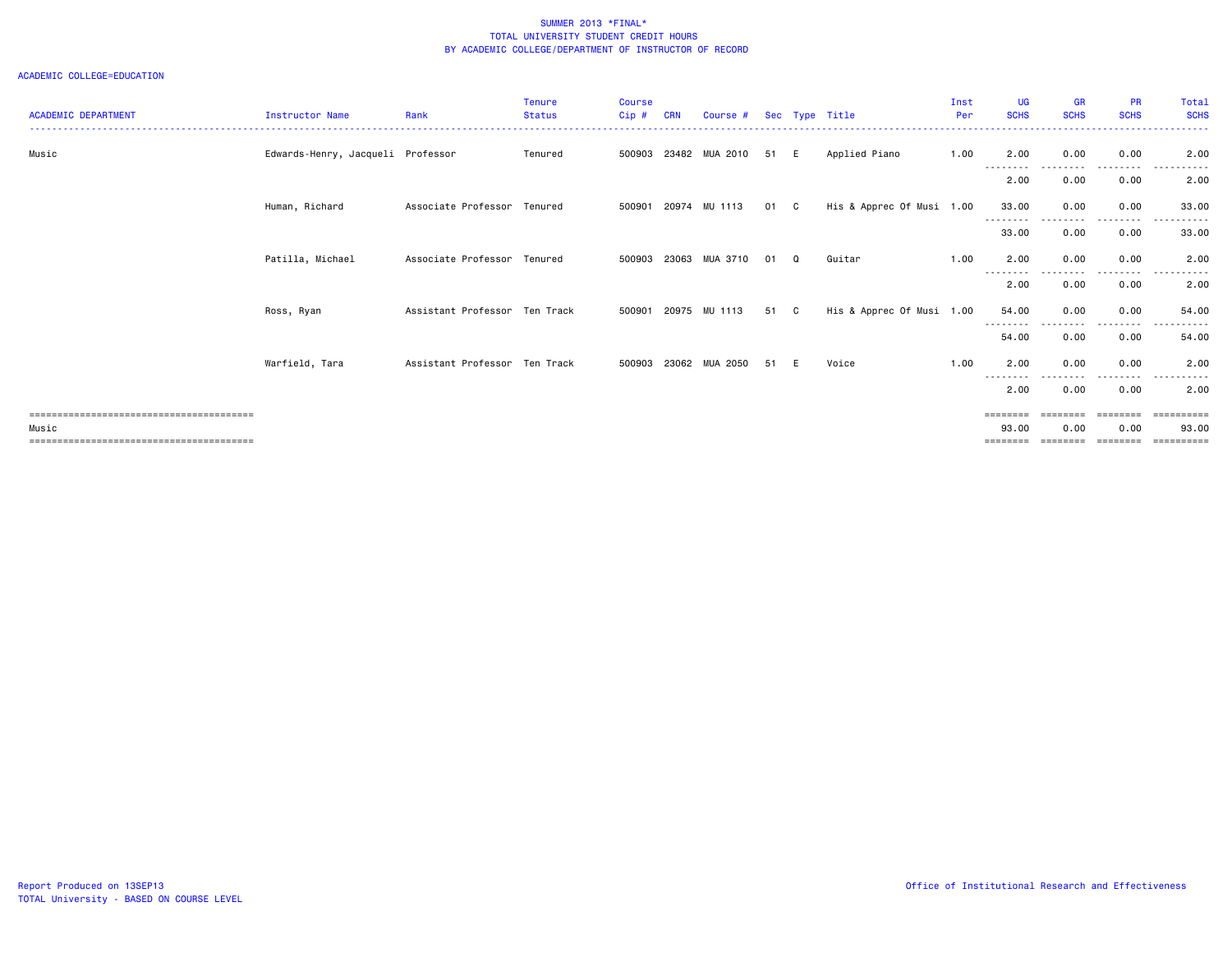| <b>ACADEMIC DEPARTMENT</b> | <b>Instructor Name</b>            | Rank                          | Tenure<br><b>Status</b> | <b>Course</b><br>$Cip$ # | <b>CRN</b> | Course #             |      |          | Sec Type Title            | Inst<br>Per | <b>UG</b><br><b>SCHS</b>  | <b>GR</b><br><b>SCHS</b> | <b>PR</b><br><b>SCHS</b> | Total<br><b>SCHS</b> |
|----------------------------|-----------------------------------|-------------------------------|-------------------------|--------------------------|------------|----------------------|------|----------|---------------------------|-------------|---------------------------|--------------------------|--------------------------|----------------------|
| Music                      | Edwards-Henry, Jacqueli Professor |                               | Tenured                 | 500903                   |            | 23482 MUA 2010       | 51 E |          | Applied Piano             | 1.00        | 2.00<br>- - - - - - - - - | 0.00<br>------           | 0.00<br>.                | 2.00                 |
|                            |                                   |                               |                         |                          |            |                      |      |          |                           |             | 2.00                      | 0.00                     | 0.00                     | 2.00                 |
|                            | Human, Richard                    | Associate Professor Tenured   |                         |                          |            | 500901 20974 MU 1113 | 01 C |          | His & Apprec Of Musi 1.00 |             | 33.00                     | 0.00                     | 0.00                     | 33.00                |
|                            |                                   |                               |                         |                          |            |                      |      |          |                           |             | --------<br>33.00         | 0.00                     | . <b>.</b><br>0.00       | .<br>33.00           |
|                            | Patilla, Michael                  | Associate Professor Tenured   |                         | 500903                   | 23063      | MUA 3710             | 01   | $\Omega$ | Guitar                    | 1.00        | 2.00                      | 0.00                     | 0.00                     | 2.00                 |
|                            |                                   |                               |                         |                          |            |                      |      |          |                           |             | 2.00                      | 0.00                     | 0.00                     | 2.00                 |
|                            | Ross, Ryan                        | Assistant Professor Ten Track |                         | 500901                   |            | 20975 MU 1113        | 51 C |          | His & Apprec Of Musi 1.00 |             | 54.00                     | 0.00                     | 0.00                     | 54.00                |
|                            |                                   |                               |                         |                          |            |                      |      |          |                           |             | --------<br>54.00         | 0.00                     | 0.00                     | 54.00                |
|                            | Warfield, Tara                    | Assistant Professor Ten Track |                         | 500903                   |            | 23062 MUA 2050       | 51 E |          | Voice                     | 1.00        | 2.00                      | 0.00                     | 0.00                     | 2.00                 |
|                            |                                   |                               |                         |                          |            |                      |      |          |                           |             | ---------<br>2.00         | 0.00                     | $\frac{1}{2}$<br>0.00    | $\cdots$<br>2.00     |
|                            |                                   |                               |                         |                          |            |                      |      |          |                           |             | ========                  |                          | <b>EBBEBBBB</b>          | eessesses            |
| Music                      |                                   |                               |                         |                          |            |                      |      |          |                           |             | 93.00<br>========         | 0.00<br>========         | 0.00<br>========         | 93.00<br>==========  |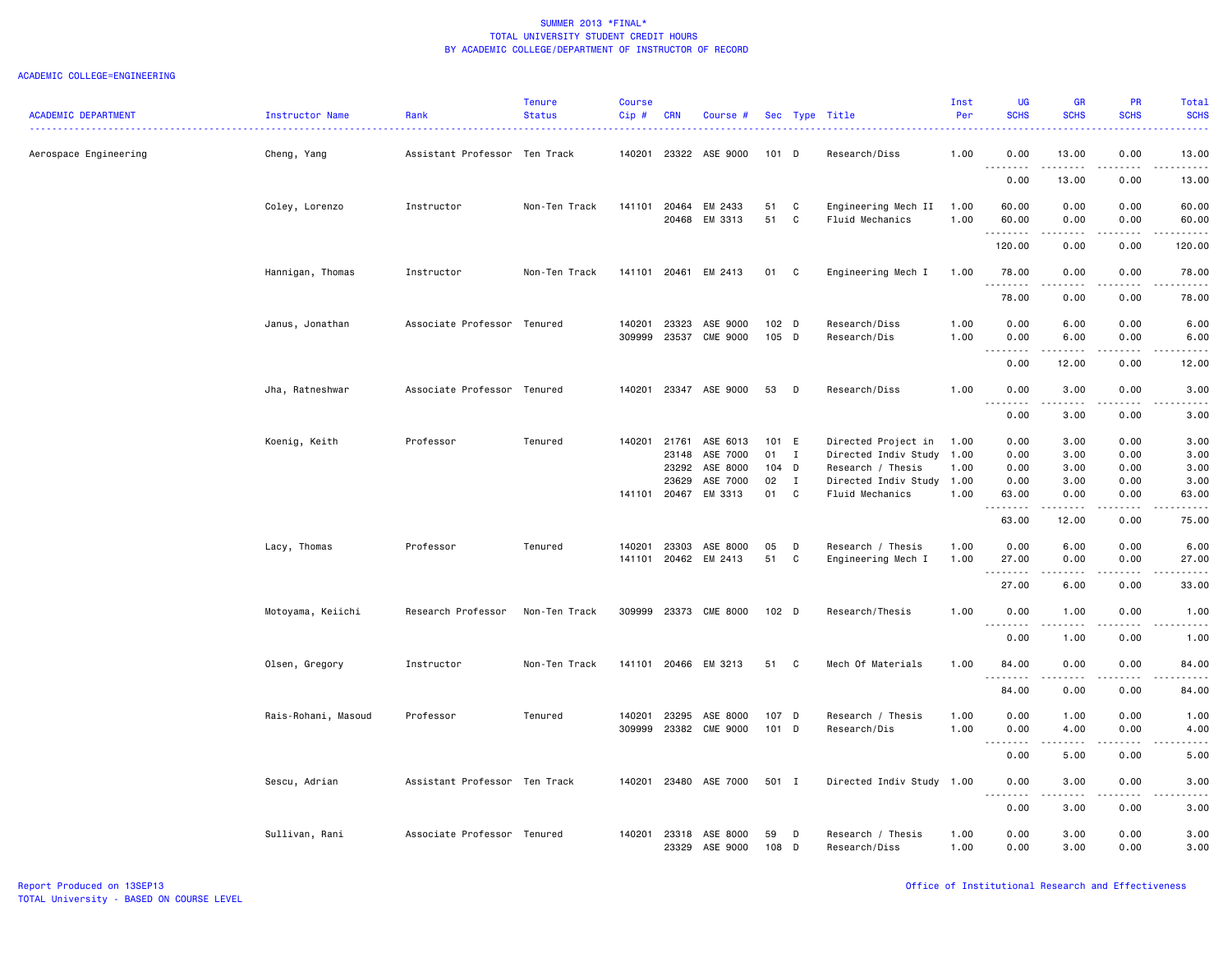| <b>ACADEMIC DEPARTMENT</b> | Instructor Name     | Rank                          | <b>Tenure</b><br><b>Status</b> | <b>Course</b><br>Cip# | <b>CRN</b>            | Course #              |          |                  |                                              | Inst<br>Per | <b>UG</b><br><b>SCHS</b> | <b>GR</b><br><b>SCHS</b>                                                                                                                                      | PR<br><b>SCHS</b> | Total<br><b>SCHS</b>           |
|----------------------------|---------------------|-------------------------------|--------------------------------|-----------------------|-----------------------|-----------------------|----------|------------------|----------------------------------------------|-------------|--------------------------|---------------------------------------------------------------------------------------------------------------------------------------------------------------|-------------------|--------------------------------|
|                            |                     | .                             |                                |                       |                       |                       |          |                  | Sec Type Title                               |             |                          |                                                                                                                                                               |                   |                                |
| Aerospace Engineering      | Cheng, Yang         | Assistant Professor Ten Track |                                |                       |                       | 140201 23322 ASE 9000 | 101 D    |                  | Research/Diss                                | 1.00        | 0.00                     | 13.00                                                                                                                                                         | 0.00              | 13.00                          |
|                            |                     |                               |                                |                       |                       |                       |          |                  |                                              |             | <u>.</u><br>0.00         | 13.00                                                                                                                                                         | 0.00              | 13.00                          |
|                            | Coley, Lorenzo      | Instructor                    | Non-Ten Track                  | 141101                | 20464                 | EM 2433               | 51       | C                | Engineering Mech II                          | 1.00        | 60.00                    | 0.00                                                                                                                                                          | 0.00              | 60.00                          |
|                            |                     |                               |                                |                       |                       | 20468 EM 3313         | 51       | C                | Fluid Mechanics                              | 1.00        | 60.00<br>.               | 0.00<br>$\frac{1}{2} \left( \frac{1}{2} \right) \left( \frac{1}{2} \right) \left( \frac{1}{2} \right) \left( \frac{1}{2} \right)$                             | 0.00<br>.         | 60.00<br>.                     |
|                            |                     |                               |                                |                       |                       |                       |          |                  |                                              |             | 120.00                   | 0.00                                                                                                                                                          | 0.00              | 120.00                         |
|                            | Hannigan, Thomas    | Instructor                    | Non-Ten Track                  | 141101                |                       | 20461 EM 2413         | 01       | C                | Engineering Mech I                           | 1.00        | 78.00                    | 0.00                                                                                                                                                          | 0.00              | 78.00                          |
|                            |                     |                               |                                |                       |                       |                       |          |                  |                                              |             | .<br>78.00               | د د د د<br>0.00                                                                                                                                               | .<br>0.00         | 78.00                          |
|                            | Janus, Jonathan     | Associate Professor Tenured   |                                | 140201                | 23323                 | ASE 9000              | 102 D    |                  | Research/Diss                                | 1.00        | 0.00                     | 6.00                                                                                                                                                          | 0.00              | 6.00                           |
|                            |                     |                               |                                | 309999                | 23537                 | <b>CME 9000</b>       | 105 D    |                  | Research/Dis                                 | 1.00        | 0.00<br>.                | 6.00                                                                                                                                                          | 0.00              | 6.00                           |
|                            |                     |                               |                                |                       |                       |                       |          |                  |                                              |             | 0.00                     | 12.00                                                                                                                                                         | 0.00              | 12.00                          |
|                            | Jha, Ratneshwar     | Associate Professor Tenured   |                                | 140201                |                       | 23347 ASE 9000        | 53       | D                | Research/Diss                                | 1.00        | 0.00<br>.<br>$  -$       | 3.00<br>.                                                                                                                                                     | 0.00<br>.         | 3.00                           |
|                            |                     |                               |                                |                       |                       |                       |          |                  |                                              |             | 0.00                     | 3.00                                                                                                                                                          | 0.00              | 3.00                           |
|                            | Koenig, Keith       | Professor                     | Tenured                        | 140201                | 21761                 | ASE 6013              | 101 E    |                  | Directed Project in                          | 1.00        | 0.00                     | 3.00                                                                                                                                                          | 0.00              | 3.00                           |
|                            |                     |                               |                                |                       | 23148                 | ASE 7000              | 01       | $\mathbf{I}$     | Directed Indiv Study                         | 1.00        | 0.00                     | 3.00                                                                                                                                                          | 0.00              | 3.00                           |
|                            |                     |                               |                                |                       | 23292                 | ASE 8000              | 104 D    |                  | Research / Thesis                            | 1.00        | 0.00                     | 3.00                                                                                                                                                          | 0.00              | 3.00                           |
|                            |                     |                               |                                |                       | 23629<br>141101 20467 | ASE 7000<br>EM 3313   | 02<br>01 | $\mathbf I$<br>C | Directed Indiv Study 1.00<br>Fluid Mechanics | 1.00        | 0.00<br>63.00            | 3.00<br>0.00                                                                                                                                                  | 0.00<br>0.00      | 3.00<br>63.00                  |
|                            |                     |                               |                                |                       |                       |                       |          |                  |                                              |             | .<br>63.00               | $\frac{1}{2} \left( \frac{1}{2} \right) \left( \frac{1}{2} \right) \left( \frac{1}{2} \right) \left( \frac{1}{2} \right) \left( \frac{1}{2} \right)$<br>12.00 | .<br>0.00         | .<br>75.00                     |
|                            | Lacy, Thomas        | Professor                     | Tenured                        | 140201                | 23303                 | ASE 8000              | 05       | D                | Research / Thesis                            | 1.00        | 0.00                     | 6.00                                                                                                                                                          | 0.00              | 6.00                           |
|                            |                     |                               |                                | 141101                |                       | 20462 EM 2413         | 51       | C                | Engineering Mech I                           | 1.00        | 27.00                    | 0.00                                                                                                                                                          | 0.00              | 27.00                          |
|                            |                     |                               |                                |                       |                       |                       |          |                  |                                              |             | .<br>27.00               | $\frac{1}{2}$<br>6.00                                                                                                                                         | 0.00              | .<br>33.00                     |
|                            | Motoyama, Keiichi   | Research Professor            | Non-Ten Track                  | 309999                |                       | 23373 CME 8000        | 102 D    |                  | Research/Thesis                              | 1.00        | 0.00                     | 1.00                                                                                                                                                          | 0.00              | 1.00                           |
|                            |                     |                               |                                |                       |                       |                       |          |                  |                                              |             | .<br>0.00                | $\frac{1}{2} \left( \frac{1}{2} \right) \left( \frac{1}{2} \right) \left( \frac{1}{2} \right) \left( \frac{1}{2} \right) \left( \frac{1}{2} \right)$<br>1.00  | 0.00              | $\omega$ is a $\omega$<br>1.00 |
|                            | Olsen, Gregory      | Instructor                    | Non-Ten Track                  | 141101                |                       | 20466 EM 3213         | 51       | $\mathbf{C}$     | Mech Of Materials                            | 1.00        | 84.00                    | 0.00                                                                                                                                                          | 0.00              | 84.00                          |
|                            |                     |                               |                                |                       |                       |                       |          |                  |                                              |             | .<br>84.00               | $\frac{1}{2}$<br>0.00                                                                                                                                         | 0.00              | 84.00                          |
|                            | Rais-Rohani, Masoud | Professor                     | Tenured                        | 140201                | 23295                 | ASE 8000              | 107 D    |                  | Research / Thesis                            | 1.00        | 0.00                     | 1.00                                                                                                                                                          | 0.00              | 1.00                           |
|                            |                     |                               |                                | 309999                | 23382                 | CME 9000              | 101 D    |                  | Research/Dis                                 | 1.00        | 0.00                     | 4.00                                                                                                                                                          | 0.00              | 4.00                           |
|                            |                     |                               |                                |                       |                       |                       |          |                  |                                              |             | $- - - -$<br>0.00        | $- - - -$<br>5.00                                                                                                                                             | .<br>0.00         | ----<br>5.00                   |
|                            | Sescu, Adrian       | Assistant Professor Ten Track |                                | 140201                |                       | 23480 ASE 7000        | 501 I    |                  | Directed Indiv Study                         | 1.00        | 0.00                     | 3.00                                                                                                                                                          | 0.00              | 3.00                           |
|                            |                     |                               |                                |                       |                       |                       |          |                  |                                              |             | .<br>0.00                | $\sim$ $\sim$<br>3.00                                                                                                                                         | 0.00              | 3.00                           |
|                            | Sullivan, Rani      | Associate Professor Tenured   |                                | 140201                | 23318                 | ASE 8000              | 59       | D                | Research / Thesis                            | 1.00        | 0.00                     | 3.00                                                                                                                                                          | 0.00              | 3.00                           |
|                            |                     |                               |                                |                       | 23329                 | ASE 9000              | 108      | D                | Research/Diss                                | 1.00        | 0.00                     | 3.00                                                                                                                                                          | 0.00              | 3.00                           |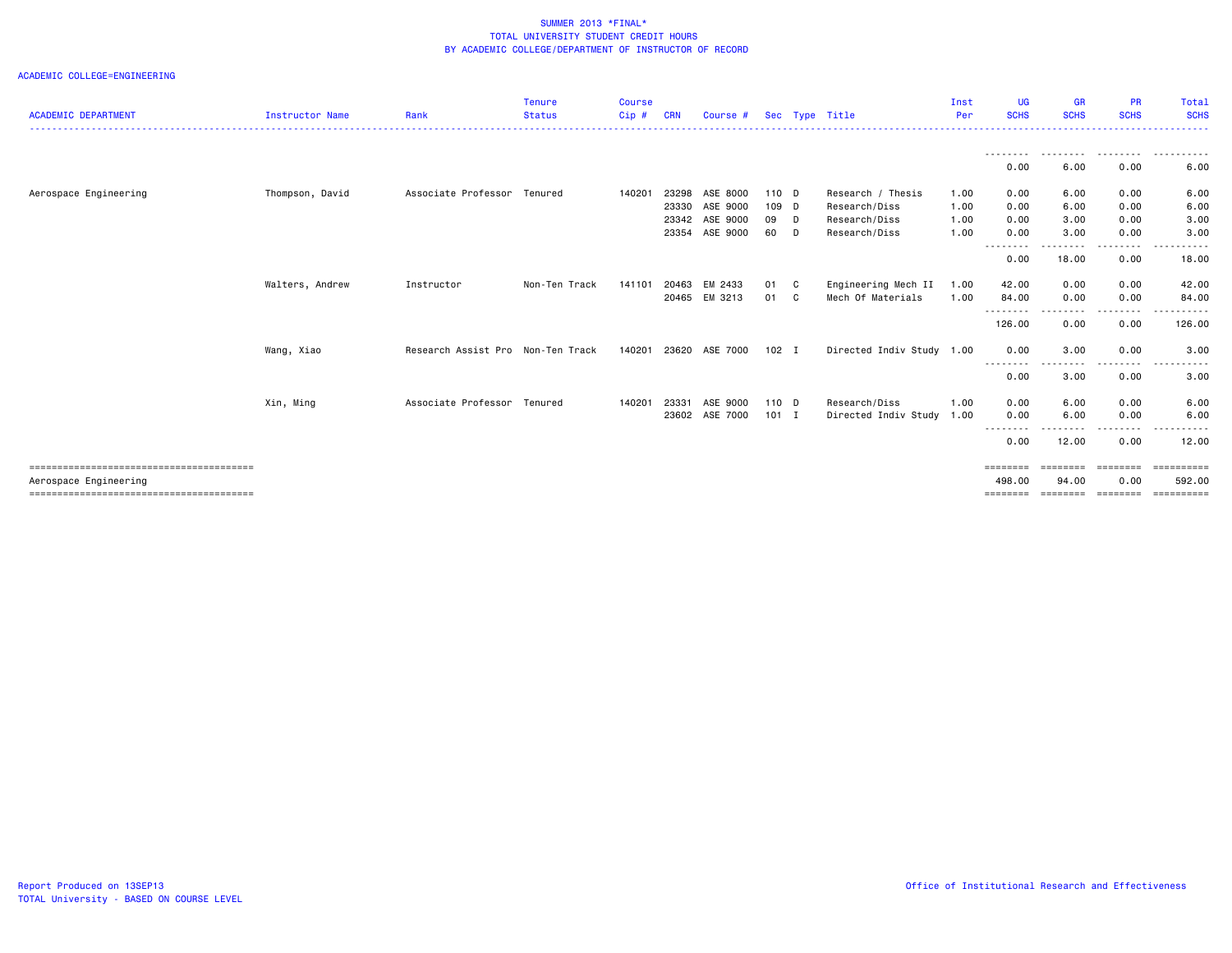| <b>ACADEMIC DEPARTMENT</b> | <b>Instructor Name</b> | Rank                              | <b>Tenure</b><br><b>Status</b> | <b>Course</b><br>$Cip$ # | <b>CRN</b> | Course #      |         |              | Sec Type Title            | Inst<br>Per | UG<br><b>SCHS</b> | <b>GR</b><br><b>SCHS</b> | <b>PR</b><br><b>SCHS</b> | Total<br><b>SCHS</b> |
|----------------------------|------------------------|-----------------------------------|--------------------------------|--------------------------|------------|---------------|---------|--------------|---------------------------|-------------|-------------------|--------------------------|--------------------------|----------------------|
|                            |                        |                                   |                                |                          |            |               |         |              |                           |             |                   |                          |                          |                      |
|                            |                        |                                   |                                |                          |            |               |         |              |                           |             | <u>.</u><br>0.00  | .<br>6.00                | 0.00                     | 6.00                 |
| Aerospace Engineering      | Thompson, David        | Associate Professor Tenured       |                                | 140201                   | 23298      | ASE 8000      | 110 D   |              | Research / Thesis         | 1.00        | 0.00              | 6.00                     | 0.00                     | 6.00                 |
|                            |                        |                                   |                                |                          | 23330      | ASE 9000      | 109 D   |              | Research/Diss             | 1.00        | 0.00              | 6.00                     | 0.00                     | 6.00                 |
|                            |                        |                                   |                                |                          | 23342      | ASE 9000      | 09 D    |              | Research/Diss             | 1.00        | 0.00              | 3.00                     | 0.00                     | 3.00                 |
|                            |                        |                                   |                                |                          | 23354      | ASE 9000      | 60 D    |              | Research/Diss             | 1.00        | 0.00              | 3.00                     | 0.00                     | 3.00                 |
|                            |                        |                                   |                                |                          |            |               |         |              |                           |             | ---------<br>0.00 | -----<br>18.00           | .<br>0.00                | .<br>18.00           |
|                            | Walters, Andrew        | Instructor                        | Non-Ten Track                  | 141101                   | 20463      | EM 2433       | 01      | C            | Engineering Mech II       | 1.00        | 42.00             | 0.00                     | 0.00                     | 42.00                |
|                            |                        |                                   |                                |                          |            | 20465 EM 3213 | 01      | $\mathbf{C}$ | Mech Of Materials         | 1.00        | 84.00             | 0.00                     | 0.00                     | 84.00                |
|                            |                        |                                   |                                |                          |            |               |         |              |                           |             | .<br>126.00       | . <i>.</i> .<br>0.00     | -----<br>0.00            | .<br>126.00          |
|                            | Wang, Xiao             | Research Assist Pro Non-Ten Track |                                | 140201                   | 23620      | ASE 7000      | $102$ I |              | Directed Indiv Study 1.00 |             | 0.00              | 3.00                     | 0.00                     | 3.00                 |
|                            |                        |                                   |                                |                          |            |               |         |              |                           |             | ---------<br>0.00 | 3.00                     | 0.00                     | 3.00                 |
|                            | Xin, Ming              | Associate Professor Tenured       |                                | 140201                   | 23331      | ASE 9000      | 110 D   |              | Research/Diss             | 1.00        | 0.00              | 6.00                     | 0.00                     | 6.00                 |
|                            |                        |                                   |                                |                          | 23602      | ASE 7000      | $101$ I |              | Directed Indiv Study      | 1.00        | 0.00              | 6.00                     | 0.00                     | 6.00                 |
|                            |                        |                                   |                                |                          |            |               |         |              |                           |             | --------<br>0.00  | 12.00                    | 0.00                     | 12.00                |
|                            |                        |                                   |                                |                          |            |               |         |              |                           |             | ========          | ========                 | ========                 | ==========           |
| Aerospace Engineering      |                        |                                   |                                |                          |            |               |         |              |                           |             | 498,00            | 94.00                    | 0.00                     | 592.00               |
|                            |                        |                                   |                                |                          |            |               |         |              |                           |             | ========          | ========                 | ========                 | -----------          |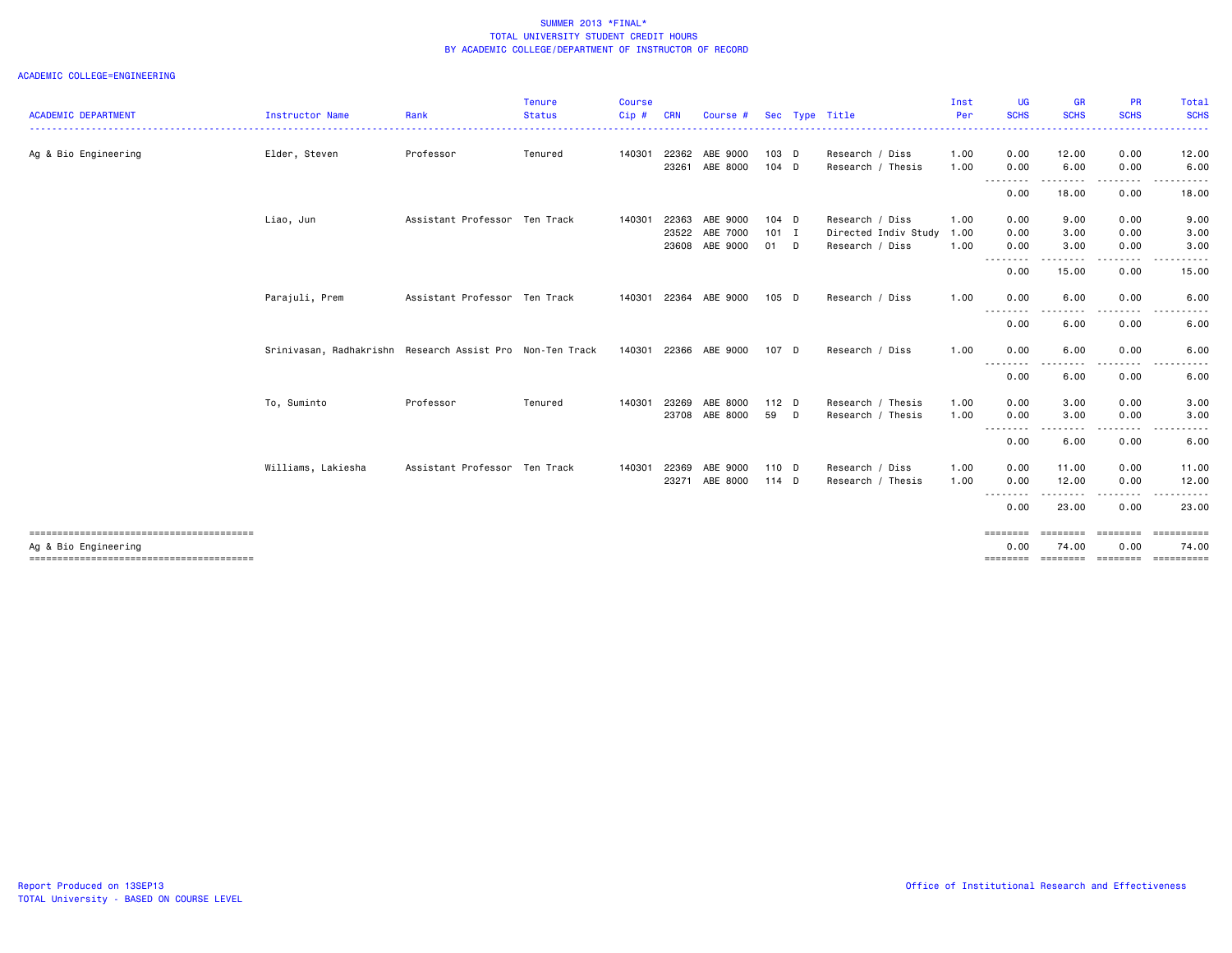| <b>ACADEMIC DEPARTMENT</b> | Instructor Name                                           | Rank                          | Tenure<br><b>Status</b> | <b>Course</b><br>Cip# | <b>CRN</b> | Course #              |         | Sec Type Title       | Inst<br>Per | UG<br><b>SCHS</b> | <b>GR</b><br><b>SCHS</b>                                                                                                                                     | <b>PR</b><br><b>SCHS</b> | Total<br><b>SCHS</b>           |
|----------------------------|-----------------------------------------------------------|-------------------------------|-------------------------|-----------------------|------------|-----------------------|---------|----------------------|-------------|-------------------|--------------------------------------------------------------------------------------------------------------------------------------------------------------|--------------------------|--------------------------------|
|                            |                                                           |                               |                         |                       |            |                       |         |                      |             | <u>.</u>          | .                                                                                                                                                            | ---------                | .                              |
| Ag & Bio Engineering       | Elder, Steven                                             | Professor                     | Tenured                 | 140301                |            | 22362 ABE 9000        | $103$ D | Research / Diss      | 1.00        | 0.00              | 12.00                                                                                                                                                        | 0.00                     | 12.00                          |
|                            |                                                           |                               |                         |                       | 23261      | ABE 8000              | $104$ D | Research / Thesis    | 1.00        | 0.00<br>.         | 6.00<br>.                                                                                                                                                    | 0.00<br>.                | 6.00<br>.                      |
|                            |                                                           |                               |                         |                       |            |                       |         |                      |             | 0.00              | 18.00                                                                                                                                                        | 0.00                     | 18.00                          |
|                            | Liao, Jun                                                 | Assistant Professor Ten Track |                         | 140301                | 22363      | ABE 9000              | $104$ D | Research / Diss      | 1.00        | 0.00              | 9.00                                                                                                                                                         | 0.00                     | 9.00                           |
|                            |                                                           |                               |                         |                       | 23522      | ABE 7000              | $101$ I | Directed Indiv Study | 1.00        | 0.00              | 3.00                                                                                                                                                         | 0.00                     | 3.00                           |
|                            |                                                           |                               |                         |                       | 23608      | ABE 9000              | 01 D    | Research / Diss      | 1.00        | 0.00<br>--------- | 3.00<br>------                                                                                                                                               | 0.00<br>.                | 3.00                           |
|                            |                                                           |                               |                         |                       |            |                       |         |                      |             | 0.00              | 15.00                                                                                                                                                        | 0.00                     | 15.00                          |
|                            | Parajuli, Prem                                            | Assistant Professor Ten Track |                         |                       |            | 140301 22364 ABE 9000 | $105$ D | Research / Diss      | 1.00        | 0.00              | 6.00                                                                                                                                                         | 0.00                     | 6.00                           |
|                            |                                                           |                               |                         |                       |            |                       |         |                      |             | .<br>0.00         | ----<br>6.00                                                                                                                                                 | .<br>0.00                | 6.00                           |
|                            | Srinivasan, Radhakrishn Research Assist Pro Non-Ten Track |                               |                         |                       |            | 140301 22366 ABE 9000 | 107 D   | Research / Diss      | 1.00        | 0.00              | 6.00                                                                                                                                                         | 0.00                     | 6.00                           |
|                            |                                                           |                               |                         |                       |            |                       |         |                      |             | --------<br>0.00  | ----<br>6.00                                                                                                                                                 | .<br>0.00                | 6.00                           |
|                            | To, Suminto                                               | Professor                     | Tenured                 | 140301                | 23269      | ABE 8000              | $112$ D | Research / Thesis    | 1.00        | 0.00              | 3.00                                                                                                                                                         | 0.00                     | 3.00                           |
|                            |                                                           |                               |                         |                       |            | 23708 ABE 8000        | 59 D    | Research / Thesis    | 1.00        | 0.00<br>--------- | 3.00<br>$\frac{1}{2} \left( \frac{1}{2} \right) \left( \frac{1}{2} \right) \left( \frac{1}{2} \right) \left( \frac{1}{2} \right) \left( \frac{1}{2} \right)$ | 0.00<br>-----            | 3.00<br>$\cdots$<br>.          |
|                            |                                                           |                               |                         |                       |            |                       |         |                      |             | 0.00              | 6.00                                                                                                                                                         | 0.00                     | 6.00                           |
|                            | Williams, Lakiesha                                        | Assistant Professor Ten Track |                         | 140301                | 22369      | ABE 9000              | 110 D   | Research / Diss      | 1.00        | 0.00              | 11.00                                                                                                                                                        | 0.00                     | 11.00                          |
|                            |                                                           |                               |                         |                       | 23271      | ABE 8000              | 114 D   | Research / Thesis    | 1.00        | 0.00<br>--------  | 12.00<br>.                                                                                                                                                   | 0.00<br>.                | 12.00<br>.                     |
|                            |                                                           |                               |                         |                       |            |                       |         |                      |             | 0.00              | 23.00                                                                                                                                                        | 0.00                     | 23.00                          |
| Ag & Bio Engineering       |                                                           |                               |                         |                       |            |                       |         |                      |             | ========<br>0.00  | ========<br>74.00                                                                                                                                            | ========<br>0.00         | ==========<br>74.00            |
|                            |                                                           |                               |                         |                       |            |                       |         |                      |             | ========          |                                                                                                                                                              |                          | ========= ========= ========== |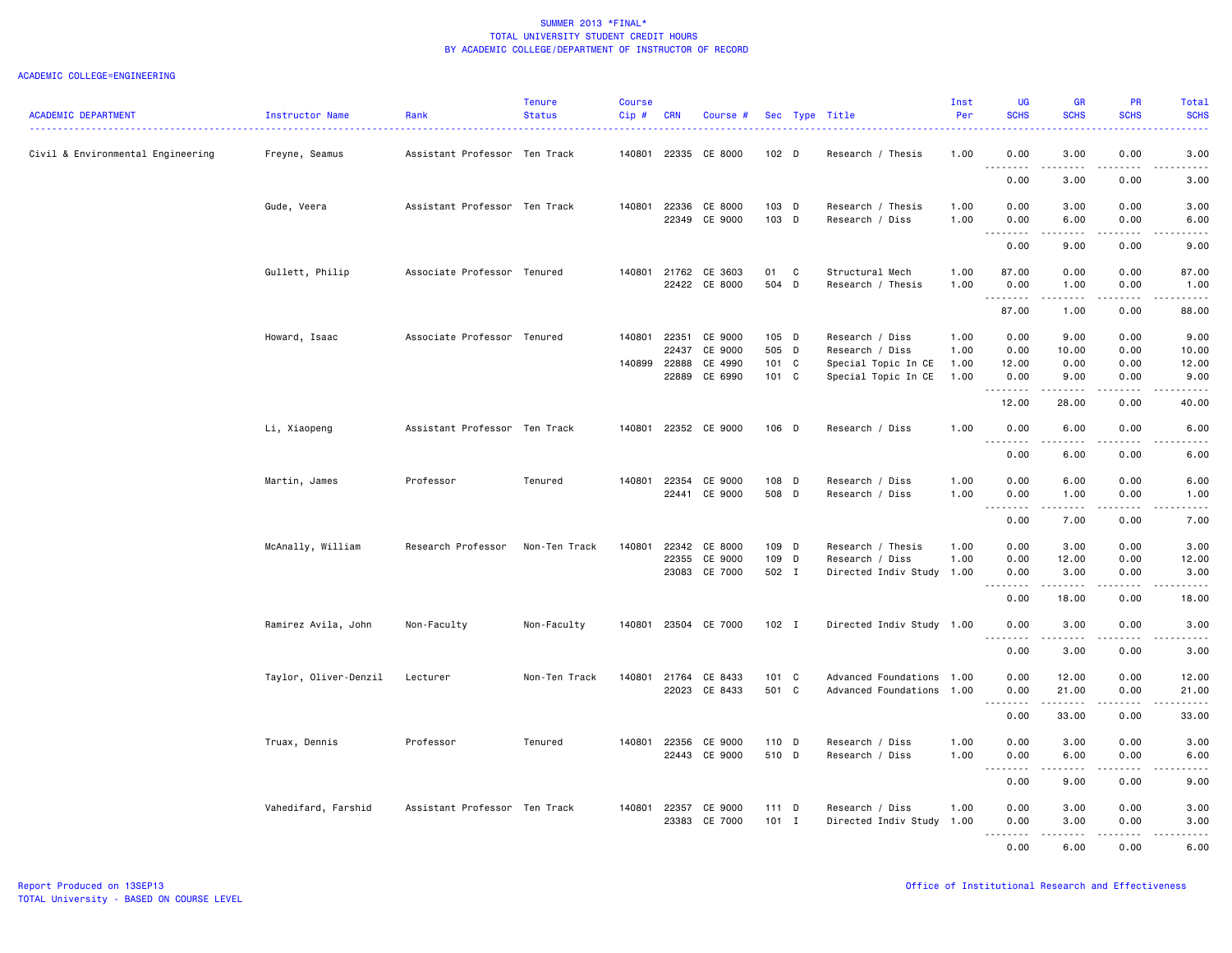| <b>ACADEMIC DEPARTMENT</b>        | Instructor Name       | Rank                          | <b>Tenure</b><br><b>Status</b> | <b>Course</b><br>Cip# | <b>CRN</b>     | Course #                 |                  |   | Sec Type Title                       | Inst<br>Per  | <b>UG</b><br><b>SCHS</b>                              | <b>GR</b><br><b>SCHS</b> | <b>PR</b><br><b>SCHS</b> | <b>Total</b><br><b>SCHS</b>                                                                                                                                  |
|-----------------------------------|-----------------------|-------------------------------|--------------------------------|-----------------------|----------------|--------------------------|------------------|---|--------------------------------------|--------------|-------------------------------------------------------|--------------------------|--------------------------|--------------------------------------------------------------------------------------------------------------------------------------------------------------|
| Civil & Environmental Engineering | Freyne, Seamus        | Assistant Professor Ten Track |                                | 140801                | 22335          | CE 8000                  | 102 <sub>D</sub> |   | Research / Thesis                    | 1.00         | 0.00                                                  | 3.00                     | 0.00                     | 3.00                                                                                                                                                         |
|                                   |                       |                               |                                |                       |                |                          |                  |   |                                      |              | $\sim$ $\sim$<br>0.00                                 | 3.00                     | 0.00                     | 3.00                                                                                                                                                         |
|                                   | Gude, Veera           | Assistant Professor Ten Track |                                | 140801                | 22336          | CE 8000<br>22349 CE 9000 | 103 D<br>103 D   |   | Research / Thesis<br>Research / Diss | 1.00<br>1.00 | 0.00<br>0.00                                          | 3.00<br>6.00             | 0.00<br>0.00             | 3.00<br>6.00                                                                                                                                                 |
|                                   |                       |                               |                                |                       |                |                          |                  |   |                                      |              | $- - - - -$<br>$\sim$ $\sim$ $\sim$<br>0.00           | .<br>9.00                | .<br>0.00                | $- - - - -$<br>9.00                                                                                                                                          |
|                                   | Gullett, Philip       | Associate Professor Tenured   |                                | 140801                | 21762          | CE 3603<br>22422 CE 8000 | 01<br>504 D      | C | Structural Mech<br>Research / Thesis | 1.00<br>1.00 | 87.00<br>0.00                                         | 0.00<br>1.00             | 0.00<br>0.00             | 87.00<br>1.00                                                                                                                                                |
|                                   |                       |                               |                                |                       |                |                          |                  |   |                                      |              | . <b>.</b><br>87.00                                   | 1.00                     | 0.00                     | . <u>.</u> .<br>88.00                                                                                                                                        |
|                                   | Howard, Isaac         | Associate Professor Tenured   |                                | 140801                | 22351<br>22437 | CE 9000<br>CE 9000       | 105 D<br>505 D   |   | Research / Diss<br>Research / Diss   | 1.00<br>1.00 | 0.00<br>0.00                                          | 9.00<br>10.00            | 0.00<br>0.00             | 9.00<br>10.00                                                                                                                                                |
|                                   |                       |                               |                                |                       | 140899 22888   | CE 4990                  | 101 C            |   | Special Topic In CE                  | 1.00         | 12.00                                                 | 0.00                     | 0.00                     | 12.00                                                                                                                                                        |
|                                   |                       |                               |                                |                       | 22889          | CE 6990                  | 101 C            |   | Special Topic In CE                  | 1.00         | 0.00<br>.                                             | 9.00<br>.                | 0.00                     | 9.00<br>-----                                                                                                                                                |
|                                   |                       |                               |                                |                       |                |                          |                  |   |                                      |              | 12.00                                                 | 28.00                    | 0.00                     | 40.00                                                                                                                                                        |
|                                   | Li, Xiaopeng          | Assistant Professor Ten Track |                                | 140801                |                | 22352 CE 9000            | 106 D            |   | Research / Diss                      | 1.00         | 0.00<br>$\sim$ $\sim$ $\sim$<br>د د د د               | 6.00<br>$- - - - -$      | 0.00<br>.                | 6.00<br>-----                                                                                                                                                |
|                                   |                       |                               |                                |                       |                |                          |                  |   |                                      |              | 0.00                                                  | 6.00                     | 0.00                     | 6.00                                                                                                                                                         |
|                                   | Martin, James         | Professor                     | Tenured                        | 140801                | 22354          | CE 9000                  | 108 D            |   | Research / Diss                      | 1.00         | 0.00                                                  | 6.00                     | 0.00                     | 6.00                                                                                                                                                         |
|                                   |                       |                               |                                |                       | 22441          | CE 9000                  | 508 D            |   | Research / Diss                      | 1.00         | 0.00<br>د د د د<br>$\sim$ $\sim$                      | 1.00<br>$- - - - -$      | 0.00<br>.                | 1.00<br>.                                                                                                                                                    |
|                                   |                       |                               |                                |                       |                |                          |                  |   |                                      |              | 0.00                                                  | 7.00                     | 0.00                     | 7.00                                                                                                                                                         |
|                                   | McAnally, William     | Research Professor            | Non-Ten Track                  | 140801                | 22342          | CE 8000                  | 109 D            |   | Research / Thesis                    | 1.00         | 0.00                                                  | 3.00                     | 0.00                     | 3.00                                                                                                                                                         |
|                                   |                       |                               |                                |                       | 22355          | CE 9000                  | 109 D            |   | Research / Diss                      | 1.00         | 0.00                                                  | 12.00                    | 0.00                     | 12.00                                                                                                                                                        |
|                                   |                       |                               |                                |                       |                | 23083 CE 7000            | 502 I            |   | Directed Indiv Study 1.00            |              | 0.00                                                  | 3.00                     | 0.00                     | 3.00                                                                                                                                                         |
|                                   |                       |                               |                                |                       |                |                          |                  |   |                                      |              | 0.00                                                  | 18.00                    | 0.00                     | 18.00                                                                                                                                                        |
|                                   | Ramirez Avila, John   | Non-Faculty                   | Non-Faculty                    | 140801                |                | 23504 CE 7000            | $102$ I          |   | Directed Indiv Study 1.00            |              | 0.00                                                  | 3.00<br>$- - - - - - -$  | 0.00<br>.                | 3.00<br>$    -$                                                                                                                                              |
|                                   |                       |                               |                                |                       |                |                          |                  |   |                                      |              | 0.00                                                  | 3.00                     | 0.00                     | 3.00                                                                                                                                                         |
|                                   | Taylor, Oliver-Denzil | Lecturer                      | Non-Ten Track                  | 140801                | 21764          | CE 8433                  | 101 C            |   | Advanced Foundations 1.00            |              | 0.00                                                  | 12.00                    | 0.00                     | 12.00                                                                                                                                                        |
|                                   |                       |                               |                                |                       | 22023          | CE 8433                  | 501 C            |   | Advanced Foundations 1.00            |              | 0.00<br>.                                             | 21.00<br>.               | 0.00<br>.                | 21.00<br>.                                                                                                                                                   |
|                                   |                       |                               |                                |                       |                |                          |                  |   |                                      |              | $\frac{1}{2} \left( \frac{1}{2} \right)$<br>0.00      | 33.00                    | 0.00                     | 33.00                                                                                                                                                        |
|                                   | Truax, Dennis         | Professor                     | Tenured                        | 140801                | 22356          | CE 9000                  | 110 D            |   | Research / Diss                      | 1.00         | 0.00                                                  | 3.00                     | 0.00                     | 3.00                                                                                                                                                         |
|                                   |                       |                               |                                |                       |                | 22443 CE 9000            | 510 D            |   | Research / Diss                      | 1.00         | 0.00<br>$\sim$ $\sim$ $\sim$<br>-----                 | 6.00<br>.                | 0.00<br>.                | 6.00<br>$\frac{1}{2} \left( \frac{1}{2} \right) \left( \frac{1}{2} \right) \left( \frac{1}{2} \right) \left( \frac{1}{2} \right) \left( \frac{1}{2} \right)$ |
|                                   |                       |                               |                                |                       |                |                          |                  |   |                                      |              | 0.00                                                  | 9.00                     | 0.00                     | 9.00                                                                                                                                                         |
|                                   | Vahedifard, Farshid   | Assistant Professor Ten Track |                                | 140801                | 22357          | CE 9000                  | 111 D            |   | Research / Diss                      | 1.00         | 0.00                                                  | 3.00                     | 0.00                     | 3.00                                                                                                                                                         |
|                                   |                       |                               |                                |                       | 23383          | CE 7000                  | 101 I            |   | Directed Indiv Study                 | 1.00         | 0.00<br>.<br>$\frac{1}{2} \left( \frac{1}{2} \right)$ | 3.00                     | 0.00                     | 3.00                                                                                                                                                         |
|                                   |                       |                               |                                |                       |                |                          |                  |   |                                      |              | 0.00                                                  | 6.00                     | 0.00                     | 6.00                                                                                                                                                         |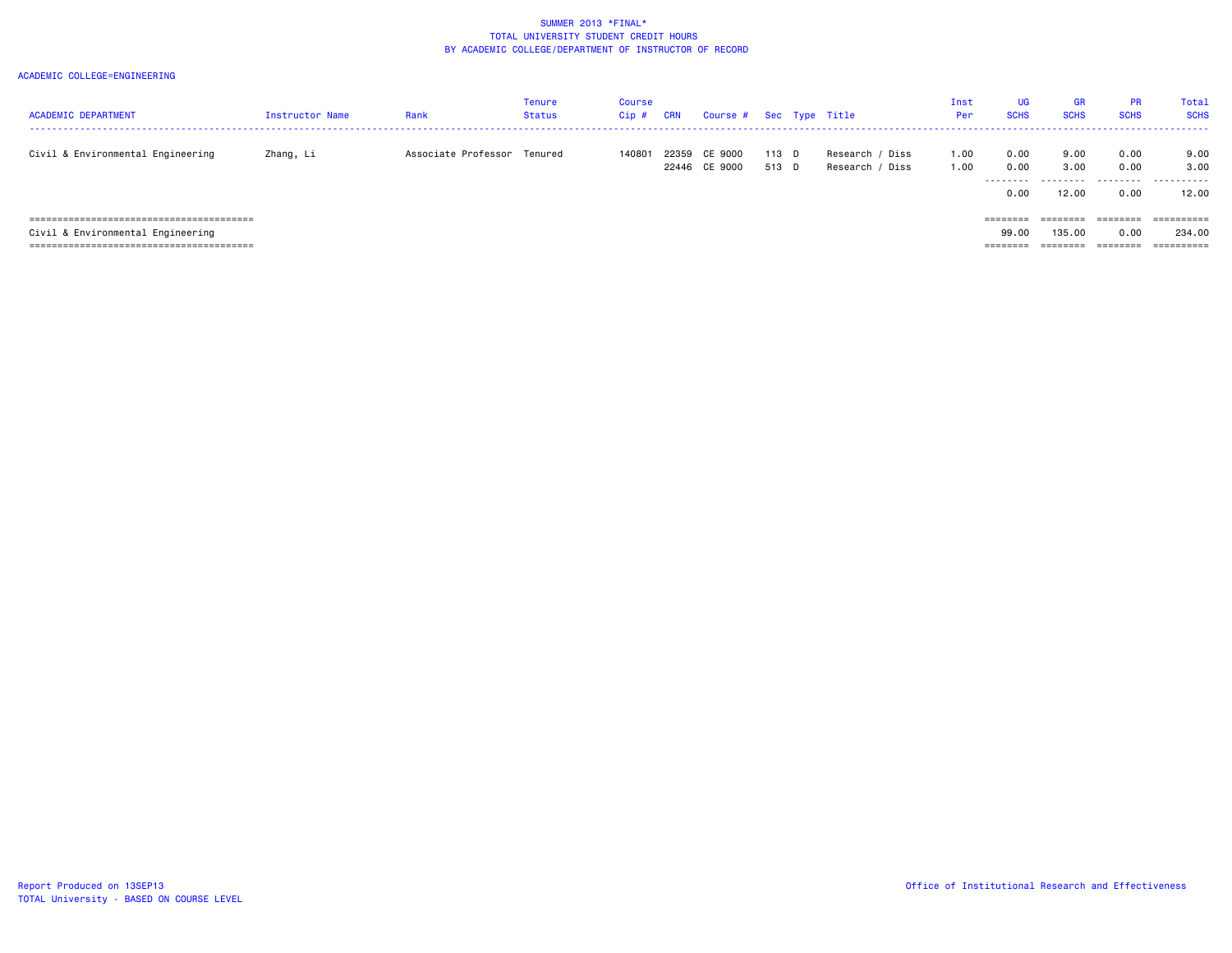| <b>ACADEMIC DEPARTMENT</b>                     | <b>Instructor Name</b> | Rank                        | Tenure<br>Status | Course<br>Cip# | CRN   | Course # Sec Type Title  |                  |                                    | Inst<br>Per  | UG<br><b>SCHS</b>         | <b>GR</b><br><b>SCHS</b>   | <b>PR</b><br><b>SCHS</b>  | Total<br><b>SCHS</b>       |
|------------------------------------------------|------------------------|-----------------------------|------------------|----------------|-------|--------------------------|------------------|------------------------------------|--------------|---------------------------|----------------------------|---------------------------|----------------------------|
| Civil & Environmental Engineering              | Zhang, Li              | Associate Professor Tenured |                  | 140801         | 22359 | CE 9000<br>22446 CE 9000 | $113$ D<br>513 D | Research / Diss<br>Research / Diss | 1.00<br>1.00 | 0.00<br>0.00<br>.<br>0.00 | 9.00<br>3.00<br>.<br>12.00 | 0.00<br>0.00<br>.<br>0.00 | 9.00<br>3,00<br>.<br>12.00 |
| ====================================<br>====== |                        |                             |                  |                |       |                          |                  |                                    |              | ========                  | ========                   | ========                  | ==========                 |
| Civil & Environmental Engineering              |                        |                             |                  |                |       |                          |                  |                                    |              | 99.00                     | 135,00                     | 0.00                      | 234.00                     |
|                                                |                        |                             |                  |                |       |                          |                  |                                    |              | ========                  |                            |                           | ==========                 |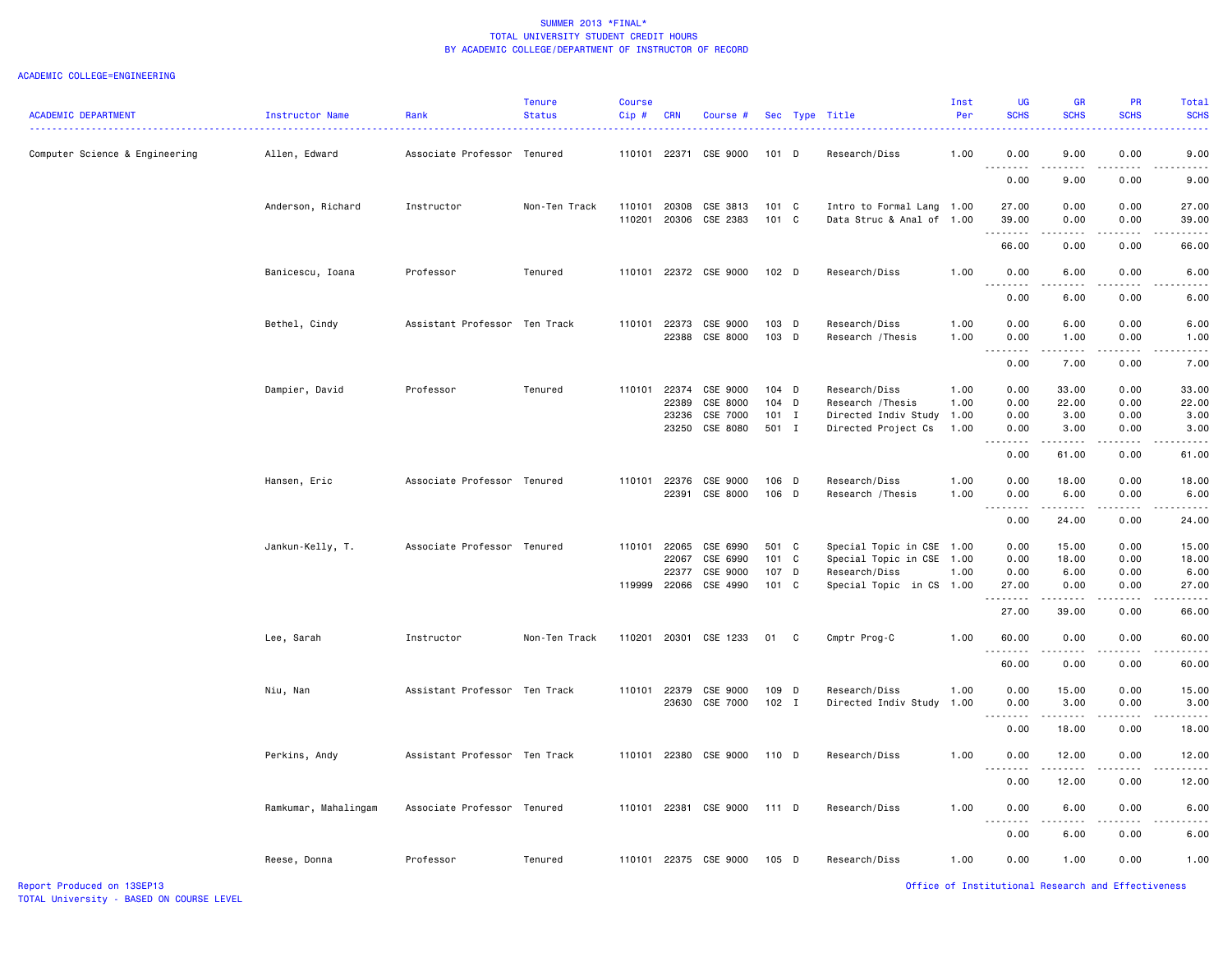| <b>ACADEMIC DEPARTMENT</b>     | Instructor Name      | Rank                          | <b>Tenure</b><br><b>Status</b> | <b>Course</b><br>Cip# | <b>CRN</b>                       | Course #                                     |                                      |    | Sec Type Title                                                                                 | Inst<br>Per                  | <b>UG</b><br><b>SCHS</b>           | <b>GR</b><br><b>SCHS</b>                                                                                                                                                                                                                                                                                                                      | PR<br><b>SCHS</b>                 | Total<br><b>SCHS</b>                 |
|--------------------------------|----------------------|-------------------------------|--------------------------------|-----------------------|----------------------------------|----------------------------------------------|--------------------------------------|----|------------------------------------------------------------------------------------------------|------------------------------|------------------------------------|-----------------------------------------------------------------------------------------------------------------------------------------------------------------------------------------------------------------------------------------------------------------------------------------------------------------------------------------------|-----------------------------------|--------------------------------------|
| Computer Science & Engineering | Allen, Edward        | Associate Professor Tenured   |                                | 110101                | 22371                            | CSE 9000                                     | $101$ D                              |    | Research/Diss                                                                                  | 1.00                         | 0.00<br>.                          | 9.00<br>$\frac{1}{2} \left( \frac{1}{2} \right) \left( \frac{1}{2} \right) \left( \frac{1}{2} \right) \left( \frac{1}{2} \right)$                                                                                                                                                                                                             | 0.00<br>$\frac{1}{2}$             | 9.00                                 |
|                                |                      |                               |                                |                       |                                  |                                              |                                      |    |                                                                                                |                              | 0.00                               | 9.00                                                                                                                                                                                                                                                                                                                                          | 0.00                              | 9.00                                 |
|                                | Anderson, Richard    | Instructor                    | Non-Ten Track                  | 110101<br>110201      | 20308<br>20306                   | CSE 3813<br>CSE 2383                         | 101 C<br>101 C                       |    | Intro to Formal Lang<br>Data Struc & Anal of 1.00                                              | 1.00                         | 27.00<br>39.00                     | 0.00<br>0.00                                                                                                                                                                                                                                                                                                                                  | 0.00<br>0.00                      | 27.00<br>39.00                       |
|                                |                      |                               |                                |                       |                                  |                                              |                                      |    |                                                                                                |                              | 66.00                              | 0.00                                                                                                                                                                                                                                                                                                                                          | 0.00                              | 66.00                                |
|                                | Banicescu, Ioana     | Professor                     | Tenured                        | 110101                |                                  | 22372 CSE 9000                               | $102$ D                              |    | Research/Diss                                                                                  | 1.00                         | 0.00<br><u>.</u>                   | 6.00                                                                                                                                                                                                                                                                                                                                          | 0.00                              | 6.00                                 |
|                                |                      |                               |                                |                       |                                  |                                              |                                      |    |                                                                                                |                              | 0.00                               | 6.00                                                                                                                                                                                                                                                                                                                                          | 0.00                              | 6.00                                 |
|                                | Bethel, Cindy        | Assistant Professor Ten Track |                                | 110101                | 22373<br>22388                   | CSE 9000<br>CSE 8000                         | 103 D<br>103 D                       |    | Research/Diss<br>Research / Thesis                                                             | 1.00<br>1.00                 | 0.00<br>0.00<br>.                  | 6.00<br>1.00<br>المتمام المنا                                                                                                                                                                                                                                                                                                                 | 0.00<br>0.00<br>.                 | 6.00<br>1.00<br>----                 |
|                                |                      |                               |                                |                       |                                  |                                              |                                      |    |                                                                                                |                              | 0.00                               | 7.00                                                                                                                                                                                                                                                                                                                                          | 0.00                              | 7.00                                 |
|                                | Dampier, David       | Professor                     | Tenured                        | 110101                | 22374<br>22389<br>23236<br>23250 | CSE 9000<br>CSE 8000<br>CSE 7000<br>CSE 8080 | $104$ D<br>104 D<br>$101$ I<br>501 I |    | Research/Diss<br>Research / Thesis<br>Directed Indiv Study<br>Directed Project Cs              | 1.00<br>1.00<br>1.00<br>1.00 | 0.00<br>0.00<br>0.00<br>0.00       | 33.00<br>22.00<br>3.00<br>3.00                                                                                                                                                                                                                                                                                                                | 0.00<br>0.00<br>0.00<br>0.00      | 33.00<br>22.00<br>3.00<br>3.00       |
|                                |                      |                               |                                |                       |                                  |                                              |                                      |    |                                                                                                |                              | 0.00                               | 61.00                                                                                                                                                                                                                                                                                                                                         | 0.00                              | 61.00                                |
|                                | Hansen, Eric         | Associate Professor Tenured   |                                | 110101                | 22376<br>22391                   | CSE 9000<br>CSE 8000                         | 106 D<br>106 D                       |    | Research/Diss<br>Research / Thesis                                                             | 1.00<br>1.00                 | 0.00<br>0.00                       | 18.00<br>6.00                                                                                                                                                                                                                                                                                                                                 | 0.00<br>0.00                      | 18.00<br>6.00                        |
|                                |                      |                               |                                |                       |                                  |                                              |                                      |    |                                                                                                |                              | 0.00                               | $\frac{1}{2} \left( \begin{array}{ccc} 1 & 0 & 0 & 0 \\ 0 & 0 & 0 & 0 \\ 0 & 0 & 0 & 0 \\ 0 & 0 & 0 & 0 \\ 0 & 0 & 0 & 0 \\ 0 & 0 & 0 & 0 \\ 0 & 0 & 0 & 0 \\ 0 & 0 & 0 & 0 \\ 0 & 0 & 0 & 0 \\ 0 & 0 & 0 & 0 \\ 0 & 0 & 0 & 0 & 0 \\ 0 & 0 & 0 & 0 & 0 \\ 0 & 0 & 0 & 0 & 0 \\ 0 & 0 & 0 & 0 & 0 \\ 0 & 0 & 0 & 0 & 0 \\ 0 & 0 & 0$<br>24.00 | .<br>0.00                         | .<br>24.00                           |
|                                | Jankun-Kelly, T.     | Associate Professor Tenured   |                                | 110101<br>119999      | 22065<br>22067<br>22377<br>22066 | CSE 6990<br>CSE 6990<br>CSE 9000<br>CSE 4990 | 501 C<br>101 C<br>107 D<br>101 C     |    | Special Topic in CSE 1.00<br>Special Topic in CSE<br>Research/Diss<br>Special Topic in CS 1.00 | 1.00<br>1.00                 | 0.00<br>0.00<br>0.00<br>27.00<br>. | 15.00<br>18.00<br>6.00<br>0.00<br>$\frac{1}{2} \left( \frac{1}{2} \right) \left( \frac{1}{2} \right) \left( \frac{1}{2} \right) \left( \frac{1}{2} \right) \left( \frac{1}{2} \right)$                                                                                                                                                        | 0.00<br>0.00<br>0.00<br>0.00<br>. | 15.00<br>18.00<br>6.00<br>27.00<br>. |
|                                | Lee, Sarah           | Instructor                    | Non-Ten Track                  | 110201                | 20301                            | CSE 1233                                     | 01                                   | C. | Cmptr Prog-C                                                                                   | 1.00                         | 27.00<br>60.00                     | 39.00<br>0.00                                                                                                                                                                                                                                                                                                                                 | 0.00<br>0.00                      | 66.00<br>60.00                       |
|                                |                      |                               |                                |                       |                                  |                                              |                                      |    |                                                                                                |                              | <u>.</u><br>60.00                  | 0.00                                                                                                                                                                                                                                                                                                                                          | 0.00                              | 60.00                                |
|                                | Niu, Nan             | Assistant Professor Ten Track |                                | 110101                | 22379<br>23630                   | CSE 9000<br>CSE 7000                         | 109 D<br>$102$ I                     |    | Research/Diss<br>Directed Indiv Study                                                          | 1.00<br>1.00                 | 0.00<br>0.00                       | 15.00<br>3.00                                                                                                                                                                                                                                                                                                                                 | 0.00<br>0.00                      | 15.00<br>3.00                        |
|                                |                      |                               |                                |                       |                                  |                                              |                                      |    |                                                                                                |                              | .<br>$\sim$ $\sim$ $\sim$<br>0.00  | $\frac{1}{2} \left( \frac{1}{2} \right) \left( \frac{1}{2} \right) \left( \frac{1}{2} \right) \left( \frac{1}{2} \right) \left( \frac{1}{2} \right)$<br>18.00                                                                                                                                                                                 | 0.00                              | $\frac{1}{2}$<br>18.00               |
|                                | Perkins, Andy        | Assistant Professor Ten Track |                                | 110101                |                                  | 22380 CSE 9000                               | 110 D                                |    | Research/Diss                                                                                  | 1.00                         | 0.00                               | 12.00                                                                                                                                                                                                                                                                                                                                         | 0.00                              | 12.00                                |
|                                |                      |                               |                                |                       |                                  |                                              |                                      |    |                                                                                                |                              | .<br>0.00                          | .<br>12.00                                                                                                                                                                                                                                                                                                                                    | .<br>0.00                         | $\cdots$<br>12.00                    |
|                                | Ramkumar, Mahalingam | Associate Professor Tenured   |                                | 110101                | 22381                            | CSE 9000                                     | 111 D                                |    | Research/Diss                                                                                  | 1.00                         | 0.00                               | 6.00                                                                                                                                                                                                                                                                                                                                          | 0.00                              | 6.00                                 |
|                                |                      |                               |                                |                       |                                  |                                              |                                      |    |                                                                                                |                              | <b></b><br>0.00                    | .<br>6.00                                                                                                                                                                                                                                                                                                                                     | -----<br>0.00                     | -----<br>6.00                        |
|                                | Reese, Donna         | Professor                     | Tenured                        | 110101                |                                  | 22375 CSE 9000                               | 105 D                                |    | Research/Diss                                                                                  | 1.00                         | 0.00                               | 1.00                                                                                                                                                                                                                                                                                                                                          | 0.00                              | 1.00                                 |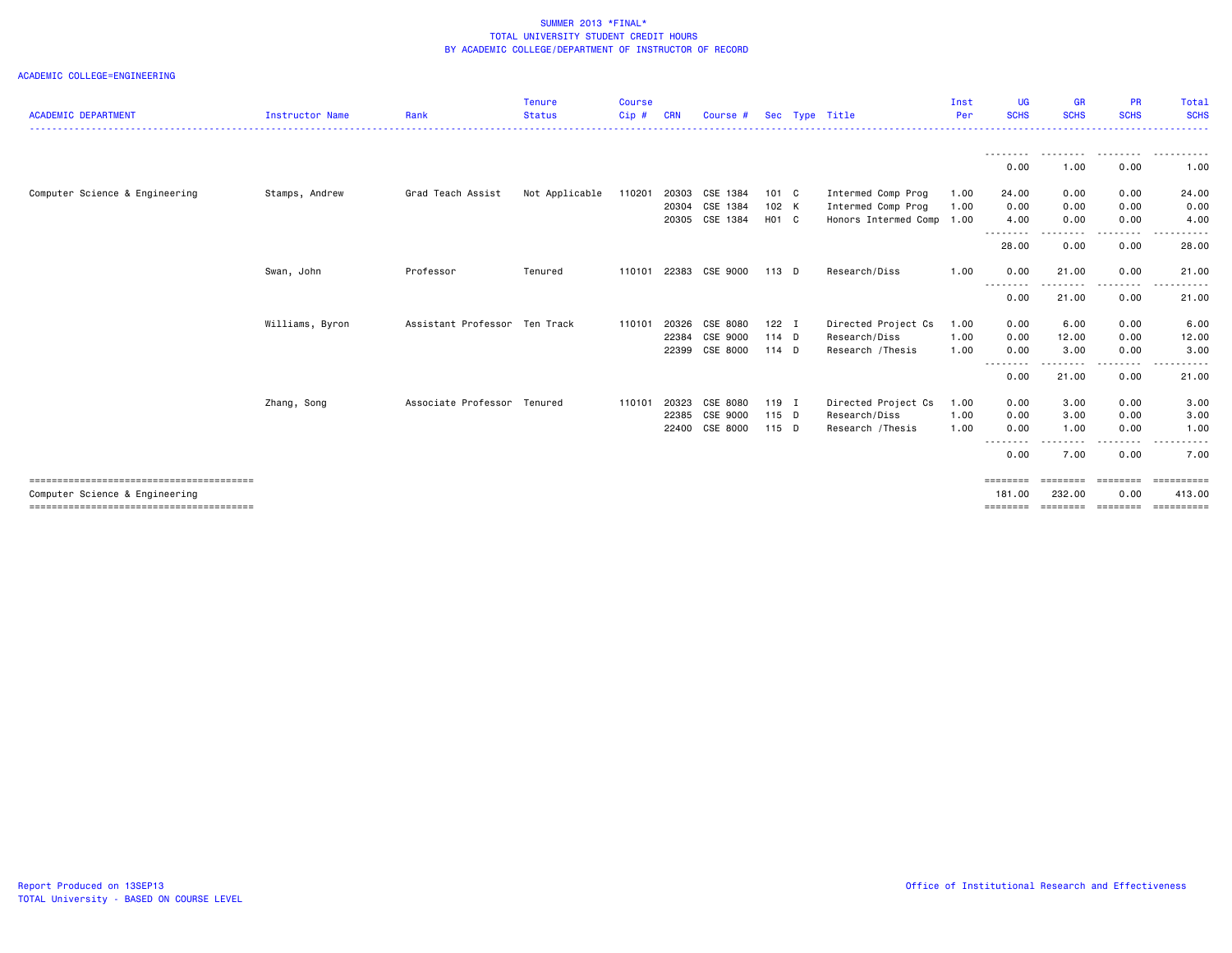| <b>ACADEMIC DEPARTMENT</b>     | <b>Instructor Name</b> | Rank                          | <b>Tenure</b><br><b>Status</b> | <b>Course</b><br>Cip # | CRN   | Course #       |         | Sec Type Title       | Inst<br>Per | UG<br><b>SCHS</b>  | <b>GR</b><br><b>SCHS</b>                                                                                                                                     | <b>PR</b><br><b>SCHS</b> | Total<br><b>SCHS</b>   |
|--------------------------------|------------------------|-------------------------------|--------------------------------|------------------------|-------|----------------|---------|----------------------|-------------|--------------------|--------------------------------------------------------------------------------------------------------------------------------------------------------------|--------------------------|------------------------|
|                                |                        |                               |                                |                        |       |                |         |                      |             | --------           | --------                                                                                                                                                     | ---------                | .                      |
|                                |                        |                               |                                |                        |       |                |         |                      |             | 0.00               | 1.00                                                                                                                                                         | 0.00                     | 1.00                   |
| Computer Science & Engineering | Stamps, Andrew         | Grad Teach Assist             | Not Applicable                 | 110201                 | 20303 | CSE 1384       | 101 C   | Intermed Comp Prog   | 1.00        | 24.00              | 0.00                                                                                                                                                         | 0.00                     | 24.00                  |
|                                |                        |                               |                                |                        | 20304 | CSE 1384       | 102 K   | Intermed Comp Prog   | 1.00        | 0.00               | 0.00                                                                                                                                                         | 0.00                     | 0.00                   |
|                                |                        |                               |                                |                        |       | 20305 CSE 1384 | H01 C   | Honors Intermed Comp | 1.00        | 4.00               | 0.00                                                                                                                                                         | 0.00                     | 4.00                   |
|                                |                        |                               |                                |                        |       |                |         |                      |             | --------<br>28.00  | $\frac{1}{2} \left( \frac{1}{2} \right) \left( \frac{1}{2} \right) \left( \frac{1}{2} \right) \left( \frac{1}{2} \right) \left( \frac{1}{2} \right)$<br>0.00 | 0.00                     | 28.00                  |
|                                | Swan, John             | Professor                     | Tenured                        | 110101                 |       | 22383 CSE 9000 | $113$ D | Research/Diss        | 1.00        | 0.00               | 21.00                                                                                                                                                        | 0.00                     | 21.00                  |
|                                |                        |                               |                                |                        |       |                |         |                      |             | --------<br>0.00   | . <b>.</b><br>21.00                                                                                                                                          | .<br>0.00                | 21.00                  |
|                                | Williams, Byron        | Assistant Professor Ten Track |                                | 110101                 | 20326 | CSE 8080       | $122$ I | Directed Project Cs  | 1.00        | 0.00               | 6.00                                                                                                                                                         | 0.00                     | 6.00                   |
|                                |                        |                               |                                |                        | 22384 | CSE 9000       | 114 D   | Research/Diss        | 1.00        | 0.00               | 12.00                                                                                                                                                        | 0.00                     | 12.00                  |
|                                |                        |                               |                                |                        |       | 22399 CSE 8000 | $114$ D | Research / Thesis    | 1.00        | 0.00               | 3.00                                                                                                                                                         | 0.00                     | 3.00                   |
|                                |                        |                               |                                |                        |       |                |         |                      |             | --------<br>0.00   | .<br>21.00                                                                                                                                                   | . <u>. .</u><br>0.00     | 21.00                  |
|                                | Zhang, Song            | Associate Professor Tenured   |                                | 110101                 | 20323 | CSE 8080       | 119 I   | Directed Project Cs  | 1.00        | 0.00               | 3.00                                                                                                                                                         | 0.00                     | 3.00                   |
|                                |                        |                               |                                |                        | 22385 | CSE 9000       | $115$ D | Research/Diss        | 1.00        | 0.00               | 3.00                                                                                                                                                         | 0.00                     | 3.00                   |
|                                |                        |                               |                                |                        |       | 22400 CSE 8000 | 115 D   | Research / Thesis    | 1.00        | 0.00               | 1.00                                                                                                                                                         | 0.00                     | 1.00                   |
|                                |                        |                               |                                |                        |       |                |         |                      |             | --------<br>0.00   | ----<br>7.00                                                                                                                                                 | 0.00                     | . <b>.</b> .<br>7.00   |
|                                |                        |                               |                                |                        |       |                |         |                      |             | ========           | ========                                                                                                                                                     | ========                 | ==========             |
| Computer Science & Engineering |                        |                               |                                |                        |       |                |         |                      |             | 181.00<br>======== | 232.00<br>========                                                                                                                                           | 0.00<br>========         | 413.00<br>- ========== |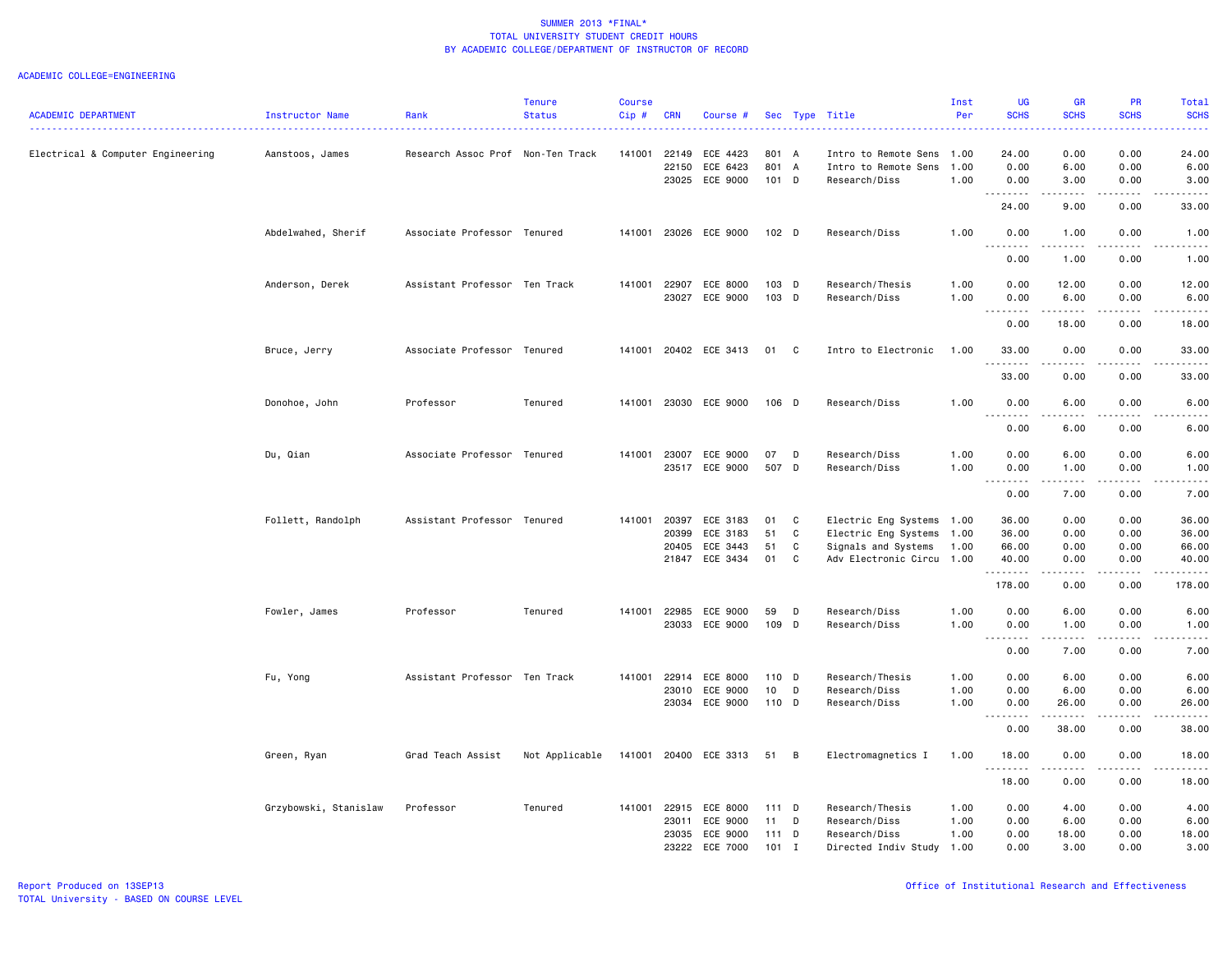|                                   |                       |                                   | <b>Tenure</b>  | Course |            |                       |                  |                |                           | Inst | <b>UG</b>                                | <b>GR</b>                                                                                                                                                    | <b>PR</b>                           | Total                     |
|-----------------------------------|-----------------------|-----------------------------------|----------------|--------|------------|-----------------------|------------------|----------------|---------------------------|------|------------------------------------------|--------------------------------------------------------------------------------------------------------------------------------------------------------------|-------------------------------------|---------------------------|
| <b>ACADEMIC DEPARTMENT</b>        | Instructor Name       | Rank                              | <b>Status</b>  | Cip#   | <b>CRN</b> | Course #              |                  |                | Sec Type Title            | Per  | <b>SCHS</b>                              | <b>SCHS</b>                                                                                                                                                  | <b>SCHS</b>                         | <b>SCHS</b>               |
| Electrical & Computer Engineering | Aanstoos, James       | Research Assoc Prof Non-Ten Track |                | 141001 | 22149      | ECE 4423              | 801 A            |                | Intro to Remote Sens      | 1.00 | 24.00                                    | 0.00                                                                                                                                                         | 0.00                                | 24,00                     |
|                                   |                       |                                   |                |        | 22150      | ECE 6423              | 801 A            |                | Intro to Remote Sens      | 1.00 | 0.00                                     | 6.00                                                                                                                                                         | 0.00                                | 6.00                      |
|                                   |                       |                                   |                |        |            | 23025 ECE 9000        | 101 D            |                | Research/Diss             | 1.00 | 0.00                                     | 3.00                                                                                                                                                         | 0.00                                | 3.00                      |
|                                   |                       |                                   |                |        |            |                       |                  |                |                           |      | 24.00                                    | $\frac{1}{2} \left( \frac{1}{2} \right) \left( \frac{1}{2} \right) \left( \frac{1}{2} \right) \left( \frac{1}{2} \right) \left( \frac{1}{2} \right)$<br>9.00 | .<br>0.00                           | .<br>33.00                |
|                                   | Abdelwahed, Sherif    | Associate Professor Tenured       |                | 141001 |            | 23026 ECE 9000        | 102 <sub>D</sub> |                | Research/Diss             | 1.00 | 0.00<br>د د د د                          | 1.00<br>.                                                                                                                                                    | 0.00<br>$\sim$ $\sim$ $\sim$ $\sim$ | 1.00<br>$\omega$ is a set |
|                                   |                       |                                   |                |        |            |                       |                  |                |                           |      | 0.00                                     | 1.00                                                                                                                                                         | 0.00                                | 1.00                      |
|                                   | Anderson, Derek       | Assistant Professor Ten Track     |                | 141001 | 22907      | ECE 8000              | 103 D            |                | Research/Thesis           | 1.00 | 0.00                                     | 12.00                                                                                                                                                        | 0.00                                | 12.00                     |
|                                   |                       |                                   |                |        | 23027      | ECE 9000              | 103 D            |                | Research/Diss             | 1.00 | 0.00                                     | 6.00                                                                                                                                                         | 0.00                                | 6.00                      |
|                                   |                       |                                   |                |        |            |                       |                  |                |                           |      | 0.00                                     | .<br>18.00                                                                                                                                                   | .<br>0.00                           | .<br>18.00                |
|                                   | Bruce, Jerry          | Associate Professor Tenured       |                |        |            | 141001 20402 ECE 3413 | 01               | $\mathbf{C}$   | Intro to Electronic       | 1.00 | 33.00                                    | 0.00<br>.                                                                                                                                                    | 0.00<br>.                           | 33.00<br>.                |
|                                   |                       |                                   |                |        |            |                       |                  |                |                           |      | 33.00                                    | 0.00                                                                                                                                                         | 0.00                                | 33.00                     |
|                                   | Donohoe, John         | Professor                         | Tenured        | 141001 |            | 23030 ECE 9000        | 106 D            |                | Research/Diss             | 1.00 | 0.00                                     | 6.00                                                                                                                                                         | 0.00                                | 6.00                      |
|                                   |                       |                                   |                |        |            |                       |                  |                |                           |      | 0.00                                     | 6.00                                                                                                                                                         | 0.00                                | 6.00                      |
|                                   | Du, Qian              | Associate Professor Tenured       |                | 141001 | 23007      | ECE 9000              | 07               | $\mathsf{D}$   | Research/Diss             | 1.00 | 0.00                                     | 6.00                                                                                                                                                         | 0.00                                | 6.00                      |
|                                   |                       |                                   |                |        | 23517      | ECE 9000              | 507 D            |                | Research/Diss             | 1.00 | 0.00                                     | 1.00                                                                                                                                                         | 0.00                                | 1.00                      |
|                                   |                       |                                   |                |        |            |                       |                  |                |                           |      | -----<br>$\sim$ $\sim$ $\sim$<br>0.00    | .<br>7.00                                                                                                                                                    | .<br>0.00                           | $\frac{1}{2}$<br>7.00     |
|                                   | Follett, Randolph     | Assistant Professor Tenured       |                | 141001 | 20397      | ECE 3183              | 01               | C              | Electric Eng Systems 1.00 |      | 36.00                                    | 0.00                                                                                                                                                         | 0.00                                | 36.00                     |
|                                   |                       |                                   |                |        | 20399      | ECE 3183              | 51               | C              | Electric Eng Systems      | 1.00 | 36.00                                    | 0.00                                                                                                                                                         | 0.00                                | 36.00                     |
|                                   |                       |                                   |                |        | 20405      | ECE 3443              | 51               | $\mathtt{C}$   | Signals and Systems       | 1.00 | 66.00                                    | 0.00                                                                                                                                                         | 0.00                                | 66.00                     |
|                                   |                       |                                   |                |        | 21847      | ECE 3434              | 01               | C              | Adv Electronic Circu 1.00 |      | 40.00                                    | 0.00<br>.                                                                                                                                                    | 0.00<br>$\omega$ is $\omega$ in     | 40.00<br>.                |
|                                   |                       |                                   |                |        |            |                       |                  |                |                           |      | .<br>178.00                              | 0.00                                                                                                                                                         | 0.00                                | 178.00                    |
|                                   | Fowler, James         | Professor                         | Tenured        | 141001 | 22985      | ECE 9000              | 59               | D              | Research/Diss             | 1.00 | 0.00                                     | 6.00                                                                                                                                                         | 0.00                                | 6.00                      |
|                                   |                       |                                   |                |        |            | 23033 ECE 9000        | 109 D            |                | Research/Diss             | 1.00 | 0.00                                     | 1.00                                                                                                                                                         | 0.00                                | 1.00                      |
|                                   |                       |                                   |                |        |            |                       |                  |                |                           |      | $\sim$ $\sim$ .<br>$\frac{1}{2}$<br>0.00 | $\frac{1}{2} \left( \frac{1}{2} \right) \left( \frac{1}{2} \right) \left( \frac{1}{2} \right) \left( \frac{1}{2} \right)$<br>7.00                            | $\frac{1}{2}$<br>0.00               | .<br>7.00                 |
|                                   | Fu, Yong              | Assistant Professor Ten Track     |                | 141001 | 22914      | ECE 8000              | 110 D            |                | Research/Thesis           | 1.00 | 0.00                                     | 6.00                                                                                                                                                         | 0.00                                | 6.00                      |
|                                   |                       |                                   |                |        | 23010      | ECE 9000              | 10               | D              | Research/Diss             | 1.00 | 0.00                                     | 6.00                                                                                                                                                         | 0.00                                | 6.00                      |
|                                   |                       |                                   |                |        |            | 23034 ECE 9000        | 110 D            |                | Research/Diss             | 1.00 | 0.00                                     | 26.00                                                                                                                                                        | 0.00                                | 26.00                     |
|                                   |                       |                                   |                |        |            |                       |                  |                |                           |      | .<br>0.00                                | 38.00                                                                                                                                                        | 0.00                                | 38.00                     |
|                                   | Green, Ryan           | Grad Teach Assist                 | Not Applicable |        |            | 141001 20400 ECE 3313 | 51               | $\overline{B}$ | Electromagnetics I        | 1.00 | 18.00<br>.                               | 0.00                                                                                                                                                         | 0.00                                | 18.00                     |
|                                   |                       |                                   |                |        |            |                       |                  |                |                           |      | 18.00                                    | 0.00                                                                                                                                                         | 0.00                                | 18.00                     |
|                                   | Grzybowski, Stanislaw | Professor                         | Tenured        | 141001 | 22915      | ECE 8000              | 111 D            |                | Research/Thesis           | 1.00 | 0.00                                     | 4.00                                                                                                                                                         | 0.00                                | 4.00                      |
|                                   |                       |                                   |                |        | 23011      | ECE 9000              | 11               | D              | Research/Diss             | 1.00 | 0.00                                     | 6.00                                                                                                                                                         | 0.00                                | 6.00                      |
|                                   |                       |                                   |                |        | 23035      | ECE 9000              | 111 D            |                | Research/Diss             | 1.00 | 0.00                                     | 18.00                                                                                                                                                        | 0.00                                | 18.00                     |
|                                   |                       |                                   |                |        | 23222      | ECE 7000              | $101$ I          |                | Directed Indiv Study      | 1.00 | 0.00                                     | 3.00                                                                                                                                                         | 0.00                                | 3.00                      |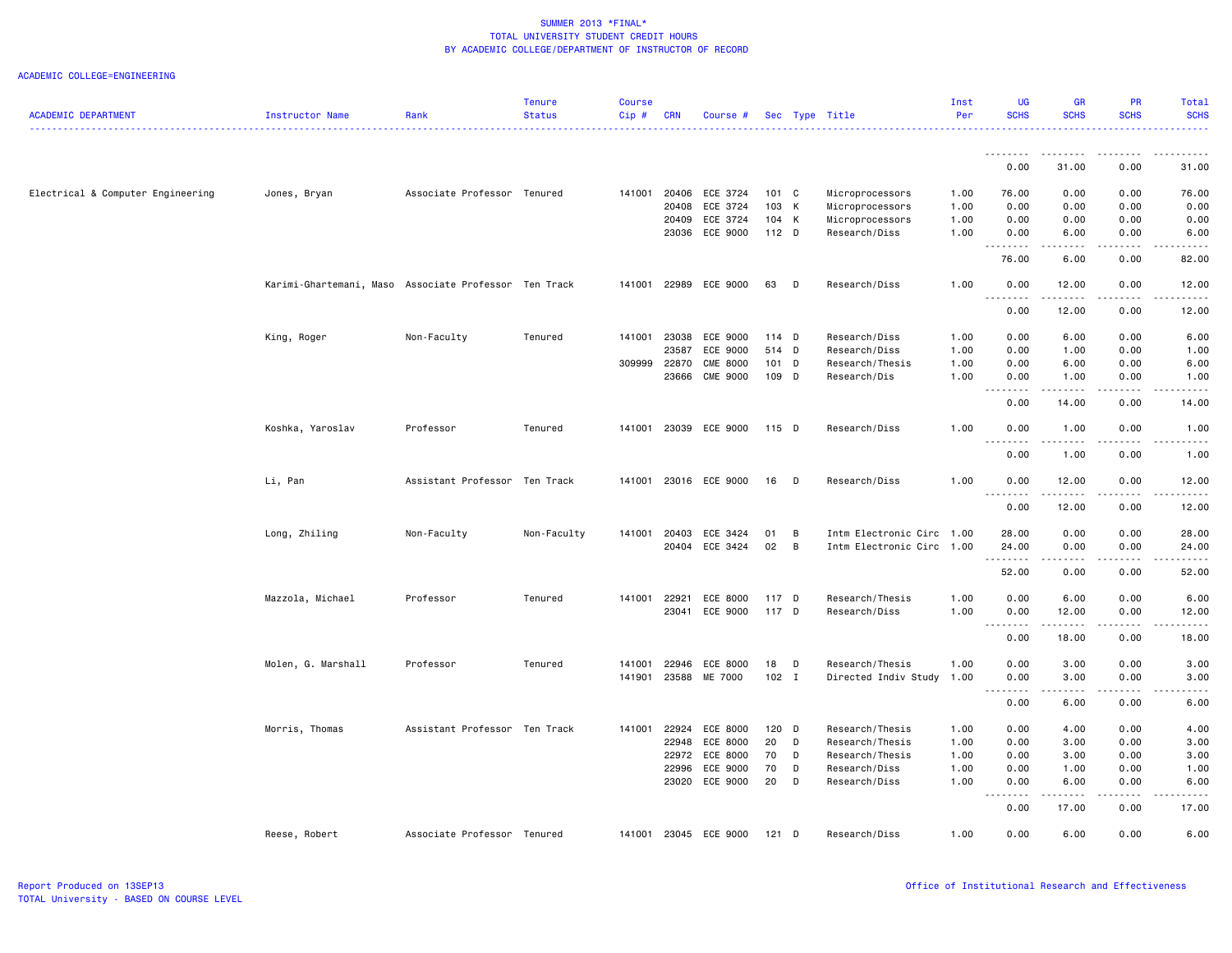| <b>ACADEMIC DEPARTMENT</b>        | Instructor Name                                       | Rank                          | <b>Tenure</b><br><b>Status</b> | <b>Course</b><br>Cip# | <b>CRN</b>     | Course #              |               |                | Sec Type Title                          | Inst<br>Per  | UG<br><b>SCHS</b>                 | <b>GR</b><br><b>SCHS</b> | PR<br><b>SCHS</b>       | Total<br><b>SCHS</b> |
|-----------------------------------|-------------------------------------------------------|-------------------------------|--------------------------------|-----------------------|----------------|-----------------------|---------------|----------------|-----------------------------------------|--------------|-----------------------------------|--------------------------|-------------------------|----------------------|
|                                   |                                                       |                               |                                |                       |                |                       |               |                |                                         |              |                                   |                          |                         | .                    |
|                                   |                                                       |                               |                                |                       |                |                       |               |                |                                         |              | <u>.</u><br>0.00                  | .<br>31.00               | .<br>0.00               | .<br>31.00           |
|                                   |                                                       |                               |                                |                       |                |                       |               |                |                                         |              |                                   |                          |                         |                      |
| Electrical & Computer Engineering | Jones, Bryan                                          | Associate Professor Tenured   |                                | 141001                | 20406          | ECE 3724              | 101 C         |                | Microprocessors                         | 1.00         | 76.00                             | 0.00                     | 0.00                    | 76.00                |
|                                   |                                                       |                               |                                |                       | 20408          | ECE 3724              | 103 K         |                | Microprocessors                         | 1.00         | 0.00                              | 0.00                     | 0.00                    | 0.00                 |
|                                   |                                                       |                               |                                |                       | 20409          | ECE 3724              | 104 K         |                | Microprocessors                         | 1.00         | 0.00                              | 0.00                     | 0.00                    | 0.00                 |
|                                   |                                                       |                               |                                |                       | 23036          | ECE 9000              | 112 D         |                | Research/Diss                           | 1.00         | 0.00<br>.                         | 6.00                     | 0.00                    | 6.00                 |
|                                   |                                                       |                               |                                |                       |                |                       |               |                |                                         |              | 76.00                             | 6.00                     | 0.00                    | 82.00                |
|                                   | Karimi-Ghartemani, Maso Associate Professor Ten Track |                               |                                | 141001                | 22989          | ECE 9000              | 63            | D              | Research/Diss                           | 1.00         | 0.00                              | 12.00                    | 0.00                    | 12.00                |
|                                   |                                                       |                               |                                |                       |                |                       |               |                |                                         |              | 0.00                              | 12.00                    | 0.00                    | 12.00                |
|                                   | King, Roger                                           | Non-Faculty                   | Tenured                        | 141001                | 23038          | ECE 9000              | $114$ D       |                | Research/Diss                           | 1.00         | 0.00                              | 6.00                     | 0.00                    | 6.00                 |
|                                   |                                                       |                               |                                |                       | 23587          | ECE 9000              | 514 D         |                | Research/Diss                           | 1.00         | 0.00                              | 1.00                     | 0.00                    | 1.00                 |
|                                   |                                                       |                               |                                | 309999                | 22870          | <b>CME 8000</b>       | 101 D         |                | Research/Thesis                         | 1.00         | 0.00                              | 6.00                     | 0.00                    | 6.00                 |
|                                   |                                                       |                               |                                |                       | 23666          | CME 9000              | 109 D         |                | Research/Dis                            | 1.00         | 0.00<br>$\sim$ $\sim$ $\sim$<br>. | 1.00<br>.                | 0.00<br>المتمام المتحدة | 1.00<br>$- - - -$    |
|                                   |                                                       |                               |                                |                       |                |                       |               |                |                                         |              | 0.00                              | 14.00                    | 0.00                    | 14.00                |
|                                   | Koshka, Yaroslav                                      | Professor                     | Tenured                        |                       |                | 141001 23039 ECE 9000 | 115 D         |                | Research/Diss                           | 1.00         | 0.00                              | 1.00                     | 0.00                    | 1.00                 |
|                                   |                                                       |                               |                                |                       |                |                       |               |                |                                         |              | .<br>0.00                         | .<br>1.00                | .<br>0.00               | .<br>1.00            |
|                                   | Li, Pan                                               | Assistant Professor Ten Track |                                | 141001                |                | 23016 ECE 9000        | 16            | $\mathsf{D}$   | Research/Diss                           | 1.00         | 0.00                              | 12.00                    | 0.00                    | 12.00                |
|                                   |                                                       |                               |                                |                       |                |                       |               |                |                                         |              | <u>.</u><br>0.00                  | .<br>12.00               | .<br>0.00               | .<br>12.00           |
|                                   |                                                       |                               |                                |                       |                |                       |               |                |                                         |              |                                   |                          |                         |                      |
|                                   | Long, Zhiling                                         | Non-Faculty                   | Non-Faculty                    | 141001                | 20403          | ECE 3424              | 01            | B              | Intm Electronic Circ 1.00               |              | 28.00                             | 0.00                     | 0.00                    | 28.00                |
|                                   |                                                       |                               |                                |                       |                | 20404 ECE 3424        | 02            | $\overline{B}$ | Intm Electronic Circ 1.00               |              | 24.00<br>.                        | 0.00<br>-----            | 0.00<br>.               | 24.00<br>.           |
|                                   |                                                       |                               |                                |                       |                |                       |               |                |                                         |              | 52.00                             | 0.00                     | 0.00                    | 52.00                |
|                                   | Mazzola, Michael                                      | Professor                     | Tenured                        | 141001                | 22921          | ECE 8000              | 117 D         |                | Research/Thesis                         | 1.00         | 0.00                              | 6.00                     | 0.00                    | 6.00                 |
|                                   |                                                       |                               |                                |                       | 23041          | ECE 9000              | 117 D         |                | Research/Diss                           | 1.00         | 0.00<br>.                         | 12.00                    | 0.00                    | 12.00                |
|                                   |                                                       |                               |                                |                       |                |                       |               |                |                                         |              | 0.00                              | 18.00                    | 0.00                    | 18.00                |
|                                   |                                                       |                               |                                |                       |                | ECE 8000              |               |                |                                         |              |                                   |                          |                         |                      |
|                                   | Molen, G. Marshall                                    | Professor                     | Tenured                        | 141001<br>141901      | 22946<br>23588 | ME 7000               | 18<br>$102$ I | $\mathsf{D}$   | Research/Thesis<br>Directed Indiv Study | 1.00<br>1.00 | 0.00<br>0.00                      | 3.00<br>3.00             | 0.00<br>0.00            | 3.00<br>3.00         |
|                                   |                                                       |                               |                                |                       |                |                       |               |                |                                         |              |                                   |                          |                         |                      |
|                                   |                                                       |                               |                                |                       |                |                       |               |                |                                         |              | 0.00                              | 6.00                     | 0.00                    | 6.00                 |
|                                   | Morris, Thomas                                        | Assistant Professor Ten Track |                                | 141001                | 22924          | ECE 8000              | $120$ D       |                | Research/Thesis                         | 1.00         | 0.00                              | 4.00                     | 0.00                    | 4.00                 |
|                                   |                                                       |                               |                                |                       | 22948          | ECE 8000              | 20            | D              | Research/Thesis                         | 1.00         | 0.00                              | 3.00                     | 0.00                    | 3.00                 |
|                                   |                                                       |                               |                                |                       | 22972          | ECE 8000              | 70            | D              | Research/Thesis                         | 1.00         | 0.00                              | 3.00                     | 0.00                    | 3.00                 |
|                                   |                                                       |                               |                                |                       | 22996          | ECE 9000              | 70            | D              | Research/Diss                           | 1.00         | 0.00                              | 1.00                     | 0.00                    | 1.00                 |
|                                   |                                                       |                               |                                |                       | 23020          | ECE 9000              | 20            | D              | Research/Diss                           | 1.00         | 0.00<br>$\sim$ $\sim$ $\sim$<br>. | 6.00<br>المتمام المتعاد  | 0.00<br>.               | 6.00                 |
|                                   |                                                       |                               |                                |                       |                |                       |               |                |                                         |              | 0.00                              | 17.00                    | 0.00                    | 17.00                |
|                                   | Reese, Robert                                         | Associate Professor Tenured   |                                |                       |                | 141001 23045 ECE 9000 | $121$ D       |                | Research/Diss                           | 1.00         | 0.00                              | 6.00                     | 0.00                    | 6.00                 |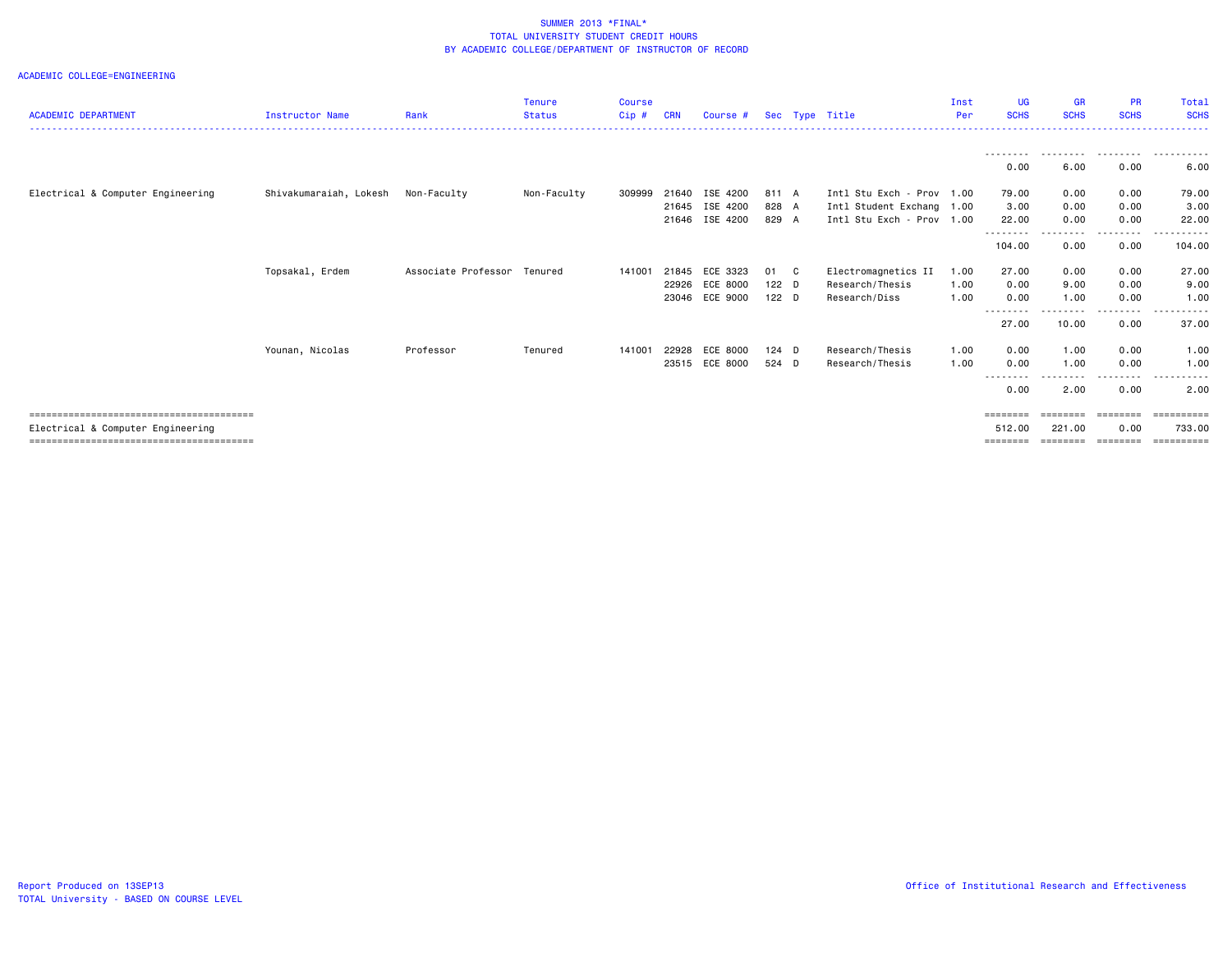|                                   |                        |                             | <b>Tenure</b> | <b>Course</b> |            |                |                  |              |                           | Inst | <b>UG</b>          | <b>GR</b>   | <b>PR</b>          | Total                 |
|-----------------------------------|------------------------|-----------------------------|---------------|---------------|------------|----------------|------------------|--------------|---------------------------|------|--------------------|-------------|--------------------|-----------------------|
| <b>ACADEMIC DEPARTMENT</b>        | <b>Instructor Name</b> | Rank                        | <b>Status</b> | Cip#          | <b>CRN</b> | Course #       |                  |              | Sec Type Title            | Per  | <b>SCHS</b>        | <b>SCHS</b> | <b>SCHS</b>        | <b>SCHS</b>           |
|                                   |                        |                             |               |               |            |                |                  |              |                           |      |                    |             |                    |                       |
|                                   |                        |                             |               |               |            |                |                  |              |                           |      | ---------<br>0.00  | .<br>6.00   | .<br>0.00          | .<br>6.00             |
| Electrical & Computer Engineering | Shivakumaraiah, Lokesh | Non-Faculty                 | Non-Faculty   | 309999        | 21640      | ISE 4200       | 811 A            |              | Intl Stu Exch - Prov 1.00 |      | 79.00              | 0.00        | 0.00               | 79.00                 |
|                                   |                        |                             |               |               | 21645      | ISE 4200       | 828 A            |              | Intl Student Exchang 1.00 |      | 3.00               | 0.00        | 0.00               | 3.00                  |
|                                   |                        |                             |               |               | 21646      | ISE 4200       | 829 A            |              | Intl Stu Exch - Prov 1.00 |      | 22.00<br>--------- | 0.00<br>.   | 0.00<br>. <b>.</b> | 22,00<br>. <u>.</u> . |
|                                   |                        |                             |               |               |            |                |                  |              |                           |      | 104.00             | 0.00        | 0.00               | 104.00                |
|                                   | Topsakal, Erdem        | Associate Professor Tenured |               | 141001        | 21845      | ECE 3323       | 01               | $\mathbf{C}$ | Electromagnetics II       | 1.00 | 27.00              | 0.00        | 0.00               | 27.00                 |
|                                   |                        |                             |               |               | 22926      | ECE 8000       | $122$ D          |              | Research/Thesis           | 1.00 | 0.00               | 9.00        | 0.00               | 9.00                  |
|                                   |                        |                             |               |               |            | 23046 ECE 9000 | 122 <sub>D</sub> |              | Research/Diss             | 1.00 | 0.00               | 1.00        | 0.00               | 1.00                  |
|                                   |                        |                             |               |               |            |                |                  |              |                           |      | --------           | --------    | .                  |                       |
|                                   |                        |                             |               |               |            |                |                  |              |                           |      | 27.00              | 10.00       | 0.00               | 37.00                 |
|                                   | Younan, Nicolas        | Professor                   | Tenured       | 141001        | 22928      | ECE 8000       | $124$ D          |              | Research/Thesis           | 1.00 | 0.00               | 1.00        | 0.00               | 1.00                  |
|                                   |                        |                             |               |               | 23515      | ECE 8000       | 524 D            |              | Research/Thesis           | 1.00 | 0.00               | 1.00        | 0.00               | 1.00                  |
|                                   |                        |                             |               |               |            |                |                  |              |                           |      | .<br>0.00          | .<br>2.00   | ---------<br>0.00  | .<br>2.00             |
|                                   |                        |                             |               |               |            |                |                  |              |                           |      | ========           | ========    | ========           | ==========            |
| Electrical & Computer Engineering |                        |                             |               |               |            |                |                  |              |                           |      | 512.00             | 221.00      | 0.00               | 733.00                |
|                                   |                        |                             |               |               |            |                |                  |              |                           |      |                    |             |                    | ==========            |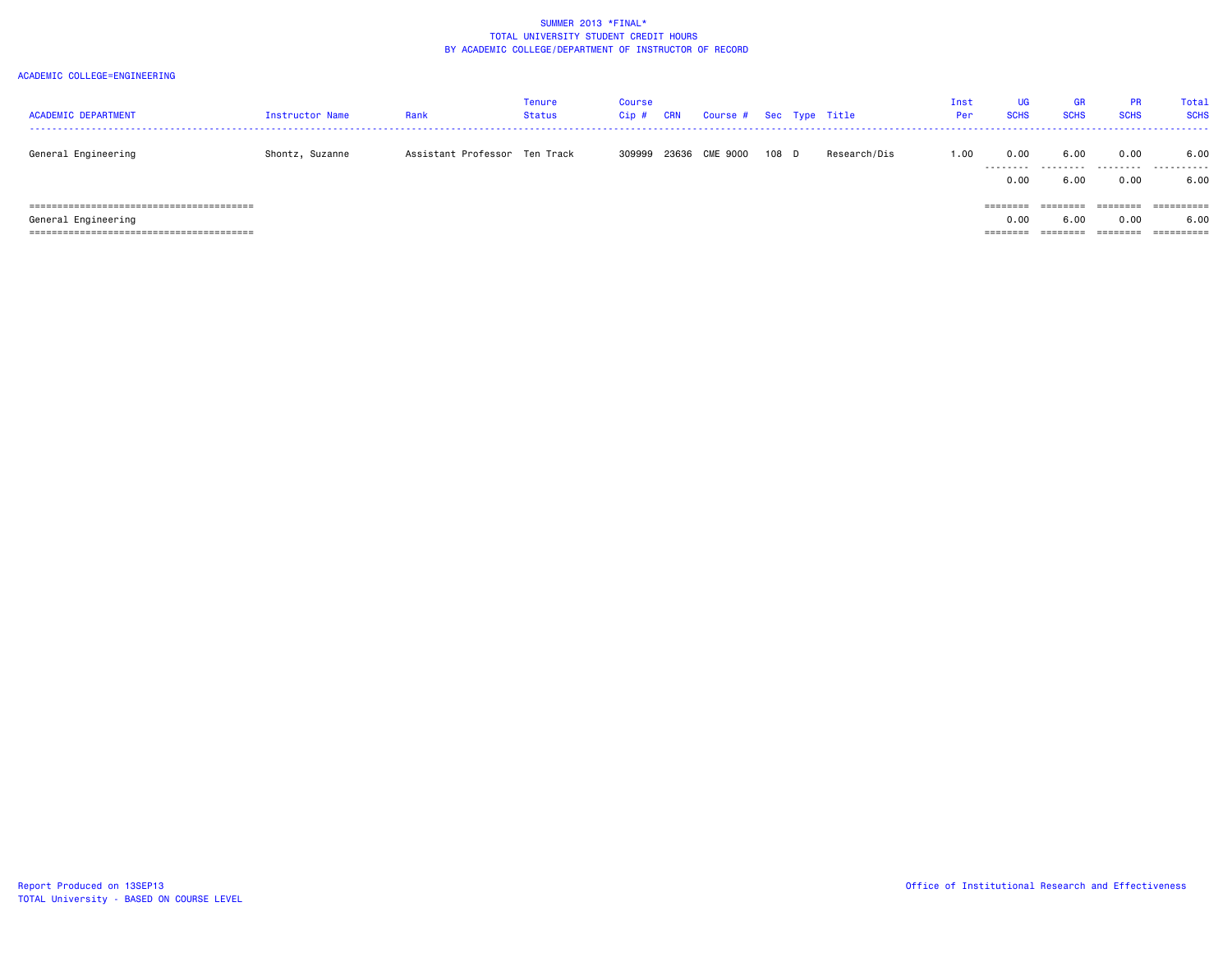| <b>ACADEMIC DEPARTMENT</b> | Instructor Name | Rank                          | <b>Tenure</b><br>Status | Course<br>$Cip$ # | <b>CRN</b> | Course # Sec Type Title |       |              | Inst<br>Per | <b>UG</b><br><b>SCHS</b> | <b>GR</b><br><b>SCHS</b>                                                | <b>PR</b><br><b>SCHS</b> | Total<br><b>SCHS</b> |
|----------------------------|-----------------|-------------------------------|-------------------------|-------------------|------------|-------------------------|-------|--------------|-------------|--------------------------|-------------------------------------------------------------------------|--------------------------|----------------------|
| General Engineering        | Shontz, Suzanne | Assistant Professor Ten Track |                         | 309999            | 23636      | CME 9000                | 108 D | Research/Dis | 1.00        | 0.00                     | 6.00<br>                                                                | 0.00                     | 6.00                 |
|                            |                 |                               |                         |                   |            |                         |       |              |             | 0.00                     | 6.00                                                                    | 0.00                     | 6.00                 |
|                            |                 |                               |                         |                   |            |                         |       |              |             | $=$ = = = = = = =        | $\qquad \qquad \equiv \equiv \equiv \equiv \equiv \equiv \equiv \equiv$ | ========                 | ==========           |
| General Engineering        |                 |                               |                         |                   |            |                         |       |              |             | 0.00                     | 6.00                                                                    | 0.00                     | 6.00                 |
|                            |                 |                               |                         |                   |            |                         |       |              |             |                          | ========                                                                | ========                 | ==========           |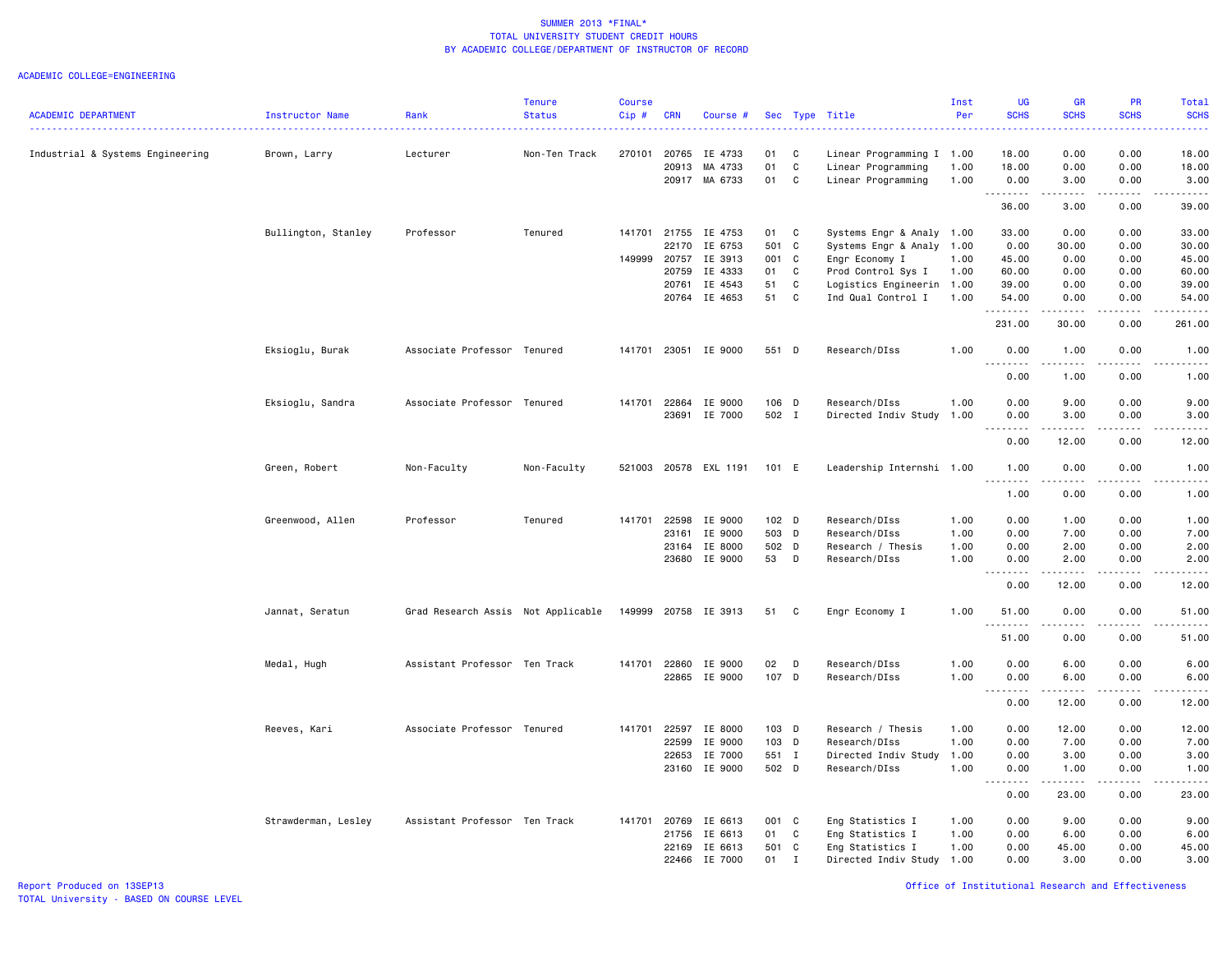|                                  |                     |                                    | <b>Tenure</b> | Course |                |                      |                           |              |                                | Inst         | <b>UG</b>                                     | <b>GR</b>            | <b>PR</b>               | <b>Total</b>                                                                                                                             |
|----------------------------------|---------------------|------------------------------------|---------------|--------|----------------|----------------------|---------------------------|--------------|--------------------------------|--------------|-----------------------------------------------|----------------------|-------------------------|------------------------------------------------------------------------------------------------------------------------------------------|
| <b>ACADEMIC DEPARTMENT</b>       | Instructor Name     | Rank                               | <b>Status</b> | Cip#   | <b>CRN</b>     | Course #             |                           |              | Sec Type Title                 | Per          | <b>SCHS</b>                                   | <b>SCHS</b>          | <b>SCHS</b>             | <b>SCHS</b><br>$\frac{1}{2} \left( \frac{1}{2} \right) \left( \frac{1}{2} \right) \left( \frac{1}{2} \right) \left( \frac{1}{2} \right)$ |
| Industrial & Systems Engineering | Brown, Larry        | Lecturer                           | Non-Ten Track | 270101 | 20765          | IE 4733              | 01                        | C            | Linear Programming I 1.00      |              | 18.00                                         | 0.00                 | 0.00                    | 18.00                                                                                                                                    |
|                                  |                     |                                    |               |        | 20913          | MA 4733              | 01                        | C            | Linear Programming             | 1.00         | 18.00                                         | 0.00                 | 0.00                    | 18.00                                                                                                                                    |
|                                  |                     |                                    |               |        |                | 20917 MA 6733        | 01                        | C            | Linear Programming             | 1.00         | 0.00<br>.                                     | 3.00<br>.            | 0.00<br>.               | 3.00<br>. <u>.</u> .                                                                                                                     |
|                                  |                     |                                    |               |        |                |                      |                           |              |                                |              | 36.00                                         | 3.00                 | 0.00                    | 39.00                                                                                                                                    |
|                                  | Bullington, Stanley | Professor                          | Tenured       |        |                | 141701 21755 IE 4753 | 01                        | C            | Systems Engr & Analy 1.00      |              | 33.00                                         | 0.00                 | 0.00                    | 33.00                                                                                                                                    |
|                                  |                     |                                    |               |        | 22170          | IE 6753              | 501 C                     |              | Systems Engr & Analy 1.00      |              | 0.00                                          | 30.00                | 0.00                    | 30.00                                                                                                                                    |
|                                  |                     |                                    |               | 149999 | 20757          | IE 3913              | 001 C                     |              | Engr Economy I                 | 1.00         | 45.00                                         | 0.00                 | 0.00                    | 45.00                                                                                                                                    |
|                                  |                     |                                    |               |        | 20759          | IE 4333              | 01                        | C            | Prod Control Sys I             | 1.00         | 60.00                                         | 0.00                 | 0.00                    | 60.00                                                                                                                                    |
|                                  |                     |                                    |               |        | 20761          | IE 4543              | 51                        | C            | Logistics Engineerin           | 1.00         | 39.00                                         | 0.00                 | 0.00                    | 39.00                                                                                                                                    |
|                                  |                     |                                    |               |        | 20764          | IE 4653              | 51                        | C            | Ind Qual Control I             | 1.00         | 54.00<br>.                                    | 0.00<br>.            | 0.00<br>.               | 54.00<br>.                                                                                                                               |
|                                  |                     |                                    |               |        |                |                      |                           |              |                                |              | 231.00                                        | 30.00                | 0.00                    | 261.00                                                                                                                                   |
|                                  | Eksioglu, Burak     | Associate Professor Tenured        |               |        | 141701 23051   | IE 9000              | 551 D                     |              | Research/DIss                  | 1.00         | 0.00<br>.                                     | 1.00<br><u>.</u>     | 0.00<br>.               | 1.00<br>. <b>.</b>                                                                                                                       |
|                                  |                     |                                    |               |        |                |                      |                           |              |                                |              | 0.00                                          | 1.00                 | 0.00                    | 1.00                                                                                                                                     |
|                                  | Eksioglu, Sandra    | Associate Professor Tenured        |               | 141701 | 22864          | IE 9000              | 106 D                     |              | Research/DIss                  | 1.00         | 0.00                                          | 9.00                 | 0.00                    | 9.00                                                                                                                                     |
|                                  |                     |                                    |               |        | 23691          | IE 7000              | 502 I                     |              | Directed Indiv Study           | 1.00         | 0.00                                          | 3.00                 | 0.00                    | 3.00                                                                                                                                     |
|                                  |                     |                                    |               |        |                |                      |                           |              |                                |              | .<br>0.00                                     | $- - - - -$<br>12.00 | .<br>0.00               | .<br>12.00                                                                                                                               |
|                                  | Green, Robert       | Non-Faculty                        | Non-Faculty   | 521003 |                | 20578 EXL 1191       | 101 E                     |              | Leadership Internshi 1.00      |              | 1.00                                          | 0.00                 | 0.00                    | 1.00                                                                                                                                     |
|                                  |                     |                                    |               |        |                |                      |                           |              |                                |              | 1.00                                          | 0.00                 | 0.00                    | وعاعات<br>1.00                                                                                                                           |
|                                  |                     |                                    |               |        |                |                      |                           |              |                                |              |                                               |                      |                         |                                                                                                                                          |
|                                  | Greenwood, Allen    | Professor                          | Tenured       | 141701 | 22598          | IE 9000<br>IE 9000   | 102 <sub>D</sub><br>503 D |              | Research/DIss<br>Research/DIss | 1.00         | 0.00<br>0.00                                  | 1.00<br>7.00         | 0.00<br>0.00            | 1.00                                                                                                                                     |
|                                  |                     |                                    |               |        | 23161<br>23164 | IE 8000              | 502 D                     |              | Research / Thesis              | 1.00<br>1.00 | 0.00                                          | 2.00                 | 0.00                    | 7.00<br>2.00                                                                                                                             |
|                                  |                     |                                    |               |        |                | 23680 IE 9000        | 53                        | D            | Research/DIss                  | 1.00         | 0.00                                          | 2.00                 | 0.00                    | 2.00                                                                                                                                     |
|                                  |                     |                                    |               |        |                |                      |                           |              |                                |              | .<br>$\frac{1}{2} \left( \frac{1}{2} \right)$ | $- - - - -$          | .                       | $- - - - -$                                                                                                                              |
|                                  |                     |                                    |               |        |                |                      |                           |              |                                |              | 0.00                                          | 12.00                | 0.00                    | 12.00                                                                                                                                    |
|                                  | Jannat, Seratun     | Grad Research Assis Not Applicable |               | 149999 |                | 20758 IE 3913        | 51                        | C            | Engr Economy I                 | 1.00         | 51.00<br>$\frac{1}{2}$                        | 0.00                 | 0.00                    | 51.00                                                                                                                                    |
|                                  |                     |                                    |               |        |                |                      |                           |              |                                |              | 51.00                                         | 0.00                 | 0.00                    | 51.00                                                                                                                                    |
|                                  | Medal, Hugh         | Assistant Professor Ten Track      |               |        |                | 141701 22860 IE 9000 | 02                        | D            | Research/DIss                  | 1.00         | 0.00                                          | 6.00                 | 0.00                    | 6.00                                                                                                                                     |
|                                  |                     |                                    |               |        |                | 22865 IE 9000        | 107 D                     |              | Research/DIss                  | 1.00         | 0.00<br>$\sim$ $\sim$                         | 6.00                 | 0.00<br>المتمام المتحدة | 6.00                                                                                                                                     |
|                                  |                     |                                    |               |        |                |                      |                           |              |                                |              | 0.00                                          | 12.00                | 0.00                    | 12.00                                                                                                                                    |
|                                  | Reeves, Kari        | Associate Professor Tenured        |               |        | 141701 22597   | IE 8000              | 103 D                     |              | Research / Thesis              | 1.00         | 0.00                                          | 12.00                | 0.00                    | 12.00                                                                                                                                    |
|                                  |                     |                                    |               |        | 22599          | IE 9000              | 103 D                     |              | Research/DIss                  | 1.00         | 0.00                                          | 7.00                 | 0.00                    | 7.00                                                                                                                                     |
|                                  |                     |                                    |               |        | 22653          | IE 7000              | 551 I                     |              | Directed Indiv Study           | 1.00         | 0.00                                          | 3.00                 | 0.00                    | 3.00                                                                                                                                     |
|                                  |                     |                                    |               |        |                | 23160 IE 9000        | 502 D                     |              | Research/DIss                  | 1.00         | 0.00<br>.<br>$\sim$ $\sim$ $\sim$             | 1.00<br>------       | 0.00<br>.               | 1.00<br>.                                                                                                                                |
|                                  |                     |                                    |               |        |                |                      |                           |              |                                |              | 0.00                                          | 23.00                | 0.00                    | 23.00                                                                                                                                    |
|                                  | Strawderman, Lesley | Assistant Professor Ten Track      |               |        | 141701 20769   | IE 6613              | 001 C                     |              | Eng Statistics I               | 1.00         | 0.00                                          | 9.00                 | 0.00                    | 9.00                                                                                                                                     |
|                                  |                     |                                    |               |        | 21756          | IE 6613              | 01                        | C            | Eng Statistics I               | 1.00         | 0.00                                          | 6.00                 | 0.00                    | 6.00                                                                                                                                     |
|                                  |                     |                                    |               |        | 22169          | IE 6613              | 501 C                     |              | Eng Statistics I               | 1.00         | 0.00                                          | 45.00                | 0.00                    | 45.00                                                                                                                                    |
|                                  |                     |                                    |               |        | 22466          | IE 7000              | 01                        | $\mathbf{I}$ | Directed Indiv Study           | 1.00         | 0.00                                          | 3.00                 | 0.00                    | 3.00                                                                                                                                     |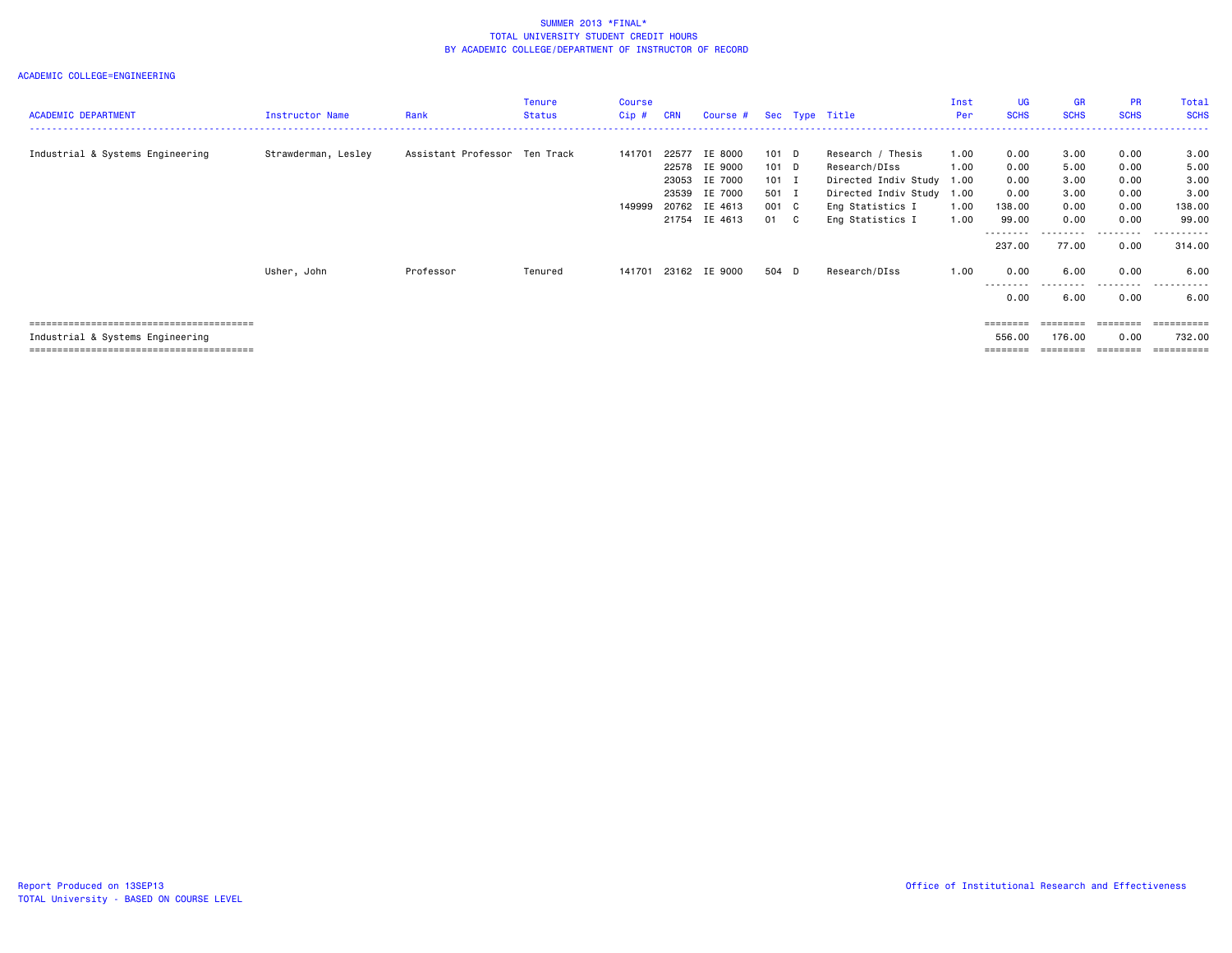| <b>ACADEMIC DEPARTMENT</b>       | <b>Instructor Name</b> | Rank                          | Tenure<br><b>Status</b> | <b>Course</b><br>$Cip$ # | <b>CRN</b>              | Course # Sec Type Title                                                          |                                                       |                                                                                                                                      | Inst<br>Per                  | <b>UG</b><br><b>SCHS</b>                                  | <b>GR</b><br><b>SCHS</b>                              | PR<br><b>SCHS</b>                                    | Total<br><b>SCHS</b>                                      |
|----------------------------------|------------------------|-------------------------------|-------------------------|--------------------------|-------------------------|----------------------------------------------------------------------------------|-------------------------------------------------------|--------------------------------------------------------------------------------------------------------------------------------------|------------------------------|-----------------------------------------------------------|-------------------------------------------------------|------------------------------------------------------|-----------------------------------------------------------|
| Industrial & Systems Engineering | Strawderman, Lesley    | Assistant Professor Ten Track |                         | 141701<br>149999         | 22577<br>23053<br>23539 | IE 8000<br>22578 IE 9000<br>IE 7000<br>IE 7000<br>20762 IE 4613<br>21754 IE 4613 | $101$ D<br>101 D<br>$101$ I<br>501 I<br>001 C<br>01 C | Research / Thesis<br>Research/DIss<br>Directed Indiv Study 1.00<br>Directed Indiv Study 1.00<br>Eng Statistics I<br>Eng Statistics I | 1.00<br>1.00<br>1.00<br>1.00 | 0.00<br>0.00<br>0.00<br>0.00<br>138.00<br>99.00<br>237.00 | 3.00<br>5.00<br>3.00<br>3.00<br>0.00<br>0.00<br>77.00 | 0.00<br>0.00<br>0.00<br>0.00<br>0.00<br>0.00<br>0.00 | 3.00<br>5.00<br>3.00<br>3.00<br>138.00<br>99.00<br>314.00 |
|                                  | Usher, John            | Professor                     | Tenured                 | 141701                   |                         | 23162 IE 9000                                                                    | 504 D                                                 | Research/DIss                                                                                                                        | 1.00                         | 0.00<br>---------<br>0.00                                 | 6.00<br>.<br>6.00                                     | 0.00<br>.<br>0.00                                    | 6.00<br>.<br>6.00                                         |
| Industrial & Systems Engineering |                        |                               |                         |                          |                         |                                                                                  |                                                       |                                                                                                                                      |                              | $=$ = = = = = = =<br>556.00<br>=======                    | 176.00<br>--------                                    | --------<br>0.00<br>========                         | ==========<br>732.00<br>=========                         |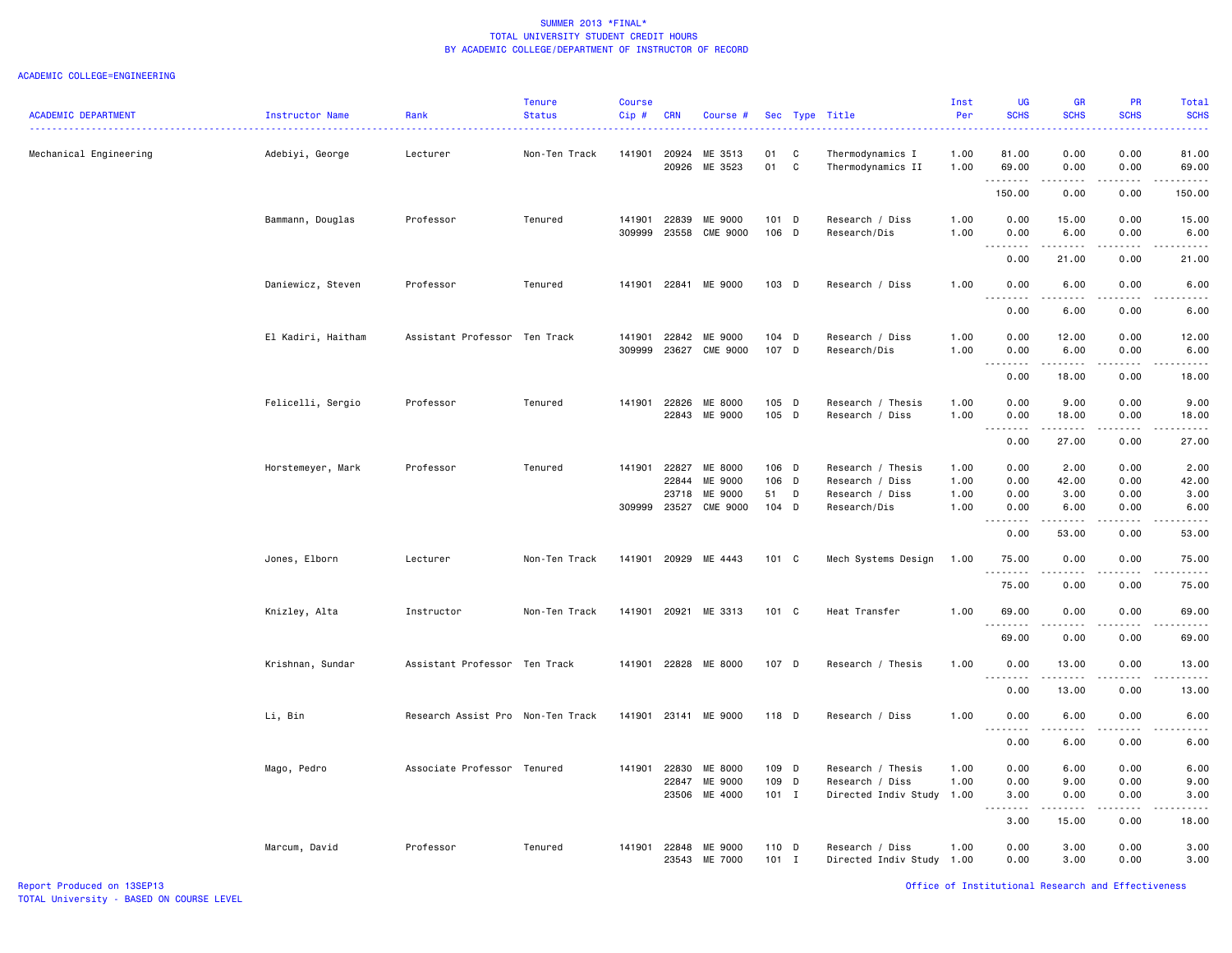| <b>ACADEMIC DEPARTMENT</b> | <b>Instructor Name</b> | Rank                              | <b>Tenure</b><br><b>Status</b> | <b>Course</b><br>Cip# | <b>CRN</b>     | Course #                   |                  |                  | Sec Type Title                               | Inst<br>Per  | UG<br><b>SCHS</b>                                                                                                                                                                    | GR<br><b>SCHS</b>                                                                                                                                                                       | PR<br><b>SCHS</b> | Total<br><b>SCHS</b> |
|----------------------------|------------------------|-----------------------------------|--------------------------------|-----------------------|----------------|----------------------------|------------------|------------------|----------------------------------------------|--------------|--------------------------------------------------------------------------------------------------------------------------------------------------------------------------------------|-----------------------------------------------------------------------------------------------------------------------------------------------------------------------------------------|-------------------|----------------------|
| Mechanical Engineering     | Adebiyi, George        | Lecturer                          | Non-Ten Track                  | 141901                | 20924<br>20926 | ME 3513<br>ME 3523         | 01<br>01         | C<br>$\mathbf C$ | Thermodynamics I<br>Thermodynamics II        | 1.00<br>1.00 | 81.00<br>69.00                                                                                                                                                                       | 0.00<br>0.00                                                                                                                                                                            | 0.00<br>0.00      | 81.00<br>69.00       |
|                            |                        |                                   |                                |                       |                |                            |                  |                  |                                              |              | .<br>150.00                                                                                                                                                                          | .<br>0.00                                                                                                                                                                               | .<br>0.00         | .<br>150.00          |
|                            | Bammann, Douglas       | Professor                         | Tenured                        | 141901                | 22839          | ME 9000                    | 101 D            |                  | Research / Diss                              | 1.00         | 0.00                                                                                                                                                                                 | 15.00                                                                                                                                                                                   | 0.00              | 15.00                |
|                            |                        |                                   |                                | 309999                | 23558          | CME 9000                   | 106 D            |                  | Research/Dis                                 | 1.00         | 0.00<br>$\sim$ $\sim$ $\sim$<br>.                                                                                                                                                    | 6.00<br>$\frac{1}{2} \left( \frac{1}{2} \right) \left( \frac{1}{2} \right) \left( \frac{1}{2} \right) \left( \frac{1}{2} \right) \left( \frac{1}{2} \right) \left( \frac{1}{2} \right)$ | 0.00<br>بالمحام   | 6.00                 |
|                            |                        |                                   |                                |                       |                |                            |                  |                  |                                              |              | 0.00                                                                                                                                                                                 | 21.00                                                                                                                                                                                   | 0.00              | 21.00                |
|                            | Daniewicz, Steven      | Professor                         | Tenured                        | 141901                |                | 22841 ME 9000              | 103 D            |                  | Research / Diss                              | 1.00         | 0.00<br>.<br>$\sim$ $\sim$ $\sim$                                                                                                                                                    | 6.00<br>.                                                                                                                                                                               | 0.00<br>.         | 6.00<br>.            |
|                            |                        |                                   |                                |                       |                |                            |                  |                  |                                              |              | 0.00                                                                                                                                                                                 | 6.00                                                                                                                                                                                    | 0.00              | 6.00                 |
|                            | El Kadiri, Haitham     | Assistant Professor Ten Track     |                                | 141901<br>309999      | 22842<br>23627 | ME 9000<br><b>CME 9000</b> | 104 D<br>107 D   |                  | Research / Diss<br>Research/Dis              | 1.00<br>1.00 | 0.00<br>0.00                                                                                                                                                                         | 12.00<br>6.00<br>$\begin{array}{cccccccccc} \bullet & \bullet & \bullet & \bullet & \bullet & \bullet & \bullet & \bullet & \bullet \end{array}$                                        | 0.00<br>0.00<br>. | 12.00<br>6.00        |
|                            |                        |                                   |                                |                       |                |                            |                  |                  |                                              |              | $\frac{1}{2} \left( \frac{1}{2} \right) \left( \frac{1}{2} \right) \left( \frac{1}{2} \right) \left( \frac{1}{2} \right) \left( \frac{1}{2} \right)$<br>$  -$<br>0.00                | 18.00                                                                                                                                                                                   | 0.00              | .<br>18.00           |
|                            | Felicelli, Sergio      | Professor                         | Tenured                        | 141901                | 22826          | ME 8000                    | 105 D            |                  | Research / Thesis                            | 1.00         | 0.00                                                                                                                                                                                 | 9.00                                                                                                                                                                                    | 0.00              | 9.00                 |
|                            |                        |                                   |                                |                       | 22843          | ME 9000                    | 105 D            |                  | Research / Diss                              | 1.00         | 0.00<br>.                                                                                                                                                                            | 18.00<br>.                                                                                                                                                                              | 0.00<br>.         | 18.00<br>.           |
|                            |                        |                                   |                                |                       |                |                            |                  |                  |                                              |              | 0.00                                                                                                                                                                                 | 27.00                                                                                                                                                                                   | 0.00              | 27.00                |
|                            | Horstemeyer, Mark      | Professor                         | Tenured                        | 141901                | 22827<br>22844 | ME 8000<br>ME 9000         | 106 D<br>106 D   |                  | Research / Thesis<br>Research / Diss         | 1.00<br>1.00 | 0.00<br>0.00                                                                                                                                                                         | 2.00<br>42.00                                                                                                                                                                           | 0.00<br>0.00      | 2.00<br>42.00        |
|                            |                        |                                   |                                |                       | 23718          | ME 9000                    | 51               | D                | Research / Diss                              | 1.00         | 0.00                                                                                                                                                                                 | 3.00                                                                                                                                                                                    | 0.00              | 3.00                 |
|                            |                        |                                   |                                | 309999                | 23527          | <b>CME 9000</b>            | $104$ D          |                  | Research/Dis                                 | 1.00         | 0.00<br>$\frac{1}{2} \left( \frac{1}{2} \right) \left( \frac{1}{2} \right) \left( \frac{1}{2} \right) \left( \frac{1}{2} \right) \left( \frac{1}{2} \right)$<br>$\sim$ $\sim$ $\sim$ | 6.00                                                                                                                                                                                    | 0.00              | 6.00                 |
|                            |                        |                                   |                                |                       |                |                            |                  |                  |                                              |              | 0.00                                                                                                                                                                                 | 53.00                                                                                                                                                                                   | 0.00              | 53.00                |
|                            | Jones, Elborn          | Lecturer                          | Non-Ten Track                  | 141901                |                | 20929 ME 4443              | 101 C            |                  | Mech Systems Design                          | 1.00         | 75.00<br>.                                                                                                                                                                           | 0.00                                                                                                                                                                                    | 0.00              | 75.00                |
|                            |                        |                                   |                                |                       |                |                            |                  |                  |                                              |              | 75.00                                                                                                                                                                                | 0.00                                                                                                                                                                                    | 0.00              | 75.00                |
|                            | Knizley, Alta          | Instructor                        | Non-Ten Track                  | 141901                | 20921          | ME 3313                    | 101 C            |                  | Heat Transfer                                | 1.00         | 69.00<br><u>.</u>                                                                                                                                                                    | 0.00                                                                                                                                                                                    | 0.00              | 69.00                |
|                            |                        |                                   |                                |                       |                |                            |                  |                  |                                              |              | 69.00                                                                                                                                                                                | 0.00                                                                                                                                                                                    | 0.00              | 69.00                |
|                            | Krishnan, Sundar       | Assistant Professor Ten Track     |                                | 141901                |                | 22828 ME 8000              | 107 D            |                  | Research / Thesis                            | 1.00         | 0.00                                                                                                                                                                                 | 13.00                                                                                                                                                                                   | 0.00              | 13.00                |
|                            |                        |                                   |                                |                       |                |                            |                  |                  |                                              |              | 0.00                                                                                                                                                                                 | 13.00                                                                                                                                                                                   | 0.00              | 13.00                |
|                            | Li, Bin                | Research Assist Pro Non-Ten Track |                                | 141901                |                | 23141 ME 9000              | 118 D            |                  | Research / Diss                              | 1.00         | 0.00                                                                                                                                                                                 | 6.00                                                                                                                                                                                    | 0.00              | 6.00                 |
|                            |                        |                                   |                                |                       |                |                            |                  |                  |                                              |              | 0.00                                                                                                                                                                                 | 6.00                                                                                                                                                                                    | 0.00              | 6.00                 |
|                            | Mago, Pedro            | Associate Professor Tenured       |                                | 141901                | 22830          | ME 8000                    | 109 D            |                  | Research / Thesis                            | 1.00         | 0.00                                                                                                                                                                                 | 6.00                                                                                                                                                                                    | 0.00              | 6.00                 |
|                            |                        |                                   |                                |                       | 22847          | ME 9000                    | 109 D            |                  | Research / Diss                              | 1.00         | 0.00                                                                                                                                                                                 | 9.00                                                                                                                                                                                    | 0.00              | 9.00                 |
|                            |                        |                                   |                                |                       | 23506          | ME 4000                    | $101$ I          |                  | Directed Indiv Study                         | 1.00         | 3.00<br>-----<br>$\sim$ $\sim$ $\sim$                                                                                                                                                | 0.00<br>------                                                                                                                                                                          | 0.00<br>.         | 3.00<br>.            |
|                            |                        |                                   |                                |                       |                |                            |                  |                  |                                              |              | 3.00                                                                                                                                                                                 | 15.00                                                                                                                                                                                   | 0.00              | 18.00                |
|                            | Marcum, David          | Professor                         | Tenured                        | 141901                | 22848<br>23543 | ME 9000<br>ME 7000         | 110 D<br>$101$ I |                  | Research / Diss<br>Directed Indiv Study 1.00 | 1.00         | 0.00<br>0.00                                                                                                                                                                         | 3.00<br>3.00                                                                                                                                                                            | 0.00<br>0.00      | 3.00<br>3.00         |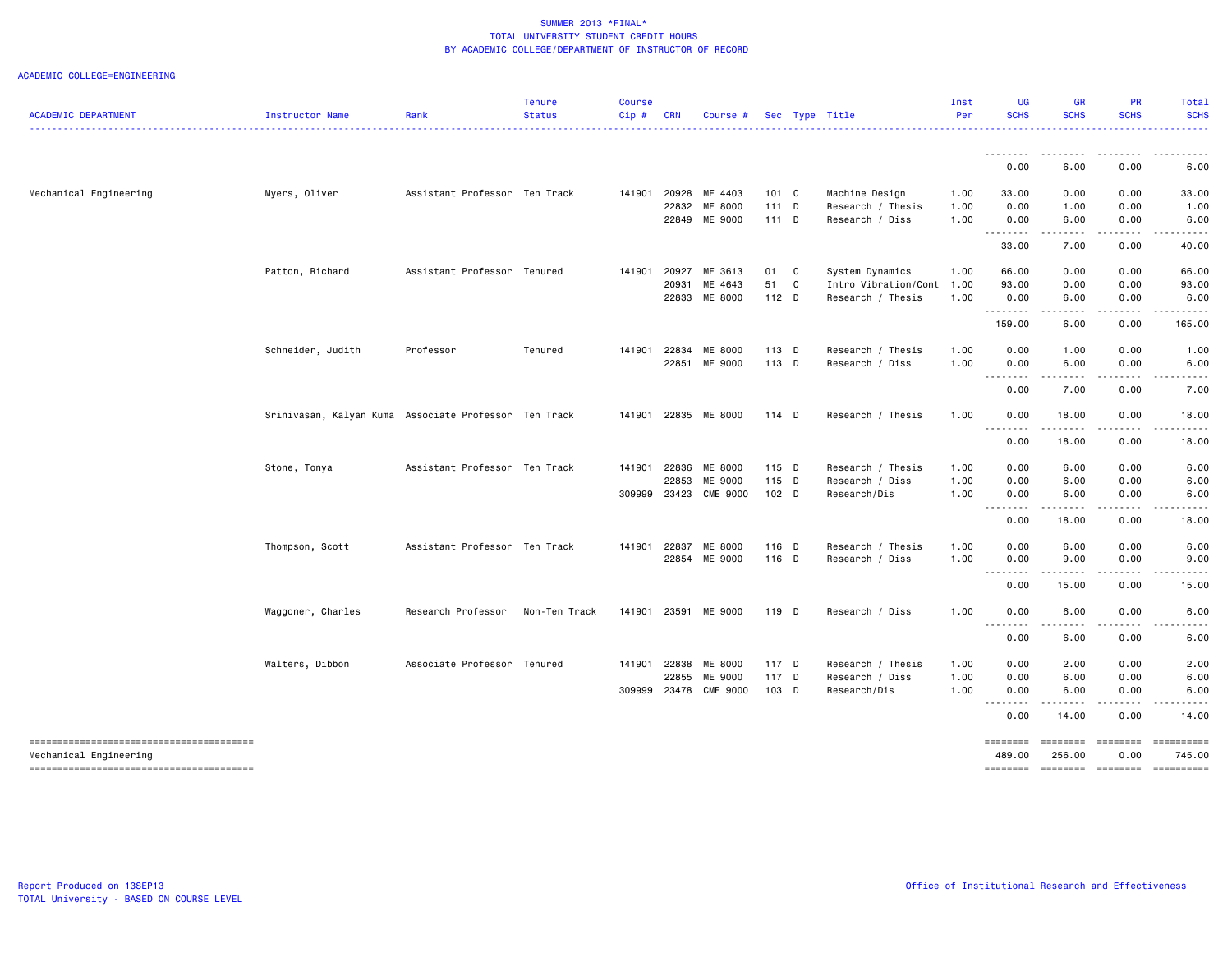### ACADEMIC COLLEGE=ENGINEERING

| <b>ACADEMIC DEPARTMENT</b> | Instructor Name                                       | Rank                          | <b>Tenure</b><br><b>Status</b> | <b>Course</b><br>Cip# | <b>CRN</b> | Course #        |                  |   | Sec Type Title       | Inst<br>Per | <b>UG</b><br><b>SCHS</b>                                                                                                       | <b>GR</b><br><b>SCHS</b>                                                                                                                                                                                                                                                                                                                                                                                                                                                               | <b>PR</b><br><b>SCHS</b>            | <b>Total</b><br><b>SCHS</b> |
|----------------------------|-------------------------------------------------------|-------------------------------|--------------------------------|-----------------------|------------|-----------------|------------------|---|----------------------|-------------|--------------------------------------------------------------------------------------------------------------------------------|----------------------------------------------------------------------------------------------------------------------------------------------------------------------------------------------------------------------------------------------------------------------------------------------------------------------------------------------------------------------------------------------------------------------------------------------------------------------------------------|-------------------------------------|-----------------------------|
|                            |                                                       |                               |                                |                       |            |                 |                  |   |                      |             | --------                                                                                                                       | .                                                                                                                                                                                                                                                                                                                                                                                                                                                                                      |                                     | .                           |
|                            |                                                       |                               |                                |                       |            |                 |                  |   |                      |             | 0.00                                                                                                                           | 6.00                                                                                                                                                                                                                                                                                                                                                                                                                                                                                   | 0.00                                | 6.00                        |
| Mechanical Engineering     | Myers, Oliver                                         | Assistant Professor Ten Track |                                | 141901                | 20928      | ME 4403         | 101 C            |   | Machine Design       | 1.00        | 33.00                                                                                                                          | 0.00                                                                                                                                                                                                                                                                                                                                                                                                                                                                                   | 0.00                                | 33.00                       |
|                            |                                                       |                               |                                |                       | 22832      | ME 8000         | $111$ D          |   | Research / Thesis    | 1.00        | 0.00                                                                                                                           | 1.00                                                                                                                                                                                                                                                                                                                                                                                                                                                                                   | 0.00                                | 1.00                        |
|                            |                                                       |                               |                                |                       | 22849      | ME 9000         | 111D             |   | Research / Diss      | 1.00        | 0.00<br>.                                                                                                                      | 6.00                                                                                                                                                                                                                                                                                                                                                                                                                                                                                   | 0.00                                | 6.00                        |
|                            |                                                       |                               |                                |                       |            |                 |                  |   |                      |             | 33.00                                                                                                                          | 7.00                                                                                                                                                                                                                                                                                                                                                                                                                                                                                   | 0.00                                | 40.00                       |
|                            | Patton, Richard                                       | Assistant Professor Tenured   |                                | 141901                | 20927      | ME 3613         | 01 C             |   | System Dynamics      | 1.00        | 66.00                                                                                                                          | 0.00                                                                                                                                                                                                                                                                                                                                                                                                                                                                                   | 0.00                                | 66.00                       |
|                            |                                                       |                               |                                |                       | 20931      | ME 4643         | 51               | C | Intro Vibration/Cont | 1.00        | 93.00                                                                                                                          | 0.00                                                                                                                                                                                                                                                                                                                                                                                                                                                                                   | 0.00                                | 93.00                       |
|                            |                                                       |                               |                                |                       |            | 22833 ME 8000   | $112$ D          |   | Research / Thesis    | 1.00        | 0.00<br>.                                                                                                                      | 6.00<br>د د د د                                                                                                                                                                                                                                                                                                                                                                                                                                                                        | 0.00<br>.                           | 6.00<br>.                   |
|                            |                                                       |                               |                                |                       |            |                 |                  |   |                      |             | 159.00                                                                                                                         | 6.00                                                                                                                                                                                                                                                                                                                                                                                                                                                                                   | 0.00                                | 165.00                      |
|                            | Schneider, Judith                                     | Professor                     | Tenured                        | 141901                | 22834      | ME 8000         | 113 D            |   | Research / Thesis    | 1.00        | 0.00                                                                                                                           | 1.00                                                                                                                                                                                                                                                                                                                                                                                                                                                                                   | 0.00                                | 1.00                        |
|                            |                                                       |                               |                                |                       |            | 22851 ME 9000   | 113 D            |   | Research / Diss      | 1.00        | 0.00                                                                                                                           | 6.00                                                                                                                                                                                                                                                                                                                                                                                                                                                                                   | 0.00                                | 6.00                        |
|                            |                                                       |                               |                                |                       |            |                 |                  |   |                      |             | .<br>0.00                                                                                                                      | الأعامات<br>7.00                                                                                                                                                                                                                                                                                                                                                                                                                                                                       | .<br>0.00                           | .<br>7.00                   |
|                            | Srinivasan, Kalyan Kuma Associate Professor Ten Track |                               |                                | 141901                |            | 22835 ME 8000   | 114 D            |   | Research / Thesis    | 1.00        | 0.00                                                                                                                           | 18.00                                                                                                                                                                                                                                                                                                                                                                                                                                                                                  | 0.00                                | 18.00                       |
|                            |                                                       |                               |                                |                       |            |                 |                  |   |                      |             | $\frac{1}{2} \left( \frac{1}{2} \right) \left( \frac{1}{2} \right) \left( \frac{1}{2} \right) \left( \frac{1}{2} \right)$<br>. | $\sim$ $\sim$ $\sim$                                                                                                                                                                                                                                                                                                                                                                                                                                                                   |                                     |                             |
|                            |                                                       |                               |                                |                       |            |                 |                  |   |                      |             | 0.00                                                                                                                           | 18.00                                                                                                                                                                                                                                                                                                                                                                                                                                                                                  | 0.00                                | 18.00                       |
|                            | Stone, Tonya                                          | Assistant Professor Ten Track |                                | 141901                | 22836      | ME 8000         | 115 D            |   | Research / Thesis    | 1.00        | 0.00                                                                                                                           | 6.00                                                                                                                                                                                                                                                                                                                                                                                                                                                                                   | 0.00                                | 6.00                        |
|                            |                                                       |                               |                                |                       | 22853      | ME 9000         | 115 D            |   | Research / Diss      | 1.00        | 0.00                                                                                                                           | 6.00                                                                                                                                                                                                                                                                                                                                                                                                                                                                                   | 0.00                                | 6.00                        |
|                            |                                                       |                               |                                | 309999                | 23423      | <b>CME 9000</b> | 102 <sub>D</sub> |   | Research/Dis         | 1.00        | 0.00<br>.                                                                                                                      | 6.00<br>----                                                                                                                                                                                                                                                                                                                                                                                                                                                                           | 0.00<br>$\sim$ $\sim$ $\sim$ $\sim$ | 6.00                        |
|                            |                                                       |                               |                                |                       |            |                 |                  |   |                      |             | 0.00                                                                                                                           | 18.00                                                                                                                                                                                                                                                                                                                                                                                                                                                                                  | 0.00                                | 18.00                       |
|                            | Thompson, Scott                                       | Assistant Professor Ten Track |                                | 141901                | 22837      | ME 8000         | 116 D            |   | Research / Thesis    | 1.00        | 0.00                                                                                                                           | 6.00                                                                                                                                                                                                                                                                                                                                                                                                                                                                                   | 0.00                                | 6.00                        |
|                            |                                                       |                               |                                |                       |            | 22854 ME 9000   | 116 D            |   | Research / Diss      | 1.00        | 0.00                                                                                                                           | 9.00                                                                                                                                                                                                                                                                                                                                                                                                                                                                                   | 0.00                                | 9.00                        |
|                            |                                                       |                               |                                |                       |            |                 |                  |   |                      |             | --------<br>0.00                                                                                                               | $- - -$<br>15.00                                                                                                                                                                                                                                                                                                                                                                                                                                                                       | 0.00                                | 15.00                       |
|                            | Waggoner, Charles                                     | Research Professor            | Non-Ten Track                  | 141901                |            | 23591 ME 9000   | 119 D            |   | Research / Diss      | 1.00        | 0.00                                                                                                                           | 6.00                                                                                                                                                                                                                                                                                                                                                                                                                                                                                   | 0.00                                | 6.00                        |
|                            |                                                       |                               |                                |                       |            |                 |                  |   |                      |             | .<br>0.00                                                                                                                      | د د د د<br>6.00                                                                                                                                                                                                                                                                                                                                                                                                                                                                        | -----<br>0.00                       | -----<br>6.00               |
|                            | Walters, Dibbon                                       | Associate Professor Tenured   |                                | 141901                | 22838      | ME 8000         | 117 D            |   | Research / Thesis    | 1.00        | 0.00                                                                                                                           | 2.00                                                                                                                                                                                                                                                                                                                                                                                                                                                                                   | 0.00                                | 2.00                        |
|                            |                                                       |                               |                                |                       | 22855      | ME 9000         | 117 D            |   | Research / Diss      | 1.00        | 0.00                                                                                                                           | 6.00                                                                                                                                                                                                                                                                                                                                                                                                                                                                                   | 0.00                                | 6.00                        |
|                            |                                                       |                               |                                | 309999                |            | 23478 CME 9000  | 103 D            |   | Research/Dis         | 1.00        | 0.00                                                                                                                           | 6.00                                                                                                                                                                                                                                                                                                                                                                                                                                                                                   | 0.00                                | 6.00                        |
|                            |                                                       |                               |                                |                       |            |                 |                  |   |                      |             | <u>.</u><br>0.00                                                                                                               | -----<br>14.00                                                                                                                                                                                                                                                                                                                                                                                                                                                                         | $\cdots$<br>0.00                    | 14.00                       |
|                            |                                                       |                               |                                |                       |            |                 |                  |   |                      |             | ========                                                                                                                       | $\begin{array}{cccccccccc} \multicolumn{2}{c}{} & \multicolumn{2}{c}{} & \multicolumn{2}{c}{} & \multicolumn{2}{c}{} & \multicolumn{2}{c}{} & \multicolumn{2}{c}{} & \multicolumn{2}{c}{} & \multicolumn{2}{c}{} & \multicolumn{2}{c}{} & \multicolumn{2}{c}{} & \multicolumn{2}{c}{} & \multicolumn{2}{c}{} & \multicolumn{2}{c}{} & \multicolumn{2}{c}{} & \multicolumn{2}{c}{} & \multicolumn{2}{c}{} & \multicolumn{2}{c}{} & \multicolumn{2}{c}{} & \multicolumn{2}{c}{} & \mult$ | $= 222222222$                       |                             |
| Mechanical Engineering     |                                                       |                               |                                |                       |            |                 |                  |   |                      |             | 489.00                                                                                                                         | 256.00<br>========= ========                                                                                                                                                                                                                                                                                                                                                                                                                                                           | 0.00                                | 745.00<br>$-$ ==========    |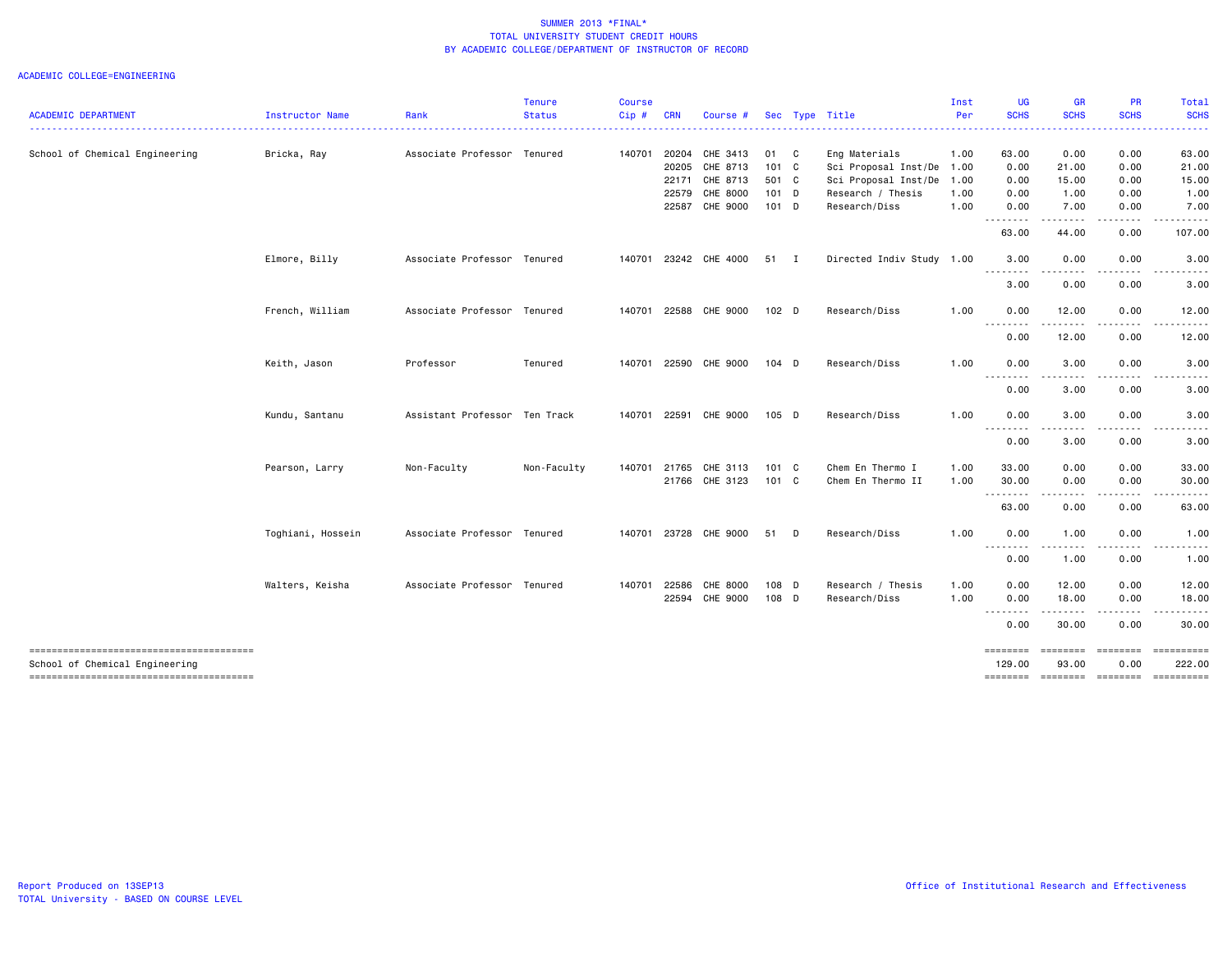### ACADEMIC COLLEGE=ENGINEERING

| <b>ACADEMIC DEPARTMENT</b>     | Instructor Name   | Rank                          | <b>Tenure</b><br><b>Status</b> | <b>Course</b><br>Cip# | <b>CRN</b> | Course #              |                  | Sec Type Title            | Inst<br>Per | <b>UG</b><br><b>SCHS</b> | <b>GR</b><br><b>SCHS</b>                                                                                                                                                                                                                                                                                                                                                                                                                                                                       | PR<br><b>SCHS</b>           | <b>Total</b><br><b>SCHS</b> |
|--------------------------------|-------------------|-------------------------------|--------------------------------|-----------------------|------------|-----------------------|------------------|---------------------------|-------------|--------------------------|------------------------------------------------------------------------------------------------------------------------------------------------------------------------------------------------------------------------------------------------------------------------------------------------------------------------------------------------------------------------------------------------------------------------------------------------------------------------------------------------|-----------------------------|-----------------------------|
|                                |                   |                               |                                |                       |            |                       |                  |                           |             |                          |                                                                                                                                                                                                                                                                                                                                                                                                                                                                                                |                             |                             |
| School of Chemical Engineering | Bricka, Ray       | Associate Professor Tenured   |                                | 140701                | 20204      | CHE 3413              | 01 C             | Eng Materials             | 1.00        | 63.00                    | 0.00                                                                                                                                                                                                                                                                                                                                                                                                                                                                                           | 0.00                        | 63.00                       |
|                                |                   |                               |                                |                       | 20205      | CHE 8713              | 101 C            | Sci Proposal Inst/De      | 1.00        | 0.00                     | 21.00                                                                                                                                                                                                                                                                                                                                                                                                                                                                                          | 0.00                        | 21.00                       |
|                                |                   |                               |                                |                       | 22171      | CHE 8713              | 501 C            | Sci Proposal Inst/De      | 1.00        | 0.00                     | 15.00                                                                                                                                                                                                                                                                                                                                                                                                                                                                                          | 0.00                        | 15.00                       |
|                                |                   |                               |                                |                       | 22579      | CHE 8000              | 101 D            | Research / Thesis         | 1.00        | 0.00                     | 1.00                                                                                                                                                                                                                                                                                                                                                                                                                                                                                           | 0.00                        | 1.00                        |
|                                |                   |                               |                                |                       |            | 22587 CHE 9000        | 101 D            | Research/Diss             | 1.00        | 0.00<br>.                | 7.00<br>$\begin{array}{cccccccccccccc} \multicolumn{2}{c}{} & \multicolumn{2}{c}{} & \multicolumn{2}{c}{} & \multicolumn{2}{c}{} & \multicolumn{2}{c}{} & \multicolumn{2}{c}{} & \multicolumn{2}{c}{} & \multicolumn{2}{c}{} & \multicolumn{2}{c}{} & \multicolumn{2}{c}{} & \multicolumn{2}{c}{} & \multicolumn{2}{c}{} & \multicolumn{2}{c}{} & \multicolumn{2}{c}{} & \multicolumn{2}{c}{} & \multicolumn{2}{c}{} & \multicolumn{2}{c}{} & \multicolumn{2}{c}{} & \multicolumn{2}{c}{} & \$ | 0.00<br>-----               | 7.00                        |
|                                |                   |                               |                                |                       |            |                       |                  |                           |             | 63.00                    | 44.00                                                                                                                                                                                                                                                                                                                                                                                                                                                                                          | 0.00                        | 107.00                      |
|                                | Elmore, Billy     | Associate Professor Tenured   |                                | 140701                |            | 23242 CHE 4000        | 51 I             | Directed Indiv Study 1.00 |             | 3.00<br>.                | 0.00<br>$\cdots$                                                                                                                                                                                                                                                                                                                                                                                                                                                                               | 0.00                        | 3.00                        |
|                                |                   |                               |                                |                       |            |                       |                  |                           |             | 3.00                     | 0.00                                                                                                                                                                                                                                                                                                                                                                                                                                                                                           | 0.00                        | 3.00                        |
|                                | French, William   | Associate Professor Tenured   |                                | 140701                |            | 22588 CHE 9000        | 102 <sub>D</sub> | Research/Diss             | 1.00        | 0.00<br><u>.</u>         | 12.00                                                                                                                                                                                                                                                                                                                                                                                                                                                                                          | 0.00                        | 12.00                       |
|                                |                   |                               |                                |                       |            |                       |                  |                           |             | 0.00                     | 12.00                                                                                                                                                                                                                                                                                                                                                                                                                                                                                          | 0.00                        | 12.00                       |
|                                | Keith, Jason      | Professor                     | Tenured                        | 140701                |            | 22590 CHE 9000        | $104$ D          | Research/Diss             | 1.00        | 0.00                     | 3.00                                                                                                                                                                                                                                                                                                                                                                                                                                                                                           | 0.00                        | 3.00                        |
|                                |                   |                               |                                |                       |            |                       |                  |                           |             | .<br>0.00                | .<br>3.00                                                                                                                                                                                                                                                                                                                                                                                                                                                                                      | -----<br>0.00               | .<br>3.00                   |
|                                | Kundu, Santanu    | Assistant Professor Ten Track |                                | 140701                |            | 22591 CHE 9000        | $105$ D          | Research/Diss             | 1.00        | 0.00<br><u>.</u>         | 3.00                                                                                                                                                                                                                                                                                                                                                                                                                                                                                           | 0.00                        | 3.00                        |
|                                |                   |                               |                                |                       |            |                       |                  |                           |             | 0.00                     | $\frac{1}{2}$<br>3.00                                                                                                                                                                                                                                                                                                                                                                                                                                                                          | 0.00                        | 3.00                        |
|                                | Pearson, Larry    | Non-Faculty                   | Non-Faculty                    | 140701                |            | 21765 CHE 3113        | 101 C            | Chem En Thermo I          | 1.00        | 33.00                    | 0.00                                                                                                                                                                                                                                                                                                                                                                                                                                                                                           | 0.00                        | 33.00                       |
|                                |                   |                               |                                |                       |            | 21766 CHE 3123        | 101 C            | Chem En Thermo II         | 1.00        | 30.00<br>.               | 0.00<br>.                                                                                                                                                                                                                                                                                                                                                                                                                                                                                      | 0.00<br>.                   | 30.00                       |
|                                |                   |                               |                                |                       |            |                       |                  |                           |             | 63.00                    | 0.00                                                                                                                                                                                                                                                                                                                                                                                                                                                                                           | 0.00                        | 63.00                       |
|                                | Toghiani, Hossein | Associate Professor Tenured   |                                |                       |            | 140701 23728 CHE 9000 | 51 D             | Research/Diss             | 1.00        | 0.00<br>.                | 1.00<br>$\sim$ $\sim$ $\sim$ $\sim$                                                                                                                                                                                                                                                                                                                                                                                                                                                            | 0.00                        | 1.00                        |
|                                |                   |                               |                                |                       |            |                       |                  |                           |             | 0.00                     | 1.00                                                                                                                                                                                                                                                                                                                                                                                                                                                                                           | 0.00                        | 1.00                        |
|                                | Walters, Keisha   | Associate Professor Tenured   |                                | 140701                | 22586      | CHE 8000              | 108 D            | Research / Thesis         | 1.00        | 0.00                     | 12.00                                                                                                                                                                                                                                                                                                                                                                                                                                                                                          | 0.00                        | 12.00                       |
|                                |                   |                               |                                |                       | 22594      | CHE 9000              | 108 D            | Research/Diss             | 1.00        | 0.00                     | 18.00<br>$\cdots$                                                                                                                                                                                                                                                                                                                                                                                                                                                                              | 0.00                        | 18.00                       |
|                                |                   |                               |                                |                       |            |                       |                  |                           |             | 0.00                     | 30.00                                                                                                                                                                                                                                                                                                                                                                                                                                                                                          | 0.00                        | 30.00                       |
| School of Chemical Engineering |                   |                               |                                |                       |            |                       |                  |                           |             | 129.00                   | 93.00                                                                                                                                                                                                                                                                                                                                                                                                                                                                                          | ========<br>0.00            | ==========<br>222.00        |
|                                |                   |                               |                                |                       |            |                       |                  |                           |             | ========                 |                                                                                                                                                                                                                                                                                                                                                                                                                                                                                                | ======== ======== ========= |                             |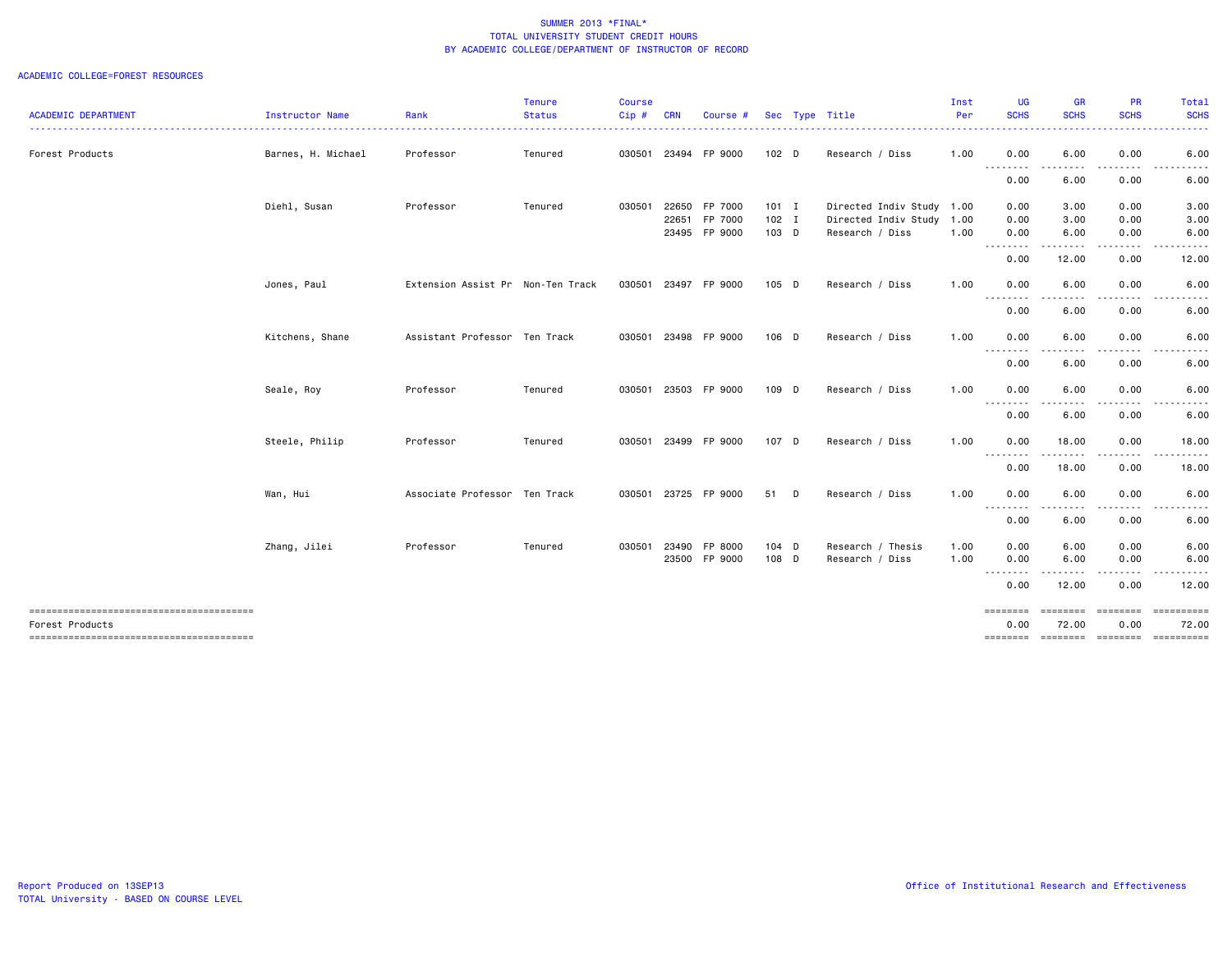|                                        |                    |                                   | <b>Tenure</b> | <b>Course</b> |            |                      |                  |                           | Inst | UG               | <b>GR</b><br><b>SCHS</b> | PR                        | Total<br><b>SCHS</b> |
|----------------------------------------|--------------------|-----------------------------------|---------------|---------------|------------|----------------------|------------------|---------------------------|------|------------------|--------------------------|---------------------------|----------------------|
| <b>ACADEMIC DEPARTMENT</b>             | Instructor Name    | Rank                              | <b>Status</b> | Cip#          | <b>CRN</b> | Course #             |                  | Sec Type Title            | Per  | <b>SCHS</b><br>. | .                        | <b>SCHS</b>               | .                    |
| Forest Products                        | Barnes, H. Michael | Professor                         | Tenured       |               |            | 030501 23494 FP 9000 | 102 <sub>D</sub> | Research / Diss           | 1.00 | 0.00             | 6.00                     | 0.00                      | 6.00                 |
|                                        |                    |                                   |               |               |            |                      |                  |                           |      | <u>.</u><br>0.00 | 6.00                     | 0.00                      | 6.00                 |
|                                        | Diehl, Susan       | Professor                         | Tenured       | 030501        | 22650      | FP 7000              | $101$ I          | Directed Indiv Study 1.00 |      | 0.00             | 3.00                     | 0.00                      | 3.00                 |
|                                        |                    |                                   |               |               | 22651      | FP 7000              | $102$ I          | Directed Indiv Study      | 1.00 | 0.00             | 3.00                     | 0.00                      | 3.00                 |
|                                        |                    |                                   |               |               |            | 23495 FP 9000        | 103 D            | Research / Diss           | 1.00 | 0.00<br>.        | 6.00<br>--------         | 0.00<br>-----             | 6.00                 |
|                                        |                    |                                   |               |               |            |                      |                  |                           |      | 0.00             | 12.00                    | 0.00                      | 12.00                |
|                                        | Jones, Paul        | Extension Assist Pr Non-Ten Track |               |               |            | 030501 23497 FP 9000 | 105 D            | Research / Diss           | 1.00 | 0.00<br>.        | 6.00<br>.<br>$- - -$     | 0.00<br>.                 | 6.00<br>. <b>.</b>   |
|                                        |                    |                                   |               |               |            |                      |                  |                           |      | 0.00             | 6.00                     | 0.00                      | 6.00                 |
|                                        | Kitchens, Shane    | Assistant Professor Ten Track     |               | 030501        |            | 23498 FP 9000        | 106 D            | Research / Diss           | 1.00 | 0.00             | 6.00                     | 0.00                      | 6.00                 |
|                                        |                    |                                   |               |               |            |                      |                  |                           |      | .<br>0.00        | .<br>6.00                | 0.00                      | 6.00                 |
|                                        | Seale, Roy         | Professor                         | Tenured       | 030501        |            | 23503 FP 9000        | 109 D            | Research / Diss           | 1.00 | 0.00             | 6.00                     | 0.00                      | 6.00                 |
|                                        |                    |                                   |               |               |            |                      |                  |                           |      | --------<br>0.00 | .<br>6.00                | 0.00                      | 6.00                 |
|                                        | Steele, Philip     | Professor                         | Tenured       | 030501        |            | 23499 FP 9000        | 107 D            | Research / Diss           | 1.00 | 0.00             | 18.00                    | 0.00                      | 18.00                |
|                                        |                    |                                   |               |               |            |                      |                  |                           |      | 0.00             | .<br>18.00               | -----<br>0.00             | 18.00                |
|                                        | Wan, Hui           | Associate Professor Ten Track     |               | 030501        |            | 23725 FP 9000        | 51 D             | Research / Diss           | 1.00 | 0.00             | 6.00                     | 0.00                      | 6.00                 |
|                                        |                    |                                   |               |               |            |                      |                  |                           |      | --------<br>0.00 | ----<br>6.00             | 0.00                      | 6.00                 |
|                                        | Zhang, Jilei       | Professor                         | Tenured       | 030501        | 23490      | FP 8000              | 104 D            | Research / Thesis         | 1.00 | 0.00             | 6.00                     | 0.00                      | 6.00                 |
|                                        |                    |                                   |               |               |            | 23500 FP 9000        | 108 D            | Research / Diss           | 1.00 | 0.00<br>-------- | 6.00                     | 0.00                      | 6.00                 |
|                                        |                    |                                   |               |               |            |                      |                  |                           |      | 0.00             | 12.00                    | 0.00                      | 12.00                |
| -------------------------------------- |                    |                                   |               |               |            |                      |                  |                           |      | ========         | ========                 | <b>EEEEEEE</b>            |                      |
| Forest Products                        |                    |                                   |               |               |            |                      |                  |                           |      | 0.00<br>======== | 72.00                    | 0.00<br>======== ======== | 72.00<br>==========  |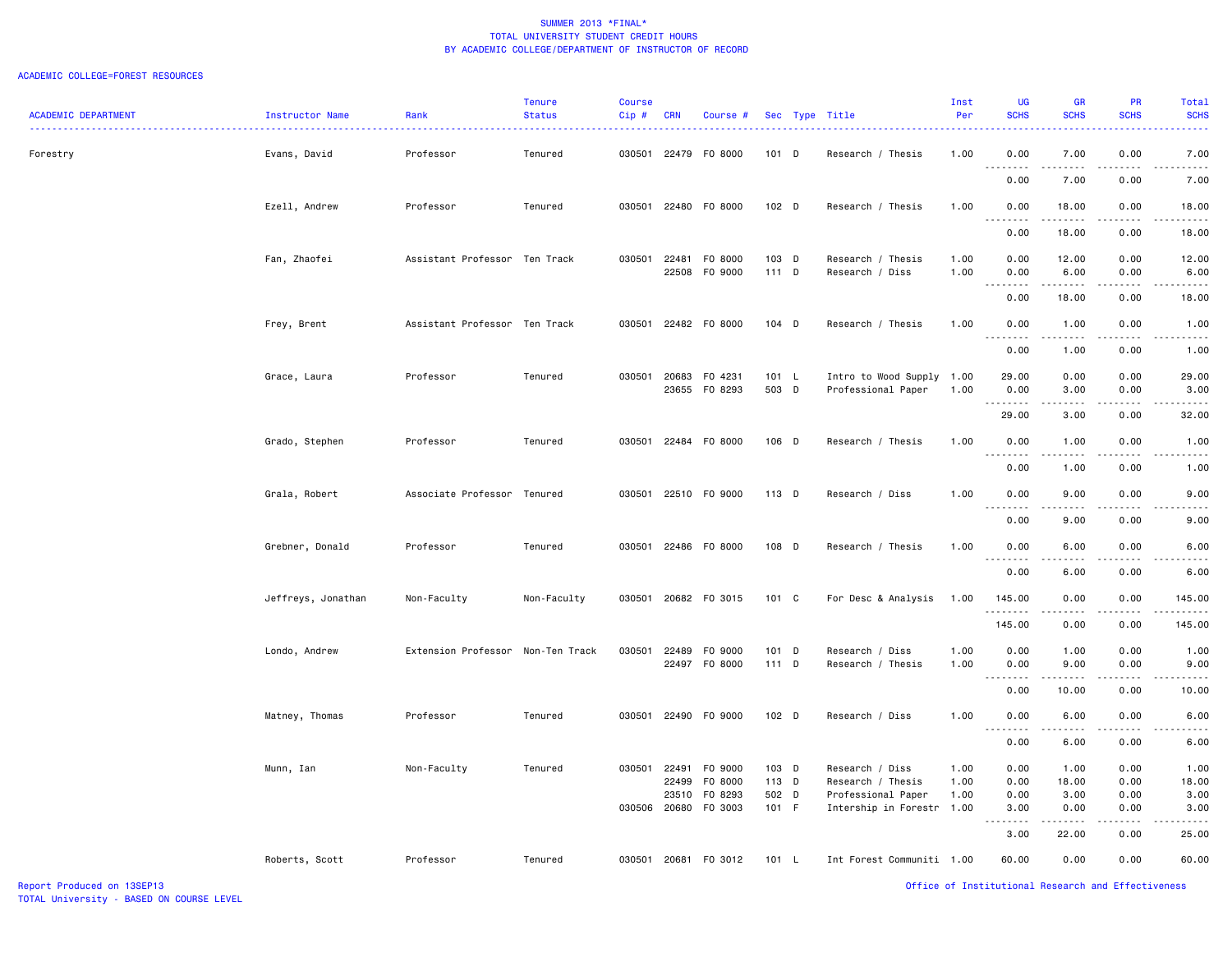### ACADEMIC COLLEGE=FOREST RESOURCES

| <b>ACADEMIC DEPARTMENT</b> | Instructor Name    | Rank                              | <b>Tenure</b><br><b>Status</b> | <b>Course</b><br>Cip# | <b>CRN</b>     | Course #                       |                  | Sec Type Title                                  | Inst<br>Per  | <b>UG</b><br><b>SCHS</b>          | <b>GR</b><br><b>SCHS</b> | <b>PR</b><br><b>SCHS</b> | <b>Total</b><br><b>SCHS</b> |
|----------------------------|--------------------|-----------------------------------|--------------------------------|-----------------------|----------------|--------------------------------|------------------|-------------------------------------------------|--------------|-----------------------------------|--------------------------|--------------------------|-----------------------------|
| Forestry                   | Evans, David       | Professor                         | Tenured                        |                       |                | 030501 22479 F0 8000           | 101 D            | Research / Thesis                               | 1.00         | 0.00                              | 7.00                     | 0.00                     | 7.00                        |
|                            |                    |                                   |                                |                       |                |                                |                  |                                                 |              | 0.00                              | 7.00                     | 0.00                     | 7.00                        |
|                            | Ezell, Andrew      | Professor                         | Tenured                        | 030501                |                | 22480 F0 8000                  | 102 D            | Research / Thesis                               | 1.00         | 0.00                              | 18.00                    | 0.00                     | 18.00                       |
|                            |                    |                                   |                                |                       |                |                                |                  |                                                 |              | .<br>0.00                         | 18.00                    | 0.00                     | 18.00                       |
|                            | Fan, Zhaofei       | Assistant Professor Ten Track     |                                | 030501                | 22481          | F0 8000<br>22508 FO 9000       | 103 D<br>$111$ D | Research / Thesis<br>Research / Diss            | 1.00<br>1.00 | 0.00<br>0.00                      | 12.00<br>6.00            | 0.00<br>0.00             | 12.00<br>6.00               |
|                            |                    |                                   |                                |                       |                |                                |                  |                                                 |              | .<br>0.00                         | .<br>18.00               | 0.00                     | 18.00                       |
|                            | Frey, Brent        | Assistant Professor Ten Track     |                                | 030501                |                | 22482 FO 8000                  | 104 D            | Research / Thesis                               | 1.00         | 0.00<br>.                         | 1.00<br>.                | 0.00                     | 1.00                        |
|                            |                    |                                   |                                |                       |                |                                |                  |                                                 |              | 0.00                              | 1.00                     | 0.00                     | 1.00                        |
|                            | Grace, Laura       | Professor                         | Tenured                        | 030501                |                | 20683 FO 4231<br>23655 FO 8293 | 101 L<br>503 D   | Intro to Wood Supply 1.00<br>Professional Paper | 1.00         | 29.00<br>0.00<br>.                | 0.00<br>3.00<br>.        | 0.00<br>0.00             | 29.00<br>3.00               |
|                            |                    |                                   |                                |                       |                |                                |                  |                                                 |              | 29.00                             | 3.00                     | 0.00                     | 32.00                       |
|                            | Grado, Stephen     | Professor                         | Tenured                        | 030501                |                | 22484 F0 8000                  | 106 D            | Research / Thesis                               | 1.00         | 0.00<br>.                         | 1.00<br>.                | 0.00<br>.                | 1.00                        |
|                            |                    |                                   |                                |                       |                |                                |                  |                                                 |              | 0.00                              | 1.00                     | 0.00                     | 1.00                        |
|                            | Grala, Robert      | Associate Professor Tenured       |                                | 030501                |                | 22510 F0 9000                  | 113 D            | Research / Diss                                 | 1.00         | 0.00<br>.                         | 9.00<br>.                | 0.00                     | 9.00                        |
|                            |                    |                                   |                                |                       |                |                                |                  |                                                 |              | 0.00                              | 9.00                     | 0.00                     | 9.00                        |
|                            | Grebner, Donald    | Professor                         | Tenured                        | 030501                |                | 22486 F0 8000                  | 108 D            | Research / Thesis                               | 1.00         | 0.00<br>.                         | 6.00<br>.                | 0.00                     | 6.00                        |
|                            |                    |                                   |                                |                       |                |                                |                  |                                                 |              | 0.00                              | 6.00                     | 0.00                     | 6.00                        |
|                            | Jeffreys, Jonathan | Non-Faculty                       | Non-Faculty                    | 030501                |                | 20682 FO 3015                  | 101 C            | For Desc & Analysis                             | 1.00         | 145.00                            | 0.00                     | 0.00                     | 145.00                      |
|                            |                    |                                   |                                |                       |                |                                |                  |                                                 |              | .<br>145.00                       | .<br>0.00                | .<br>0.00                | 145.00                      |
|                            | Londo, Andrew      | Extension Professor Non-Ten Track |                                | 030501                |                | 22489 FO 9000<br>22497 F0 8000 | 101 D<br>$111$ D | Research / Diss<br>Research / Thesis            | 1.00<br>1.00 | 0.00<br>0.00                      | 1.00<br>9.00             | 0.00<br>0.00             | 1.00<br>9.00                |
|                            |                    |                                   |                                |                       |                |                                |                  |                                                 |              | .<br>0.00                         | .<br>10.00               | $\frac{1}{2}$<br>0.00    | 10.00                       |
|                            | Matney, Thomas     | Professor                         | Tenured                        |                       |                | 030501 22490 F0 9000           | 102 D            | Research / Diss                                 | 1.00         | 0.00<br>$\sim$ $\sim$ $\sim$<br>. | 6.00<br>.                | 0.00<br>.                | 6.00                        |
|                            |                    |                                   |                                |                       |                |                                |                  |                                                 |              | 0.00                              | 6.00                     | 0.00                     | 6.00                        |
|                            | Munn, Ian          | Non-Faculty                       | Tenured                        |                       | 030501 22491   | F0 9000                        | 103 D            | Research / Diss                                 | 1.00         | 0.00                              | 1.00                     | 0.00                     | 1.00                        |
|                            |                    |                                   |                                |                       | 22499<br>23510 | F0 8000<br>F0 8293             | 113 D<br>502 D   | Research / Thesis<br>Professional Paper         | 1.00<br>1.00 | 0.00<br>0.00                      | 18.00<br>3.00            | 0.00<br>0.00             | 18.00<br>3.00               |
|                            |                    |                                   |                                | 030506                |                | 20680 FO 3003                  | 101 F            | Intership in Forestr                            | 1.00         | 3.00<br>.                         | 0.00<br>$\frac{1}{2}$    | 0.00                     | 3.00                        |
|                            |                    |                                   |                                |                       |                |                                |                  |                                                 |              | 3.00                              | 22.00                    | 0.00                     | 25.00                       |
|                            | Roberts, Scott     | Professor                         | Tenured                        |                       |                | 030501 20681 F0 3012           | 101 L            | Int Forest Communiti 1.00                       |              | 60.00                             | 0.00                     | 0.00                     | 60.00                       |

Report Produced on 13SEP13 Office of Institutional Research and Effectiveness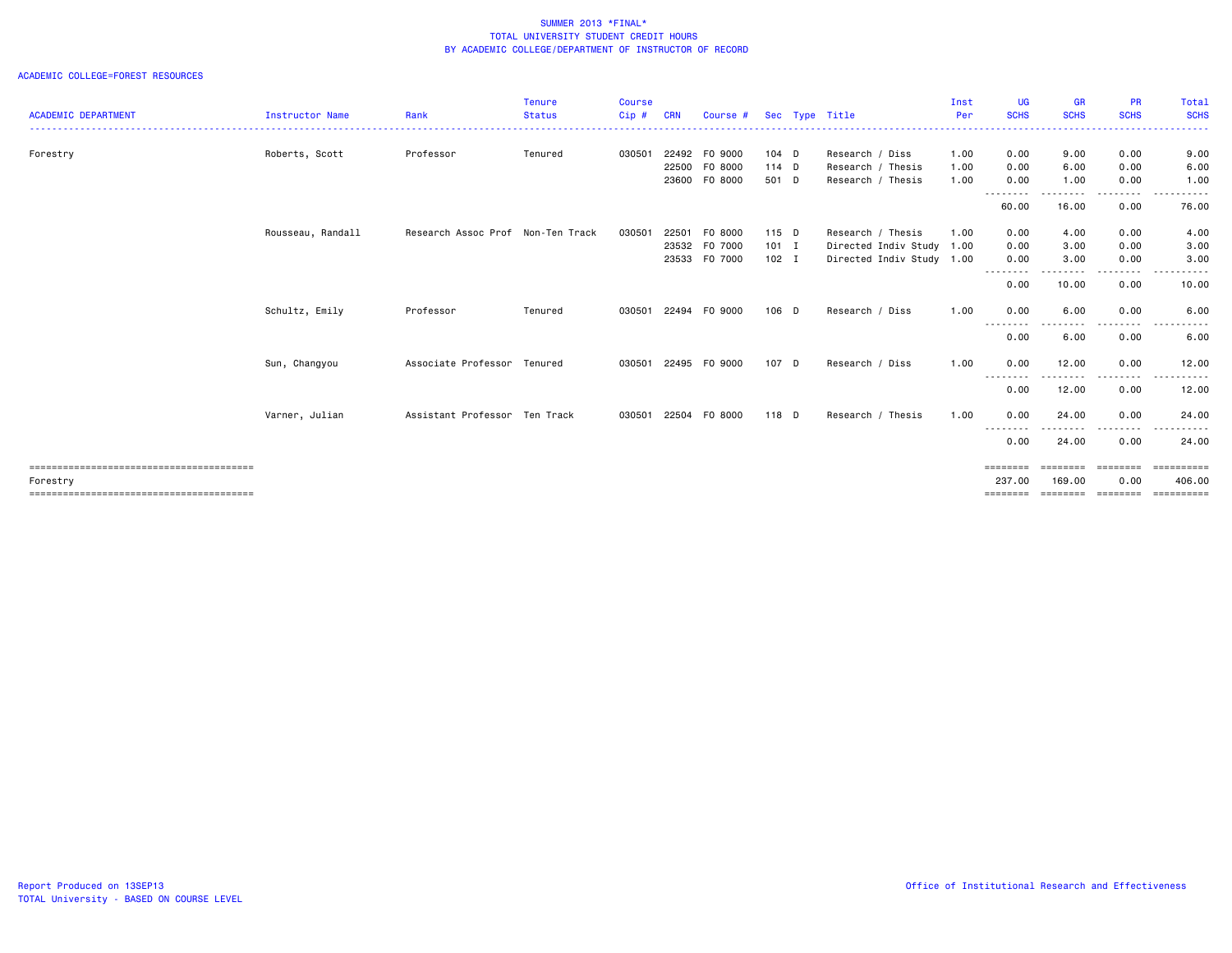| <b>ACADEMIC DEPARTMENT</b> | <b>Instructor Name</b> | Rank                              | <b>Tenure</b><br><b>Status</b> | <b>Course</b><br>Cip# | <b>CRN</b> | Course #      |         | Sec Type Title            | Inst<br>Per | UG<br><b>SCHS</b> | <b>GR</b><br><b>SCHS</b> | <b>PR</b><br><b>SCHS</b> | Total<br><b>SCHS</b> |
|----------------------------|------------------------|-----------------------------------|--------------------------------|-----------------------|------------|---------------|---------|---------------------------|-------------|-------------------|--------------------------|--------------------------|----------------------|
|                            |                        |                                   | --------------------           |                       |            |               |         |                           |             |                   |                          |                          | .                    |
| Forestry                   | Roberts, Scott         | Professor                         | Tenured                        | 030501                | 22492      | F0 9000       | $104$ D | Research / Diss           | 1.00        | 0.00              | 9.00                     | 0.00                     | 9.00                 |
|                            |                        |                                   |                                |                       | 22500      | F0 8000       | $114$ D | Research / Thesis         | 1.00        | 0.00              | 6.00                     | 0.00                     | 6.00                 |
|                            |                        |                                   |                                |                       | 23600      | F0 8000       | 501 D   | Research / Thesis         | 1.00        | 0.00<br>--------  | 1.00<br>. <b>.</b>       | 0.00<br>.                | 1.00<br>------       |
|                            |                        |                                   |                                |                       |            |               |         |                           |             | 60.00             | 16.00                    | 0.00                     | 76.00                |
|                            | Rousseau, Randall      | Research Assoc Prof Non-Ten Track |                                | 030501                | 22501      | F0 8000       | 115 D   | Research / Thesis         | 1.00        | 0.00              | 4.00                     | 0.00                     | 4.00                 |
|                            |                        |                                   |                                |                       |            | 23532 F0 7000 | $101$ I | Directed Indiv Study 1.00 |             | 0.00              | 3.00                     | 0.00                     | 3.00                 |
|                            |                        |                                   |                                |                       | 23533      | F0 7000       | $102$ I | Directed Indiv Study 1.00 |             | 0.00              | 3.00                     | 0.00                     | 3.00                 |
|                            |                        |                                   |                                |                       |            |               |         |                           |             | $- - - -$<br>0.00 | 10.00                    | 0.00                     | 10.00                |
|                            | Schultz, Emily         | Professor                         | Tenured                        | 030501                |            | 22494 F0 9000 | 106 D   | Research / Diss           | 1.00        | 0.00              | 6.00                     | 0.00                     | 6.00                 |
|                            |                        |                                   |                                |                       |            |               |         |                           |             | --------<br>0.00  | . <b>. .</b> .<br>6.00   | 0.00                     | 6.00                 |
|                            | Sun, Changyou          | Associate Professor Tenured       |                                | 030501                |            | 22495 FO 9000 | 107 D   | Research / Diss           | 1.00        | 0.00              | 12.00                    | 0.00                     | 12.00                |
|                            |                        |                                   |                                |                       |            |               |         |                           |             | --------<br>0.00  | .<br>12.00               | .<br>0.00                | .<br>12.00           |
|                            | Varner, Julian         | Assistant Professor Ten Track     |                                | 030501                |            | 22504 FO 8000 | 118 D   | Research / Thesis         | 1.00        | 0.00              | 24.00                    | 0.00                     | 24.00                |
|                            |                        |                                   |                                |                       |            |               |         |                           |             | 0.00              | 24.00                    | . <b>.</b><br>0.00       | 24.00                |
|                            |                        |                                   |                                |                       |            |               |         |                           |             | ========          | ========                 | ========                 | -==========          |
| Forestry                   |                        |                                   |                                |                       |            |               |         |                           |             | 237.00            | 169.00                   | 0.00                     | 406,00               |
|                            |                        |                                   |                                |                       |            |               |         |                           |             | ========          | ========                 |                          | $=$ =========        |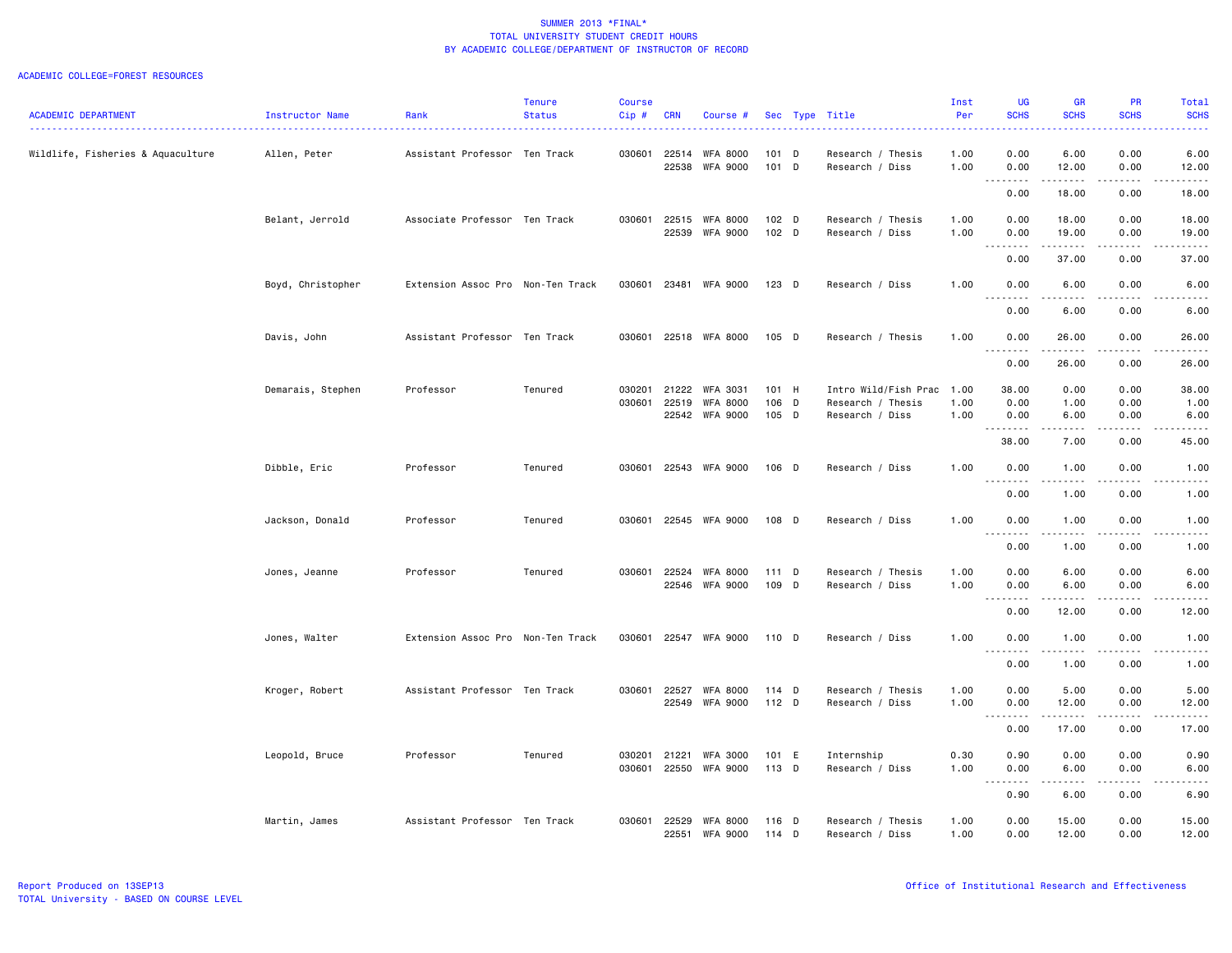|                                   |                   |                                   | <b>Tenure</b> | <b>Course</b> |                |                                    |                  |                                      | Inst         | <b>UG</b>                                                                                                                                                                            | GR                    | PR                    | Total                 |
|-----------------------------------|-------------------|-----------------------------------|---------------|---------------|----------------|------------------------------------|------------------|--------------------------------------|--------------|--------------------------------------------------------------------------------------------------------------------------------------------------------------------------------------|-----------------------|-----------------------|-----------------------|
| <b>ACADEMIC DEPARTMENT</b>        | Instructor Name   | Rank                              | <b>Status</b> | $Cip \#$      | <b>CRN</b>     | Course #                           |                  | Sec Type Title                       | Per          | <b>SCHS</b>                                                                                                                                                                          | <b>SCHS</b>           | <b>SCHS</b>           | <b>SCHS</b>           |
| Wildlife, Fisheries & Aquaculture | Allen, Peter      | Assistant Professor Ten Track     |               |               | 030601 22514   | <b>WFA 8000</b>                    | $101$ D          | Research / Thesis                    | 1.00         | 0.00                                                                                                                                                                                 | 6.00                  | 0.00                  | 6.00                  |
|                                   |                   |                                   |               |               | 22538          | <b>WFA 9000</b>                    | $101$ D          | Research / Diss                      | 1.00         | 0.00<br>$\sim$ $\sim$ $\sim$<br>.                                                                                                                                                    | 12.00<br>.            | 0.00<br>.             | 12.00<br>.            |
|                                   |                   |                                   |               |               |                |                                    |                  |                                      |              | 0.00                                                                                                                                                                                 | 18.00                 | 0.00                  | 18.00                 |
|                                   | Belant, Jerrold   | Associate Professor Ten Track     |               | 030601        | 22515          | <b>WFA 8000</b>                    | $102$ D          | Research / Thesis                    | 1.00         | 0.00                                                                                                                                                                                 | 18.00                 | 0.00                  | 18.00                 |
|                                   |                   |                                   |               |               | 22539          | <b>WFA 9000</b>                    | 102 D            | Research / Diss                      | 1.00         | 0.00<br>.                                                                                                                                                                            | 19.00                 | 0.00<br>.             | 19.00<br>.            |
|                                   |                   |                                   |               |               |                |                                    |                  |                                      |              | 0.00                                                                                                                                                                                 | 37.00                 | 0.00                  | 37.00                 |
|                                   | Boyd, Christopher | Extension Assoc Pro Non-Ten Track |               | 030601        |                | 23481 WFA 9000                     | 123 D            | Research / Diss                      | 1.00         | 0.00<br>$\sim$ $\sim$ .<br>د د د                                                                                                                                                     | 6.00                  | 0.00                  | 6.00                  |
|                                   |                   |                                   |               |               |                |                                    |                  |                                      |              | 0.00                                                                                                                                                                                 | 6.00                  | 0.00                  | 6.00                  |
|                                   | Davis, John       | Assistant Professor Ten Track     |               | 030601        |                | 22518 WFA 8000                     | $105$ D          | Research / Thesis                    | 1.00         | 0.00                                                                                                                                                                                 | 26.00<br>.            | 0.00                  | 26.00<br>.            |
|                                   |                   |                                   |               |               |                |                                    |                  |                                      |              | . <b>.</b><br>0.00                                                                                                                                                                   | 26.00                 | .<br>0.00             | 26.00                 |
|                                   | Demarais, Stephen | Professor                         | Tenured       | 030201        | 21222          | <b>WFA 3031</b>                    | 101 H            | Intro Wild/Fish Prac                 | 1.00         | 38.00                                                                                                                                                                                | 0.00                  | 0.00                  | 38.00                 |
|                                   |                   |                                   |               | 030601        | 22519          | <b>WFA 8000</b>                    | 106 D            | Research / Thesis                    | 1.00         | 0.00                                                                                                                                                                                 | 1.00                  | 0.00                  | 1.00                  |
|                                   |                   |                                   |               |               |                | 22542 WFA 9000                     | 105 D            | Research / Diss                      | 1.00         | 0.00<br><u>.</u>                                                                                                                                                                     | 6.00<br>.             | 0.00<br>.             | 6.00<br>.             |
|                                   |                   |                                   |               |               |                |                                    |                  |                                      |              | 38.00                                                                                                                                                                                | 7.00                  | 0.00                  | 45.00                 |
|                                   | Dibble, Eric      | Professor                         | Tenured       | 030601        |                | 22543 WFA 9000                     | 106 D            | Research / Diss                      | 1.00         | 0.00<br>$\frac{1}{2} \left( \frac{1}{2} \right) \left( \frac{1}{2} \right) \left( \frac{1}{2} \right) \left( \frac{1}{2} \right) \left( \frac{1}{2} \right)$<br>$\sim$ $\sim$ $\sim$ | 1.00<br>$- - - - -$   | 0.00<br>.             | 1.00<br>$\frac{1}{2}$ |
|                                   |                   |                                   |               |               |                |                                    |                  |                                      |              | 0.00                                                                                                                                                                                 | 1.00                  | 0.00                  | 1.00                  |
|                                   | Jackson, Donald   | Professor                         | Tenured       | 030601        |                | 22545 WFA 9000                     | 108 D            | Research / Diss                      | 1.00         | 0.00                                                                                                                                                                                 | 1.00                  | 0.00                  | 1.00                  |
|                                   |                   |                                   |               |               |                |                                    |                  |                                      |              | .<br>0.00                                                                                                                                                                            | $- - - - -$<br>1.00   | $\frac{1}{2}$<br>0.00 | $\frac{1}{2}$<br>1.00 |
|                                   | Jones, Jeanne     | Professor                         | Tenured       | 030601        | 22524          | <b>WFA 8000</b>                    | 111D             | Research / Thesis                    | 1.00         | 0.00                                                                                                                                                                                 | 6.00                  | 0.00                  | 6.00                  |
|                                   |                   |                                   |               |               | 22546          | <b>WFA 9000</b>                    | 109 D            | Research / Diss                      | 1.00         | 0.00<br>$\sim$ $\sim$<br>.                                                                                                                                                           | 6.00                  | 0.00<br>.             | 6.00<br>.             |
|                                   |                   |                                   |               |               |                |                                    |                  |                                      |              | 0.00                                                                                                                                                                                 | 12.00                 | 0.00                  | 12.00                 |
|                                   | Jones, Walter     | Extension Assoc Pro Non-Ten Track |               |               |                | 030601 22547 WFA 9000              | 110 D            | Research / Diss                      | 1.00         | 0.00<br>$- - - - -$                                                                                                                                                                  | 1.00<br>$\frac{1}{2}$ | 0.00<br>.             | 1.00<br>$\frac{1}{2}$ |
|                                   |                   |                                   |               |               |                |                                    |                  |                                      |              | $\sim$ $\sim$ $\sim$<br>0.00                                                                                                                                                         | 1.00                  | 0.00                  | 1.00                  |
|                                   | Kroger, Robert    | Assistant Professor Ten Track     |               | 030601        | 22527          | <b>WFA 8000</b>                    | 114 D            | Research / Thesis                    | 1.00         | 0.00                                                                                                                                                                                 | 5.00                  | 0.00                  | 5.00                  |
|                                   |                   |                                   |               |               | 22549          | <b>WFA 9000</b>                    | $112$ D          | Research / Diss                      | 1.00         | 0.00<br>.                                                                                                                                                                            | 12.00<br>.            | 0.00<br>.             | 12.00<br>.            |
|                                   |                   |                                   |               |               |                |                                    |                  |                                      |              | 0.00                                                                                                                                                                                 | 17.00                 | 0.00                  | 17.00                 |
|                                   | Leopold, Bruce    | Professor                         | Tenured       | 030201        | 21221          | <b>WFA 3000</b>                    | 101 E            | Internship                           | 0.30         | 0.90                                                                                                                                                                                 | 0.00                  | 0.00                  | 0.90                  |
|                                   |                   |                                   |               | 030601        | 22550          | <b>WFA 9000</b>                    | 113 D            | Research / Diss                      | 1.00         | 0.00<br>.<br>$\cdots$                                                                                                                                                                | 6.00<br><b></b>       | 0.00<br>.             | 6.00<br><u>.</u>      |
|                                   |                   |                                   |               |               |                |                                    |                  |                                      |              | 0.90                                                                                                                                                                                 | 6.00                  | 0.00                  | 6.90                  |
|                                   | Martin, James     | Assistant Professor Ten Track     |               | 030601        | 22529<br>22551 | <b>WFA 8000</b><br><b>WFA 9000</b> | 116 D<br>$114$ D | Research / Thesis<br>Research / Diss | 1.00<br>1.00 | 0.00<br>0.00                                                                                                                                                                         | 15.00<br>12.00        | 0.00<br>0.00          | 15.00<br>12.00        |
|                                   |                   |                                   |               |               |                |                                    |                  |                                      |              |                                                                                                                                                                                      |                       |                       |                       |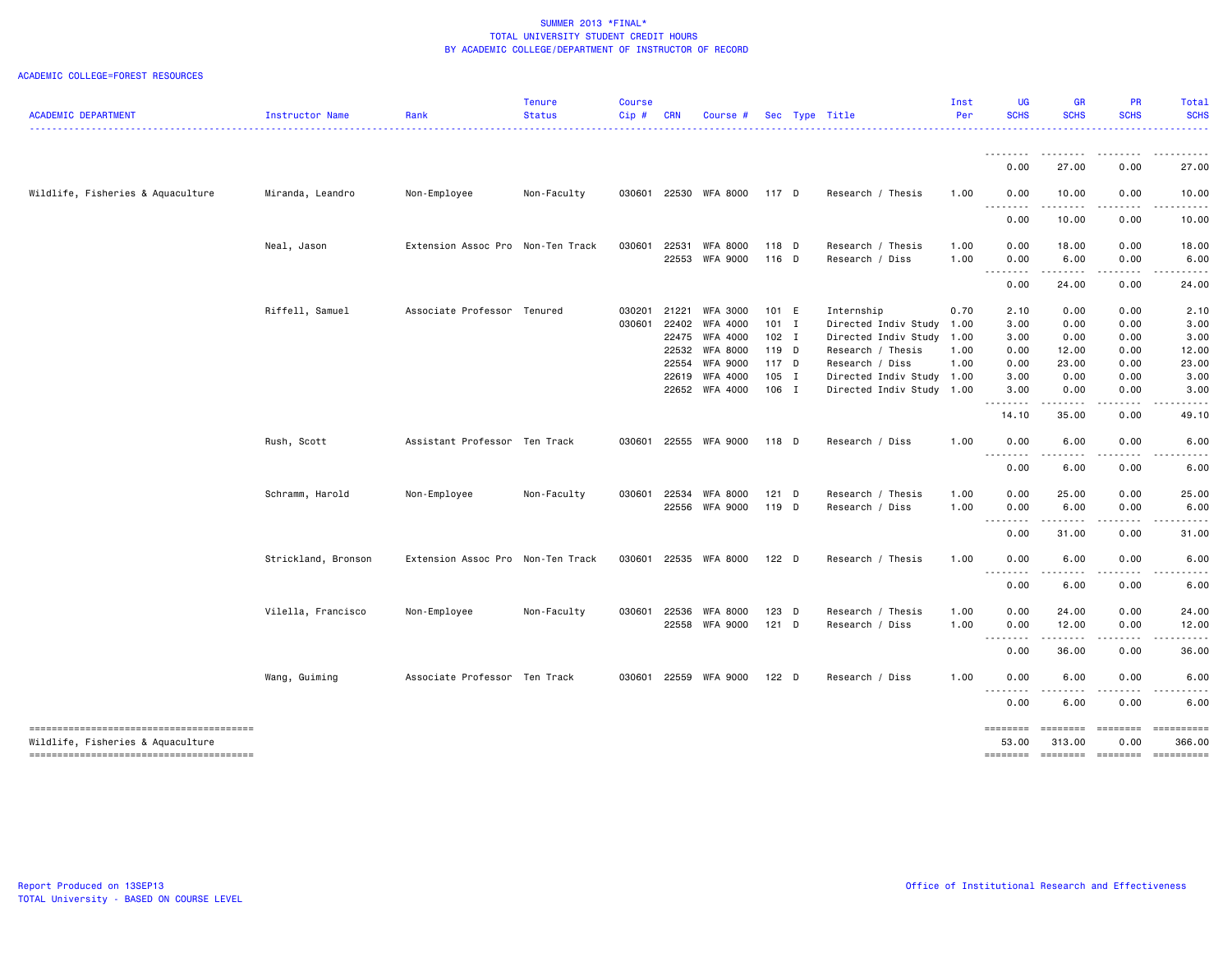| <b>ACADEMIC DEPARTMENT</b>        | Instructor Name     | Rank                              | <b>Tenure</b><br><b>Status</b> | <b>Course</b><br>Cip# | <b>CRN</b>                       | Course #                                                                                                         |                                                                 | Sec Type Title                                                                                                                                          | Inst<br>Per                                  | <b>UG</b><br><b>SCHS</b>                                  | GR<br><b>SCHS</b>                                                                                                                                                                                                                                                                                                                                                                                                                                                                                                                                      | PR<br><b>SCHS</b>                                                                                                                                                    | <b>Total</b><br><b>SCHS</b>                            |
|-----------------------------------|---------------------|-----------------------------------|--------------------------------|-----------------------|----------------------------------|------------------------------------------------------------------------------------------------------------------|-----------------------------------------------------------------|---------------------------------------------------------------------------------------------------------------------------------------------------------|----------------------------------------------|-----------------------------------------------------------|--------------------------------------------------------------------------------------------------------------------------------------------------------------------------------------------------------------------------------------------------------------------------------------------------------------------------------------------------------------------------------------------------------------------------------------------------------------------------------------------------------------------------------------------------------|----------------------------------------------------------------------------------------------------------------------------------------------------------------------|--------------------------------------------------------|
|                                   |                     |                                   |                                |                       |                                  |                                                                                                                  |                                                                 |                                                                                                                                                         |                                              |                                                           |                                                                                                                                                                                                                                                                                                                                                                                                                                                                                                                                                        |                                                                                                                                                                      |                                                        |
|                                   |                     |                                   |                                |                       |                                  |                                                                                                                  |                                                                 |                                                                                                                                                         |                                              | .<br>0.00                                                 | .<br>27.00                                                                                                                                                                                                                                                                                                                                                                                                                                                                                                                                             | 0.00                                                                                                                                                                 | .<br>27.00                                             |
| Wildlife, Fisheries & Aquaculture | Miranda, Leandro    | Non-Employee                      | Non-Faculty                    | 030601                |                                  | 22530 WFA 8000                                                                                                   | 117 D                                                           | Research / Thesis                                                                                                                                       | 1.00                                         | 0.00<br>$- - - -$<br>---                                  | 10.00<br>$  -$                                                                                                                                                                                                                                                                                                                                                                                                                                                                                                                                         | 0.00                                                                                                                                                                 | 10.00                                                  |
|                                   |                     |                                   |                                |                       |                                  |                                                                                                                  |                                                                 |                                                                                                                                                         |                                              | 0.00                                                      | 10.00                                                                                                                                                                                                                                                                                                                                                                                                                                                                                                                                                  | 0.00                                                                                                                                                                 | 10.00                                                  |
|                                   | Neal, Jason         | Extension Assoc Pro Non-Ten Track |                                | 030601                | 22531                            | <b>WFA 8000</b><br>22553 WFA 9000                                                                                | 118 D<br>116 D                                                  | Research / Thesis<br>Research / Diss                                                                                                                    | 1.00<br>1.00                                 | 0.00<br>0.00<br>.                                         | 18.00<br>6.00<br>.                                                                                                                                                                                                                                                                                                                                                                                                                                                                                                                                     | 0.00<br>0.00<br>-----                                                                                                                                                | 18.00<br>6.00                                          |
|                                   |                     |                                   |                                |                       |                                  |                                                                                                                  |                                                                 |                                                                                                                                                         |                                              | 0.00                                                      | 24.00                                                                                                                                                                                                                                                                                                                                                                                                                                                                                                                                                  | 0.00                                                                                                                                                                 | 24.00                                                  |
|                                   | Riffell, Samuel     | Associate Professor Tenured       |                                | 030201<br>030601      | 21221<br>22402<br>22554<br>22619 | <b>WFA 3000</b><br>WFA 4000<br>22475 WFA 4000<br>22532 WFA 8000<br><b>WFA 9000</b><br>WFA 4000<br>22652 WFA 4000 | 101 E<br>$101$ I<br>$102$ I<br>119 D<br>117 D<br>105 I<br>106 I | Internship<br>Directed Indiv Study<br>Directed Indiv Study<br>Research / Thesis<br>Research / Diss<br>Directed Indiv Study<br>Directed Indiv Study 1.00 | 0.70<br>1.00<br>1.00<br>1.00<br>1.00<br>1.00 | 2.10<br>3.00<br>3.00<br>0.00<br>0.00<br>3.00<br>3.00<br>. | 0.00<br>0.00<br>0.00<br>12.00<br>23.00<br>0.00<br>0.00<br>$\sim$ $\sim$ $\sim$                                                                                                                                                                                                                                                                                                                                                                                                                                                                         | 0.00<br>0.00<br>0.00<br>0.00<br>0.00<br>0.00<br>0.00<br>.                                                                                                            | 2.10<br>3.00<br>3.00<br>12.00<br>23.00<br>3.00<br>3.00 |
|                                   | Rush, Scott         | Assistant Professor Ten Track     |                                | 030601                |                                  | 22555 WFA 9000                                                                                                   | 118 D                                                           | Research / Diss                                                                                                                                         | 1.00                                         | 14.10<br>0.00                                             | 35.00<br>6.00                                                                                                                                                                                                                                                                                                                                                                                                                                                                                                                                          | 0.00<br>0.00                                                                                                                                                         | 49.10<br>6.00                                          |
|                                   |                     |                                   |                                |                       |                                  |                                                                                                                  |                                                                 |                                                                                                                                                         |                                              | .<br>0.00                                                 | 6.00                                                                                                                                                                                                                                                                                                                                                                                                                                                                                                                                                   | 0.00                                                                                                                                                                 | 6.00                                                   |
|                                   | Schramm, Harold     | Non-Employee                      | Non-Faculty                    | 030601                | 22534                            | <b>WFA 8000</b><br>22556 WFA 9000                                                                                | $121$ D<br>119 D                                                | Research / Thesis<br>Research / Diss                                                                                                                    | 1.00<br>1.00                                 | 0.00<br>0.00<br>.                                         | 25.00<br>6.00<br>$\frac{1}{2} \left( \frac{1}{2} \right) \left( \frac{1}{2} \right) \left( \frac{1}{2} \right) \left( \frac{1}{2} \right)$                                                                                                                                                                                                                                                                                                                                                                                                             | 0.00<br>0.00<br>. <b>.</b>                                                                                                                                           | 25.00<br>6.00                                          |
|                                   | Strickland, Bronson | Extension Assoc Pro Non-Ten Track |                                | 030601                |                                  | 22535 WFA 8000                                                                                                   | 122 <sub>D</sub>                                                | Research / Thesis                                                                                                                                       | 1.00                                         | 0.00<br>0.00                                              | 31.00<br>6.00                                                                                                                                                                                                                                                                                                                                                                                                                                                                                                                                          | 0.00<br>0.00                                                                                                                                                         | 31.00<br>6.00                                          |
|                                   |                     |                                   |                                |                       |                                  |                                                                                                                  |                                                                 |                                                                                                                                                         |                                              | $- - - -$<br>0.00                                         | 6.00                                                                                                                                                                                                                                                                                                                                                                                                                                                                                                                                                   | 0.00                                                                                                                                                                 | 6.00                                                   |
|                                   | Vilella, Francisco  | Non-Employee                      | Non-Faculty                    | 030601                | 22536                            | <b>WFA 8000</b><br>22558 WFA 9000                                                                                | 123 D<br>$121$ D                                                | Research / Thesis<br>Research / Diss                                                                                                                    | 1.00<br>1.00                                 | 0.00<br>0.00<br>.                                         | 24.00<br>12.00<br>.                                                                                                                                                                                                                                                                                                                                                                                                                                                                                                                                    | 0.00<br>0.00<br>$\frac{1}{2} \left( \frac{1}{2} \right) \left( \frac{1}{2} \right) \left( \frac{1}{2} \right) \left( \frac{1}{2} \right) \left( \frac{1}{2} \right)$ | 24.00<br>12.00<br>.                                    |
|                                   |                     |                                   |                                |                       |                                  |                                                                                                                  |                                                                 |                                                                                                                                                         |                                              | 0.00                                                      | 36.00                                                                                                                                                                                                                                                                                                                                                                                                                                                                                                                                                  | 0.00                                                                                                                                                                 | 36.00                                                  |
|                                   | Wang, Guiming       | Associate Professor Ten Track     |                                | 030601                |                                  | 22559 WFA 9000                                                                                                   | $122$ D                                                         | Research / Diss                                                                                                                                         | 1.00                                         | 0.00<br><u>.</u>                                          | 6.00<br>.                                                                                                                                                                                                                                                                                                                                                                                                                                                                                                                                              | 0.00                                                                                                                                                                 | 6.00                                                   |
|                                   |                     |                                   |                                |                       |                                  |                                                                                                                  |                                                                 |                                                                                                                                                         |                                              | 0.00                                                      | 6.00                                                                                                                                                                                                                                                                                                                                                                                                                                                                                                                                                   | 0.00                                                                                                                                                                 | 6.00                                                   |
| Wildlife, Fisheries & Aquaculture |                     |                                   |                                |                       |                                  |                                                                                                                  |                                                                 |                                                                                                                                                         |                                              | <b>EDESSER</b><br>53.00<br><b>EDESSER</b>                 | <b>EDEDEDED</b><br>313.00<br>$\begin{array}{c} \multicolumn{3}{c} {\small \texttt{m}} = \multicolumn{3}{c} {\small \texttt{m}} = \multicolumn{3}{c} {\small \texttt{m}} = \multicolumn{3}{c} {\small \texttt{m}} = \multicolumn{3}{c} {\small \texttt{m}} = \multicolumn{3}{c} {\small \texttt{m}} = \multicolumn{3}{c} {\small \texttt{m}} = \multicolumn{3}{c} {\small \texttt{m}} = \multicolumn{3}{c} {\small \texttt{m}} = \multicolumn{3}{c} {\small \texttt{m}} = \multicolumn{3}{c} {\small \texttt{m}} = \multicolumn{3}{c} {\small \texttt{$ | 0.00<br><b>EDDEDED</b>                                                                                                                                               | 366.00<br>==========                                   |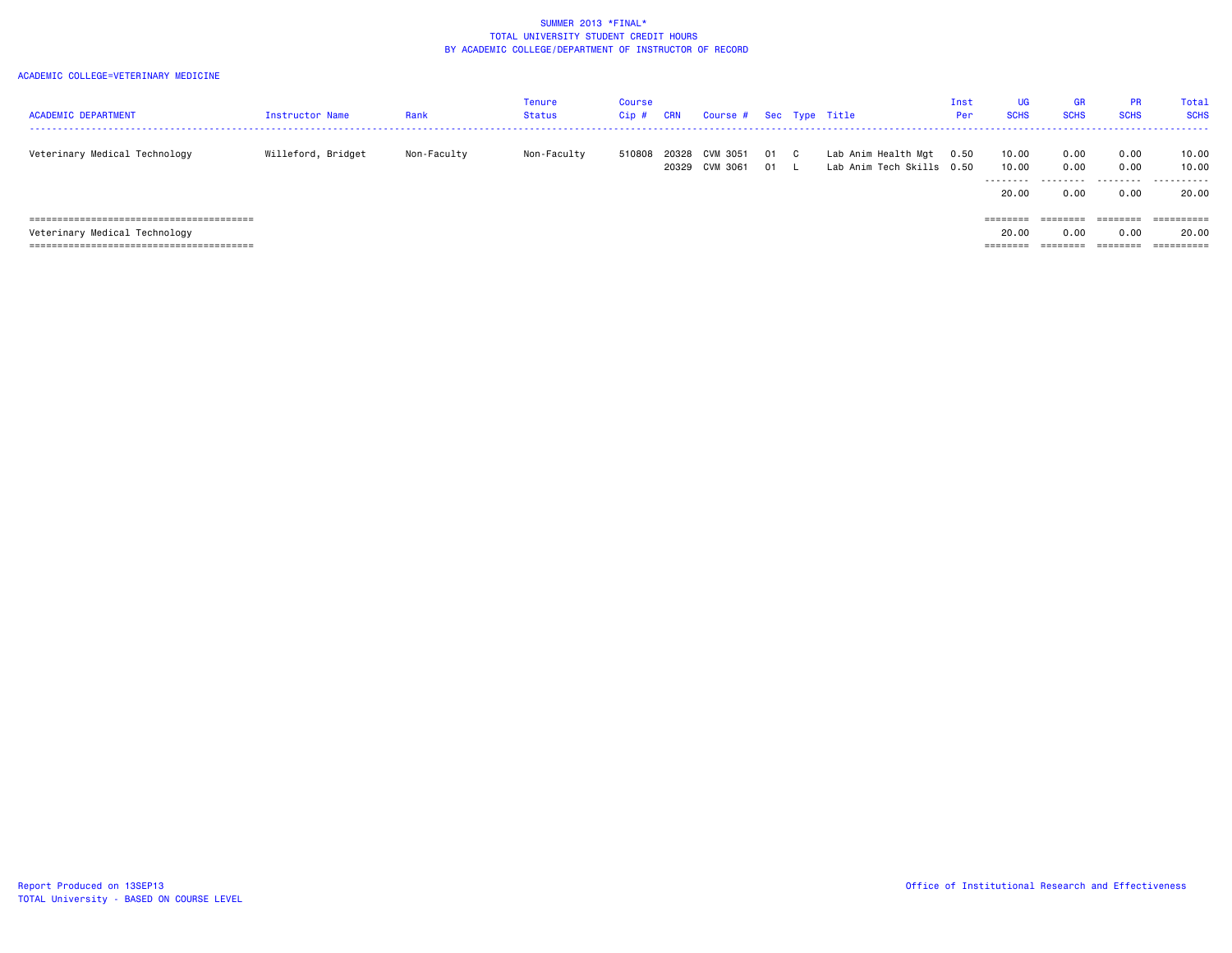| <b>ACADEMIC DEPARTMENT</b>    | <b>Instructor Name</b> | Rank        | Tenure<br>Status | <b>Course</b><br>Cip # | CRN   | Course #                   |          |              | Sec Type Title                                   | Inst<br>Per | UG<br><b>SCHS</b>            | <b>GR</b><br><b>SCHS</b>  | <b>PR</b><br><b>SCHS</b>  | Total<br><b>SCHS</b>         |
|-------------------------------|------------------------|-------------|------------------|------------------------|-------|----------------------------|----------|--------------|--------------------------------------------------|-------------|------------------------------|---------------------------|---------------------------|------------------------------|
| Veterinary Medical Technology | Willeford, Bridget     | Non-Faculty | Non-Faculty      | 510808                 | 20328 | CVM 3051<br>20329 CVM 3061 | 01<br>01 | $\mathbf{C}$ | Lab Anim Health Mgt<br>Lab Anim Tech Skills 0.50 | 0.50        | 10.00<br>10.00<br>.<br>20.00 | 0.00<br>0.00<br>.<br>0.00 | 0.00<br>0.00<br>.<br>0.00 | 10.00<br>10.00<br>.<br>20.00 |
|                               |                        |             |                  |                        |       |                            |          |              |                                                  |             |                              | ========                  | ========                  |                              |
| Veterinary Medical Technology |                        |             |                  |                        |       |                            |          |              |                                                  |             | 20.00                        | 0.00                      | 0.00                      | 20.00                        |
|                               |                        |             |                  |                        |       |                            |          |              |                                                  |             | =======                      |                           | ========                  |                              |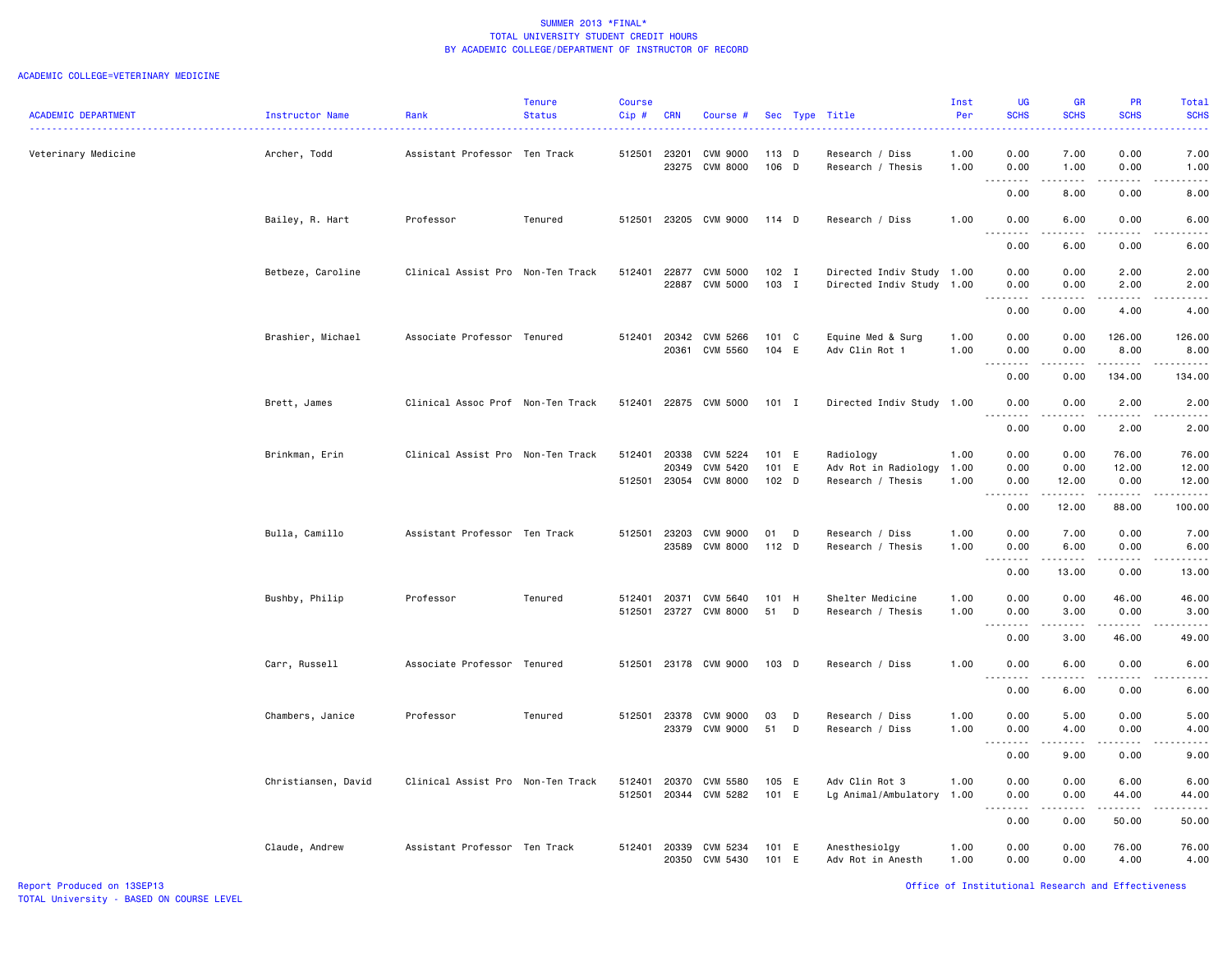### ACADEMIC COLLEGE=VETERINARY MEDICINE

|                            |                     |                                   | <b>Tenure</b> | Course  |            |                 |         |   |                           | Inst | UG                                     | GR                | PR                 | Total                                                                                                                                                        |
|----------------------------|---------------------|-----------------------------------|---------------|---------|------------|-----------------|---------|---|---------------------------|------|----------------------------------------|-------------------|--------------------|--------------------------------------------------------------------------------------------------------------------------------------------------------------|
| <b>ACADEMIC DEPARTMENT</b> | Instructor Name     | Rank                              | <b>Status</b> | $Cip$ # | <b>CRN</b> | Course #        |         |   | Sec Type Title            | Per  | <b>SCHS</b>                            | <b>SCHS</b>       | <b>SCHS</b>        | <b>SCHS</b>                                                                                                                                                  |
| Veterinary Medicine        | Archer, Todd        | Assistant Professor Ten Track     |               | 512501  | 23201      | <b>CVM 9000</b> | 113 D   |   | Research / Diss           | 1.00 | 0.00                                   | 7.00              | 0.00               | 7.00                                                                                                                                                         |
|                            |                     |                                   |               |         | 23275      | <b>CVM 8000</b> | 106 D   |   | Research / Thesis         | 1.00 | 0.00                                   | 1.00              | 0.00               | 1.00<br>$\frac{1}{2} \left( \frac{1}{2} \right) \left( \frac{1}{2} \right) \left( \frac{1}{2} \right) \left( \frac{1}{2} \right) \left( \frac{1}{2} \right)$ |
|                            |                     |                                   |               |         |            |                 |         |   |                           |      | 0.00                                   | 8.00              | 0.00               | 8.00                                                                                                                                                         |
|                            | Bailey, R. Hart     | Professor                         | Tenured       | 512501  |            | 23205 CVM 9000  | 114 D   |   | Research / Diss           | 1.00 | 0.00<br>$\sim$ $\sim$                  | 6.00              | 0.00               | 6.00                                                                                                                                                         |
|                            |                     |                                   |               |         |            |                 |         |   |                           |      | 0.00                                   | 6.00              | 0.00               | 6.00                                                                                                                                                         |
|                            | Betbeze, Caroline   | Clinical Assist Pro Non-Ten Track |               | 512401  | 22877      | <b>CVM 5000</b> | $102$ I |   | Directed Indiv Study 1.00 |      | 0.00                                   | 0.00              | 2.00               | 2.00                                                                                                                                                         |
|                            |                     |                                   |               |         | 22887      | CVM 5000        | 103 I   |   | Directed Indiv Study 1.00 |      | 0.00<br>$- - - -$<br>$\sim$ $\sim$     | 0.00<br>.         | 2.00<br>.          | 2.00<br>$\frac{1}{2} \left( \frac{1}{2} \right) \left( \frac{1}{2} \right) \left( \frac{1}{2} \right) \left( \frac{1}{2} \right)$                            |
|                            |                     |                                   |               |         |            |                 |         |   |                           |      | 0.00                                   | 0.00              | 4.00               | 4.00                                                                                                                                                         |
|                            | Brashier, Michael   | Associate Professor Tenured       |               | 512401  | 20342      | CVM 5266        | 101 C   |   | Equine Med & Surg         | 1.00 | 0.00                                   | 0.00              | 126.00             | 126.00                                                                                                                                                       |
|                            |                     |                                   |               |         | 20361      | CVM 5560        | 104 E   |   | Adv Clin Rot 1            | 1.00 | 0.00<br>$\frac{1}{2}$<br>$\sim$ $\sim$ | 0.00<br>.         | 8.00<br>. <u>.</u> | 8.00<br>.                                                                                                                                                    |
|                            |                     |                                   |               |         |            |                 |         |   |                           |      | 0.00                                   | 0.00              | 134.00             | 134.00                                                                                                                                                       |
|                            | Brett, James        | Clinical Assoc Prof Non-Ten Track |               | 512401  |            | 22875 CVM 5000  | $101$ I |   | Directed Indiv Study 1.00 |      | 0.00<br>$\sim$ $\sim$<br>$- - - -$     | 0.00<br>.         | 2.00<br>$- - - -$  | 2.00<br>$\frac{1}{2}$                                                                                                                                        |
|                            |                     |                                   |               |         |            |                 |         |   |                           |      | 0.00                                   | 0.00              | 2.00               | 2.00                                                                                                                                                         |
|                            | Brinkman, Erin      | Clinical Assist Pro Non-Ten Track |               | 512401  | 20338      | CVM 5224        | 101 E   |   | Radiology                 | 1.00 | 0.00                                   | 0.00              | 76.00              | 76.00                                                                                                                                                        |
|                            |                     |                                   |               |         | 20349      | CVM 5420        | 101 E   |   | Adv Rot in Radiology      | 1.00 | 0.00                                   | 0.00              | 12.00              | 12.00                                                                                                                                                        |
|                            |                     |                                   |               | 512501  | 23054      | <b>CVM 8000</b> | 102 D   |   | Research / Thesis         | 1.00 | 0.00<br>.                              | 12.00<br>.        | 0.00<br>.          | 12.00<br>.                                                                                                                                                   |
|                            |                     |                                   |               |         |            |                 |         |   |                           |      | 0.00                                   | 12.00             | 88.00              | 100.00                                                                                                                                                       |
|                            | Bulla, Camillo      | Assistant Professor Ten Track     |               | 512501  | 23203      | <b>CVM 9000</b> | 01      | D | Research / Diss           | 1.00 | 0.00                                   | 7.00              | 0.00               | 7.00                                                                                                                                                         |
|                            |                     |                                   |               |         | 23589      | <b>CVM 8000</b> | $112$ D |   | Research / Thesis         | 1.00 | 0.00<br>.<br>$\sim$ $\sim$             | 6.00<br>.         | 0.00<br>.          | 6.00<br>وبالمسامين                                                                                                                                           |
|                            |                     |                                   |               |         |            |                 |         |   |                           |      | 0.00                                   | 13.00             | 0.00               | 13.00                                                                                                                                                        |
|                            | Bushby, Philip      | Professor                         | Tenured       | 512401  | 20371      | CVM 5640        | 101 H   |   | Shelter Medicine          | 1.00 | 0.00                                   | 0.00              | 46.00              | 46.00                                                                                                                                                        |
|                            |                     |                                   |               | 512501  | 23727      | <b>CVM 8000</b> | 51      | D | Research / Thesis         | 1.00 | 0.00                                   | 3.00              | 0.00               | 3.00                                                                                                                                                         |
|                            |                     |                                   |               |         |            |                 |         |   |                           |      | 0.00                                   | 3.00              | 46.00              | $\frac{1}{2} \left( \frac{1}{2} \right) \left( \frac{1}{2} \right) \left( \frac{1}{2} \right) \left( \frac{1}{2} \right)$<br>49.00                           |
|                            | Carr, Russell       | Associate Professor Tenured       |               | 512501  |            | 23178 CVM 9000  | 103 D   |   | Research / Diss           | 1.00 | 0.00                                   | 6.00              | 0.00               | 6.00                                                                                                                                                         |
|                            |                     |                                   |               |         |            |                 |         |   |                           |      | $\sim$ $\sim$<br>0.00                  | 6.00              | 0.00               | 6.00                                                                                                                                                         |
|                            | Chambers, Janice    | Professor                         | Tenured       | 512501  | 23378      | <b>CVM 9000</b> | 03      | D | Research / Diss           | 1.00 | 0.00                                   | 5.00              | 0.00               | 5.00                                                                                                                                                         |
|                            |                     |                                   |               |         | 23379      | CVM 9000        | 51      | D | Research / Diss           | 1.00 | 0.00<br>.                              | 4.00<br>$- - - -$ | 0.00<br>$- - - -$  | 4.00<br>.                                                                                                                                                    |
|                            |                     |                                   |               |         |            |                 |         |   |                           |      | 0.00                                   | 9.00              | 0.00               | 9.00                                                                                                                                                         |
|                            | Christiansen, David | Clinical Assist Pro Non-Ten Track |               | 512401  | 20370      | CVM 5580        | 105 E   |   | Adv Clin Rot 3            | 1.00 | 0.00                                   | 0.00              | 6.00               | 6.00                                                                                                                                                         |
|                            |                     |                                   |               | 512501  | 20344      | CVM 5282        | 101 E   |   | Lg Animal/Ambulatory 1.00 |      | 0.00<br>$- - - -$<br>$\sim$ .          | 0.00<br>.         | 44.00<br>د د د د د | 44.00<br>.                                                                                                                                                   |
|                            |                     |                                   |               |         |            |                 |         |   |                           |      | 0.00                                   | 0.00              | 50.00              | 50.00                                                                                                                                                        |
|                            | Claude, Andrew      | Assistant Professor Ten Track     |               | 512401  | 20339      | CVM 5234        | 101 E   |   | Anesthesiolgy             | 1.00 | 0.00                                   | 0.00              | 76.00              | 76.00                                                                                                                                                        |
|                            |                     |                                   |               |         | 20350      | CVM 5430        | 101 E   |   | Adv Rot in Anesth         | 1.00 | 0.00                                   | 0.00              | 4.00               | 4.00                                                                                                                                                         |

Report Produced on 13SEP13 Office of Institutional Research and Effectiveness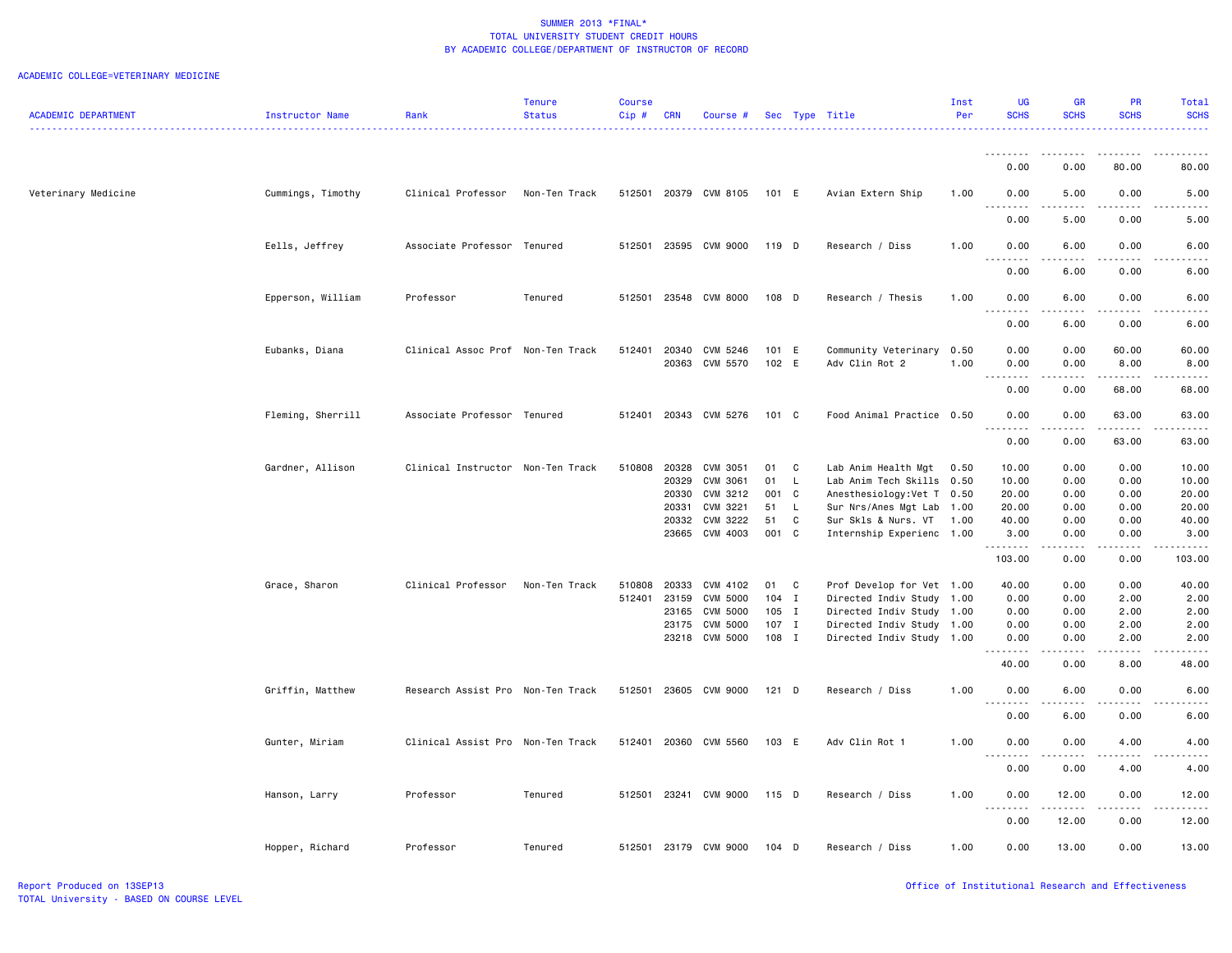| <b>ACADEMIC DEPARTMENT</b> | Instructor Name   | Rank                              | <b>Tenure</b><br><b>Status</b> | <b>Course</b><br>Cip# | <b>CRN</b>     | Course #              |                    |                   | Sec Type Title                                    | Inst<br>Per  | UG<br><b>SCHS</b>     | <b>GR</b><br><b>SCHS</b> | <b>PR</b><br><b>SCHS</b> | Total<br><b>SCHS</b>                                                                                                              |
|----------------------------|-------------------|-----------------------------------|--------------------------------|-----------------------|----------------|-----------------------|--------------------|-------------------|---------------------------------------------------|--------------|-----------------------|--------------------------|--------------------------|-----------------------------------------------------------------------------------------------------------------------------------|
|                            |                   |                                   |                                |                       |                |                       |                    |                   |                                                   |              |                       |                          |                          |                                                                                                                                   |
|                            |                   |                                   |                                |                       |                |                       |                    |                   |                                                   |              | <u>.</u><br>0.00      | .<br>0.00                | .<br>80.00               | 80.00                                                                                                                             |
| Veterinary Medicine        | Cummings, Timothy | Clinical Professor                | Non-Ten Track                  |                       |                | 512501 20379 CVM 8105 | 101 E              |                   | Avian Extern Ship                                 | 1.00         | 0.00                  | 5.00<br>د د د د          | 0.00<br>.                | 5.00<br>$- - - -$                                                                                                                 |
|                            |                   |                                   |                                |                       |                |                       |                    |                   |                                                   |              | .<br>0.00             | 5.00                     | 0.00                     | 5.00                                                                                                                              |
|                            | Eells, Jeffrey    | Associate Professor               | Tenured                        | 512501                |                | 23595 CVM 9000        | 119 D              |                   | Research / Diss                                   | 1.00         | 0.00<br>.             | 6.00<br>.                | 0.00<br>.                | 6.00<br>$\frac{1}{2} \left( \frac{1}{2} \right) \left( \frac{1}{2} \right) \left( \frac{1}{2} \right) \left( \frac{1}{2} \right)$ |
|                            |                   |                                   |                                |                       |                |                       |                    |                   |                                                   |              | 0.00                  | 6.00                     | 0.00                     | 6.00                                                                                                                              |
|                            | Epperson, William | Professor                         | Tenured                        | 512501                |                | 23548 CVM 8000        | 108 D              |                   | Research / Thesis                                 | 1.00         | 0.00<br>.             | 6.00                     | 0.00                     | 6.00                                                                                                                              |
|                            |                   |                                   |                                |                       |                |                       |                    |                   |                                                   |              | 0.00                  | 6.00                     | 0.00                     | 6.00                                                                                                                              |
|                            | Eubanks, Diana    | Clinical Assoc Prof Non-Ten Track |                                | 512401                | 20340<br>20363 | CVM 5246<br>CVM 5570  | 101 E<br>102 E     |                   | Community Veterinary<br>Adv Clin Rot 2            | 0.50<br>1.00 | 0.00<br>0.00          | 0.00<br>0.00             | 60.00<br>8.00            | 60.00<br>8.00                                                                                                                     |
|                            |                   |                                   |                                |                       |                |                       |                    |                   |                                                   |              | .<br>0.00             | .<br>0.00                | <u>.</u><br>68.00        | .<br>68.00                                                                                                                        |
|                            | Fleming, Sherrill | Associate Professor Tenured       |                                | 512401                |                | 20343 CVM 5276        | $101 \quad C$      |                   | Food Animal Practice 0.50                         |              | 0.00                  | 0.00<br>.                | 63.00<br>.               | 63.00                                                                                                                             |
|                            |                   |                                   |                                |                       |                |                       |                    |                   |                                                   |              | 0.00                  | 0.00                     | 63.00                    | 63.00                                                                                                                             |
|                            | Gardner, Allison  | Clinical Instructor Non-Ten Track |                                | 510808 20328          |                | CVM 3051              | 01<br>$\mathbf{C}$ |                   | Lab Anim Health Mgt                               | 0.50         | 10.00                 | 0.00                     | 0.00                     | 10.00                                                                                                                             |
|                            |                   |                                   |                                |                       | 20329          | CVM 3061              | 01                 | $\mathsf{L}$      | Lab Anim Tech Skills 0.50                         |              | 10.00                 | 0.00                     | 0.00                     | 10.00                                                                                                                             |
|                            |                   |                                   |                                |                       | 20330          | CVM 3212              | 001 C              |                   | Anesthesiology: Vet T 0.50                        |              | 20.00                 | 0.00                     | 0.00                     | 20.00                                                                                                                             |
|                            |                   |                                   |                                |                       | 20331<br>20332 | CVM 3221<br>CVM 3222  | 51<br>51           | $\mathsf{L}$<br>C | Sur Nrs/Anes Mgt Lab<br>Sur Skls & Nurs. VT       | 1.00<br>1.00 | 20.00<br>40.00        | 0.00<br>0.00             | 0.00<br>0.00             | 20.00<br>40.00                                                                                                                    |
|                            |                   |                                   |                                |                       |                | 23665 CVM 4003        | 001 C              |                   | Internship Experienc 1.00                         |              | 3.00                  | 0.00                     | 0.00                     | 3.00                                                                                                                              |
|                            |                   |                                   |                                |                       |                |                       |                    |                   |                                                   |              | .                     |                          | د د د د                  |                                                                                                                                   |
|                            |                   |                                   |                                |                       |                |                       |                    |                   |                                                   |              | 103.00                | 0.00                     | 0.00                     | 103.00                                                                                                                            |
|                            | Grace, Sharon     | Clinical Professor                | Non-Ten Track                  | 510808                | 20333          | CVM 4102              | 01<br>$\mathbf{C}$ |                   | Prof Develop for Vet 1.00                         |              | 40.00                 | 0.00                     | 0.00                     | 40.00                                                                                                                             |
|                            |                   |                                   |                                | 512401                | 23159          | CVM 5000              | $104$ I            |                   | Directed Indiv Study 1.00                         |              | 0.00                  | 0.00                     | 2.00                     | 2.00                                                                                                                              |
|                            |                   |                                   |                                |                       | 23165<br>23175 | CVM 5000<br>CVM 5000  | $105$ I<br>$107$ I |                   | Directed Indiv Study 1.00<br>Directed Indiv Study | 1.00         | 0.00<br>0.00          | 0.00<br>0.00             | 2.00<br>2.00             | 2.00<br>2.00                                                                                                                      |
|                            |                   |                                   |                                |                       |                | 23218 CVM 5000        | 108 I              |                   | Directed Indiv Study 1.00                         |              | 0.00                  | 0.00                     | 2.00                     | 2.00                                                                                                                              |
|                            |                   |                                   |                                |                       |                |                       |                    |                   |                                                   |              | 40.00                 | 0.00                     | 8.00                     | 48.00                                                                                                                             |
|                            | Griffin, Matthew  | Research Assist Pro Non-Ten Track |                                |                       |                | 512501 23605 CVM 9000 | $121$ D            |                   | Research / Diss                                   | 1.00         | 0.00<br>$\frac{1}{2}$ | 6.00<br>.                | 0.00                     | 6.00                                                                                                                              |
|                            |                   |                                   |                                |                       |                |                       |                    |                   |                                                   |              | 0.00                  | 6.00                     | 0.00                     | 6.00                                                                                                                              |
|                            | Gunter, Miriam    | Clinical Assist Pro Non-Ten Track |                                |                       |                | 512401 20360 CVM 5560 | 103 E              |                   | Adv Clin Rot 1                                    | 1.00         | 0.00                  | 0.00                     | 4.00                     | 4.00                                                                                                                              |
|                            |                   |                                   |                                |                       |                |                       |                    |                   |                                                   |              | 0.00                  | 0.00                     | 4.00                     | 4.00                                                                                                                              |
|                            | Hanson, Larry     | Professor                         | Tenured                        |                       |                | 512501 23241 CVM 9000 | 115 D              |                   | Research / Diss                                   | 1.00         | 0.00<br><u>.</u>      | 12.00<br>.               | 0.00<br><u>.</u>         | 12.00<br>.                                                                                                                        |
|                            |                   |                                   |                                |                       |                |                       |                    |                   |                                                   |              | 0.00                  | 12.00                    | 0.00                     | 12.00                                                                                                                             |
|                            | Hopper, Richard   | Professor                         | Tenured                        |                       |                | 512501 23179 CVM 9000 | 104 D              |                   | Research / Diss                                   | 1.00         | 0.00                  | 13.00                    | 0.00                     | 13.00                                                                                                                             |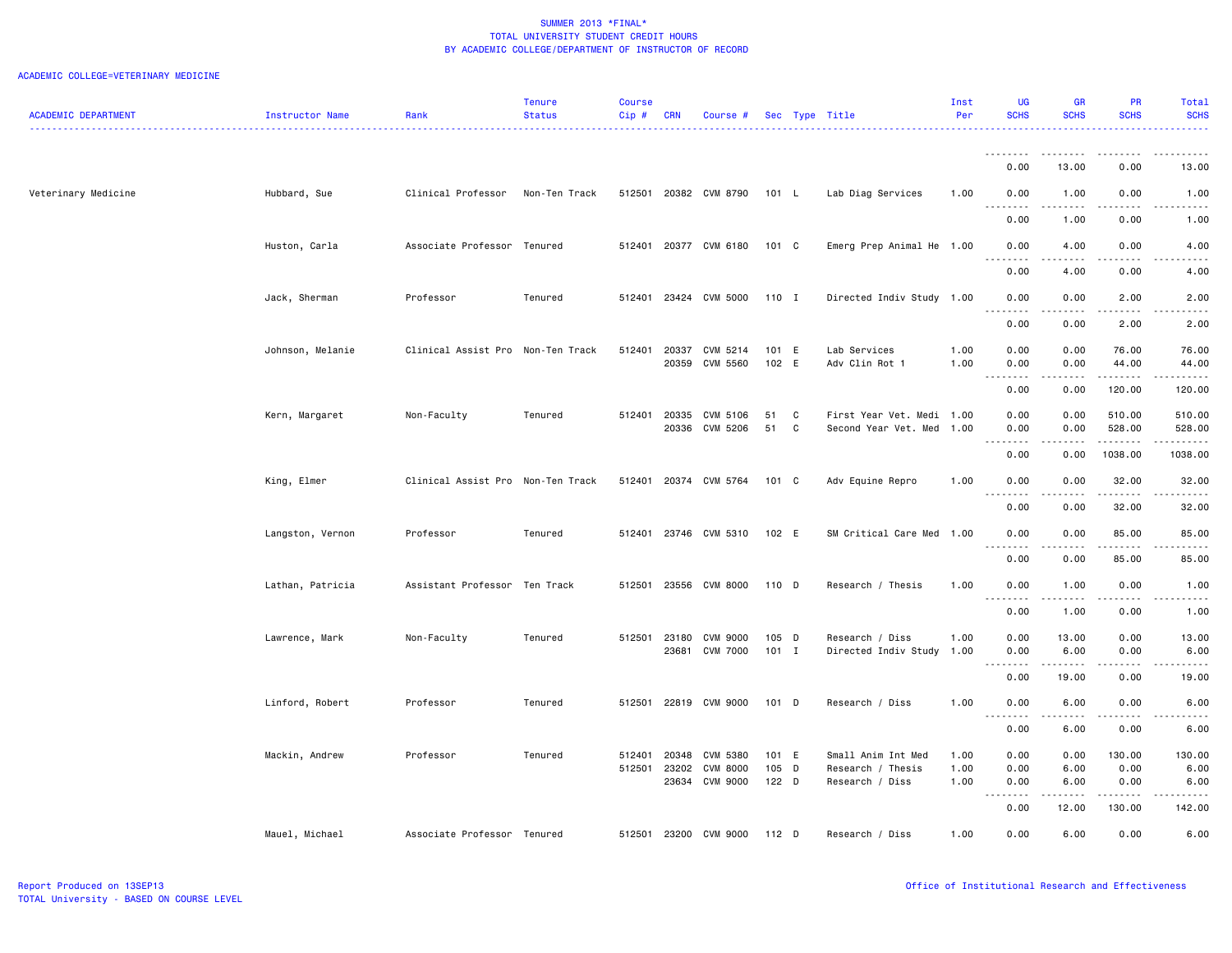|                            |                  |                                   | Tenure        | <b>Course</b> |                |                      |                |                                | Inst         | UG                      | <b>GR</b>                                                                                                                                            | PR             | Total                                |
|----------------------------|------------------|-----------------------------------|---------------|---------------|----------------|----------------------|----------------|--------------------------------|--------------|-------------------------|------------------------------------------------------------------------------------------------------------------------------------------------------|----------------|--------------------------------------|
| <b>ACADEMIC DEPARTMENT</b> | Instructor Name  | Rank                              | <b>Status</b> | Cip#          | <b>CRN</b>     | Course #             | Sec Type Title |                                | Per          | <b>SCHS</b>             | <b>SCHS</b>                                                                                                                                          | <b>SCHS</b>    | <b>SCHS</b>                          |
|                            |                  |                                   |               |               |                |                      |                |                                |              |                         |                                                                                                                                                      |                |                                      |
|                            |                  |                                   |               |               |                |                      |                |                                |              | .                       | .                                                                                                                                                    | .              | .                                    |
|                            |                  |                                   |               |               |                |                      |                |                                |              | 0.00                    | 13.00                                                                                                                                                | 0.00           | 13.00                                |
| Veterinary Medicine        | Hubbard, Sue     | Clinical Professor                | Non-Ten Track | 512501        |                | 20382 CVM 8790       | 101 L          | Lab Diag Services              | 1.00         | 0.00                    | 1.00                                                                                                                                                 | 0.00           | 1.00                                 |
|                            |                  |                                   |               |               |                |                      |                |                                |              | .<br>0.00               | .<br>1.00                                                                                                                                            | .<br>0.00      | ----<br>1.00                         |
|                            |                  |                                   |               |               |                |                      |                |                                |              |                         |                                                                                                                                                      |                |                                      |
|                            | Huston, Carla    | Associate Professor Tenured       |               | 512401        |                | 20377 CVM 6180       | 101 C          | Emerg Prep Animal He 1.00      |              | 0.00                    | 4.00                                                                                                                                                 | 0.00           | 4.00                                 |
|                            |                  |                                   |               |               |                |                      |                |                                |              | 0.00                    | 4.00                                                                                                                                                 | 0.00           | 4.00                                 |
|                            |                  |                                   |               |               |                |                      |                |                                |              |                         |                                                                                                                                                      |                |                                      |
|                            | Jack, Sherman    | Professor                         | Tenured       | 512401        |                | 23424 CVM 5000       | 110 I          | Directed Indiv Study 1.00      |              | 0.00<br>.               | 0.00<br>.                                                                                                                                            | 2.00<br>.      | 2.00<br>----                         |
|                            |                  |                                   |               |               |                |                      |                |                                |              | 0.00                    | 0.00                                                                                                                                                 | 2.00           | 2.00                                 |
|                            |                  |                                   |               |               |                |                      |                |                                |              |                         |                                                                                                                                                      |                |                                      |
|                            | Johnson, Melanie | Clinical Assist Pro Non-Ten Track |               | 512401        | 20337<br>20359 | CVM 5214<br>CVM 5560 | 101 E<br>102 E | Lab Services<br>Adv Clin Rot 1 | 1.00<br>1.00 | 0.00<br>0.00            | 0.00<br>0.00                                                                                                                                         | 76.00<br>44.00 | 76.00<br>44.00                       |
|                            |                  |                                   |               |               |                |                      |                |                                |              | .                       | .                                                                                                                                                    | .              | .                                    |
|                            |                  |                                   |               |               |                |                      |                |                                |              | 0.00                    | 0.00                                                                                                                                                 | 120.00         | 120.00                               |
|                            | Kern, Margaret   | Non-Faculty                       | Tenured       | 512401        | 20335          | CVM 5106             | 51<br>C        | First Year Vet. Medi 1.00      |              | 0.00                    | 0.00                                                                                                                                                 | 510.00         | 510.00                               |
|                            |                  |                                   |               |               | 20336          | CVM 5206             | 51<br>C        | Second Year Vet. Med           | 1.00         | 0.00                    | 0.00                                                                                                                                                 | 528.00         | 528.00                               |
|                            |                  |                                   |               |               |                |                      |                |                                |              | .<br>0.00               | 0.00                                                                                                                                                 | 1038.00        | 1038.00                              |
|                            |                  |                                   |               |               |                |                      |                |                                |              |                         |                                                                                                                                                      |                |                                      |
|                            | King, Elmer      | Clinical Assist Pro Non-Ten Track |               | 512401        |                | 20374 CVM 5764       | 101 C          | Adv Equine Repro               | 1.00         | 0.00<br>.               | 0.00                                                                                                                                                 | 32.00<br>.     | 32.00<br>.                           |
|                            |                  |                                   |               |               |                |                      |                |                                |              | 0.00                    | 0.00                                                                                                                                                 | 32.00          | 32.00                                |
|                            |                  |                                   |               |               |                |                      |                |                                |              |                         |                                                                                                                                                      |                |                                      |
|                            | Langston, Vernon | Professor                         | Tenured       | 512401        |                | 23746 CVM 5310       | 102 E          | SM Critical Care Med           | 1.00         | 0.00                    | 0.00                                                                                                                                                 | 85.00          | 85.00                                |
|                            |                  |                                   |               |               |                |                      |                |                                |              | 0.00                    | 0.00                                                                                                                                                 | 85.00          | 85.00                                |
|                            | Lathan, Patricia | Assistant Professor Ten Track     |               | 512501        | 23556          | <b>CVM 8000</b>      | 110 D          | Research / Thesis              | 1.00         | 0.00                    | 1.00                                                                                                                                                 | 0.00           | 1.00                                 |
|                            |                  |                                   |               |               |                |                      |                |                                |              | .                       | $\frac{1}{2} \left( \frac{1}{2} \right) \left( \frac{1}{2} \right) \left( \frac{1}{2} \right) \left( \frac{1}{2} \right) \left( \frac{1}{2} \right)$ | د د د د        | $\sim$ $\sim$ $\sim$ $\sim$ $\sim$   |
|                            |                  |                                   |               |               |                |                      |                |                                |              | 0.00                    | 1.00                                                                                                                                                 | 0.00           | 1.00                                 |
|                            | Lawrence, Mark   | Non-Faculty                       | Tenured       | 512501        | 23180          | <b>CVM 9000</b>      | 105 D          | Research / Diss                | 1.00         | 0.00                    | 13.00                                                                                                                                                | 0.00           | 13.00                                |
|                            |                  |                                   |               |               | 23681          | <b>CVM 7000</b>      | $101$ I        | Directed Indiv Study           | 1.00         | 0.00                    | 6.00                                                                                                                                                 | 0.00           | 6.00                                 |
|                            |                  |                                   |               |               |                |                      |                |                                |              | .<br>0.00               | .<br>19.00                                                                                                                                           | .<br>0.00      | $\sim$ $\sim$ $\sim$ $\sim$<br>19.00 |
|                            |                  |                                   |               |               |                |                      |                |                                |              |                         |                                                                                                                                                      |                |                                      |
|                            | Linford, Robert  | Professor                         | Tenured       | 512501        |                | 22819 CVM 9000       | $101$ D        | Research / Diss                | 1.00         | 0.00                    | 6.00                                                                                                                                                 | 0.00           | 6.00                                 |
|                            |                  |                                   |               |               |                |                      |                |                                |              | $- - -$<br>----<br>0.00 | 6.00                                                                                                                                                 | 0.00           | 6.00                                 |
|                            |                  |                                   |               |               |                |                      |                |                                |              |                         |                                                                                                                                                      |                |                                      |
|                            | Mackin, Andrew   | Professor                         | Tenured       | 512401        | 20348          | CVM 5380             | 101 E          | Small Anim Int Med             | 1.00         | 0.00                    | 0.00                                                                                                                                                 | 130.00         | 130.00                               |
|                            |                  |                                   |               | 512501        | 23202          | <b>CVM 8000</b>      | 105 D          | Research / Thesis              | 1.00         | 0.00                    | 6.00                                                                                                                                                 | 0.00           | 6.00                                 |
|                            |                  |                                   |               |               | 23634          | CVM 9000             | 122 D          | Research / Diss                | 1.00         | 0.00<br>والمحامر        | 6.00                                                                                                                                                 | 0.00<br>.      | 6.00                                 |
|                            |                  |                                   |               |               |                |                      |                |                                |              | 0.00                    | 12.00                                                                                                                                                | 130.00         | 142.00                               |
|                            |                  |                                   |               |               |                |                      |                |                                |              |                         |                                                                                                                                                      |                |                                      |
|                            | Mauel, Michael   | Associate Professor Tenured       |               | 512501        | 23200          | CVM 9000             | $112$ D        | Research / Diss                | 1.00         | 0.00                    | 6.00                                                                                                                                                 | 0.00           | 6.00                                 |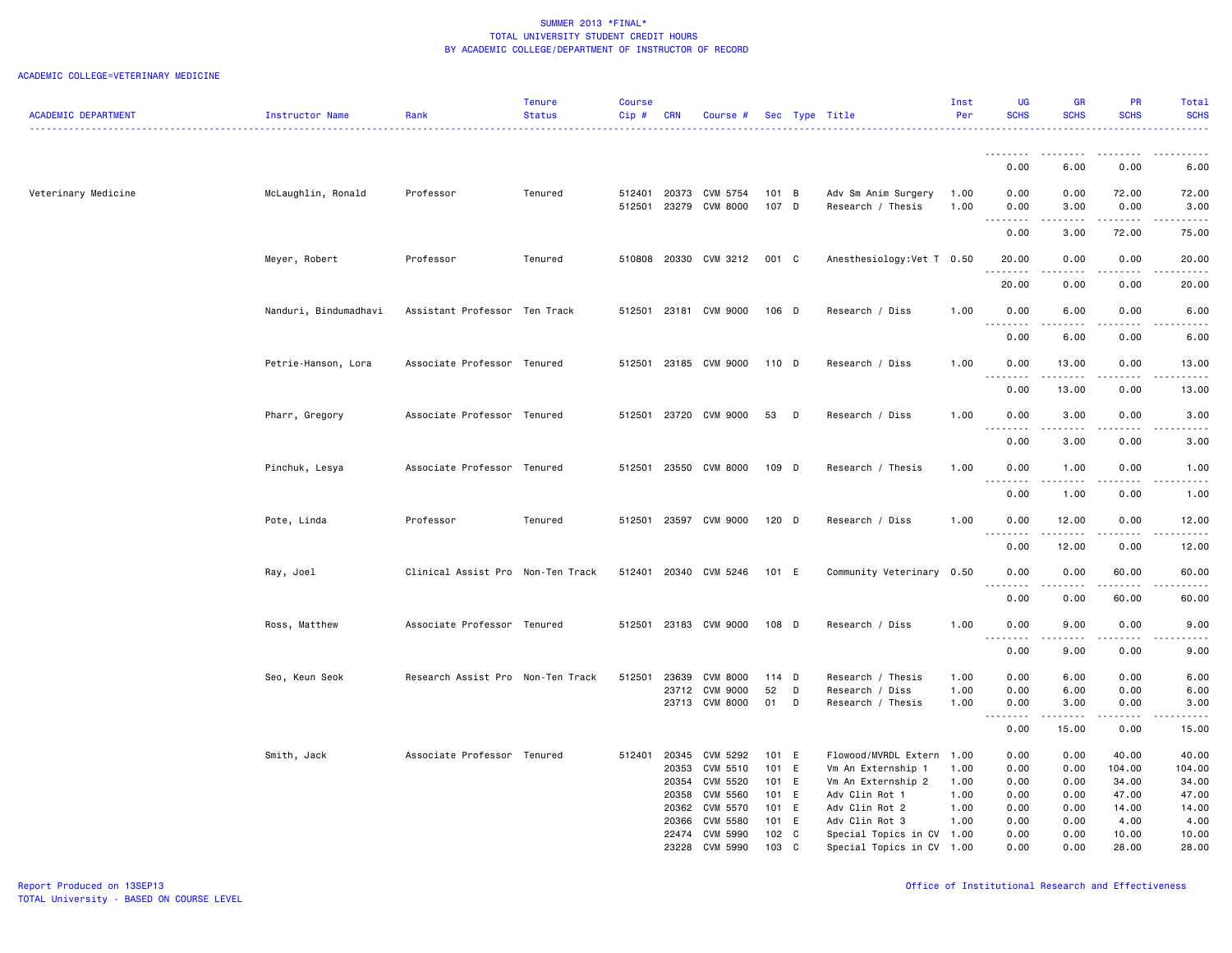|                            |                       |                                   | Tenure        | Course       |            |                       |         |   |                            | Inst | <b>UG</b>                 | <b>GR</b>                                                                                                                                            | <b>PR</b>     | Total                                                                                                                                                |
|----------------------------|-----------------------|-----------------------------------|---------------|--------------|------------|-----------------------|---------|---|----------------------------|------|---------------------------|------------------------------------------------------------------------------------------------------------------------------------------------------|---------------|------------------------------------------------------------------------------------------------------------------------------------------------------|
| <b>ACADEMIC DEPARTMENT</b> | Instructor Name       | Rank                              | <b>Status</b> | Cip#         | <b>CRN</b> | Course #              |         |   | Sec Type Title             | Per  | <b>SCHS</b>               | <b>SCHS</b>                                                                                                                                          | <b>SCHS</b>   | <b>SCHS</b>                                                                                                                                          |
|                            |                       |                                   |               |              |            |                       |         |   |                            |      |                           |                                                                                                                                                      |               | $\frac{1}{2} \left( \frac{1}{2} \right) \left( \frac{1}{2} \right) \left( \frac{1}{2} \right) \left( \frac{1}{2} \right)$                            |
|                            |                       |                                   |               |              |            |                       |         |   |                            |      |                           |                                                                                                                                                      |               |                                                                                                                                                      |
|                            |                       |                                   |               |              |            |                       |         |   |                            |      | .                         |                                                                                                                                                      |               |                                                                                                                                                      |
|                            |                       |                                   |               |              |            |                       |         |   |                            |      | 0.00                      | 6.00                                                                                                                                                 | 0.00          | 6.00                                                                                                                                                 |
|                            |                       |                                   |               |              |            |                       |         |   |                            |      |                           |                                                                                                                                                      |               |                                                                                                                                                      |
| Veterinary Medicine        | McLaughlin, Ronald    | Professor                         | Tenured       | 512401 20373 |            | CVM 5754              | 101 B   |   | Adv Sm Anim Surgery        | 1.00 | 0.00                      | 0.00                                                                                                                                                 | 72.00         | 72.00                                                                                                                                                |
|                            |                       |                                   |               | 512501       | 23279      | <b>CVM 8000</b>       | 107 D   |   | Research / Thesis          | 1.00 | 0.00                      | 3.00                                                                                                                                                 | 0.00          | 3.00                                                                                                                                                 |
|                            |                       |                                   |               |              |            |                       |         |   |                            |      | $\sim 10$<br>.            |                                                                                                                                                      | .             | $   -$                                                                                                                                               |
|                            |                       |                                   |               |              |            |                       |         |   |                            |      | 0.00                      | 3.00                                                                                                                                                 | 72.00         | 75.00                                                                                                                                                |
|                            | Meyer, Robert         | Professor                         | Tenured       |              |            | 510808 20330 CVM 3212 | 001 C   |   | Anesthesiology: Vet T 0.50 |      | 20.00                     | 0.00                                                                                                                                                 | 0.00          | 20.00                                                                                                                                                |
|                            |                       |                                   |               |              |            |                       |         |   |                            |      |                           |                                                                                                                                                      |               | $   -$                                                                                                                                               |
|                            |                       |                                   |               |              |            |                       |         |   |                            |      | 20.00                     | 0.00                                                                                                                                                 | 0.00          | 20.00                                                                                                                                                |
|                            |                       |                                   |               |              |            |                       |         |   |                            |      |                           |                                                                                                                                                      |               |                                                                                                                                                      |
|                            | Nanduri, Bindumadhavi | Assistant Professor Ten Track     |               |              |            | 512501 23181 CVM 9000 | 106 D   |   | Research / Diss            | 1.00 | 0.00                      | 6.00                                                                                                                                                 | 0.00          | 6.00                                                                                                                                                 |
|                            |                       |                                   |               |              |            |                       |         |   |                            |      | $-$<br>.                  | .                                                                                                                                                    | $- - - -$     | .                                                                                                                                                    |
|                            |                       |                                   |               |              |            |                       |         |   |                            |      | 0.00                      | 6.00                                                                                                                                                 | 0.00          | 6.00                                                                                                                                                 |
|                            |                       |                                   |               |              |            |                       |         |   |                            |      |                           |                                                                                                                                                      |               |                                                                                                                                                      |
|                            | Petrie-Hanson, Lora   | Associate Professor Tenured       |               |              |            | 512501 23185 CVM 9000 | 110 D   |   | Research / Diss            | 1.00 | 0.00                      | 13.00                                                                                                                                                | 0.00          | 13.00                                                                                                                                                |
|                            |                       |                                   |               |              |            |                       |         |   |                            |      | <u>.</u>                  | د د د د د                                                                                                                                            | .             | $    -$                                                                                                                                              |
|                            |                       |                                   |               |              |            |                       |         |   |                            |      | 0.00                      | 13.00                                                                                                                                                | 0.00          | 13.00                                                                                                                                                |
|                            |                       |                                   |               |              |            |                       |         |   |                            |      |                           |                                                                                                                                                      |               |                                                                                                                                                      |
|                            | Pharr, Gregory        | Associate Professor Tenured       |               |              |            | 512501 23720 CVM 9000 | 53      | D | Research / Diss            | 1.00 | 0.00                      | 3.00                                                                                                                                                 | 0.00          | 3.00                                                                                                                                                 |
|                            |                       |                                   |               |              |            |                       |         |   |                            |      | .<br>$-$                  | -----                                                                                                                                                | .             | .                                                                                                                                                    |
|                            |                       |                                   |               |              |            |                       |         |   |                            |      | 0.00                      | 3.00                                                                                                                                                 | 0.00          | 3.00                                                                                                                                                 |
|                            |                       |                                   |               |              |            |                       |         |   |                            |      |                           |                                                                                                                                                      |               |                                                                                                                                                      |
|                            | Pinchuk, Lesya        | Associate Professor Tenured       |               | 512501       |            | 23550 CVM 8000        | 109 D   |   | Research / Thesis          | 1.00 | 0.00                      | 1.00                                                                                                                                                 | 0.00          | 1.00                                                                                                                                                 |
|                            |                       |                                   |               |              |            |                       |         |   |                            |      | .<br>$\sim$ $\sim$ $\sim$ | .                                                                                                                                                    | .             | $\frac{1}{2} \left( \frac{1}{2} \right) \left( \frac{1}{2} \right) \left( \frac{1}{2} \right) \left( \frac{1}{2} \right) \left( \frac{1}{2} \right)$ |
|                            |                       |                                   |               |              |            |                       |         |   |                            |      | 0.00                      | 1.00                                                                                                                                                 | 0.00          | 1.00                                                                                                                                                 |
|                            |                       |                                   |               |              |            |                       |         |   |                            |      |                           |                                                                                                                                                      |               |                                                                                                                                                      |
|                            | Pote, Linda           | Professor                         | Tenured       | 512501       |            | 23597 CVM 9000        | $120$ D |   | Research / Diss            | 1.00 | 0.00                      | 12.00                                                                                                                                                | 0.00          | 12.00                                                                                                                                                |
|                            |                       |                                   |               |              |            |                       |         |   |                            |      | $\sim$ $\sim$ $\sim$<br>. |                                                                                                                                                      | $\frac{1}{2}$ | .                                                                                                                                                    |
|                            |                       |                                   |               |              |            |                       |         |   |                            |      | 0.00                      | 12.00                                                                                                                                                | 0.00          | 12.00                                                                                                                                                |
|                            |                       | Clinical Assist Pro Non-Ten Track |               |              |            | 512401 20340 CVM 5246 | 101 E   |   | Community Veterinary 0.50  |      | 0.00                      | 0.00                                                                                                                                                 |               | 60.00                                                                                                                                                |
|                            | Ray, Joel             |                                   |               |              |            |                       |         |   |                            |      | $\sim$                    |                                                                                                                                                      | 60.00         | $    -$                                                                                                                                              |
|                            |                       |                                   |               |              |            |                       |         |   |                            |      | 0.00                      | 0.00                                                                                                                                                 | 60.00         | 60.00                                                                                                                                                |
|                            |                       |                                   |               |              |            |                       |         |   |                            |      |                           |                                                                                                                                                      |               |                                                                                                                                                      |
|                            | Ross, Matthew         | Associate Professor Tenured       |               |              |            | 512501 23183 CVM 9000 | 108 D   |   | Research / Diss            | 1.00 | 0.00                      | 9.00                                                                                                                                                 | 0.00          | 9.00                                                                                                                                                 |
|                            |                       |                                   |               |              |            |                       |         |   |                            |      | <u>.</u>                  | $\frac{1}{2} \left( \frac{1}{2} \right) \left( \frac{1}{2} \right) \left( \frac{1}{2} \right) \left( \frac{1}{2} \right) \left( \frac{1}{2} \right)$ | .             | .                                                                                                                                                    |
|                            |                       |                                   |               |              |            |                       |         |   |                            |      | 0.00                      | 9.00                                                                                                                                                 | 0.00          | 9.00                                                                                                                                                 |
|                            |                       |                                   |               |              |            |                       |         |   |                            |      |                           |                                                                                                                                                      |               |                                                                                                                                                      |
|                            | Seo, Keun Seok        | Research Assist Pro Non-Ten Track |               | 512501       | 23639      | <b>CVM 8000</b>       | 114 D   |   | Research / Thesis          | 1.00 | 0.00                      | 6.00                                                                                                                                                 | 0.00          | 6.00                                                                                                                                                 |
|                            |                       |                                   |               |              | 23712      | CVM 9000              | 52      | D | Research / Diss            | 1.00 | 0.00                      | 6.00                                                                                                                                                 | 0.00          | 6.00                                                                                                                                                 |
|                            |                       |                                   |               |              | 23713      | <b>CVM 8000</b>       | 01      | D | Research / Thesis          | 1.00 | 0.00                      | 3.00                                                                                                                                                 | 0.00          | 3.00                                                                                                                                                 |
|                            |                       |                                   |               |              |            |                       |         |   |                            |      | $\sim$ $\sim$ .           |                                                                                                                                                      |               | .                                                                                                                                                    |
|                            |                       |                                   |               |              |            |                       |         |   |                            |      | 0.00                      | 15.00                                                                                                                                                | 0.00          | 15.00                                                                                                                                                |
|                            |                       |                                   |               |              |            |                       |         |   |                            |      |                           |                                                                                                                                                      |               |                                                                                                                                                      |
|                            | Smith, Jack           | Associate Professor Tenured       |               | 512401 20345 |            | CVM 5292              | 101 E   |   | Flowood/MVRDL Extern 1.00  |      | 0.00                      | 0.00                                                                                                                                                 | 40.00         | 40.00                                                                                                                                                |
|                            |                       |                                   |               |              | 20353      | CVM 5510              | 101 E   |   | Vm An Externship 1         | 1.00 | 0.00                      | 0.00                                                                                                                                                 | 104.00        | 104.00                                                                                                                                               |
|                            |                       |                                   |               |              | 20354      | CVM 5520              | 101 E   |   | Vm An Externship 2         | 1.00 | 0.00                      | 0.00                                                                                                                                                 | 34.00         | 34.00                                                                                                                                                |
|                            |                       |                                   |               |              | 20358      | CVM 5560              | 101 E   |   | Adv Clin Rot 1             | 1.00 | 0.00                      | 0.00                                                                                                                                                 | 47.00         | 47.00                                                                                                                                                |
|                            |                       |                                   |               |              | 20362      | CVM 5570              | 101 E   |   | Adv Clin Rot 2             | 1.00 | 0.00                      | 0.00                                                                                                                                                 | 14.00         | 14.00                                                                                                                                                |
|                            |                       |                                   |               |              | 20366      | <b>CVM 5580</b>       | 101 E   |   | Adv Clin Rot 3             | 1.00 | 0.00                      | 0.00                                                                                                                                                 | 4.00          | 4.00                                                                                                                                                 |
|                            |                       |                                   |               |              | 22474      | CVM 5990              | 102 C   |   | Special Topics in CV 1.00  |      | 0.00                      | 0.00                                                                                                                                                 | 10.00         | 10.00                                                                                                                                                |
|                            |                       |                                   |               |              | 23228      | CVM 5990              | 103     | C | Special Topics in CV 1.00  |      | 0.00                      | 0.00                                                                                                                                                 | 28.00         | 28.00                                                                                                                                                |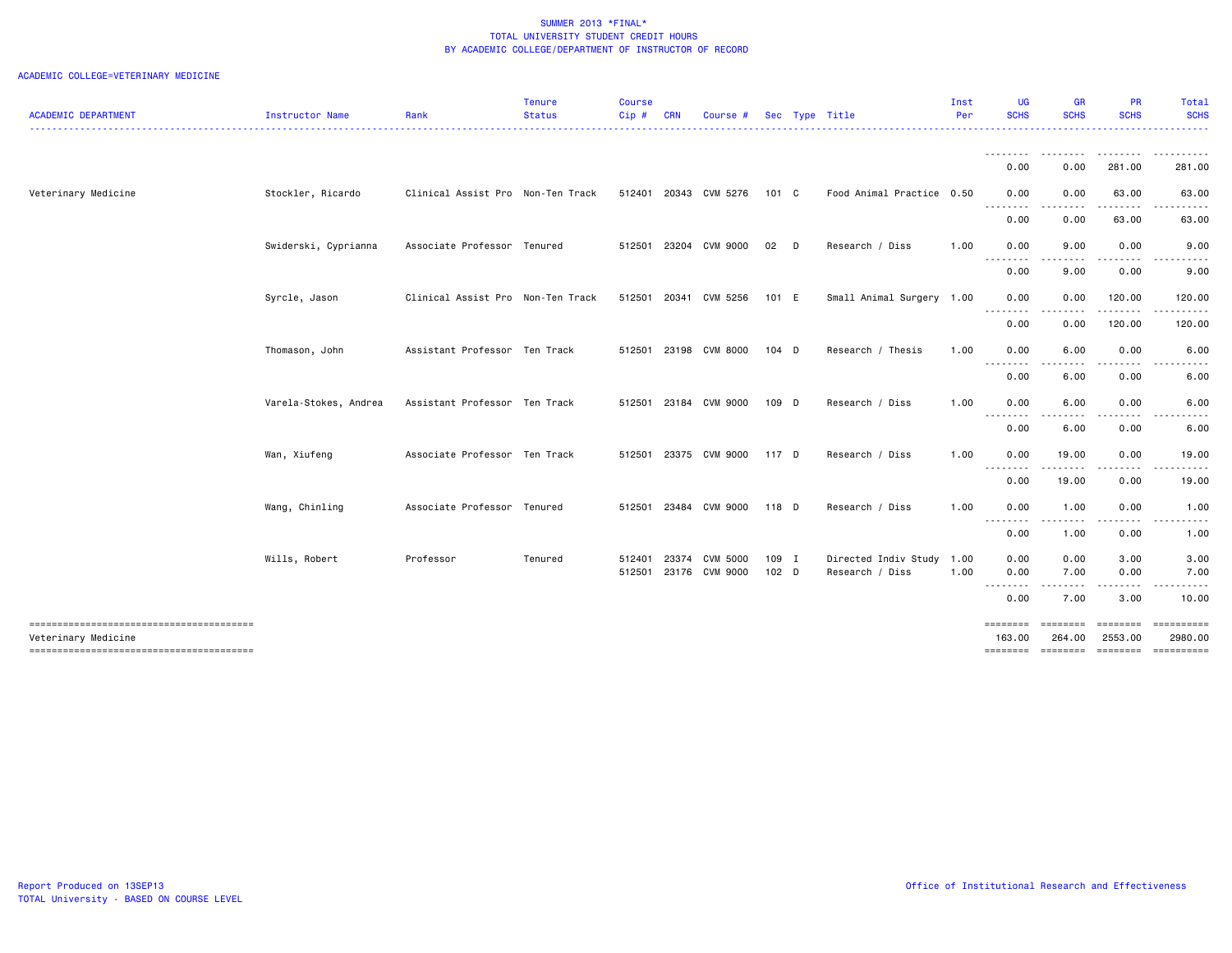|                                                               |                       |                                   | <b>Tenure</b> | <b>Course</b> |              |                       |                  |                           | Inst | <b>UG</b>          | <b>GR</b>                                                                                                                                                    | <b>PR</b>           | Total                                 |
|---------------------------------------------------------------|-----------------------|-----------------------------------|---------------|---------------|--------------|-----------------------|------------------|---------------------------|------|--------------------|--------------------------------------------------------------------------------------------------------------------------------------------------------------|---------------------|---------------------------------------|
| <b>ACADEMIC DEPARTMENT</b>                                    | Instructor Name       | Rank                              | <b>Status</b> | Cip#          | CRN          | <b>Course</b>         | Sec              | Type Title                | Per  | <b>SCHS</b>        | <b>SCHS</b>                                                                                                                                                  | <b>SCHS</b>         | <b>SCHS</b>                           |
|                                                               |                       |                                   |               |               |              |                       |                  |                           |      | .                  | <u>--------</u>                                                                                                                                              | . <u>.</u> .        | .                                     |
|                                                               |                       |                                   |               |               |              |                       |                  |                           |      | 0.00               | 0.00                                                                                                                                                         | 281.00              | 281.00                                |
| Veterinary Medicine                                           | Stockler, Ricardo     | Clinical Assist Pro Non-Ten Track |               |               |              | 512401 20343 CVM 5276 | 101 C            | Food Animal Practice 0.50 |      | 0.00               | 0.00                                                                                                                                                         | 63.00               | 63.00                                 |
|                                                               |                       |                                   |               |               |              |                       |                  |                           |      | --------<br>0.00   | $\frac{1}{2} \left( \frac{1}{2} \right) \left( \frac{1}{2} \right) \left( \frac{1}{2} \right) \left( \frac{1}{2} \right) \left( \frac{1}{2} \right)$<br>0.00 | .<br>63.00          | .<br>63.00                            |
|                                                               | Swiderski, Cyprianna  | Associate Professor Tenured       |               |               | 512501 23204 | CVM 9000              | 02<br>$\Box$     | Research / Diss           | 1.00 | 0.00               | 9.00                                                                                                                                                         | 0.00                | 9.00                                  |
|                                                               |                       |                                   |               |               |              |                       |                  |                           |      | .<br>0.00          | ----<br>9.00                                                                                                                                                 | .<br>0.00           | 9.00                                  |
|                                                               | Syrcle, Jason         | Clinical Assist Pro Non-Ten Track |               | 512501        | 20341        | CVM 5256              | 101 E            | Small Animal Surgery 1.00 |      | 0.00               | 0.00                                                                                                                                                         | 120.00              | 120.00                                |
|                                                               |                       |                                   |               |               |              |                       |                  |                           |      | <u>.</u><br>0.00   | ----<br>0.00                                                                                                                                                 | .<br>120.00         | .<br>120.00                           |
|                                                               | Thomason, John        | Assistant Professor Ten Track     |               |               |              | 512501 23198 CVM 8000 | $104$ D          | Research / Thesis         | 1.00 | 0.00               | 6.00                                                                                                                                                         | 0.00                | 6.00                                  |
|                                                               |                       |                                   |               |               |              |                       |                  |                           |      | .<br>0.00          | 6.00                                                                                                                                                         | 0.00                | 6.00                                  |
|                                                               | Varela-Stokes, Andrea | Assistant Professor Ten Track     |               |               |              | 512501 23184 CVM 9000 | 109 D            | Research / Diss           | 1.00 | 0.00               | 6.00                                                                                                                                                         | 0.00                | 6.00                                  |
|                                                               |                       |                                   |               |               |              |                       |                  |                           |      | 0.00               | 6.00                                                                                                                                                         | 0.00                | 6.00                                  |
|                                                               | Wan, Xiufeng          | Associate Professor Ten Track     |               |               |              | 512501 23375 CVM 9000 | 117 D            | Research / Diss           | 1.00 | 0.00               | 19.00                                                                                                                                                        | 0.00                | 19.00                                 |
|                                                               |                       |                                   |               |               |              |                       |                  |                           |      | .<br>0.00          | .<br>19.00                                                                                                                                                   | .<br>0.00           | . <b>.</b><br>19.00                   |
|                                                               | Wang, Chinling        | Associate Professor Tenured       |               | 512501        |              | 23484 CVM 9000        | 118 D            | Research / Diss           | 1.00 | 0.00               | 1.00                                                                                                                                                         | 0.00                | 1.00                                  |
|                                                               |                       |                                   |               |               |              |                       |                  |                           |      | <u>.</u><br>0.00   | $\frac{1}{2} \left( \frac{1}{2} \right) \left( \frac{1}{2} \right) \left( \frac{1}{2} \right) \left( \frac{1}{2} \right)$<br>1.00                            | .<br>0.00           | .<br>1.00                             |
|                                                               | Wills, Robert         | Professor                         | Tenured       | 512401        | 23374        | CVM 5000              | 109 I            | Directed Indiv Study 1.00 |      | 0.00               | 0.00                                                                                                                                                         | 3.00                | 3.00                                  |
|                                                               |                       |                                   |               | 512501        |              | 23176 CVM 9000        | 102 <sub>D</sub> | Research / Diss           | 1.00 | 0.00<br>--------   | 7.00                                                                                                                                                         | 0.00                | 7.00                                  |
|                                                               |                       |                                   |               |               |              |                       |                  |                           |      | 0.00               | 7.00                                                                                                                                                         | 3.00                | 10.00                                 |
| --------------------------------------<br>Veterinary Medicine |                       |                                   |               |               |              |                       |                  |                           |      | ========<br>163,00 | ========<br>264.00                                                                                                                                           | ========<br>2553.00 | ==========<br>2980.00                 |
|                                                               |                       |                                   |               |               |              |                       |                  |                           |      |                    |                                                                                                                                                              |                     | ======== ======== ======== ========== |